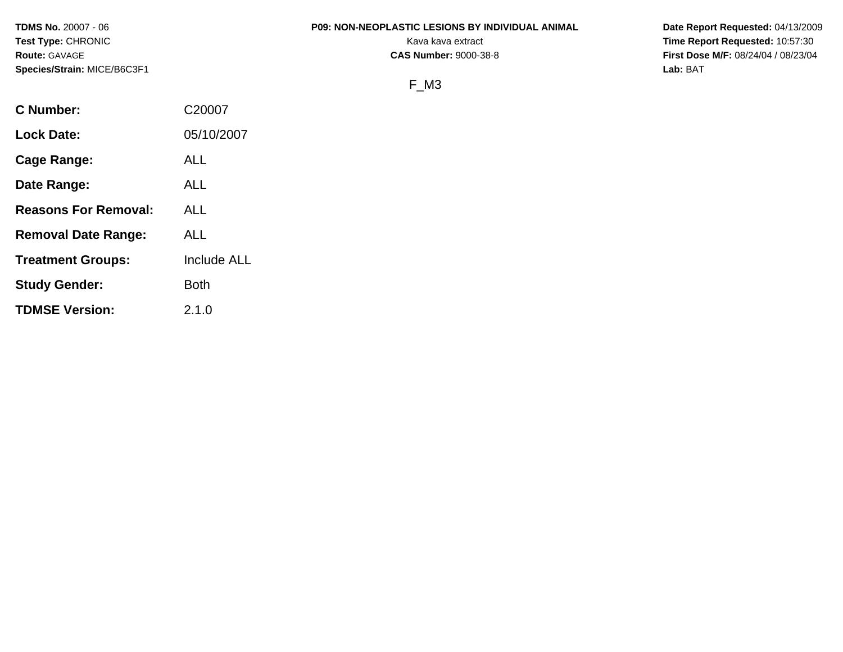**Species/Strain:** MICE/B6C3F1 **Lab:** BAT

#### **TDMS No.** 20007 - 06 **P09: NON-NEOPLASTIC LESIONS BY INDIVIDUAL ANIMAL Date Report Requested:** 04/13/2009

**Test Type:** CHRONIC **Transfer CHRONIC Report Requested:** 10:57:30 **Route:** GAVAGE **CAS Number:** 9000-38-8 **First Dose M/F:** 08/24/04 / 08/23/04

# F\_M3

| <b>C</b> Number:            | C20007      |
|-----------------------------|-------------|
| <b>Lock Date:</b>           | 05/10/2007  |
| Cage Range:                 | ALL         |
| Date Range:                 | ALL         |
| <b>Reasons For Removal:</b> | ALL         |
| <b>Removal Date Range:</b>  | ALL         |
| <b>Treatment Groups:</b>    | Include ALL |
| <b>Study Gender:</b>        | <b>Both</b> |
| <b>TDMSE Version:</b>       | 2.1.0       |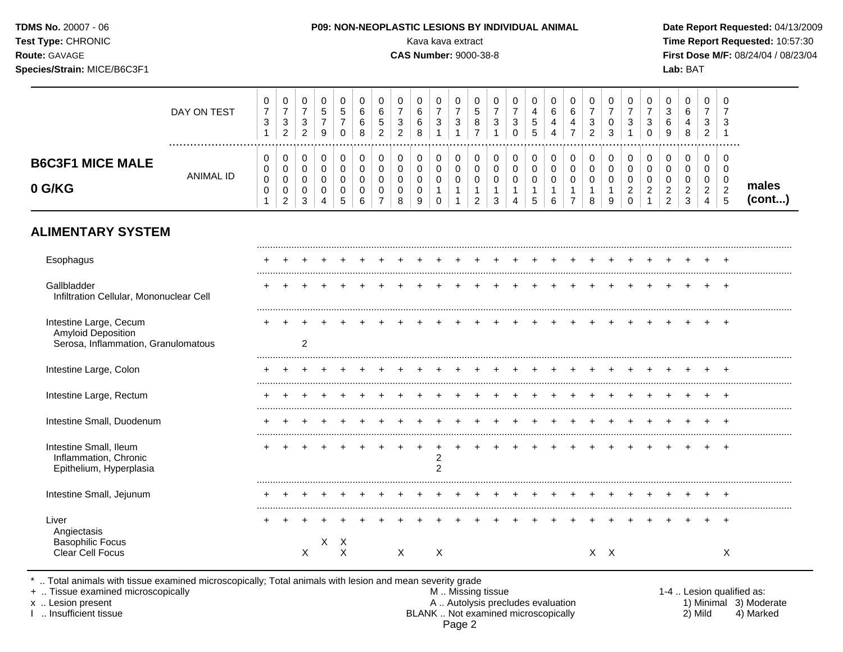| TDMS No. 20007 - 06<br>Test Type: CHRONIC<br>Route: GAVAGE<br>Species/Strain: MICE/B6C3F1  |                  |                                                   |                                                                      |                                                                      |                                        |                                               |                                         |                                                        |                                                                    |                       | Kava kava extract<br><b>CAS Number: 9000-38-8</b>                  |                                                    |                                                                |                                     | <b>P09: NON-NEOPLASTIC LESIONS BY INDIVIDUAL ANIMAL</b> |                                    |                                                           |                                                         |                                                                    |                                       |                                                                    |                                                                   |                                                 | Lab: BAT                          |                                                 |                                              | Date Report Requested: 04/13/2009<br>Time Report Requested: 10:57:30<br>First Dose M/F: 08/24/04 / 08/23/04 |
|--------------------------------------------------------------------------------------------|------------------|---------------------------------------------------|----------------------------------------------------------------------|----------------------------------------------------------------------|----------------------------------------|-----------------------------------------------|-----------------------------------------|--------------------------------------------------------|--------------------------------------------------------------------|-----------------------|--------------------------------------------------------------------|----------------------------------------------------|----------------------------------------------------------------|-------------------------------------|---------------------------------------------------------|------------------------------------|-----------------------------------------------------------|---------------------------------------------------------|--------------------------------------------------------------------|---------------------------------------|--------------------------------------------------------------------|-------------------------------------------------------------------|-------------------------------------------------|-----------------------------------|-------------------------------------------------|----------------------------------------------|-------------------------------------------------------------------------------------------------------------|
|                                                                                            | DAY ON TEST      | 0<br>$\overline{7}$<br>$\sqrt{3}$<br>$\mathbf{1}$ | 0<br>$\boldsymbol{7}$<br>$\ensuremath{\mathsf{3}}$<br>$\overline{c}$ | 0<br>$\boldsymbol{7}$<br>$\ensuremath{\mathsf{3}}$<br>$\overline{2}$ | 0<br>$\sqrt{5}$<br>$\overline{7}$<br>9 | 0<br>$\sqrt{5}$<br>$\overline{7}$<br>$\Omega$ | 0<br>$\,6\,$<br>$\,6$<br>8              | 0<br>$6\phantom{1}6$<br>$\,$ 5 $\,$<br>$\overline{2}$  | 0<br>$\overline{7}$<br>$\ensuremath{\mathsf{3}}$<br>$\overline{2}$ | 0<br>6<br>6<br>8      | 0<br>$\overline{7}$<br>$\ensuremath{\mathsf{3}}$<br>$\overline{1}$ | 0<br>$\boldsymbol{7}$<br>$\ensuremath{\mathsf{3}}$ | 0<br>$\,$ 5 $\,$<br>$\bf 8$<br>$\overline{7}$                  | 0<br>$\overline{7}$<br>$\mathbf{3}$ | 0<br>$\overline{7}$<br>$\mathsf 3$<br>$\Omega$          | 0<br>4<br>5<br>5                   | 0<br>$\,6\,$<br>$\overline{\mathbf{4}}$<br>$\overline{4}$ | 0<br>$\,6$<br>$\overline{\mathbf{4}}$<br>$\overline{7}$ | 0<br>$\overline{7}$<br>$\ensuremath{\mathsf{3}}$<br>$\overline{2}$ | 0<br>$\overline{7}$<br>$\pmb{0}$<br>3 | 0<br>$\overline{7}$<br>$\ensuremath{\mathsf{3}}$<br>$\overline{1}$ | 0<br>$\boldsymbol{7}$<br>$\ensuremath{\mathsf{3}}$<br>$\mathbf 0$ | 0<br>3<br>6<br>9                                | 0<br>6<br>$\overline{4}$<br>8     | 0<br>7<br>3<br>$\overline{2}$                   | 0                                            |                                                                                                             |
| <b>B6C3F1 MICE MALE</b><br>0 G/KG                                                          | <b>ANIMAL ID</b> | 0<br>0<br>$\pmb{0}$<br>0                          | 0<br>0<br>0<br>0<br>$\overline{c}$                                   | 0<br>$\mathbf 0$<br>$\mathbf 0$<br>0<br>3                            | 0<br>0<br>$\mathbf 0$<br>0<br>4        | 0<br>$\pmb{0}$<br>$\mathbf 0$<br>0<br>5       | 0<br>$\pmb{0}$<br>$\mathbf 0$<br>0<br>6 | 0<br>$\mathbf 0$<br>$\mathbf 0$<br>0<br>$\overline{7}$ | 0<br>0<br>0<br>0<br>8                                              | 0<br>0<br>0<br>0<br>9 | 0<br>$\pmb{0}$<br>$\pmb{0}$<br>1<br>$\Omega$                       | 0<br>$\mathsf 0$<br>$\mathbf 0$                    | 0<br>$\pmb{0}$<br>$\mathbf 0$<br>$\mathbf 1$<br>$\overline{2}$ | 0<br>0<br>$\mathbf 0$<br>3          | 0<br>$\mathbf 0$<br>$\mathbf 0$<br>1<br>4               | 0<br>$\pmb{0}$<br>$\mathbf 0$<br>5 | 0<br>$\pmb{0}$<br>0<br>$\mathbf{1}$<br>6                  | 0<br>0<br>0<br>$\overline{7}$                           | 0<br>0<br>$\pmb{0}$<br>$\mathbf{1}$<br>8                           | 0<br>$\pmb{0}$<br>$\mathbf 0$<br>9    | 0<br>$\mathsf 0$<br>0<br>$\overline{\mathbf{c}}$<br>$\Omega$       | 0<br>$\mathbf 0$<br>$\mathbf 0$<br>$\overline{\mathbf{c}}$        | 0<br>0<br>0<br>$\overline{c}$<br>$\overline{2}$ | 0<br>0<br>$\Omega$<br>2<br>3      | 0<br>0<br>0<br>$\overline{a}$<br>$\overline{4}$ | 0<br>0<br>$\mathbf 0$<br>$\overline{c}$<br>5 | males<br>(cont)                                                                                             |
| <b>ALIMENTARY SYSTEM</b>                                                                   |                  |                                                   |                                                                      |                                                                      |                                        |                                               |                                         |                                                        |                                                                    |                       |                                                                    |                                                    |                                                                |                                     |                                                         |                                    |                                                           |                                                         |                                                                    |                                       |                                                                    |                                                                   |                                                 |                                   |                                                 |                                              |                                                                                                             |
| Esophagus                                                                                  |                  |                                                   |                                                                      |                                                                      |                                        |                                               |                                         |                                                        |                                                                    |                       |                                                                    |                                                    |                                                                |                                     |                                                         |                                    |                                                           |                                                         |                                                                    |                                       |                                                                    |                                                                   |                                                 |                                   |                                                 |                                              |                                                                                                             |
| Gallbladder<br>Infiltration Cellular, Mononuclear Cell                                     |                  |                                                   |                                                                      |                                                                      |                                        |                                               |                                         |                                                        |                                                                    |                       |                                                                    |                                                    |                                                                |                                     |                                                         |                                    |                                                           |                                                         |                                                                    |                                       |                                                                    |                                                                   |                                                 |                                   |                                                 | $+$                                          |                                                                                                             |
| Intestine Large, Cecum<br><b>Amyloid Deposition</b><br>Serosa, Inflammation, Granulomatous |                  |                                                   |                                                                      | 2                                                                    |                                        |                                               |                                         |                                                        |                                                                    |                       |                                                                    |                                                    |                                                                |                                     |                                                         |                                    |                                                           |                                                         |                                                                    |                                       |                                                                    |                                                                   |                                                 |                                   |                                                 | $\overline{+}$                               |                                                                                                             |
| Intestine Large, Colon                                                                     |                  |                                                   |                                                                      |                                                                      |                                        |                                               |                                         |                                                        |                                                                    |                       |                                                                    |                                                    |                                                                |                                     |                                                         |                                    |                                                           |                                                         |                                                                    |                                       |                                                                    |                                                                   |                                                 |                                   |                                                 |                                              |                                                                                                             |
| Intestine Large, Rectum                                                                    |                  |                                                   |                                                                      |                                                                      |                                        |                                               |                                         |                                                        |                                                                    |                       |                                                                    |                                                    |                                                                |                                     |                                                         |                                    |                                                           |                                                         |                                                                    |                                       |                                                                    |                                                                   |                                                 |                                   |                                                 |                                              |                                                                                                             |
| Intestine Small, Duodenum                                                                  |                  |                                                   |                                                                      |                                                                      |                                        |                                               |                                         |                                                        |                                                                    |                       |                                                                    |                                                    |                                                                |                                     |                                                         |                                    |                                                           |                                                         |                                                                    |                                       |                                                                    |                                                                   |                                                 |                                   |                                                 | $+$                                          |                                                                                                             |
| Intestine Small, Ileum                                                                     |                  |                                                   |                                                                      |                                                                      | + + + + + + +                          |                                               |                                         |                                                        | $+$ $-$                                                            |                       |                                                                    |                                                    |                                                                |                                     |                                                         |                                    |                                                           |                                                         |                                                                    |                                       |                                                                    |                                                                   |                                                 | + + + + + + + + + + + + + + + + + |                                                 |                                              |                                                                                                             |

Intestine Small, Ileum + + + + + + + + + + + + + + + + + + + + + + + + + Inflammation, Chronic 2<br>
Epithelium, Hyperplasia<br>
2 Epithelium, Hyperplasia 2 ......................................................................................................................................................................................................... Intestine Small, Jejunum ......................................................................................................................................................................................................... Liver + + + + + + + + + + + + + + + + + + + + + + + + + Angiectasis Basophilic Focus X X X<br>Clear Cell Focus X X X Clear Cell Focus X X X X X X X

\* .. Total animals with tissue examined microscopically; Total animals with lesion and mean severity grade

+ .. Tissue examined microscopically M .. Missing tissue 1-4 .. Lesion qualified as: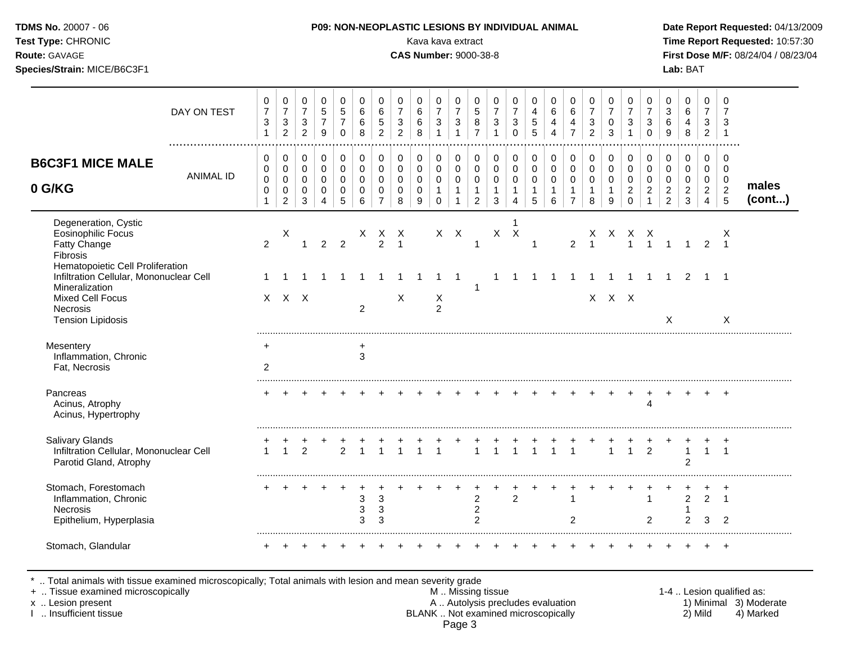| Test Type: CHRONIC<br><b>Route: GAVAGE</b><br>Species/Strain: MICE/B6C3F1                                                           |                  |                                                                            |                                                                            |                                                                    |                                                                      |                                                |                                                |                                                                          |                                                                    | Kava kava extract<br><b>CAS Number: 9000-38-8</b> |                                                    |                                                                            |                                                                           |                                                                         |                                                       |                                                    |                                                           |                                                                   |                                                                              |                                                      |                                                                  |                                                                           |                                                                             | Lab: BAT                                                              |                                                                     |                                                              | Time Report Requested: 10:57:30<br>First Dose M/F: 08/24/04 / 08/23/04 |
|-------------------------------------------------------------------------------------------------------------------------------------|------------------|----------------------------------------------------------------------------|----------------------------------------------------------------------------|--------------------------------------------------------------------|----------------------------------------------------------------------|------------------------------------------------|------------------------------------------------|--------------------------------------------------------------------------|--------------------------------------------------------------------|---------------------------------------------------|----------------------------------------------------|----------------------------------------------------------------------------|---------------------------------------------------------------------------|-------------------------------------------------------------------------|-------------------------------------------------------|----------------------------------------------------|-----------------------------------------------------------|-------------------------------------------------------------------|------------------------------------------------------------------------------|------------------------------------------------------|------------------------------------------------------------------|---------------------------------------------------------------------------|-----------------------------------------------------------------------------|-----------------------------------------------------------------------|---------------------------------------------------------------------|--------------------------------------------------------------|------------------------------------------------------------------------|
|                                                                                                                                     | DAY ON TEST      | $\mathbf 0$<br>$\overline{7}$<br>$\ensuremath{\mathsf{3}}$<br>$\mathbf{1}$ | $\pmb{0}$<br>$\overline{7}$<br>$\ensuremath{\mathsf{3}}$<br>$\overline{2}$ | 0<br>$\overline{7}$<br>$\ensuremath{\mathsf{3}}$<br>$\overline{2}$ | 0<br>$\overline{5}$<br>$\overline{7}$<br>$\boldsymbol{9}$            | 0<br>$\sqrt{5}$<br>$\overline{7}$<br>$\pmb{0}$ | $\mathbf 0$<br>$\,6$<br>$\,6\,$<br>8           | 0<br>$\,6$<br>5<br>$\overline{2}$                                        | 0<br>$\overline{7}$<br>$\ensuremath{\mathsf{3}}$<br>$\overline{2}$ | 0<br>6<br>6<br>8                                  | 0<br>$\overline{7}$<br>$\sqrt{3}$<br>$\mathbf{1}$  | $\mathbf 0$<br>$\overline{7}$<br>$\ensuremath{\mathsf{3}}$<br>$\mathbf{1}$ | 0<br>$\sqrt{5}$<br>$\bf 8$<br>$\overline{7}$                              | $\mathbf 0$<br>$\overline{7}$<br>$\sqrt{3}$<br>$\mathbf{1}$             | 0<br>$\overline{7}$<br>$\mathbf{3}$<br>$\mathbf 0$    | 0<br>4<br>$\overline{5}$<br>5                      | 0<br>$\,6\,$<br>$\overline{\mathbf{4}}$<br>$\overline{4}$ | 0<br>$\,6\,$<br>4<br>$\overline{7}$                               | $\mathbf 0$<br>$\overline{7}$<br>$\ensuremath{\mathsf{3}}$<br>$\overline{2}$ | 0<br>$\overline{7}$<br>$\mathbf 0$<br>$\mathbf{3}$   | 0<br>$\overline{7}$<br>$\ensuremath{\mathsf{3}}$<br>$\mathbf{1}$ | $\mathbf 0$<br>$\overline{7}$<br>$\mathbf{3}$<br>$\pmb{0}$                | 0<br>$\sqrt{3}$<br>$\,6\,$<br>$\boldsymbol{9}$                              | 0<br>$\,6\,$<br>4<br>$\bf 8$                                          | $\mathbf 0$<br>$\boldsymbol{7}$<br>$\sqrt{3}$<br>$\overline{2}$     | $\mathbf 0$<br>$\overline{7}$<br>3<br>$\overline{1}$         |                                                                        |
| <b>B6C3F1 MICE MALE</b><br>0 G/KG                                                                                                   | <b>ANIMAL ID</b> | 0<br>$\pmb{0}$<br>$\pmb{0}$<br>$\mathbf 0$<br>$\mathbf{1}$                 | 0<br>$\pmb{0}$<br>$\mathbf 0$<br>$\mathbf 0$<br>$\overline{2}$             | 0<br>$\mathbf 0$<br>$\mathbf 0$<br>0<br>3                          | $\pmb{0}$<br>$\pmb{0}$<br>$\pmb{0}$<br>$\mathbf 0$<br>$\overline{4}$ | $\pmb{0}$<br>0<br>0<br>$\mathbf 0$<br>5        | 0<br>$\pmb{0}$<br>$\Omega$<br>$\mathbf 0$<br>6 | 0<br>$\mathsf{O}\xspace$<br>$\mathbf 0$<br>$\mathbf 0$<br>$\overline{7}$ | 0<br>$\mathbf 0$<br>0<br>$\mathbf 0$<br>8                          | 0<br>0<br>0<br>$\mathbf 0$<br>9                   | $\pmb{0}$<br>0<br>0<br>$\mathbf{1}$<br>$\mathbf 0$ | 0<br>$\pmb{0}$<br>$\mathsf 0$<br>$\mathbf{1}$<br>$\mathbf{1}$              | 0<br>$\mathsf{O}\xspace$<br>$\mathbf 0$<br>$\mathbf{1}$<br>$\overline{c}$ | 0<br>$\pmb{0}$<br>$\mathsf{O}\xspace$<br>$\overline{1}$<br>$\mathbf{3}$ | 0<br>$\pmb{0}$<br>0<br>$\mathbf{1}$<br>$\overline{4}$ | 0<br>$\mathsf 0$<br>$\pmb{0}$<br>$\mathbf{1}$<br>5 | $\pmb{0}$<br>$\pmb{0}$<br>$\pmb{0}$<br>$\mathbf{1}$<br>6  | 0<br>$\mathbf 0$<br>$\mathbf 0$<br>$\mathbf{1}$<br>$\overline{7}$ | 0<br>$\mathbf 0$<br>$\mathsf{O}\xspace$<br>$\mathbf{1}$<br>8                 | 0<br>$\mathbf 0$<br>$\mathbf 0$<br>$\mathbf{1}$<br>9 | 0<br>$\pmb{0}$<br>$\mathsf 0$<br>$\sqrt{2}$<br>$\mathbf 0$       | 0<br>$\mathsf{O}\xspace$<br>$\mathbf 0$<br>$\overline{2}$<br>$\mathbf{1}$ | $\pmb{0}$<br>$\mathbf 0$<br>$\mathbf 0$<br>$\overline{a}$<br>$\overline{2}$ | $\pmb{0}$<br>$\mathsf 0$<br>$\mathsf 0$<br>$\sqrt{2}$<br>$\mathbf{3}$ | 0<br>$\mathbf 0$<br>$\mathbf 0$<br>$\overline{a}$<br>$\overline{4}$ | $\mathbf 0$<br>$\mathbf 0$<br>$\mathbf 0$<br>$\sqrt{2}$<br>5 | males<br>(cont)                                                        |
| Degeneration, Cystic<br>Eosinophilic Focus<br>Fatty Change<br>Fibrosis<br>Hematopoietic Cell Proliferation                          |                  | $\overline{2}$                                                             | X                                                                          | $\overline{1}$                                                     | $\overline{2}$                                                       | $\overline{2}$                                 |                                                | $\begin{matrix} \times & \times & \times \\ & 2 & 1 \end{matrix}$        |                                                                    |                                                   |                                                    | $X$ $X$                                                                    | $\overline{1}$                                                            | $\mathsf{X}$                                                            | $\mathbf{1}$<br>$\mathsf{X}$                          | 1                                                  |                                                           | $\overline{2}$                                                    |                                                                              | X X X X                                              | $\overline{1}$                                                   | $\overline{1}$                                                            |                                                                             |                                                                       | $\overline{2}$                                                      | X<br>$\overline{1}$                                          |                                                                        |
| Infiltration Cellular, Mononuclear Cell<br>Mineralization<br><b>Mixed Cell Focus</b><br><b>Necrosis</b><br><b>Tension Lipidosis</b> |                  | 1                                                                          | $X$ $X$ $X$                                                                |                                                                    |                                                                      |                                                | $\overline{2}$                                 |                                                                          | X                                                                  |                                                   | 1<br>X<br>$\overline{2}$                           | $\overline{1}$                                                             | -1                                                                        | 1                                                                       | -1                                                    |                                                    | $\overline{1}$                                            | $\mathbf{1}$                                                      | $\overline{1}$                                                               | -1<br>X X X                                          | $\overline{1}$                                                   | $\overline{1}$                                                            | $\overline{1}$<br>X                                                         | $\overline{2}$                                                        | $1 \quad 1$                                                         | X                                                            |                                                                        |
| Mesentery<br>Inflammation, Chronic<br>Fat, Necrosis                                                                                 |                  | ÷<br>$\overline{c}$                                                        |                                                                            |                                                                    |                                                                      |                                                | $\mathfrak{Z}$                                 |                                                                          |                                                                    |                                                   |                                                    |                                                                            |                                                                           |                                                                         |                                                       |                                                    |                                                           |                                                                   |                                                                              |                                                      |                                                                  |                                                                           |                                                                             |                                                                       |                                                                     |                                                              |                                                                        |
| Pancreas<br>Acinus, Atrophy<br>Acinus, Hypertrophy                                                                                  |                  |                                                                            |                                                                            |                                                                    |                                                                      |                                                |                                                |                                                                          |                                                                    |                                                   |                                                    |                                                                            |                                                                           |                                                                         |                                                       |                                                    |                                                           |                                                                   |                                                                              |                                                      |                                                                  | $\pm$<br>4                                                                | $\pm$                                                                       |                                                                       |                                                                     |                                                              |                                                                        |
| <b>Salivary Glands</b><br>Infiltration Cellular, Mononuclear Cell<br>Parotid Gland, Atrophy                                         |                  | $\mathbf{1}$                                                               | $\mathbf{1}$                                                               | $\overline{2}$                                                     |                                                                      | $\overline{2}$                                 | $\overline{\mathbf{1}}$                        | $\mathbf{1}$                                                             |                                                                    |                                                   | $\overline{1}$                                     |                                                                            | $\mathbf{1}$                                                              | $\mathbf{1}$                                                            | $\mathbf{1}$                                          |                                                    | $\overline{1}$                                            | $\mathbf{1}$                                                      |                                                                              | $\mathbf{1}$                                         | $\overline{1}$                                                   | 2                                                                         |                                                                             | $\mathbf{1}$<br>$\overline{2}$                                        | $1 \quad 1$                                                         |                                                              |                                                                        |
| Stomach, Forestomach<br>Inflammation, Chronic<br><b>Necrosis</b><br>Epithelium, Hyperplasia                                         |                  |                                                                            | $\pm$                                                                      |                                                                    |                                                                      | $\ddot{}$                                      | 3<br>3<br>3                                    | 3<br>3<br>3                                                              |                                                                    |                                                   |                                                    |                                                                            | $\ddot{}$<br>$\overline{c}$<br>$\overline{c}$<br>$\overline{c}$           |                                                                         | +<br>$\overline{2}$                                   |                                                    |                                                           | $\mathbf{1}$<br>$\overline{c}$                                    |                                                                              | +                                                    |                                                                  | +<br>1<br>2                                                               | +                                                                           | $\ddot{}$<br>$\overline{2}$<br>$\mathbf 1$<br>$\overline{c}$          | $\pm$<br>$\overline{2}$<br>3                                        | $^{+}$<br>$\overline{1}$<br>$\overline{2}$                   |                                                                        |
| Stomach, Glandular                                                                                                                  |                  |                                                                            |                                                                            |                                                                    |                                                                      |                                                |                                                |                                                                          |                                                                    |                                                   |                                                    |                                                                            |                                                                           |                                                                         |                                                       |                                                    |                                                           |                                                                   |                                                                              |                                                      |                                                                  |                                                                           |                                                                             |                                                                       |                                                                     | $\overline{+}$                                               |                                                                        |

\* .. Total animals with tissue examined microscopically; Total animals with lesion and mean severity grade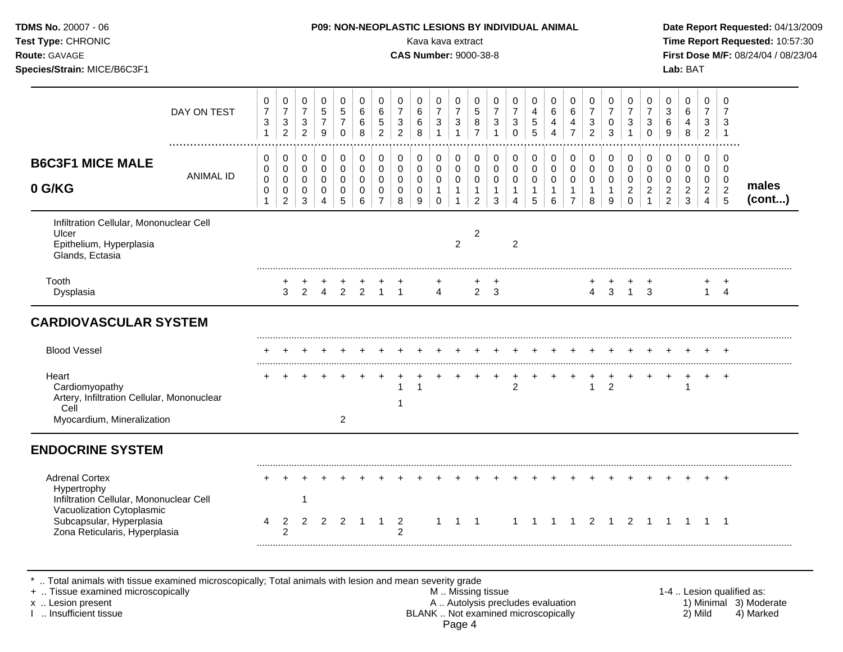| TDMS No. 20007 - 06<br>Test Type: CHRONIC<br>Route: GAVAGE<br>Species/Strain: MICE/B6C3F1                    |                                                             |                                                                         |                                                                          |                                              |                                                             |                                                         |                                                                                    |                                                                            | P09: NON-NEOPLASTIC LESIONS BY INDIVIDUAL ANIMAL<br>Kava kava extract<br><b>CAS Number: 9000-38-8</b> |                                                                     |                                                                 |                                                                           |                                                                            |                                                                           |                                                      |                                                                             |                                                                   |                                                                              |                                                          |                                                                                    |                                                                                     |                                                                           | Lab: BAT                                                    |                                                                     |                                                               | Date Report Requested: 04/13/2009<br>Time Report Requested: 10:57:30<br>First Dose M/F: 08/24/04 / 08/23/04 |
|--------------------------------------------------------------------------------------------------------------|-------------------------------------------------------------|-------------------------------------------------------------------------|--------------------------------------------------------------------------|----------------------------------------------|-------------------------------------------------------------|---------------------------------------------------------|------------------------------------------------------------------------------------|----------------------------------------------------------------------------|-------------------------------------------------------------------------------------------------------|---------------------------------------------------------------------|-----------------------------------------------------------------|---------------------------------------------------------------------------|----------------------------------------------------------------------------|---------------------------------------------------------------------------|------------------------------------------------------|-----------------------------------------------------------------------------|-------------------------------------------------------------------|------------------------------------------------------------------------------|----------------------------------------------------------|------------------------------------------------------------------------------------|-------------------------------------------------------------------------------------|---------------------------------------------------------------------------|-------------------------------------------------------------|---------------------------------------------------------------------|---------------------------------------------------------------|-------------------------------------------------------------------------------------------------------------|
| DAY ON TEST                                                                                                  | $\pmb{0}$<br>$\overline{7}$<br>3<br>$\mathbf{1}$            | $\pmb{0}$<br>$\overline{7}$<br>$\mathbf{3}$<br>$\overline{2}$           | $\pmb{0}$<br>$\overline{7}$<br>$\mathbf{3}$<br>$\overline{2}$            | 0<br>$\overline{5}$<br>$\boldsymbol{7}$<br>9 | $\pmb{0}$<br>5<br>$\overline{7}$<br>$\Omega$                | $\pmb{0}$<br>6<br>6<br>8                                | $\pmb{0}$<br>$\,6\,$<br>$\sqrt{5}$<br>$\overline{2}$                               | $\pmb{0}$<br>$\overline{7}$<br>$\ensuremath{\mathsf{3}}$<br>$\overline{2}$ | $\pmb{0}$<br>$\,6\,$<br>$\,6\,$<br>8                                                                  | $\mathbf 0$<br>$\overline{7}$<br>$\mathbf{3}$<br>$\overline{1}$     | $\pmb{0}$<br>$\overline{7}$<br>$\mathbf{3}$<br>$\mathbf{1}$     | $\pmb{0}$<br>$\sqrt{5}$<br>8<br>$\overline{7}$                            | $\mathbf 0$<br>$\overline{7}$<br>$\ensuremath{\mathsf{3}}$<br>$\mathbf{1}$ | $\pmb{0}$<br>$\overline{7}$<br>$\mathbf{3}$<br>$\Omega$                   | 0<br>$\overline{4}$<br>5<br>5                        | $\mathbf 0$<br>$\,6\,$<br>$\overline{4}$<br>$\overline{4}$                  | $\pmb{0}$<br>$\,6\,$<br>$\overline{4}$<br>$\overline{7}$          | $\mathbf 0$<br>$\overline{7}$<br>$\ensuremath{\mathsf{3}}$<br>$\overline{2}$ | $\pmb{0}$<br>$\overline{7}$<br>$\pmb{0}$<br>$\mathbf{3}$ | $\pmb{0}$<br>$\boldsymbol{7}$<br>$\ensuremath{\mathsf{3}}$<br>$\mathbf{1}$         | $\pmb{0}$<br>$\overline{7}$<br>$\sqrt{3}$<br>$\mathbf 0$                            | $\mathbf 0$<br>$\sqrt{3}$<br>$\,6\,$<br>$9\,$                             | $\mathbf 0$<br>$6\phantom{1}$<br>$\overline{4}$<br>8        | $\mathbf 0$<br>$\overline{7}$<br>$\mathbf{3}$<br>$\overline{2}$     | $\mathbf 0$<br>$\overline{7}$<br>3<br>$\overline{1}$          |                                                                                                             |
| <b>B6C3F1 MICE MALE</b><br><b>ANIMAL ID</b><br>0 G/KG                                                        | $\mathbf 0$<br>$\mathbf 0$<br>$\mathbf 0$<br>$\pmb{0}$<br>1 | $\pmb{0}$<br>$\mathsf{O}$<br>$\mathsf 0$<br>$\pmb{0}$<br>$\overline{2}$ | $\mathbf 0$<br>$\mathbf 0$<br>$\mathbf 0$<br>$\mathbf 0$<br>$\mathbf{3}$ | 0<br>$\mathbf 0$<br>$\mathbf 0$<br>0<br>4    | $\pmb{0}$<br>$\mathbf 0$<br>$\mathsf 0$<br>$\mathbf 0$<br>5 | $\pmb{0}$<br>$\pmb{0}$<br>$\mathbf 0$<br>$\pmb{0}$<br>6 | $\mathsf{O}\xspace$<br>$\mathbf 0$<br>$\mathbf 0$<br>$\mathbf 0$<br>$\overline{7}$ | $\pmb{0}$<br>$\Omega$<br>$\mathbf 0$<br>$\mathbf 0$<br>8                   | $\pmb{0}$<br>$\mathbf 0$<br>$\mathbf 0$<br>$\mathbf 0$<br>9                                           | $\pmb{0}$<br>$\mathbf 0$<br>$\mathbf 0$<br>$\mathbf{1}$<br>$\Omega$ | 0<br>$\mathbf 0$<br>$\mathbf 0$<br>$\mathbf{1}$<br>$\mathbf{1}$ | $\pmb{0}$<br>$\mathbf 0$<br>$\mathbf 0$<br>$\mathbf{1}$<br>$\overline{2}$ | $\mathbf 0$<br>$\mathbf 0$<br>$\mathbf 0$<br>$\mathbf{1}$<br>3             | $\pmb{0}$<br>$\mathbf 0$<br>$\mathbf 0$<br>$\mathbf{1}$<br>$\overline{4}$ | 0<br>$\mathbf 0$<br>$\mathsf 0$<br>$\mathbf{1}$<br>5 | $\boldsymbol{0}$<br>$\mathsf{O}\xspace$<br>$\mathbf 0$<br>$\mathbf{1}$<br>6 | 0<br>$\mathbf 0$<br>$\mathbf 0$<br>$\mathbf{1}$<br>$\overline{7}$ | $\pmb{0}$<br>$\mathbf 0$<br>$\mathsf 0$<br>$\mathbf{1}$<br>8                 | $\pmb{0}$<br>$\pmb{0}$<br>$\pmb{0}$<br>$\mathbf{1}$<br>9 | $\mathsf{O}\xspace$<br>$\mathbf 0$<br>$\mathbf 0$<br>$\overline{2}$<br>$\mathbf 0$ | $\pmb{0}$<br>$\mathsf{O}\xspace$<br>$\mathbf 0$<br>$\overline{c}$<br>$\overline{1}$ | $\mathbf 0$<br>$\mathbf 0$<br>$\mathbf 0$<br>$\sqrt{2}$<br>$\overline{2}$ | $\pmb{0}$<br>$\Omega$<br>$\mathbf 0$<br>$\overline{2}$<br>3 | 0<br>$\mathbf 0$<br>$\mathbf 0$<br>$\overline{2}$<br>$\overline{4}$ | $\mathbf 0$<br>$\Omega$<br>$\mathbf 0$<br>$\overline{2}$<br>5 | males<br>(cont)                                                                                             |
| Infiltration Cellular, Mononuclear Cell<br>Ulcer<br>Epithelium, Hyperplasia<br>Glands, Ectasia               |                                                             |                                                                         |                                                                          |                                              |                                                             |                                                         |                                                                                    |                                                                            |                                                                                                       |                                                                     | $\overline{2}$                                                  | $\overline{c}$                                                            |                                                                            | $\overline{c}$                                                            |                                                      |                                                                             |                                                                   |                                                                              |                                                          |                                                                                    |                                                                                     |                                                                           |                                                             |                                                                     |                                                               |                                                                                                             |
| Tooth<br>Dysplasia                                                                                           |                                                             | $^+$<br>$\mathcal{S}$                                                   | $\overline{2}$                                                           | $^+$                                         | 4 2 2 1 1                                                   |                                                         |                                                                                    |                                                                            |                                                                                                       | $\overline{4}$                                                      |                                                                 | $2 \quad 3$                                                               |                                                                            |                                                                           |                                                      |                                                                             |                                                                   | $\overline{4}$                                                               |                                                          | $3 \quad 1 \quad 3$                                                                |                                                                                     |                                                                           |                                                             |                                                                     | $\ddot{}$<br>$1 \quad 4$                                      |                                                                                                             |
| <b>CARDIOVASCULAR SYSTEM</b>                                                                                 |                                                             |                                                                         |                                                                          |                                              |                                                             |                                                         |                                                                                    |                                                                            |                                                                                                       |                                                                     |                                                                 |                                                                           |                                                                            |                                                                           |                                                      |                                                                             |                                                                   |                                                                              |                                                          |                                                                                    |                                                                                     |                                                                           |                                                             |                                                                     |                                                               |                                                                                                             |
| <b>Blood Vessel</b>                                                                                          |                                                             |                                                                         |                                                                          |                                              |                                                             |                                                         |                                                                                    |                                                                            |                                                                                                       |                                                                     |                                                                 |                                                                           |                                                                            |                                                                           |                                                      |                                                                             |                                                                   |                                                                              |                                                          |                                                                                    |                                                                                     |                                                                           |                                                             |                                                                     |                                                               |                                                                                                             |
| Heart<br>Cardiomyopathy<br>Artery, Infiltration Cellular, Mononuclear<br>Cell                                |                                                             |                                                                         |                                                                          |                                              |                                                             |                                                         |                                                                                    | 1<br>-1                                                                    | 1                                                                                                     |                                                                     |                                                                 |                                                                           |                                                                            | $\overline{a}$                                                            |                                                      |                                                                             |                                                                   | $\mathbf{1}$                                                                 | $\overline{2}$                                           |                                                                                    |                                                                                     |                                                                           | $\overline{1}$                                              | $\ddot{}$                                                           | $+$                                                           |                                                                                                             |
| Myocardium, Mineralization                                                                                   |                                                             |                                                                         |                                                                          |                                              | $\overline{2}$                                              |                                                         |                                                                                    |                                                                            |                                                                                                       |                                                                     |                                                                 |                                                                           |                                                                            |                                                                           |                                                      |                                                                             |                                                                   |                                                                              |                                                          |                                                                                    |                                                                                     |                                                                           |                                                             |                                                                     |                                                               |                                                                                                             |
| <b>ENDOCRINE SYSTEM</b>                                                                                      |                                                             |                                                                         |                                                                          |                                              |                                                             |                                                         |                                                                                    |                                                                            |                                                                                                       |                                                                     |                                                                 |                                                                           |                                                                            |                                                                           |                                                      |                                                                             |                                                                   |                                                                              |                                                          |                                                                                    |                                                                                     |                                                                           |                                                             |                                                                     |                                                               |                                                                                                             |
| <b>Adrenal Cortex</b><br>Hypertrophy<br>Infiltration Cellular, Mononuclear Cell<br>Vacuolization Cytoplasmic |                                                             |                                                                         | -1                                                                       |                                              |                                                             |                                                         |                                                                                    |                                                                            |                                                                                                       |                                                                     |                                                                 |                                                                           |                                                                            |                                                                           |                                                      |                                                                             |                                                                   |                                                                              |                                                          |                                                                                    |                                                                                     |                                                                           |                                                             |                                                                     |                                                               |                                                                                                             |
| Subcapsular, Hyperplasia<br>Zona Reticularis, Hyperplasia                                                    | 4                                                           | $\overline{2}$<br>$\overline{2}$                                        | $\overline{2}$                                                           | $\overline{2}$                               | 2                                                           | $\overline{\phantom{1}}$                                | $\mathbf{1}$                                                                       | $\overline{2}$<br>$\mathfrak{p}$                                           |                                                                                                       | $\mathbf{1}$                                                        | $1\quad1$                                                       |                                                                           |                                                                            |                                                                           |                                                      | 1 1 1 1 2 1 2 1 1 1 1 1                                                     |                                                                   |                                                                              |                                                          |                                                                                    |                                                                                     |                                                                           |                                                             |                                                                     |                                                               |                                                                                                             |

\* .. Total animals with tissue examined microscopically; Total animals with lesion and mean severity grade<br>+ .. Tissue examined microscopically

+ .. Tissue examined microscopically M.. Missing tissue M.. Missing tissue 1-4 .. Lesion qualified as:<br>
This insufficient tissue 1-4 .. Lesion present A .. Autolysis precludes evaluation A .. Autolysis precludes evaluatio x .. Lesion present **A .. Autolysis precludes evaluation** A .. Autolysis precludes evaluation 1) Minimal 3) Moderate I .. Insufficient tissue BLANK .. Not examined microscopically 2) Mild 4) Marked Page 4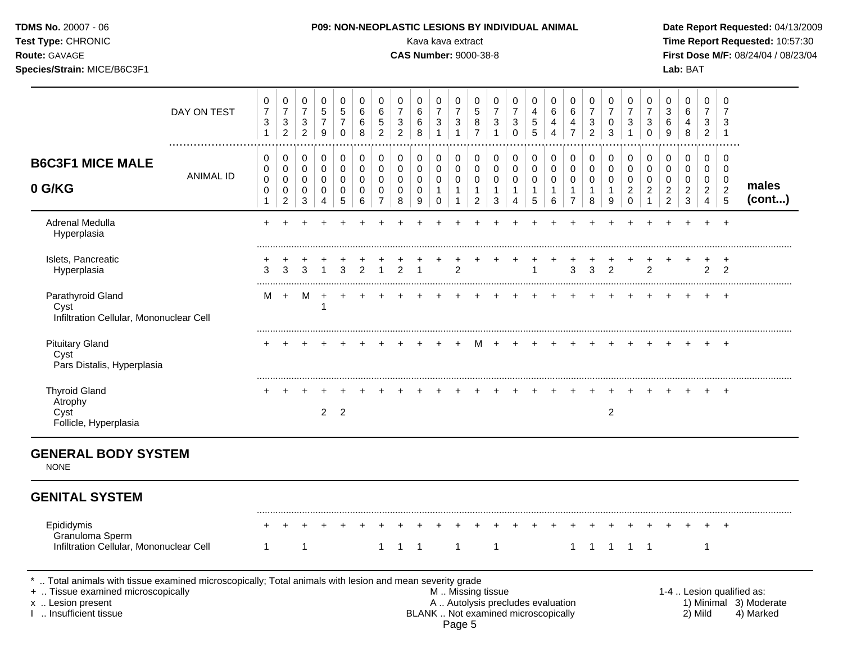| Test Type: CHRONIC<br>Route: GAVAGE<br>Species/Strain: MICE/B6C3F1       |                  |                                                               |                                                                            |                                                       |                                            |                                                         |                       |                                                         |                                                               |                                     | Kava kava extract<br><b>CAS Number: 9000-38-8</b>           |                                                     |                                               |                                                             |                                                                         |                                                |                                               |                                                                     |                                                                              |                                                 |                                                     |                                                          |                                            | Lab: BAT                                  |                                                      |                                                              | Time Report Requested: 10:57:30<br>First Dose M/F: 08/24/04 / 08/23/04 |
|--------------------------------------------------------------------------|------------------|---------------------------------------------------------------|----------------------------------------------------------------------------|-------------------------------------------------------|--------------------------------------------|---------------------------------------------------------|-----------------------|---------------------------------------------------------|---------------------------------------------------------------|-------------------------------------|-------------------------------------------------------------|-----------------------------------------------------|-----------------------------------------------|-------------------------------------------------------------|-------------------------------------------------------------------------|------------------------------------------------|-----------------------------------------------|---------------------------------------------------------------------|------------------------------------------------------------------------------|-------------------------------------------------|-----------------------------------------------------|----------------------------------------------------------|--------------------------------------------|-------------------------------------------|------------------------------------------------------|--------------------------------------------------------------|------------------------------------------------------------------------|
|                                                                          | DAY ON TEST      | $\pmb{0}$<br>$\overline{7}$<br>$\mathbf{3}$<br>$\overline{1}$ | $\pmb{0}$<br>$\overline{7}$<br>$\ensuremath{\mathsf{3}}$<br>$\overline{2}$ | 0<br>$\overline{7}$<br>$\mathbf{3}$<br>$\overline{2}$ | $\mathbf 0$<br>5<br>$\overline{7}$<br>9    | $\mathbf 0$<br>$\sqrt{5}$<br>$\overline{7}$<br>$\Omega$ | 0<br>6<br>6<br>8      | $\mathbf 0$<br>$\,6\,$<br>$\,$ 5 $\,$<br>$\overline{2}$ | $\mathbf 0$<br>$\overline{7}$<br>$\sqrt{3}$<br>$\overline{2}$ | $\mathbf 0$<br>$\,6\,$<br>6<br>8    | $\mathbf 0$<br>$\overline{7}$<br>$\sqrt{3}$<br>$\mathbf{1}$ | 0<br>$\overline{7}$<br>$\mathbf{3}$<br>$\mathbf{1}$ | 0<br>5<br>8<br>$\overline{7}$                 | $\pmb{0}$<br>$\overline{7}$<br>$\mathbf{3}$<br>$\mathbf{1}$ | $\pmb{0}$<br>$\overline{7}$<br>$\ensuremath{\mathsf{3}}$<br>$\mathbf 0$ | $\pmb{0}$<br>$\overline{4}$<br>$\sqrt{5}$<br>5 | $\mathbf 0$<br>$\,6\,$<br>4<br>$\overline{4}$ | $\mathbf 0$<br>$\,6\,$<br>$\overline{\mathbf{4}}$<br>$\overline{7}$ | $\mathbf 0$<br>$\overline{7}$<br>$\ensuremath{\mathsf{3}}$<br>$\overline{2}$ | 0<br>$\overline{7}$<br>$\mathbf 0$<br>3         | 0<br>$\overline{7}$<br>$\mathbf{3}$<br>$\mathbf{1}$ | $\pmb{0}$<br>$\overline{7}$<br>$\sqrt{3}$<br>$\mathbf 0$ | $\mathbf 0$<br>$\mathsf 3$<br>$\,6\,$<br>9 | $\mathbf 0$<br>6<br>4<br>8                | $\mathbf 0$<br>$\overline{7}$<br>3<br>$\overline{2}$ | $\Omega$<br>$\overline{7}$<br>$\mathbf{3}$<br>$\overline{1}$ |                                                                        |
| <b>B6C3F1 MICE MALE</b>                                                  |                  | $\mathbf 0$<br>0                                              | $\mathbf 0$<br>$\mathbf 0$                                                 | 0<br>$\mathbf 0$                                      | $\mathbf 0$<br>$\mathbf 0$                 | $\pmb{0}$<br>$\mathbf 0$                                | 0<br>0                | $\mathsf{O}\xspace$<br>$\mathsf{O}\xspace$              | $\pmb{0}$<br>$\mathbf 0$                                      | 0<br>$\Omega$                       | 0<br>$\mathbf{0}$                                           | $\pmb{0}$<br>$\mathbf 0$                            | 0<br>$\mathbf 0$                              | 0<br>$\mathbf 0$                                            | $\pmb{0}$<br>$\mathsf{O}\xspace$                                        | $\pmb{0}$<br>$\mathbf 0$                       | $\pmb{0}$<br>$\mathbf 0$                      | 0<br>$\mathbf 0$                                                    | $\pmb{0}$<br>$\mathbf 0$                                                     | $\mathbf 0$<br>$\Omega$                         | 0<br>0                                              | $\mathbf 0$<br>$\mathbf 0$                               | $\mathbf 0$<br>$\mathbf 0$                 | $\mathbf 0$<br>$\mathbf 0$                | $\mathbf 0$<br>$\mathbf 0$                           | $\mathbf 0$<br>$\mathbf 0$                                   |                                                                        |
| 0 G/KG                                                                   | <b>ANIMAL ID</b> | $\mathbf 0$<br>0<br>$\mathbf{1}$                              | 0<br>$\mathbf 0$<br>$\overline{c}$                                         | $\mathbf 0$<br>$\mathbf 0$<br>3                       | $\pmb{0}$<br>$\mathbf 0$<br>$\overline{4}$ | $\mathbf 0$<br>$\mathbf 0$<br>5                         | $\mathbf 0$<br>0<br>6 | $\mathbf 0$<br>$\mathbf 0$<br>$\overline{7}$            | $\mathbf 0$<br>$\mathsf{O}\xspace$<br>$\bf8$                  | $\mathbf 0$<br>$\mathsf 0$<br>$9\,$ | $\mathbf 0$<br>$\mathbf{1}$<br>$\mathbf 0$                  | $\mathbf 0$<br>$\mathbf{1}$<br>$\mathbf{1}$         | $\mathbf 0$<br>$\mathbf{1}$<br>$\overline{a}$ | $\pmb{0}$<br>$\mathbf{1}$<br>$\ensuremath{\mathsf{3}}$      | 0<br>$\mathbf{1}$<br>4                                                  | $\mathbf 0$<br>$\mathbf{1}$<br>$\sqrt{5}$      | 0<br>$\mathbf{1}$<br>$\,6\,$                  | $\pmb{0}$<br>$\mathbf{1}$<br>$\overline{7}$                         | $\mathbf 0$<br>$\mathbf{1}$<br>8                                             | $\mathbf 0$<br>$\mathbf{1}$<br>$\boldsymbol{9}$ | $\mathbf 0$<br>$\overline{2}$<br>$\pmb{0}$          | $\mathbf 0$<br>$\boldsymbol{2}$<br>1                     | $\mathbf 0$<br>$\sqrt{2}$<br>$\sqrt{2}$    | $\mathbf 0$<br>$\sqrt{2}$<br>$\mathbf{3}$ | 0<br>$\overline{2}$<br>$\overline{4}$                | $\mathbf 0$<br>$\overline{2}$<br>5                           | males<br>$($ cont $)$                                                  |
| Adrenal Medulla<br>Hyperplasia                                           |                  | $\ddot{}$                                                     |                                                                            |                                                       |                                            |                                                         |                       |                                                         |                                                               |                                     |                                                             |                                                     |                                               |                                                             |                                                                         |                                                |                                               |                                                                     |                                                                              |                                                 |                                                     |                                                          |                                            |                                           |                                                      | $\ddot{}$                                                    |                                                                        |
| Islets, Pancreatic<br>Hyperplasia                                        |                  | 3                                                             |                                                                            | 3                                                     |                                            | 3                                                       | $\overline{2}$        |                                                         | $\overline{2}$                                                |                                     |                                                             | $\overline{2}$                                      |                                               |                                                             |                                                                         | 1                                              |                                               | 3                                                                   | 3                                                                            | $\overline{2}$                                  |                                                     | $\overline{2}$                                           |                                            |                                           | $\overline{2}$                                       | $\pm$<br>$\overline{2}$                                      |                                                                        |
| Parathyroid Gland<br>Cyst<br>Infiltration Cellular, Mononuclear Cell     |                  | м                                                             | $+$                                                                        | M                                                     | $+$<br>$\mathbf 1$                         | $\ddot{}$                                               |                       |                                                         |                                                               |                                     |                                                             |                                                     |                                               |                                                             |                                                                         |                                                |                                               |                                                                     |                                                                              |                                                 |                                                     |                                                          |                                            |                                           |                                                      |                                                              |                                                                        |
| <b>Pituitary Gland</b><br>Cyst<br>Pars Distalis, Hyperplasia             |                  |                                                               |                                                                            |                                                       |                                            |                                                         |                       |                                                         |                                                               |                                     |                                                             |                                                     | м                                             | $+$                                                         | $+$                                                                     |                                                |                                               |                                                                     |                                                                              |                                                 |                                                     |                                                          |                                            | $\overline{+}$                            | $+$                                                  | $+$                                                          |                                                                        |
| <b>Thyroid Gland</b><br>Atrophy<br>Cyst<br>Follicle, Hyperplasia         |                  |                                                               |                                                                            |                                                       |                                            | $2 \quad 2$                                             |                       |                                                         |                                                               |                                     |                                                             |                                                     |                                               |                                                             |                                                                         |                                                |                                               |                                                                     |                                                                              | $\overline{2}$                                  |                                                     |                                                          |                                            |                                           |                                                      | $+$                                                          |                                                                        |
| <b>GENERAL BODY SYSTEM</b><br><b>NONE</b>                                |                  |                                                               |                                                                            |                                                       |                                            |                                                         |                       |                                                         |                                                               |                                     |                                                             |                                                     |                                               |                                                             |                                                                         |                                                |                                               |                                                                     |                                                                              |                                                 |                                                     |                                                          |                                            |                                           |                                                      |                                                              |                                                                        |
| <b>GENITAL SYSTEM</b>                                                    |                  |                                                               |                                                                            |                                                       |                                            |                                                         |                       |                                                         |                                                               |                                     |                                                             |                                                     |                                               |                                                             |                                                                         |                                                |                                               |                                                                     |                                                                              |                                                 |                                                     |                                                          |                                            |                                           |                                                      |                                                              |                                                                        |
| Epididymis<br>Granuloma Sperm<br>Infiltration Cellular, Mononuclear Cell |                  | $\mathbf{1}$                                                  |                                                                            | 1                                                     |                                            |                                                         |                       | $\mathbf{1}$                                            | $\overline{1}$                                                | $\overline{1}$                      |                                                             | $\mathbf{1}$                                        |                                               | $\mathbf{1}$                                                |                                                                         |                                                |                                               | $1 \quad$                                                           |                                                                              | 1 1 1 1                                         |                                                     |                                                          |                                            |                                           | $\mathbf{1}$                                         |                                                              |                                                                        |

+ .. Tissue examined microscopically and the M .. Missing tissue M .. Missing tissue M .. Missing tissue M .. Missing tissue M .. Missing tissue M .. Missing tissue 1-4 .. Lesion qualified as:<br>A .. Autolysis precludes eval

x .. Lesion present **A .. Autolysis precludes evaluation** A .. Autolysis precludes evaluation 1) Minimal 3) Moderate I .. Insufficient tissue BLANK .. Not examined microscopically 2) Mild 4) Marked

**TDMS No.** 20007 - 06 **P09: NON-NEOPLASTIC LESIONS BY INDIVIDUAL ANIMAL Date Report Requested:** 04/13/2009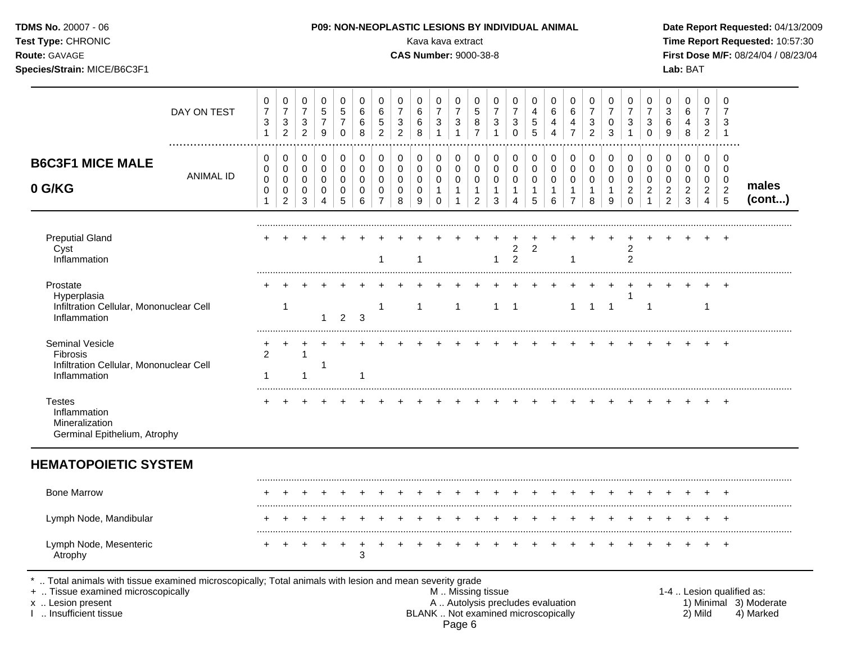| Test Type: CHRONIC<br>Route: GAVAGE<br>Species/Strain: MICE/B6C3F1                                                                                                                         |                                 |                                                     |                                                       |                                         |                            |                                           |                                            |                                                                    |                         |                         | Kava kava extract<br><b>CAS Number: 9000-38-8</b> |                                              |                                                   |                                                                          |                  |                               |                               |                                                     |                               |                              |                                      |                                                         | Lab: BAT                                                       |                                    |                                    | Time Report Requested: 10:57:30<br>First Dose M/F: 08/24/04 / 08/23/04 |
|--------------------------------------------------------------------------------------------------------------------------------------------------------------------------------------------|---------------------------------|-----------------------------------------------------|-------------------------------------------------------|-----------------------------------------|----------------------------|-------------------------------------------|--------------------------------------------|--------------------------------------------------------------------|-------------------------|-------------------------|---------------------------------------------------|----------------------------------------------|---------------------------------------------------|--------------------------------------------------------------------------|------------------|-------------------------------|-------------------------------|-----------------------------------------------------|-------------------------------|------------------------------|--------------------------------------|---------------------------------------------------------|----------------------------------------------------------------|------------------------------------|------------------------------------|------------------------------------------------------------------------|
| DAY ON TEST                                                                                                                                                                                | 0<br>$\boldsymbol{7}$<br>3<br>1 | 0<br>$\overline{7}$<br>$\sqrt{3}$<br>$\overline{c}$ | 0<br>$\boldsymbol{7}$<br>$\sqrt{3}$<br>$\overline{2}$ | 0<br>$\mathbf 5$<br>$\overline{7}$<br>9 | 0<br>5<br>7<br>$\mathbf 0$ | 0<br>6<br>6<br>8                          | 0<br>6<br>$\sqrt{5}$<br>$\overline{2}$     | 0<br>$\overline{7}$<br>$\ensuremath{\mathsf{3}}$<br>$\overline{2}$ | $\Omega$<br>6<br>6<br>8 | 0<br>7<br>3             | 0<br>$\overline{7}$<br>3                          | 0<br>5<br>8<br>$\overline{7}$                | 0<br>$\overline{7}$<br>$\sqrt{3}$<br>$\mathbf{1}$ | 0<br>7<br>3<br>$\Omega$                                                  | 0<br>4<br>5<br>5 | 0<br>6<br>4<br>$\overline{A}$ | 0<br>6<br>4<br>$\overline{7}$ | 0<br>$\overline{7}$<br>$\sqrt{3}$<br>$\overline{2}$ | 0<br>$\overline{7}$<br>0<br>3 | 0<br>7<br>3                  | 0<br>$\overline{7}$<br>3<br>$\Omega$ | 0<br>$\ensuremath{\mathsf{3}}$<br>6<br>9                | 0<br>6<br>4<br>8                                               | 0<br>7<br>3<br>$\overline{2}$      | 0<br>7<br>3<br>$\mathbf 1$         |                                                                        |
| <b>B6C3F1 MICE MALE</b><br><b>ANIMAL ID</b><br>0 G/KG                                                                                                                                      | 0<br>0<br>0<br>0<br>-1          | 0<br>0<br>0<br>0<br>$\overline{2}$                  | 0<br>0<br>0<br>0<br>3                                 | 0<br>$\,0\,$<br>0<br>0<br>Δ             | 0<br>0<br>0<br>0<br>5      | 0<br>$\mathbf 0$<br>$\mathbf 0$<br>0<br>6 | 0<br>$\pmb{0}$<br>0<br>0<br>$\overline{7}$ | 0<br>$\pmb{0}$<br>0<br>0<br>8                                      | 0<br>0<br>0<br>0<br>9   | 0<br>0<br>0<br>$\Omega$ | 0<br>$\mathbf 0$<br>0                             | 0<br>$\mathbf 0$<br>0<br>1<br>$\overline{2}$ | 0<br>$\mathbf 0$<br>0<br>$\overline{1}$<br>3      | 0<br>0<br>0                                                              | 0<br>0<br>0<br>5 | 0<br>0<br>0<br>6              | 0<br>0<br>0<br>$\overline{7}$ | 0<br>0<br>$\mathbf 0$<br>$\mathbf{1}$<br>8          | 0<br>0<br>0<br>1<br>9         | 0<br>0<br>0<br>2<br>$\Omega$ | 0<br>0<br>0<br>$\overline{c}$        | 0<br>$\pmb{0}$<br>0<br>$\overline{c}$<br>$\overline{c}$ | 0<br>$\mathbf 0$<br>0<br>$\overline{\mathbf{c}}$<br>$\sqrt{3}$ | 0<br>0<br>0<br>$\overline{2}$<br>4 | 0<br>0<br>0<br>$\overline{c}$<br>5 | males<br>(cont)                                                        |
| <b>Preputial Gland</b><br>Cyst<br>Inflammation                                                                                                                                             |                                 |                                                     |                                                       |                                         |                            |                                           | 1                                          |                                                                    | -1                      |                         |                                                   |                                              | -1                                                | 2<br>$\overline{2}$                                                      | 2                |                               |                               |                                                     |                               | 2<br>2                       |                                      |                                                         |                                                                |                                    |                                    |                                                                        |
| Prostate<br>Hyperplasia<br>Infiltration Cellular, Mononuclear Cell<br>Inflammation                                                                                                         |                                 | $\mathbf{1}$                                        |                                                       | 1                                       | $\overline{2}$             | 3                                         | 1                                          |                                                                    | $\mathbf{1}$            |                         | $\overline{1}$                                    |                                              |                                                   | $1 \quad 1$                                                              |                  |                               | $\mathbf{1}$                  | $\overline{1}$                                      | $\overline{1}$                |                              | -1                                   |                                                         |                                                                | -1                                 |                                    |                                                                        |
| Seminal Vesicle<br><b>Fibrosis</b><br>Infiltration Cellular, Mononuclear Cell<br>Inflammation                                                                                              | 2<br>1                          |                                                     |                                                       | -1                                      |                            | 1                                         |                                            |                                                                    |                         |                         |                                                   |                                              |                                                   |                                                                          |                  |                               |                               |                                                     |                               |                              |                                      |                                                         |                                                                |                                    | $\overline{ }$                     |                                                                        |
| <b>Testes</b><br>Inflammation<br>Mineralization<br>Germinal Epithelium, Atrophy                                                                                                            |                                 |                                                     |                                                       |                                         |                            |                                           |                                            |                                                                    |                         |                         |                                                   |                                              |                                                   |                                                                          |                  |                               |                               |                                                     |                               |                              |                                      |                                                         |                                                                |                                    |                                    |                                                                        |
| <b>HEMATOPOIETIC SYSTEM</b>                                                                                                                                                                |                                 |                                                     |                                                       |                                         |                            |                                           |                                            |                                                                    |                         |                         |                                                   |                                              |                                                   |                                                                          |                  |                               |                               |                                                     |                               |                              |                                      |                                                         |                                                                |                                    |                                    |                                                                        |
| <b>Bone Marrow</b>                                                                                                                                                                         |                                 |                                                     |                                                       |                                         |                            |                                           |                                            |                                                                    |                         |                         |                                                   |                                              |                                                   |                                                                          |                  |                               |                               |                                                     |                               |                              |                                      |                                                         |                                                                |                                    | $\overline{ }$                     |                                                                        |
| Lymph Node, Mandibular                                                                                                                                                                     |                                 |                                                     |                                                       |                                         |                            |                                           |                                            |                                                                    |                         |                         |                                                   |                                              |                                                   |                                                                          |                  |                               |                               |                                                     |                               |                              |                                      |                                                         |                                                                |                                    |                                    |                                                                        |
| Lymph Node, Mesenteric<br>Atrophy                                                                                                                                                          |                                 |                                                     |                                                       |                                         |                            | 3                                         |                                            |                                                                    |                         |                         |                                                   |                                              |                                                   |                                                                          |                  |                               |                               |                                                     |                               |                              |                                      |                                                         |                                                                |                                    | $+$                                |                                                                        |
| *  Total animals with tissue examined microscopically; Total animals with lesion and mean severity grade<br>+  Tissue examined microscopically<br>x  Lesion present<br>Insufficient tissue |                                 |                                                     |                                                       |                                         |                            |                                           |                                            |                                                                    |                         |                         | M  Missing tissue                                 |                                              |                                                   | A  Autolysis precludes evaluation<br>BLANK  Not examined microscopically |                  |                               |                               |                                                     |                               |                              |                                      |                                                         |                                                                | $2)$ Mild                          |                                    | 1-4  Lesion qualified as:<br>1) Minimal 3) Moderate<br>4) Marked       |

Page 6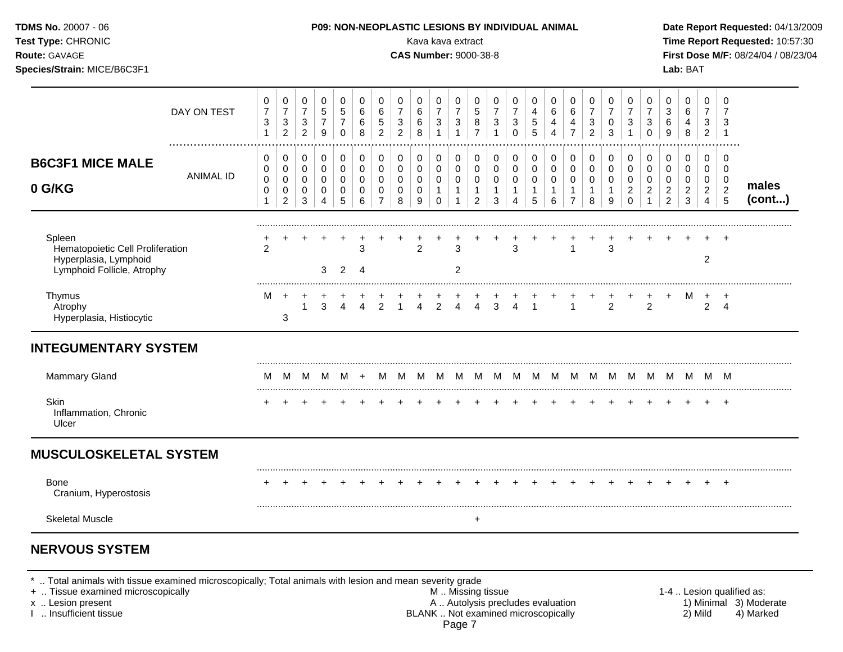| Test Type: CHRONIC<br>Route: GAVAGE<br>Species/Strain: MICE/B6C3F1                                |                  |                                            |                                                                    |                                                                    |                                                 |                                                             |                                         |                                                                |                                                     | Kava kava extract<br><b>CAS Number: 9000-38-8</b> |                                                                  |                                                                                      |                                                                                   |                                                                            |                                                                 |                                                    |                                                                 |                                                                 |                                                    |                                                      |                                                                        |                                                                           |                                                                             | Lab: BAT                                                                  |                                                                              |                                                                  | Time Report Requested: 10:57:30<br>First Dose M/F: 08/24/04 / 08/23/04 |
|---------------------------------------------------------------------------------------------------|------------------|--------------------------------------------|--------------------------------------------------------------------|--------------------------------------------------------------------|-------------------------------------------------|-------------------------------------------------------------|-----------------------------------------|----------------------------------------------------------------|-----------------------------------------------------|---------------------------------------------------|------------------------------------------------------------------|--------------------------------------------------------------------------------------|-----------------------------------------------------------------------------------|----------------------------------------------------------------------------|-----------------------------------------------------------------|----------------------------------------------------|-----------------------------------------------------------------|-----------------------------------------------------------------|----------------------------------------------------|------------------------------------------------------|------------------------------------------------------------------------|---------------------------------------------------------------------------|-----------------------------------------------------------------------------|---------------------------------------------------------------------------|------------------------------------------------------------------------------|------------------------------------------------------------------|------------------------------------------------------------------------|
|                                                                                                   | DAY ON TEST      | 0<br>$\overline{7}$<br>3<br>$\mathbf{1}$   | 0<br>$\overline{7}$<br>$\ensuremath{\mathsf{3}}$<br>$\overline{a}$ | 0<br>$\overline{7}$<br>$\ensuremath{\mathsf{3}}$<br>$\overline{2}$ | $\,0\,$<br>$\mathbf 5$<br>$\boldsymbol{7}$<br>9 | $\mathbf 0$<br>$\,$ 5 $\,$<br>$\overline{7}$<br>$\mathbf 0$ | $\pmb{0}$<br>$\,6\,$<br>$\,6$<br>8      | $\,0\,$<br>$\,6$<br>$\sqrt{5}$<br>$\overline{2}$               | 0<br>$\overline{7}$<br>$\sqrt{3}$<br>$\overline{2}$ | 0<br>6<br>6<br>8                                  | 0<br>$\overline{7}$<br>$\ensuremath{\mathsf{3}}$<br>$\mathbf{1}$ | $\begin{array}{c} 0 \\ 7 \end{array}$<br>$\ensuremath{\mathsf{3}}$<br>$\overline{1}$ | $\pmb{0}$<br>$\,$ 5 $\,$<br>$\begin{array}{c} 8 \\ 7 \end{array}$                 | $\pmb{0}$<br>$\overline{7}$<br>$\ensuremath{\mathsf{3}}$<br>$\overline{1}$ | 0<br>$\overline{7}$<br>$\ensuremath{\mathsf{3}}$<br>$\mathbf 0$ | 0<br>$\overline{\mathbf{4}}$<br>5<br>5             | $\pmb{0}$<br>$\,6$<br>$\overline{\mathbf{4}}$<br>$\overline{4}$ | $\pmb{0}$<br>$6\phantom{a}$<br>$\overline{4}$<br>$\overline{7}$ | 0<br>$\overline{7}$<br>$\frac{3}{2}$               | 0<br>$\overline{7}$<br>$\pmb{0}$<br>$\mathbf{3}$     | 0<br>$\overline{7}$<br>$\ensuremath{\mathsf{3}}$<br>$\mathbf{1}$       | 0<br>$\overline{7}$<br>3<br>$\mathbf 0$                                   | $\pmb{0}$<br>$\ensuremath{\mathsf{3}}$<br>$\,6$<br>$9\,$                    | $\mathbf 0$<br>$\,6\,$<br>4<br>8                                          | $\mathbf 0$<br>$\overline{7}$<br>$\ensuremath{\mathsf{3}}$<br>$\overline{2}$ | $\mathbf 0$<br>$\overline{7}$<br>3<br>$\overline{1}$             |                                                                        |
| <b>B6C3F1 MICE MALE</b><br>0 G/KG                                                                 | <b>ANIMAL ID</b> | 0<br>0<br>$\mathbf 0$<br>0<br>$\mathbf{1}$ | 0<br>$\boldsymbol{0}$<br>$\mathbf 0$<br>0<br>$\overline{2}$        | 0<br>0<br>0<br>0<br>3                                              | $\,0\,$<br>$\,0\,$<br>$\pmb{0}$<br>0<br>4       | $\mathbf 0$<br>0<br>0<br>0<br>5                             | 0<br>$\pmb{0}$<br>$\mathbf 0$<br>0<br>6 | 0<br>$\pmb{0}$<br>$\mathbf 0$<br>$\mathbf 0$<br>$\overline{7}$ | $\mathbf 0$<br>$\pmb{0}$<br>0<br>0<br>8             | $\mathbf 0$<br>0<br>0<br>0<br>9                   | $\pmb{0}$<br>0<br>0<br>$\mathbf{1}$<br>$\mathbf 0$               | $\pmb{0}$<br>$\mathbf 0$<br>$\mathsf{O}\xspace$<br>$\mathbf{1}$<br>$\overline{1}$    | $\pmb{0}$<br>$\mathsf{O}\xspace$<br>$\mathbf 0$<br>$\mathbf{1}$<br>$\overline{2}$ | 0<br>$\pmb{0}$<br>$\mathbf 0$<br>$\mathbf{1}$<br>3                         | $\pmb{0}$<br>$\pmb{0}$<br>0<br>$\mathbf{1}$<br>$\overline{4}$   | 0<br>$\mathbf 0$<br>$\pmb{0}$<br>$\mathbf{1}$<br>5 | $\pmb{0}$<br>$\pmb{0}$<br>$\pmb{0}$<br>$\mathbf{1}$<br>6        | 0<br>$\mathbf 0$<br>0<br>$\mathbf{1}$<br>$\overline{7}$         | 0<br>0<br>$\mathsf{O}\xspace$<br>$\mathbf{1}$<br>8 | $\mathbf 0$<br>0<br>$\mathbf 0$<br>$\mathbf{1}$<br>9 | $\,0\,$<br>$\mathbf 0$<br>$\mathbf 0$<br>$\overline{a}$<br>$\mathbf 0$ | 0<br>$\mathsf{O}\xspace$<br>$\mathbf 0$<br>$\overline{c}$<br>$\mathbf{1}$ | $\pmb{0}$<br>$\mathbf 0$<br>$\mathbf 0$<br>$\overline{2}$<br>$\overline{2}$ | $\pmb{0}$<br>$\mathbf 0$<br>$\mathsf 0$<br>$\overline{a}$<br>$\mathbf{3}$ | $\mathbf 0$<br>0<br>$\mathbf 0$<br>$\overline{2}$<br>$\overline{4}$          | $\mathbf 0$<br>$\mathbf 0$<br>$\mathbf 0$<br>$\overline{2}$<br>5 | males<br>(cont)                                                        |
| Spleen<br>Hematopoietic Cell Proliferation<br>Hyperplasia, Lymphoid<br>Lymphoid Follicle, Atrophy |                  | $\overline{2}$                             |                                                                    |                                                                    | 3                                               | $2^{\circ}$                                                 | 3<br>$\overline{4}$                     |                                                                |                                                     | $\overline{2}$                                    |                                                                  | 3<br>$\overline{c}$                                                                  |                                                                                   |                                                                            | 3                                                               |                                                    |                                                                 | $\mathbf{1}$                                                    |                                                    | 3                                                    |                                                                        |                                                                           |                                                                             |                                                                           | $\overline{2}$                                                               |                                                                  |                                                                        |
| Thymus<br>Atrophy<br>Hyperplasia, Histiocytic                                                     |                  | М                                          | $+$<br>3                                                           | $+$<br>$\mathbf{1}$                                                | $\ddot{}$<br>3                                  | $\overline{4}$                                              | $\overline{4}$                          | $\frac{+}{2}$                                                  | $\frac{+}{1}$                                       | $\frac{+}{4}$                                     |                                                                  | $\begin{array}{ccc} + & + \\ 2 & 4 \end{array}$                                      | $\frac{+}{4}$                                                                     | $\frac{+}{3}$                                                              | $\frac{+}{4}$                                                   | $\mathbf{1}$                                       |                                                                 | $\overline{1}$                                                  |                                                    | $\frac{+}{2}$                                        |                                                                        | 2                                                                         |                                                                             | M                                                                         | $+$<br>$\mathbf{2}$                                                          | $^{+}$<br>$\overline{4}$                                         |                                                                        |
| <b>INTEGUMENTARY SYSTEM</b>                                                                       |                  |                                            |                                                                    |                                                                    |                                                 |                                                             |                                         |                                                                |                                                     |                                                   |                                                                  |                                                                                      |                                                                                   |                                                                            |                                                                 |                                                    |                                                                 |                                                                 |                                                    |                                                      |                                                                        |                                                                           |                                                                             |                                                                           |                                                                              |                                                                  |                                                                        |
| Mammary Gland                                                                                     |                  | м                                          |                                                                    |                                                                    |                                                 | $M$ $M$ $M$ $+$                                             |                                         |                                                                |                                                     |                                                   |                                                                  |                                                                                      |                                                                                   |                                                                            | M M M M M M M M M M M M M M M M M M                             |                                                    |                                                                 |                                                                 |                                                    |                                                      |                                                                        |                                                                           |                                                                             |                                                                           |                                                                              |                                                                  |                                                                        |
| Skin<br>Inflammation, Chronic<br>Ulcer                                                            |                  |                                            |                                                                    |                                                                    |                                                 |                                                             |                                         |                                                                |                                                     |                                                   |                                                                  |                                                                                      |                                                                                   |                                                                            |                                                                 |                                                    |                                                                 |                                                                 |                                                    |                                                      |                                                                        | $\pm$                                                                     | $^{+}$                                                                      | $+$                                                                       |                                                                              | $+$ $+$                                                          |                                                                        |
| <b>MUSCULOSKELETAL SYSTEM</b>                                                                     |                  |                                            |                                                                    |                                                                    |                                                 |                                                             |                                         |                                                                |                                                     |                                                   |                                                                  |                                                                                      |                                                                                   |                                                                            |                                                                 |                                                    |                                                                 |                                                                 |                                                    |                                                      |                                                                        |                                                                           |                                                                             |                                                                           |                                                                              |                                                                  |                                                                        |
| <b>Bone</b><br>Cranium, Hyperostosis                                                              |                  | +                                          | $\ddot{}$                                                          | $\ddot{}$                                                          | $\ddot{}$                                       | $\ddot{}$                                                   | $\overline{+}$                          | $\overline{+}$                                                 | $\overline{+}$                                      | $\ddot{}$                                         | $+$                                                              | $^{+}$                                                                               | $+$                                                                               | $+$                                                                        | $+$                                                             | $+$                                                | $\overline{+}$                                                  | $+$                                                             | $^{+}$                                             | $^{+}$                                               |                                                                        | $^{+}$                                                                    | $^{+}$                                                                      | $+$                                                                       |                                                                              | $+$ $+$                                                          |                                                                        |
| <b>Skeletal Muscle</b>                                                                            |                  |                                            |                                                                    |                                                                    |                                                 |                                                             |                                         |                                                                |                                                     |                                                   |                                                                  |                                                                                      | $\pm$                                                                             |                                                                            |                                                                 |                                                    |                                                                 |                                                                 |                                                    |                                                      |                                                                        |                                                                           |                                                                             |                                                                           |                                                                              |                                                                  |                                                                        |

\* .. Total animals with tissue examined microscopically; Total animals with lesion and mean severity grade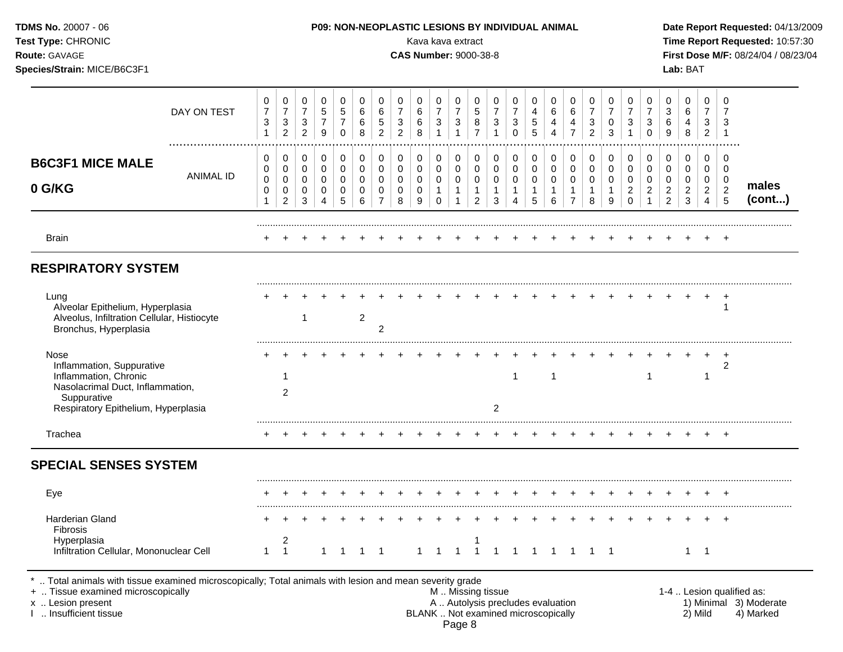| <b>TDMS No. 20007 - 06</b><br>Test Type: CHRONIC<br>Route: GAVAGE<br>Species/Strain: MICE/B6C3F1                                                     |                  |                                            |                                                                    |                                                       |                                                       |                                                   |                                      | <b>P09: NON-NEOPLASTIC LESIONS BY INDIVIDUAL ANIMAL</b> |                                                     | Kava kava extract<br><b>CAS Number: 9000-38-8</b> |                               |                                                                    |                                        |                          |                               |                  |                                            |                               |                          |                                 |                                                   |                                                  |                                         | Lab: BAT                                          |                                            |                               | Date Report Requested: 04/13/2009<br>Time Report Requested: 10:57:30<br>First Dose M/F: 08/24/04 / 08/23/04 |
|------------------------------------------------------------------------------------------------------------------------------------------------------|------------------|--------------------------------------------|--------------------------------------------------------------------|-------------------------------------------------------|-------------------------------------------------------|---------------------------------------------------|--------------------------------------|---------------------------------------------------------|-----------------------------------------------------|---------------------------------------------------|-------------------------------|--------------------------------------------------------------------|----------------------------------------|--------------------------|-------------------------------|------------------|--------------------------------------------|-------------------------------|--------------------------|---------------------------------|---------------------------------------------------|--------------------------------------------------|-----------------------------------------|---------------------------------------------------|--------------------------------------------|-------------------------------|-------------------------------------------------------------------------------------------------------------|
|                                                                                                                                                      | DAY ON TEST      | 0<br>$\boldsymbol{7}$<br>3<br>$\mathbf{1}$ | 0<br>$\overline{7}$<br>$\ensuremath{\mathsf{3}}$<br>$\overline{2}$ | 0<br>$\boldsymbol{7}$<br>$\sqrt{3}$<br>$\overline{2}$ | 0<br>$\sqrt{5}$<br>$\overline{7}$<br>$\boldsymbol{9}$ | 0<br>$\,$ 5 $\,$<br>$\overline{7}$<br>$\mathbf 0$ | 0<br>6<br>$\,6$<br>8                 | 0<br>6<br>$\,$ 5 $\,$<br>$\overline{2}$                 | 0<br>$\overline{7}$<br>$\sqrt{3}$<br>$\overline{2}$ | 0<br>6<br>6<br>8                                  | 0<br>$\overline{7}$<br>3<br>1 | 0<br>$\boldsymbol{7}$<br>$\ensuremath{\mathsf{3}}$<br>$\mathbf{1}$ | 0<br>$\sqrt{5}$<br>8<br>$\overline{7}$ | 0<br>$\overline{7}$<br>3 | 0<br>3<br>$\mathbf 0$         | 0<br>5<br>5      | 0<br>6<br>$\overline{4}$<br>$\overline{4}$ | 0<br>6<br>4<br>$\overline{7}$ | 0<br>3<br>$\overline{2}$ | 0<br>0<br>3                     | 0<br>$\overline{7}$<br>$\sqrt{3}$<br>$\mathbf{1}$ | 0<br>$\overline{7}$<br>$\sqrt{3}$<br>$\mathbf 0$ | 0<br>3<br>6<br>9                        | 0<br>6<br>$\overline{4}$<br>8                     | 0<br>$\overline{7}$<br>3<br>$\overline{2}$ | 0<br>7<br>3<br>- 1            |                                                                                                             |
| <b>B6C3F1 MICE MALE</b><br>0 G/KG                                                                                                                    | <b>ANIMAL ID</b> | 0<br>0<br>0<br>0                           | 0<br>0<br>$\mathbf 0$<br>0                                         | 0<br>0<br>$\mathbf 0$<br>0                            | 0<br>$\pmb{0}$<br>$\mathbf 0$<br>0                    | 0<br>0<br>$\mathbf 0$<br>0                        | 0<br>$\mathbf 0$<br>$\mathbf 0$<br>0 | 0<br>$\mathbf 0$<br>$\mathbf 0$<br>0                    | 0<br>0<br>$\mathbf 0$<br>0                          | 0<br>0<br>$\mathbf 0$<br>0                        | 0<br>0<br>$\mathbf 0$<br>1    | 0<br>$\pmb{0}$<br>$\mathbf 0$<br>1                                 | 0<br>0<br>$\mathbf 0$<br>1             | 0<br>0<br>0              | 0<br>$\pmb{0}$<br>$\mathbf 0$ | 0<br>0<br>0<br>1 | 0<br>0<br>$\mathbf 0$<br>1                 | 0<br>0<br>0<br>1              | 0<br>0<br>0<br>1         | 0<br>$\mathbf 0$<br>$\mathbf 0$ | 0<br>0<br>$\mathbf 0$<br>$\overline{c}$           | 0<br>0<br>$\mathbf 0$<br>$\overline{\mathbf{c}}$ | 0<br>0<br>$\mathbf 0$<br>$\overline{c}$ | 0<br>$\mathbf 0$<br>$\mathbf 0$<br>$\overline{c}$ | 0<br>0<br>0<br>$\boldsymbol{2}$            | 0<br>0<br>0<br>$\overline{c}$ | males                                                                                                       |
|                                                                                                                                                      |                  |                                            | $\overline{2}$                                                     | 3                                                     | 4                                                     | 5                                                 | 6                                    | $\overline{7}$                                          | 8                                                   | 9                                                 | 0                             | 1                                                                  | $\overline{c}$                         | 3                        |                               | 5                | 6                                          | $\overline{7}$                | 8                        | 9                               | 0                                                 |                                                  | 2                                       | 3                                                 | 4                                          | 5                             | (cont)                                                                                                      |
| <b>Brain</b><br><b>RESPIRATORY SYSTEM</b>                                                                                                            |                  |                                            |                                                                    |                                                       |                                                       |                                                   |                                      |                                                         |                                                     |                                                   |                               |                                                                    |                                        |                          |                               |                  |                                            |                               |                          |                                 |                                                   |                                                  |                                         |                                                   |                                            | $\pm$                         |                                                                                                             |
| Lung<br>Alveolar Epithelium, Hyperplasia<br>Alveolus, Infiltration Cellular, Histiocyte<br>Bronchus, Hyperplasia                                     |                  |                                            |                                                                    | 1                                                     |                                                       |                                                   | $\overline{2}$                       | 2                                                       |                                                     |                                                   |                               |                                                                    |                                        |                          |                               |                  |                                            |                               |                          |                                 |                                                   |                                                  |                                         |                                                   |                                            | $\ddot{}$<br>-1               |                                                                                                             |
| Nose<br>Inflammation, Suppurative<br>Inflammation, Chronic<br>Nasolacrimal Duct, Inflammation,<br>Suppurative<br>Respiratory Epithelium, Hyperplasia |                  |                                            | 1<br>$\overline{2}$                                                |                                                       |                                                       |                                                   |                                      |                                                         |                                                     |                                                   |                               |                                                                    |                                        | $\overline{2}$           | 1                             |                  | -1                                         |                               |                          |                                 |                                                   |                                                  |                                         |                                                   |                                            | $\overline{ }$<br>2           |                                                                                                             |
| Trachea                                                                                                                                              |                  |                                            |                                                                    |                                                       |                                                       |                                                   |                                      |                                                         |                                                     |                                                   |                               |                                                                    |                                        |                          |                               |                  |                                            |                               |                          |                                 |                                                   |                                                  |                                         |                                                   |                                            |                               |                                                                                                             |
| <b>SPECIAL SENSES SYSTEM</b>                                                                                                                         |                  |                                            |                                                                    |                                                       |                                                       |                                                   |                                      |                                                         |                                                     |                                                   |                               |                                                                    |                                        |                          |                               |                  |                                            |                               |                          |                                 |                                                   |                                                  |                                         |                                                   |                                            |                               |                                                                                                             |
| Eye                                                                                                                                                  |                  | $^+$                                       | $+$                                                                | $+$                                                   | $+$                                                   |                                                   |                                      |                                                         |                                                     |                                                   |                               |                                                                    |                                        |                          |                               |                  |                                            |                               |                          |                                 |                                                   | $+$ $-$                                          | $+$                                     |                                                   | + + +                                      |                               |                                                                                                             |
| <b>Harderian Gland</b><br>Fibrosis<br>Hyperplasia<br>Infiltration Cellular, Mononuclear Cell                                                         |                  | $\mathbf{1}$                               | $\overline{c}$<br>$\overline{1}$                                   |                                                       | $\mathbf{1}$                                          |                                                   | $1 \quad 1$                          |                                                         |                                                     |                                                   | $1 \quad 1 \quad 1$           |                                                                    | $\overline{1}$                         |                          | 1 1 1 1 1 1 1                 |                  |                                            |                               |                          |                                 |                                                   |                                                  |                                         | $1 \quad 1$                                       |                                            |                               |                                                                                                             |

I ... Insufficient tissue and the state of the BLANK ... Not examined microscopically and the state of moderation and the state of moderation of the state of the state of the state of the state of the state of the state of Page 8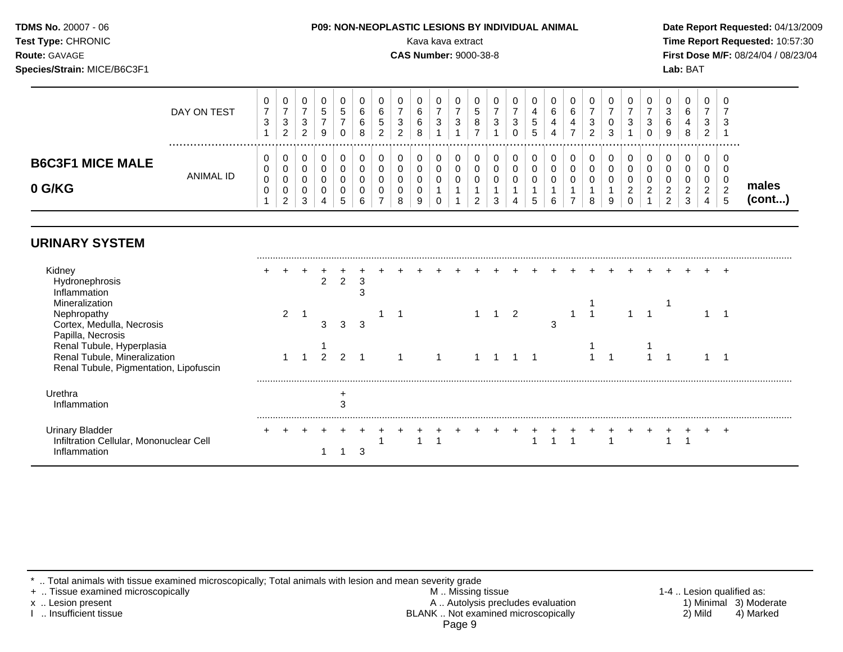| <b>TDMS No. 20007 - 06</b><br><b>Test Type: CHRONIC</b><br><b>Route: GAVAGE</b><br>Species/Strain: MICE/B6C3F1 |             |   |  | <b>P09: NON-NEOPLASTIC LESIONS BY INDIVIDUAL ANIMAL</b> |  |        |             |   |   | Kava kava extract<br><b>CAS Number: 9000-38-8</b> |        |        |                   |   |        |   |               |                  |        | Lab: BAT |    | Date Report Requested: 04/13/2009<br>Time Report Requested: 10:57:30<br>First Dose M/F: 08/24/04 / 08/23/04 |  |
|----------------------------------------------------------------------------------------------------------------|-------------|---|--|---------------------------------------------------------|--|--------|-------------|---|---|---------------------------------------------------|--------|--------|-------------------|---|--------|---|---------------|------------------|--------|----------|----|-------------------------------------------------------------------------------------------------------------|--|
|                                                                                                                | DAY ON TEST | 3 |  |                                                         |  | U<br>3 | 0<br>6<br>6 | 3 | 0 | 0<br>5<br>8                                       | 0<br>3 | U<br>3 | 4<br><sub>5</sub> | 6 | 6<br>4 | 3 | 0<br>$\Omega$ | $\mathbf 0$<br>3 | 0<br>3 |          | ્ર | ົ                                                                                                           |  |

|                                   |                  |          | $\overline{2}$          | $\overline{2}$ | 9           | $\mathbf{0}$                     | 8           | $\overline{2}$ | 2                     | 8                     |        |             |             | 0 | <sub>5</sub>                        |                  |             | ົ<br><u>_</u> | 3                |                                    | 0      | 9           | 8           | <u>_</u> |   |
|-----------------------------------|------------------|----------|-------------------------|----------------|-------------|----------------------------------|-------------|----------------|-----------------------|-----------------------|--------|-------------|-------------|---|-------------------------------------|------------------|-------------|---------------|------------------|------------------------------------|--------|-------------|-------------|----------|---|
| <b>B6C3F1 MICE MALE</b><br>0 G/KG | <b>ANIMAL ID</b> | ັບ<br>ັບ | ∼<br>ັ<br>C<br><u>_</u> | ົ<br>◡         | ັ<br>◡<br>4 | v<br>◡<br>◡<br>◡<br><sub>5</sub> | U<br>U<br>6 | v<br>v<br>◡    | ◡<br>v<br>◡<br>◡<br>8 | ◡<br>v<br>U<br>v<br>9 | ັ<br>ັ | $\sim$<br>∼ | $\sim$<br>J | ັ | 0<br>0<br>U<br>$\overline{ }$<br>'5 | 0<br>0<br>U<br>6 | u<br>u<br>u | u<br>8        | v<br>U<br>U<br>9 | ν<br>U<br>v<br>$\overline{ }$<br>v | υ<br>v | ັ<br>∼<br>∼ | ັ<br>ັ<br>ັ | ັ        | ◡ |
|                                   |                  |          |                         |                |             |                                  |             |                |                       |                       |        |             |             |   |                                     |                  |             |               |                  |                                    |        |             |             |          |   |

**males (cont...)**

# **URINARY SYSTEM**

| Kidney<br>Hydronephrosis<br>Inflammation                                          |   |   |   |   |  |  |  |   |   |  |  |  |  |  |
|-----------------------------------------------------------------------------------|---|---|---|---|--|--|--|---|---|--|--|--|--|--|
| Mineralization<br>Nephropathy                                                     | ◠ |   |   |   |  |  |  | 2 |   |  |  |  |  |  |
| Cortex, Medulla, Necrosis<br>Papilla, Necrosis                                    |   | ົ | З | 3 |  |  |  |   | З |  |  |  |  |  |
| Renal Tubule, Hyperplasia<br>Renal Tubule, Mineralization                         |   |   |   |   |  |  |  |   |   |  |  |  |  |  |
| Renal Tubule, Pigmentation, Lipofuscin                                            |   |   |   |   |  |  |  |   |   |  |  |  |  |  |
| Urethra<br>Inflammation                                                           |   |   |   |   |  |  |  |   |   |  |  |  |  |  |
| <b>Urinary Bladder</b><br>Infiltration Cellular, Mononuclear Cell<br>Inflammation |   |   |   | ◠ |  |  |  |   |   |  |  |  |  |  |

\* .. Total animals with tissue examined microscopically; Total animals with lesion and mean severity grade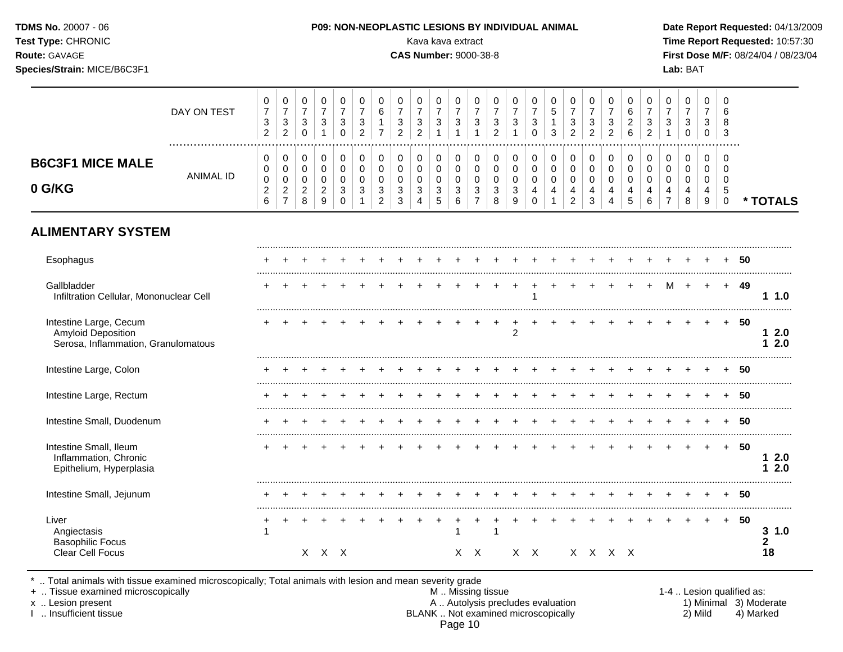| TDMS No. 20007 - 06<br>Test Type: CHRONIC<br>Route: GAVAGE<br>Species/Strain: MICE/B6C3F1 |             |             |                           |        |             |             |             |   | Kava kava extract<br><b>CAS Number: 9000-38-8</b> |             |             |             |                        | <b>P09: NON-NEOPLASTIC LESIONS BY INDIVIDUAL ANIMAL</b> |                       |        |        |        |             |                        |             |             | Lab: BAT |               | Date Report Requested: 04/13/2009<br>Time Report Requested: 10:57:30<br>First Dose M/F: 08/24/04 / 08/23/04 |
|-------------------------------------------------------------------------------------------|-------------|-------------|---------------------------|--------|-------------|-------------|-------------|---|---------------------------------------------------|-------------|-------------|-------------|------------------------|---------------------------------------------------------|-----------------------|--------|--------|--------|-------------|------------------------|-------------|-------------|----------|---------------|-------------------------------------------------------------------------------------------------------------|
|                                                                                           | DAY ON TEST | 0<br>3<br>ົ | 0<br>3<br>⌒<br>$\epsilon$ | 0<br>3 | 0<br>3      | 0<br>3<br>0 | 0<br>3<br>ົ | 3 | 3                                                 | 0<br>3      | 0<br>3      | 0<br>3      | 0<br>3<br>ົ            | 0<br>3                                                  | $\mathbf 0$<br>3<br>0 |        | 3<br>ົ | 3<br>ົ | 0<br>3<br>2 | 0<br>6<br>2<br>6       | 0<br>3<br>2 | 0<br>3      | 0<br>3   | 3<br>$\Omega$ | -3                                                                                                          |
| <b>B6C3F1 MICE MALE</b>                                                                   |             | 0<br>$\sim$ | 0                         | 0<br>⌒ | 0<br>$\sim$ | 0<br>$\sim$ | 0<br>$\sim$ |   |                                                   | 0<br>$\sim$ | 0<br>$\sim$ | 0<br>$\sim$ | $\mathbf{0}$<br>$\sim$ | 0<br>$\sim$                                             | $\mathbf 0$           | $\sim$ | $\sim$ | $\sim$ | 0<br>$\sim$ | $\mathbf{0}$<br>$\sim$ | 0           | 0<br>$\sim$ | 0        |               |                                                                                                             |

Esophagus + + + + + + + + + + + + + + + + + + + + + + + + + **50**

Gallbladder + + + + + + + + + + + + + + + + + + + + + M + + + **49**

Intestine Large, Cecum + + + + + + + + + + + + + + + + + + + + + + + + + **50**

Intestine Large, Colon + + + + + + + + + + + + + + + + + + + + + + + + + **50**

Intestine Large, Rectum + + + + + + + + + + + + + + + + + + + + + + + + + **50**

Intestine Small, Duodenum + + + + + + + + + + + + + + + + + + + + + + + + + **50**

Intestine Small, Ileum + + + + + + + + + + + + + + + + + + + + + + + + + **50**

Intestine Small, Jejunum + + + + + + + + + + + + + + + + + + + + + + + + + **50**

Liver + + + + + + + + + + + + + + + + + + + + + + + + + **50**

Infiltration Cellular, Mononuclear Cell 1 **1 1.0**

Amyloid Deposition **1 2.0**<br>
2 **1 2.0**<br>
Serosa. Inflammation. Granulomatous **1 2.0** 

Inflammation, Chronic **1 2.0**

Angiectasis **3 1.0 3 1.0** Basophilic Focus **2** Clear Cell Focus X X X X X X X X X X X **18**

Page 10

.. Total animals with tissue examined microscopically; Total animals with lesion and mean severity grade<br>Tissue examined microscopically

**ALIMENTARY SYSTEM**

**0 G/KG**

Epithelium, Hyperplasia

Serosa, Inflammation, Granulomatous

ANIMAL ID

 

**\* TOTALS**

+ .. Tissue examined microscopically examined microscopically and the state of the state of the M .. Missing tissue the M .. Missing tissue the matrix of the M .. Missing tissue the matrix of the M .. Lesion qualified as: x .. Lesion present 1) Minimal 3) Moderate<br>A .. Autolysis precludes evaluation 1 and 1) Minimal 3) Moderate<br>BLANK .. Not examined microscopically 1 and 1) Mild 4) Marked BLANK .. Not examined microscopically

.........................................................................................................................................................................................................

.........................................................................................................................................................................................................

.........................................................................................................................................................................................................

.........................................................................................................................................................................................................

.........................................................................................................................................................................................................

.........................................................................................................................................................................................................

.........................................................................................................................................................................................................

.........................................................................................................................................................................................................

.........................................................................................................................................................................................................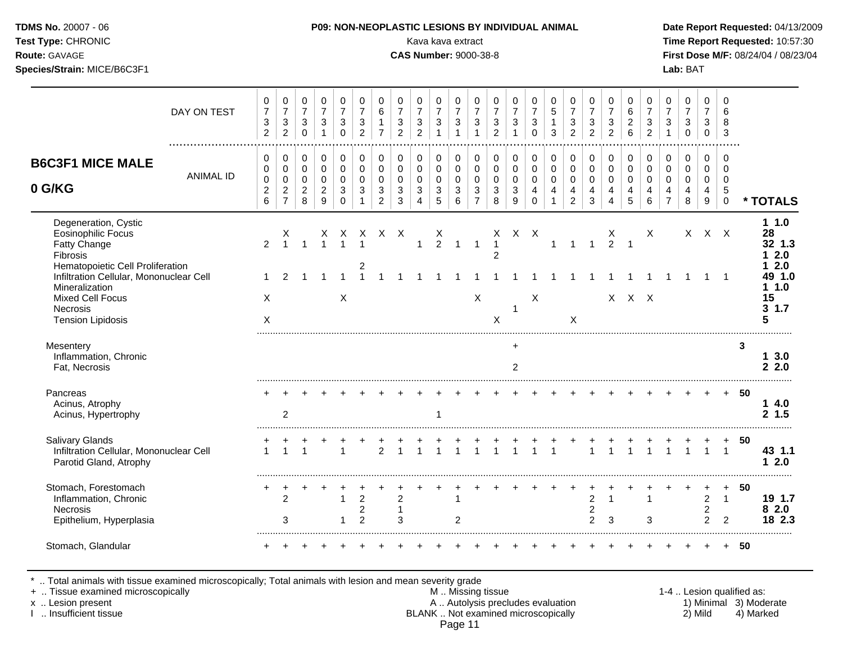| <b>DMS No.</b> 20007 - 06 |  |
|---------------------------|--|
| est Type: CHRONIC         |  |

**Test Type:** CHRONIC Kava kava extract **Time Report Requested:** 10:57:30 **Route:** GAVAGE **CAS Number:** 9000-38-8 **First Dose M/F:** 08/24/04 / 08/23/04 **Species/Strain:** MICE/B6C3F1 **Lab:** BAT

|                                                                                                                                                                         | DAY ON TEST      | 0<br>$\overline{7}$<br>$\sqrt{3}$<br>$\overline{2}$ | 0<br>$\overline{7}$<br>$\ensuremath{\mathsf{3}}$<br>$\sqrt{2}$  | 0<br>$\overline{7}$<br>$\mathbf{3}$<br>$\mathbf 0$               | 0<br>$\overline{7}$<br>3<br>$\mathbf 1$               | 0<br>$\overline{7}$<br>3<br>$\mathbf 0$           | 0<br>$\overline{7}$<br>$\mathbf{3}$<br>$\overline{2}$                | 0<br>$\,6\,$<br>$\mathbf{1}$<br>$\overline{7}$        | 0<br>$\overline{7}$<br>$\sqrt{3}$<br>$\overline{2}$ | 0<br>$\overline{7}$<br>$\mathbf{3}$<br>$\overline{2}$           | 0<br>$\overline{7}$<br>3<br>1                                            | 0<br>$\overline{7}$<br>$\mathbf{3}$<br>$\mathbf 1$   | 0<br>$\overline{7}$<br>$\mathbf{3}$                             | 0<br>$\overline{7}$<br>$\sqrt{3}$<br>$\overline{2}$ | 0<br>$\overline{7}$<br>$\mathbf{3}$                                                    | 0<br>$\overline{7}$<br>$\mathbf{3}$<br>$\Omega$                  | 0<br>$\overline{5}$<br>$\mathbf{1}$<br>3                                 | 0<br>$\overline{7}$<br>$\sqrt{3}$<br>$\overline{2}$    | 0<br>$\overline{7}$<br>3<br>$\overline{2}$         | 0<br>$\overline{7}$<br>$\mathbf{3}$<br>$\overline{2}$            | 0<br>6<br>$\sqrt{2}$<br>$6\phantom{a}$                 | 0<br>$\overline{7}$<br>$\ensuremath{\mathsf{3}}$<br>$\overline{2}$ | 0<br>$\overline{7}$<br>3                                            | 0<br>$\overline{7}$<br>$\sqrt{3}$<br>$\pmb{0}$         | 0<br>$\overline{7}$<br>3<br>$\overline{0}$          | 0<br>6<br>8<br>3                                           |    |                                          |
|-------------------------------------------------------------------------------------------------------------------------------------------------------------------------|------------------|-----------------------------------------------------|-----------------------------------------------------------------|------------------------------------------------------------------|-------------------------------------------------------|---------------------------------------------------|----------------------------------------------------------------------|-------------------------------------------------------|-----------------------------------------------------|-----------------------------------------------------------------|--------------------------------------------------------------------------|------------------------------------------------------|-----------------------------------------------------------------|-----------------------------------------------------|----------------------------------------------------------------------------------------|------------------------------------------------------------------|--------------------------------------------------------------------------|--------------------------------------------------------|----------------------------------------------------|------------------------------------------------------------------|--------------------------------------------------------|--------------------------------------------------------------------|---------------------------------------------------------------------|--------------------------------------------------------|-----------------------------------------------------|------------------------------------------------------------|----|------------------------------------------|
| <b>B6C3F1 MICE MALE</b><br>0 G/KG                                                                                                                                       | <b>ANIMAL ID</b> | 0<br>0<br>$\pmb{0}$<br>$\sqrt{2}$<br>$\,6\,$        | 0<br>$\mathbf 0$<br>$\mathbf 0$<br>$\sqrt{2}$<br>$\overline{7}$ | $\mathbf 0$<br>$\mathbf 0$<br>$\pmb{0}$<br>$\boldsymbol{2}$<br>8 | 0<br>$\mathbf 0$<br>$\Omega$<br>$\boldsymbol{2}$<br>9 | 0<br>0<br>$\Omega$<br>$\mathbf{3}$<br>$\mathbf 0$ | $\pmb{0}$<br>$\mathbf 0$<br>$\Omega$<br>$\mathbf{3}$<br>$\mathbf{1}$ | 0<br>0<br>$\mathbf 0$<br>$\sqrt{3}$<br>$\overline{c}$ | 0<br>$\mathbf 0$<br>$\mathbf 0$<br>$\mathsf 3$<br>3 | 0<br>$\mathbf 0$<br>$\mathbf 0$<br>$\sqrt{3}$<br>$\overline{4}$ | $\Omega$<br>$\mathbf 0$<br>$\mathbf 0$<br>$\ensuremath{\mathsf{3}}$<br>5 | 0<br>$\mathbf 0$<br>$\mathbf 0$<br>$\mathbf{3}$<br>6 | 0<br>$\mathbf 0$<br>$\mathbf 0$<br>$\sqrt{3}$<br>$\overline{7}$ | 0<br>$\mathbf 0$<br>$\mathbf 0$<br>$\sqrt{3}$<br>8  | $\mathbf 0$<br>$\pmb{0}$<br>$\pmb{0}$<br>$\ensuremath{\mathsf{3}}$<br>$\boldsymbol{9}$ | 0<br>$\mathbf 0$<br>$\mathbf 0$<br>$\overline{4}$<br>$\mathbf 0$ | 0<br>$\pmb{0}$<br>$\mathsf 0$<br>$\overline{\mathbf{4}}$<br>$\mathbf{1}$ | 0<br>$\mathbf 0$<br>$\mathbf 0$<br>4<br>$\overline{2}$ | 0<br>$\pmb{0}$<br>$\mathbf 0$<br>4<br>3            | $\mathbf 0$<br>$\mathbf 0$<br>$\mathbf 0$<br>$\overline{4}$<br>4 | 0<br>$\mathbf 0$<br>$\mathbf 0$<br>$\overline{4}$<br>5 | 0<br>$\mathbf 0$<br>$\Omega$<br>$\overline{4}$<br>6                | 0<br>$\mathbf 0$<br>$\mathbf 0$<br>$\overline{4}$<br>$\overline{7}$ | 0<br>$\mathbf 0$<br>$\mathbf 0$<br>$\overline{4}$<br>8 | $\mathbf 0$<br>$\mathbf 0$<br>$\mathbf 0$<br>4<br>9 | 0<br>$\mathbf 0$<br>$\mathbf 0$<br>$\sqrt{5}$<br>$\pmb{0}$ |    | * TOTALS                                 |
| Degeneration, Cystic<br>Eosinophilic Focus<br>Fatty Change<br>Fibrosis                                                                                                  |                  | $\overline{2}$                                      |                                                                 |                                                                  | X                                                     | X.                                                | $\overline{1}$                                                       | x x x                                                 |                                                     |                                                                 | Χ<br>$\overline{2}$                                                      | $\mathbf{1}$                                         | $\mathbf{1}$                                                    | X<br>$\mathbf{1}$<br>2                              |                                                                                        | $X$ $X$                                                          | $\mathbf{1}$                                                             | $\mathbf{1}$                                           | $\mathbf{1}$                                       | Х<br>$\overline{2}$                                              | 1                                                      | $\times$                                                           |                                                                     |                                                        | $X$ $X$ $X$                                         |                                                            |    | 11.0<br>28<br>32 1.3<br>12.0             |
| Hematopoietic Cell Proliferation<br>Infiltration Cellular, Mononuclear Cell<br>Mineralization<br><b>Mixed Cell Focus</b><br><b>Necrosis</b><br><b>Tension Lipidosis</b> |                  | X<br>X                                              |                                                                 |                                                                  |                                                       | $\boldsymbol{\mathsf{X}}$                         | 2                                                                    |                                                       |                                                     |                                                                 |                                                                          |                                                      | X                                                               | X                                                   | $\mathbf{1}$                                                                           | X                                                                |                                                                          | X                                                      |                                                    |                                                                  | $X$ $X$ $X$                                            |                                                                    |                                                                     |                                                        |                                                     |                                                            |    | 2.0<br>49 1.0<br>11.0<br>15<br>31.7<br>5 |
| Mesentery<br>Inflammation, Chronic<br>Fat, Necrosis                                                                                                                     |                  |                                                     |                                                                 |                                                                  |                                                       |                                                   |                                                                      |                                                       |                                                     |                                                                 |                                                                          |                                                      |                                                                 |                                                     | $+$<br>$\overline{c}$                                                                  |                                                                  |                                                                          |                                                        |                                                    |                                                                  |                                                        |                                                                    |                                                                     |                                                        |                                                     |                                                            | 3  | 13.0<br>2.2.0                            |
| Pancreas<br>Acinus, Atrophy<br>Acinus, Hypertrophy                                                                                                                      |                  |                                                     | 2                                                               |                                                                  |                                                       |                                                   |                                                                      |                                                       |                                                     |                                                                 | -1                                                                       |                                                      |                                                                 |                                                     |                                                                                        |                                                                  |                                                                          |                                                        |                                                    |                                                                  |                                                        |                                                                    |                                                                     |                                                        |                                                     | $\ddot{}$                                                  | 50 | 14.0<br>2, 1.5                           |
| <b>Salivary Glands</b><br>Infiltration Cellular, Mononuclear Cell<br>Parotid Gland, Atrophy                                                                             |                  |                                                     |                                                                 |                                                                  |                                                       |                                                   |                                                                      | $\overline{2}$                                        |                                                     |                                                                 |                                                                          | $\begin{array}{c} + \\ 1 \end{array}$                |                                                                 |                                                     |                                                                                        | $\overline{1}$                                                   |                                                                          |                                                        | $\overline{1}$                                     |                                                                  |                                                        |                                                                    |                                                                     |                                                        |                                                     | $\mathbf{1}$                                               | 50 | 43 1.1<br>12.0                           |
| Stomach, Forestomach<br>Inflammation, Chronic<br><b>Necrosis</b><br>Epithelium, Hyperplasia                                                                             |                  |                                                     | $\overline{c}$<br>3                                             |                                                                  |                                                       | 1<br>$\mathbf 1$                                  | $\overline{2}$<br>$\overline{c}$<br>$\overline{c}$                   |                                                       | $\overline{c}$<br>$\overline{1}$<br>3               |                                                                 |                                                                          | $\mathbf{1}$<br>$\overline{2}$                       |                                                                 |                                                     |                                                                                        |                                                                  |                                                                          |                                                        | $\overline{c}$<br>$\overline{c}$<br>$\overline{c}$ | $\mathbf{1}$<br>3                                                |                                                        | $\mathbf{1}$<br>$\mathbf{3}$                                       |                                                                     |                                                        | $\overline{a}$<br>$\overline{a}$<br>$\overline{2}$  | $\ddot{}$<br>$\overline{1}$<br>$\overline{2}$              | 50 | 19 1.7<br>82.0<br>18 2.3                 |
| Stomach, Glandular                                                                                                                                                      |                  |                                                     |                                                                 |                                                                  |                                                       |                                                   |                                                                      |                                                       |                                                     |                                                                 |                                                                          |                                                      |                                                                 |                                                     |                                                                                        |                                                                  |                                                                          |                                                        |                                                    |                                                                  |                                                        |                                                                    |                                                                     |                                                        |                                                     |                                                            | 50 |                                          |

\* .. Total animals with tissue examined microscopically; Total animals with lesion and mean severity grade

+ .. Tissue examined microscopically M .. Missing tissue 1-4 .. Lesion qualified as:

- x .. Lesion present **A .. Autolysis precludes evaluation** A .. Autolysis precludes evaluation 1) Minimal 3) Moderate I .. Insufficient tissue BLANK .. Not examined microscopically 2) Mild 4) Marked Page 11
-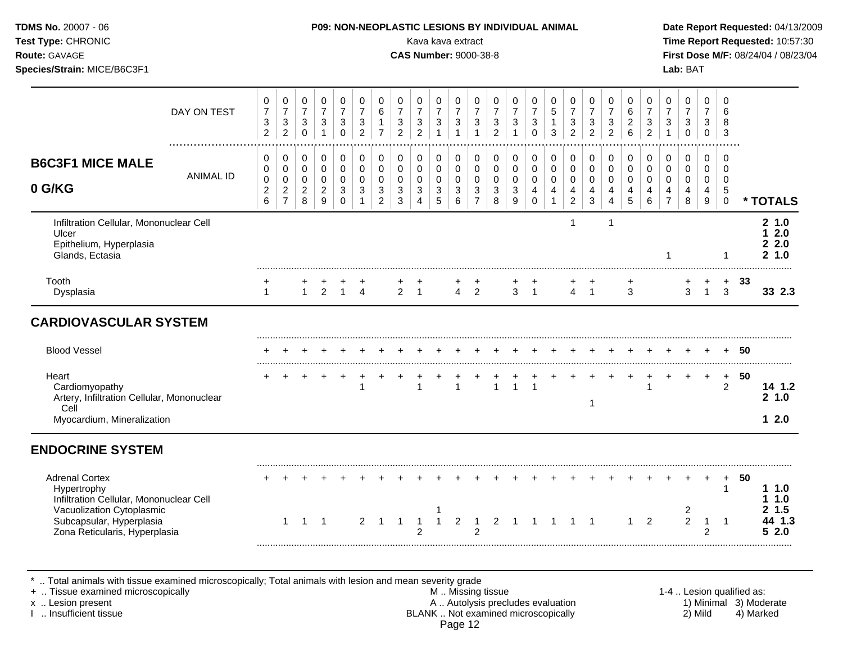| Test Type: CHRONIC<br>Route: GAVAGE<br>Species/Strain: MICE/B6C3F1                                                                                                        |                  |                                                  |                                                                   |                                                              |                                                                     |                                                            |                                                                   |                                                                              |                                                                                | Kava kava extract<br><b>CAS Number: 9000-38-8</b> |                                                                 |                                                                     |                                                                              |                                                               |                                                                     |                                                                |                                                                 |                                                                |                                                                            |                                                                    |                                                                 |                                                         |                                                                | Lab: BAT                                                     |                                                |                                                     |        | Time Report Requested: 10:57:30<br>First Dose M/F: 08/24/04 / 08/23/04 |
|---------------------------------------------------------------------------------------------------------------------------------------------------------------------------|------------------|--------------------------------------------------|-------------------------------------------------------------------|--------------------------------------------------------------|---------------------------------------------------------------------|------------------------------------------------------------|-------------------------------------------------------------------|------------------------------------------------------------------------------|--------------------------------------------------------------------------------|---------------------------------------------------|-----------------------------------------------------------------|---------------------------------------------------------------------|------------------------------------------------------------------------------|---------------------------------------------------------------|---------------------------------------------------------------------|----------------------------------------------------------------|-----------------------------------------------------------------|----------------------------------------------------------------|----------------------------------------------------------------------------|--------------------------------------------------------------------|-----------------------------------------------------------------|---------------------------------------------------------|----------------------------------------------------------------|--------------------------------------------------------------|------------------------------------------------|-----------------------------------------------------|--------|------------------------------------------------------------------------|
|                                                                                                                                                                           | DAY ON TEST      | $\,0\,$<br>$\overline{7}$<br>3<br>$\overline{2}$ | 0<br>$\overline{7}$<br>$\mathbf{3}$<br>$\overline{2}$             | 0<br>$\overline{7}$<br>$\mathbf{3}$<br>$\mathsf{O}\xspace$   | $\,0\,$<br>$\overline{7}$<br>$\sqrt{3}$<br>$\mathbf{1}$             | 0<br>$\overline{7}$<br>$\mathbf{3}$<br>$\mathsf{O}\xspace$ | 0<br>$\overline{7}$<br>$\mathbf{3}$<br>$\overline{2}$             | $\pmb{0}$<br>$\,6$<br>$\mathbf{1}$<br>$\overline{7}$                         | 0<br>$\overline{7}$<br>$\sqrt{3}$<br>$\overline{2}$                            | 0<br>$\overline{7}$<br>3<br>$\overline{2}$        | 0<br>$\overline{7}$<br>$\sqrt{3}$<br>$\mathbf{1}$               | $\pmb{0}$<br>$\overline{7}$<br>$\mathfrak{S}$<br>$\overline{1}$     | 0<br>$\overline{7}$<br>$\ensuremath{\mathsf{3}}$<br>$\overline{1}$           | $\mathbf 0$<br>$\overline{7}$<br>$\sqrt{3}$<br>$\overline{2}$ | 0<br>$\overline{7}$<br>3<br>$\mathbf{1}$                            | 0<br>$\overline{7}$<br>$\mathbf{3}$<br>$\Omega$                | $\mathbf 0$<br>5<br>$\mathbf{1}$<br>3                           | 0<br>$\overline{7}$<br>$\mathbf{3}$<br>$\overline{2}$          | $\mathbf 0$<br>$\overline{7}$<br>$\sqrt{3}$<br>2                           | 0<br>$\overline{7}$<br>$\ensuremath{\mathsf{3}}$<br>$\overline{2}$ | 0<br>$\,6\,$<br>$\overline{2}$<br>6                             | 0<br>$\overline{7}$<br>$\mathbf{3}$<br>$\overline{2}$   | $\pmb{0}$<br>$\overline{7}$<br>$\mathbf{3}$<br>$\mathbf{1}$    | 0<br>$\overline{7}$<br>$\mathfrak{S}$<br>$\mathsf{O}\xspace$ | 0<br>$\overline{7}$<br>3<br>$\mathbf 0$        | $\mathbf 0$<br>6<br>8<br>$\mathbf{3}$               |        |                                                                        |
| <b>B6C3F1 MICE MALE</b><br>0 G/KG                                                                                                                                         | <b>ANIMAL ID</b> | 0<br>0<br>$\pmb{0}$<br>$\boldsymbol{2}$<br>6     | 0<br>$\mathbf 0$<br>$\pmb{0}$<br>$\overline{c}$<br>$\overline{7}$ | 0<br>$\mathbf 0$<br>$\mathbf 0$<br>$\overline{c}$<br>$\bf 8$ | 0<br>$\mathbf 0$<br>$\pmb{0}$<br>$\overline{c}$<br>$\boldsymbol{9}$ | 0<br>$\mathbf 0$<br>$\mathbf 0$<br>3<br>$\mathbf 0$        | 0<br>$\mathbf 0$<br>$\mathbf 0$<br>$\mathbf{3}$<br>$\overline{1}$ | 0<br>$\mathbf 0$<br>$\pmb{0}$<br>$\ensuremath{\mathsf{3}}$<br>$\overline{c}$ | 0<br>$\mathbf 0$<br>$\mathsf 0$<br>$\ensuremath{\mathsf{3}}$<br>$\mathfrak{S}$ | 0<br>$\Omega$<br>$\mathbf 0$<br>3<br>4            | 0<br>$\mathbf 0$<br>$\pmb{0}$<br>$\ensuremath{\mathsf{3}}$<br>5 | 0<br>$\pmb{0}$<br>$\pmb{0}$<br>$\ensuremath{\mathsf{3}}$<br>$\,6\,$ | 0<br>$\mathbf 0$<br>$\pmb{0}$<br>$\ensuremath{\mathsf{3}}$<br>$\overline{7}$ | 0<br>$\mathbf 0$<br>$\mathbf 0$<br>$\sqrt{3}$<br>$\, 8$       | 0<br>$\mathbf 0$<br>$\mathsf 0$<br>$\mathbf{3}$<br>$\boldsymbol{9}$ | 0<br>$\mathbf 0$<br>$\pmb{0}$<br>$\overline{4}$<br>$\mathbf 0$ | 0<br>$\mathbf 0$<br>$\pmb{0}$<br>$\overline{4}$<br>$\mathbf{1}$ | 0<br>$\mathbf 0$<br>$\mathsf{O}\xspace$<br>4<br>$\overline{2}$ | 0<br>$\mathbf{0}$<br>$\mathsf{O}\xspace$<br>$\overline{4}$<br>$\mathbf{3}$ | 0<br>$\Omega$<br>$\mathsf 0$<br>$\overline{4}$<br>$\overline{4}$   | 0<br>$\mathbf 0$<br>$\mathbf 0$<br>$\overline{4}$<br>$\sqrt{5}$ | 0<br>$\mathbf 0$<br>$\mathsf{O}\xspace$<br>4<br>$\,6\,$ | $\pmb{0}$<br>$\mathbf 0$<br>$\mathbf 0$<br>4<br>$\overline{7}$ | $\pmb{0}$<br>$\mathbf 0$<br>0<br>4<br>$\bf 8$                | 0<br>$\mathbf 0$<br>0<br>4<br>$\boldsymbol{9}$ | 0<br>$\mathbf 0$<br>$\mathbf 0$<br>5<br>$\mathbf 0$ |        | * TOTALS                                                               |
| Infiltration Cellular, Mononuclear Cell<br>Ulcer<br>Epithelium, Hyperplasia<br>Glands, Ectasia                                                                            |                  |                                                  |                                                                   |                                                              |                                                                     |                                                            |                                                                   |                                                                              |                                                                                |                                                   |                                                                 |                                                                     |                                                                              |                                                               |                                                                     |                                                                |                                                                 | $\overline{1}$                                                 |                                                                            | $\mathbf{1}$                                                       |                                                                 |                                                         | 1                                                              |                                                              |                                                | $\mathbf{1}$                                        |        | 21.0<br>12.0<br>22.0<br>2, 1.0                                         |
| Tooth<br>Dysplasia                                                                                                                                                        |                  | $\mathbf{1}$                                     |                                                                   | $\mathbf{1}$                                                 | $\overline{2}$                                                      |                                                            | $1 \quad 4$                                                       |                                                                              | $\overline{2}$                                                                 | $\overline{1}$                                    |                                                                 | $\overline{4}$                                                      | +<br>$\overline{2}$                                                          |                                                               | 3 <sub>1</sub>                                                      |                                                                |                                                                 | $\overline{4}$                                                 | $\overline{1}$                                                             |                                                                    | 3                                                               |                                                         |                                                                | 3                                                            | $\mathbf{1}$                                   | $+$<br>3                                            | 33     | 33 2.3                                                                 |
| <b>CARDIOVASCULAR SYSTEM</b>                                                                                                                                              |                  |                                                  |                                                                   |                                                              |                                                                     |                                                            |                                                                   |                                                                              |                                                                                |                                                   |                                                                 |                                                                     |                                                                              |                                                               |                                                                     |                                                                |                                                                 |                                                                |                                                                            |                                                                    |                                                                 |                                                         |                                                                |                                                              |                                                |                                                     |        |                                                                        |
| <b>Blood Vessel</b>                                                                                                                                                       |                  |                                                  |                                                                   |                                                              |                                                                     |                                                            |                                                                   |                                                                              |                                                                                |                                                   |                                                                 |                                                                     |                                                                              |                                                               |                                                                     |                                                                |                                                                 |                                                                |                                                                            |                                                                    |                                                                 |                                                         |                                                                |                                                              |                                                |                                                     | $+ 50$ |                                                                        |
| Heart<br>Cardiomyopathy<br>Artery, Infiltration Cellular, Mononuclear<br>Cell<br>Myocardium, Mineralization                                                               |                  |                                                  |                                                                   |                                                              |                                                                     |                                                            | $\overline{1}$                                                    |                                                                              |                                                                                | $\mathbf{1}$                                      |                                                                 | $\mathbf{1}$                                                        | $\ddot{}$                                                                    | $\mathbf{1}$                                                  | $\mathbf{1}$                                                        | $\overline{1}$                                                 |                                                                 |                                                                | $\overline{1}$                                                             |                                                                    |                                                                 | $\ddot{}$<br>$\mathbf{1}$                               | $+$                                                            | $\ddot{}$                                                    | $+$                                            | $\ddot{}$<br>$\overline{2}$                         | 50     | 14 1.2<br>21.0<br>12.0                                                 |
| <b>ENDOCRINE SYSTEM</b>                                                                                                                                                   |                  |                                                  |                                                                   |                                                              |                                                                     |                                                            |                                                                   |                                                                              |                                                                                |                                                   |                                                                 |                                                                     |                                                                              |                                                               |                                                                     |                                                                |                                                                 |                                                                |                                                                            |                                                                    |                                                                 |                                                         |                                                                |                                                              |                                                |                                                     |        |                                                                        |
| <b>Adrenal Cortex</b><br>Hypertrophy<br>Infiltration Cellular, Mononuclear Cell<br>Vacuolization Cytoplasmic<br>Subcapsular, Hyperplasia<br>Zona Reticularis, Hyperplasia |                  |                                                  | $\mathbf{1}$                                                      | $\mathbf{1}$                                                 | $\overline{\phantom{0}}$                                            |                                                            | $\overline{2}$                                                    | $\overline{1}$                                                               | $\overline{1}$                                                                 | $\overline{1}$<br>$\overline{2}$                  | 1                                                               | $\overline{2}$                                                      | $\overline{1}$<br>$\mathcal{P}$                                              |                                                               | 2 1 1 1                                                             |                                                                |                                                                 | $\overline{1}$                                                 | $\overline{\phantom{0}}$                                                   |                                                                    | $\mathbf{1}$                                                    | $\overline{2}$                                          |                                                                | $\overline{c}$<br>$\overline{2}$                             | $\mathbf{1}$<br>$\overline{2}$                 | $\pm$<br>$\mathbf{1}$<br>$\overline{1}$             | 50     | 1.10<br>1 1.0<br>2, 1.5<br>44 1.3<br>52.0                              |

.. Total animals with tissue examined microscopically; Total animals with lesion and mean severity grade<br>Tissue examined microscopically understanding its and mean severity grade.

+ .. Tissue examined microscopically M.. Missing tissue M.. Missing tissue 1-4 .. Lesion qualified as:<br>
This insufficient tissue 1-4 .. Lesion present A .. Autolysis precludes evaluation A .. Autolysis precludes evaluatio x .. Lesion present **A .. Autolysis precludes evaluation** A .. Autolysis precludes evaluation 1) Minimal 3) Moderate I .. Insufficient tissue BLANK .. Not examined microscopically 2) Mild 4) Marked Page 12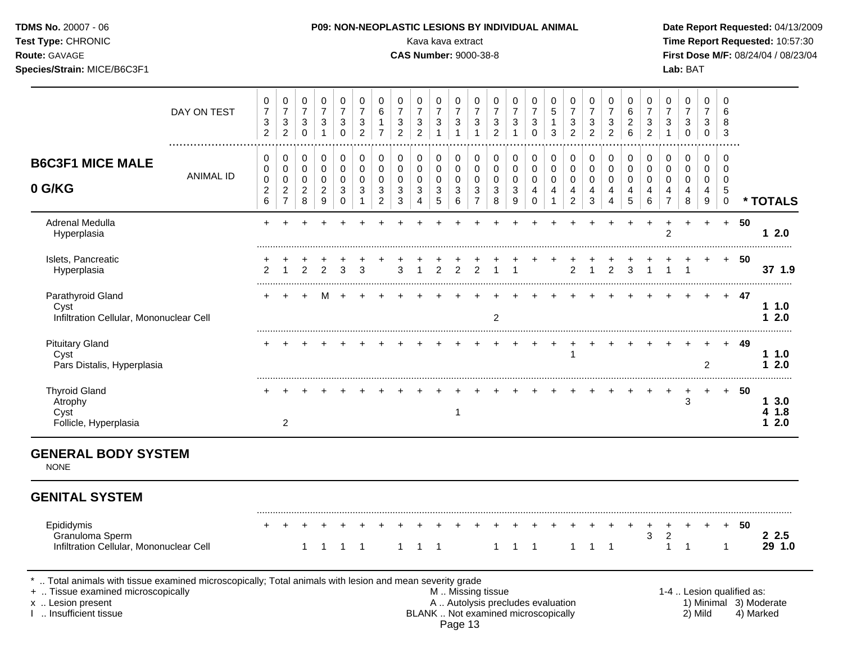| <b>TDMS No. 20007 - 06</b><br>Test Type: CHRONIC    |             |   |  | <b>P09: NON-NEOPLASTIC LESIONS BY INDIVIDUAL ANIMAL</b> |   |  | Kava kava extract            |  |   |  |  |    |  | Date Rep<br><b>Time Rep</b>  |  |
|-----------------------------------------------------|-------------|---|--|---------------------------------------------------------|---|--|------------------------------|--|---|--|--|----|--|------------------------------|--|
| <b>Route: GAVAGE</b><br>Species/Strain: MICE/B6C3F1 |             |   |  |                                                         |   |  | <b>CAS Number: 9000-38-8</b> |  |   |  |  |    |  | <b>First Dos</b><br>Lab: BAT |  |
|                                                     | DAY ON TEST | 0 |  |                                                         | 6 |  |                              |  | 0 |  |  | R. |  |                              |  |

# Date Report Requested: 04/13/2009 **Time Report Requested: 10:57:30 First Dose M/F:** 08/24/04 / 08/23/04

|                                                                      | DAY ON TEST      | 0<br>$\overline{7}$<br>3<br>$\overline{2}$ | 0<br>$\overline{7}$<br>3<br>$\overline{c}$      | 0<br>$\overline{7}$<br>3<br>0                | 0<br>$\overline{7}$<br>3                             | 0<br>$\overline{7}$<br>3<br>0 | 0<br>$\overline{7}$<br>3<br>2 | 0<br>$6\phantom{1}6$            | 0<br>$\overline{7}$<br>3<br>$\overline{2}$ | 0<br>$\overline{7}$<br>3<br>2 | 0<br>$\overline{7}$<br>3 | 0<br>$\overline{7}$<br>3 | 0<br>$\overline{7}$<br>3 | 0<br>$\overline{7}$<br>3<br>$\overline{2}$ | 0<br>$\overline{7}$<br>3        | 0<br>$\overline{7}$<br>$\mathbf{3}$<br>$\Omega$ | 0<br>5<br>3                          | 0<br>$\overline{7}$<br>3<br>$\overline{2}$      | 0<br>$\overline{7}$<br>3<br>$\overline{2}$ | 0<br>$\overline{7}$<br>3<br>2 | 0<br>6<br>2<br>6             | 0<br>7<br>3<br>$\overline{2}$ | 0<br>$\overline{7}$<br>3 | 0<br>$\overline{7}$<br>3<br>$\mathbf 0$ | 0<br>$\overline{7}$<br>3<br>$\Omega$ | 0<br>6<br>8<br>3                              |     |                   |
|----------------------------------------------------------------------|------------------|--------------------------------------------|-------------------------------------------------|----------------------------------------------|------------------------------------------------------|-------------------------------|-------------------------------|---------------------------------|--------------------------------------------|-------------------------------|--------------------------|--------------------------|--------------------------|--------------------------------------------|---------------------------------|-------------------------------------------------|--------------------------------------|-------------------------------------------------|--------------------------------------------|-------------------------------|------------------------------|-------------------------------|--------------------------|-----------------------------------------|--------------------------------------|-----------------------------------------------|-----|-------------------|
| <b>B6C3F1 MICE MALE</b><br>0 G/KG                                    | <b>ANIMAL ID</b> | 0<br>0<br>0<br>$\overline{2}$<br>6         | 0<br>0<br>0<br>$\overline{a}$<br>$\overline{7}$ | 0<br>$\mathbf 0$<br>0<br>$\overline{c}$<br>8 | 0<br>$\pmb{0}$<br>$\pmb{0}$<br>$\boldsymbol{2}$<br>9 | 0<br>$\Omega$<br>0<br>3<br>0  | 0<br>0<br>3                   | 0<br>$\mathbf 0$<br>0<br>3<br>2 | 0<br>0<br>0<br>3<br>3                      | 0<br>0<br>0<br>3<br>4         | 0<br>0<br>0<br>3<br>5    | 0<br>0<br>0<br>3<br>6    | 0<br>0<br>0<br>3         | 0<br>0<br>0<br>3<br>8                      | 0<br>$\mathbf 0$<br>0<br>3<br>9 | 0<br>$\pmb{0}$<br>$\mathbf 0$<br>4<br>0         | 0<br>$\mathbf 0$<br>$\mathbf 0$<br>4 | $\overline{0}$<br>0<br>0<br>4<br>$\overline{2}$ | 0<br>$\mathbf 0$<br>0<br>4<br>3            | 0<br>$\Omega$<br>0<br>4       | 0<br>$\Omega$<br>0<br>4<br>5 | 0<br>$\Omega$<br>6            | 0<br>$\Omega$<br>0       | 0<br>0<br>0<br>4<br>8                   | 0<br>0<br>0<br>4<br>9                | $\Omega$<br>$\Omega$<br>0<br>5<br>$\mathbf 0$ |     | * TOTALS          |
| Adrenal Medulla<br>Hyperplasia                                       |                  |                                            |                                                 |                                              |                                                      |                               |                               |                                 |                                            |                               |                          |                          |                          |                                            |                                 |                                                 |                                      |                                                 |                                            |                               |                              |                               | $\overline{2}$           |                                         |                                      | $\div$                                        | 50  | 2.0<br>1          |
| Islets, Pancreatic<br>Hyperplasia                                    |                  | 2                                          |                                                 |                                              | $\mathfrak{p}$                                       | 3                             | 3                             |                                 | 3                                          |                               |                          |                          |                          |                                            |                                 |                                                 |                                      | $\overline{2}$                                  |                                            | $\overline{2}$                | 3                            |                               |                          |                                         |                                      | $\div$                                        | 50  | 37 1.9            |
| Parathyroid Gland<br>Cyst<br>Infiltration Cellular, Mononuclear Cell |                  |                                            |                                                 |                                              |                                                      |                               |                               |                                 |                                            |                               |                          |                          |                          | $\overline{2}$                             |                                 |                                                 |                                      |                                                 |                                            |                               |                              |                               |                          |                                         |                                      | $+$                                           | 47  | $1\,1.0$<br>2.0   |
| <b>Pituitary Gland</b><br>Cyst<br>Pars Distalis, Hyperplasia         |                  |                                            |                                                 |                                              |                                                      |                               |                               |                                 |                                            |                               |                          |                          |                          |                                            |                                 |                                                 |                                      |                                                 |                                            |                               |                              |                               |                          |                                         | 2                                    |                                               | 49  | 11.0<br>2.0       |
| <b>Thyroid Gland</b><br>Atrophy<br>Cyst<br>Follicle, Hyperplasia     |                  |                                            | 2                                               |                                              |                                                      |                               |                               |                                 |                                            |                               |                          |                          |                          |                                            |                                 |                                                 |                                      |                                                 |                                            |                               |                              |                               |                          | 3                                       | $\pm$                                | $+$                                           | -50 | 3.0<br>1.8<br>2.0 |

#### **GENERAL BODY SYSTEM**

NONE

### **GENITAL SYSTEM**

| -nididvmic       |  |  |  |  |  |  |  | + + + + + + + + + + + + + + + + + + |  |  |  |  |  | $+ + 50$ |  |
|------------------|--|--|--|--|--|--|--|-------------------------------------|--|--|--|--|--|----------|--|
| ∍ranu            |  |  |  |  |  |  |  |                                     |  |  |  |  |  |          |  |
| ے مان بال<br>cer |  |  |  |  |  |  |  |                                     |  |  |  |  |  |          |  |
|                  |  |  |  |  |  |  |  |                                     |  |  |  |  |  |          |  |

\* .. Total animals with tissue examined microscopically; Total animals with lesion and mean severity grade

| 1-4  Lesion qualified as: |                        |
|---------------------------|------------------------|
|                           | 1) Minimal 3) Moderate |
| 2) Mild                   | 4) Marked              |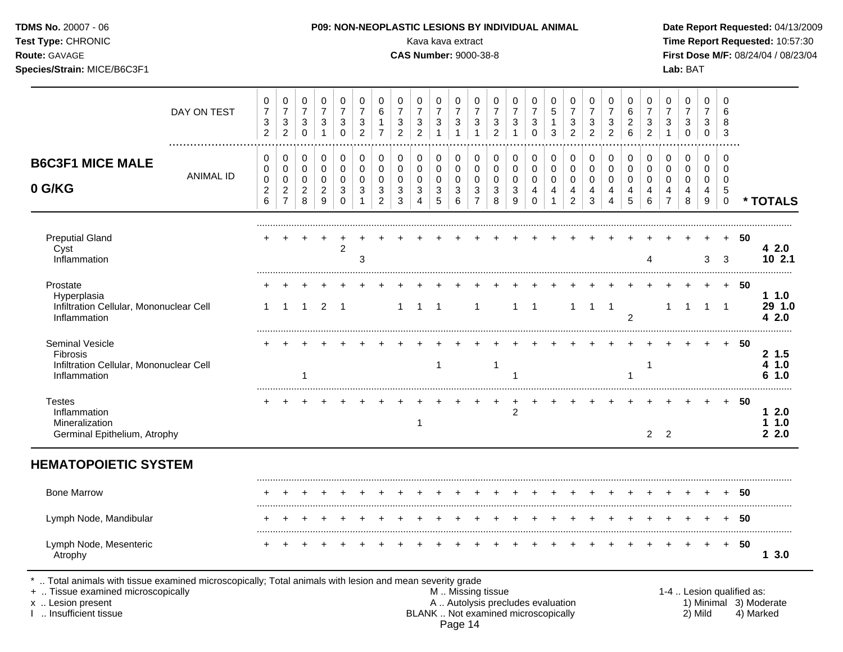| Test Type: CHRONIC<br>Route: GAVAGE<br>Species/Strain: MICE/B6C3F1                            |                  |                                            |                                                                    |                                                      |                                            |                                         |                                                    |                                          |                                                                    | <b>CAS Number: 9000-38-8</b>               |                       | Kava kava extract                 |                                              |                                                                    |                                 |                                        |                                      |                                              |                                                              |                       |                               |                          |                                            | Lab: BAT                      |                       |                                 |        | Time Report Requested: 10:57:30<br>First Dose M/F: 08/24/04 / 08/23/04 |
|-----------------------------------------------------------------------------------------------|------------------|--------------------------------------------|--------------------------------------------------------------------|------------------------------------------------------|--------------------------------------------|-----------------------------------------|----------------------------------------------------|------------------------------------------|--------------------------------------------------------------------|--------------------------------------------|-----------------------|-----------------------------------|----------------------------------------------|--------------------------------------------------------------------|---------------------------------|----------------------------------------|--------------------------------------|----------------------------------------------|--------------------------------------------------------------|-----------------------|-------------------------------|--------------------------|--------------------------------------------|-------------------------------|-----------------------|---------------------------------|--------|------------------------------------------------------------------------|
|                                                                                               | DAY ON TEST<br>. | 0<br>$\overline{7}$<br>3<br>$\overline{2}$ | 0<br>$\overline{7}$<br>$\ensuremath{\mathsf{3}}$<br>$\overline{c}$ | 0<br>$\boldsymbol{7}$<br>$\mathbf{3}$<br>$\mathbf 0$ | 0<br>$\boldsymbol{7}$<br>$\sqrt{3}$        | 0<br>$\overline{7}$<br>3<br>$\mathbf 0$ | $\mathbf 0$<br>$\overline{7}$<br>$\mathbf{3}$<br>2 | 0<br>6<br>$\mathbf{1}$<br>$\overline{7}$ | 0<br>$\overline{7}$<br>$\ensuremath{\mathsf{3}}$<br>$\overline{c}$ | 0<br>$\overline{7}$<br>3<br>$\overline{2}$ | 7<br>3                | 0<br>$\overline{7}$<br>$\sqrt{3}$ | 0<br>$\boldsymbol{7}$<br>$\sqrt{3}$<br>1     | 0<br>$\overline{7}$<br>$\ensuremath{\mathsf{3}}$<br>$\overline{c}$ | 0<br>7<br>3                     | 0<br>7<br>$\mathbf{3}$<br>$\Omega$     | 0<br>$\sqrt{5}$<br>$\mathbf{1}$<br>3 | 0<br>$\overline{7}$<br>3<br>$\overline{c}$   | $\Omega$<br>$\overline{7}$<br>$\mathbf{3}$<br>$\overline{2}$ | 0<br>7<br>3<br>2      | 0<br>6<br>$\overline{c}$<br>6 | 0<br>3<br>$\overline{c}$ | 0<br>$\boldsymbol{7}$<br>3<br>$\mathbf{1}$ | 0<br>$\overline{7}$<br>3<br>0 | 0<br>7<br>3<br>0      | $\Omega$<br>6<br>8<br>3         |        |                                                                        |
| <b>B6C3F1 MICE MALE</b><br>0 G/KG                                                             | <b>ANIMAL ID</b> | 0<br>0<br>0<br>$\overline{c}$<br>6         | 0<br>0<br>0<br>$\overline{c}$<br>$\overline{7}$                    | 0<br>0<br>0<br>$\overline{2}$<br>8                   | 0<br>$\pmb{0}$<br>0<br>$\overline{c}$<br>9 | 0<br>0<br>0<br>3<br>$\Omega$            | 0<br>0<br>$\mathbf 0$<br>3                         | 0<br>0<br>0<br>3<br>$\overline{2}$       | 0<br>$\mathbf 0$<br>$\mathbf 0$<br>3<br>3                          | 0<br>0<br>0<br>3                           | 0<br>0<br>0<br>3<br>5 | 0<br>$\mathbf 0$<br>0<br>3<br>6   | 0<br>$\mathbf 0$<br>0<br>3<br>$\overline{7}$ | 0<br>$\mathbf 0$<br>$\mathbf 0$<br>3<br>8                          | 0<br>0<br>$\mathbf 0$<br>3<br>9 | 0<br>0<br>$\mathbf 0$<br>4<br>$\Omega$ | 0<br>0<br>0<br>4                     | 0<br>0<br>$\mathbf 0$<br>4<br>$\overline{c}$ | 0<br>$\mathbf 0$<br>$\mathbf 0$<br>4<br>3                    | 0<br>0<br>0<br>4<br>4 | 0<br>0<br>0<br>4<br>5         | 0<br>0<br>0<br>4<br>6    | 0<br>$\pmb{0}$<br>0<br>4<br>$\overline{7}$ | 0<br>0<br>0<br>4<br>8         | 0<br>0<br>0<br>4<br>9 | 0<br>0<br>0<br>5<br>$\mathbf 0$ |        | * TOTALS                                                               |
| <b>Preputial Gland</b><br>Cyst<br>Inflammation                                                |                  |                                            |                                                                    |                                                      |                                            | $\overline{2}$                          | 3                                                  |                                          |                                                                    |                                            |                       |                                   |                                              |                                                                    |                                 |                                        |                                      |                                              |                                                              |                       |                               | Δ                        |                                            |                               | 3                     | 3                               | -50    | 42.0<br>102.1                                                          |
| Prostate<br>Hyperplasia<br>Infiltration Cellular, Mononuclear Cell<br>Inflammation            |                  | $\mathbf{1}$                               | $\mathbf 1$                                                        | $\overline{1}$                                       | 2                                          | -1                                      |                                                    |                                          | 1                                                                  | 1                                          | -1                    |                                   | $\mathbf{1}$                                 |                                                                    | $\mathbf{1}$                    | $\overline{1}$                         |                                      | $\mathbf{1}$                                 | $\overline{1}$                                               | $\overline{1}$        | $\overline{2}$                |                          | 1                                          | 1                             | $\mathbf{1}$          | $\overline{1}$                  | + 50   | 11.0<br>29 1.0<br>42.0                                                 |
| Seminal Vesicle<br><b>Fibrosis</b><br>Infiltration Cellular, Mononuclear Cell<br>Inflammation |                  |                                            |                                                                    |                                                      |                                            |                                         |                                                    |                                          |                                                                    |                                            | $\mathbf{1}$          |                                   |                                              | $\overline{1}$                                                     |                                 |                                        |                                      |                                              |                                                              |                       |                               | -1                       |                                            |                               |                       |                                 | -50    | 2, 1.5<br>4 1.0<br>61.0                                                |
| <b>Testes</b><br>Inflammation<br>Mineralization<br>Germinal Epithelium, Atrophy               |                  |                                            |                                                                    |                                                      |                                            |                                         |                                                    |                                          |                                                                    | -1                                         |                       |                                   |                                              |                                                                    | $\overline{c}$                  |                                        |                                      |                                              |                                                              |                       |                               |                          | 2 <sub>2</sub>                             |                               |                       |                                 | 50     | 12.0<br>11.0<br>22.0                                                   |
| <b>HEMATOPOIETIC SYSTEM</b>                                                                   |                  |                                            |                                                                    |                                                      |                                            |                                         |                                                    |                                          |                                                                    |                                            |                       |                                   |                                              |                                                                    |                                 |                                        |                                      |                                              |                                                              |                       |                               |                          |                                            |                               |                       |                                 |        |                                                                        |
| <b>Bone Marrow</b>                                                                            |                  |                                            |                                                                    |                                                      |                                            |                                         |                                                    |                                          |                                                                    |                                            |                       |                                   |                                              |                                                                    |                                 |                                        |                                      |                                              |                                                              |                       |                               |                          |                                            |                               |                       |                                 | 50     |                                                                        |
| Lymph Node, Mandibular                                                                        |                  |                                            |                                                                    |                                                      |                                            |                                         |                                                    |                                          |                                                                    |                                            |                       |                                   |                                              |                                                                    |                                 |                                        | $+$                                  |                                              |                                                              |                       |                               |                          |                                            |                               |                       |                                 | + 50   |                                                                        |
| Lymph Node, Mesenteric<br>Atrophy                                                             |                  |                                            |                                                                    |                                                      |                                            |                                         |                                                    |                                          |                                                                    |                                            |                       |                                   |                                              |                                                                    |                                 |                                        |                                      |                                              |                                                              |                       |                               |                          |                                            | $\ddot{}$                     | $+$                   |                                 | $+ 50$ | 13.0                                                                   |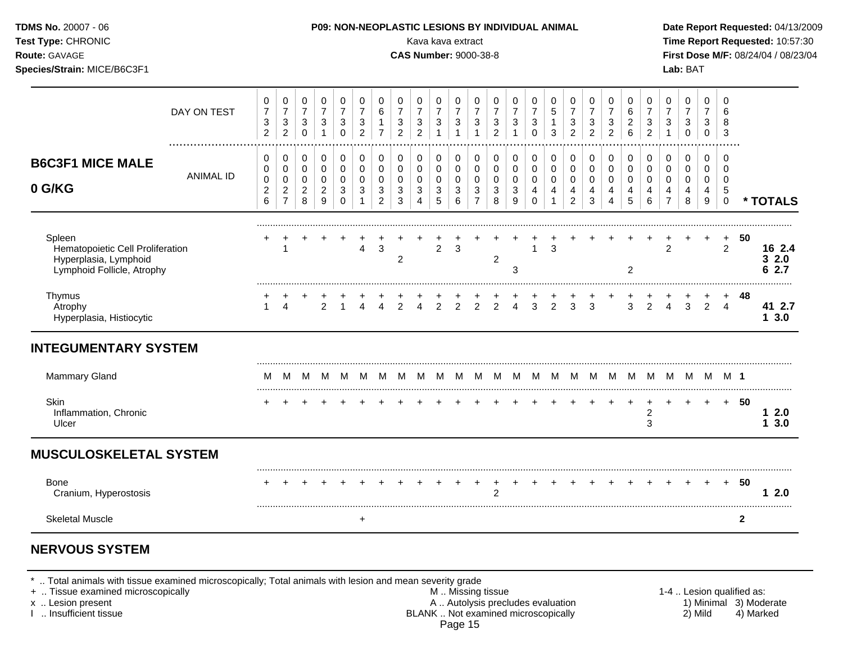| Test Type: CHRONIC<br>Route: GAVAGE<br>Species/Strain: MICE/B6C3F1                                |                  |                                                                |                                                           |                                                    |                                                          |                                                                           |                                                               |                                                                                |                                                                    | Kava kava extract<br><b>CAS Number: 9000-38-8</b>                  |                                                   |                                                                              |                                                                        |                                                                        |                                                      |                                                  |                                                              |                                                                    |                                                                  |                                                        |                                                   |                                                                    |                                                       | Lab: BAT                                                                  |                                      |                                                     |              | Time Report Requested: 10:57:30<br>First Dose M/F: 08/24/04 / 08/23/04 |
|---------------------------------------------------------------------------------------------------|------------------|----------------------------------------------------------------|-----------------------------------------------------------|----------------------------------------------------|----------------------------------------------------------|---------------------------------------------------------------------------|---------------------------------------------------------------|--------------------------------------------------------------------------------|--------------------------------------------------------------------|--------------------------------------------------------------------|---------------------------------------------------|------------------------------------------------------------------------------|------------------------------------------------------------------------|------------------------------------------------------------------------|------------------------------------------------------|--------------------------------------------------|--------------------------------------------------------------|--------------------------------------------------------------------|------------------------------------------------------------------|--------------------------------------------------------|---------------------------------------------------|--------------------------------------------------------------------|-------------------------------------------------------|---------------------------------------------------------------------------|--------------------------------------|-----------------------------------------------------|--------------|------------------------------------------------------------------------|
|                                                                                                   | DAY ON TEST      | 0<br>$\overline{7}$<br>$\ensuremath{\mathsf{3}}$<br>$\sqrt{2}$ | 0<br>$\boldsymbol{7}$<br>$\mathsf 3$<br>$\overline{2}$    | 0<br>$\overline{7}$<br>$\mathbf{3}$<br>$\mathbf 0$ | 0<br>$\overline{7}$<br>$\mathbf{3}$<br>$\mathbf{1}$      | $\mathbf 0$<br>$\overline{7}$<br>$\ensuremath{\mathsf{3}}$<br>$\mathbf 0$ | $\mathbf 0$<br>$\overline{7}$<br>$\sqrt{3}$<br>$\overline{2}$ | 0<br>$\,6$<br>$\mathbf{1}$<br>$\overline{7}$                                   | 0<br>$\overline{7}$<br>$\ensuremath{\mathsf{3}}$<br>$\overline{2}$ | 0<br>$\overline{7}$<br>$\ensuremath{\mathsf{3}}$<br>$\overline{2}$ | 0<br>$\overline{7}$<br>$\sqrt{3}$<br>$\mathbf{1}$ | $\mathbf 0$<br>$\overline{7}$<br>$\ensuremath{\mathsf{3}}$<br>$\overline{1}$ | 0<br>$\boldsymbol{7}$<br>$\mathsf 3$<br>$\mathbf{1}$                   | 0<br>$\boldsymbol{7}$<br>$\mathbf{3}$<br>$\sqrt{2}$                    | 0<br>$\overline{7}$<br>3<br>$\mathbf{1}$             | 0<br>$\boldsymbol{7}$<br>3<br>$\mathbf 0$        | 0<br>$\sqrt{5}$<br>$\mathbf{1}$<br>3                         | 0<br>$\overline{7}$<br>$\ensuremath{\mathsf{3}}$<br>$\overline{2}$ | $\mathbf 0$<br>$\overline{7}$<br>$\mathsf 3$<br>$\overline{2}$   | 0<br>$\overline{7}$<br>$\mathbf 3$<br>$\overline{2}$   | $\mathbf 0$<br>$\,6$<br>$\overline{c}$<br>$\,6\,$ | 0<br>$\overline{7}$<br>$\ensuremath{\mathsf{3}}$<br>$\overline{2}$ | 0<br>$\boldsymbol{7}$<br>$\mathbf{3}$<br>$\mathbf{1}$ | $\mathbf 0$<br>$\overline{7}$<br>$\ensuremath{\mathsf{3}}$<br>$\mathbf 0$ | $\mathbf 0$<br>7<br>3<br>$\mathbf 0$ | $\mathbf 0$<br>6<br>8<br>$\mathbf{3}$               |              |                                                                        |
| <b>B6C3F1 MICE MALE</b><br>0 G/KG                                                                 | <b>ANIMAL ID</b> | 0<br>$\Omega$<br>$\pmb{0}$<br>$\boldsymbol{2}$<br>$\,6$        | 0<br>0<br>$\mathbf 0$<br>$\overline{c}$<br>$\overline{7}$ | 0<br>$\mathbf 0$<br>0<br>$\overline{2}$<br>8       | $\pmb{0}$<br>$\pmb{0}$<br>$\,0\,$<br>$\overline{c}$<br>9 | $\pmb{0}$<br>$\mathbf 0$<br>0<br>3<br>$\Omega$                            | 0<br>$\mathbf 0$<br>$\mathbf 0$<br>$\mathbf{3}$               | 0<br>$\mathbf 0$<br>$\mathbf 0$<br>$\ensuremath{\mathsf{3}}$<br>$\overline{2}$ | 0<br>$\mathbf 0$<br>$\mathbf 0$<br>$\sqrt{3}$<br>3                 | 0<br>$\mathbf 0$<br>$\mathbf 0$<br>3<br>4                          | 0<br>0<br>$\pmb{0}$<br>$\sqrt{3}$<br>5            | $\pmb{0}$<br>$\pmb{0}$<br>$\pmb{0}$<br>$\ensuremath{\mathsf{3}}$<br>$\,6\,$  | $\pmb{0}$<br>$\pmb{0}$<br>$\mathbf 0$<br>$\mathsf 3$<br>$\overline{7}$ | 0<br>$\mathbf 0$<br>$\mathbf 0$<br>$\ensuremath{\mathsf{3}}$<br>$\bf8$ | 0<br>$\mathbf 0$<br>$\mathbf 0$<br>$\mathbf{3}$<br>9 | 0<br>$\mathbf 0$<br>$\mathbf 0$<br>4<br>$\Omega$ | $\mathbf 0$<br>$\pmb{0}$<br>$\pmb{0}$<br>4<br>$\overline{1}$ | 0<br>$\mathbf 0$<br>0<br>4<br>$\overline{2}$                       | 0<br>$\Omega$<br>$\mathbf 0$<br>$\overline{4}$<br>$\mathfrak{Z}$ | 0<br>$\mathbf 0$<br>$\mathbf 0$<br>4<br>$\overline{4}$ | 0<br>0<br>$\mathbf 0$<br>4<br>$\overline{5}$      | 0<br>$\mathbf 0$<br>$\mathbf 0$<br>4<br>$\,6\,$                    | 0<br>$\pmb{0}$<br>$\mathbf 0$<br>4<br>$\overline{7}$  | 0<br>$\mathbf 0$<br>$\mathbf 0$<br>4<br>8                                 | 0<br>$\mathbf 0$<br>0<br>4<br>9      | $\mathbf 0$<br>$\mathbf 0$<br>0<br>5<br>$\mathbf 0$ |              | * TOTALS                                                               |
| Spleen<br>Hematopoietic Cell Proliferation<br>Hyperplasia, Lymphoid<br>Lymphoid Follicle, Atrophy |                  |                                                                |                                                           |                                                    |                                                          |                                                                           | $\overline{4}$                                                | $\mathbf{3}$                                                                   | $\overline{c}$                                                     |                                                                    | $\overline{2}$                                    | 3                                                                            |                                                                        | 2                                                                      | 3                                                    |                                                  | $\ddot{}$<br>3                                               |                                                                    |                                                                  |                                                        | $\overline{2}$                                    | $\ddot{}$                                                          | $\ddot{}$<br>$\overline{2}$                           | $+$                                                                       | $\ddot{}$                            | $+$<br>2                                            | 50           | 16 2.4<br>32.0<br>6 2.7                                                |
| Thymus<br>Atrophy<br>Hyperplasia, Histiocytic                                                     |                  | $\mathbf{1}$                                                   | $\overline{4}$                                            |                                                    | 2                                                        |                                                                           | $\overline{4}$                                                | $\overline{4}$                                                                 | $\overline{2}$                                                     | $\overline{4}$                                                     | $\overline{2}$                                    | $\overline{2}$                                                               | $\frac{+}{2}$                                                          | 2                                                                      | $\ddot{}$<br>$\overline{4}$                          | 3                                                | $\overline{2}$                                               | $\overline{3}$                                                     | 3                                                                |                                                        | 3                                                 | 2                                                                  | 4                                                     | +<br>3                                                                    | $^{+}$<br>$\overline{2}$             | $\overline{4}$                                      | + 48         | 41 2.7<br>13.0                                                         |
| <b>INTEGUMENTARY SYSTEM</b>                                                                       |                  |                                                                |                                                           |                                                    |                                                          |                                                                           |                                                               |                                                                                |                                                                    |                                                                    |                                                   |                                                                              |                                                                        |                                                                        |                                                      |                                                  |                                                              |                                                                    |                                                                  |                                                        |                                                   |                                                                    |                                                       |                                                                           |                                      |                                                     |              |                                                                        |
| <b>Mammary Gland</b>                                                                              |                  | M                                                              | м                                                         | M                                                  | M                                                        | M                                                                         |                                                               | MMM                                                                            |                                                                    | M.                                                                 |                                                   |                                                                              |                                                                        |                                                                        | ммммммммммммммм                                      |                                                  |                                                              |                                                                    |                                                                  |                                                        |                                                   |                                                                    |                                                       |                                                                           |                                      | M 1                                                 |              |                                                                        |
| Skin<br>Inflammation, Chronic<br>Ulcer                                                            |                  |                                                                |                                                           |                                                    |                                                          |                                                                           |                                                               |                                                                                |                                                                    |                                                                    |                                                   |                                                                              |                                                                        |                                                                        |                                                      |                                                  |                                                              |                                                                    |                                                                  |                                                        |                                                   | $\ddot{}$<br>2<br>3                                                |                                                       | $\pm$                                                                     | $\ddot{}$                            |                                                     | + 50         | 12.0<br>13.0                                                           |
| <b>MUSCULOSKELETAL SYSTEM</b>                                                                     |                  |                                                                |                                                           |                                                    |                                                          |                                                                           |                                                               |                                                                                |                                                                    |                                                                    |                                                   |                                                                              |                                                                        |                                                                        |                                                      |                                                  |                                                              |                                                                    |                                                                  |                                                        |                                                   |                                                                    |                                                       |                                                                           |                                      |                                                     |              |                                                                        |
| <b>Bone</b><br>Cranium, Hyperostosis                                                              |                  |                                                                |                                                           |                                                    |                                                          |                                                                           |                                                               |                                                                                |                                                                    |                                                                    |                                                   |                                                                              | $\ddot{}$                                                              | $\overline{c}$                                                         |                                                      |                                                  |                                                              |                                                                    |                                                                  |                                                        |                                                   |                                                                    |                                                       |                                                                           | $+$                                  |                                                     | $+ 50$       | 12.0                                                                   |
| <b>Skeletal Muscle</b>                                                                            |                  |                                                                |                                                           |                                                    |                                                          |                                                                           | $\ddot{}$                                                     |                                                                                |                                                                    |                                                                    |                                                   |                                                                              |                                                                        |                                                                        |                                                      |                                                  |                                                              |                                                                    |                                                                  |                                                        |                                                   |                                                                    |                                                       |                                                                           |                                      |                                                     | $\mathbf{2}$ |                                                                        |

\* .. Total animals with tissue examined microscopically; Total animals with lesion and mean severity grade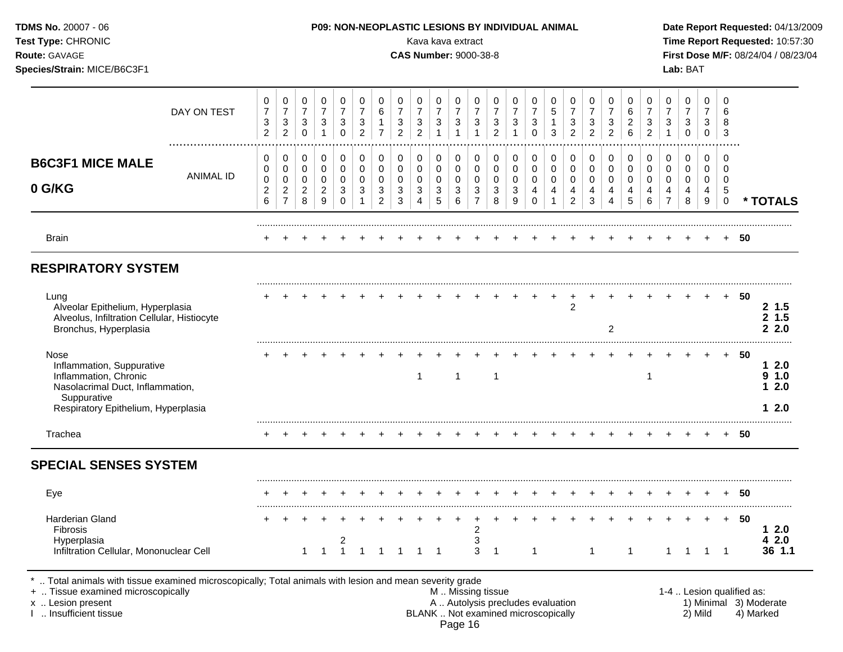|                                                                      |                                                                            |                                                      |                                                                  |                                                  |                                                     |                                            |                                                     |                                            |                                     |                                                   | P09: NON-NEOPLASTIC LESIONS BY INDIVIDUAL ANIMAL |                                            |                                     |                                      |                                      |                                            |                                            |                                                                    |                                     |                                                     |                       |                                      |                                         |                         |          | Date Report Requested: 04/13/2009<br>Time Report Requested: 10:57:30 |
|----------------------------------------------------------------------|----------------------------------------------------------------------------|------------------------------------------------------|------------------------------------------------------------------|--------------------------------------------------|-----------------------------------------------------|--------------------------------------------|-----------------------------------------------------|--------------------------------------------|-------------------------------------|---------------------------------------------------|--------------------------------------------------|--------------------------------------------|-------------------------------------|--------------------------------------|--------------------------------------|--------------------------------------------|--------------------------------------------|--------------------------------------------------------------------|-------------------------------------|-----------------------------------------------------|-----------------------|--------------------------------------|-----------------------------------------|-------------------------|----------|----------------------------------------------------------------------|
| 0<br>$\boldsymbol{7}$<br>$\ensuremath{\mathsf{3}}$<br>$\overline{2}$ | $\pmb{0}$<br>$\overline{7}$<br>$\ensuremath{\mathsf{3}}$<br>$\overline{c}$ | 0<br>$\boldsymbol{7}$<br>$\mathbf{3}$<br>$\mathbf 0$ | 0<br>$\overline{7}$<br>$\ensuremath{\mathsf{3}}$<br>$\mathbf{1}$ | 0<br>$\overline{7}$<br>$\sqrt{3}$<br>$\mathbf 0$ | 0<br>$\overline{7}$<br>$\sqrt{3}$<br>$\overline{2}$ | 0<br>6<br>$\overline{1}$<br>$\overline{7}$ | 0<br>$\overline{7}$<br>$\sqrt{3}$<br>$\overline{2}$ | 0<br>$\overline{7}$<br>3<br>$\overline{2}$ | 0<br>$\overline{7}$<br>$\mathbf{3}$ | 0<br>$\overline{7}$<br>$\sqrt{3}$<br>$\mathbf{1}$ | 0<br>$\overline{7}$<br>$\sqrt{3}$<br>1           | 0<br>$\overline{7}$<br>3<br>$\overline{2}$ | 0<br>$\overline{7}$<br>$\mathbf{3}$ | 0<br>$\overline{7}$<br>3<br>$\Omega$ | 0<br>$\sqrt{5}$<br>$\mathbf{1}$<br>3 | 0<br>$\overline{7}$<br>3<br>$\overline{2}$ | 0<br>$\overline{7}$<br>3<br>$\overline{2}$ | 0<br>$\overline{7}$<br>$\ensuremath{\mathsf{3}}$<br>$\overline{2}$ | 0<br>$\,6\,$<br>$\overline{a}$<br>6 | 0<br>$\overline{7}$<br>$\sqrt{3}$<br>$\overline{2}$ | 0<br>3                | 0<br>$\overline{7}$<br>3<br>$\Omega$ | 0<br>$\overline{7}$<br>3<br>$\mathbf 0$ | $\Omega$<br>6<br>8<br>3 |          |                                                                      |
| 0<br>0<br>0                                                          | 0<br>$\pmb{0}$<br>$\pmb{0}$                                                | 0<br>0<br>$\mathbf 0$                                | 0<br>$\pmb{0}$<br>$\mathbf 0$                                    | 0<br>0<br>0                                      | $\boldsymbol{0}$<br>$\pmb{0}$<br>$\pmb{0}$          | 0<br>$\pmb{0}$<br>$\pmb{0}$                | 0<br>$\mathbf 0$<br>$\mathbf 0$                     | 0<br>0<br>0                                | 0<br>$\mathbf 0$<br>$\mathbf 0$     | 0<br>$\pmb{0}$<br>$\pmb{0}$                       | 0<br>$\mathbf 0$<br>$\mathbf 0$                  | 0<br>$\mathbf 0$<br>$\mathbf 0$            | 0<br>$\pmb{0}$<br>$\mathbf 0$       | 0<br>0<br>0                          | 0<br>$\mathbf 0$<br>$\pmb{0}$        | 0<br>0<br>$\mathbf 0$                      | 0<br>0<br>$\pmb{0}$                        | 0<br>$\mathbf 0$<br>$\pmb{0}$                                      | 0<br>0<br>$\mathbf 0$               | 0<br>$\mathbf 0$<br>$\mathbf 0$                     | 0<br>$\mathbf 0$<br>0 | 0<br>0<br>0                          | 0<br>0<br>0                             | 0<br>$\Omega$<br>0      |          |                                                                      |
| 6                                                                    | $\overline{7}$                                                             | 8                                                    | $\boldsymbol{9}$                                                 | $\Omega$                                         |                                                     | $\overline{c}$                             | 3                                                   | 4                                          | 5                                   | 6                                                 | $\overline{7}$                                   | 8                                          | 9                                   | $\Omega$                             |                                      | $\overline{2}$                             | 3                                          | 4                                                                  | 5                                   | 6                                                   |                       | 8                                    | 9                                       | $\mathbf 0$             |          | * TOTALS                                                             |
|                                                                      |                                                                            |                                                      |                                                                  |                                                  |                                                     |                                            |                                                     |                                            |                                     |                                                   |                                                  |                                            |                                     |                                      |                                      |                                            |                                            |                                                                    |                                     |                                                     |                       |                                      |                                         |                         | 50       |                                                                      |
|                                                                      |                                                                            |                                                      |                                                                  |                                                  |                                                     |                                            |                                                     |                                            |                                     |                                                   |                                                  |                                            |                                     |                                      |                                      |                                            |                                            |                                                                    |                                     |                                                     |                       |                                      |                                         |                         |          |                                                                      |
|                                                                      |                                                                            |                                                      |                                                                  |                                                  |                                                     |                                            |                                                     |                                            |                                     |                                                   |                                                  |                                            |                                     |                                      | $^{+}$                               | +<br>$\overline{2}$                        |                                            | $\overline{2}$                                                     |                                     |                                                     |                       |                                      |                                         |                         | 50       | 2, 1.5<br>2, 1.5<br>22.0                                             |
|                                                                      |                                                                            |                                                      |                                                                  |                                                  |                                                     |                                            |                                                     | -1                                         |                                     | 1                                                 |                                                  | $\mathbf{1}$                               |                                     |                                      |                                      |                                            |                                            |                                                                    |                                     |                                                     |                       |                                      |                                         | $+$                     | 50       | 12.0<br>9 1.0<br>12.0<br>12.0                                        |
|                                                                      |                                                                            |                                                      |                                                                  |                                                  |                                                     |                                            |                                                     |                                            |                                     |                                                   |                                                  |                                            |                                     |                                      |                                      |                                            |                                            |                                                                    |                                     |                                                     |                       |                                      |                                         |                         | 50       |                                                                      |
|                                                                      |                                                                            |                                                      |                                                                  |                                                  |                                                     |                                            |                                                     |                                            |                                     |                                                   |                                                  |                                            |                                     |                                      |                                      |                                            |                                            |                                                                    |                                     |                                                     |                       |                                      |                                         |                         |          |                                                                      |
|                                                                      |                                                                            |                                                      |                                                                  |                                                  |                                                     |                                            |                                                     |                                            |                                     |                                                   |                                                  |                                            |                                     |                                      |                                      |                                            |                                            |                                                                    |                                     |                                                     |                       |                                      |                                         | $+$                     | 50       |                                                                      |
|                                                                      |                                                                            | $\mathbf{1}$                                         | $\mathbf 1$                                                      | $\overline{c}$<br>$\mathbf{1}$                   | $\overline{1}$                                      | $\overline{1}$                             | $\overline{1}$                                      |                                            |                                     |                                                   | $\overline{\mathbf{c}}$<br>3<br>3                | $\overline{1}$                             |                                     | $\mathbf{1}$                         |                                      |                                            | $\mathbf{1}$                               |                                                                    | $\mathbf{1}$                        |                                                     | $\mathbf{1}$          |                                      |                                         |                         | 50       | 12.0<br>42.0<br>36 1.1                                               |
|                                                                      | $\overline{\mathbf{c}}$                                                    | $\overline{c}$                                       | $\overline{c}$                                                   | $\overline{c}$                                   | 3                                                   | 3                                          | $\mathbf{3}$                                        | 3                                          | 3                                   | 3<br>$1 \quad 1$                                  | 3                                                | Kava kava extract<br>3                     | <b>CAS Number: 9000-38-8</b><br>3   | 3                                    | 4                                    | 4                                          | 4                                          | 4                                                                  | 4                                   | 4                                                   | 4                     |                                      | 4<br>$\overline{\phantom{1}}$           | Lab: BAT<br>4           | 5<br>1 1 | First Dose M/F: 08/24/04 / 08/23/04                                  |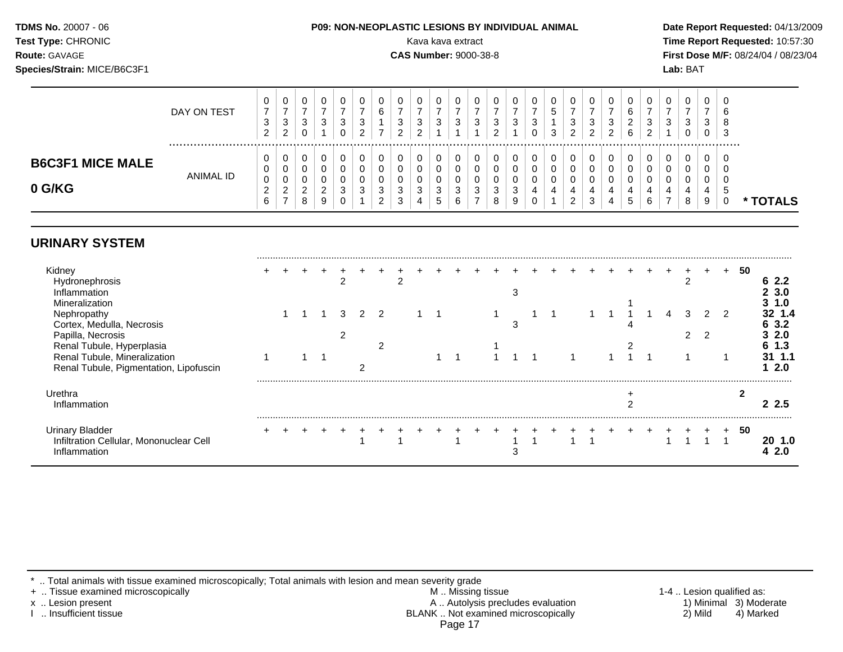# **Species/Strain:** MICE/B6C3F1 **Lab:** BAT

#### **TDMS No.** 20007 - 06 **P09: NON-NEOPLASTIC LESIONS BY INDIVIDUAL ANIMAL Date Report Requested:** 04/13/2009

**Test Type:** CHRONIC Kava kava extract **Time Report Requested:** 10:57:30 **Route:** GAVAGE **CAS Number:** 9000-38-8 **First Dose M/F:** 08/24/04 / 08/23/04

|                                   | DAY ON TEST | U<br>P<br>$\sim$<br>z | 0<br>3<br>າ<br>∼           | v<br>C.<br>ັ                | U<br>-2<br>J                 | 3 | u<br>6<br>–           | v<br>$\sim$<br>$\overline{\phantom{a}}$<br>C. | 0<br>3<br>◠           | U<br>3                           | - 0  | u<br>N | υ<br>◠<br>ັ      | ν<br>3                | U<br>$\sim$<br>ა | <sup>o</sup> | v<br>ર<br>◡<br>ົ<br>$\epsilon$ | v<br>ີ<br>ັ               | υ<br>◠<br>ۍ<br>◠<br><u>_</u> | 6<br>◠<br><u>_</u><br>6 | ٽ | U<br>3 | υ<br>ົ<br>ັ<br>υ | υ<br>دت<br>υ | - U<br><b>t</b><br>C<br>-3 |               |
|-----------------------------------|-------------|-----------------------|----------------------------|-----------------------------|------------------------------|---|-----------------------|-----------------------------------------------|-----------------------|----------------------------------|------|--------|------------------|-----------------------|------------------|--------------|--------------------------------|---------------------------|------------------------------|-------------------------|---|--------|------------------|--------------|----------------------------|---------------|
| <b>B6C3F1 MICE MALE</b><br>0 G/KG | ANIMAL ID   | υ<br>0<br>-<br>c<br>c | 0<br>0<br>0<br>$\sim$<br>- | v<br>v<br>v<br>◠<br>$\circ$ | ບ<br>u<br>ົ<br><u>.</u><br>9 | J | າ<br>ت<br>ົ<br>$\sim$ | ີ<br>ັບ<br>$\sim$<br>J                        | 0<br>0<br>0<br>3<br>4 | 0<br>U<br>υ<br>3<br><sub>5</sub> | - 11 | N      | υ<br>◠<br>◡<br>8 | u<br>u<br>u<br>J<br>g | 4<br>0           |              | 0<br>u<br>4<br>⌒<br><u>_</u>   | U<br>U<br>$\sqrt{2}$<br>J | υ<br>U<br>4                  | 4<br>$\mathbf{p}$       |   | 0<br>U | 0<br>υ<br>U<br>8 | ◡<br>9       | ා                          | <b>TOTALS</b> |

#### **URINARY SYSTEM**

| Kidney<br>Hydronephrosis<br>Inflammation<br>Mineralization                                 |  |  |  |            |  |  |  |   |  |  |  |  |  |   | 50 | 3.0               |
|--------------------------------------------------------------------------------------------|--|--|--|------------|--|--|--|---|--|--|--|--|--|---|----|-------------------|
| Nephropathy<br>Cortex, Medulla, Necrosis<br>Papilla, Necrosis<br>Renal Tubule, Hyperplasia |  |  |  | $\sqrt{2}$ |  |  |  | ◠ |  |  |  |  |  | 2 |    | 1.4<br>3.2<br>2.0 |
| Renal Tubule, Mineralization<br>Renal Tubule, Pigmentation, Lipofuscin                     |  |  |  |            |  |  |  |   |  |  |  |  |  |   |    | .11<br>2.0        |
| Urethra<br>Inflammation                                                                    |  |  |  |            |  |  |  |   |  |  |  |  |  |   |    | 22.5              |
| <b>Urinary Bladder</b><br>Infiltration Cellular, Mononuclear Cell<br>Inflammation          |  |  |  |            |  |  |  |   |  |  |  |  |  |   | 50 | 1.0<br>2.0        |

\* .. Total animals with tissue examined microscopically; Total animals with lesion and mean severity grade<br>+ .. Tissue examined microscopically

+ .. Tissue examined microscopically  $M$ .. Missing tissue 1-4 .. Lesion qualified as:

x .. Lesion present **A .. Autolysis precludes evaluation** A .. Autolysis precludes evaluation 1) Minimal 3) Moderate I .. Insufficient tissue BLANK .. Not examined microscopically 2) Mild 4) Marked Page 17

.........................................................................................................................................................................................................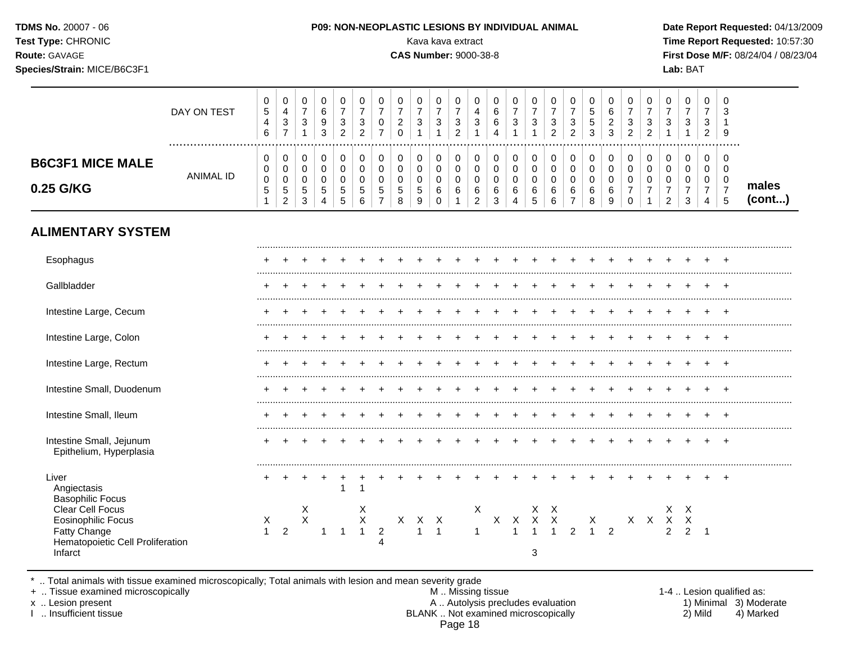| <b>TDMS No. 20007 - 06</b>  | <b>P09: NON-NEOPLASTIC LESIONS BY INDIVIDUAL ANIMAL</b>                                                                                                     | Date Rep         |
|-----------------------------|-------------------------------------------------------------------------------------------------------------------------------------------------------------|------------------|
| <b>Test Type: CHRONIC</b>   | Kava kava extract                                                                                                                                           | <b>Time Rep</b>  |
| <b>Route: GAVAGE</b>        | <b>CAS Number: 9000-38-8</b>                                                                                                                                | <b>First Dos</b> |
| Species/Strain: MICE/B6C3F1 |                                                                                                                                                             | Lab: BAT         |
|                             | $\mathsf 0$<br>$\mathbf 0$<br>$\mathbf 0$<br>$\mathbf 0$<br>$\mathbf 0$<br>$\mathbf 0$<br>$\overline{0}$<br>$\mathbf 0$<br>$\overline{0}$<br>$\overline{0}$ |                  |

# Date Report Requested: 04/13/2009 **Time Report Requested: 10:57:30 First Dose M/F:** 08/24/04 / 08/23/04

|                                      | DAY ON TEST | 0<br><sub>5</sub><br>6      | U<br>4<br>3                       | 9<br>3 | ◠ | -3<br>ົ           | 0                | ົ           | U<br>3           | -3 | U<br>4<br>3 | 0<br>⌒<br>b<br>6<br>4 | ◡<br>-2<br>J | ◡<br>3           | 0<br>3<br>ົ<br>$\epsilon$        | U<br>3<br>ົ<br><u>_</u> |   | 0<br>3<br>◠<br><u>_</u> | 0<br>3      | U<br>◠<br>ັ<br><sup>o</sup> | J<br>9 |                 |
|--------------------------------------|-------------|-----------------------------|-----------------------------------|--------|---|-------------------|------------------|-------------|------------------|----|-------------|-----------------------|--------------|------------------|----------------------------------|-------------------------|---|-------------------------|-------------|-----------------------------|--------|-----------------|
| <b>B6C3F1 MICE MALE</b><br>0.25 G/KG | ANIMAL ID   | 0<br>0<br>0<br><sub>5</sub> | U<br>U<br>U<br>ີວ<br><sup>o</sup> | ∽<br>Ñ |   | <sub>5</sub><br>6 | 0<br>U<br>ັ<br>8 | U<br>G<br>9 | 0<br>u<br>u<br>6 |    | b<br>ີ      | 0<br>ь<br>◠           | u<br>ົ<br>u  | v<br>v<br>v<br>U | $\mathbf{0}$<br>0<br>0<br>6<br>6 | υ<br>U<br>v<br>6        | 6 |                         | U<br>0<br>U | U<br>◡<br>4                 | O<br>J | males<br>(cont) |

# **ALIMENTARY SYSTEM**

| Esophagus                                                                                                    |                     |                |                  |  |                       |  |  |  |   |  |  |  |                                                                       |   |  |
|--------------------------------------------------------------------------------------------------------------|---------------------|----------------|------------------|--|-----------------------|--|--|--|---|--|--|--|-----------------------------------------------------------------------|---|--|
| Gallbladder                                                                                                  |                     |                |                  |  |                       |  |  |  |   |  |  |  |                                                                       |   |  |
| Intestine Large, Cecum                                                                                       |                     |                |                  |  |                       |  |  |  |   |  |  |  |                                                                       |   |  |
| Intestine Large, Colon                                                                                       |                     |                |                  |  |                       |  |  |  |   |  |  |  |                                                                       |   |  |
| Intestine Large, Rectum                                                                                      |                     |                |                  |  |                       |  |  |  |   |  |  |  |                                                                       |   |  |
| Intestine Small, Duodenum                                                                                    |                     |                |                  |  |                       |  |  |  |   |  |  |  |                                                                       |   |  |
| Intestine Small, Ileum                                                                                       |                     |                |                  |  |                       |  |  |  |   |  |  |  |                                                                       |   |  |
| Intestine Small, Jejunum<br>Epithelium, Hyperplasia                                                          |                     |                |                  |  |                       |  |  |  |   |  |  |  |                                                                       |   |  |
| Liver<br>Angiectasis<br><b>Basophilic Focus</b>                                                              |                     |                |                  |  |                       |  |  |  |   |  |  |  |                                                                       |   |  |
| Clear Cell Focus<br><b>Eosinophilic Focus</b><br>Fatty Change<br>Hematopoietic Cell Proliferation<br>Infarct | X<br>$\overline{1}$ | $\overline{2}$ | X<br>$\mathsf X$ |  | $X$<br>$X$<br>$Y$ $X$ |  |  |  | 3 |  |  |  | Х.<br>$\begin{array}{ccccc}\nX & X & X & X \\ & & 2 & 2\n\end{array}$ | X |  |

\* .. Total animals with tissue examined microscopically; Total animals with lesion and mean severity grade

+ .. Tissue examined microscopically M .. Missing tissue 1-4 .. Lesion qualified as: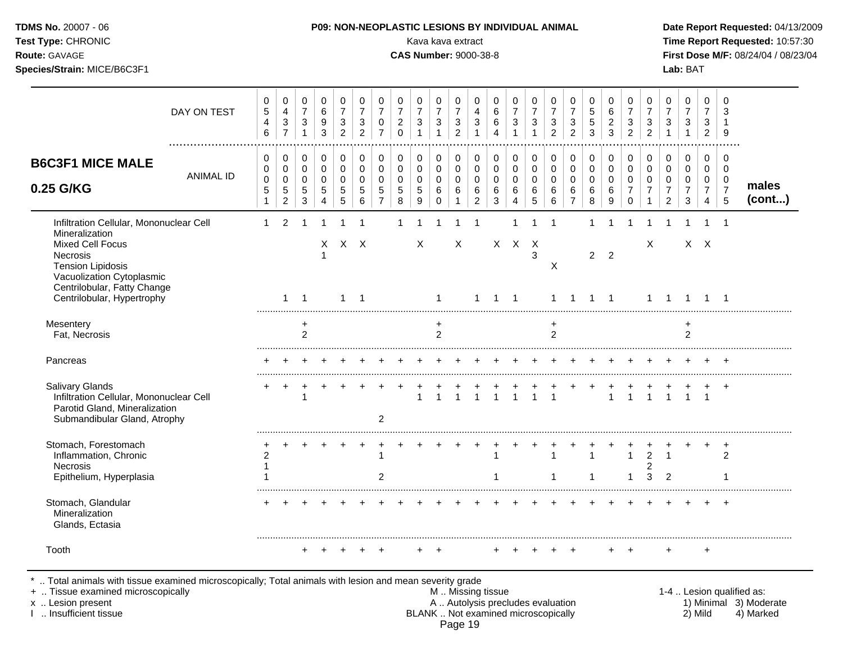| <b>TDMS No.</b> 20007 - 06 |  |
|----------------------------|--|
| Test Type: CHRONIC         |  |

#### **P09: NON-NEOPLASTIC LESIONS BY INDIVIDUAL ANIMAL Date Report Requested: 04/13/2009**

Kava kava extract **Time Report Requested:** 10:57:30 **Route:** GAVAGE **CAS Number:** 9000-38-8 **First Dose M/F:** 08/24/04 / 08/23/04 **Species/Strain:** MICE/B6C3F1 **Lab:** BAT

| DAY ON TEST                                                                                                                                                                                                            | 0<br>$\sqrt{5}$<br>$\overline{\mathbf{4}}$<br>6 | 0<br>$\overline{4}$<br>$\sqrt{3}$<br>$\overline{7}$           | 0<br>$\overline{7}$<br>3<br>$\mathbf{1}$                   | $\mathbf 0$<br>$\,6\,$<br>9<br>3          | 0<br>$\overline{7}$<br>3<br>$\overline{2}$ | 0<br>$\overline{7}$<br>$\mathbf{3}$<br>$\overline{2}$ | 0<br>$\overline{7}$<br>$\mathbf 0$<br>$\overline{7}$        | 0<br>$\overline{7}$<br>$\boldsymbol{2}$<br>$\Omega$ | 0<br>$\overline{7}$<br>$\sqrt{3}$<br>$\overline{1}$              | $\mathbf 0$<br>$\overline{7}$<br>3<br>$\overline{1}$        | 0<br>$\overline{7}$<br>$\sqrt{3}$<br>2               | 0<br>4<br>$\mathbf{3}$                                 | 0<br>6<br>$\,6$<br>$\Delta$                          | 0<br>$\overline{7}$<br>$\mathbf{3}$<br>$\overline{1}$ | 0<br>$\overline{7}$<br>3                      | 0<br>$\overline{7}$<br>$\sqrt{3}$<br>$\overline{2}$             | 0<br>$\overline{7}$<br>3<br>$\overline{2}$                     | 0<br>$\sqrt{5}$<br>$\sqrt{5}$<br>3        | 0<br>6<br>$\overline{2}$<br>3                         | 0<br>$\overline{7}$<br>$\mathbf{3}$<br>$\overline{2}$                 | 0<br>$\overline{7}$<br>$\mathbf{3}$<br>$\overline{2}$       | 0<br>$\overline{7}$<br>3<br>$\mathbf{1}$                          | 0<br>$\overline{7}$<br>$\sqrt{3}$<br>$\overline{1}$              | 0<br>$\overline{7}$<br>3<br>2                                       | $\Omega$<br>3<br>9                                     |                 |
|------------------------------------------------------------------------------------------------------------------------------------------------------------------------------------------------------------------------|-------------------------------------------------|---------------------------------------------------------------|------------------------------------------------------------|-------------------------------------------|--------------------------------------------|-------------------------------------------------------|-------------------------------------------------------------|-----------------------------------------------------|------------------------------------------------------------------|-------------------------------------------------------------|------------------------------------------------------|--------------------------------------------------------|------------------------------------------------------|-------------------------------------------------------|-----------------------------------------------|-----------------------------------------------------------------|----------------------------------------------------------------|-------------------------------------------|-------------------------------------------------------|-----------------------------------------------------------------------|-------------------------------------------------------------|-------------------------------------------------------------------|------------------------------------------------------------------|---------------------------------------------------------------------|--------------------------------------------------------|-----------------|
| <b>B6C3F1 MICE MALE</b><br><b>ANIMAL ID</b><br>0.25 G/KG                                                                                                                                                               | 0<br>0<br>$\mathsf 0$<br>5<br>$\mathbf{1}$      | 0<br>$\mathbf 0$<br>$\pmb{0}$<br>$\sqrt{5}$<br>$\overline{2}$ | $\pmb{0}$<br>$\mathbf 0$<br>$\mathbf 0$<br>$\sqrt{5}$<br>3 | 0<br>$\mathbf 0$<br>$\mathbf 0$<br>5<br>4 | 0<br>$\mathbf 0$<br>$\Omega$<br>5<br>5     | $\pmb{0}$<br>$\mathbf 0$<br>$\Omega$<br>5<br>6        | $\pmb{0}$<br>$\mathbf 0$<br>$\Omega$<br>5<br>$\overline{7}$ | 0<br>0<br>0<br>5<br>$\,8\,$                         | $\mathbf 0$<br>$\mathbf 0$<br>$\mathbf 0$<br>$\sqrt{5}$<br>$9\,$ | $\pmb{0}$<br>$\mathbf 0$<br>$\mathbf 0$<br>6<br>$\mathbf 0$ | 0<br>$\mathbf 0$<br>$\mathbf 0$<br>6<br>$\mathbf{1}$ | 0<br>$\mathbf 0$<br>$\mathbf 0$<br>6<br>$\overline{a}$ | 0<br>$\mathbf 0$<br>$\mathbf 0$<br>6<br>$\mathbf{3}$ | 0<br>$\mathbf 0$<br>$\mathbf 0$<br>6<br>4             | 0<br>$\mathbf 0$<br>$\pmb{0}$<br>$\,6\,$<br>5 | $\mathbf 0$<br>$\mathbf 0$<br>$\mathbf 0$<br>$\,6\,$<br>$\,6\,$ | $\pmb{0}$<br>$\mathbf 0$<br>$\mathbf 0$<br>6<br>$\overline{7}$ | 0<br>$\mathbf 0$<br>$\mathbf 0$<br>6<br>8 | 0<br>$\mathbf 0$<br>$\Omega$<br>6<br>$\boldsymbol{9}$ | $\pmb{0}$<br>$\mathbf 0$<br>$\Omega$<br>$\overline{7}$<br>$\mathbf 0$ | $\pmb{0}$<br>$\mathbf 0$<br>$\Omega$<br>$\overline{7}$<br>1 | 0<br>$\mathbf 0$<br>$\pmb{0}$<br>$\overline{7}$<br>$\overline{2}$ | $\mathbf 0$<br>$\mathbf 0$<br>$\mathbf 0$<br>$\overline{7}$<br>3 | 0<br>$\mathbf 0$<br>$\mathbf 0$<br>$\overline{7}$<br>$\overline{4}$ | 0<br>$\mathbf 0$<br>$\mathbf 0$<br>$\overline{7}$<br>5 | males<br>(cont) |
| Infiltration Cellular, Mononuclear Cell<br>Mineralization<br><b>Mixed Cell Focus</b><br>Necrosis<br><b>Tension Lipidosis</b><br>Vacuolization Cytoplasmic<br>Centrilobular, Fatty Change<br>Centrilobular, Hypertrophy | 1                                               | $\mathfrak{p}$<br>$\mathbf{1}$                                | $\overline{1}$                                             | X                                         | $X$ $X$<br>$\mathbf{1}$                    | $\overline{1}$                                        |                                                             |                                                     | X                                                                | -1                                                          | X                                                    | 1                                                      | $\mathbf{1}$                                         | 1<br>$X$ $X$ $X$<br>$\overline{1}$                    | 3                                             | X<br>$\mathbf{1}$                                               | -1                                                             | $2^{\circ}$<br>1                          | $\overline{2}$<br>$\overline{1}$                      |                                                                       | Χ<br>$\mathbf{1}$                                           | $\overline{1}$                                                    | -1                                                               | $X$ $X$<br>-1                                                       | $\overline{\mathbf{1}}$                                |                 |
| Mesentery<br>Fat, Necrosis                                                                                                                                                                                             |                                                 |                                                               | $\ddot{}$<br>2                                             |                                           |                                            |                                                       |                                                             |                                                     |                                                                  | $\ddot{}$<br>2                                              |                                                      |                                                        |                                                      |                                                       |                                               | +<br>$\overline{2}$                                             |                                                                |                                           |                                                       |                                                                       |                                                             |                                                                   | $\ddot{}$<br>$\overline{2}$                                      |                                                                     |                                                        |                 |
| Pancreas                                                                                                                                                                                                               |                                                 |                                                               |                                                            |                                           |                                            |                                                       |                                                             |                                                     |                                                                  |                                                             |                                                      |                                                        |                                                      |                                                       |                                               |                                                                 |                                                                |                                           |                                                       |                                                                       |                                                             |                                                                   |                                                                  |                                                                     | $\pm$                                                  |                 |
| Salivary Glands<br>Infiltration Cellular, Mononuclear Cell<br>Parotid Gland, Mineralization<br>Submandibular Gland, Atrophy                                                                                            | ٠                                               | $\ddot{}$                                                     |                                                            |                                           |                                            |                                                       | $\overline{2}$                                              |                                                     |                                                                  |                                                             |                                                      |                                                        |                                                      | $\overline{1}$                                        | $\overline{1}$                                | $\overline{1}$                                                  |                                                                |                                           | $\mathbf{1}$                                          | $\blacktriangleleft$                                                  |                                                             |                                                                   |                                                                  | $\overline{1}$                                                      | $+$                                                    |                 |
| Stomach, Forestomach<br>Inflammation, Chronic<br>Necrosis<br>Epithelium, Hyperplasia                                                                                                                                   | 2                                               |                                                               |                                                            |                                           |                                            |                                                       | 1<br>$\overline{2}$                                         |                                                     |                                                                  |                                                             |                                                      |                                                        |                                                      |                                                       |                                               | 1<br>-1                                                         |                                                                | $\mathbf{1}$                              |                                                       | $\mathbf{1}$<br>1                                                     | $\overline{2}$<br>2<br>3                                    | $\mathbf{1}$<br>$\overline{2}$                                    |                                                                  |                                                                     | ÷<br>2                                                 |                 |
| Stomach, Glandular<br>Mineralization<br>Glands, Ectasia                                                                                                                                                                |                                                 |                                                               |                                                            |                                           |                                            |                                                       |                                                             |                                                     |                                                                  |                                                             |                                                      |                                                        |                                                      |                                                       |                                               |                                                                 |                                                                |                                           |                                                       |                                                                       |                                                             |                                                                   |                                                                  |                                                                     | $\div$                                                 |                 |
| Tooth                                                                                                                                                                                                                  |                                                 |                                                               | $+$                                                        |                                           |                                            |                                                       |                                                             |                                                     |                                                                  |                                                             |                                                      |                                                        |                                                      |                                                       |                                               |                                                                 |                                                                |                                           |                                                       |                                                                       |                                                             | $\ddot{}$                                                         |                                                                  | $\ddot{}$                                                           |                                                        |                 |

\* .. Total animals with tissue examined microscopically; Total animals with lesion and mean severity grade

+ .. Tissue examined microscopically M .. Missing tissue 1-4 .. Lesion qualified as:

- x .. Lesion present **A .. Autolysis precludes evaluation** A .. Autolysis precludes evaluation 1) Minimal 3) Moderate I .. Insufficient tissue BLANK .. Not examined microscopically 2) Mild 4) Marked Page 19
-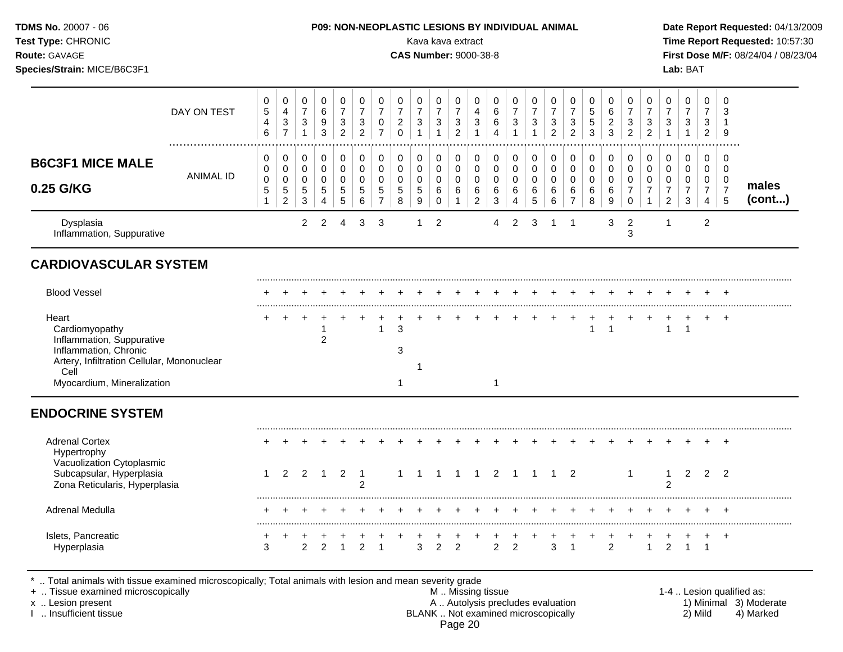| <b>TDMS No. 20007 - 06</b><br><b>Test Type: CHRONIC</b><br><b>Route: GAVAGE</b><br>Species/Strain: MICE/B6C3F1 |             | <b>P09: NON-NEOPLASTIC LESIONS BY INDIVIDUAL ANIMAL</b><br>Kava kava extract<br><b>CAS Number: 9000-38-8</b>                                          | Date Report Requested: 04/13/2009<br>Time Report Requested: 10:57:30<br>First Dose M/F: 08/24/04 / 08/23/04<br>Lab: BAT |
|----------------------------------------------------------------------------------------------------------------|-------------|-------------------------------------------------------------------------------------------------------------------------------------------------------|-------------------------------------------------------------------------------------------------------------------------|
|                                                                                                                | DAY ON TEST | 0<br>$\overline{0}$<br>0<br>0<br>0<br>0<br>0<br>0<br>0<br>0<br>0<br>0<br>0<br>0<br>0<br>0<br>0<br>$\mathbf 0$<br>0<br>0<br>5<br>6<br>4<br>6<br>G<br>4 | ີ                                                                                                                       |

           

1 .................................................................................................................................................................

                       

 

**males (cont...)**

| <b>B6C3F1 MICE MALE</b>                |                  | $\mathbf{0}$<br>$\mathbf{0}$ | 0<br>$\Omega$<br>ັ                 | 0<br>0                        |        |        | v<br>$\sim$ | 0<br>0      | U       |                   | $\cap$ | 0<br>$\cap$         | 0<br>0                         | U           | ັ<br>∼ | U<br>$\cap$<br>ັ | 0<br>0 | υ                   |   | $\sim$       | $\cap$ | 0<br>0                        | v<br>$\sim$                         | $\sim$ |   |
|----------------------------------------|------------------|------------------------------|------------------------------------|-------------------------------|--------|--------|-------------|-------------|---------|-------------------|--------|---------------------|--------------------------------|-------------|--------|------------------|--------|---------------------|---|--------------|--------|-------------------------------|-------------------------------------|--------|---|
| 0.25 G/KG                              | <b>ANIMAL ID</b> | $\mathbf 0$<br>$5^{\circ}$   | $\overline{ }$<br>G<br>$\sim$<br>∼ | 0<br>$\overline{ }$<br>5<br>3 | 5<br>4 | 5<br>5 | v<br>G<br>6 | -<br>G<br>- | '5<br>8 | <sub>5</sub><br>9 | 6<br>0 | 6<br>$\overline{A}$ | 0<br>6<br>$\Omega$<br><u>_</u> | ັ<br>6<br>3 | ◡<br>6 | v<br>6<br>5      | 6<br>6 | 6<br>$\overline{ }$ | R | R.<br>ັ<br>9 | -<br>0 | 0<br>$\overline{\phantom{a}}$ | v<br>⇁<br>$\mathcal{D}$<br><u>_</u> | ╰<br>3 | 4 |
| Dysplasia<br>Inflammation, Suppurative |                  |                              |                                    |                               |        | 4      |             |             |         |                   |        |                     |                                | 4           |        |                  |        |                     |   | 3            | ຈ<br>J |                               |                                     |        | 2 |

# **CARDIOVASCULAR SYSTEM**

| <b>Blood Vessel</b>                                                                                     |  |  |  |   |  |                 |  |  |  |  |  |  | $+$ |  |  |
|---------------------------------------------------------------------------------------------------------|--|--|--|---|--|-----------------|--|--|--|--|--|--|-----|--|--|
| Heart<br>Cardiomyopathy                                                                                 |  |  |  | 3 |  | $+$ $+$ $+$ $+$ |  |  |  |  |  |  | $+$ |  |  |
| Inflammation, Suppurative<br>Inflammation, Chronic<br>Artery, Infiltration Cellular, Mononuclear<br>Cel |  |  |  |   |  |                 |  |  |  |  |  |  |     |  |  |
| Myocardium, Mineralization                                                                              |  |  |  |   |  |                 |  |  |  |  |  |  |     |  |  |

# **ENDOCRINE SYSTEM**

| <b>Adrenal Cortex</b><br><b>Hypertrophy</b><br>Vacuolization Cytoplasmic<br>Subcapsular, Hyperplasia<br>Zona Reticularis, Hyperplasia |   |  |  | ົ |  |  |  |                |  |   | $\overline{\phantom{a}}$ |   |  |  | -2 |
|---------------------------------------------------------------------------------------------------------------------------------------|---|--|--|---|--|--|--|----------------|--|---|--------------------------|---|--|--|----|
| Adrenal Medulla                                                                                                                       |   |  |  |   |  |  |  |                |  |   |                          |   |  |  |    |
| Islets, Pancreatic                                                                                                                    | 3 |  |  |   |  |  |  | 2 <sub>2</sub> |  | 3 |                          | ົ |  |  |    |

\* .. Total animals with tissue examined microscopically; Total animals with lesion and mean severity grade

         

+ .. Tissue examined microscopically M .. Missing tissue 1-4 .. Lesion qualified as: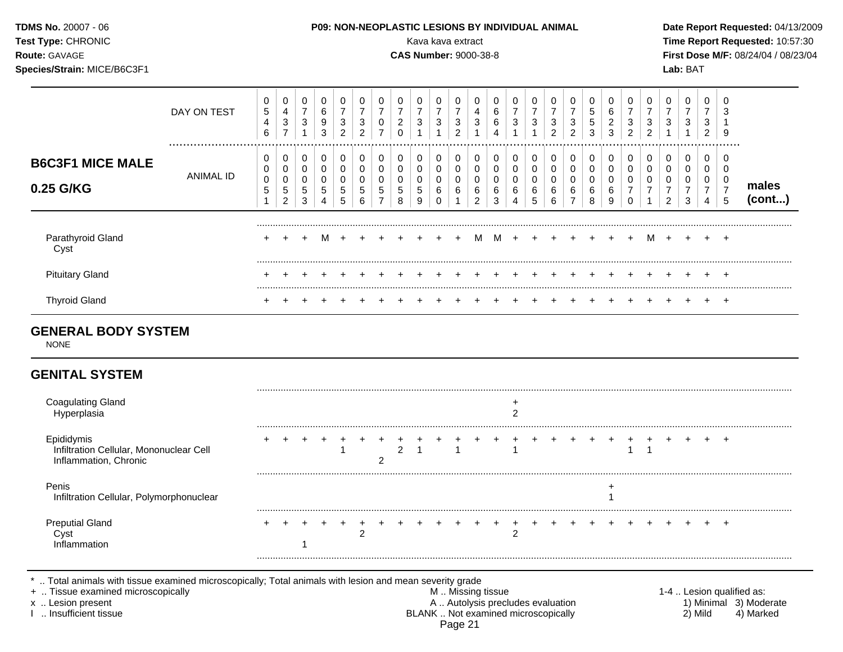| <b>TDMS No. 20007 - 06</b><br>Test Type: CHRONIC<br><b>Route: GAVAGE</b><br>Species/Strain: MICE/B6C3F1 |             |                  |                          |        |                  |                                                       |                                   |   | <b>P09: NON-NEOPLASTIC LESIONS BY INDIVIDUAL ANIMAL</b> |        | Kava kava extract |        | <b>CAS Number: 9000-38-8</b> |             |                          |        |                                     |                        |                  |                  |                                                    |                          |        | Lab: BAT |                                          |             | Date Report Requested: 04/13/2009<br>Time Report Requested: 10:57:30<br>First Dose M/F: 08/24/04 / 08/23/04 |  |
|---------------------------------------------------------------------------------------------------------|-------------|------------------|--------------------------|--------|------------------|-------------------------------------------------------|-----------------------------------|---|---------------------------------------------------------|--------|-------------------|--------|------------------------------|-------------|--------------------------|--------|-------------------------------------|------------------------|------------------|------------------|----------------------------------------------------|--------------------------|--------|----------|------------------------------------------|-------------|-------------------------------------------------------------------------------------------------------------|--|
|                                                                                                         | DAY ON TEST | 0<br>5<br>4<br>6 | 4<br>3<br>$\overline{ }$ | ⇁<br>3 | 0<br>6<br>9<br>3 | $\mathbf{0}$<br>$\overline{ }$<br>3<br>$\overline{2}$ | $\mathbf 0$<br>3<br>$\mathcal{P}$ | 0 | 0<br>2                                                  | 0<br>3 | 0<br>3            | 0<br>3 | 0<br>4<br>3                  | 0<br>6<br>6 | 0<br>$\overline{ }$<br>3 | 0<br>3 | $\mathbf{0}$<br>3<br>$\overline{2}$ | $\mathbf{0}$<br>3<br>2 | 0<br>ა<br>5<br>3 | 0<br>6<br>2<br>ົ | $\mathbf{0}$<br>$\overline{\phantom{a}}$<br>3<br>2 | $\overline{0}$<br>3<br>ົ | 0<br>3 | 0<br>3   | $\mathbf{0}$<br>$\overline{ }$<br>3<br>2 | 0<br>3<br>9 |                                                                                                             |  |
| <b>B6C3F1 MICE MALE</b>                                                                                 |             | 0                |                          |        |                  | 0                                                     |                                   |   |                                                         | 0      |                   |        |                              | 0           |                          |        |                                     | 0                      |                  |                  | 0                                                  | 0                        |        |          | 0                                        |             |                                                                                                             |  |

         

 

Parathyroid Gland + + + M + + + + + + + M M + + + + + + + M + + + +

     

Pituitary Gland + + + + + + + + + + + + + + + + + + + + + + + + +

Thyroid Gland + + + + + + + + + + + + + + + + + + + + + + + + +

#### \* .. Total animals with tissue examined microscopically; Total animals with lesion and mean severity grade<br>+ .. Tissue examined microscopically by any state mean severity grade + .. Tissue examined microscopically the state of the state of the M .. Missing tissue 1-4 .. Lesion qualified as:

Page 21

.........................................................................................................................................................................................................

     

 

         

   

**males (cont...)**

 

.........................................................................................................................................................................................................

.........................................................................................................................................................................................................

**GENERAL BODY SYSTEM**

ANIMAL ID

 

     

NONE

Cyst

**0.25 G/KG**

# **GENITAL SYSTEM**

| <b>Coagulating Gland</b>                                                       |  |  |  |  |  |  |  |  |  |  |  |  |  |  |
|--------------------------------------------------------------------------------|--|--|--|--|--|--|--|--|--|--|--|--|--|--|
| Epididymis<br>Infiltration Cellular, Mononuclear Cell<br>Inflammation, Chronic |  |  |  |  |  |  |  |  |  |  |  |  |  |  |
| Penis<br>Infiltration Cellular, Polymorphonuclear                              |  |  |  |  |  |  |  |  |  |  |  |  |  |  |
| <b>Preputial Gland</b>                                                         |  |  |  |  |  |  |  |  |  |  |  |  |  |  |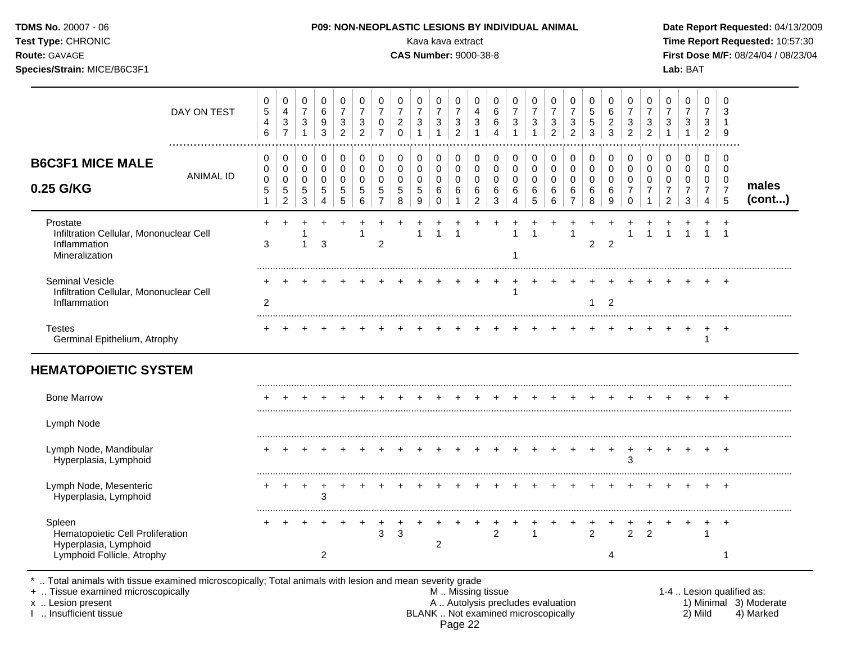| Test Type: CHRONIC<br>Route: GAVAGE<br>Species/Strain: MICE/B6C3F1                    |                  |                                          |                                                                    |                                                   |                                                                   |                                                     |                                                               |                                                      |                                                  | Kava kava extract<br><b>CAS Number: 9000-38-8</b>   |                                                               |                                                                            |                                                                 |                                                   |                                                     |                                          |                                                                    |                                                                              |                                                         |                                           |                                                                          |                                                   |                                                                  | Lab: BAT                                                                  |                                                      |                                                                  | Time Report Requested: 10:57:30<br>First Dose M/F: 08/24/04 / 08/23/04 |
|---------------------------------------------------------------------------------------|------------------|------------------------------------------|--------------------------------------------------------------------|---------------------------------------------------|-------------------------------------------------------------------|-----------------------------------------------------|---------------------------------------------------------------|------------------------------------------------------|--------------------------------------------------|-----------------------------------------------------|---------------------------------------------------------------|----------------------------------------------------------------------------|-----------------------------------------------------------------|---------------------------------------------------|-----------------------------------------------------|------------------------------------------|--------------------------------------------------------------------|------------------------------------------------------------------------------|---------------------------------------------------------|-------------------------------------------|--------------------------------------------------------------------------|---------------------------------------------------|------------------------------------------------------------------|---------------------------------------------------------------------------|------------------------------------------------------|------------------------------------------------------------------|------------------------------------------------------------------------|
|                                                                                       | DAY ON TEST      | 0<br>$\mathbf 5$<br>4<br>$6\phantom{1}6$ | 0<br>$\overline{4}$<br>$\ensuremath{\mathsf{3}}$<br>$\overline{7}$ | 0<br>$\overline{7}$<br>$\sqrt{3}$<br>$\mathbf{1}$ | $\,0\,$<br>$\,6$<br>$\boldsymbol{9}$<br>$\ensuremath{\mathsf{3}}$ | 0<br>$\overline{7}$<br>$\sqrt{3}$<br>$\overline{2}$ | $\mathbf 0$<br>$\overline{7}$<br>$\sqrt{3}$<br>$\overline{2}$ | 0<br>$\overline{7}$<br>$\pmb{0}$<br>$\overline{7}$   | 0<br>$\overline{7}$<br>$\sqrt{2}$<br>$\mathbf 0$ | 0<br>$\overline{7}$<br>3<br>$\mathbf{1}$            | 0<br>$\overline{7}$<br>$\sqrt{3}$<br>$\mathbf{1}$             | $\pmb{0}$<br>$\overline{7}$<br>$\ensuremath{\mathsf{3}}$<br>$\overline{2}$ | $\mathbf 0$<br>4<br>$\ensuremath{\mathsf{3}}$<br>$\overline{1}$ | 0<br>$\,6\,$<br>6<br>$\overline{4}$               | 0<br>$\overline{7}$<br>$\ensuremath{\mathsf{3}}$    | 0<br>$\overline{7}$<br>3<br>$\mathbf{1}$ | 0<br>$\overline{7}$<br>$\ensuremath{\mathsf{3}}$<br>$\overline{2}$ | $\mathbf 0$<br>$\overline{7}$<br>$\ensuremath{\mathsf{3}}$<br>$\overline{2}$ | $\mathbf 0$<br>$\sqrt{5}$<br>$\sqrt{5}$<br>$\mathbf{3}$ | 0<br>6<br>$\sqrt{2}$<br>3                 | 0<br>$\overline{7}$<br>$\sqrt{3}$<br>$\overline{2}$                      | 0<br>$\overline{7}$<br>3<br>$\overline{2}$        | 0<br>$\overline{7}$<br>$\ensuremath{\mathsf{3}}$<br>$\mathbf{1}$ | $\mathbf 0$<br>$\overline{7}$<br>3<br>$\mathbf{1}$                        | $\mathbf 0$<br>$\overline{7}$<br>3<br>$\overline{2}$ | $\mathbf 0$<br>3<br>-1<br>9                                      |                                                                        |
| <b>B6C3F1 MICE MALE</b><br>0.25 G/KG                                                  | <b>ANIMAL ID</b> | 0<br>0<br>$\mathbf 0$<br>5<br>-1         | 0<br>$\mathbf 0$<br>$\mathbf 0$<br>5<br>$\overline{c}$             | $\mathbf 0$<br>0<br>$\mathbf 0$<br>5<br>3         | $\mathbf 0$<br>$\mathbf 0$<br>$\mathbf 0$<br>5<br>4               | $\mathbf 0$<br>$\mathbf 0$<br>$\mathbf 0$<br>5<br>5 | $\mathbf 0$<br>$\mathbf 0$<br>$\mathbf 0$<br>5<br>6           | 0<br>$\pmb{0}$<br>$\mathbf 0$<br>5<br>$\overline{7}$ | 0<br>$\mathbf 0$<br>$\mathbf 0$<br>5<br>8        | $\mathbf 0$<br>$\mathbf 0$<br>$\mathbf 0$<br>5<br>9 | $\mathbf 0$<br>$\mathbf 0$<br>$\mathbf 0$<br>6<br>$\mathbf 0$ | $\mathbf 0$<br>$\pmb{0}$<br>$\mathbf 0$<br>6                               | 0<br>$\pmb{0}$<br>0<br>6<br>$\overline{c}$                      | $\mathbf 0$<br>$\pmb{0}$<br>$\mathbf 0$<br>6<br>3 | $\mathbf 0$<br>$\mathbf 0$<br>$\mathbf 0$<br>6<br>4 | 0<br>0<br>$\mathbf 0$<br>6<br>5          | $\mathbf 0$<br>$\mathbf 0$<br>$\mathbf 0$<br>6<br>6                | $\mathbf 0$<br>$\mathbf 0$<br>$\mathbf 0$<br>6<br>$\overline{7}$             | $\Omega$<br>$\mathbf 0$<br>$\mathbf 0$<br>6<br>8        | $\mathbf 0$<br>0<br>$\mathbf 0$<br>6<br>9 | $\mathbf 0$<br>$\mathbf 0$<br>$\mathbf 0$<br>$\overline{7}$<br>$\pmb{0}$ | $\mathbf 0$<br>$\mathbf 0$<br>0<br>$\overline{7}$ | $\mathbf 0$<br>0<br>0<br>$\overline{7}$<br>$\boldsymbol{2}$      | $\mathbf 0$<br>$\mathbf 0$<br>$\mathbf 0$<br>$\overline{7}$<br>$\sqrt{3}$ | $\mathbf 0$<br>0<br>0<br>$\overline{7}$<br>4         | $\mathbf 0$<br>$\mathbf 0$<br>$\mathbf 0$<br>$\overline{7}$<br>5 | males<br>(cont)                                                        |
| Prostate<br>Infiltration Cellular, Mononuclear Cell<br>Inflammation<br>Mineralization |                  | 3                                        |                                                                    | 1                                                 | 3                                                                 |                                                     | -1                                                            | $\overline{2}$                                       |                                                  | 1                                                   |                                                               |                                                                            |                                                                 |                                                   | 1<br>1                                              |                                          |                                                                    |                                                                              | $\overline{2}$                                          | $\overline{2}$                            |                                                                          | 1                                                 |                                                                  |                                                                           |                                                      |                                                                  |                                                                        |
| <b>Seminal Vesicle</b><br>Infiltration Cellular, Mononuclear Cell<br>Inflammation     |                  | 2                                        |                                                                    |                                                   |                                                                   |                                                     |                                                               |                                                      |                                                  |                                                     |                                                               |                                                                            |                                                                 |                                                   | $\ddot{}$<br>$\mathbf{1}$                           |                                          |                                                                    |                                                                              | $\overline{1}$                                          | $\overline{2}$                            |                                                                          |                                                   |                                                                  |                                                                           |                                                      | $\pm$                                                            |                                                                        |
| <b>Testes</b><br>Germinal Epithelium, Atrophy                                         |                  |                                          |                                                                    |                                                   |                                                                   |                                                     |                                                               |                                                      |                                                  |                                                     |                                                               |                                                                            |                                                                 |                                                   |                                                     |                                          |                                                                    |                                                                              |                                                         |                                           |                                                                          |                                                   |                                                                  |                                                                           | -1                                                   | $^{+}$                                                           |                                                                        |
| <b>HEMATOPOIETIC SYSTEM</b>                                                           |                  |                                          |                                                                    |                                                   |                                                                   |                                                     |                                                               |                                                      |                                                  |                                                     |                                                               |                                                                            |                                                                 |                                                   |                                                     |                                          |                                                                    |                                                                              |                                                         |                                           |                                                                          |                                                   |                                                                  |                                                                           |                                                      |                                                                  |                                                                        |
| <b>Bone Marrow</b>                                                                    |                  |                                          |                                                                    |                                                   |                                                                   |                                                     |                                                               |                                                      |                                                  |                                                     |                                                               |                                                                            |                                                                 |                                                   |                                                     |                                          |                                                                    |                                                                              |                                                         |                                           |                                                                          |                                                   |                                                                  |                                                                           |                                                      |                                                                  |                                                                        |
| Lymph Node                                                                            |                  |                                          |                                                                    |                                                   |                                                                   |                                                     |                                                               |                                                      |                                                  |                                                     |                                                               |                                                                            |                                                                 |                                                   |                                                     |                                          |                                                                    |                                                                              |                                                         |                                           |                                                                          |                                                   |                                                                  |                                                                           |                                                      |                                                                  |                                                                        |
| Lymph Node, Mandibular<br>Hyperplasia, Lymphoid                                       |                  |                                          |                                                                    |                                                   |                                                                   |                                                     |                                                               |                                                      |                                                  |                                                     |                                                               |                                                                            |                                                                 |                                                   |                                                     |                                          |                                                                    |                                                                              |                                                         |                                           | 3                                                                        | $\ddot{}$                                         |                                                                  |                                                                           |                                                      |                                                                  |                                                                        |
| Lymph Node, Mesenteric<br>Hyperplasia, Lymphoid                                       |                  |                                          | $\overline{ }$                                                     | $+$                                               | $^{+}$<br>3                                                       | $\ddot{}$                                           |                                                               |                                                      |                                                  |                                                     |                                                               |                                                                            |                                                                 |                                                   |                                                     |                                          | $+$                                                                | $+$                                                                          |                                                         |                                           |                                                                          |                                                   |                                                                  |                                                                           |                                                      |                                                                  |                                                                        |
| Spleen<br>Hematopoietic Cell Proliferation<br>Hyperplasia, Lymphoid                   |                  |                                          |                                                                    |                                                   |                                                                   |                                                     |                                                               | 3                                                    | 3                                                |                                                     | $\overline{c}$                                                |                                                                            |                                                                 | $\overline{c}$                                    |                                                     |                                          |                                                                    |                                                                              | $\overline{2}$                                          |                                           | $\overline{2}$                                                           | $\overline{2}$                                    |                                                                  |                                                                           | -1                                                   | $\ddot{}$                                                        |                                                                        |
| Lymphoid Follicle, Atrophy                                                            |                  |                                          |                                                                    |                                                   | $\overline{2}$                                                    |                                                     |                                                               |                                                      |                                                  |                                                     |                                                               |                                                                            |                                                                 |                                                   |                                                     |                                          |                                                                    |                                                                              |                                                         | 4                                         |                                                                          |                                                   |                                                                  |                                                                           |                                                      | 1                                                                |                                                                        |

\* .. Total animals with tissue examined microscopically; Total animals with lesion and mean severity grade

+ .. Tissue examined microscopically M .. Missing tissue 1-4 .. Lesion qualified as: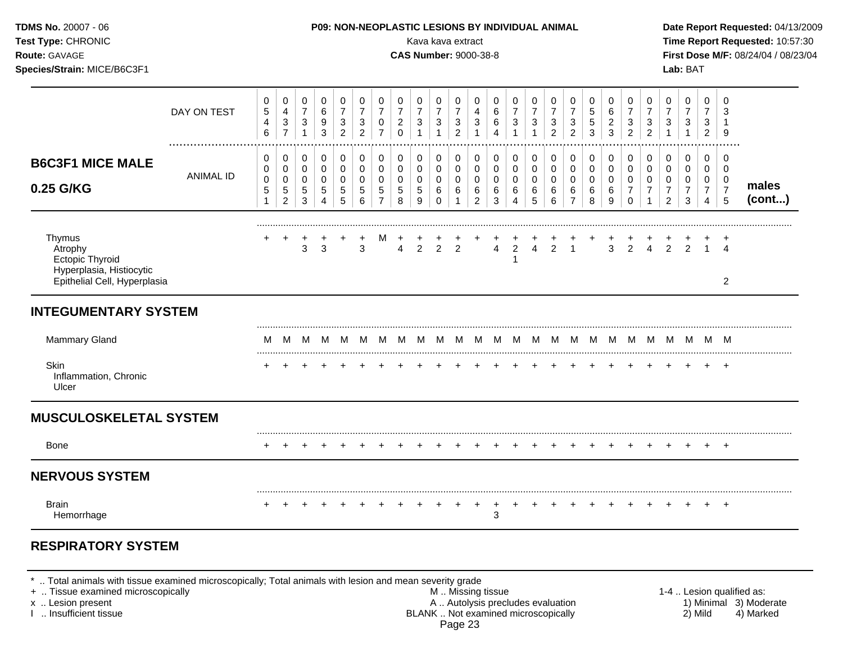| TDMS No. 20007 - 06<br>Test Type: CHRONIC<br>Route: GAVAGE<br>Species/Strain: MICE/B6C3F1        |               |                                                               |                                                                 |                                                                  |                                                              |                                                               |                                                                      |                                                                 |                                                                 |                                           | P09: NON-NEOPLASTIC LESIONS BY INDIVIDUAL ANIMAL<br>Kava kava extract<br><b>CAS Number: 9000-38-8</b> |                                                                    |                                                             |                                 |                                                                 |                                                   |                                        |                                                            |                           |                                                           |                                                                    |                                                                     |                                                     | Lab: BAT                                                         |                                            |                                                  | Date Report Requested: 04/13/2009<br>Time Report Requested: 10:57:30<br>First Dose M/F: 08/24/04 / 08/23/04 |
|--------------------------------------------------------------------------------------------------|---------------|---------------------------------------------------------------|-----------------------------------------------------------------|------------------------------------------------------------------|--------------------------------------------------------------|---------------------------------------------------------------|----------------------------------------------------------------------|-----------------------------------------------------------------|-----------------------------------------------------------------|-------------------------------------------|-------------------------------------------------------------------------------------------------------|--------------------------------------------------------------------|-------------------------------------------------------------|---------------------------------|-----------------------------------------------------------------|---------------------------------------------------|----------------------------------------|------------------------------------------------------------|---------------------------|-----------------------------------------------------------|--------------------------------------------------------------------|---------------------------------------------------------------------|-----------------------------------------------------|------------------------------------------------------------------|--------------------------------------------|--------------------------------------------------|-------------------------------------------------------------------------------------------------------------|
|                                                                                                  | DAY ON TEST   | 0<br>5<br>$\overline{4}$<br>6                                 | 0<br>$\overline{4}$<br>3<br>$\overline{7}$                      | 0<br>$\overline{7}$<br>$\ensuremath{\mathsf{3}}$<br>$\mathbf{1}$ | $\mathbf 0$<br>6<br>$\boldsymbol{9}$<br>3                    | 0<br>$\overline{7}$<br>$\sqrt{3}$<br>$\overline{2}$           | 0<br>$\boldsymbol{7}$<br>$\ensuremath{\mathsf{3}}$<br>$\overline{2}$ | 0<br>$\overline{7}$<br>$\mathbf 0$<br>$\overline{7}$            | 0<br>$\boldsymbol{7}$<br>$\overline{\mathbf{c}}$<br>$\mathbf 0$ | 0<br>$\overline{7}$<br>3<br>$\mathbf{1}$  | 0<br>$\overline{7}$<br>$\ensuremath{\mathsf{3}}$<br>$\mathbf{1}$                                      | 0<br>$\overline{7}$<br>$\ensuremath{\mathsf{3}}$<br>$\overline{2}$ | $\mathbf 0$<br>$\overline{4}$<br>$\sqrt{3}$<br>$\mathbf{1}$ | 0<br>6<br>6<br>$\overline{4}$   | $\mathbf 0$<br>$\overline{7}$<br>$\mathbf{3}$<br>$\overline{1}$ | 0<br>$\overline{7}$<br>$\sqrt{3}$<br>$\mathbf{1}$ | 0<br>$\boldsymbol{7}$<br>$\frac{3}{2}$ | 0<br>$\overline{7}$<br>3<br>$\overline{2}$                 | 0<br>5<br>$\sqrt{5}$<br>3 | 0<br>$\,6\,$<br>$\boldsymbol{2}$<br>$\mathbf{3}$          | 0<br>$\overline{7}$<br>$\ensuremath{\mathsf{3}}$<br>$\overline{2}$ | 0<br>$\overline{7}$<br>$\frac{3}{2}$                                | $\mathbf 0$<br>$\overline{7}$<br>3<br>$\mathbf{1}$  | 0<br>$\overline{7}$<br>3<br>$\mathbf{1}$                         | 0<br>$\overline{7}$<br>3<br>$\overline{2}$ | $\Omega$<br>3<br>$\mathbf{1}$<br>9               |                                                                                                             |
| <b>B6C3F1 MICE MALE</b><br>0.25 G/KG                                                             | <br>ANIMAL ID | $\mathbf 0$<br>0<br>$\mathbf 0$<br>$\sqrt{5}$<br>$\mathbf{1}$ | 0<br>$\mathbf 0$<br>$\mathbf 0$<br>$\sqrt{5}$<br>$\overline{2}$ | $\pmb{0}$<br>0<br>$\mathbf 0$<br>$\,$ 5 $\,$<br>$\sqrt{3}$       | $\mathbf 0$<br>$\mathbf 0$<br>$\mathbf 0$<br>$\sqrt{5}$<br>4 | $\mathbf 0$<br>$\mathbf 0$<br>$\mathbf 0$<br>$\,$ 5 $\,$<br>5 | 0<br>$\pmb{0}$<br>$\mathbf 0$<br>$\mathbf 5$<br>$\,6\,$              | 0<br>$\mathbf 0$<br>$\mathbf 0$<br>$\sqrt{5}$<br>$\overline{7}$ | 0<br>$\Omega$<br>$\mathbf 0$<br>5<br>8                          | $\mathbf 0$<br>0<br>$\mathbf 0$<br>5<br>9 | 0<br>0<br>$\mathbf 0$<br>$\,6\,$<br>$\mathbf 0$                                                       | $\mathbf 0$<br>$\mathbf 0$<br>0<br>6<br>$\mathbf{1}$               | 0<br>$\mathbf 0$<br>$\mathbf 0$<br>6<br>$\overline{c}$      | 0<br>$\mathbf 0$<br>0<br>6<br>3 | 0<br>$\mathbf 0$<br>$\mathbf 0$<br>6<br>4                       | 0<br>$\mathbf 0$<br>$\mathbf 0$<br>6<br>5         | 0<br>$\mathsf 0$<br>0<br>6<br>6        | $\Omega$<br>$\Omega$<br>$\mathbf 0$<br>6<br>$\overline{7}$ | 0<br>0<br>0<br>6<br>8     | $\mathbf 0$<br>$\mathbf 0$<br>$\mathbf 0$<br>$\,6\,$<br>9 | 0<br>$\mathbf 0$<br>0<br>$\boldsymbol{7}$<br>$\mathbf 0$           | $\mathbf 0$<br>$\mathbf{0}$<br>$\mathbf 0$<br>$\boldsymbol{7}$<br>1 | $\mathbf 0$<br>$\Omega$<br>0<br>$\overline{7}$<br>2 | $\mathbf 0$<br>$\mathbf 0$<br>$\mathbf 0$<br>$\overline{7}$<br>3 | 0<br>0<br>0<br>$\overline{7}$<br>4         | $\Omega$<br>$\Omega$<br>0<br>$\overline{7}$<br>5 | males<br>(cont)                                                                                             |
| Thymus<br>Atrophy<br>Ectopic Thyroid<br>Hyperplasia, Histiocytic<br>Epithelial Cell, Hyperplasia |               |                                                               | $\overline{+}$                                                  | 3                                                                | 3                                                            |                                                               | 3                                                                    |                                                                 | $\overline{4}$                                                  | $\overline{c}$                            | $\overline{c}$                                                                                        | 2                                                                  |                                                             | 4                               | $\overline{\mathbf{c}}$<br>1                                    | $\overline{\mathbf{4}}$                           | $\overline{2}$                         |                                                            |                           | 3                                                         | $\overline{2}$                                                     | $\overline{4}$                                                      | $\overline{2}$                                      | 2                                                                |                                            | $\ddot{}$<br>$\overline{A}$<br>$\overline{2}$    |                                                                                                             |
| <b>INTEGUMENTARY SYSTEM</b>                                                                      |               |                                                               |                                                                 |                                                                  |                                                              |                                                               |                                                                      |                                                                 |                                                                 |                                           |                                                                                                       |                                                                    |                                                             |                                 |                                                                 |                                                   |                                        |                                                            |                           |                                                           |                                                                    |                                                                     |                                                     |                                                                  |                                            |                                                  |                                                                                                             |
| Mammary Gland                                                                                    |               | M                                                             |                                                                 |                                                                  |                                                              |                                                               |                                                                      |                                                                 |                                                                 |                                           |                                                                                                       |                                                                    |                                                             |                                 |                                                                 |                                                   |                                        |                                                            |                           |                                                           |                                                                    |                                                                     |                                                     |                                                                  |                                            |                                                  |                                                                                                             |
| <b>Skin</b><br>Inflammation, Chronic<br>Ulcer                                                    |               |                                                               |                                                                 |                                                                  |                                                              |                                                               |                                                                      |                                                                 |                                                                 |                                           |                                                                                                       |                                                                    |                                                             |                                 |                                                                 |                                                   |                                        |                                                            |                           |                                                           |                                                                    |                                                                     |                                                     |                                                                  | $+$                                        | $+$                                              |                                                                                                             |
| <b>MUSCULOSKELETAL SYSTEM</b>                                                                    |               |                                                               |                                                                 |                                                                  |                                                              |                                                               |                                                                      |                                                                 |                                                                 |                                           |                                                                                                       |                                                                    |                                                             |                                 |                                                                 |                                                   |                                        |                                                            |                           |                                                           |                                                                    |                                                                     |                                                     |                                                                  |                                            |                                                  |                                                                                                             |
| Bone                                                                                             |               |                                                               |                                                                 |                                                                  |                                                              |                                                               |                                                                      |                                                                 |                                                                 |                                           |                                                                                                       |                                                                    |                                                             |                                 |                                                                 |                                                   |                                        |                                                            |                           |                                                           | $\div$                                                             |                                                                     |                                                     |                                                                  |                                            | $+$                                              |                                                                                                             |
| <b>NERVOUS SYSTEM</b>                                                                            |               |                                                               |                                                                 |                                                                  |                                                              |                                                               |                                                                      |                                                                 |                                                                 |                                           |                                                                                                       |                                                                    |                                                             |                                 |                                                                 |                                                   |                                        |                                                            |                           |                                                           |                                                                    |                                                                     |                                                     |                                                                  |                                            |                                                  |                                                                                                             |
| <b>Brain</b>                                                                                     |               | $+$                                                           | $\pm$                                                           | $+$                                                              |                                                              |                                                               |                                                                      |                                                                 |                                                                 |                                           |                                                                                                       | $\div$                                                             | $\ddot{}$                                                   | $+$<br>3                        |                                                                 |                                                   |                                        | $+$                                                        |                           | $\div$                                                    | $+$                                                                | $\div$                                                              |                                                     |                                                                  | $+$                                        | $+$                                              |                                                                                                             |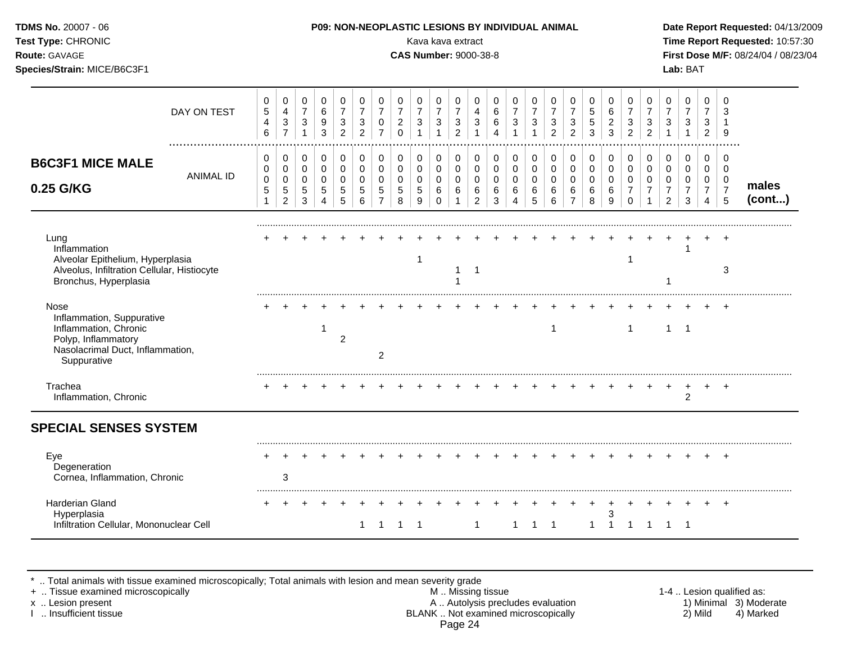| TDMS No. 20007 - 06<br>Test Type: CHRONIC<br>Route: GAVAGE<br>Species/Strain: MICE/B6C3F1                                            |                  |                                         |                                                                            |                                                             |                                                              |                                                               |                                                               |                                                      |                                                      | Kava kava extract<br><b>CAS Number: 9000-38-8</b> |                                                        |                                                     |                                                             |                                           | <b>P09: NON-NEOPLASTIC LESIONS BY INDIVIDUAL ANIMAL</b>       |                                         |                                                     |                                            |                                                     |                                                   |                                                               |                                                                              |                                                           | Lab: BAT                                                      |                                                           |                                                           | Date Report Requested: 04/13/2009<br>Time Report Requested: 10:57:30<br>First Dose M/F: 08/24/04 / 08/23/04 |
|--------------------------------------------------------------------------------------------------------------------------------------|------------------|-----------------------------------------|----------------------------------------------------------------------------|-------------------------------------------------------------|--------------------------------------------------------------|---------------------------------------------------------------|---------------------------------------------------------------|------------------------------------------------------|------------------------------------------------------|---------------------------------------------------|--------------------------------------------------------|-----------------------------------------------------|-------------------------------------------------------------|-------------------------------------------|---------------------------------------------------------------|-----------------------------------------|-----------------------------------------------------|--------------------------------------------|-----------------------------------------------------|---------------------------------------------------|---------------------------------------------------------------|------------------------------------------------------------------------------|-----------------------------------------------------------|---------------------------------------------------------------|-----------------------------------------------------------|-----------------------------------------------------------|-------------------------------------------------------------------------------------------------------------|
|                                                                                                                                      | DAY ON TEST      | 0<br>$\mathbf 5$<br>$\overline{4}$<br>6 | $\pmb{0}$<br>$\overline{4}$<br>$\ensuremath{\mathsf{3}}$<br>$\overline{7}$ | $\mathbf 0$<br>$\overline{7}$<br>$\sqrt{3}$<br>$\mathbf{1}$ | $\mathbf 0$<br>$\,6\,$<br>$\boldsymbol{9}$<br>$\mathbf{3}$   | $\mathbf 0$<br>$\overline{7}$<br>$\sqrt{3}$<br>$\overline{2}$ | $\mathbf 0$<br>$\overline{7}$<br>$\sqrt{3}$<br>$\overline{2}$ | $\mathbf 0$<br>$\overline{7}$<br>0<br>$\overline{7}$ | 0<br>$\overline{7}$<br>$\overline{c}$<br>$\mathbf 0$ | 0<br>$\overline{7}$<br>3                          | 0<br>$\overline{7}$<br>$\sqrt{3}$                      | 0<br>$\overline{7}$<br>$\sqrt{3}$<br>$\overline{2}$ | $\mathbf 0$<br>$\overline{4}$<br>$\sqrt{3}$<br>$\mathbf{1}$ | 0<br>$\,6$<br>6<br>4                      | $\mathbf 0$<br>$\overline{7}$<br>$\mathbf{3}$<br>$\mathbf{1}$ | 0<br>$\overline{7}$<br>3                | 0<br>$\overline{7}$<br>$\sqrt{3}$<br>$\overline{2}$ | 0<br>$\overline{7}$<br>3<br>$\overline{2}$ | 0<br>5<br>5<br>3                                    | 0<br>$\,6$<br>$\boldsymbol{2}$<br>$\mathbf{3}$    | 0<br>$\overline{7}$<br>$\mathbf{3}$<br>$\overline{2}$         | $\mathbf 0$<br>$\overline{7}$<br>$\ensuremath{\mathsf{3}}$<br>$\overline{2}$ | 0<br>$\overline{7}$<br>3                                  | $\pmb{0}$<br>$\overline{7}$<br>3                              | 0<br>$\overline{7}$<br>3<br>$\overline{2}$                | $\Omega$<br>9                                             |                                                                                                             |
| <b>B6C3F1 MICE MALE</b><br>0.25 G/KG                                                                                                 | <b>ANIMAL ID</b> | 0<br>0<br>$\mathbf 0$<br>$\sqrt{5}$     | 0<br>$\pmb{0}$<br>$\pmb{0}$<br>$\sqrt{5}$<br>$\overline{2}$                | $\mathbf 0$<br>$\pmb{0}$<br>$\mathbf 0$<br>$\sqrt{5}$<br>3  | $\mathbf 0$<br>$\mathbf 0$<br>$\mathbf 0$<br>$\sqrt{5}$<br>4 | $\mathbf 0$<br>$\pmb{0}$<br>$\mathbf 0$<br>$\sqrt{5}$<br>5    | 0<br>$\pmb{0}$<br>$\mathbf 0$<br>5<br>6                       | 0<br>$\pmb{0}$<br>$\mathbf 0$<br>5<br>$\overline{7}$ | $\mathbf 0$<br>0<br>0<br>5<br>8                      | 0<br>0<br>0<br>5<br>9                             | $\pmb{0}$<br>$\pmb{0}$<br>$\mathbf 0$<br>6<br>$\Omega$ | 0<br>$\mathbf 0$<br>0<br>6                          | 0<br>$\mathbf 0$<br>$\mathbf 0$<br>6<br>$\overline{2}$      | 0<br>$\mathbf 0$<br>$\mathbf 0$<br>6<br>3 | $\mathbf 0$<br>$\mathbf 0$<br>$\mathbf 0$<br>6                | 0<br>$\pmb{0}$<br>$\mathbf 0$<br>6<br>5 | 0<br>$\pmb{0}$<br>$\pmb{0}$<br>6<br>6               | 0<br>0<br>0<br>6<br>$\overline{7}$         | $\mathbf 0$<br>$\mathbf 0$<br>$\mathbf 0$<br>6<br>8 | $\mathbf 0$<br>$\pmb{0}$<br>$\mathbf 0$<br>6<br>9 | $\mathbf 0$<br>$\mathbf 0$<br>0<br>$\overline{7}$<br>$\Omega$ | $\mathbf 0$<br>$\pmb{0}$<br>$\mathbf 0$<br>$\overline{7}$                    | 0<br>$\mathbf 0$<br>0<br>$\overline{7}$<br>$\overline{2}$ | $\mathbf 0$<br>$\mathbf 0$<br>$\Omega$<br>$\overline{7}$<br>3 | 0<br>$\mathbf 0$<br>0<br>$\overline{7}$<br>$\overline{4}$ | 0<br>$\mathbf 0$<br>$\overline{0}$<br>$\overline{7}$<br>5 | males<br>(cont)                                                                                             |
| Lung<br>Inflammation<br>Alveolar Epithelium, Hyperplasia<br>Alveolus, Infiltration Cellular, Histiocyte<br>Bronchus, Hyperplasia     |                  |                                         |                                                                            |                                                             |                                                              |                                                               |                                                               |                                                      |                                                      | -1                                                |                                                        | 1                                                   | $\overline{1}$                                              |                                           |                                                               |                                         |                                                     |                                            |                                                     |                                                   | -1                                                            |                                                                              |                                                           |                                                               |                                                           | 3                                                         |                                                                                                             |
| Nose<br>Inflammation, Suppurative<br>Inflammation, Chronic<br>Polyp, Inflammatory<br>Nasolacrimal Duct, Inflammation,<br>Suppurative |                  |                                         |                                                                            |                                                             | -1                                                           | $\overline{c}$                                                |                                                               | 2                                                    |                                                      |                                                   |                                                        |                                                     |                                                             |                                           |                                                               |                                         | -1                                                  |                                            |                                                     |                                                   | $\mathbf{1}$                                                  |                                                                              | $\mathbf{1}$                                              | $\overline{1}$                                                |                                                           |                                                           |                                                                                                             |
| Trachea<br>Inflammation, Chronic                                                                                                     |                  |                                         |                                                                            |                                                             |                                                              |                                                               |                                                               |                                                      |                                                      |                                                   |                                                        |                                                     |                                                             |                                           |                                                               |                                         |                                                     |                                            |                                                     |                                                   |                                                               |                                                                              |                                                           | 2                                                             |                                                           |                                                           |                                                                                                             |
| <b>SPECIAL SENSES SYSTEM</b>                                                                                                         |                  |                                         |                                                                            |                                                             |                                                              |                                                               |                                                               |                                                      |                                                      |                                                   |                                                        |                                                     |                                                             |                                           |                                                               |                                         |                                                     |                                            |                                                     |                                                   |                                                               |                                                                              |                                                           |                                                               |                                                           |                                                           |                                                                                                             |
| Eye<br>Degeneration<br>Cornea, Inflammation, Chronic                                                                                 |                  |                                         | 3                                                                          |                                                             |                                                              |                                                               |                                                               |                                                      |                                                      |                                                   |                                                        |                                                     |                                                             |                                           |                                                               |                                         |                                                     |                                            |                                                     |                                                   |                                                               |                                                                              |                                                           |                                                               |                                                           | $+$                                                       |                                                                                                             |
| Harderian Gland<br>Hyperplasia<br>Infiltration Cellular, Mononuclear Cell                                                            |                  |                                         |                                                                            |                                                             |                                                              |                                                               | 1                                                             |                                                      | 1 1 1                                                |                                                   |                                                        |                                                     | $\overline{1}$                                              |                                           | $\mathbf{1}$                                                  | 1 1                                     |                                                     |                                            | $\mathbf{1}$                                        | 3<br>$\overline{1}$                               | $\overline{1}$                                                | $\overline{1}$                                                               |                                                           | $1 \quad 1$                                                   |                                                           | $+$                                                       |                                                                                                             |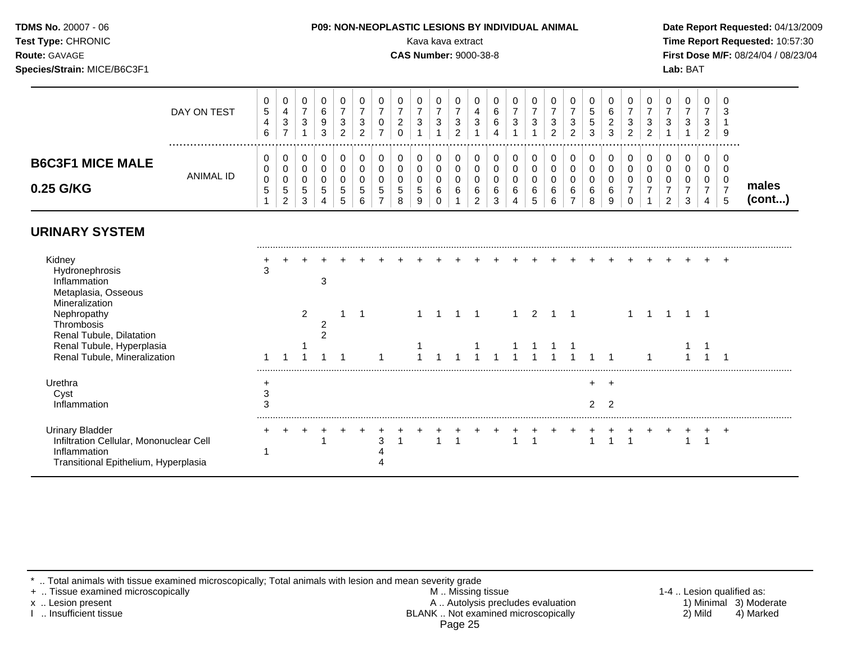| <b>TDMS No. 20007 - 06</b>  | <b>P09: NON-NEOPLASTIC LESIONS BY INDIVIDUAL ANIMAL</b>                                                                                                        | Date Rep         |
|-----------------------------|----------------------------------------------------------------------------------------------------------------------------------------------------------------|------------------|
| <b>Test Type: CHRONIC</b>   | Kava kava extract                                                                                                                                              | <b>Time Rep</b>  |
| <b>Route: GAVAGE</b>        | <b>CAS Number: 9000-38-8</b>                                                                                                                                   | <b>First Dos</b> |
| Species/Strain: MICE/B6C3F1 |                                                                                                                                                                | Lab: BAT         |
|                             | $\mathbf 0$<br>$\mathbf 0$<br>$\mathbf 0$<br>$\mathbf 0$<br>0<br>0<br>0<br>$\overline{0}$<br>$\overline{0}$<br>$\overline{0}$<br>$\mathbf 0$<br>$\overline{0}$ |                  |

|                                                                   | DAY ON TEST      | 0<br>5<br>4<br>6           | 0<br>4<br>3<br>-                   | 0<br>$\overline{\phantom{a}}$<br>3 | 6<br>9<br>3 | 0<br>3<br>ົ           | 0<br>–<br>3<br>ົ      | 0<br>0<br>-      | υ<br>-<br>ົ<br>∠      | 0<br>-<br>3           | 0<br>⇁<br>3      | 3<br>$\sqrt{2}$ | 0<br>4<br>3           | 0<br>6<br>6<br>4      | 0<br>3                | U<br>-<br>3                     | 0<br>3<br>$\overline{2}$ | 0<br>⇁<br>3<br>2                   | đ<br><sub>5</sub><br>3 | 0<br>6<br>ົ<br>∠<br>3 | 0<br>⇁<br>3<br>ົ | 3<br>ົ<br>∠ | υ<br>-<br>3 | 0<br>-<br>3      | 0<br>$\overline{ }$<br>3<br>2 | - C<br>3<br>-9  |                 |
|-------------------------------------------------------------------|------------------|----------------------------|------------------------------------|------------------------------------|-------------|-----------------------|-----------------------|------------------|-----------------------|-----------------------|------------------|-----------------|-----------------------|-----------------------|-----------------------|---------------------------------|--------------------------|------------------------------------|------------------------|-----------------------|------------------|-------------|-------------|------------------|-------------------------------|-----------------|-----------------|
| <b>B6C3F1 MICE MALE</b><br>0.25 G/KG                              | <b>ANIMAL ID</b> | U<br>0<br>$\mathbf 0$<br>5 | 0<br>0<br>0<br>5<br>$\overline{2}$ | 0<br>0<br>0<br>5<br>3              | 5           | 0<br>0<br>0<br>5<br>5 | 0<br>0<br>0<br>5<br>6 | C<br>С<br>5<br>- | v<br>υ<br>v<br>G<br>8 | 0<br>0<br>0<br>5<br>9 | 0<br>0<br>0<br>6 | 6               | 0<br>0<br>0<br>6<br>ົ | 0<br>0<br>0<br>6<br>3 | 0<br>0<br>0<br>6<br>4 | U<br>U<br>υ<br>$\sim$<br>ь<br>đ | 0<br>0<br>0<br>6<br>6    | 0<br>0<br>0<br>6<br>$\overline{ }$ | 6<br>8                 | 0<br>0<br>0<br>6<br>9 | 0<br>0<br>0<br>⇁ | С           | υ<br>υ<br>ົ | 0<br>0<br>0<br>3 | 0<br>0<br>0<br>⇁<br>4         | -0<br>- 0<br>.5 | males<br>(cont) |
| <b>URINARY SYSTEM</b><br>Kidney<br>Hydronephrosis<br>Inflammation |                  | 3                          |                                    |                                    |             |                       |                       |                  |                       |                       |                  |                 |                       |                       |                       |                                 |                          |                                    |                        |                       |                  |             |             |                  |                               | $\pm$           |                 |

| Inflammation                            |   |   |  |   |  |  |  |  |  |  |  |  |  |  |
|-----------------------------------------|---|---|--|---|--|--|--|--|--|--|--|--|--|--|
| Metaplasia, Osseous                     |   |   |  |   |  |  |  |  |  |  |  |  |  |  |
| Mineralization                          |   |   |  |   |  |  |  |  |  |  |  |  |  |  |
| Nephropathy                             |   | ົ |  |   |  |  |  |  |  |  |  |  |  |  |
| Thrombosis                              |   |   |  |   |  |  |  |  |  |  |  |  |  |  |
| Renal Tubule, Dilatation                |   |   |  |   |  |  |  |  |  |  |  |  |  |  |
| Renal Tubule, Hyperplasia               |   |   |  |   |  |  |  |  |  |  |  |  |  |  |
| Renal Tubule, Mineralization            |   |   |  |   |  |  |  |  |  |  |  |  |  |  |
|                                         |   |   |  |   |  |  |  |  |  |  |  |  |  |  |
| Urethra                                 |   |   |  |   |  |  |  |  |  |  |  |  |  |  |
| Cyst                                    | ⌒ |   |  |   |  |  |  |  |  |  |  |  |  |  |
| Inflammation                            | 3 |   |  |   |  |  |  |  |  |  |  |  |  |  |
|                                         |   |   |  |   |  |  |  |  |  |  |  |  |  |  |
| <b>Urinary Bladder</b>                  |   |   |  |   |  |  |  |  |  |  |  |  |  |  |
| Infiltration Cellular, Mononuclear Cell |   |   |  | 3 |  |  |  |  |  |  |  |  |  |  |
| Inflammation                            |   |   |  |   |  |  |  |  |  |  |  |  |  |  |
| Transitional Epithelium, Hyperplasia    |   |   |  |   |  |  |  |  |  |  |  |  |  |  |
|                                         |   |   |  |   |  |  |  |  |  |  |  |  |  |  |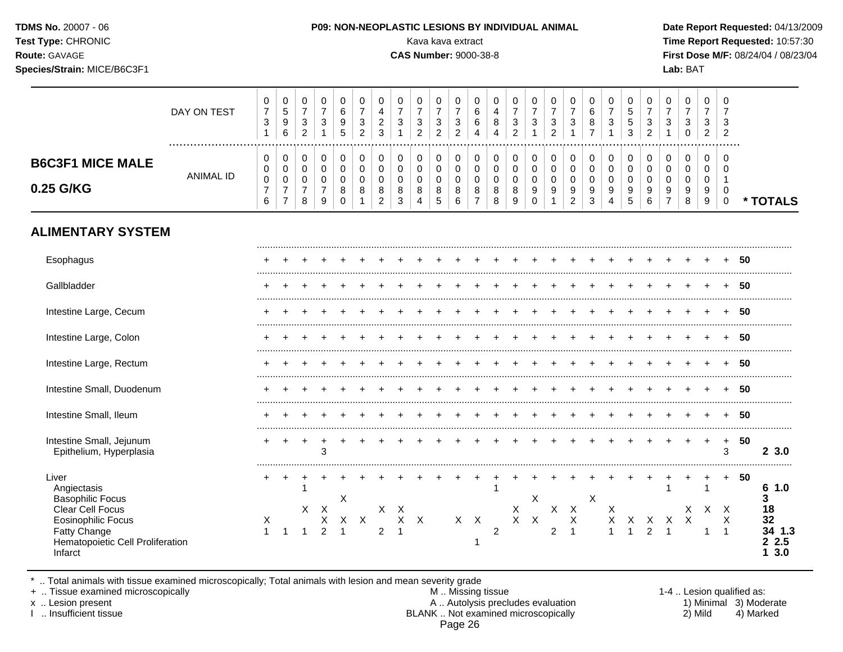| <b>TDMS No. 20007 - 06</b>  | <b>P09: NON-NEOPLASTIC LESIONS BY INDIVIDUAL ANIMAL</b> | Date Rep         |
|-----------------------------|---------------------------------------------------------|------------------|
| <b>Test Type: CHRONIC</b>   | Kava kava extract                                       | <b>Time Rep</b>  |
| <b>Route: GAVAGE</b>        | <b>CAS Number: 9000-38-8</b>                            | <b>First Dos</b> |
| Species/Strain: MICE/B6C3F1 |                                                         | Lab: BAT         |
|                             |                                                         |                  |

#### **THE STRIG RESIONS BY INDIVIDUAL ANIMAL DATE Report Requested:** 04/13/2009

Kava kava extract **Time Report Requested:** 10:57:30 **CAS Number:** 9000-38-8 **First Dose M/F:** 08/24/04 / 08/23/04

|                                                                                                                                                                 | DAY ON TEST      | 0<br>$\boldsymbol{7}$<br>$\ensuremath{\mathsf{3}}$<br>$\mathbf{1}$ | 0<br>$\sqrt{5}$<br>$\boldsymbol{9}$<br>$\,6\,$                    | 0<br>$\overline{7}$<br>$\sqrt{3}$<br>$\overline{2}$            | 0<br>$\overline{7}$<br>$\sqrt{3}$<br>$\mathbf{1}$    | $\mathbf 0$<br>$\,6\,$<br>$\boldsymbol{9}$<br>5     | 0<br>$\overline{7}$<br>$\mathbf{3}$<br>$\overline{2}$ | 0<br>$\overline{4}$<br>$\boldsymbol{2}$<br>$\mathbf{3}$        | 0<br>$\overline{7}$<br>$\mathbf{3}$<br>$\mathbf{1}$ | 0<br>$\overline{7}$<br>$\mathbf{3}$<br>$\overline{2}$            | 0<br>$\overline{7}$<br>$\sqrt{3}$<br>$\overline{2}$    | 0<br>$\overline{7}$<br>$\ensuremath{\mathsf{3}}$<br>$\overline{2}$ | 0<br>$\,6\,$<br>$\,6\,$<br>4                         | 0<br>$\overline{4}$<br>8<br>4             | 0<br>$\overline{7}$<br>$\ensuremath{\mathsf{3}}$<br>$\overline{c}$ | 0<br>$\overline{7}$<br>$\sqrt{3}$<br>$\overline{1}$      | 0<br>$\overline{7}$<br>$\sqrt{3}$<br>$\overline{2}$ | 0<br>$\overline{7}$<br>$\ensuremath{\mathsf{3}}$<br>1                           | 0<br>$\,6$<br>8<br>$\overline{7}$          | 0<br>$\overline{7}$<br>3<br>$\mathbf{1}$ | 0<br>$\sqrt{5}$<br>$\sqrt{5}$<br>3                | 0<br>$\overline{7}$<br>$\sqrt{3}$<br>$\overline{c}$ | 0<br>$\overline{7}$<br>$\sqrt{3}$                              | 0<br>$\overline{7}$<br>3<br>0   | 0<br>$\overline{7}$<br>$\sqrt{3}$<br>$\overline{a}$ | 0<br>$\overline{7}$<br>3<br>$\overline{2}$     |    |                                                                    |
|-----------------------------------------------------------------------------------------------------------------------------------------------------------------|------------------|--------------------------------------------------------------------|-------------------------------------------------------------------|----------------------------------------------------------------|------------------------------------------------------|-----------------------------------------------------|-------------------------------------------------------|----------------------------------------------------------------|-----------------------------------------------------|------------------------------------------------------------------|--------------------------------------------------------|--------------------------------------------------------------------|------------------------------------------------------|-------------------------------------------|--------------------------------------------------------------------|----------------------------------------------------------|-----------------------------------------------------|---------------------------------------------------------------------------------|--------------------------------------------|------------------------------------------|---------------------------------------------------|-----------------------------------------------------|----------------------------------------------------------------|---------------------------------|-----------------------------------------------------|------------------------------------------------|----|--------------------------------------------------------------------|
| <b>B6C3F1 MICE MALE</b><br>0.25 G/KG                                                                                                                            | <b>ANIMAL ID</b> | 0<br>$\pmb{0}$<br>$\pmb{0}$<br>$\boldsymbol{7}$<br>6               | 0<br>$\pmb{0}$<br>$\pmb{0}$<br>$\boldsymbol{7}$<br>$\overline{7}$ | $\pmb{0}$<br>$\mathbf 0$<br>$\mathbf 0$<br>$\overline{7}$<br>8 | $\pmb{0}$<br>0<br>$\pmb{0}$<br>$\boldsymbol{7}$<br>9 | 0<br>$\mathbf 0$<br>$\mathbf 0$<br>8<br>$\mathbf 0$ | $\pmb{0}$<br>$\mathbf 0$<br>$\mathbf 0$<br>8<br>1     | $\pmb{0}$<br>$\mathbf 0$<br>$\mathbf 0$<br>8<br>$\overline{c}$ | $\pmb{0}$<br>$\mathbf 0$<br>$\mathbf 0$<br>8<br>3   | $\pmb{0}$<br>$\pmb{0}$<br>$\pmb{0}$<br>$\bf 8$<br>$\overline{4}$ | $\mathbf 0$<br>0<br>$\pmb{0}$<br>$\,8\,$<br>$\sqrt{5}$ | 0<br>0<br>0<br>8<br>6                                              | 0<br>$\mathbf 0$<br>$\pmb{0}$<br>8<br>$\overline{7}$ | 0<br>$\mathbf 0$<br>$\mathbf 0$<br>8<br>8 | $\pmb{0}$<br>0<br>$\pmb{0}$<br>8<br>9                              | $\pmb{0}$<br>$\mathbf 0$<br>$\mathbf 0$<br>9<br>$\Omega$ | $\mathbf 0$<br>0<br>$\pmb{0}$<br>$\boldsymbol{9}$   | $\mathbf 0$<br>$\mathbf 0$<br>$\mathbf 0$<br>$\boldsymbol{9}$<br>$\overline{2}$ | 0<br>0<br>$\mathbf 0$<br>9<br>$\mathbf{3}$ | 0<br>0<br>$\pmb{0}$<br>9<br>4            | $\pmb{0}$<br>$\mathbf 0$<br>$\mathbf 0$<br>9<br>5 | 0<br>$\mathbf 0$<br>$\mathbf 0$<br>9<br>6           | $\pmb{0}$<br>$\mathbf 0$<br>$\mathbf 0$<br>9<br>$\overline{7}$ | 0<br>$\mathbf 0$<br>0<br>9<br>8 | 0<br>0<br>$\pmb{0}$<br>9<br>9                       | $\Omega$<br>$\Omega$<br>-1<br>0<br>$\mathbf 0$ |    | * TOTALS                                                           |
| <b>ALIMENTARY SYSTEM</b>                                                                                                                                        |                  |                                                                    |                                                                   |                                                                |                                                      |                                                     |                                                       |                                                                |                                                     |                                                                  |                                                        |                                                                    |                                                      |                                           |                                                                    |                                                          |                                                     |                                                                                 |                                            |                                          |                                                   |                                                     |                                                                |                                 |                                                     |                                                |    |                                                                    |
| Esophagus                                                                                                                                                       |                  |                                                                    |                                                                   |                                                                |                                                      |                                                     |                                                       |                                                                |                                                     |                                                                  |                                                        |                                                                    |                                                      |                                           |                                                                    |                                                          |                                                     |                                                                                 |                                            |                                          |                                                   |                                                     |                                                                |                                 |                                                     |                                                | 50 |                                                                    |
| Gallbladder                                                                                                                                                     |                  |                                                                    |                                                                   |                                                                |                                                      |                                                     |                                                       |                                                                |                                                     |                                                                  |                                                        |                                                                    |                                                      |                                           |                                                                    |                                                          |                                                     |                                                                                 |                                            |                                          |                                                   |                                                     |                                                                |                                 |                                                     |                                                | 50 |                                                                    |
| Intestine Large, Cecum                                                                                                                                          |                  |                                                                    |                                                                   |                                                                |                                                      |                                                     |                                                       |                                                                |                                                     |                                                                  |                                                        |                                                                    |                                                      |                                           |                                                                    |                                                          |                                                     |                                                                                 |                                            |                                          |                                                   |                                                     |                                                                |                                 |                                                     |                                                | 50 |                                                                    |
| Intestine Large, Colon                                                                                                                                          |                  |                                                                    |                                                                   |                                                                |                                                      |                                                     |                                                       |                                                                |                                                     |                                                                  |                                                        |                                                                    |                                                      |                                           |                                                                    |                                                          |                                                     |                                                                                 |                                            |                                          |                                                   |                                                     |                                                                |                                 |                                                     |                                                | 50 |                                                                    |
| Intestine Large, Rectum                                                                                                                                         |                  |                                                                    |                                                                   |                                                                |                                                      |                                                     |                                                       |                                                                |                                                     |                                                                  |                                                        |                                                                    |                                                      |                                           |                                                                    |                                                          |                                                     |                                                                                 |                                            |                                          |                                                   |                                                     |                                                                |                                 |                                                     |                                                | 50 |                                                                    |
| Intestine Small, Duodenum                                                                                                                                       |                  |                                                                    |                                                                   |                                                                |                                                      |                                                     |                                                       |                                                                |                                                     |                                                                  |                                                        |                                                                    |                                                      |                                           |                                                                    |                                                          |                                                     |                                                                                 |                                            |                                          |                                                   |                                                     |                                                                |                                 |                                                     |                                                | 50 |                                                                    |
| Intestine Small, Ileum                                                                                                                                          |                  |                                                                    |                                                                   |                                                                |                                                      |                                                     |                                                       |                                                                |                                                     |                                                                  |                                                        |                                                                    |                                                      |                                           |                                                                    |                                                          |                                                     |                                                                                 |                                            |                                          |                                                   |                                                     |                                                                |                                 |                                                     |                                                | 50 |                                                                    |
| Intestine Small, Jejunum<br>Epithelium, Hyperplasia                                                                                                             |                  |                                                                    |                                                                   | $\div$                                                         | 3                                                    |                                                     |                                                       |                                                                |                                                     |                                                                  |                                                        |                                                                    |                                                      |                                           |                                                                    |                                                          |                                                     |                                                                                 |                                            |                                          |                                                   |                                                     |                                                                |                                 | $\div$                                              | $\ddot{}$<br>3                                 | 50 | 23.0                                                               |
| Liver<br>Angiectasis<br><b>Basophilic Focus</b><br>Clear Cell Focus<br><b>Eosinophilic Focus</b><br>Fatty Change<br>Hematopoietic Cell Proliferation<br>Infarct |                  | +<br>X<br>$\mathbf{1}$                                             |                                                                   | 1<br>X                                                         | X<br>$\mathsf X$<br>$\overline{2}$                   | X<br>$\mathsf X$<br>$\overline{1}$                  | $\mathsf{X}$                                          | $\mathsf{X}$<br>$\overline{2}$                                 | $\boldsymbol{\mathsf{X}}$<br>Χ                      | $\mathsf{X}$                                                     |                                                        |                                                                    | $X$ $X$<br>-1                                        | 1<br>$\overline{c}$                       | $\mathsf X$<br>$\mathsf X$                                         | X<br>$\boldsymbol{\mathsf{X}}$                           | $\pmb{\times}$<br>$\overline{2}$                    | $\boldsymbol{\mathsf{X}}$<br>$\sf X$<br>$\mathbf{1}$                            | X                                          | X<br>X<br>$\overline{1}$                 | $\boldsymbol{\mathsf{X}}$<br>$\mathbf{1}$         | $\frac{x}{2}$                                       | $\mathbf 1$<br>$\mathsf{X}$<br>$\overline{1}$                  | X<br>$\boldsymbol{\mathsf{X}}$  | $\mathbf{1}$                                        | +<br>$X$ $X$<br>Χ<br>$\overline{\mathbf{1}}$   | 50 | 61.0<br>3<br>18<br>32<br>34 1.3<br>2.5<br>$\mathbf{2}$<br>3.0<br>1 |

\* .. Total animals with tissue examined microscopically; Total animals with lesion and mean severity grade

+ .. Tissue examined microscopically M .. Missing tissue 1-4 .. Lesion qualified as: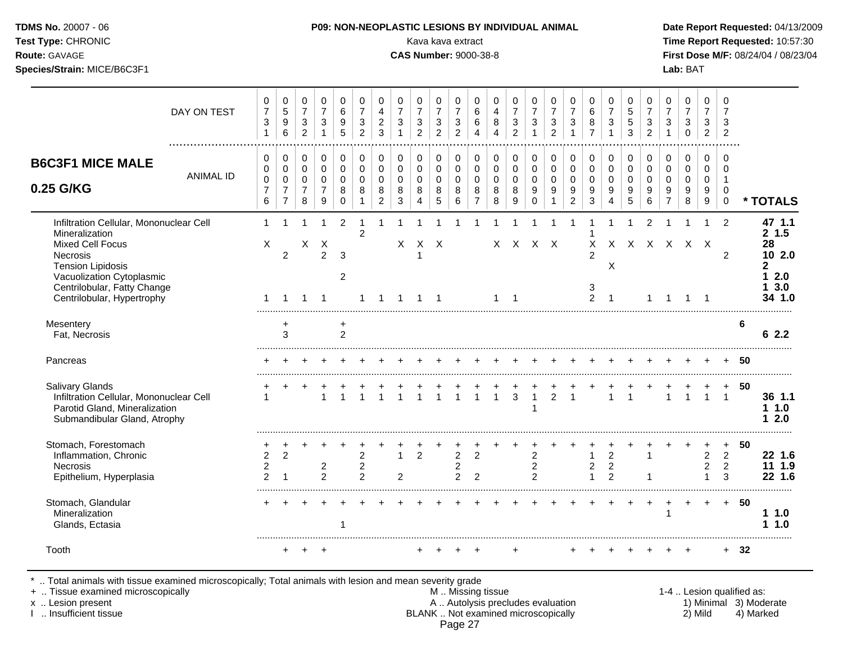**Test Type:** CHRONIC **Transfer CHRONIC** Kava Rava extract Kava extract **Time Report Requested:** 10:57:30 **Route:** GAVAGE **CAS Number:** 9000-38-8 **First Dose M/F:** 08/24/04 / 08/23/04 **Species/Strain:** MICE/B6C3F1 **Lab:** BAT

| DAY ON TEST                                                                                                                                                                                                            | 0<br>$\overline{7}$<br>3<br>$\mathbf{1}$ | 0<br>$\sqrt{5}$<br>$\boldsymbol{9}$<br>6                                      | 0<br>$\overline{7}$<br>$\mathbf{3}$<br>$\overline{2}$            | 0<br>$\overline{7}$<br>$\mathbf{3}$<br>$\mathbf{1}$              | 0<br>6<br>$\boldsymbol{9}$<br>5                         | 0<br>$\overline{7}$<br>$\mathbf{3}$<br>$\overline{2}$ | 0<br>$\overline{4}$<br>$\overline{c}$<br>3                       | 0<br>$\overline{7}$<br>3<br>$\mathbf{1}$ | 0<br>$\overline{7}$<br>$\sqrt{3}$<br>$\overline{2}$                    | 0<br>$\overline{7}$<br>$\sqrt{3}$<br>2              | $\Omega$<br>$\overline{7}$<br>$\sqrt{3}$<br>$\overline{2}$ | 0<br>6<br>$\,6\,$<br>$\overline{4}$                              | 0<br>$\overline{4}$<br>$\bf 8$<br>$\overline{A}$ | 0<br>$\overline{7}$<br>$\mathfrak{Z}$<br>$\overline{2}$ | 0<br>$\overline{7}$<br>3<br>$\mathbf{1}$              | 0<br>$\overline{7}$<br>$\sqrt{3}$<br>$\overline{2}$                | 0<br>$\overline{7}$<br>$\sqrt{3}$<br>$\mathbf{1}$              | $\Omega$<br>$\,6\,$<br>$\bf 8$<br>$\overline{7}$   | 0<br>$\overline{7}$<br>$\mathbf{3}$<br>1         | 0<br>$\sqrt{5}$<br>$\sqrt{5}$<br>3               | 0<br>$\overline{7}$<br>$\mathbf{3}$<br>$\overline{2}$ | 0<br>$\overline{7}$<br>3<br>$\mathbf{1}$                 | 0<br>$\overline{7}$<br>$\sqrt{3}$<br>$\Omega$       | $\Omega$<br>$\overline{7}$<br>3<br>2             | $\Omega$<br>$\overline{7}$<br>3<br>2                  |    |                                                                     |
|------------------------------------------------------------------------------------------------------------------------------------------------------------------------------------------------------------------------|------------------------------------------|-------------------------------------------------------------------------------|------------------------------------------------------------------|------------------------------------------------------------------|---------------------------------------------------------|-------------------------------------------------------|------------------------------------------------------------------|------------------------------------------|------------------------------------------------------------------------|-----------------------------------------------------|------------------------------------------------------------|------------------------------------------------------------------|--------------------------------------------------|---------------------------------------------------------|-------------------------------------------------------|--------------------------------------------------------------------|----------------------------------------------------------------|----------------------------------------------------|--------------------------------------------------|--------------------------------------------------|-------------------------------------------------------|----------------------------------------------------------|-----------------------------------------------------|--------------------------------------------------|-------------------------------------------------------|----|---------------------------------------------------------------------|
| <b>B6C3F1 MICE MALE</b><br><b>ANIMAL ID</b><br>0.25 G/KG                                                                                                                                                               | 0<br>0<br>0<br>$\overline{7}$<br>6       | $\mathbf 0$<br>$\mathbf 0$<br>$\mathbf 0$<br>$\overline{7}$<br>$\overline{7}$ | $\mathbf 0$<br>$\mathsf 0$<br>$\mathbf 0$<br>$\overline{7}$<br>8 | $\mathbf 0$<br>$\mathbf 0$<br>$\mathbf 0$<br>$\overline{7}$<br>9 | $\mathbf 0$<br>$\mathbf 0$<br>$\Omega$<br>8<br>$\Omega$ | $\mathbf 0$<br>$\mathbf 0$<br>$\Omega$<br>8           | $\mathbf 0$<br>$\mathbf 0$<br>$\mathbf 0$<br>8<br>$\overline{2}$ | 0<br>0<br>0<br>8<br>3                    | $\mathbf 0$<br>$\mathbf 0$<br>$\mathbf 0$<br>$\,8\,$<br>$\overline{4}$ | $\mathbf 0$<br>$\mathbf 0$<br>$\mathbf 0$<br>8<br>5 | $\Omega$<br>$\mathbf 0$<br>$\mathbf 0$<br>8<br>6           | $\mathbf 0$<br>$\mathbf 0$<br>$\mathbf 0$<br>8<br>$\overline{7}$ | 0<br>$\pmb{0}$<br>$\mathbf 0$<br>8<br>8          | $\mathbf 0$<br>$\mathbf 0$<br>$\mathbf 0$<br>8<br>9     | 0<br>0<br>$\mathbf 0$<br>$\boldsymbol{9}$<br>$\Omega$ | $\mathbf 0$<br>$\pmb{0}$<br>$\mathbf 0$<br>$9\,$<br>$\overline{1}$ | $\mathbf 0$<br>$\pmb{0}$<br>$\mathbf 0$<br>9<br>$\overline{2}$ | 0<br>$\pmb{0}$<br>$\mathbf 0$<br>9<br>$\mathbf{3}$ | $\mathbf 0$<br>$\mathbf 0$<br>$\Omega$<br>9<br>4 | $\mathbf 0$<br>$\mathbf 0$<br>$\Omega$<br>9<br>5 | $\mathbf 0$<br>$\mathbf 0$<br>$\Omega$<br>9<br>6      | 0<br>0<br>$\Omega$<br>$\boldsymbol{9}$<br>$\overline{7}$ | $\mathbf 0$<br>$\mathbf 0$<br>$\mathbf 0$<br>9<br>8 | $\Omega$<br>$\mathbf 0$<br>$\mathbf 0$<br>9<br>9 | $\Omega$<br>$\Omega$<br>-1<br>$\Omega$<br>$\mathbf 0$ |    | * TOTALS                                                            |
| Infiltration Cellular, Mononuclear Cell<br>Mineralization<br><b>Mixed Cell Focus</b><br>Necrosis<br><b>Tension Lipidosis</b><br>Vacuolization Cytoplasmic<br>Centrilobular, Fatty Change<br>Centrilobular, Hypertrophy | 1<br>X<br>1                              | $\overline{c}$<br>$\overline{1}$                                              | X<br>$\overline{1}$                                              | X<br>2<br>$\overline{1}$                                         | $\overline{2}$<br>3<br>$\overline{2}$                   | $\overline{2}$<br>1                                   | $\mathbf 1$                                                      | X<br>-1                                  | -1                                                                     | $X$ $X$<br>$\overline{1}$                           |                                                            |                                                                  | $\mathbf{1}$                                     | $\overline{1}$                                          | $X$ $X$ $X$ $X$                                       |                                                                    |                                                                | 1<br>X<br>$\mathcal{P}$<br>3<br>2                  | X<br>$\overline{1}$                              | X X X X X X                                      | $\overline{2}$                                        | 1                                                        | -1                                                  | $\overline{1}$                                   | 2<br>2                                                |    | 47 1.1<br>2, 1.5<br>28<br>10 2.0<br>2<br>2.0<br>1.<br>3.0<br>34 1.0 |
| Mesentery<br>Fat, Necrosis                                                                                                                                                                                             |                                          | +<br>3                                                                        |                                                                  |                                                                  | $\overline{2}$                                          |                                                       |                                                                  |                                          |                                                                        |                                                     |                                                            |                                                                  |                                                  |                                                         |                                                       |                                                                    |                                                                |                                                    |                                                  |                                                  |                                                       |                                                          |                                                     |                                                  |                                                       | 6  | 62.2                                                                |
| Pancreas                                                                                                                                                                                                               |                                          |                                                                               |                                                                  |                                                                  |                                                         |                                                       |                                                                  |                                          |                                                                        |                                                     |                                                            |                                                                  |                                                  |                                                         |                                                       |                                                                    |                                                                |                                                    |                                                  |                                                  |                                                       |                                                          |                                                     |                                                  |                                                       | 50 |                                                                     |
| <b>Salivary Glands</b><br>Infiltration Cellular, Mononuclear Cell<br>Parotid Gland, Mineralization<br>Submandibular Gland, Atrophy                                                                                     | 1                                        |                                                                               |                                                                  | $\overline{1}$                                                   |                                                         |                                                       |                                                                  |                                          | $\overline{1}$                                                         | $\mathbf{1}$                                        | $\overline{1}$                                             | $\mathbf{1}$                                                     | $\mathbf{1}$                                     | 3                                                       | $\mathbf{1}$<br>$\mathbf{1}$                          | $\overline{2}$                                                     | $\overline{1}$                                                 |                                                    | 1                                                | 1                                                |                                                       | $\mathbf{1}$                                             | $\overline{1}$                                      | $\mathbf{1}$                                     | $\overline{1}$                                        | 50 | 36 1.1<br>11.0<br>2.0<br>1                                          |
| Stomach, Forestomach<br>Inflammation, Chronic<br>Necrosis<br>Epithelium, Hyperplasia                                                                                                                                   | $\overline{2}$<br>$\overline{c}$<br>2    | $\overline{2}$<br>$\overline{1}$                                              |                                                                  | 2<br>$\mathcal{P}$                                               |                                                         | $\overline{c}$<br>$\overline{c}$<br>$\mathcal{P}$     |                                                                  | $\mathbf 1$<br>$\overline{c}$            | $\overline{2}$                                                         |                                                     | $\overline{c}$<br>$\boldsymbol{2}$<br>$\mathcal{P}$        | $\overline{2}$<br>$\overline{2}$                                 |                                                  |                                                         | $\overline{c}$<br>$\overline{c}$<br>$\overline{2}$    |                                                                    |                                                                | $\mathbf{1}$<br>$\overline{c}$<br>$\overline{1}$   | $\overline{2}$<br>$\sqrt{2}$<br>$\mathfrak{p}$   |                                                  | 1<br>1                                                |                                                          |                                                     | $\overline{2}$<br>$\overline{c}$                 | $\ddot{}$<br>$\overline{2}$<br>$\overline{2}$<br>3    | 50 | 22 1.6<br>11 1.9<br>22, 1.6                                         |
| Stomach, Glandular<br>Mineralization<br>Glands, Ectasia                                                                                                                                                                |                                          |                                                                               |                                                                  |                                                                  | 1                                                       |                                                       |                                                                  |                                          |                                                                        |                                                     |                                                            |                                                                  |                                                  |                                                         |                                                       |                                                                    |                                                                |                                                    |                                                  |                                                  |                                                       | $\mathbf{1}$                                             |                                                     |                                                  | $+$                                                   | 50 | 11.0<br>1.0<br>1.                                                   |
| Tooth                                                                                                                                                                                                                  |                                          | $\pm$                                                                         |                                                                  |                                                                  |                                                         |                                                       |                                                                  |                                          |                                                                        |                                                     |                                                            |                                                                  |                                                  |                                                         |                                                       |                                                                    |                                                                |                                                    |                                                  |                                                  |                                                       |                                                          |                                                     |                                                  | $+$                                                   | 32 |                                                                     |

\* .. Total animals with tissue examined microscopically; Total animals with lesion and mean severity grade

+ .. Tissue examined microscopically M .. Missing tissue 1-4 .. Lesion qualified as:

- x .. Lesion present **A .. Autolysis precludes evaluation** A .. Autolysis precludes evaluation 1) Minimal 3) Moderate I .. Insufficient tissue BLANK .. Not examined microscopically 2) Mild 4) Marked Page 27
-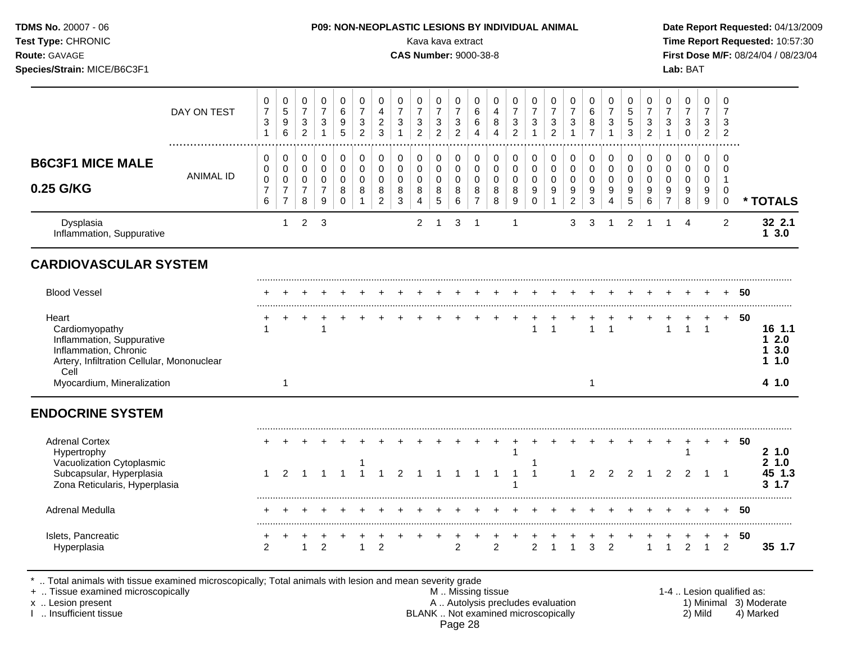| <b>TDMS No. 20007 - 06</b><br>Test Type: CHRONIC<br><b>Route: GAVAGE</b><br>Species/Strain: MICE/B6C3F1 |             | <b>P09: NON-NEOPLASTIC LESIONS BY INDIVIDUAL ANIMAL</b><br>Kava kava extract<br><b>CAS Number: 9000-38-8</b> | Date Report Requested: 04/13/2009<br>Time Report Requested: 10:57:30<br>First Dose M/F: 08/24/04 / 08/23/04<br>Lab: BAT |
|---------------------------------------------------------------------------------------------------------|-------------|--------------------------------------------------------------------------------------------------------------|-------------------------------------------------------------------------------------------------------------------------|
|                                                                                                         | DAY ON TEST | 0<br>$\mathbf 0$<br>$\mathbf 0$<br>0<br>0<br>0<br>◡<br>C.                                                    | $\mathbf 0$                                                                                                             |

|                                                                                                                                     | DAY ON TEST      | 7<br>3<br>1                                | 5<br>$\boldsymbol{9}$<br>6                                      | 7<br>$\sqrt{3}$<br>$\overline{c}$                      | 7<br>3<br>$\mathbf{1}$                                 | 6<br>$\boldsymbol{9}$<br>5   | 7<br>$\sqrt{3}$<br>$\overline{2}$ | 4<br>$\overline{c}$<br>3                             | $\overline{7}$<br>$\mathbf{3}$<br>$\mathbf{1}$ | 7<br>$\ensuremath{\mathsf{3}}$<br>$\overline{2}$ | 7<br>$\sqrt{3}$<br>$\overline{c}$         | 7<br>$\sqrt{3}$<br>$\overline{c}$  | 6<br>6           | 4<br>8<br>$\overline{\mathbf{4}}$       | 7<br>$\mathbf{3}$<br>$\overline{c}$                            | 7<br>$\mathbf{3}$                                 | 3<br>$\overline{2}$        | 3                                         | 6<br>8<br>$\overline{7}$ | 3                            | 5<br>$\sqrt{5}$<br>3  | 7<br>$\mathbf{3}$<br>$\overline{2}$  | 7<br>$\sqrt{3}$<br>$\mathbf 1$                         | 7<br>3<br>0                            | 7<br>3<br>$\overline{2}$             | 7<br>3<br>$\overline{2}$          |    |                                |
|-------------------------------------------------------------------------------------------------------------------------------------|------------------|--------------------------------------------|-----------------------------------------------------------------|--------------------------------------------------------|--------------------------------------------------------|------------------------------|-----------------------------------|------------------------------------------------------|------------------------------------------------|--------------------------------------------------|-------------------------------------------|------------------------------------|------------------|-----------------------------------------|----------------------------------------------------------------|---------------------------------------------------|----------------------------|-------------------------------------------|--------------------------|------------------------------|-----------------------|--------------------------------------|--------------------------------------------------------|----------------------------------------|--------------------------------------|-----------------------------------|----|--------------------------------|
| <b>B6C3F1 MICE MALE</b><br>0.25 G/KG                                                                                                | <b>ANIMAL ID</b> | 0<br>0<br>$\pmb{0}$<br>$\overline{7}$<br>6 | 0<br>$\pmb{0}$<br>$\pmb{0}$<br>$\overline{7}$<br>$\overline{7}$ | 0<br>$\mathbf 0$<br>$\mathbf 0$<br>$\overline{7}$<br>8 | 0<br>$\mathbf 0$<br>$\mathbf 0$<br>$\overline{7}$<br>9 | 0<br>0<br>0<br>8<br>$\Omega$ | 0<br>0<br>$\Omega$<br>8           | 0<br>$\pmb{0}$<br>$\mathbf 0$<br>8<br>$\overline{c}$ | 0<br>$\pmb{0}$<br>0<br>8<br>$\mathbf{3}$       | 0<br>$\mathbf 0$<br>$\mathbf 0$<br>8<br>4        | 0<br>$\mathbf 0$<br>$\mathbf 0$<br>8<br>5 | 0<br>0<br>$\Omega$<br>8<br>$\,6\,$ | 0<br>0<br>0<br>8 | 0<br>$\pmb{0}$<br>$\mathbf 0$<br>8<br>8 | 0<br>$\mathsf{O}\xspace$<br>$\pmb{0}$<br>8<br>$\boldsymbol{9}$ | 0<br>$\mathbf 0$<br>$\pmb{0}$<br>9<br>$\mathbf 0$ | 0<br>0<br>$\mathbf 0$<br>9 | 0<br>0<br>$\Omega$<br>9<br>$\overline{2}$ | 0<br>0<br>0<br>9<br>3    | 0<br>0<br>$\Omega$<br>9<br>4 | 0<br>0<br>0<br>9<br>5 | 0<br>$\boldsymbol{0}$<br>0<br>9<br>6 | 0<br>$\mathbf 0$<br>$\mathbf 0$<br>9<br>$\overline{7}$ | 0<br>$\mathbf 0$<br>$\Omega$<br>9<br>8 | 0<br>0<br>0<br>9<br>$\boldsymbol{9}$ | 0<br>$\Omega$<br>0<br>$\mathbf 0$ |    | * TOTALS                       |
| Dysplasia<br>Inflammation, Suppurative                                                                                              |                  |                                            | $\mathbf{1}$                                                    | $\overline{c}$                                         | 3                                                      |                              |                                   |                                                      |                                                | $\overline{2}$                                   | -1                                        | 3                                  | -1               |                                         | 1                                                              |                                                   |                            | 3                                         | 3                        |                              | $\overline{2}$        |                                      |                                                        | $\boldsymbol{\Lambda}$                 |                                      | $\overline{2}$                    |    | 32 2.1<br>13.0                 |
| <b>CARDIOVASCULAR SYSTEM</b>                                                                                                        |                  |                                            |                                                                 |                                                        |                                                        |                              |                                   |                                                      |                                                |                                                  |                                           |                                    |                  |                                         |                                                                |                                                   |                            |                                           |                          |                              |                       |                                      |                                                        |                                        |                                      |                                   |    |                                |
| <b>Blood Vessel</b>                                                                                                                 |                  |                                            |                                                                 |                                                        |                                                        |                              |                                   |                                                      |                                                |                                                  |                                           |                                    |                  |                                         |                                                                |                                                   |                            |                                           |                          |                              |                       |                                      |                                                        |                                        |                                      |                                   | 50 |                                |
| Heart<br>Cardiomyopathy<br>Inflammation, Suppurative<br>Inflammation, Chronic<br>Artery, Infiltration Cellular, Mononuclear<br>Cell |                  |                                            |                                                                 |                                                        | 1                                                      |                              |                                   |                                                      |                                                |                                                  |                                           |                                    |                  |                                         |                                                                |                                                   | $\overline{1}$             |                                           |                          |                              |                       |                                      |                                                        | $\mathbf{1}$                           | $\mathbf{1}$                         | $+$                               | 50 | 16 1.1<br>12.0<br>13.0<br>1.10 |
| Myocardium, Mineralization                                                                                                          |                  |                                            |                                                                 |                                                        |                                                        |                              |                                   |                                                      |                                                |                                                  |                                           |                                    |                  |                                         |                                                                |                                                   |                            |                                           | 1                        |                              |                       |                                      |                                                        |                                        |                                      |                                   |    | 4 1.0                          |
| <b>ENDOCRINE SYSTEM</b>                                                                                                             |                  |                                            |                                                                 |                                                        |                                                        |                              |                                   |                                                      |                                                |                                                  |                                           |                                    |                  |                                         |                                                                |                                                   |                            |                                           |                          |                              |                       |                                      |                                                        |                                        |                                      |                                   |    |                                |
| <b>Adrenal Cortex</b><br>Hypertrophy<br>Vacuolization Cytoplasmic                                                                   |                  |                                            |                                                                 |                                                        |                                                        |                              |                                   |                                                      |                                                |                                                  |                                           |                                    |                  |                                         |                                                                |                                                   |                            |                                           |                          |                              |                       |                                      |                                                        | 1                                      | $\pm$                                | $+$                               | 50 | 21.0<br>21.0                   |
| Subcapsular, Hyperplasia<br>Zona Reticularis, Hyperplasia                                                                           |                  |                                            | $\mathcal{P}$                                                   |                                                        |                                                        |                              |                                   |                                                      | $\mathcal{P}$                                  |                                                  |                                           |                                    |                  |                                         |                                                                |                                                   |                            |                                           | $\mathcal{P}$            | $\mathcal{P}$                | $\overline{2}$        |                                      | $\mathcal{P}$                                          | $\mathcal{P}$                          |                                      |                                   |    | 45 1.3<br>$3 \t1.7$            |
| Adrenal Medulla                                                                                                                     |                  |                                            |                                                                 |                                                        |                                                        |                              |                                   |                                                      |                                                |                                                  |                                           |                                    |                  |                                         |                                                                |                                                   |                            |                                           |                          |                              |                       |                                      |                                                        |                                        |                                      |                                   | 50 |                                |

Islets, Pancreatic + + + + + + + + + + + + + + + + + + + + + + + + + **50**

Hyperplasia 2 1 2 1 2 2 2 2 1 1 3 2 1 1 2 1 2 **35 1.7**

\* .. Total animals with tissue examined microscopically; Total animals with lesion and mean severity grade

+ .. Tissue examined microscopically M .. Missing tissue 1-4 .. Lesion qualified as: x .. Lesion present **A .. Autolysis precludes evaluation** A .. Autolysis precludes evaluation 1) Minimal 3) Moderate I .. Insufficient tissue BLANK .. Not examined microscopically 2) Mild 4) Marked Page 28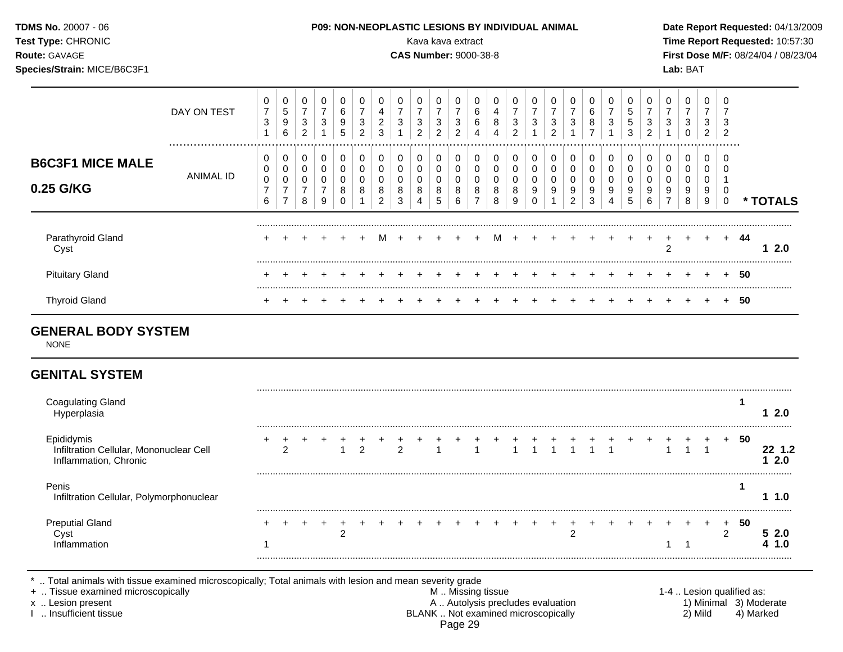| <b>TDMS No. 20007 - 06</b><br><b>Test Type: CHRONIC</b><br><b>Route: GAVAGE</b><br>Species/Strain: MICE/B6C3F1 |             |        |                  |                           |   |   |        | <b>P09: NON-NEOPLASTIC LESIONS BY INDIVIDUAL ANIMAL</b><br><b>CAS Number: 9000-38-8</b> | Kava kava extract |         |                  |        |                        |        |                  |              |                        |        |   | Lab: BAT | Date Report Requested: 04/13/2009<br>Time Report Requested: 10:57:30<br><b>First Dose M/F: 08/24/04 / 08/23/04</b> |
|----------------------------------------------------------------------------------------------------------------|-------------|--------|------------------|---------------------------|---|---|--------|-----------------------------------------------------------------------------------------|-------------------|---------|------------------|--------|------------------------|--------|------------------|--------------|------------------------|--------|---|----------|--------------------------------------------------------------------------------------------------------------------|
|                                                                                                                | DAY ON TEST | 0<br>3 | 0<br>Ñ<br>9<br>6 | $\sim$<br>$\sqrt{2}$<br>∼ | 3 | 6 | ⌒<br>ົ |                                                                                         |                   | J.<br>3 | 0<br>~<br>b<br>6 | 0<br>8 | 0<br>3<br><sup>o</sup> | 0<br>3 | 0<br>3<br>$\sim$ | $\mathbf{0}$ | $\mathbf{0}$<br>6<br>8 | 0<br>3 | ◠ |          | _                                                                                                                  |

|                           |         |  |  |  | $5\overline{)}$ | 6 | 8 | 9 | 0 | 2 | $\mathbf{3}$ | 4 | 5 | 6 | 8 | 9 |     |  |
|---------------------------|---------|--|--|--|-----------------|---|---|---|---|---|--------------|---|---|---|---|---|-----|--|
| Parathyroid Gland<br>Cyst | $+$ $-$ |  |  |  |                 |   |   |   |   |   |              |   |   |   |   |   | -44 |  |
| <b>Pituitary Gland</b>    |         |  |  |  |                 |   |   |   |   |   |              |   |   |   |   |   | -50 |  |
| Thyroid Gland             |         |  |  |  |                 |   |   |   |   |   |              |   |   |   |   |   | 50  |  |

# **GENERAL BODY SYSTEM**

NONE

**0.25 G/KG**

 $\overline{a}$ 

#### **GENITAL SYSTEM**

**B6C3F1 MICE MALE**

ANIMAL ID

| Coagulating Gland                                                              |  |  |   |               |  |  |  |  |            |  |  |    |  |   |     | 2.0 |
|--------------------------------------------------------------------------------|--|--|---|---------------|--|--|--|--|------------|--|--|----|--|---|-----|-----|
| Epididymis<br>Infiltration Cellular, Mononuclear Cell<br>Inflammation, Chronic |  |  | າ | $\mathcal{P}$ |  |  |  |  |            |  |  | -1 |  |   | -50 | 2.0 |
| Penis<br>Infiltration Cellular, Polymorphonuclear                              |  |  |   |               |  |  |  |  |            |  |  |    |  |   |     | 1.0 |
| <b>Preputial Gland</b><br>∍mmation                                             |  |  |   |               |  |  |  |  | $\sqrt{2}$ |  |  |    |  | ◠ | 50  |     |

\* .. Total animals with tissue examined microscopically; Total animals with lesion and mean severity grade<br>+ .. Tissue examined microscopically by any state mean severity grade

+ .. Tissue examined microscopically the state of the state of the M .. Missing tissue 1-4 .. Lesion qualified as: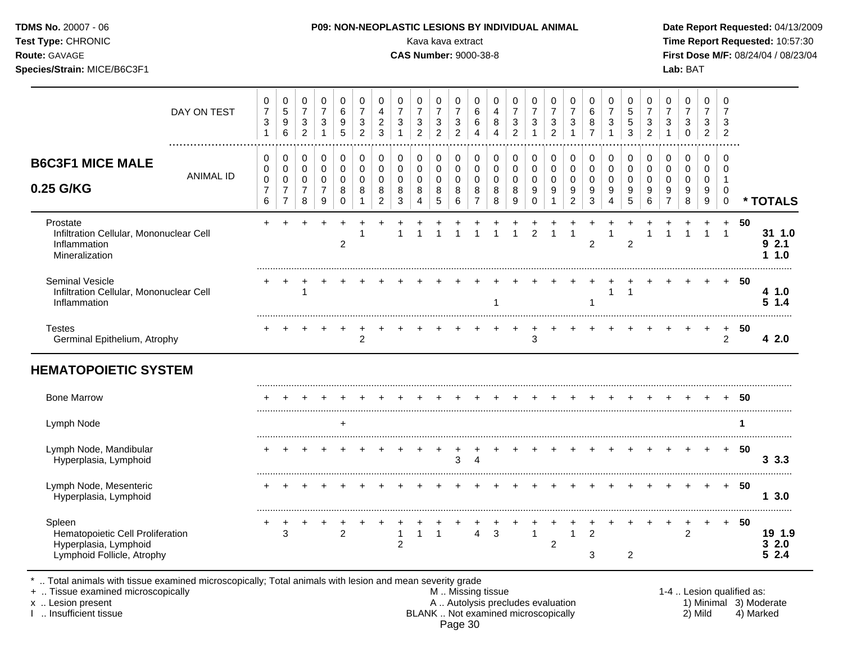| TDMS No. 20007 - 06<br>Test Type: CHRONIC<br>Route: GAVAGE<br>Species/Strain: MICE/B6C3F1 |                  |                                                  |                                                 |                                        |                          |                                 |                                                                    |                               |                       | Kava kava extract<br><b>CAS Number: 9000-38-8</b> |                                                                    |                                                                    |                          |                       | P09: NON-NEOPLASTIC LESIONS BY INDIVIDUAL ANIMAL    |                              |                                     |                                    |                          |                       |                                    |                                        |                     | Lab: BAT                        |                                            |                |     | Date Report Requested: 04/13/2009<br>Time Report Requested: 10:57:30<br>First Dose M/F: 08/24/04 / 08/23/04 |
|-------------------------------------------------------------------------------------------|------------------|--------------------------------------------------|-------------------------------------------------|----------------------------------------|--------------------------|---------------------------------|--------------------------------------------------------------------|-------------------------------|-----------------------|---------------------------------------------------|--------------------------------------------------------------------|--------------------------------------------------------------------|--------------------------|-----------------------|-----------------------------------------------------|------------------------------|-------------------------------------|------------------------------------|--------------------------|-----------------------|------------------------------------|----------------------------------------|---------------------|---------------------------------|--------------------------------------------|----------------|-----|-------------------------------------------------------------------------------------------------------------|
|                                                                                           | DAY ON TEST<br>  | 0<br>$\overline{7}$<br>$\ensuremath{\mathsf{3}}$ | 0<br>5<br>9<br>6                                | 0<br>$\overline{7}$<br>$\sqrt{3}$<br>2 | 0<br>$\overline{7}$<br>3 | 0<br>6<br>$\boldsymbol{9}$<br>5 | 0<br>$\overline{7}$<br>$\ensuremath{\mathsf{3}}$<br>$\overline{2}$ | 0<br>4<br>$\overline{c}$<br>3 | 3                     | 7<br>3<br>2                                       | 0<br>$\overline{7}$<br>$\ensuremath{\mathsf{3}}$<br>$\overline{2}$ | 0<br>$\overline{7}$<br>$\ensuremath{\mathsf{3}}$<br>$\overline{2}$ | 0<br>$\,6$<br>$\,6$<br>4 | 0<br>4<br>8<br>4      | 0<br>$\overline{7}$<br>$\sqrt{3}$<br>$\overline{2}$ | 0<br>3                       | $\overline{7}$<br>$\mathbf{3}$<br>2 | 3                                  | 6<br>8<br>$\overline{7}$ | 0<br>$\mathbf{3}$     | 0<br>$\sqrt{5}$<br>$\sqrt{5}$<br>3 | 0<br>$\overline{7}$<br>$\sqrt{3}$<br>2 | $\overline{7}$<br>3 | $\overline{7}$<br>3<br>$\Omega$ | 0<br>$\overline{7}$<br>3<br>$\overline{c}$ | $\overline{2}$ |     |                                                                                                             |
| <b>B6C3F1 MICE MALE</b><br>0.25 G/KG                                                      | <b>ANIMAL ID</b> | 0<br>0<br>0<br>7<br>6                            | 0<br>0<br>0<br>$\overline{7}$<br>$\overline{7}$ | 0<br>0<br>0<br>7<br>8                  | 0<br>0<br>0<br>9         | 0<br>0<br>0<br>8<br>$\Omega$    | 0<br>0<br>0<br>8                                                   | 0<br>0<br>0<br>8<br>2         | 0<br>0<br>0<br>8<br>3 | 0<br>0<br>8                                       | 0<br>0<br>0<br>8<br>5                                              | 0<br>0<br>0<br>8<br>6                                              | 0<br>0<br>0<br>8         | 0<br>0<br>0<br>8<br>8 | 0<br>0<br>0<br>8<br>9                               | 0<br>0<br>0<br>9<br>$\Omega$ | 0<br>0<br>0<br>9                    | 0<br>0<br>0<br>9<br>$\overline{2}$ | 0<br>9<br>3              | 0<br>0<br>0<br>9<br>4 | 0<br>0<br>0<br>9<br>5              | 0<br>0<br>0<br>9<br>6                  | 0<br>0<br>9         | 0<br>0<br>9<br>8                | 0<br>0<br>0<br>9<br>9                      | $\mathbf 0$    |     | * TOTALS                                                                                                    |
| Prostate<br>Infiltration Cellular, Mononuclear Cell<br>Inflammation<br>Mineralization     |                  |                                                  |                                                 |                                        |                          | 2                               |                                                                    |                               |                       |                                                   |                                                                    |                                                                    |                          |                       |                                                     | 2                            |                                     |                                    | 2                        |                       | $\overline{2}$                     |                                        |                     |                                 |                                            |                | 50  | 31 1.0<br>92.1<br>1.0                                                                                       |
| <b>Seminal Vesicle</b><br>Infiltration Cellular, Mononuclear Cell<br>Inflammation         |                  |                                                  |                                                 |                                        |                          |                                 |                                                                    |                               |                       |                                                   |                                                                    |                                                                    |                          |                       |                                                     |                              |                                     |                                    |                          |                       |                                    |                                        |                     |                                 |                                            |                | -50 | 4 1.0<br>51.4                                                                                               |
| <b>Testes</b><br>Germinal Epithelium, Atrophy                                             |                  |                                                  |                                                 |                                        |                          |                                 | $\overline{2}$                                                     |                               |                       |                                                   |                                                                    |                                                                    |                          |                       |                                                     | 3                            |                                     |                                    |                          |                       |                                    |                                        |                     |                                 |                                            | $+$<br>2       | 50  | 42.0                                                                                                        |

| <b>Bone Marrow</b>                                                                                |  |  |   |  |  |            |   |         |  |  |            |  |  |  | 50  |                   |
|---------------------------------------------------------------------------------------------------|--|--|---|--|--|------------|---|---------|--|--|------------|--|--|--|-----|-------------------|
| Lvmph Node                                                                                        |  |  |   |  |  |            |   |         |  |  |            |  |  |  |     |                   |
| Lymph Node, Mandibular<br>Hyperplasia, Lymphoid                                                   |  |  |   |  |  | $\sqrt{2}$ |   |         |  |  |            |  |  |  | 50  | $3\,3.3$          |
| Lymph Node, Mesenteric<br>Hyperplasia, Lymphoid                                                   |  |  |   |  |  |            |   |         |  |  |            |  |  |  | -50 | 3.0               |
| Spleen<br>Hematopoietic Cell Proliferation<br>Hyperplasia, Lymphoid<br>Lymphoid Follicle, Atrophy |  |  | ົ |  |  |            | 4 | ົ<br>۰. |  |  | $\sqrt{2}$ |  |  |  | 50  | 1.9<br>2.0<br>2.4 |

+ .. Tissue examined microscopically M .. Missing tissue 1-4 .. Lesion qualified as: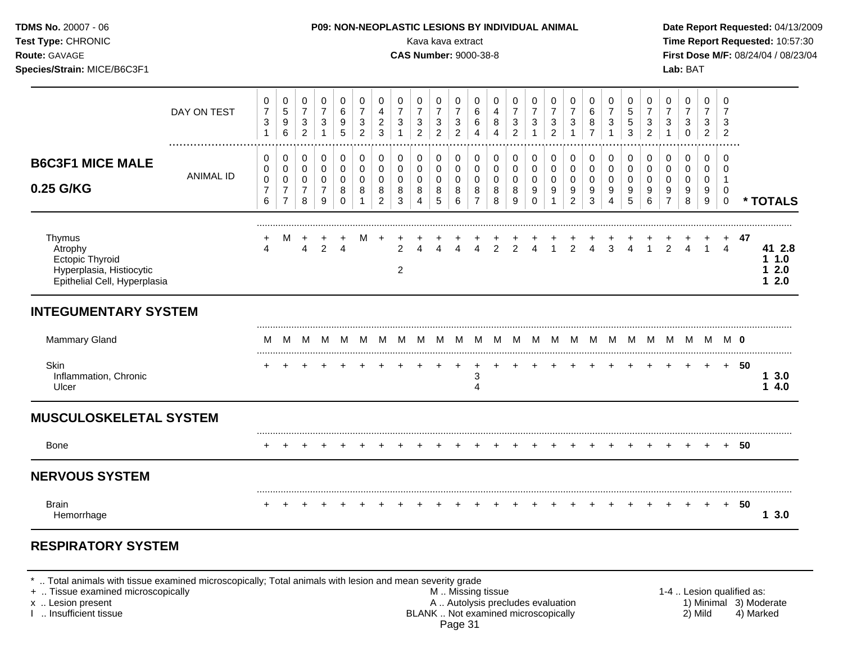| TDMS No. 20007 - 06<br>Test Type: CHRONIC<br>Route: GAVAGE<br>Species/Strain: MICE/B6C3F1               |                  |                                                    |                                                                             |                                                                          |                                                                  |                                                                  |                                                             |                                                        |                                                                  | Kava kava extract<br><b>CAS Number: 9000-38-8</b>                    |                                                                 |                                                       | P09: NON-NEOPLASTIC LESIONS BY INDIVIDUAL ANIMAL                 |                                                   |                                                                 |                                                                          |                                                                     |                                                     |                                                                   |                                                                           |                                                        |                                                                |                                                                  | Lab: BAT                                                     |                                                         |                                                                            |        | Date Report Requested: 04/13/2009<br>Time Report Requested: 10:57:30<br>First Dose M/F: 08/24/04 / 08/23/04 |
|---------------------------------------------------------------------------------------------------------|------------------|----------------------------------------------------|-----------------------------------------------------------------------------|--------------------------------------------------------------------------|------------------------------------------------------------------|------------------------------------------------------------------|-------------------------------------------------------------|--------------------------------------------------------|------------------------------------------------------------------|----------------------------------------------------------------------|-----------------------------------------------------------------|-------------------------------------------------------|------------------------------------------------------------------|---------------------------------------------------|-----------------------------------------------------------------|--------------------------------------------------------------------------|---------------------------------------------------------------------|-----------------------------------------------------|-------------------------------------------------------------------|---------------------------------------------------------------------------|--------------------------------------------------------|----------------------------------------------------------------|------------------------------------------------------------------|--------------------------------------------------------------|---------------------------------------------------------|----------------------------------------------------------------------------|--------|-------------------------------------------------------------------------------------------------------------|
|                                                                                                         | DAY ON TEST      | $\pmb{0}$<br>$\boldsymbol{7}$<br>3<br>$\mathbf{1}$ | 0<br>$\mathbf 5$<br>$\boldsymbol{9}$<br>6                                   | $\mathbf 0$<br>$\overline{\mathbf{7}}$<br>$\mathbf{3}$<br>$\overline{2}$ | 0<br>$\overline{7}$<br>3<br>$\mathbf{1}$                         | $\pmb{0}$<br>6<br>9<br>5                                         | $\pmb{0}$<br>$\overline{7}$<br>$\sqrt{3}$<br>$\overline{c}$ | $\mathbf 0$<br>4<br>$\overline{2}$<br>3                | $\mathbf 0$<br>$\overline{7}$<br>$\mathbf{3}$<br>$\mathbf{1}$    | 0<br>$\boldsymbol{7}$<br>$\ensuremath{\mathsf{3}}$<br>$\overline{2}$ | $\mathbf 0$<br>$\overline{7}$<br>$\mathbf{3}$<br>$\overline{2}$ | 0<br>$\overline{7}$<br>$\sqrt{3}$<br>$\overline{2}$   | 0<br>$\,6$<br>$\,6\,$<br>$\overline{4}$                          | 0<br>$\overline{4}$<br>$\,8\,$<br>$\overline{4}$  | $\mathbf 0$<br>$\overline{7}$<br>$\mathbf{3}$<br>$\overline{2}$ | 0<br>$\overline{7}$<br>$\mathbf{3}$<br>$\mathbf{1}$                      | 0<br>$\overline{7}$<br>3<br>$\overline{c}$                          | 0<br>$\overline{7}$<br>$\mathbf{3}$<br>$\mathbf{1}$ | 0<br>6<br>8<br>$\overline{7}$                                     | $\pmb{0}$<br>$\overline{7}$<br>$\sqrt{3}$<br>$\mathbf{1}$                 | $\mathbf 0$<br>$\sqrt{5}$<br>$5\,$<br>3                | $\mathbf 0$<br>$\overline{7}$<br>$\mathsf 3$<br>$\overline{2}$ | $\mathbf 0$<br>$\overline{7}$<br>3<br>$\mathbf{1}$               | $\mathbf 0$<br>$\overline{7}$<br>$\mathbf{3}$<br>$\mathbf 0$ | 0<br>$\overline{7}$<br>3<br>$\overline{2}$              | $\mathbf 0$<br>$\overline{7}$<br>3<br>$\overline{2}$                       |        |                                                                                                             |
| <b>B6C3F1 MICE MALE</b><br>0.25 G/KG                                                                    | <b>ANIMAL ID</b> | 0<br>0<br>$\mathbf 0$<br>$\overline{7}$<br>6       | $\mathbf 0$<br>$\pmb{0}$<br>$\mathsf 0$<br>$\overline{7}$<br>$\overline{7}$ | 0<br>$\mathbf 0$<br>$\mathbf 0$<br>$\overline{7}$<br>8                   | $\mathbf 0$<br>$\mathbf 0$<br>$\mathbf 0$<br>$\overline{7}$<br>9 | $\pmb{0}$<br>$\boldsymbol{0}$<br>$\mathsf 0$<br>8<br>$\mathbf 0$ | $\pmb{0}$<br>$\pmb{0}$<br>$\pmb{0}$<br>8<br>$\mathbf{1}$    | 0<br>$\mathbf 0$<br>$\mathbf 0$<br>8<br>$\overline{2}$ | $\mathbf 0$<br>$\pmb{0}$<br>$\mathbf 0$<br>$\,8\,$<br>$\sqrt{3}$ | $\mathbf 0$<br>$\mathbf 0$<br>$\mathbf 0$<br>8<br>$\overline{4}$     | $\mathbf 0$<br>$\mathbf 0$<br>$\mathbf 0$<br>8<br>5             | 0<br>$\mathbf 0$<br>$\mathbf 0$<br>$\,8\,$<br>$\,6\,$ | $\mathbf 0$<br>$\mathsf 0$<br>$\mathbf 0$<br>8<br>$\overline{7}$ | $\mathbf 0$<br>$\pmb{0}$<br>$\mathbf 0$<br>8<br>8 | $\mathbf 0$<br>$\pmb{0}$<br>$\mathbf 0$<br>8<br>9               | $\pmb{0}$<br>$\pmb{0}$<br>$\mathsf 0$<br>$\boldsymbol{9}$<br>$\mathbf 0$ | 0<br>$\mathbf 0$<br>$\mathbf 0$<br>$\boldsymbol{9}$<br>$\mathbf{1}$ | 0<br>0<br>$\mathbf 0$<br>9<br>$\overline{2}$        | $\pmb{0}$<br>$\boldsymbol{0}$<br>$\mathsf 0$<br>9<br>$\mathbf{3}$ | $\pmb{0}$<br>$\pmb{0}$<br>$\pmb{0}$<br>$\boldsymbol{9}$<br>$\overline{4}$ | 0<br>$\mathbf 0$<br>$\mathbf 0$<br>$9\,$<br>$\sqrt{5}$ | $\mathbf 0$<br>$\mathbf 0$<br>$\mathbf 0$<br>$9\,$<br>$\,6\,$  | $\mathbf 0$<br>$\mathbf 0$<br>$\mathbf 0$<br>9<br>$\overline{7}$ | $\mathbf 0$<br>0<br>$\mathbf 0$<br>$\boldsymbol{9}$<br>8     | $\mathbf 0$<br>$\mathbf 0$<br>$\mathbf 0$<br>$9\,$<br>9 | $\mathbf 0$<br>$\mathbf 0$<br>$\overline{1}$<br>$\mathbf 0$<br>$\mathbf 0$ |        | * TOTALS                                                                                                    |
| Thymus<br>Atrophy<br><b>Ectopic Thyroid</b><br>Hyperplasia, Histiocytic<br>Epithelial Cell, Hyperplasia |                  | 4                                                  |                                                                             | $\overline{4}$                                                           | $\overline{2}$                                                   | +<br>$\overline{4}$                                              | M                                                           | $\ddot{}$                                              | 2<br>$\overline{2}$                                              | Δ                                                                    |                                                                 | $\overline{4}$                                        | $\overline{4}$                                                   | $\overline{2}$                                    | $\mathfrak{p}$                                                  | $\boldsymbol{\Lambda}$                                                   |                                                                     | $\mathcal{P}$                                       | $\overline{4}$                                                    | 3                                                                         | $\overline{A}$                                         | $\overline{1}$                                                 | $\mathcal{P}$                                                    | 4                                                            | $\mathbf{1}$                                            | $\overline{4}$                                                             | 47     | 41 2.8<br>11.0<br>12.0<br>$12.0$                                                                            |
| <b>INTEGUMENTARY SYSTEM</b>                                                                             |                  |                                                    |                                                                             |                                                                          |                                                                  |                                                                  |                                                             |                                                        |                                                                  |                                                                      |                                                                 |                                                       |                                                                  |                                                   |                                                                 |                                                                          |                                                                     |                                                     |                                                                   |                                                                           |                                                        |                                                                |                                                                  |                                                              |                                                         |                                                                            |        |                                                                                                             |
| <b>Mammary Gland</b>                                                                                    |                  | м                                                  | M                                                                           | - M                                                                      |                                                                  |                                                                  |                                                             |                                                        |                                                                  | M M M M M M M M M M M M M                                            |                                                                 |                                                       |                                                                  |                                                   |                                                                 |                                                                          |                                                                     |                                                     |                                                                   | M M M M M M M M <b>0</b>                                                  |                                                        |                                                                |                                                                  |                                                              |                                                         |                                                                            |        |                                                                                                             |
| Skin<br>Inflammation, Chronic<br>Ulcer                                                                  |                  |                                                    |                                                                             |                                                                          |                                                                  |                                                                  |                                                             |                                                        |                                                                  |                                                                      |                                                                 | $\overline{+}$                                        | 3<br>4                                                           |                                                   |                                                                 |                                                                          |                                                                     |                                                     |                                                                   |                                                                           |                                                        |                                                                |                                                                  | $\overline{+}$                                               | $+$                                                     |                                                                            | $+ 50$ | 13.0<br>14.0                                                                                                |
| <b>MUSCULOSKELETAL SYSTEM</b>                                                                           |                  |                                                    |                                                                             |                                                                          |                                                                  |                                                                  |                                                             |                                                        |                                                                  |                                                                      |                                                                 |                                                       |                                                                  |                                                   |                                                                 |                                                                          |                                                                     |                                                     |                                                                   |                                                                           |                                                        |                                                                |                                                                  |                                                              |                                                         |                                                                            |        |                                                                                                             |
| Bone                                                                                                    |                  | $\div$                                             |                                                                             |                                                                          |                                                                  |                                                                  |                                                             |                                                        |                                                                  |                                                                      |                                                                 |                                                       |                                                                  |                                                   |                                                                 |                                                                          |                                                                     |                                                     |                                                                   |                                                                           |                                                        |                                                                |                                                                  |                                                              |                                                         |                                                                            | + 50   |                                                                                                             |
| <b>NERVOUS SYSTEM</b>                                                                                   |                  |                                                    |                                                                             |                                                                          |                                                                  |                                                                  |                                                             |                                                        |                                                                  |                                                                      |                                                                 |                                                       |                                                                  |                                                   |                                                                 |                                                                          |                                                                     |                                                     |                                                                   |                                                                           |                                                        |                                                                |                                                                  |                                                              |                                                         |                                                                            |        |                                                                                                             |
| <b>Brain</b><br>Hemorrhage                                                                              |                  |                                                    |                                                                             |                                                                          |                                                                  |                                                                  |                                                             |                                                        |                                                                  |                                                                      |                                                                 |                                                       |                                                                  |                                                   |                                                                 |                                                                          |                                                                     |                                                     |                                                                   |                                                                           |                                                        |                                                                |                                                                  |                                                              | $\pm$                                                   | $+$                                                                        | 50     | 13.0                                                                                                        |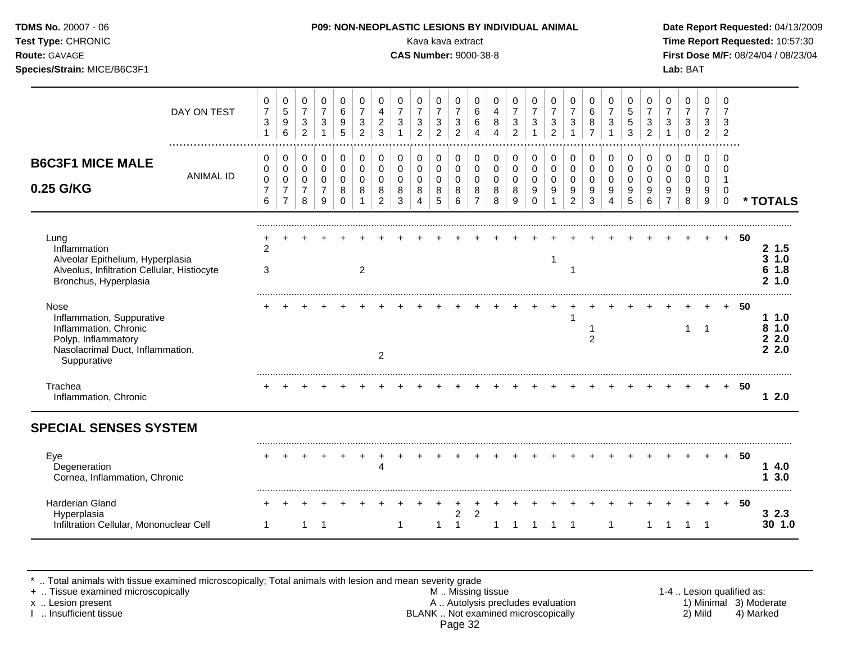| Test Type: CHRONIC<br>Route: GAVAGE<br>Species/Strain: MICE/B6C3F1                                                                   |                  |                                                                   |                                                                           |                                                                    |                                                             |                                                       |                                                                              |                                                                |                                                   | Kava kava extract<br><b>CAS Number: 9000-38-8</b> |                                                                    |                                                                            |                                                      |                                                           |                                                |                                               |                                                       |                                                       |                                                      |                                                             |                                                |                                            |                                                             | Lab: BAT                                                |                                                          |                                                               |        | Time Report Requested: 10:57:30<br>First Dose M/F: 08/24/04 / 08/23/04 |
|--------------------------------------------------------------------------------------------------------------------------------------|------------------|-------------------------------------------------------------------|---------------------------------------------------------------------------|--------------------------------------------------------------------|-------------------------------------------------------------|-------------------------------------------------------|------------------------------------------------------------------------------|----------------------------------------------------------------|---------------------------------------------------|---------------------------------------------------|--------------------------------------------------------------------|----------------------------------------------------------------------------|------------------------------------------------------|-----------------------------------------------------------|------------------------------------------------|-----------------------------------------------|-------------------------------------------------------|-------------------------------------------------------|------------------------------------------------------|-------------------------------------------------------------|------------------------------------------------|--------------------------------------------|-------------------------------------------------------------|---------------------------------------------------------|----------------------------------------------------------|---------------------------------------------------------------|--------|------------------------------------------------------------------------|
|                                                                                                                                      | DAY ON TEST      | 0<br>$\overline{7}$<br>$\ensuremath{\mathsf{3}}$<br>$\mathbf{1}$  | 0<br>5<br>$\boldsymbol{9}$<br>$6\phantom{1}6$                             | 0<br>$\overline{7}$<br>$\ensuremath{\mathsf{3}}$<br>$\overline{2}$ | $\,0\,$<br>$\overline{7}$<br>$\ensuremath{\mathsf{3}}$<br>1 | 0<br>$\,6\,$<br>9<br>5                                | $\mathbf 0$<br>$\overline{7}$<br>$\ensuremath{\mathsf{3}}$<br>$\overline{2}$ | 0<br>$\overline{\mathbf{4}}$<br>$\overline{c}$<br>$\mathbf{3}$ | 0<br>$\overline{7}$<br>$\sqrt{3}$<br>$\mathbf{1}$ | 0<br>$\overline{7}$<br>3<br>$\overline{a}$        | 0<br>$\overline{7}$<br>$\ensuremath{\mathsf{3}}$<br>$\overline{c}$ | $\pmb{0}$<br>$\overline{7}$<br>$\ensuremath{\mathsf{3}}$<br>$\overline{2}$ | $\mathbf 0$<br>6<br>$\,6\,$<br>$\overline{4}$        | $\mathbf 0$<br>$\overline{4}$<br>$\, 8$<br>$\overline{4}$ | 0<br>$\overline{7}$<br>3<br>$\overline{2}$     | 0<br>$\overline{7}$<br>$\mathbf{3}$           | 0<br>7<br>$\ensuremath{\mathsf{3}}$<br>$\overline{c}$ | 0<br>$\overline{7}$<br>$\ensuremath{\mathsf{3}}$<br>1 | $\Omega$<br>$\,6$<br>8<br>$\overline{7}$             | $\mathbf 0$<br>$\overline{7}$<br>$\sqrt{3}$<br>$\mathbf{1}$ | 0<br>5<br>$\,$ 5 $\,$<br>3                     | 0<br>$\overline{7}$<br>3<br>$\overline{2}$ | $\pmb{0}$<br>$\overline{7}$<br>$\mathbf{3}$<br>$\mathbf{1}$ | 0<br>$\overline{7}$<br>$\sqrt{3}$<br>$\mathbf 0$        | $\mathbf 0$<br>$\overline{7}$<br>3<br>$\overline{a}$     | $\mathbf 0$<br>$\overline{7}$<br>3<br>$\overline{2}$          |        |                                                                        |
| <b>B6C3F1 MICE MALE</b><br>0.25 G/KG                                                                                                 | <b>ANIMAL ID</b> | $\pmb{0}$<br>0<br>$\mathbf 0$<br>$\overline{7}$<br>$6\phantom{1}$ | $\pmb{0}$<br>$\pmb{0}$<br>$\mathbf 0$<br>$\overline{7}$<br>$\overline{7}$ | 0<br>$\mathbf 0$<br>$\mathbf 0$<br>$\overline{7}$<br>8             | $\pmb{0}$<br>$\pmb{0}$<br>$\pmb{0}$<br>$\overline{7}$<br>9  | $\pmb{0}$<br>$\mathbf 0$<br>$\Omega$<br>8<br>$\Omega$ | $\mathbf 0$<br>$\mathbf 0$<br>$\Omega$<br>8                                  | $\pmb{0}$<br>$\mathbf 0$<br>$\mathbf 0$<br>8<br>$\overline{2}$ | $\mathbf 0$<br>$\pmb{0}$<br>$\mathbf 0$<br>8<br>3 | 0<br>$\mathbf 0$<br>$\Omega$<br>8<br>4            | $\pmb{0}$<br>$\mathbf 0$<br>$\mathbf 0$<br>8<br>5                  | $\pmb{0}$<br>$\mathsf{O}\xspace$<br>$\mathbf 0$<br>8<br>$6\phantom{1}6$    | 0<br>$\pmb{0}$<br>$\mathbf 0$<br>8<br>$\overline{7}$ | $\mathbf 0$<br>$\mathbf 0$<br>$\mathbf 0$<br>8<br>8       | $\mathbf 0$<br>$\pmb{0}$<br>$\Omega$<br>8<br>9 | 0<br>$\mathbf 0$<br>$\Omega$<br>9<br>$\Omega$ | $\pmb{0}$<br>$\mathbf 0$<br>$\mathbf 0$<br>9          | 0<br>$\mathbf 0$<br>$\Omega$<br>9<br>$\overline{2}$   | $\mathbf 0$<br>$\mathbf 0$<br>$\mathbf{0}$<br>9<br>3 | $\mathbf 0$<br>$\mathbf 0$<br>$\Omega$<br>9<br>4            | $\pmb{0}$<br>$\mathbf 0$<br>$\Omega$<br>9<br>5 | 0<br>$\mathbf 0$<br>$\Omega$<br>9<br>6     | 0<br>$\mathbf 0$<br>$\mathbf 0$<br>9<br>$\overline{7}$      | $\pmb{0}$<br>$\mathbf 0$<br>$\mathbf 0$<br>9<br>$\,8\,$ | $\mathbf 0$<br>$\mathbf 0$<br>0<br>9<br>$\boldsymbol{9}$ | $\mathbf 0$<br>$\Omega$<br>$\overline{1}$<br>0<br>$\mathbf 0$ |        | * TOTALS                                                               |
| Lung<br>Inflammation<br>Alveolar Epithelium, Hyperplasia<br>Alveolus, Infiltration Cellular, Histiocyte<br>Bronchus, Hyperplasia     |                  | $\overline{2}$<br>3                                               |                                                                           |                                                                    |                                                             |                                                       | $\overline{2}$                                                               |                                                                |                                                   |                                                   |                                                                    |                                                                            |                                                      |                                                           |                                                |                                               | $\mathbf 1$                                           |                                                       |                                                      |                                                             |                                                |                                            |                                                             |                                                         |                                                          | $+$                                                           | 50     | 2, 1.5<br>3 1.0<br>61.8<br>21.0                                        |
| Nose<br>Inflammation, Suppurative<br>Inflammation, Chronic<br>Polyp, Inflammatory<br>Nasolacrimal Duct, Inflammation,<br>Suppurative |                  |                                                                   |                                                                           |                                                                    |                                                             |                                                       |                                                                              | $\overline{2}$                                                 |                                                   |                                                   |                                                                    |                                                                            |                                                      |                                                           |                                                |                                               |                                                       |                                                       | -1<br>$\overline{2}$                                 |                                                             |                                                |                                            |                                                             | $\mathbf{1}$                                            | $\overline{1}$                                           |                                                               | 50     | 1.0<br>81.0<br>22.0<br>2.2.0                                           |
| Trachea<br>Inflammation, Chronic                                                                                                     |                  |                                                                   |                                                                           |                                                                    |                                                             |                                                       |                                                                              |                                                                |                                                   |                                                   |                                                                    |                                                                            |                                                      |                                                           |                                                |                                               |                                                       |                                                       |                                                      |                                                             |                                                |                                            |                                                             |                                                         | $+$                                                      |                                                               | + 50   | 12.0                                                                   |
| <b>SPECIAL SENSES SYSTEM</b>                                                                                                         |                  |                                                                   |                                                                           |                                                                    |                                                             |                                                       |                                                                              |                                                                |                                                   |                                                   |                                                                    |                                                                            |                                                      |                                                           |                                                |                                               |                                                       |                                                       |                                                      |                                                             |                                                |                                            |                                                             |                                                         |                                                          |                                                               |        |                                                                        |
| Eye<br>Degeneration<br>Cornea, Inflammation, Chronic                                                                                 |                  |                                                                   |                                                                           |                                                                    |                                                             |                                                       |                                                                              | $\overline{4}$                                                 |                                                   |                                                   |                                                                    |                                                                            |                                                      |                                                           |                                                |                                               |                                                       |                                                       |                                                      |                                                             |                                                |                                            |                                                             | $\pm$                                                   | $+$                                                      |                                                               | $+ 50$ | 14.0<br>13.0                                                           |
| Harderian Gland<br>Hyperplasia<br>Infiltration Cellular, Mononuclear Cell                                                            |                  | 1                                                                 |                                                                           | 1                                                                  | -1                                                          |                                                       |                                                                              |                                                                | $\mathbf 1$                                       |                                                   | 1                                                                  | $\overline{2}$<br>$\overline{1}$                                           | $\overline{2}$                                       | 1                                                         |                                                |                                               |                                                       | -1                                                    |                                                      | 1                                                           |                                                | 1                                          | -1                                                          | -1                                                      | -1                                                       |                                                               | + 50   | 32.3<br>30 1.0                                                         |

\* .. Total animals with tissue examined microscopically; Total animals with lesion and mean severity grade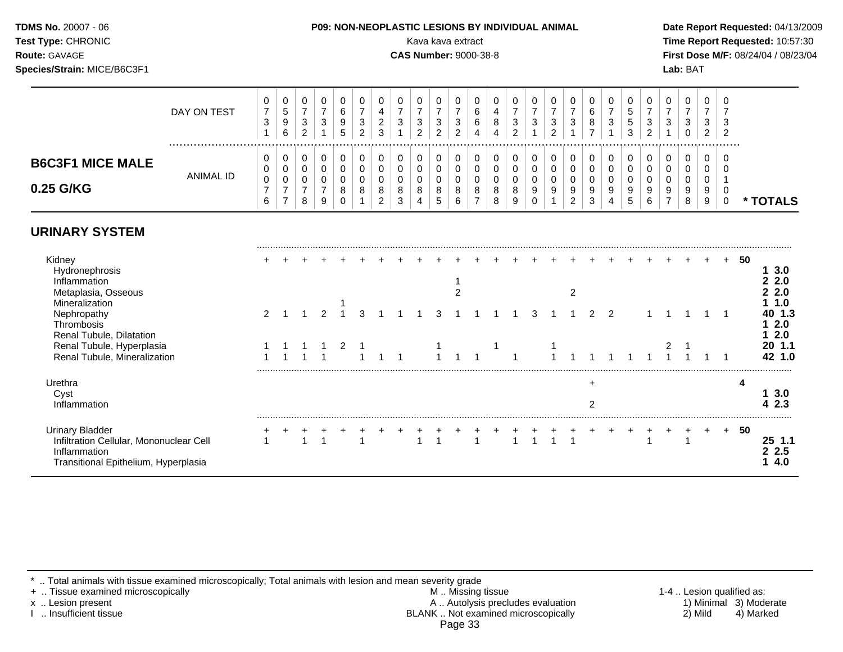# **Species/Strain:** MICE/B6C3F1 **Lab:** BAT

#### **TDMS No.** 20007 - 06 **P09: NON-NEOPLASTIC LESIONS BY INDIVIDUAL ANIMAL Date Report Requested:** 04/13/2009

**Test Type:** CHRONIC Kava kava extract **Time Report Requested:** 10:57:30 **Route:** GAVAGE **CAS Number:** 9000-38-8 **First Dose M/F:** 08/24/04 / 08/23/04

|                         |             | U | 0 | U |   | U | 0            |          | U      |        | υ             | ັບ     | U      | U      |   | U | v      | U             | U      | υ | <b>U</b>                       | U | U | U      | ν      | U              |               |
|-------------------------|-------------|---|---|---|---|---|--------------|----------|--------|--------|---------------|--------|--------|--------|---|---|--------|---------------|--------|---|--------------------------------|---|---|--------|--------|----------------|---------------|
|                         | DAY ON TEST |   |   |   |   | 6 | -            |          | -      |        |               |        | ⌒<br>6 | 4      |   |   |        |               | ь      |   | .5                             |   |   |        |        |                |               |
|                         |             | 3 | 9 | 3 | 3 | 9 | ີ<br>ັ       | <u>_</u> | 3      |        | 3             | ت      | ⌒<br>6 | 8      | 3 | 3 | າ<br>ັ | 3             | 8      | ۍ | b.                             | 3 | 3 | ີ<br>ັ | 3      | е              |               |
|                         |             |   | 6 | ົ |   | ა | <sup>o</sup> |          |        | $\sim$ | ົ<br><u>_</u> |        |        | 4      | ົ |   | $\sim$ |               |        |   | ึ<br>دت                        |   |   | 0      | 2      | -2<br><u>_</u> |               |
|                         |             |   |   |   |   |   |              |          |        |        |               |        |        |        |   |   |        |               |        |   |                                |   |   |        |        |                |               |
| <b>B6C3F1 MICE MALE</b> |             | U | 0 | υ |   | U | 0            |          | 0      |        | 0             |        | 0      | U      |   | 0 |        | 0             | υ      |   |                                |   | 0 | 0      | U      |                |               |
|                         | ANIMAL ID   | U | 0 | υ |   | U | υ            |          |        |        | v             |        | 0      |        |   | 0 |        | J             | v      |   |                                |   |   | 0      | ν      |                |               |
| 0.25 G/KG               |             | 0 | 0 |   |   | U | 0            | u        |        |        | u             |        | U      | U      |   | 0 |        |               | ν      |   |                                |   |   | 0      | v      |                |               |
|                         |             | 6 |   | 8 | 9 | 8 | 8            | <u>_</u> | 8<br>3 |        | 8<br>5        | 8<br>6 | 8      | 8<br>8 |   | 9 | 9      | 9<br><u>.</u> | 9<br>3 | 9 | 9<br>$\ddot{\phantom{1}}$<br>◡ |   | 9 | 9<br>8 | 9<br>9 |                | <b>TOTALS</b> |

#### **URINARY SYSTEM**

| Kidney<br><b>Hydronephrosis</b><br>Inflammation                                                                           |  |  |  |  |  |  |  |  |   |  |  |  |  | 50 | 3.0<br>2.0                   |
|---------------------------------------------------------------------------------------------------------------------------|--|--|--|--|--|--|--|--|---|--|--|--|--|----|------------------------------|
| Metaplasia, Osseous                                                                                                       |  |  |  |  |  |  |  |  | ົ |  |  |  |  |    | 2.0                          |
| Mineralization<br>Nephropathy<br>Thrombosis<br>Renal Tubule, Dilatation                                                   |  |  |  |  |  |  |  |  |   |  |  |  |  |    | l .0<br>40 1.3<br>2.0<br>2.0 |
| Renal Tubule, Hyperplasia<br>Renal Tubule, Mineralization                                                                 |  |  |  |  |  |  |  |  |   |  |  |  |  |    | 20 1.1<br>42 1.0             |
| Urethra<br>Cyst<br>Inflammation                                                                                           |  |  |  |  |  |  |  |  |   |  |  |  |  |    | 2.3                          |
| <b>Urinary Bladder</b><br>Infiltration Cellular, Mononuclear Cell<br>Inflammation<br>Transitional Epithelium, Hyperplasia |  |  |  |  |  |  |  |  |   |  |  |  |  | 50 | 1.1<br>2.5<br>4.0            |

\* .. Total animals with tissue examined microscopically; Total animals with lesion and mean severity grade<br>+ .. Tissue examined microscopically

+ .. Tissue examined microscopically  $M$ .. Missing tissue 1-4 .. Lesion qualified as: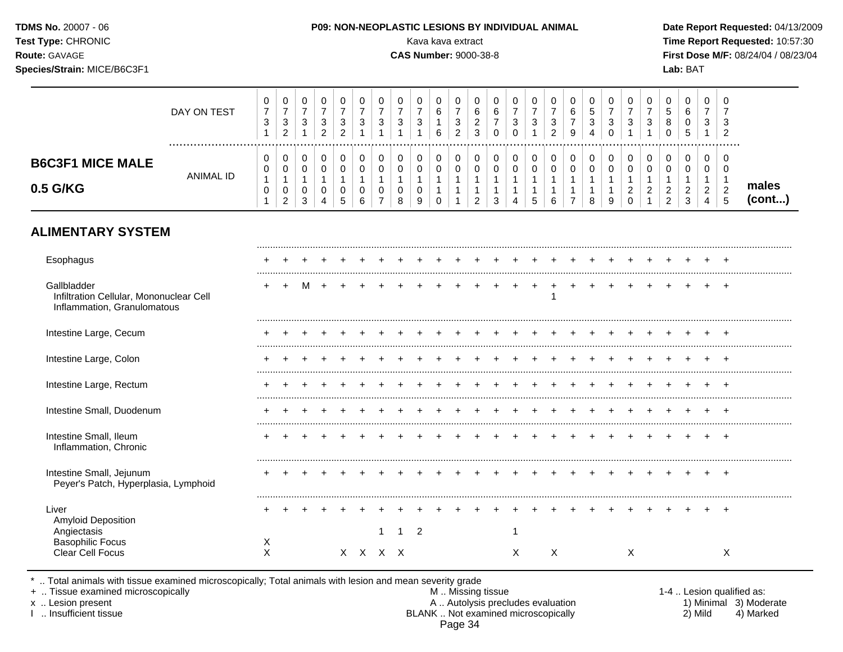| <b>TDMS No. 20007 - 06</b><br><b>Test Type: CHRONIC</b><br><b>Route: GAVAGE</b><br>Species/Strain: MICE/B6C3F1 |                                                                                      | <b>P09: NON-NEOPLASTIC LESIONS BY INDIVIDUAL ANIMAL</b><br>Kava kava extract<br><b>CAS Number: 9000-38-8</b>                                                                                                                                                            | Date Report Requested: 04/13/2009<br>Time Report Requested: 10:57:30<br><b>First Dose M/F: 08/24/04 / 08/23/04</b><br>Lab: BAT |
|----------------------------------------------------------------------------------------------------------------|--------------------------------------------------------------------------------------|-------------------------------------------------------------------------------------------------------------------------------------------------------------------------------------------------------------------------------------------------------------------------|--------------------------------------------------------------------------------------------------------------------------------|
|                                                                                                                | $R$ $\lambda$ $\lambda$ $\lambda$ $\lambda$ $\lambda$ $\tau$ $\tau$ $\lambda$ $\tau$ | $\frac{0}{2}$<br>$\frac{0}{7}$<br>$\mathbf 0$<br>$\frac{0}{7}$<br>$\frac{0}{2}$<br>$\pmb{0}$<br>$\frac{0}{7}$<br>$\frac{0}{5}$<br>$\mathbf{0}$<br>$\rightarrow$ 1<br>$\rightarrow$<br>$\rightarrow$ $\rightarrow$<br>$\rightarrow$<br>$\rightarrow$<br>$\sim$<br>$\sim$ |                                                                                                                                |

|                                     | DAY ON TEST      | ົ<br>ັບ | ົ<br>ັ<br>ົ<br><u>_</u> | ົ | ີ<br>ت<br>ີ | ◠<br>ັ<br>_ | ◡ | ີ<br>J | 3                | ົ<br>ັ           | ⌒<br>U<br>6 | ີ<br>J<br>$\epsilon$<br>- | ь<br>ີ<br>_<br>3 | 6<br>U | ັ<br>ບ | ັ       | 2<br>پ<br>C<br><u>_</u> | ь<br>9 | N           | ັ        | ບ                  | ັ             | € | 6<br>◡ | <sup>o</sup><br>دت | 3<br>-2                         |                 |
|-------------------------------------|------------------|---------|-------------------------|---|-------------|-------------|---|--------|------------------|------------------|-------------|---------------------------|------------------|--------|--------|---------|-------------------------|--------|-------------|----------|--------------------|---------------|---|--------|--------------------|---------------------------------|-----------------|
| <b>B6C3F1 MICE MALE</b><br>0.5 G/KG | <b>ANIMAL ID</b> | ◡<br>U  | ັ<br>ັ<br>ີ<br><u>_</u> | J |             | ບ           |   |        | 0<br>0<br>0<br>8 | 0<br>0<br>U<br>9 | v<br>ັ      | v<br>v                    | U<br>v           | U<br>◡ | v<br>J | ◡<br>ັບ | 0<br>v<br>6             | U<br>U | ν<br>J<br>o | ັບ<br>ັບ | v<br>u<br><u>_</u> | ◡<br><u>_</u> |   | ◡      | 0<br>C.            | 0<br>0<br>$\sim$<br>$\sim$<br>∽ | males<br>(cont) |

# **ALIMENTARY SYSTEM**

| Esophagus                                                                             |        |  |  |         |  |   |  |  |   |   |  |   |  |  |   |
|---------------------------------------------------------------------------------------|--------|--|--|---------|--|---|--|--|---|---|--|---|--|--|---|
| Gallbladder<br>Infiltration Cellular, Mononuclear Cell<br>Inflammation, Granulomatous |        |  |  |         |  |   |  |  |   |   |  |   |  |  |   |
| Intestine Large, Cecum                                                                |        |  |  |         |  |   |  |  |   |   |  |   |  |  |   |
| Intestine Large, Colon                                                                |        |  |  |         |  |   |  |  |   |   |  |   |  |  |   |
| Intestine Large, Rectum                                                               |        |  |  |         |  |   |  |  |   |   |  |   |  |  |   |
| Intestine Small, Duodenum                                                             |        |  |  |         |  |   |  |  |   |   |  |   |  |  |   |
| Intestine Small, Ileum<br>Inflammation, Chronic                                       |        |  |  |         |  |   |  |  |   |   |  |   |  |  |   |
| Intestine Small, Jejunum<br>Peyer's Patch, Hyperplasia, Lymphoid                      |        |  |  |         |  |   |  |  |   |   |  |   |  |  |   |
| Liver<br><b>Amyloid Deposition</b>                                                    |        |  |  |         |  |   |  |  |   |   |  |   |  |  |   |
| Angiectasis<br><b>Basophilic Focus</b><br>Clear Cell Focus                            | X<br>X |  |  | X X X X |  | 2 |  |  | X | X |  | X |  |  | X |

\* .. Total animals with tissue examined microscopically; Total animals with lesion and mean severity grade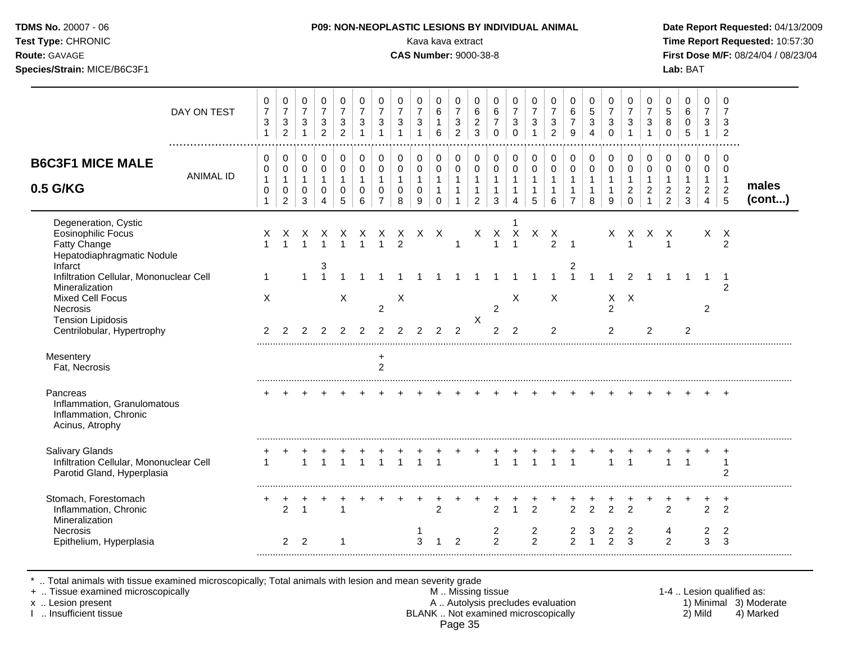| <b>TDMS No. 20007 - 06</b><br>Test Type: CHRONIC<br>Route: GAVAGE<br>Species/Strain: MICE/B6C3F1 |             |                          |                                            |                  |                                                                |                                                                |                                    |                               | <b>P09: NON-NEOPLASTIC LESIONS BY INDIVIDUAL ANIMAL</b><br><b>CAS Number: 9000-38-8</b> |                                                |             | Kava kava extract                                                  |                                                 |                                   |                  |             |                                            |                               |                  |                                            |                                              |                          |                                            | Lab: BAT                   |                          | Date Report Requ<br><b>Time Report Req</b><br>First Dose M/F: 0 |
|--------------------------------------------------------------------------------------------------|-------------|--------------------------|--------------------------------------------|------------------|----------------------------------------------------------------|----------------------------------------------------------------|------------------------------------|-------------------------------|-----------------------------------------------------------------------------------------|------------------------------------------------|-------------|--------------------------------------------------------------------|-------------------------------------------------|-----------------------------------|------------------|-------------|--------------------------------------------|-------------------------------|------------------|--------------------------------------------|----------------------------------------------|--------------------------|--------------------------------------------|----------------------------|--------------------------|-----------------------------------------------------------------|
|                                                                                                  | DAY ON TEST | 0<br>$\overline{7}$<br>3 | 0<br>$\overline{7}$<br>3<br>$\overline{c}$ | 0<br>7<br>3      | 0<br>7<br>3<br>$\overline{2}$                                  | 0<br>$\overline{\mathbf{7}}$<br>$\mathbf{3}$<br>$\overline{c}$ | 0<br>$\overline{7}$<br>$\mathsf 3$ | 0<br>$\overline{ }$<br>3      | 0<br>$\overline{7}$<br>$\ensuremath{\mathsf{3}}$                                        | $\mathbf 0$<br>$\overline{7}$<br>3<br>1        | 0<br>6<br>6 | 0<br>$\overline{ }$<br>$\ensuremath{\mathsf{3}}$<br>$\overline{c}$ | $\mathbf 0$<br>6<br>2<br>3                      | 0<br>$\,6$<br>$\overline{ }$<br>0 | 0<br>7<br>3<br>0 | 0<br>7<br>3 | 0<br>$\overline{7}$<br>3<br>$\overline{2}$ | 0<br>6<br>$\overline{z}$<br>9 | 0<br>5<br>3<br>4 | 0<br>$\overline{7}$<br>$\mathfrak{S}$<br>0 | 0<br>$\overline{7}$<br>3                     | 0<br>7<br>3              | 0<br>$\mathbf 5$<br>8<br>0                 | 0<br>6<br>0<br>5           | 0<br>$\overline{7}$<br>3 | 3<br>$\overline{2}$                                             |
| <b>B6C3F1 MICE MALE</b><br>0.5 G/KG                                                              | ANIMAL ID   | 0<br>0<br>0              | 0<br>0<br>0<br>2                           | 0<br>0<br>0<br>3 | $\overline{0}$<br>$\mathbf 0$<br>$\mathbf 0$<br>$\overline{4}$ | 0<br>$\pmb{0}$<br>$\pmb{0}$<br>5                               | 0<br>0<br>0<br>6                   | 0<br>0<br>0<br>$\overline{ }$ | 0<br>0<br>0<br>8                                                                        | $\mathbf 0$<br>$\mathbf 0$<br>$\mathbf 0$<br>9 | 0<br>0<br>0 | 0<br>$\overline{0}$                                                | $\mathbf 0$<br>$\overline{0}$<br>$\overline{2}$ | 0<br>$\pmb{0}$<br>3               | 0<br>0<br>4      | 0<br>5      | 0<br>0<br>6                                | 0<br>0<br>⇁                   | 0<br>0<br>8      | 0<br>0<br>9                                | $\mathbf 0$<br>$\mathbf 0$<br>$\overline{2}$ | 0<br>0<br>$\overline{2}$ | 0<br>0<br>$\overline{c}$<br>$\overline{2}$ | $\mathbf 0$<br>0<br>2<br>3 | 0<br>0<br>2<br>4         | 2<br>5                                                          |
| Degeneration, Cystic<br><b>Eosinophilic Focus</b>                                                |             | X.                       | X                                          | X.               | X                                                              | X                                                              | X                                  | X                             | X.                                                                                      | X.                                             | $\times$    |                                                                    | X.                                              | х                                 | х                | x.          | X                                          |                               |                  | X.                                         | X                                            | X                        | X                                          |                            | $\times$                 | $\times$                                                        |

Infarct 2008 and 2008 and 2008 and 2008 and 2008 and 2008 and 2008 and 2008 and 2008 and 2008 and 2008 and 200

Tension Lipidosis X

Mesentery + the matrix of the matrix of the matrix of the matrix of the matrix of the matrix of the matrix of the matrix of the matrix of the matrix of the matrix of the matrix of the matrix of the matrix of the matrix of

Inflammation, Chronic 2 2 1

Mixed Cell Focus X X X X X X X

Fatty Change 1 1 1 1 1 1 1 2 1 1 1 2 1 1 1 2

Infiltration Cellular, Mononuclear Cell 1 1 1 1 1 1 1 1 1 1 1 1 1 1 1 1 1 1 2 1 1 1 1 1 Mineralization 2

Necrosis 2 2 2 2

Pancreas + + + + + + + + + + + + + + + + + + + + + + + + +

Salivary Glands + + + + + + + + + + + + + + + + + + + + + + + + + Infiltration Cellular, Mononuclear Cell 1 1 1 1 1 1 1 1 1 1 1 1 1 1 1 1 1 1 1

Stomach, Forestomach + + + + + + + + + + + + + + + + + + + + + + + + +

Necrosis 1 2 2 2 3 2 2 4 2 2 Epithelium, Hyperplasia 2 2 1 3 1 2 2 2 2 1 2 3 2 3 3

Centrilobular, Hypertrophy 2 2 2 2 2 2 2 2 2 2 2 2 2 2 2 2 2

\* .. Total animals with tissue examined microscopically; Total animals with lesion and mean severity grade

+ .. Tissue examined microscopically examined microscopically and the state of the state of the M .. Missing tissue the M .. Missing tissue the state of the state of the state of the state of the state of the state of the

Hepatodiaphragmatic Nodule<br>Infarct

Inflammation, Granulomatous Inflammation, Chronic Acinus, Atrophy

Parotid Gland, Hyperplasia 2

Mineralization<br>Necrosis

Fat, Necrosis 2

x .. Lesion present 1) Minimal 3) Moderate<br>A .. Autolysis precludes evaluation 1 and 1) Minimal 3) Moderate<br>BLANK .. Not examined microscopically 1 and 1) Mild 4) Marked BLANK .. Not examined microscopically Page 35

.........................................................................................................................................................................................................

.........................................................................................................................................................................................................

.........................................................................................................................................................................................................

.........................................................................................................................................................................................................

.........................................................................................................................................................................................................

**Ite Report Requested: 04/13/2009 The Report Requested: 10:57:30 Route:** GAVAGE **CAS Number:** 9000-38-8 **First Dose M/F:** 08/24/04 / 08/23/04

**males (cont...)**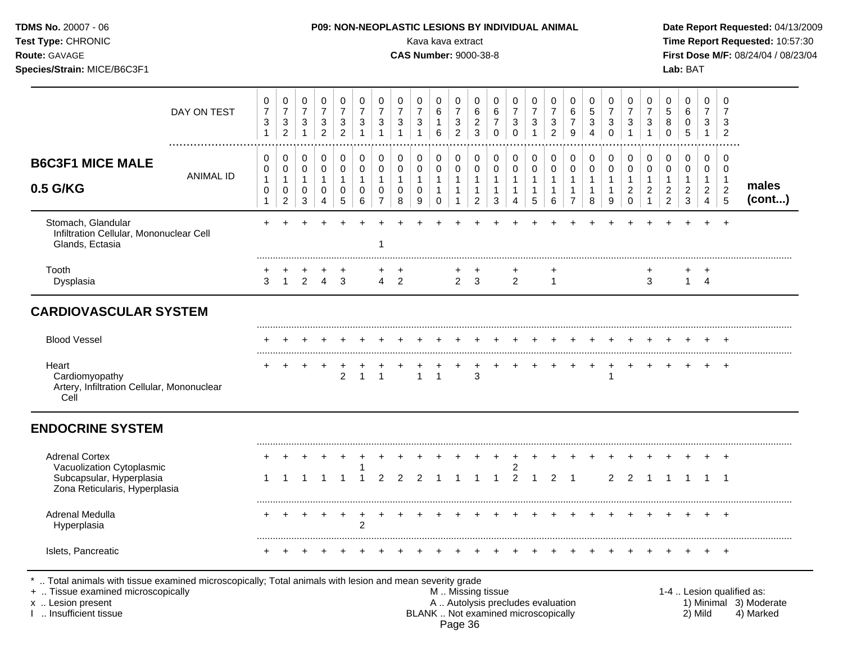| TDMS No. 20007 - 06<br>Test Type: CHRONIC<br>Route: GAVAGE<br>Species/Strain: MICE/B6C3F1 |                  |                                             |                                                                    |                                                               |                                                    |                                                         |                                                     |                                                                           |                                                            | Kava kava extract<br><b>CAS Number: 9000-38-8</b> |                                                                         |                                                                             |                                                                            |                                             |                                                                 |                                                              | P09: NON-NEOPLASTIC LESIONS BY INDIVIDUAL ANIMAL            |                                                       |                                                     |                                                       |                                                                  |                                                                  |                                                              | Lab: BAT                                                        |                                                                                |                                                                    | Date Report Requested: 04/13/2009<br>Time Report Requested: 10:57:30<br>First Dose M/F: 08/24/04 / 08/23/04 |
|-------------------------------------------------------------------------------------------|------------------|---------------------------------------------|--------------------------------------------------------------------|---------------------------------------------------------------|----------------------------------------------------|---------------------------------------------------------|-----------------------------------------------------|---------------------------------------------------------------------------|------------------------------------------------------------|---------------------------------------------------|-------------------------------------------------------------------------|-----------------------------------------------------------------------------|----------------------------------------------------------------------------|---------------------------------------------|-----------------------------------------------------------------|--------------------------------------------------------------|-------------------------------------------------------------|-------------------------------------------------------|-----------------------------------------------------|-------------------------------------------------------|------------------------------------------------------------------|------------------------------------------------------------------|--------------------------------------------------------------|-----------------------------------------------------------------|--------------------------------------------------------------------------------|--------------------------------------------------------------------|-------------------------------------------------------------------------------------------------------------|
|                                                                                           | DAY ON TEST      | 0<br>$\boldsymbol{7}$<br>3<br>$\mathbf{1}$  | 0<br>$\boldsymbol{7}$<br>3<br>$\overline{c}$                       | 0<br>$\overline{7}$<br>3<br>$\mathbf{1}$                      | 0<br>$\boldsymbol{7}$<br>3<br>$\overline{2}$       | 0<br>$\boldsymbol{7}$<br>$\mathbf{3}$<br>$\overline{2}$ | 0<br>$\overline{7}$<br>$\mathbf{3}$<br>$\mathbf{1}$ | 0<br>$\overline{\mathbf{7}}$<br>$\ensuremath{\mathsf{3}}$<br>$\mathbf{1}$ | 0<br>$\overline{\mathbf{7}}$<br>$\sqrt{3}$<br>$\mathbf{1}$ | 0<br>$\overline{7}$<br>$\mathbf 3$                | 0<br>$\,6\,$<br>$\mathbf{1}$<br>6                                       | 0<br>$\overline{\mathbf{7}}$<br>$\ensuremath{\mathsf{3}}$<br>$\overline{c}$ | $\mathbf 0$<br>$\,6\,$<br>$\frac{2}{3}$                                    | 0<br>6<br>$\overline{7}$<br>$\mathbf 0$     | 0<br>$\boldsymbol{7}$<br>$\sqrt{3}$<br>$\Omega$                 | 0<br>$\overline{7}$<br>$\sqrt{3}$<br>$\mathbf{1}$            | 0<br>$\overline{7}$<br>$\sqrt{3}$<br>$\overline{c}$         | 0<br>6<br>$\overline{7}$<br>9                         | 0<br>$\,$ 5 $\,$<br>$\mathsf 3$<br>$\overline{4}$   | 0<br>$\overline{7}$<br>3<br>$\mathbf 0$               | 0<br>$\overline{7}$<br>$\ensuremath{\mathsf{3}}$<br>$\mathbf{1}$ | 0<br>$\overline{7}$<br>$\ensuremath{\mathsf{3}}$<br>$\mathbf{1}$ | 0<br>$\sqrt{5}$<br>8<br>$\mathbf 0$                          | $\mathbf 0$<br>$\,6\,$<br>$\pmb{0}$<br>$\overline{5}$           | 0<br>$\overline{7}$<br>3<br>$\overline{1}$                                     | $\mathbf 0$<br>$\overline{7}$<br>$\mathbf{3}$<br>$\overline{2}$    |                                                                                                             |
| <b>B6C3F1 MICE MALE</b><br>0.5 G/KG                                                       | <b>ANIMAL ID</b> | 0<br>0<br>$\mathbf{1}$<br>0<br>$\mathbf{1}$ | 0<br>$\mathbf 0$<br>$\mathbf 1$<br>$\mathbf 0$<br>$\boldsymbol{2}$ | 0<br>$\pmb{0}$<br>$\mathbf{1}$<br>$\mathbf 0$<br>$\mathbf{3}$ | 0<br>$\pmb{0}$<br>$\mathbf{1}$<br>$\mathbf 0$<br>4 | 0<br>$\pmb{0}$<br>$\mathbf{1}$<br>$\mathbf 0$<br>5      | 0<br>$\pmb{0}$<br>$\mathbf{1}$<br>0<br>6            | 0<br>$\pmb{0}$<br>$\mathbf{1}$<br>0<br>$\overline{7}$                     | 0<br>$\pmb{0}$<br>$\mathbf{1}$<br>0<br>8                   | 0<br>0<br>$\mathbf{1}$<br>$\mathbf 0$<br>9        | $\pmb{0}$<br>$\mathsf 0$<br>$\mathbf{1}$<br>$\mathbf{1}$<br>$\mathbf 0$ | $\pmb{0}$<br>$\pmb{0}$<br>$\mathbf{1}$<br>$\mathbf{1}$<br>$\overline{1}$    | $\mathbf 0$<br>$\pmb{0}$<br>$\mathbf{1}$<br>$\mathbf{1}$<br>$\overline{2}$ | 0<br>0<br>$\mathbf{1}$<br>$\mathbf{1}$<br>3 | $\mathbf 0$<br>$\mathbf 0$<br>$\mathbf{1}$<br>$\mathbf{1}$<br>4 | 0<br>$\pmb{0}$<br>$\mathbf{1}$<br>$\mathbf{1}$<br>$\sqrt{5}$ | 0<br>$\mathbf 0$<br>$\mathbf{1}$<br>$\mathbf{1}$<br>$\,6\,$ | 0<br>$\pmb{0}$<br>$\mathbf{1}$<br>1<br>$\overline{7}$ | 0<br>$\pmb{0}$<br>$\mathbf{1}$<br>$\mathbf{1}$<br>8 | 0<br>$\mathbf 0$<br>$\mathbf{1}$<br>$\mathbf{1}$<br>9 | 0<br>$\pmb{0}$<br>$\mathbf{1}$<br>$\overline{c}$<br>$\mathbf 0$  | 0<br>$\pmb{0}$<br>$\mathbf{1}$<br>$\overline{c}$<br>$\mathbf{1}$ | 0<br>0<br>$\mathbf{1}$<br>$\boldsymbol{2}$<br>$\overline{2}$ | $\pmb{0}$<br>$\pmb{0}$<br>$\mathbf{1}$<br>$\boldsymbol{2}$<br>3 | $\mathbf 0$<br>$\mathbf 0$<br>$\mathbf{1}$<br>$\overline{c}$<br>$\overline{4}$ | $\mathbf 0$<br>0<br>$\overline{1}$<br>$\sqrt{2}$<br>$\overline{5}$ | males<br>(cont)                                                                                             |
| Stomach, Glandular<br>Infiltration Cellular, Mononuclear Cell<br>Glands, Ectasia          |                  |                                             |                                                                    |                                                               |                                                    |                                                         |                                                     |                                                                           |                                                            |                                                   |                                                                         |                                                                             |                                                                            |                                             |                                                                 |                                                              |                                                             |                                                       |                                                     |                                                       |                                                                  |                                                                  |                                                              |                                                                 |                                                                                | $+$                                                                |                                                                                                             |
| Tooth<br>Dysplasia                                                                        |                  | 3                                           | $\overline{1}$                                                     | $\overline{2}$                                                |                                                    | $4 \quad 3$                                             |                                                     | $\overline{4}$                                                            | $\overline{2}$                                             |                                                   |                                                                         |                                                                             | $2 \quad 3$                                                                |                                             | $\overline{2}$                                                  |                                                              | $\overline{1}$                                              |                                                       |                                                     |                                                       |                                                                  | 3                                                                |                                                              |                                                                 | +<br>$1 \quad 4$                                                               |                                                                    |                                                                                                             |
| <b>CARDIOVASCULAR SYSTEM</b>                                                              |                  |                                             |                                                                    |                                                               |                                                    |                                                         |                                                     |                                                                           |                                                            |                                                   |                                                                         |                                                                             |                                                                            |                                             |                                                                 |                                                              |                                                             |                                                       |                                                     |                                                       |                                                                  |                                                                  |                                                              |                                                                 |                                                                                |                                                                    |                                                                                                             |
| <b>Blood Vessel</b>                                                                       |                  |                                             |                                                                    |                                                               |                                                    |                                                         |                                                     |                                                                           |                                                            |                                                   |                                                                         |                                                                             |                                                                            |                                             |                                                                 |                                                              |                                                             |                                                       |                                                     |                                                       |                                                                  |                                                                  |                                                              |                                                                 |                                                                                | $+$                                                                |                                                                                                             |
| Heart<br>Cardiomyopathy<br>Artery, Infiltration Cellular, Mononuclear<br>Cell             |                  |                                             | +                                                                  |                                                               | $\div$                                             | $\overline{2}$                                          | $\overline{1}$                                      | $\mathbf{1}$                                                              |                                                            | $\mathbf{1}$                                      | $\overline{1}$                                                          | $\ddot{}$                                                                   | 3                                                                          | $\ddot{}$                                   |                                                                 |                                                              |                                                             | $+$                                                   | $+$                                                 | $+$                                                   | $+$                                                              | $+$                                                              |                                                              |                                                                 | $+$                                                                            | $+$                                                                |                                                                                                             |
| <b>ENDOCRINE SYSTEM</b>                                                                   |                  |                                             |                                                                    |                                                               |                                                    |                                                         |                                                     |                                                                           |                                                            |                                                   |                                                                         |                                                                             |                                                                            |                                             |                                                                 |                                                              |                                                             |                                                       |                                                     |                                                       |                                                                  |                                                                  |                                                              |                                                                 |                                                                                |                                                                    |                                                                                                             |
| <b>Adrenal Cortex</b><br>Vacuolization Cytoplasmic<br>Subcapsular, Hyperplasia            |                  |                                             |                                                                    |                                                               |                                                    |                                                         | $\mathbf 1$                                         | $\overline{2}$                                                            | $\mathcal{P}$                                              | $\mathcal{P}$                                     |                                                                         |                                                                             | -1                                                                         | $\mathbf 1$                                 | 2<br>$\overline{2}$                                             | $\overline{1}$                                               | 2                                                           | $\overline{1}$                                        |                                                     | $\overline{2}$                                        | $\overline{2}$                                                   | $\overline{1}$                                                   |                                                              |                                                                 |                                                                                | $\overline{+}$<br>$\overline{\phantom{0}}$                         |                                                                                                             |
| Zona Reticularis, Hyperplasia<br>Adrenal Medulla<br>Hyperplasia                           |                  |                                             |                                                                    |                                                               |                                                    |                                                         | $\overline{2}$                                      |                                                                           |                                                            |                                                   |                                                                         |                                                                             |                                                                            |                                             |                                                                 |                                                              |                                                             |                                                       |                                                     |                                                       |                                                                  |                                                                  |                                                              |                                                                 |                                                                                |                                                                    |                                                                                                             |
| Islets, Pancreatic                                                                        |                  |                                             |                                                                    |                                                               |                                                    |                                                         |                                                     |                                                                           |                                                            |                                                   |                                                                         |                                                                             |                                                                            |                                             |                                                                 |                                                              |                                                             |                                                       |                                                     |                                                       |                                                                  |                                                                  |                                                              |                                                                 |                                                                                |                                                                    |                                                                                                             |

+ .. Tissue examined microscopically M.. Missing tissue M.. Missing tissue 1-4 .. Lesion qualified as:<br>
This insufficient tissue 1-4 .. Lesion present A .. Autolysis precludes evaluation A .. Autolysis precludes evaluatio x .. Lesion present **A .. Autolysis precludes evaluation** A .. Autolysis precludes evaluation 1) Minimal 3) Moderate I .. Insufficient tissue BLANK .. Not examined microscopically 2) Mild 4) Marked Page 36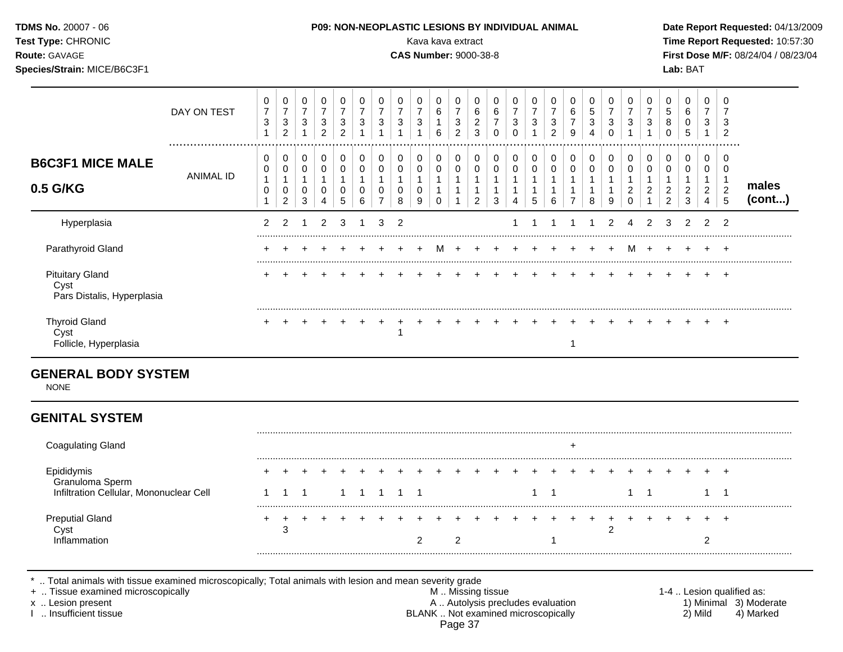| <b>TDMS No. 20007 - 06</b><br><b>Test Type: CHRONIC</b><br><b>Route: GAVAGE</b><br>Species/Strain: MICE/B6C3F1 |             |        |                             |        |                             |             | <b>P09: NON-NEOPLASTIC LESIONS BY INDIVIDUAL ANIMAL</b> |   | <b>CAS Number: 9000-38-8</b> |        | Kava kava extract      |             |             |   |   |        |        |        |  |  | Lab: BAT |     | Date Report Requested: 04/13/2009<br>Time Report Requested: 10:57:30<br>First Dose M/F: 08/24/04 / 08/23/04 |
|----------------------------------------------------------------------------------------------------------------|-------------|--------|-----------------------------|--------|-----------------------------|-------------|---------------------------------------------------------|---|------------------------------|--------|------------------------|-------------|-------------|---|---|--------|--------|--------|--|--|----------|-----|-------------------------------------------------------------------------------------------------------------|
|                                                                                                                | DAY ON TEST | 0<br>3 | 0<br>ົ<br>J.<br>$\sim$<br>∠ | υ<br>3 | 0<br>ົ<br>ت<br><sup>o</sup> | 0<br>3<br>ົ | 0<br>3                                                  | 3 | 3                            | 0<br>3 | $\mathbf{0}$<br>6<br>6 | 0<br>3<br>ົ | 0<br>6<br>3 | 0 | າ | 0<br>3 | 0<br>2 | 6<br>9 |  |  |          | - 3 | - 0<br>J<br>$\sqrt{2}$                                                                                      |

| <b>B6C3F1 MICE MALE</b><br>0.5 G/KG                          | <b>ANIMAL ID</b> | 0<br>0<br>0 | $\sim$ | 3 | U             | U<br>0<br>0<br>5 | v<br>υ<br>6 | U | υ<br>0<br>0<br>8 | 0<br>0<br>0<br>9 | υ<br>0 | U<br>2 | 3 | 0<br>0<br>4 | 5 | υ<br>6 | U<br>0<br>⇁ | U<br>8 | U<br>0<br>9 | U<br>ົ<br>∠ | υ<br>0<br>2   | 0<br>0<br>2<br>2 | U<br>ົ<br>∠<br>3 | ົ<br>∼<br>4   | $\mathcal{D}$<br>5 | males<br>(cont) |
|--------------------------------------------------------------|------------------|-------------|--------|---|---------------|------------------|-------------|---|------------------|------------------|--------|--------|---|-------------|---|--------|-------------|--------|-------------|-------------|---------------|------------------|------------------|---------------|--------------------|-----------------|
| Hyperplasia                                                  |                  |             |        |   | $\mathcal{P}$ | 3                |             | 3 | 2                |                  |        |        |   |             |   |        |             |        | 2           | 4           | $\mathcal{P}$ | 3                |                  | $\mathcal{P}$ | 2                  |                 |
| Parathyroid Gland                                            |                  |             |        |   |               |                  |             |   |                  |                  | м      |        |   |             |   |        |             |        |             | м           |               |                  |                  |               |                    |                 |
| <b>Pituitary Gland</b><br>Cyst<br>Pars Distalis, Hyperplasia |                  |             |        |   |               |                  |             |   |                  |                  |        |        |   |             |   |        |             |        |             |             |               |                  |                  |               |                    |                 |
| <b>Thyroid Gland</b><br>Cyst<br>Follicle, Hyperplasia        |                  |             |        |   |               |                  |             |   |                  |                  |        |        |   |             |   |        |             |        |             |             |               |                  |                  |               |                    |                 |

### **GENERAL BODY SYSTEM**

NONE

## **GENITAL SYSTEM**

| <b>Coagulating Gland</b>                                                 |  |  |  |  |  |        |     |     |  |  |            |   |  |  |        |  |
|--------------------------------------------------------------------------|--|--|--|--|--|--------|-----|-----|--|--|------------|---|--|--|--------|--|
| Epididymis<br>Granuloma Sperm<br>Infiltration Cellular, Mononuclear Cell |  |  |  |  |  | $\div$ | $+$ | $+$ |  |  |            | ÷ |  |  | $\div$ |  |
| <b>Preputial Gland</b><br>าลfion                                         |  |  |  |  |  |        |     |     |  |  | $\sqrt{2}$ |   |  |  | +      |  |

\* .. Total animals with tissue examined microscopically; Total animals with lesion and mean severity grade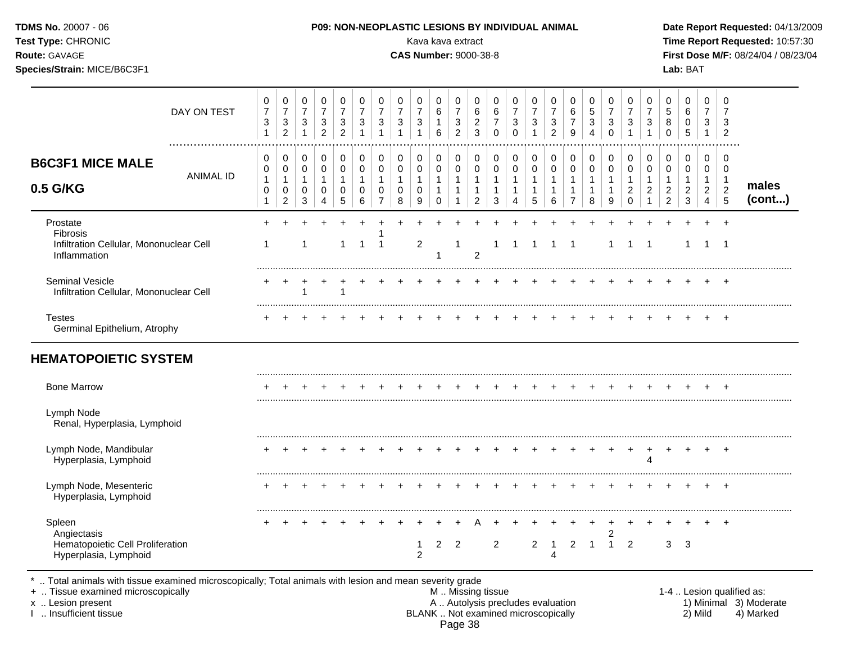| Test Type: CHRONIC<br>Route: GAVAGE<br>Species/Strain: MICE/B6C3F1                 |                                                     |                                                                    |                                                                  |                                                                              |                                                                              |                                                                            |                                                                          |                                                                  | Kava kava extract<br><b>CAS Number: 9000-38-8</b> |                                             |                                                                    |                                                                  |                                                                |                                                                 |                                                                    |                                                                    |                                                          |                                                                              |                                                               |                                                                  |                                                          |                                                                    | Lab: BAT                                                                     |                                                    |                                                         | Time Report Requested: 10:57:30<br>First Dose M/F: 08/24/04 / 08/23/04 |
|------------------------------------------------------------------------------------|-----------------------------------------------------|--------------------------------------------------------------------|------------------------------------------------------------------|------------------------------------------------------------------------------|------------------------------------------------------------------------------|----------------------------------------------------------------------------|--------------------------------------------------------------------------|------------------------------------------------------------------|---------------------------------------------------|---------------------------------------------|--------------------------------------------------------------------|------------------------------------------------------------------|----------------------------------------------------------------|-----------------------------------------------------------------|--------------------------------------------------------------------|--------------------------------------------------------------------|----------------------------------------------------------|------------------------------------------------------------------------------|---------------------------------------------------------------|------------------------------------------------------------------|----------------------------------------------------------|--------------------------------------------------------------------|------------------------------------------------------------------------------|----------------------------------------------------|---------------------------------------------------------|------------------------------------------------------------------------|
| DAY ON TEST                                                                        | 0<br>$\overline{7}$<br>3<br>$\mathbf{1}$            | 0<br>$\overline{7}$<br>$\ensuremath{\mathsf{3}}$<br>$\overline{2}$ | 0<br>$\overline{7}$<br>$\ensuremath{\mathsf{3}}$<br>$\mathbf{1}$ | $\mathbf 0$<br>$\overline{7}$<br>$\ensuremath{\mathsf{3}}$<br>$\overline{c}$ | $\mathsf 0$<br>$\overline{7}$<br>$\ensuremath{\mathsf{3}}$<br>$\overline{2}$ | $\pmb{0}$<br>$\overline{7}$<br>$\ensuremath{\mathsf{3}}$<br>$\overline{1}$ | $\pmb{0}$<br>$\overline{7}$<br>$\ensuremath{\mathsf{3}}$<br>$\mathbf{1}$ | 0<br>$\overline{7}$<br>$\ensuremath{\mathsf{3}}$<br>$\mathbf{1}$ | 0<br>$\overline{7}$<br>3<br>$\mathbf{1}$          | 0<br>$\,6$<br>$\mathbf{1}$<br>6             | 0<br>$\overline{7}$<br>$\ensuremath{\mathsf{3}}$<br>$\overline{a}$ | 0<br>$\,6\,$<br>$\sqrt{2}$<br>$\mathbf{3}$                       | 0<br>$\,6\,$<br>$\overline{7}$<br>$\pmb{0}$                    | 0<br>$\overline{7}$<br>$\ensuremath{\mathsf{3}}$<br>$\mathbf 0$ | 0<br>$\boldsymbol{7}$<br>$\ensuremath{\mathsf{3}}$<br>$\mathbf{1}$ | 0<br>$\overline{7}$<br>$\ensuremath{\mathsf{3}}$<br>$\overline{2}$ | 0<br>$\,6\,$<br>$\overline{7}$<br>$\boldsymbol{9}$       | $\mathbf 0$<br>$\overline{5}$<br>$\ensuremath{\mathsf{3}}$<br>$\overline{4}$ | 0<br>$\overline{7}$<br>$\ensuremath{\mathsf{3}}$<br>$\pmb{0}$ | 0<br>$\overline{7}$<br>$\ensuremath{\mathsf{3}}$<br>$\mathbf{1}$ | 0<br>$\overline{7}$<br>$\ensuremath{\mathsf{3}}$<br>1    | $\pmb{0}$<br>5<br>8<br>$\pmb{0}$                                   | $\mathbf 0$<br>$\,6$<br>$\pmb{0}$<br>$\sqrt{5}$                              | $\mathbf 0$<br>$\overline{7}$<br>3<br>$\mathbf{1}$ | $\mathbf 0$<br>$\overline{7}$<br>3<br>$\overline{2}$    |                                                                        |
| <b>B6C3F1 MICE MALE</b><br><b>ANIMAL ID</b><br>0.5 G/KG                            | 0<br>0<br>$\mathbf{1}$<br>$\pmb{0}$<br>$\mathbf{1}$ | 0<br>0<br>$\mathbf{1}$<br>$\mathbf 0$<br>$\overline{c}$            | 0<br>0<br>$\mathbf{1}$<br>0<br>3                                 | $\,0\,$<br>$\mathbf 0$<br>$\mathbf{1}$<br>0<br>4                             | $\mathbf 0$<br>0<br>$\mathbf{1}$<br>0<br>5                                   | 0<br>$\pmb{0}$<br>$\mathbf{1}$<br>$\mathbf 0$<br>6                         | 0<br>$\pmb{0}$<br>$\mathbf{1}$<br>$\mathbf 0$<br>7                       | 0<br>$\pmb{0}$<br>$\mathbf{1}$<br>$\mathbf 0$<br>8               | 0<br>0<br>$\mathbf{1}$<br>$\mathbf 0$<br>9        | 0<br>0<br>$\mathbf{1}$<br>$\mathbf{1}$<br>0 | $\pmb{0}$<br>$\pmb{0}$<br>$\mathbf{1}$<br>$\mathbf{1}$<br>-1       | 0<br>$\pmb{0}$<br>$\mathbf{1}$<br>$\mathbf{1}$<br>$\overline{2}$ | 0<br>$\pmb{0}$<br>$\mathbf{1}$<br>$\mathbf{1}$<br>$\mathbf{3}$ | 0<br>$\pmb{0}$<br>$\mathbf{1}$<br>1<br>4                        | 0<br>$\pmb{0}$<br>1<br>$\mathbf{1}$<br>5                           | $\pmb{0}$<br>$\pmb{0}$<br>$\mathbf{1}$<br>1<br>6                   | 0<br>$\mathsf 0$<br>$\mathbf{1}$<br>-1<br>$\overline{7}$ | 0<br>$\mathbf 0$<br>$\mathbf{1}$<br>$\mathbf{1}$<br>8                        | 0<br>0<br>$\mathbf{1}$<br>$\mathbf{1}$<br>9                   | 0<br>$\pmb{0}$<br>$\mathbf{1}$<br>$\overline{c}$<br>$\mathbf 0$  | 0<br>0<br>$\mathbf{1}$<br>$\overline{a}$<br>$\mathbf{1}$ | 0<br>$\pmb{0}$<br>$\mathbf{1}$<br>$\overline{2}$<br>$\overline{2}$ | $\pmb{0}$<br>$\mathsf 0$<br>$\mathbf{1}$<br>$\overline{c}$<br>$\mathfrak{S}$ | 0<br>0<br>$\mathbf{1}$<br>$\overline{2}$<br>4      | 0<br>$\mathbf 0$<br>$\mathbf{1}$<br>$\overline{2}$<br>5 | males<br>(cont)                                                        |
| Prostate<br>Fibrosis<br>Infiltration Cellular, Mononuclear Cell<br>Inflammation    | 1                                                   |                                                                    |                                                                  |                                                                              | $\mathbf{1}$                                                                 | $\overline{1}$                                                             | $\overline{1}$                                                           |                                                                  | 2                                                 | 1                                           | -1                                                                 | $\overline{2}$                                                   | 1                                                              | -1                                                              |                                                                    | -1                                                                 | -1                                                       |                                                                              | 1                                                             | -1                                                               | $\overline{\phantom{1}}$                                 |                                                                    | -1                                                                           | $+$<br>$\overline{1}$                              | $\ddot{}$<br>$\overline{1}$                             |                                                                        |
| Seminal Vesicle<br>Infiltration Cellular, Mononuclear Cell                         |                                                     |                                                                    |                                                                  | $\ddot{}$                                                                    |                                                                              |                                                                            |                                                                          |                                                                  |                                                   |                                             |                                                                    |                                                                  |                                                                |                                                                 |                                                                    |                                                                    |                                                          |                                                                              |                                                               |                                                                  |                                                          |                                                                    |                                                                              |                                                    |                                                         |                                                                        |
| <b>Testes</b><br>Germinal Epithelium, Atrophy                                      |                                                     |                                                                    |                                                                  |                                                                              |                                                                              |                                                                            |                                                                          |                                                                  |                                                   |                                             |                                                                    |                                                                  |                                                                |                                                                 |                                                                    |                                                                    |                                                          |                                                                              |                                                               |                                                                  |                                                          |                                                                    |                                                                              |                                                    |                                                         |                                                                        |
| <b>HEMATOPOIETIC SYSTEM</b>                                                        |                                                     |                                                                    |                                                                  |                                                                              |                                                                              |                                                                            |                                                                          |                                                                  |                                                   |                                             |                                                                    |                                                                  |                                                                |                                                                 |                                                                    |                                                                    |                                                          |                                                                              |                                                               |                                                                  |                                                          |                                                                    |                                                                              |                                                    |                                                         |                                                                        |
| <b>Bone Marrow</b>                                                                 |                                                     |                                                                    |                                                                  |                                                                              |                                                                              |                                                                            |                                                                          |                                                                  |                                                   |                                             |                                                                    | $\div$                                                           |                                                                |                                                                 |                                                                    | ÷                                                                  | ÷                                                        |                                                                              |                                                               |                                                                  |                                                          |                                                                    |                                                                              |                                                    | $\pm$                                                   |                                                                        |
| Lymph Node<br>Renal, Hyperplasia, Lymphoid                                         |                                                     |                                                                    |                                                                  |                                                                              |                                                                              |                                                                            |                                                                          |                                                                  |                                                   |                                             |                                                                    |                                                                  |                                                                |                                                                 |                                                                    |                                                                    |                                                          |                                                                              |                                                               |                                                                  |                                                          |                                                                    |                                                                              |                                                    |                                                         |                                                                        |
| Lymph Node, Mandibular<br>Hyperplasia, Lymphoid                                    |                                                     | $\div$                                                             |                                                                  |                                                                              |                                                                              |                                                                            |                                                                          |                                                                  |                                                   |                                             |                                                                    | $\ddot{}$                                                        |                                                                |                                                                 |                                                                    |                                                                    |                                                          |                                                                              |                                                               |                                                                  | $\ddot{}$<br>$\overline{4}$                              | $\ddot{}$                                                          |                                                                              |                                                    |                                                         |                                                                        |
| Lymph Node, Mesenteric<br>Hyperplasia, Lymphoid                                    |                                                     |                                                                    |                                                                  |                                                                              |                                                                              |                                                                            |                                                                          |                                                                  |                                                   |                                             |                                                                    |                                                                  |                                                                |                                                                 |                                                                    |                                                                    |                                                          |                                                                              |                                                               |                                                                  |                                                          |                                                                    |                                                                              |                                                    | $^{+}$                                                  |                                                                        |
| Spleen<br>Angiectasis<br>Hematopoietic Cell Proliferation<br>Hyperplasia, Lymphoid |                                                     |                                                                    |                                                                  |                                                                              |                                                                              |                                                                            |                                                                          |                                                                  | 1<br>$\overline{c}$                               | 2                                           | 2                                                                  |                                                                  | $\overline{c}$                                                 |                                                                 | $\overline{2}$                                                     | $\overline{1}$<br>$\overline{4}$                                   | 2                                                        | -1                                                                           | 2<br>1                                                        | 2                                                                |                                                          | 3                                                                  | 3                                                                            |                                                    |                                                         |                                                                        |

\* .. Total animals with tissue examined microscopically; Total animals with lesion and mean severity grade

+ .. Tissue examined microscopically M .. Missing tissue 1-4 .. Lesion qualified as: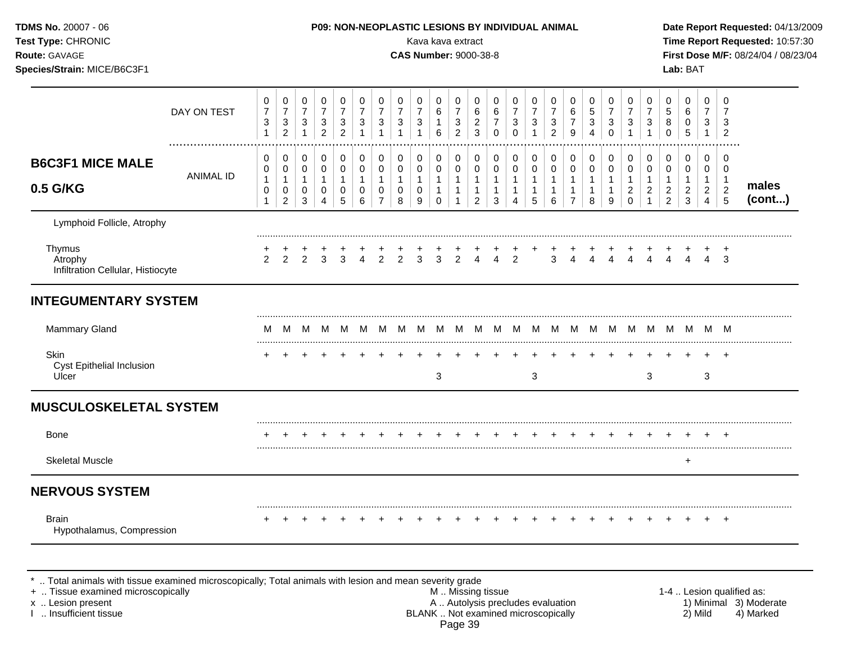| TDMS No. 20007 - 06<br>Test Type: CHRONIC<br>Route: GAVAGE<br>Species/Strain: MICE/B6C3F1 |                  |                                                               |                                                                   |                                                               |                                                       |                                                  |                                                      | P09: NON-NEOPLASTIC LESIONS BY INDIVIDUAL ANIMAL                        |                                                            | Kava kava extract<br><b>CAS Number: 9000-38-8</b> |                                                                              |                                                                          |                                                                                      |                                                                 |                                                                              |                                                                            |                                                                 |                                                         |                                                               |                                                       |                                                         |                                                                              |                                                                        | Lab: BAT                                                        |                                                                                  |                                                                    | Date Report Requested: 04/13/2009<br>Time Report Requested: 10:57:30<br>First Dose M/F: 08/24/04 / 08/23/04 |
|-------------------------------------------------------------------------------------------|------------------|---------------------------------------------------------------|-------------------------------------------------------------------|---------------------------------------------------------------|-------------------------------------------------------|--------------------------------------------------|------------------------------------------------------|-------------------------------------------------------------------------|------------------------------------------------------------|---------------------------------------------------|------------------------------------------------------------------------------|--------------------------------------------------------------------------|--------------------------------------------------------------------------------------|-----------------------------------------------------------------|------------------------------------------------------------------------------|----------------------------------------------------------------------------|-----------------------------------------------------------------|---------------------------------------------------------|---------------------------------------------------------------|-------------------------------------------------------|---------------------------------------------------------|------------------------------------------------------------------------------|------------------------------------------------------------------------|-----------------------------------------------------------------|----------------------------------------------------------------------------------|--------------------------------------------------------------------|-------------------------------------------------------------------------------------------------------------|
|                                                                                           | DAY ON TEST      | $\pmb{0}$<br>$\boldsymbol{7}$<br>$\sqrt{3}$<br>$\mathbf{1}$   | $\mathbf 0$<br>$\boldsymbol{7}$<br>$\mathbf{3}$<br>$\overline{2}$ | $\mathbf 0$<br>$\overline{7}$<br>$\mathbf{3}$<br>$\mathbf{1}$ | 0<br>$\overline{7}$<br>$\mathbf{3}$<br>$\overline{2}$ | 0<br>$\overline{7}$<br>3<br>$\overline{2}$       | 0<br>$\overline{7}$<br>$\mathbf{3}$                  | 0<br>$\overline{7}$<br>$\mathbf{3}$<br>$\overline{1}$                   | $\mathbf 0$<br>$\overline{7}$<br>$\sqrt{3}$<br>1           | $\mathbf 0$<br>$\overline{7}$<br>$\mathbf{3}$     | $\mathbf 0$<br>$\,6\,$<br>$\mathbf{1}$<br>6                                  | $\mathbf 0$<br>$\overline{7}$<br>$\sqrt{3}$<br>$\overline{2}$            | $\mathbf 0$<br>$\,6$<br>$\overline{2}$<br>$\mathbf{3}$                               | $\mathbf 0$<br>6<br>$\overline{7}$<br>$\mathbf 0$               | $\mathbf 0$<br>$\overline{7}$<br>$\mathbf{3}$<br>$\mathbf 0$                 | $\mathbf 0$<br>$\overline{7}$<br>$\ensuremath{\mathsf{3}}$<br>$\mathbf{1}$ | $\mathbf 0$<br>$\overline{7}$<br>$\sqrt{3}$<br>$\overline{2}$   | 0<br>6<br>$\overline{7}$<br>9                           | 0<br>$\sqrt{5}$<br>$\mathbf{3}$<br>4                          | 0<br>$\overline{7}$<br>3<br>$\mathbf 0$               | 0<br>$\overline{7}$<br>$\mathbf{3}$<br>$\overline{1}$   | $\mathbf 0$<br>$\overline{7}$<br>$\mathbf{3}$<br>$\mathbf{1}$                | 0<br>$\sqrt{5}$<br>8<br>$\mathbf 0$                                    | $\pmb{0}$<br>$\,6\,$<br>$\pmb{0}$<br>5                          | $\mathbf 0$<br>$\overline{7}$<br>3<br>$\overline{1}$                             | $\mathbf 0$<br>$\overline{7}$<br>3<br>$\overline{2}$               |                                                                                                             |
| <b>B6C3F1 MICE MALE</b><br>0.5 G/KG                                                       | <b>ANIMAL ID</b> | 0<br>$\mathbf 0$<br>$\mathbf{1}$<br>$\pmb{0}$<br>$\mathbf{1}$ | 0<br>0<br>$\mathbf{1}$<br>$\pmb{0}$<br>$\overline{2}$             | $\pmb{0}$<br>$\mathbf 0$<br>$\mathbf{1}$<br>$\mathsf 0$<br>3  | 0<br>$\mathsf 0$<br>$\mathbf{1}$<br>$\pmb{0}$<br>4    | 0<br>$\pmb{0}$<br>$\mathbf{1}$<br>$\pmb{0}$<br>5 | 0<br>$\mathbf 0$<br>$\mathbf{1}$<br>$\mathsf 0$<br>6 | $\pmb{0}$<br>$\mathsf 0$<br>$\mathbf{1}$<br>$\pmb{0}$<br>$\overline{7}$ | $\mathbf 0$<br>$\pmb{0}$<br>$\mathbf{1}$<br>$\pmb{0}$<br>8 | $\mathbf 0$<br>0<br>$\mathbf{1}$<br>0<br>9        | $\pmb{0}$<br>$\mathsf{O}\xspace$<br>$\mathbf{1}$<br>$\mathbf{1}$<br>$\Omega$ | $\pmb{0}$<br>$\pmb{0}$<br>$\mathbf{1}$<br>$\mathbf{1}$<br>$\overline{1}$ | $\mathbf 0$<br>$\mathsf{O}\xspace$<br>$\mathbf{1}$<br>$\mathbf{1}$<br>$\overline{2}$ | $\mathbf 0$<br>$\mathbf 0$<br>$\mathbf{1}$<br>$\mathbf{1}$<br>3 | $\mathbf 0$<br>$\mathbf 0$<br>$\mathbf{1}$<br>$\mathbf{1}$<br>$\overline{4}$ | $\mathbf 0$<br>$\mathsf{O}\xspace$<br>$\mathbf{1}$<br>1<br>5               | $\mathbf 0$<br>$\mathbf 0$<br>$\mathbf{1}$<br>$\mathbf{1}$<br>6 | $\mathbf 0$<br>0<br>$\mathbf{1}$<br>1<br>$\overline{7}$ | $\mathbf 0$<br>$\pmb{0}$<br>$\mathbf{1}$<br>$\mathbf{1}$<br>8 | 0<br>$\mathbf 0$<br>$\mathbf{1}$<br>$\mathbf{1}$<br>9 | 0<br>0<br>$\mathbf{1}$<br>$\overline{c}$<br>$\mathbf 0$ | $\mathbf 0$<br>$\mathsf 0$<br>$\mathbf{1}$<br>$\overline{c}$<br>$\mathbf{1}$ | $\mathbf 0$<br>0<br>$\mathbf{1}$<br>$\boldsymbol{2}$<br>$\overline{2}$ | $\pmb{0}$<br>$\pmb{0}$<br>$\mathbf{1}$<br>$\boldsymbol{2}$<br>3 | $\mathbf 0$<br>$\mathbf 0$<br>$\overline{1}$<br>$\overline{2}$<br>$\overline{4}$ | $\mathbf 0$<br>$\mathbf 0$<br>$\mathbf 1$<br>$\boldsymbol{2}$<br>5 | males<br>(cont)                                                                                             |
| Lymphoid Follicle, Atrophy                                                                |                  |                                                               |                                                                   |                                                               |                                                       |                                                  |                                                      |                                                                         |                                                            |                                                   |                                                                              |                                                                          |                                                                                      |                                                                 |                                                                              |                                                                            |                                                                 |                                                         |                                                               |                                                       |                                                         |                                                                              |                                                                        |                                                                 |                                                                                  |                                                                    |                                                                                                             |
| Thymus<br>Atrophy<br>Infiltration Cellular, Histiocyte                                    |                  | 2                                                             | $\mathcal{P}$                                                     | 2                                                             | 3                                                     | 3                                                | $\overline{4}$                                       | $\overline{2}$                                                          | 2                                                          | 3                                                 | 3                                                                            | 2                                                                        | 4                                                                                    | 4                                                               | 2                                                                            |                                                                            | 3                                                               | 4                                                       |                                                               | Δ                                                     |                                                         | Δ                                                                            |                                                                        |                                                                 | 4                                                                                | 3                                                                  |                                                                                                             |
| <b>INTEGUMENTARY SYSTEM</b>                                                               |                  |                                                               |                                                                   |                                                               |                                                       |                                                  |                                                      |                                                                         |                                                            |                                                   |                                                                              |                                                                          |                                                                                      |                                                                 |                                                                              |                                                                            |                                                                 |                                                         |                                                               |                                                       |                                                         |                                                                              |                                                                        |                                                                 |                                                                                  |                                                                    |                                                                                                             |
| Mammary Gland                                                                             |                  | M                                                             | м                                                                 | M                                                             | M                                                     | M                                                | M                                                    | <b>M</b>                                                                | M                                                          | M                                                 |                                                                              | M M M                                                                    |                                                                                      | M                                                               |                                                                              | M M M                                                                      |                                                                 | M                                                       |                                                               |                                                       |                                                         |                                                                              |                                                                        | M M M M M M M M                                                 |                                                                                  |                                                                    |                                                                                                             |
| Skin<br>Cyst Epithelial Inclusion<br>Ulcer                                                |                  |                                                               |                                                                   |                                                               |                                                       |                                                  |                                                      |                                                                         |                                                            |                                                   | $\sqrt{3}$                                                                   |                                                                          |                                                                                      |                                                                 |                                                                              | 3                                                                          |                                                                 |                                                         |                                                               |                                                       |                                                         | 3                                                                            |                                                                        |                                                                 | 3                                                                                |                                                                    |                                                                                                             |
| <b>MUSCULOSKELETAL SYSTEM</b>                                                             |                  |                                                               |                                                                   |                                                               |                                                       |                                                  |                                                      |                                                                         |                                                            |                                                   |                                                                              |                                                                          |                                                                                      |                                                                 |                                                                              |                                                                            |                                                                 |                                                         |                                                               |                                                       |                                                         |                                                                              |                                                                        |                                                                 |                                                                                  |                                                                    |                                                                                                             |
| <b>Bone</b>                                                                               |                  |                                                               |                                                                   |                                                               |                                                       |                                                  |                                                      |                                                                         |                                                            |                                                   |                                                                              |                                                                          |                                                                                      |                                                                 |                                                                              |                                                                            |                                                                 |                                                         |                                                               |                                                       |                                                         |                                                                              |                                                                        |                                                                 |                                                                                  |                                                                    |                                                                                                             |
| <b>Skeletal Muscle</b>                                                                    |                  |                                                               |                                                                   |                                                               |                                                       |                                                  |                                                      |                                                                         |                                                            |                                                   |                                                                              |                                                                          |                                                                                      |                                                                 |                                                                              |                                                                            |                                                                 |                                                         |                                                               |                                                       |                                                         |                                                                              |                                                                        | $\ddot{}$                                                       |                                                                                  |                                                                    |                                                                                                             |
| <b>NERVOUS SYSTEM</b>                                                                     |                  |                                                               |                                                                   |                                                               |                                                       |                                                  |                                                      |                                                                         |                                                            |                                                   |                                                                              |                                                                          |                                                                                      |                                                                 |                                                                              |                                                                            |                                                                 |                                                         |                                                               |                                                       |                                                         |                                                                              |                                                                        |                                                                 |                                                                                  |                                                                    |                                                                                                             |
| <b>Brain</b><br>Hypothalamus, Compression                                                 |                  |                                                               |                                                                   |                                                               |                                                       |                                                  |                                                      |                                                                         |                                                            |                                                   |                                                                              |                                                                          |                                                                                      |                                                                 |                                                                              |                                                                            |                                                                 |                                                         |                                                               |                                                       |                                                         |                                                                              |                                                                        |                                                                 |                                                                                  | $+$                                                                |                                                                                                             |

\* .. Total animals with tissue examined microscopically; Total animals with lesion and mean severity grade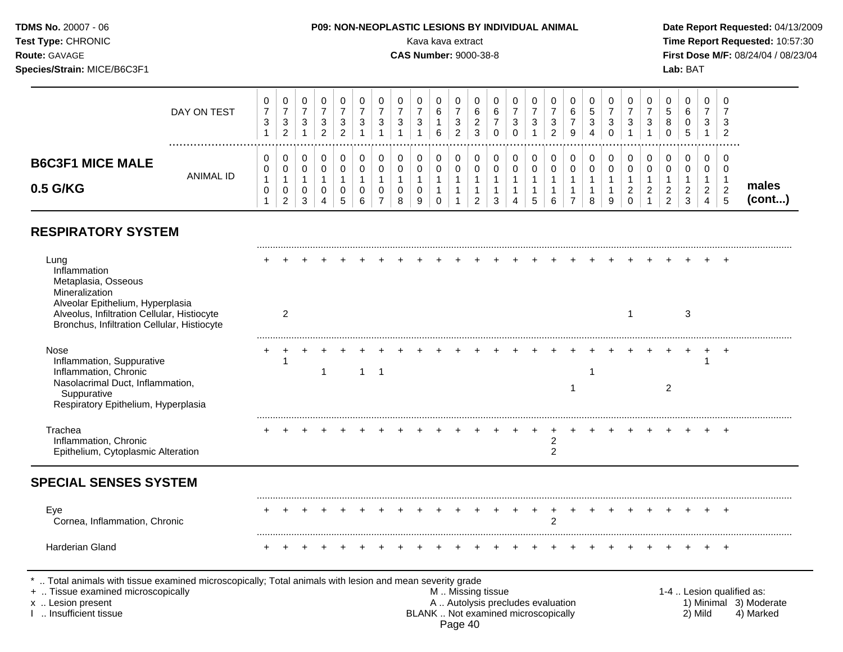#### **TDMS No.** 20007 - 06 **P09: NON-NEOPLASTIC LESIONS BY INDIVIDUAL ANIMAL Date Report Requested:** 04/13/2009 **Test Type:** CHRONIC **Transfer CHRONIC Report Requested:** 10:57:30 **Route:** GAVAGE **CAS Number:** 9000-38-8 **First Dose M/F:** 08/24/04 / 08/23/04 **Species/Strain:** MICE/B6C3F1 **Lab:** BAT  $\top$  $\blacksquare$  $\perp$ 0 0 0 0 0 0 0 0 0 0

|                                     | DAY ON TEST | <u>u</u><br>-3 | v<br>ت<br>◠<br>- | U<br>ാ<br>J<br>ົ<br>_ | 3<br>ົ | U<br>З      | ◠<br>ັ | ີ<br>J      | $\overline{\phantom{a}}$ | 6<br>6 | ັ | 6<br><u>_</u><br>2 |        | O<br>3<br>0 | υ<br>ີ<br>ັ | U<br>າ<br>ັ<br>ົ<br>▵ | v<br>6<br>-<br>9 | 0<br>b<br>3 | 0<br>◡<br>U | ◡<br>N      | ◡<br>ত  | 0<br>5<br>8<br>0                         | U<br>6<br>U<br>G             | v<br>3                | U<br>3<br>-2<br>   |                 |  |
|-------------------------------------|-------------|----------------|------------------|-----------------------|--------|-------------|--------|-------------|--------------------------|--------|---|--------------------|--------|-------------|-------------|-----------------------|------------------|-------------|-------------|-------------|---------|------------------------------------------|------------------------------|-----------------------|--------------------|-----------------|--|
| <b>B6C3F1 MICE MALE</b><br>0.5 G/KG | ANIMAL ID   | <u>U</u>       | ν<br>ν<br>ັ<br>⌒ | J<br>4                |        | 0<br>0<br>6 | v      | U<br>ັ<br>8 | u                        | U      |   | J                  | υ<br>⌒ | 0<br>0      | 0<br>0<br>ັ | ັ<br>ັ<br>ี           | v<br>v           | U<br>0<br>8 | U<br>U<br>9 | v<br>v<br>_ | U<br>ັບ | 0<br>0<br>ົ<br><u>_</u><br>C<br><u>_</u> | U<br>U<br><u>_</u><br>ົ<br>J | v<br>ັບ<br>$\epsilon$ | ◡<br>◡<br><u>_</u> | males<br>(cont) |  |

## **RESPIRATORY SYSTEM**

| Lung<br>Inflammation<br>Metaplasia, Osseous<br>Mineralization<br>Alveolar Epithelium, Hyperplasia<br>Alveolus, Infiltration Cellular, Histiocyte<br>Bronchus, Infiltration Cellular, Histiocyte | 2 |   |   |  |  |                                                                                               |  |                     |  |  |                | 3       |       |                                                                  |
|-------------------------------------------------------------------------------------------------------------------------------------------------------------------------------------------------|---|---|---|--|--|-----------------------------------------------------------------------------------------------|--|---------------------|--|--|----------------|---------|-------|------------------------------------------------------------------|
| Nose<br>Inflammation, Suppurative<br>Inflammation, Chronic<br>Nasolacrimal Duct, Inflammation,<br>Suppurative<br>Respiratory Epithelium, Hyperplasia                                            |   | 1 | 1 |  |  |                                                                                               |  |                     |  |  | $\overline{2}$ |         |       |                                                                  |
| Trachea<br>Inflammation, Chronic<br>Epithelium, Cytoplasmic Alteration                                                                                                                          |   |   |   |  |  |                                                                                               |  | 2<br>$\mathfrak{p}$ |  |  |                |         |       |                                                                  |
| <b>SPECIAL SENSES SYSTEM</b>                                                                                                                                                                    |   |   |   |  |  |                                                                                               |  |                     |  |  |                |         |       |                                                                  |
| Eye<br>Cornea, Inflammation, Chronic                                                                                                                                                            |   |   |   |  |  |                                                                                               |  | $\overline{2}$      |  |  |                |         |       |                                                                  |
| Harderian Gland                                                                                                                                                                                 |   |   |   |  |  |                                                                                               |  |                     |  |  |                |         | $\pm$ |                                                                  |
| Total animals with tissue examined microscopically; Total animals with lesion and mean severity grade<br>+  Tissue examined microscopically<br>x  Lesion present<br>Insufficient tissue         |   |   |   |  |  | M  Missing tissue<br>A  Autolysis precludes evaluation<br>BLANK  Not examined microscopically |  |                     |  |  |                | 2) Mild |       | 1-4  Lesion qualified as:<br>1) Minimal 3) Moderate<br>4) Marked |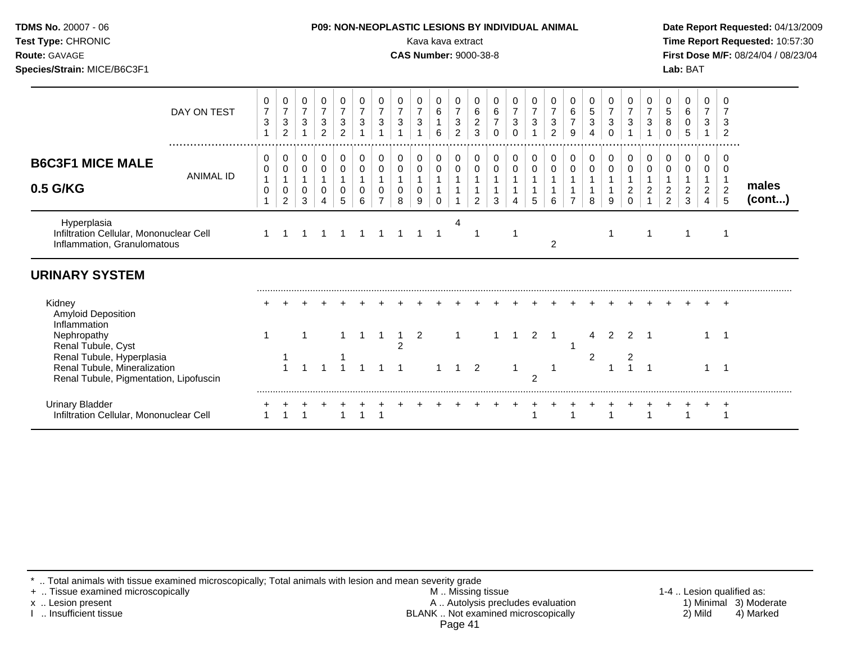| Test Type: CHRONIC<br><b>Route: GAVAGE</b><br>Species/Strain: MICE/B6C3F1                                                 |                  |                                                  |                                                       |                                       |                                                                    |                                                                    |                                          |                                                               |                                                     | Kava kava extract                   |                                          |                                                                            | <b>CAS Number: 9000-38-8</b>                                 |                                                       |                                                 |                                  |                                        |                                    |                                                  |                                                       |                                                                |                                     |                                                                            | Lab: BAT                                  |                                                            |                                                 | Time Report Requested: 10:57:30<br>First Dose M/F: 08/24/04 / 08/23/04 |
|---------------------------------------------------------------------------------------------------------------------------|------------------|--------------------------------------------------|-------------------------------------------------------|---------------------------------------|--------------------------------------------------------------------|--------------------------------------------------------------------|------------------------------------------|---------------------------------------------------------------|-----------------------------------------------------|-------------------------------------|------------------------------------------|----------------------------------------------------------------------------|--------------------------------------------------------------|-------------------------------------------------------|-------------------------------------------------|----------------------------------|----------------------------------------|------------------------------------|--------------------------------------------------|-------------------------------------------------------|----------------------------------------------------------------|-------------------------------------|----------------------------------------------------------------------------|-------------------------------------------|------------------------------------------------------------|-------------------------------------------------|------------------------------------------------------------------------|
|                                                                                                                           | DAY ON TEST      | 0<br>$\overline{7}$<br>$\ensuremath{\mathsf{3}}$ | 0<br>$\overline{7}$<br>$\mathbf{3}$<br>$\overline{2}$ | 0<br>$\overline{7}$<br>$\mathfrak{S}$ | 0<br>$\overline{7}$<br>$\ensuremath{\mathsf{3}}$<br>$\overline{2}$ | 0<br>$\overline{7}$<br>$\ensuremath{\mathsf{3}}$<br>$\overline{2}$ | 0<br>$\overline{7}$<br>$\sqrt{3}$        | 0<br>$\overline{7}$<br>$\sqrt{3}$<br>$\mathbf{1}$             | 0<br>$\overline{7}$<br>$\mathbf{3}$<br>$\mathbf{1}$ | 0<br>$\overline{7}$<br>$\mathbf{3}$ | 0<br>6<br>$\mathbf{1}$<br>$6\phantom{a}$ | $\pmb{0}$<br>$\overline{7}$<br>$\ensuremath{\mathsf{3}}$<br>$\overline{2}$ | 0<br>$\,6\,$<br>$\frac{2}{3}$                                | 0<br>$\,6\,$<br>$\boldsymbol{7}$<br>$\Omega$          | 0<br>$\overline{7}$<br>$\mathbf{3}$<br>$\Omega$ | $\overline{7}$<br>$\mathfrak{S}$ | 0<br>$\overline{7}$<br>$\sqrt{3}$<br>2 | 0<br>6<br>$\overline{7}$<br>$9\,$  | 0<br>$\,$ 5 $\,$<br>$\sqrt{3}$<br>$\overline{4}$ | 0<br>$\overline{7}$<br>$\mathbf{3}$<br>$\mathbf 0$    | 0<br>$\overline{7}$<br>$\sqrt{3}$<br>1                         | 0<br>$\overline{7}$<br>$\mathbf{3}$ | 0<br>$\mathbf 5$<br>$\bf 8$<br>$\mathbf 0$                                 | 0<br>$\,6\,$<br>$\mathbf 0$<br>$\sqrt{5}$ | 0<br>$\overline{7}$<br>$\mathbf{3}$                        | 0<br>$\overline{7}$<br>3<br>$\overline{2}$      |                                                                        |
| <b>B6C3F1 MICE MALE</b><br>0.5 G/KG                                                                                       | <b>ANIMAL ID</b> | 0<br>0<br>0<br>$\mathbf{1}$                      | 0<br>$\pmb{0}$<br>0<br>$\overline{2}$                 | 0<br>0<br>0<br>3                      | $\pmb{0}$<br>$\pmb{0}$<br>0<br>4                                   | 0<br>0<br>0<br>5                                                   | 0<br>$\pmb{0}$<br>$\mathbf{1}$<br>0<br>6 | $\pmb{0}$<br>$\pmb{0}$<br>$\mathbf{1}$<br>0<br>$\overline{7}$ | 0<br>$\pmb{0}$<br>$\mathbf{1}$<br>$\mathbf 0$<br>8  | 0<br>0<br>$\mathbf{1}$<br>0<br>9    | 0<br>0<br>$\Omega$                       | $\pmb{0}$<br>$\mathbf 0$                                                   | $\mathbf 0$<br>$\pmb{0}$<br>$\mathbf{1}$<br>$\mathbf 1$<br>2 | 0<br>$\pmb{0}$<br>$\overline{1}$<br>$\mathbf{1}$<br>3 | 0<br>0                                          | 0<br>0<br>5                      | $\pmb{0}$<br>$\pmb{0}$<br>6            | 0<br>$\mathbf 0$<br>$\overline{7}$ | 0<br>$\mathbf 0$<br>$\overline{1}$<br>8          | 0<br>$\mathbf 0$<br>$\mathbf{1}$<br>$\mathbf{1}$<br>9 | 0<br>$\mathbf 0$<br>$\mathbf{1}$<br>$\overline{c}$<br>$\Omega$ | 0<br>0<br>$\overline{c}$            | $\pmb{0}$<br>$\pmb{0}$<br>$\mathbf{1}$<br>$\overline{a}$<br>$\overline{a}$ | 0<br>0<br>$\frac{2}{3}$                   | 0<br>0<br>$\mathbf{1}$<br>$\overline{2}$<br>$\overline{4}$ | 0<br>0<br>$\overline{1}$<br>$\overline{2}$<br>5 | males<br>(cont)                                                        |
| Hyperplasia<br>Infiltration Cellular, Mononuclear Cell<br>Inflammation, Granulomatous                                     |                  | $\mathbf{1}$                                     |                                                       |                                       |                                                                    |                                                                    |                                          |                                                               |                                                     |                                     | -1                                       | 4                                                                          |                                                              |                                                       | $\mathbf 1$                                     |                                  | $\overline{c}$                         |                                    |                                                  | 1                                                     |                                                                |                                     |                                                                            | $\mathbf 1$                               |                                                            | -1                                              |                                                                        |
| <b>URINARY SYSTEM</b>                                                                                                     |                  |                                                  |                                                       |                                       |                                                                    |                                                                    |                                          |                                                               |                                                     |                                     |                                          |                                                                            |                                                              |                                                       |                                                 |                                  |                                        |                                    |                                                  |                                                       |                                                                |                                     |                                                                            |                                           |                                                            |                                                 |                                                                        |
| Kidney<br><b>Amyloid Deposition</b><br>Inflammation<br>Nephropathy                                                        |                  | 1                                                |                                                       |                                       |                                                                    |                                                                    |                                          | 1                                                             |                                                     | 2                                   |                                          |                                                                            |                                                              |                                                       | 1                                               | $\overline{2}$                   | -1                                     |                                    | 4                                                | $\mathcal{P}$                                         | $\mathcal{P}$                                                  |                                     |                                                                            |                                           |                                                            | $\overline{1}$                                  |                                                                        |
| Renal Tubule, Cyst<br>Renal Tubule, Hyperplasia<br>Renal Tubule, Mineralization<br>Renal Tubule, Pigmentation, Lipofuscin |                  |                                                  |                                                       |                                       |                                                                    |                                                                    |                                          |                                                               | $\overline{2}$                                      |                                     |                                          |                                                                            | 2                                                            |                                                       |                                                 | $\overline{2}$                   |                                        |                                    | 2                                                | 1                                                     |                                                                |                                     |                                                                            |                                           |                                                            | $\overline{1}$                                  |                                                                        |
| <b>Urinary Bladder</b><br>Infiltration Cellular, Mononuclear Cell                                                         |                  |                                                  |                                                       |                                       |                                                                    |                                                                    |                                          |                                                               |                                                     |                                     |                                          |                                                                            |                                                              |                                                       |                                                 |                                  |                                        |                                    |                                                  |                                                       |                                                                |                                     |                                                                            |                                           |                                                            | $\overline{1}$                                  |                                                                        |

\* .. Total animals with tissue examined microscopically; Total animals with lesion and mean severity grade

+ .. Tissue examined microscopically M .. Missing tissue 1-4 .. Lesion qualified as: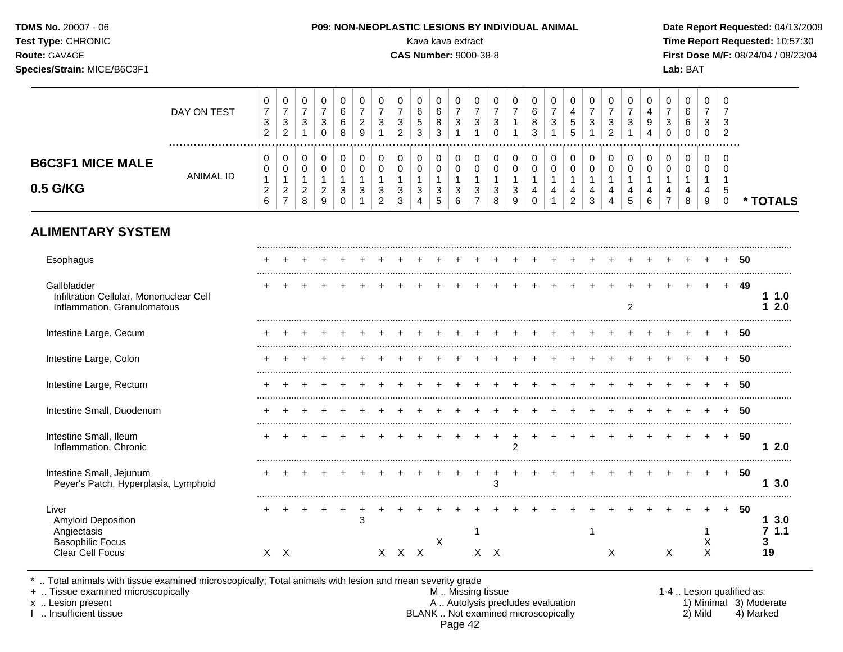# **TDMS No.** 20007 - 06 **P09: NON-NEOPLASTIC LESIONS BY INDIVIDUAL ANIMAL Date Report Requested:** 04/13/2009 **Test Type:** CHRONIC Kava kava extract **Time Report Requested:** 10:57:30 **Route:** GAVAGE **CAS Number:** 9000-38-8 **First Dose M/F:** 08/24/04 / 08/23/04 **Species/Strain:** MICE/B6C3F1 **Lab:** BAT

|                                                                                                  | DAY ON TEST<br>. | 0<br>$\boldsymbol{7}$<br>3<br>$\overline{c}$ | 0<br>$\overline{7}$<br>$\mathbf{3}$<br>$\overline{c}$ | 0<br>$\overline{7}$<br>3<br>1       | 0<br>$\overline{7}$<br>3<br>$\mathbf 0$ | 0<br>6<br>6<br>8              | 0<br>$\overline{7}$<br>$\overline{c}$<br>9 | 0<br>$\overline{7}$<br>3<br>$\overline{1}$ | 0<br>$\overline{7}$<br>$\mathbf{3}$<br>$\overline{2}$ | 0<br>$\,6$<br>5<br>3   | 0<br>6<br>8<br>$\sqrt{3}$ | 0<br>$\overline{7}$<br>3<br>1 | 0<br>$\overline{7}$<br>3            | 0<br>$\overline{7}$<br>3<br>$\Omega$ | 0<br>$\overline{7}$    | 0<br>$\,6\,$<br>8<br>3                     | 0<br>$\overline{7}$<br>$\mathbf{3}$ | 0<br>$\overline{a}$<br>5<br>5                    | 0<br>$\overline{7}$<br>3 | 0<br>$\overline{7}$<br>3<br>$\overline{c}$ | 0<br>$\overline{7}$<br>3 | 0<br>$\overline{\mathbf{4}}$<br>9<br>Δ | $\,0\,$<br>$\overline{7}$<br>3<br>$\Omega$ | 0<br>$\,6\,$<br>6<br>$\mathbf 0$ | $\mathbf 0$<br>$\overline{7}$<br>3<br>0 | 0<br>$\overline{7}$<br>3<br>$\overline{2}$ |    |                             |  |
|--------------------------------------------------------------------------------------------------|------------------|----------------------------------------------|-------------------------------------------------------|-------------------------------------|-----------------------------------------|-------------------------------|--------------------------------------------|--------------------------------------------|-------------------------------------------------------|------------------------|---------------------------|-------------------------------|-------------------------------------|--------------------------------------|------------------------|--------------------------------------------|-------------------------------------|--------------------------------------------------|--------------------------|--------------------------------------------|--------------------------|----------------------------------------|--------------------------------------------|----------------------------------|-----------------------------------------|--------------------------------------------|----|-----------------------------|--|
| <b>B6C3F1 MICE MALE</b>                                                                          | <b>ANIMAL ID</b> | 0<br>0                                       | 0<br>$\mathbf 0$                                      | 0<br>0                              | 0<br>$\mathbf 0$                        | 0<br>0                        | 0<br>$\mathbf 0$                           | 0<br>0                                     | 0<br>$\mathbf 0$                                      | 0<br>$\mathbf 0$       | 0<br>$\mathbf 0$          | 0<br>0                        | $\pmb{0}$<br>$\mathbf 0$            | 0<br>$\mathbf 0$                     | $\pmb{0}$<br>$\pmb{0}$ | 0<br>$\pmb{0}$                             | 0<br>$\pmb{0}$                      | 0<br>$\mathbf 0$                                 | 0<br>$\mathbf 0$         | 0<br>$\mathbf 0$                           | 0<br>0                   | 0<br>$\pmb{0}$                         | 0<br>$\mathbf 0$                           | 0<br>0                           | 0<br>0                                  | $\Omega$<br>$\Omega$                       |    |                             |  |
| 0.5 G/KG                                                                                         |                  | $\mathbf{1}$<br>$\overline{c}$<br>6          | $\mathbf{1}$<br>$\overline{2}$<br>$\overline{7}$      | $\mathbf{1}$<br>$\overline{2}$<br>8 | $\mathbf{1}$<br>$\overline{2}$<br>9     | $\mathbf{1}$<br>3<br>$\Omega$ | 1<br>3                                     | 1<br>3<br>$\overline{2}$                   | $\mathbf 1$<br>$\mathbf{3}$<br>3                      | $\mathbf{1}$<br>3<br>4 | $\mathbf{1}$<br>3<br>5    | 1<br>3<br>6                   | $\mathbf{1}$<br>3<br>$\overline{7}$ | $\mathbf{1}$<br>3<br>8               | 1<br>$\sqrt{3}$<br>9   | $\mathbf{1}$<br>$\overline{4}$<br>$\Omega$ | $\mathbf{1}$<br>4                   | $\mathbf{1}$<br>$\overline{4}$<br>$\overline{2}$ | $\mathbf{1}$<br>4<br>3   | $\mathbf 1$<br>4<br>4                      | $\mathbf{1}$<br>4<br>5   | 1<br>4<br>6                            | 1<br>4<br>$\overline{7}$                   | 1<br>4<br>8                      | $\mathbf{1}$<br>4<br>9                  | $\overline{1}$<br>5<br>$\Omega$            |    | * TOTALS                    |  |
| <b>ALIMENTARY SYSTEM</b>                                                                         |                  |                                              |                                                       |                                     |                                         |                               |                                            |                                            |                                                       |                        |                           |                               |                                     |                                      |                        |                                            |                                     |                                                  |                          |                                            |                          |                                        |                                            |                                  |                                         |                                            |    |                             |  |
| Esophagus                                                                                        |                  |                                              |                                                       |                                     |                                         |                               |                                            |                                            |                                                       |                        |                           |                               |                                     |                                      |                        |                                            |                                     |                                                  |                          |                                            |                          |                                        |                                            |                                  |                                         |                                            | 50 |                             |  |
| Gallbladder<br>Infiltration Cellular, Mononuclear Cell<br>Inflammation, Granulomatous            |                  |                                              |                                                       |                                     |                                         |                               |                                            |                                            |                                                       |                        |                           |                               |                                     |                                      |                        |                                            |                                     |                                                  |                          |                                            | 2                        |                                        |                                            |                                  |                                         | $\div$                                     | 49 | 11.0<br>2.0<br>1            |  |
| Intestine Large, Cecum                                                                           |                  |                                              |                                                       |                                     |                                         |                               |                                            |                                            |                                                       |                        |                           |                               |                                     |                                      |                        |                                            |                                     |                                                  |                          |                                            |                          |                                        |                                            |                                  |                                         |                                            | 50 |                             |  |
| Intestine Large, Colon                                                                           |                  |                                              |                                                       |                                     |                                         |                               |                                            |                                            |                                                       |                        |                           |                               |                                     |                                      |                        |                                            |                                     |                                                  |                          |                                            |                          |                                        |                                            |                                  |                                         |                                            | 50 |                             |  |
| Intestine Large, Rectum                                                                          |                  |                                              |                                                       |                                     |                                         |                               |                                            |                                            |                                                       |                        |                           |                               |                                     |                                      |                        |                                            |                                     |                                                  |                          |                                            |                          |                                        |                                            |                                  |                                         |                                            | 50 |                             |  |
| Intestine Small, Duodenum                                                                        |                  |                                              |                                                       |                                     |                                         |                               |                                            |                                            |                                                       |                        |                           |                               |                                     |                                      |                        |                                            |                                     |                                                  |                          |                                            |                          |                                        |                                            |                                  |                                         |                                            | 50 |                             |  |
| Intestine Small, Ileum<br>Inflammation, Chronic                                                  |                  |                                              |                                                       |                                     |                                         |                               |                                            |                                            |                                                       |                        |                           |                               |                                     |                                      | $\overline{2}$         |                                            |                                     |                                                  |                          |                                            |                          |                                        |                                            |                                  | $\ddot{}$                               | $+$                                        | 50 | 12.0                        |  |
| Intestine Small, Jejunum<br>Peyer's Patch, Hyperplasia, Lymphoid                                 |                  |                                              |                                                       |                                     |                                         |                               |                                            |                                            |                                                       |                        |                           |                               |                                     | 3                                    |                        |                                            |                                     |                                                  |                          |                                            |                          |                                        |                                            |                                  |                                         | $+$                                        | 50 | 13.0                        |  |
| Liver<br><b>Amyloid Deposition</b><br>Angiectasis<br><b>Basophilic Focus</b><br>Clear Cell Focus |                  |                                              | X X                                                   |                                     |                                         |                               | $\mathbf{3}$                               |                                            | $X$ $X$ $X$                                           |                        | X                         |                               | 1                                   | $X$ $X$                              |                        |                                            |                                     |                                                  |                          | X                                          |                          |                                        | X                                          |                                  | X<br>X                                  |                                            | 50 | 13.0<br>7<br>1.1<br>3<br>19 |  |
|                                                                                                  |                  |                                              |                                                       |                                     |                                         |                               |                                            |                                            |                                                       |                        |                           |                               |                                     |                                      |                        |                                            |                                     |                                                  |                          |                                            |                          |                                        |                                            |                                  |                                         |                                            |    |                             |  |

\* .. Total animals with tissue examined microscopically; Total animals with lesion and mean severity grade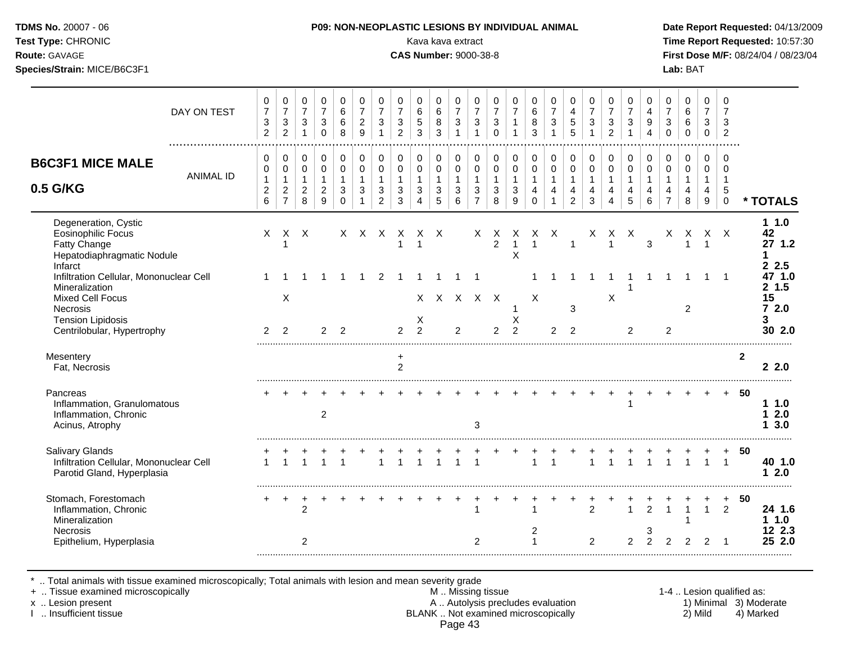| <b>TDMS No. 20007 - 06</b> |  |
|----------------------------|--|
| <b>Test Type: CHRONIC</b>  |  |

#### **P09: NON-NEOPLASTIC LESIONS BY INDIVIDUAL ANIMAL Date Report Requested: 04/13/2009**

Kava kava extract **Time Report Requested:** 10:57:30 **Route:** GAVAGE **CAS Number:** 9000-38-8 **First Dose M/F:** 08/24/04 / 08/23/04 **Species/Strain:** MICE/B6C3F1 **Lab:** BAT

| DAY ON TEST                                                                                     | 0<br>$\overline{7}$<br>3                                | 0<br>$\boldsymbol{7}$<br>3                                           | 0<br>$\overline{7}$<br>3                                | 0<br>$\overline{7}$<br>$\mathbf{3}$                             | 0<br>6<br>6                                       | 0<br>$\overline{7}$<br>$\overline{2}$                             | 0<br>$\overline{7}$<br>3                                          | 0<br>$\overline{7}$<br>3         | 0<br>$\,6$<br>$\sqrt{5}$                                | 0<br>$\,6\,$<br>8                          | 0<br>$\overline{7}$<br>$\mathbf{3}$                              | 0<br>$\overline{7}$<br>3                                | 0<br>$\overline{7}$<br>3                           | 0<br>$\overline{7}$<br>1                 | 0<br>6<br>8                                         | 0<br>$\overline{7}$<br>$\mathbf{3}$ | 0<br>$\overline{4}$<br>5                                             | 0<br>$\overline{7}$<br>$\mathbf{3}$      | 0<br>$\overline{7}$<br>3                   | 0<br>$\overline{7}$<br>3         | 0<br>$\overline{4}$<br>9                             | 0<br>$\overline{7}$<br>3                                | 0<br>$\,6\,$<br>6                          | 0<br>$\overline{7}$<br>3                          | 0<br>$\overline{7}$<br>3                                   |                |                           |
|-------------------------------------------------------------------------------------------------|---------------------------------------------------------|----------------------------------------------------------------------|---------------------------------------------------------|-----------------------------------------------------------------|---------------------------------------------------|-------------------------------------------------------------------|-------------------------------------------------------------------|----------------------------------|---------------------------------------------------------|--------------------------------------------|------------------------------------------------------------------|---------------------------------------------------------|----------------------------------------------------|------------------------------------------|-----------------------------------------------------|-------------------------------------|----------------------------------------------------------------------|------------------------------------------|--------------------------------------------|----------------------------------|------------------------------------------------------|---------------------------------------------------------|--------------------------------------------|---------------------------------------------------|------------------------------------------------------------|----------------|---------------------------|
|                                                                                                 | $\overline{a}$                                          | $\overline{2}$                                                       | $\mathbf{1}$                                            | $\pmb{0}$                                                       | 8                                                 | 9                                                                 |                                                                   | $\overline{c}$                   | $\mathbf{3}$                                            | 3                                          | $\mathbf{1}$                                                     | $\mathbf 1$                                             | $\mathbf 0$                                        |                                          | 3                                                   | $\mathbf{1}$                        | 5                                                                    | $\mathbf{1}$                             | $\overline{a}$                             |                                  | 4                                                    | $\Omega$                                                | $\mathbf 0$                                | $\mathbf 0$                                       | $\overline{c}$                                             |                |                           |
| <b>B6C3F1 MICE MALE</b><br><b>ANIMAL ID</b><br>0.5 G/KG                                         | 0<br>$\mathbf 0$<br>$\mathbf{1}$<br>$\overline{2}$<br>6 | 0<br>$\mathbf 0$<br>$\mathbf{1}$<br>$\overline{a}$<br>$\overline{7}$ | 0<br>$\mathbf 0$<br>$\mathbf{1}$<br>$\overline{2}$<br>8 | $\mathbf 0$<br>$\pmb{0}$<br>$\mathbf{1}$<br>$\overline{c}$<br>9 | 0<br>$\mathbf 0$<br>$\mathbf{1}$<br>3<br>$\Omega$ | $\mathbf 0$<br>$\mathsf 0$<br>$\mathbf{1}$<br>3<br>$\overline{1}$ | $\mathbf 0$<br>$\mathbf 0$<br>$\mathbf{1}$<br>3<br>$\overline{2}$ | 0<br>0<br>$\mathbf{1}$<br>3<br>3 | 0<br>$\mathbf 0$<br>$\mathbf{1}$<br>3<br>$\overline{4}$ | 0<br>$\mathbf 0$<br>$\mathbf{1}$<br>3<br>5 | 0<br>$\pmb{0}$<br>$\mathbf{1}$<br>$\mathbf{3}$<br>$6\phantom{a}$ | 0<br>$\mathbf 0$<br>$\mathbf{1}$<br>3<br>$\overline{7}$ | 0<br>$\pmb{0}$<br>$\mathbf{1}$<br>$\mathsf 3$<br>8 | 0<br>$\pmb{0}$<br>$\mathbf{1}$<br>3<br>9 | 0<br>$\mathbf 0$<br>$\mathbf 1$<br>4<br>$\mathbf 0$ | 0<br>$\pmb{0}$<br>$\mathbf{1}$<br>4 | 0<br>$\mathbf 0$<br>$\mathbf{1}$<br>$\overline{4}$<br>$\overline{2}$ | 0<br>$\pmb{0}$<br>$\mathbf{1}$<br>4<br>3 | 0<br>$\mathbf 0$<br>$\mathbf{1}$<br>4<br>4 | 0<br>0<br>$\mathbf{1}$<br>4<br>5 | $\mathbf 0$<br>$\mathbf 0$<br>$\mathbf{1}$<br>4<br>6 | 0<br>$\mathbf 0$<br>$\mathbf{1}$<br>4<br>$\overline{7}$ | 0<br>$\mathbf 0$<br>$\mathbf{1}$<br>4<br>8 | $\Omega$<br>$\mathbf 0$<br>$\mathbf{1}$<br>4<br>9 | $\Omega$<br>$\Omega$<br>$\overline{1}$<br>5<br>$\mathbf 0$ |                | * TOTALS                  |
|                                                                                                 |                                                         |                                                                      |                                                         |                                                                 |                                                   |                                                                   |                                                                   |                                  |                                                         |                                            |                                                                  |                                                         |                                                    |                                          |                                                     |                                     |                                                                      |                                          |                                            |                                  |                                                      |                                                         |                                            |                                                   |                                                            |                |                           |
| Degeneration, Cystic<br><b>Eosinophilic Focus</b><br>Fatty Change<br>Hepatodiaphragmatic Nodule | X                                                       | X                                                                    | $\mathsf{X}$                                            |                                                                 |                                                   |                                                                   | X X X X                                                           |                                  | X X                                                     |                                            |                                                                  |                                                         | X X<br>$\overline{2}$                              | X<br>$\overline{1}$<br>X                 | X X<br>$\mathbf{1}$                                 |                                     |                                                                      | X                                        | $\mathbf{1}$                               | X X                              | 3                                                    | X                                                       | X<br>$\mathbf{1}$                          | $\mathsf{X}$                                      | $\mathsf{X}$                                               |                | 11.0<br>42<br>27 1.2      |
| Infarct<br>Infiltration Cellular, Mononuclear Cell<br>Mineralization                            |                                                         |                                                                      |                                                         |                                                                 |                                                   |                                                                   | 2                                                                 |                                  |                                                         |                                            | $\mathbf 1$                                                      | $\overline{1}$                                          |                                                    |                                          |                                                     |                                     |                                                                      |                                          |                                            |                                  |                                                      |                                                         |                                            |                                                   | $\overline{1}$                                             |                | 2.5<br>47 1.0<br>2, 1.5   |
| <b>Mixed Cell Focus</b><br>Necrosis<br><b>Tension Lipidosis</b><br>Centrilobular, Hypertrophy   | $\overline{2}$                                          | X<br>2                                                               |                                                         | 2                                                               | $\overline{2}$                                    |                                                                   |                                                                   | $\mathcal{P}$                    | X<br>$\mathfrak{p}$                                     |                                            | $\overline{2}$                                                   | x x x x x                                               | $\overline{2}$                                     | X<br>$\overline{2}$                      | X                                                   | 2                                   | 3<br>$\overline{2}$                                                  |                                          | X                                          | 2                                |                                                      | 2                                                       | 2                                          |                                                   |                                                            |                | 15<br>72.0<br>3<br>30 2.0 |
| Mesentery                                                                                       |                                                         |                                                                      |                                                         |                                                                 |                                                   |                                                                   |                                                                   |                                  |                                                         |                                            |                                                                  |                                                         |                                                    |                                          |                                                     |                                     |                                                                      |                                          |                                            |                                  |                                                      |                                                         |                                            |                                                   |                                                            | $\overline{2}$ |                           |
| Fat, Necrosis                                                                                   |                                                         |                                                                      |                                                         |                                                                 |                                                   |                                                                   |                                                                   | +<br>$\overline{2}$              |                                                         |                                            |                                                                  |                                                         |                                                    |                                          |                                                     |                                     |                                                                      |                                          |                                            |                                  |                                                      |                                                         |                                            |                                                   |                                                            |                | 22.0                      |
| Pancreas<br>Inflammation, Granulomatous<br>Inflammation, Chronic<br>Acinus, Atrophy             |                                                         |                                                                      |                                                         | 2                                                               |                                                   |                                                                   |                                                                   |                                  |                                                         |                                            |                                                                  | 3                                                       |                                                    |                                          |                                                     |                                     |                                                                      |                                          |                                            |                                  |                                                      |                                                         |                                            |                                                   | $+$                                                        | 50             | 11.0<br>12.0<br>3.0       |
| <b>Salivary Glands</b><br>Infiltration Cellular, Mononuclear Cell<br>Parotid Gland, Hyperplasia | $\mathbf{1}$                                            |                                                                      |                                                         | $\overline{1}$                                                  |                                                   |                                                                   | $\overline{1}$                                                    | $\overline{1}$                   | $\overline{1}$                                          | $\overline{1}$                             | $\overline{1}$                                                   | $\overline{1}$                                          |                                                    |                                          | $\mathbf{1}$                                        | $\overline{1}$                      |                                                                      | $\mathbf{1}$                             | $\overline{1}$                             |                                  | $\overline{1}$                                       | $\overline{1}$                                          | $\overline{1}$                             | $\mathbf{1}$                                      | $\overline{1}$                                             | 50             | 40 1.0<br>2.0<br>1        |
| Stomach, Forestomach<br>Inflammation, Chronic<br>Mineralization                                 | +                                                       | $\ddot{}$                                                            | $\ddot{}$<br>$\overline{2}$                             |                                                                 |                                                   |                                                                   |                                                                   |                                  |                                                         |                                            |                                                                  | 1                                                       |                                                    |                                          | 1                                                   |                                     |                                                                      | $\overline{2}$                           |                                            |                                  | $\overline{2}$                                       | $\mathbf{1}$                                            | $\mathbf{1}$                               | $\mathbf{1}$                                      | $\ddot{}$<br>$\overline{2}$                                | 50             | 24 1.6<br>$1 1.0$         |
| Necrosis<br>Epithelium, Hyperplasia                                                             |                                                         |                                                                      | 2                                                       |                                                                 |                                                   |                                                                   |                                                                   |                                  |                                                         |                                            |                                                                  | $\overline{c}$                                          |                                                    |                                          | 2<br>$\mathbf{1}$                                   |                                     |                                                                      | 2                                        |                                            | 2                                | 3<br>$\overline{2}$                                  | $\overline{2}$                                          | $\overline{2}$                             | $\overline{2}$                                    | -1                                                         |                | 12 2.3<br>25 2.0          |

\* .. Total animals with tissue examined microscopically; Total animals with lesion and mean severity grade

+ .. Tissue examined microscopically M .. Missing tissue 1-4 .. Lesion qualified as: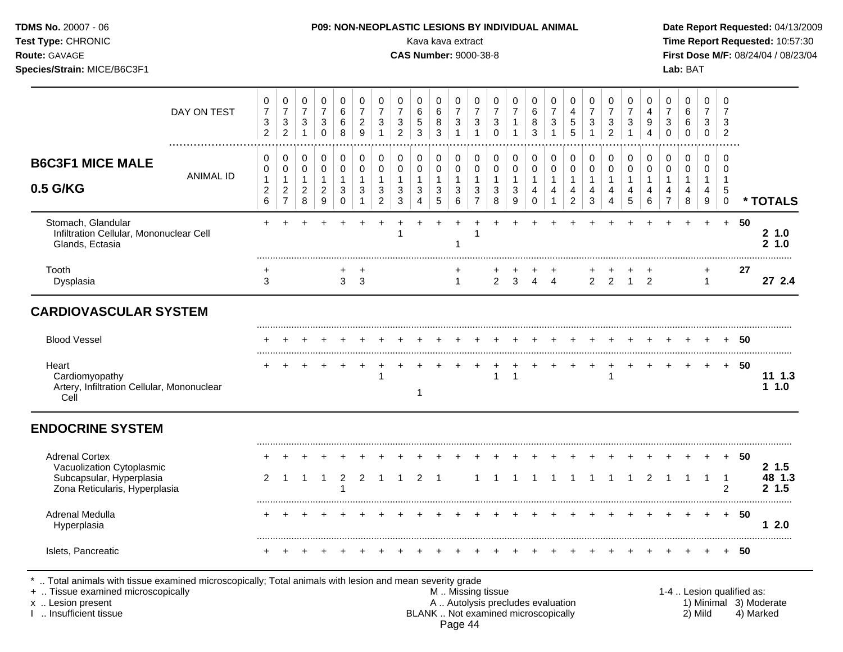| Test Type: CHRONIC<br>Route: GAVAGE<br>Species/Strain: MICE/B6C3F1                     |                  |                                                                           |                                                                  |                                                                    |                                                                          |                                                                                   |                                                                              |                                                                               |                                                                          | Kava kava extract<br><b>CAS Number: 9000-38-8</b>       |                                                     |                                                                               |                                                                                           |                                                          |                                                                              |                                                      |                                                                  |                                                                      |                                                                            |                                                                                |                                                                   |                                                           |                                                                      | Lab: BAT                                                   |                                                                                  |                                                                 | Time Report Requested: 10:57:30 | First Dose M/F: 08/24/04 / 08/23/04 |
|----------------------------------------------------------------------------------------|------------------|---------------------------------------------------------------------------|------------------------------------------------------------------|--------------------------------------------------------------------|--------------------------------------------------------------------------|-----------------------------------------------------------------------------------|------------------------------------------------------------------------------|-------------------------------------------------------------------------------|--------------------------------------------------------------------------|---------------------------------------------------------|-----------------------------------------------------|-------------------------------------------------------------------------------|-------------------------------------------------------------------------------------------|----------------------------------------------------------|------------------------------------------------------------------------------|------------------------------------------------------|------------------------------------------------------------------|----------------------------------------------------------------------|----------------------------------------------------------------------------|--------------------------------------------------------------------------------|-------------------------------------------------------------------|-----------------------------------------------------------|----------------------------------------------------------------------|------------------------------------------------------------|----------------------------------------------------------------------------------|-----------------------------------------------------------------|---------------------------------|-------------------------------------|
|                                                                                        | DAY ON TEST      | 0<br>$\overline{7}$<br>$\ensuremath{\mathsf{3}}$<br>$\overline{2}$        | $\pmb{0}$<br>$\overline{7}$<br>$\mathsf 3$<br>$\overline{2}$     | 0<br>$\boldsymbol{7}$<br>$\ensuremath{\mathsf{3}}$<br>$\mathbf{1}$ | $\pmb{0}$<br>$\overline{7}$<br>$\ensuremath{\mathsf{3}}$<br>$\mathbf 0$  | $\pmb{0}$<br>$\,6\,$<br>$\,6$<br>8                                                | $\mathbf 0$<br>$\overline{7}$<br>$\boldsymbol{2}$<br>9                       | $\pmb{0}$<br>$\overline{7}$<br>$\sqrt{3}$<br>$\mathbf{1}$                     | 0<br>$\overline{7}$<br>$\ensuremath{\mathsf{3}}$<br>$\overline{2}$       | 0<br>6<br>5<br>$\overline{3}$                           | 0<br>6<br>8<br>3                                    | $\mathsf 0$<br>$\overline{7}$<br>$\sqrt{3}$<br>$\mathbf{1}$                   | $\pmb{0}$<br>$\overline{7}$<br>$\sqrt{3}$<br>$\mathbf{1}$                                 | $\pmb{0}$<br>$\overline{7}$<br>$\sqrt{3}$<br>$\mathbf 0$ | 0<br>$\overline{7}$<br>$\mathbf{1}$<br>$\mathbf{1}$                          | 0<br>$\,6\,$<br>8<br>$\overline{3}$                  | 0<br>$\overline{7}$<br>$\sqrt{3}$<br>$\overline{1}$              | $\mathbf 0$<br>$\overline{4}$<br>$\,$ 5 $\,$<br>5                    | $\mathbf 0$<br>$\overline{7}$<br>$\ensuremath{\mathsf{3}}$<br>$\mathbf{1}$ | 0<br>$\overline{7}$<br>$\sqrt{3}$<br>$\overline{2}$                            | 0<br>$\overline{7}$<br>3<br>$\mathbf{1}$                          | 0<br>$\overline{4}$<br>$\boldsymbol{9}$<br>$\overline{4}$ | $\pmb{0}$<br>$\overline{7}$<br>$\mathbf{3}$<br>$\mathbf 0$           | $\mathbf 0$<br>$\,6\,$<br>$\,6$<br>$\mathbf 0$             | $\mathbf 0$<br>$\overline{7}$<br>3<br>$\mathbf 0$                                | $\mathbf 0$<br>$\overline{7}$<br>$\mathbf{3}$<br>$\overline{2}$ |                                 |                                     |
| <b>B6C3F1 MICE MALE</b><br>0.5 G/KG                                                    | <b>ANIMAL ID</b> | $\mathbf 0$<br>$\mathbf 0$<br>$\mathbf{1}$<br>$\boldsymbol{2}$<br>$\,6\,$ | 0<br>$\mathsf 0$<br>$\mathbf{1}$<br>$\sqrt{2}$<br>$\overline{7}$ | 0<br>$\mathbf 0$<br>$\mathbf{1}$<br>$\overline{2}$<br>8            | $\pmb{0}$<br>$\pmb{0}$<br>$\mathbf{1}$<br>$\sqrt{2}$<br>$\boldsymbol{9}$ | $\mathsf{O}\xspace$<br>$\mathbf 0$<br>$\mathbf{1}$<br>$\mathbf{3}$<br>$\mathbf 0$ | $\mathbf 0$<br>$\mathbf 0$<br>$\mathbf{1}$<br>$\mathbf{3}$<br>$\overline{1}$ | 0<br>$\pmb{0}$<br>$\mathbf{1}$<br>$\ensuremath{\mathsf{3}}$<br>$\overline{c}$ | $\mathbf 0$<br>$\mathbf 0$<br>$\mathbf{1}$<br>$\mathbf{3}$<br>$\sqrt{3}$ | 0<br>$\mathbf 0$<br>$\mathbf{1}$<br>3<br>$\overline{4}$ | 0<br>$\mathbf 0$<br>$\mathbf{1}$<br>$\sqrt{3}$<br>5 | $\mathbf 0$<br>$\mathsf{O}\xspace$<br>$\mathbf{1}$<br>$\mathbf{3}$<br>$\,6\,$ | $\mathbf 0$<br>$\mathbf 0$<br>$\mathbf{1}$<br>$\ensuremath{\mathsf{3}}$<br>$\overline{7}$ | 0<br>$\mathbf 0$<br>$\mathbf{1}$<br>$\sqrt{3}$<br>$\bf8$ | $\mathbf 0$<br>$\mathbf 0$<br>$\mathbf{1}$<br>$\sqrt{3}$<br>$\boldsymbol{9}$ | 0<br>$\mathbf 0$<br>$\mathbf{1}$<br>4<br>$\mathbf 0$ | 0<br>$\pmb{0}$<br>$\mathbf{1}$<br>$\overline{4}$<br>$\mathbf{1}$ | 0<br>$\mathbf 0$<br>$\mathbf{1}$<br>$\overline{4}$<br>$\overline{2}$ | $\Omega$<br>$\Omega$<br>$\mathbf{1}$<br>$\overline{4}$<br>$\mathbf{3}$     | $\mathbf 0$<br>$\mathbf 0$<br>$\mathbf{1}$<br>$\overline{4}$<br>$\overline{4}$ | $\mathbf 0$<br>$\mathsf 0$<br>$\mathbf{1}$<br>$\overline{4}$<br>5 | 0<br>$\mathbf 0$<br>$\mathbf{1}$<br>4<br>$\,6\,$          | 0<br>$\mathbf 0$<br>$\mathbf{1}$<br>$\overline{4}$<br>$\overline{7}$ | $\mathbf 0$<br>$\mathbf 0$<br>$\mathbf{1}$<br>4<br>$\bf 8$ | $\mathbf 0$<br>$\mathbf 0$<br>$\mathbf{1}$<br>$\overline{4}$<br>$\boldsymbol{9}$ | $\mathbf 0$<br>$\Omega$<br>$\overline{1}$<br>5<br>$\mathsf 0$   |                                 | * TOTALS                            |
| Stomach, Glandular<br>Infiltration Cellular, Mononuclear Cell<br>Glands, Ectasia       |                  | $+$                                                                       |                                                                  |                                                                    |                                                                          | $+$                                                                               |                                                                              | $\ddot{}$                                                                     | $+$                                                                      | $+$                                                     | $+$                                                 | $\ddot{}$<br>$\mathbf 1$                                                      | $+$                                                                                       |                                                          |                                                                              |                                                      |                                                                  |                                                                      |                                                                            |                                                                                |                                                                   |                                                           | $+$                                                                  | $+$                                                        | $+$                                                                              | $+$                                                             | -50                             | 21.0<br>21.0                        |
| Tooth<br>Dysplasia                                                                     |                  | ÷<br>3                                                                    |                                                                  |                                                                    |                                                                          | 3                                                                                 | $\overline{\mathbf{3}}$                                                      |                                                                               |                                                                          |                                                         |                                                     | $\mathbf{1}$                                                                  |                                                                                           | $\overline{2}$                                           | 3                                                                            | $\overline{4}$                                       | $\overline{4}$                                                   |                                                                      | $\overline{2}$                                                             | $\overline{2}$                                                                 | $\overline{1}$                                                    | $\overline{2}$                                            |                                                                      |                                                            | +<br>$\overline{1}$                                                              |                                                                 | 27                              | 27 2.4                              |
| <b>CARDIOVASCULAR SYSTEM</b>                                                           |                  |                                                                           |                                                                  |                                                                    |                                                                          |                                                                                   |                                                                              |                                                                               |                                                                          |                                                         |                                                     |                                                                               |                                                                                           |                                                          |                                                                              |                                                      |                                                                  |                                                                      |                                                                            |                                                                                |                                                                   |                                                           |                                                                      |                                                            |                                                                                  |                                                                 |                                 |                                     |
| <b>Blood Vessel</b>                                                                    |                  |                                                                           |                                                                  |                                                                    |                                                                          |                                                                                   |                                                                              |                                                                               |                                                                          |                                                         |                                                     |                                                                               |                                                                                           |                                                          |                                                                              |                                                      |                                                                  |                                                                      |                                                                            |                                                                                |                                                                   |                                                           |                                                                      |                                                            |                                                                                  |                                                                 | + 50                            |                                     |
| Heart<br>Cardiomyopathy<br>Artery, Infiltration Cellular, Mononuclear<br>Cell          |                  |                                                                           |                                                                  |                                                                    |                                                                          |                                                                                   |                                                                              | $\mathbf{1}$                                                                  |                                                                          | 1                                                       |                                                     |                                                                               |                                                                                           | $\mathbf{1}$                                             | $\mathbf{1}$                                                                 |                                                      |                                                                  |                                                                      |                                                                            | $\mathbf{1}$                                                                   |                                                                   |                                                           | $+$                                                                  | $+$                                                        | $+$                                                                              |                                                                 | $+ 50$                          | $11 \t1.3$<br>1.0                   |
| <b>ENDOCRINE SYSTEM</b>                                                                |                  |                                                                           |                                                                  |                                                                    |                                                                          |                                                                                   |                                                                              |                                                                               |                                                                          |                                                         |                                                     |                                                                               |                                                                                           |                                                          |                                                                              |                                                      |                                                                  |                                                                      |                                                                            |                                                                                |                                                                   |                                                           |                                                                      |                                                            |                                                                                  |                                                                 |                                 |                                     |
| <b>Adrenal Cortex</b>                                                                  |                  |                                                                           |                                                                  |                                                                    |                                                                          |                                                                                   |                                                                              |                                                                               |                                                                          |                                                         |                                                     |                                                                               |                                                                                           |                                                          |                                                                              |                                                      |                                                                  |                                                                      |                                                                            |                                                                                |                                                                   |                                                           |                                                                      |                                                            |                                                                                  |                                                                 | 50                              | 2 1.5                               |
| Vacuolization Cytoplasmic<br>Subcapsular, Hyperplasia<br>Zona Reticularis, Hyperplasia |                  | 2                                                                         | $\overline{1}$                                                   | $\overline{1}$                                                     | $\overline{1}$                                                           | 2                                                                                 | 2                                                                            | $\overline{1}$                                                                | $\overline{1}$                                                           | 2                                                       | $\overline{1}$                                      |                                                                               | $\mathbf{1}$                                                                              | $\overline{1}$                                           | $\mathbf{1}$                                                                 | -1                                                   | $\overline{1}$                                                   | $\overline{1}$                                                       | $\overline{1}$                                                             | $\mathbf{1}$                                                                   | $\overline{1}$                                                    | 2                                                         | $\overline{1}$                                                       | $\mathbf{1}$                                               | $\overline{1}$                                                                   | $\overline{1}$<br>$\overline{2}$                                |                                 | 48 1.3<br>2, 1.5                    |
| <b>Adrenal Medulla</b><br>Hyperplasia                                                  |                  |                                                                           |                                                                  |                                                                    |                                                                          |                                                                                   |                                                                              |                                                                               |                                                                          |                                                         |                                                     |                                                                               |                                                                                           |                                                          |                                                                              |                                                      |                                                                  |                                                                      |                                                                            |                                                                                |                                                                   |                                                           |                                                                      |                                                            |                                                                                  |                                                                 | $+ 50$                          | 12.0                                |
| Islets, Pancreatic                                                                     |                  |                                                                           |                                                                  |                                                                    |                                                                          |                                                                                   |                                                                              |                                                                               |                                                                          |                                                         |                                                     |                                                                               |                                                                                           |                                                          |                                                                              |                                                      |                                                                  |                                                                      |                                                                            |                                                                                |                                                                   |                                                           |                                                                      |                                                            |                                                                                  |                                                                 | -50                             |                                     |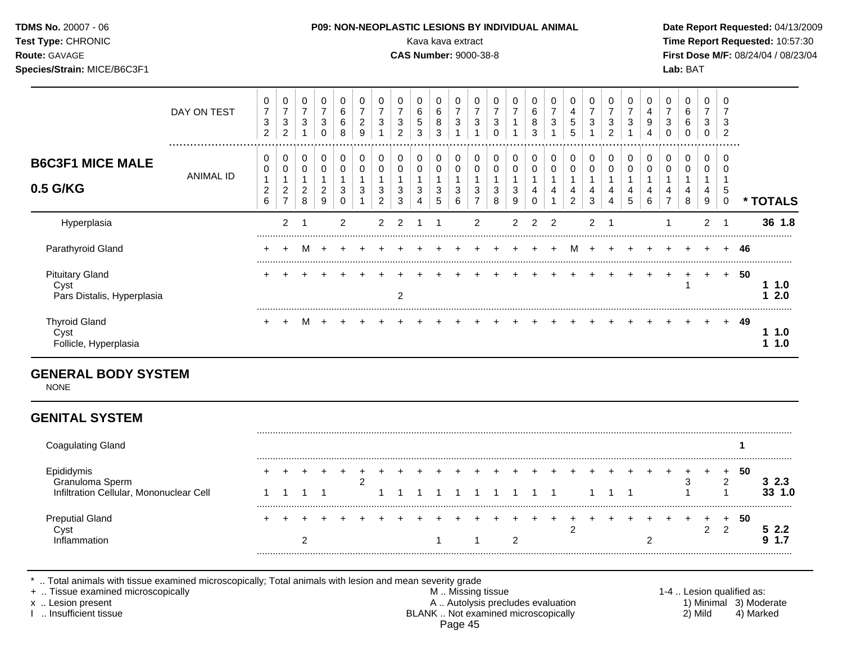| <b>TDMS No. 20007 - 06</b><br>Test Type: CHRONIC<br><b>Route: GAVAGE</b><br>Species/Strain: MICE/B6C3F1 |             |             |               |        |   |        | <b>P09: NON-NEOPLASTIC LESIONS BY INDIVIDUAL ANIMAL</b> |   |        |        | Kava kava extract<br><b>CAS Number: 9000-38-8</b> |        |  |          |  |   |   |        |             |                         | Date Rep<br><b>Time Rep</b><br><b>First Dos</b><br>Lab: BAT |  |
|---------------------------------------------------------------------------------------------------------|-------------|-------------|---------------|--------|---|--------|---------------------------------------------------------|---|--------|--------|---------------------------------------------------|--------|--|----------|--|---|---|--------|-------------|-------------------------|-------------------------------------------------------------|--|
|                                                                                                         | DAY ON TEST | 0<br>⇁<br>3 | <b>u</b><br>વ | 0<br>3 | ว | 6<br>6 | 3                                                       | 3 | 6<br>đ | 6<br>8 | 3                                                 | 0<br>3 |  | $\Omega$ |  | 3 | 3 | U<br>3 | 0<br>4<br>9 | 0<br>⇁<br>$\Omega$<br>ັ | 6<br>6                                                      |  |

ANIMAL ID

.................................................................................................................................................................

1

1 2

**\* TOTALS**

#### ......................................................................................................................................................................................................... Pituitary Gland + + + + + + + + + + + + + + + + + + + + + + + + + **50** Cyst 1 **1 1.0** Pars Distalis, Hyperplasia 2 **1 2.0** ......................................................................................................................................................................................................... Thyroid Gland + + M + + + + + + + + + + + + + + + + + + + + + + **49** Cyst **1 1.0** Follicle, Hyperplasia **1 1.0**

#### **GENERAL BODY SYSTEM**

NONE

### **GENITAL SYSTEM**

**B6C3F1 MICE MALE**

**0.5 G/KG**

| Coag<br>gulating Gland                  |  |  |  |  |  |  |  |  |   |  |  |  |  |    |     |
|-----------------------------------------|--|--|--|--|--|--|--|--|---|--|--|--|--|----|-----|
| Infiltration Cellular, Mononuclear Cell |  |  |  |  |  |  |  |  |   |  |  |  |  | 50 | 1.0 |
| utial Gland<br>Prep<br>ıtınr            |  |  |  |  |  |  |  |  | ◠ |  |  |  |  | 50 |     |

Hyperplasia 2 1 2 2 2 1 1 2 2 2 2 2 1 1 2 1 **36 1.8**

Parathyroid Gland + + M + + + + + + + + + + + + + M + + + + + + + + **46**

.........................................................................................................................................................................................................

.. Total animals with tissue examined microscopically; Total animals with lesion and mean severity grade<br>Tissue examined microscopically

+ .. Tissue examined microscopically examined microscopically and the state of the state of the M .. Missing tissue the M .. Missing tissue the matrix of the M .. Missing tissue the matrix of the M .. Lesion qualified as:

x .. Lesion present 1) Minimal 3) Moderate<br>A .. Autolysis precludes evaluation 1 and 1) Minimal 3) Moderate<br>BLANK .. Not examined microscopically 1 and 1) Mild 4) Marked BLANK .. Not examined microscopically Page 45

Date Report Requested: 04/13/2009 **Time Report Requested: 10:57:30 First Dose M/F: 08/24/04 / 08/23/04**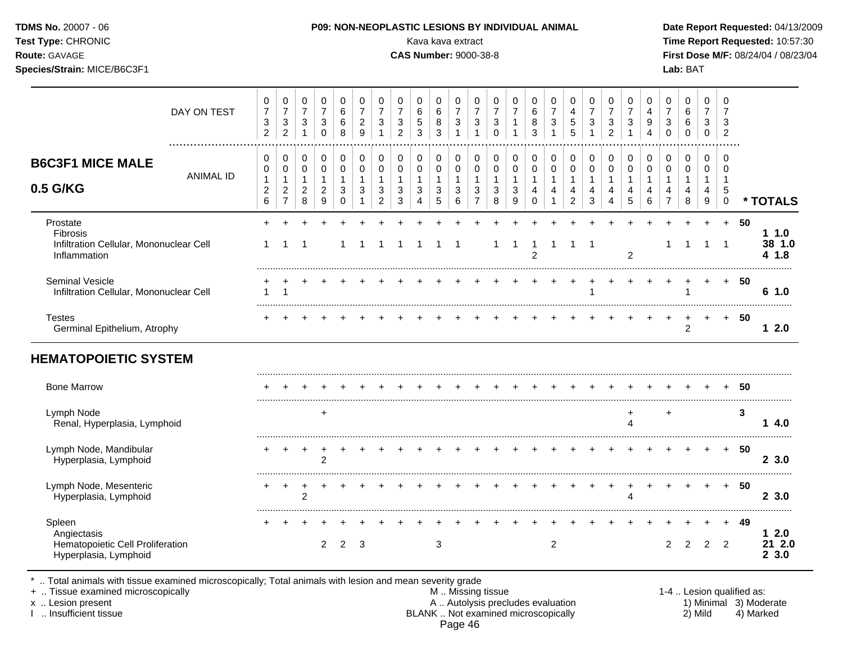| <b>TDMS No. 20007 - 06</b>  | <b>P09: NON-NEOPLASTIC LESIONS BY INDIVIDUAL ANIMAL</b> | Date Rep         |
|-----------------------------|---------------------------------------------------------|------------------|
| <b>Test Type: CHRONIC</b>   | Kava kava extract                                       | Time Rep         |
| <b>Route: GAVAGE</b>        | <b>CAS Number: 9000-38-8</b>                            | <b>First Dos</b> |
| Species/Strain: MICE/B6C3F1 |                                                         | Lab: BAT         |

#### **P09: NON-NEOPLASTIC LESIONS BY INDIVIDUAL ANIMAL Date Report Requested:** 04/13/2009

Kava kava extract **Time Report Requested:** 10:57:30 **CAS Number:** 9000-38-8 **First Dose M/F:** 08/24/04 / 08/23/04

|                                                                                    | DAY ON TEST      | 0<br>$\overline{7}$<br>$\ensuremath{\mathsf{3}}$<br>$\overline{2}$ | $\mathbf 0$<br>$\overline{7}$<br>$\ensuremath{\mathsf{3}}$<br>$\overline{c}$ | 0<br>$\overline{7}$<br>$\ensuremath{\mathsf{3}}$<br>$\mathbf{1}$ | $\pmb{0}$<br>$\overline{7}$<br>$\sqrt{3}$<br>$\mathbf 0$   | $\boldsymbol{0}$<br>$\,6\,$<br>$\,6\,$<br>8    | 0<br>$\overline{7}$<br>$\overline{c}$<br>9 | 0<br>$\overline{7}$<br>3 | 0<br>$\overline{7}$<br>3<br>$\overline{2}$ | 0<br>6<br>$\sqrt{5}$<br>3           | 0<br>$\,6\,$<br>$\,8\,$<br>3        | 0<br>$\overline{7}$<br>$\ensuremath{\mathsf{3}}$<br>$\mathbf{1}$ | $\mathbf 0$<br>$\overline{7}$<br>3<br>1 | 0<br>$\overline{7}$<br>$\ensuremath{\mathsf{3}}$<br>$\Omega$ | 0<br>$\overline{7}$<br>$\mathbf{1}$<br>1 | $\pmb{0}$<br>$\,6\,$<br>$\bf 8$<br>3 | 0<br>$\overline{7}$<br>$\ensuremath{\mathsf{3}}$<br>1 | 0<br>$\overline{4}$<br>$\sqrt{5}$<br>5 | 0<br>$\overline{7}$<br>3            | 0<br>$\overline{7}$<br>$\sqrt{3}$<br>$\overline{2}$ | 0<br>$\overline{7}$<br>3                           | 0<br>$\overline{4}$<br>9<br>4 | 0<br>$\overline{7}$<br>3<br>$\mathbf 0$ | 0<br>6<br>6<br>$\pmb{0}$              | 0<br>$\overline{7}$<br>$\mathbf{3}$<br>0 | 0<br>$\overline{7}$<br>3<br>$\overline{2}$ |     |                         |
|------------------------------------------------------------------------------------|------------------|--------------------------------------------------------------------|------------------------------------------------------------------------------|------------------------------------------------------------------|------------------------------------------------------------|------------------------------------------------|--------------------------------------------|--------------------------|--------------------------------------------|-------------------------------------|-------------------------------------|------------------------------------------------------------------|-----------------------------------------|--------------------------------------------------------------|------------------------------------------|--------------------------------------|-------------------------------------------------------|----------------------------------------|-------------------------------------|-----------------------------------------------------|----------------------------------------------------|-------------------------------|-----------------------------------------|---------------------------------------|------------------------------------------|--------------------------------------------|-----|-------------------------|
| <b>B6C3F1 MICE MALE</b><br>0.5 G/KG                                                | <b>ANIMAL ID</b> | 0<br>$\mathbf 0$<br>$\mathbf{1}$<br>$\overline{c}$                 | 0<br>$\pmb{0}$<br>$\mathbf{1}$<br>$\overline{c}$                             | 0<br>$\pmb{0}$<br>$\mathbf{1}$<br>$\overline{c}$                 | $\pmb{0}$<br>$\mathbf 0$<br>$\mathbf{1}$<br>$\overline{c}$ | 0<br>$\pmb{0}$<br>$\mathbf{1}$<br>$\mathbf{3}$ | 0<br>$\pmb{0}$<br>$\mathbf{1}$<br>3        | 0<br>$\pmb{0}$<br>1<br>3 | 0<br>$\pmb{0}$<br>$\mathbf{1}$<br>3        | 0<br>$\pmb{0}$<br>$\mathbf{1}$<br>3 | 0<br>$\pmb{0}$<br>$\mathbf{1}$<br>3 | 0<br>$\pmb{0}$<br>$\mathbf{1}$<br>3                              | 0<br>$\pmb{0}$<br>$\mathbf{1}$<br>3     | 0<br>$\pmb{0}$<br>$\mathbf{1}$<br>3                          | 0<br>$\mathbf 0$<br>$\mathbf{1}$<br>3    | 0<br>$\pmb{0}$<br>$\mathbf{1}$<br>4  | 0<br>$\pmb{0}$<br>$\mathbf{1}$<br>$\overline{4}$      | 0<br>$\pmb{0}$<br>$\mathbf{1}$<br>4    | 0<br>$\pmb{0}$<br>$\mathbf{1}$<br>4 | 0<br>$\,0\,$<br>$\mathbf{1}$<br>4                   | 0<br>$\mathbf 0$<br>$\mathbf{1}$<br>$\overline{4}$ | 0<br>$\pmb{0}$<br>1<br>4      | 0<br>$\mathbf 0$<br>1<br>4              | 0<br>$\mathbf 0$<br>$\mathbf{1}$<br>4 | 0<br>0<br>$\mathbf{1}$<br>4              | 0<br>$\mathbf 0$<br>$\mathbf{1}$<br>5      |     |                         |
|                                                                                    |                  | $6\phantom{1}$                                                     | $\overline{7}$                                                               | 8                                                                | $\boldsymbol{9}$                                           | $\mathbf 0$                                    |                                            | $\overline{c}$           | 3                                          | $\overline{4}$                      | 5                                   | 6                                                                | $\overline{7}$                          | 8                                                            | $\boldsymbol{9}$                         | $\mathbf 0$                          | 1                                                     | $\overline{c}$                         | 3                                   | $\overline{4}$                                      | 5                                                  | 6                             | $\overline{7}$                          | 8                                     | $\boldsymbol{9}$                         | $\mathbf 0$                                |     | * TOTALS                |
| Prostate<br>Fibrosis<br>Infiltration Cellular, Mononuclear Cell<br>Inflammation    |                  | 1                                                                  |                                                                              |                                                                  |                                                            |                                                |                                            |                          |                                            |                                     |                                     | -1                                                               |                                         | -1                                                           | $\overline{1}$                           | -1<br>$\overline{2}$                 | 1                                                     | $\mathbf{1}$                           | -1                                  |                                                     | $\overline{2}$                                     |                               | 1                                       | $\mathbf 1$                           | $\mathbf{1}$                             | $\ddot{}$<br>$\overline{1}$                | 50  | 11.0<br>38 1.0<br>4 1.8 |
| Seminal Vesicle<br>Infiltration Cellular, Mononuclear Cell                         |                  | 1                                                                  |                                                                              |                                                                  |                                                            |                                                |                                            |                          |                                            |                                     |                                     |                                                                  |                                         |                                                              |                                          |                                      |                                                       |                                        |                                     |                                                     |                                                    |                               | $\ddot{}$                               |                                       | $\ddot{}$                                | $\ddot{}$                                  | 50  | 6 1.0                   |
| <b>Testes</b><br>Germinal Epithelium, Atrophy                                      |                  |                                                                    |                                                                              |                                                                  |                                                            |                                                |                                            |                          |                                            |                                     |                                     |                                                                  |                                         |                                                              |                                          |                                      |                                                       |                                        |                                     |                                                     |                                                    |                               | +                                       | $\mathcal{P}$                         | $\div$                                   | $\ddot{}$                                  | 50  | 12.0                    |
| <b>HEMATOPOIETIC SYSTEM</b>                                                        |                  |                                                                    |                                                                              |                                                                  |                                                            |                                                |                                            |                          |                                            |                                     |                                     |                                                                  |                                         |                                                              |                                          |                                      |                                                       |                                        |                                     |                                                     |                                                    |                               |                                         |                                       |                                          |                                            |     |                         |
| <b>Bone Marrow</b>                                                                 |                  |                                                                    |                                                                              |                                                                  |                                                            |                                                |                                            |                          |                                            |                                     |                                     |                                                                  |                                         |                                                              |                                          |                                      |                                                       |                                        |                                     |                                                     |                                                    |                               |                                         |                                       |                                          | $\pm$                                      | 50  |                         |
| Lymph Node<br>Renal, Hyperplasia, Lymphoid                                         |                  |                                                                    |                                                                              |                                                                  | $\ddot{}$                                                  |                                                |                                            |                          |                                            |                                     |                                     |                                                                  |                                         |                                                              |                                          |                                      |                                                       |                                        |                                     |                                                     | +<br>4                                             |                               | $\ddot{}$                               |                                       |                                          |                                            | 3   | 14.0                    |
| Lymph Node, Mandibular<br>Hyperplasia, Lymphoid                                    |                  |                                                                    |                                                                              | $\,^+$                                                           | $\ddot{}$<br>$\overline{2}$                                |                                                |                                            |                          |                                            |                                     |                                     |                                                                  |                                         |                                                              |                                          |                                      |                                                       |                                        |                                     |                                                     |                                                    |                               |                                         |                                       |                                          | $+$                                        | 50  | 23.0                    |
| Lymph Node, Mesenteric<br>Hyperplasia, Lymphoid                                    |                  |                                                                    |                                                                              | 2                                                                |                                                            |                                                |                                            |                          |                                            |                                     |                                     |                                                                  |                                         |                                                              |                                          |                                      |                                                       |                                        |                                     |                                                     | Λ                                                  |                               |                                         |                                       |                                          | $+$                                        | -50 | 23.0                    |
| Spleen<br>Angiectasis<br>Hematopoietic Cell Proliferation<br>Hyperplasia, Lymphoid |                  |                                                                    |                                                                              |                                                                  | $\overline{2}$                                             | $\overline{c}$                                 | 3                                          |                          |                                            |                                     | 3                                   |                                                                  |                                         |                                                              |                                          |                                      | $\overline{c}$                                        |                                        |                                     |                                                     |                                                    |                               | $\overline{2}$                          | $\overline{c}$                        | $\overline{2}$                           | $+$<br>$\overline{2}$                      | 49  | 12.0<br>21 2.0<br>23.0  |

\* .. Total animals with tissue examined microscopically; Total animals with lesion and mean severity grade

+ .. Tissue examined microscopically M .. Missing tissue 1-4 .. Lesion qualified as: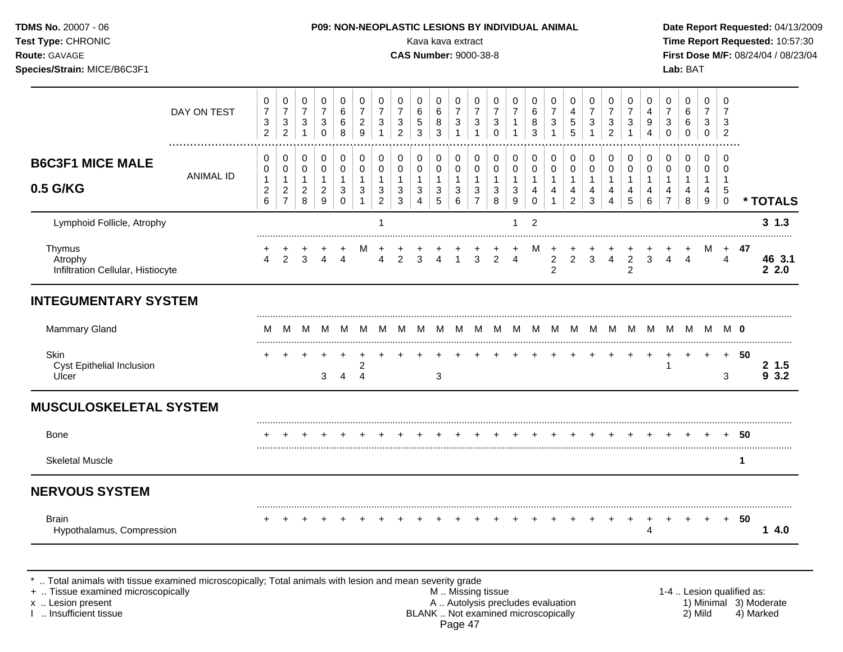| Test Type: CHRONIC<br>Route: GAVAGE<br>Species/Strain: MICE/B6C3F1 |                  |                                              |                                                                      |                                               |                                                                         |                                                    |                                                         |                                                                                 |                                                                           | Kava kava extract<br><b>CAS Number: 9000-38-8</b> |                                            |                                                                                         |                                                                    |                                                              |                                          |                              |                                          |                                                         |                                                    |                                                         |                                                                  |                                  |                                                                    | Lab: BAT                                             |                                            |                                                              |             | Time Report Requested: 10:57:30<br>First Dose M/F: 08/24/04 / 08/23/04 |
|--------------------------------------------------------------------|------------------|----------------------------------------------|----------------------------------------------------------------------|-----------------------------------------------|-------------------------------------------------------------------------|----------------------------------------------------|---------------------------------------------------------|---------------------------------------------------------------------------------|---------------------------------------------------------------------------|---------------------------------------------------|--------------------------------------------|-----------------------------------------------------------------------------------------|--------------------------------------------------------------------|--------------------------------------------------------------|------------------------------------------|------------------------------|------------------------------------------|---------------------------------------------------------|----------------------------------------------------|---------------------------------------------------------|------------------------------------------------------------------|----------------------------------|--------------------------------------------------------------------|------------------------------------------------------|--------------------------------------------|--------------------------------------------------------------|-------------|------------------------------------------------------------------------|
|                                                                    | DAY ON TEST      | 0<br>$\boldsymbol{7}$<br>3<br>$\overline{c}$ | 0<br>$\boldsymbol{7}$<br>$\ensuremath{\mathsf{3}}$<br>$\overline{c}$ | 0<br>$\overline{7}$<br>3<br>$\mathbf{1}$      | $\,0\,$<br>$\boldsymbol{7}$<br>$\ensuremath{\mathsf{3}}$<br>$\mathbf 0$ | 0<br>$\,6$<br>$\,6$<br>8                           | $\mathbf 0$<br>$\overline{7}$<br>$\boldsymbol{2}$<br>9  | 0<br>$\boldsymbol{7}$<br>$\ensuremath{\mathsf{3}}$<br>$\mathbf{1}$              | 0<br>$\boldsymbol{7}$<br>$\ensuremath{\mathsf{3}}$<br>$\overline{2}$      | 0<br>6<br>5<br>3                                  | 0<br>6<br>8<br>3                           | 0<br>$\overline{7}$<br>$\ensuremath{\mathsf{3}}$<br>$\mathbf{1}$                        | 0<br>$\overline{7}$<br>$\ensuremath{\mathsf{3}}$<br>$\overline{1}$ | $\mathbf 0$<br>$\boldsymbol{7}$<br>$\sqrt{3}$<br>$\mathbf 0$ | 0<br>$\overline{7}$<br>1<br>$\mathbf{1}$ | 0<br>6<br>8<br>3             | 0<br>$\overline{7}$<br>3<br>$\mathbf{1}$ | 0<br>4<br>$\,$ 5 $\,$<br>$\sqrt{5}$                     | $\mathbf 0$<br>$\boldsymbol{7}$<br>$\sqrt{3}$<br>1 | 0<br>$\boldsymbol{7}$<br>$\sqrt{3}$<br>$\overline{2}$   | 0<br>$\overline{7}$<br>$\ensuremath{\mathsf{3}}$<br>$\mathbf{1}$ | 0<br>4<br>9<br>$\overline{4}$    | 0<br>$\overline{7}$<br>$\ensuremath{\mathsf{3}}$<br>$\mathbf 0$    | 0<br>$\,6$<br>6<br>$\mathbf 0$                       | 0<br>$\overline{7}$<br>3<br>0              | $\mathbf 0$<br>7<br>3<br>$\overline{2}$                      |             |                                                                        |
| <b>B6C3F1 MICE MALE</b><br>0.5 G/KG                                | <b>ANIMAL ID</b> | 0<br>0<br>1<br>$\boldsymbol{2}$<br>6         | 0<br>$\pmb{0}$<br>1<br>$\overline{c}$<br>$\overline{7}$              | 0<br>0<br>$\mathbf{1}$<br>$\overline{2}$<br>8 | 0<br>$\pmb{0}$<br>$\mathbf{1}$<br>$\overline{c}$<br>9                   | $\pmb{0}$<br>0<br>$\mathbf{1}$<br>3<br>$\mathbf 0$ | 0<br>$\mathbf 0$<br>$\mathbf{1}$<br>3<br>$\overline{1}$ | 0<br>$\mathbf 0$<br>$\mathbf{1}$<br>$\ensuremath{\mathsf{3}}$<br>$\overline{c}$ | 0<br>$\pmb{0}$<br>$\mathbf{1}$<br>$\ensuremath{\mathsf{3}}$<br>$\sqrt{3}$ | 0<br>0<br>$\mathbf{1}$<br>3<br>4                  | 0<br>$\mathbf 0$<br>$\mathbf{1}$<br>3<br>5 | $\pmb{0}$<br>$\mathbf 0$<br>$\mathbf{1}$<br>$\ensuremath{\mathsf{3}}$<br>$6\phantom{a}$ | 0<br>$\pmb{0}$<br>$\mathbf{1}$<br>$\sqrt{3}$<br>$\overline{7}$     | 0<br>$\mathbf 0$<br>$\mathbf{1}$<br>$\sqrt{3}$<br>$\bf8$     | 0<br>$\pmb{0}$<br>1<br>3<br>9            | 0<br>0<br>1<br>4<br>$\Omega$ | 0<br>$\pmb{0}$<br>1<br>4<br>1            | 0<br>$\mathbf 0$<br>$\mathbf{1}$<br>4<br>$\overline{2}$ | 0<br>$\mathbf 0$<br>$\overline{1}$<br>4<br>3       | 0<br>$\mathbf 0$<br>$\mathbf{1}$<br>4<br>$\overline{4}$ | 0<br>$\mathbf 0$<br>$\mathbf{1}$<br>4<br>5                       | 0<br>0<br>$\mathbf{1}$<br>4<br>6 | 0<br>$\pmb{0}$<br>$\mathbf{1}$<br>$\overline{4}$<br>$\overline{7}$ | $\mathbf 0$<br>$\mathbf 0$<br>$\mathbf{1}$<br>4<br>8 | 0<br>$\mathbf 0$<br>$\mathbf{1}$<br>4<br>9 | 0<br>$\Omega$<br>$\overline{1}$<br>$\sqrt{5}$<br>$\mathbf 0$ |             | * TOTALS                                                               |
| Lymphoid Follicle, Atrophy                                         |                  |                                              |                                                                      |                                               |                                                                         |                                                    |                                                         | 1                                                                               |                                                                           |                                                   |                                            |                                                                                         |                                                                    |                                                              | 1                                        | $\overline{2}$               |                                          |                                                         |                                                    |                                                         |                                                                  |                                  |                                                                    |                                                      |                                            |                                                              |             | $3 \; 1.3$                                                             |
| Thymus<br>Atrophy<br>Infiltration Cellular, Histiocyte             |                  | 4                                            | $\mathcal{P}$                                                        | 3                                             | $\Delta$                                                                | $\Delta$                                           | м                                                       | 4                                                                               | $\mathcal{P}$                                                             | 3                                                 | Δ                                          |                                                                                         | 3                                                                  | $\overline{2}$                                               | $\overline{4}$                           | M                            | $\overline{c}$<br>$\overline{2}$         | $\overline{2}$                                          | 3                                                  | $\overline{4}$                                          | 2<br>$\overline{c}$                                              | 3                                | 4                                                                  | $\overline{4}$                                       | M                                          | 4                                                            | + 47        | 46 3.1<br>2.2.0                                                        |
| <b>INTEGUMENTARY SYSTEM</b>                                        |                  |                                              |                                                                      |                                               |                                                                         |                                                    |                                                         |                                                                                 |                                                                           |                                                   |                                            |                                                                                         |                                                                    |                                                              |                                          |                              |                                          |                                                         |                                                    |                                                         |                                                                  |                                  |                                                                    |                                                      |                                            |                                                              |             |                                                                        |
| Mammary Gland                                                      |                  | м                                            | M                                                                    | - M                                           |                                                                         | M M                                                |                                                         | M M M                                                                           |                                                                           | M                                                 |                                            |                                                                                         |                                                                    |                                                              |                                          |                              |                                          |                                                         |                                                    |                                                         |                                                                  |                                  |                                                                    | M M M M M M M M M M M M M M M M O                    |                                            |                                                              |             |                                                                        |
| <b>Skin</b><br>Cyst Epithelial Inclusion<br>Ulcer                  |                  |                                              |                                                                      |                                               | 3                                                                       | 4                                                  | 2<br>$\overline{4}$                                     |                                                                                 |                                                                           |                                                   | 3                                          |                                                                                         |                                                                    |                                                              |                                          |                              |                                          |                                                         |                                                    |                                                         |                                                                  |                                  | 1                                                                  | $\ddot{}$                                            | $+$                                        | $+$<br>3                                                     | -50         | 21.5<br>93.2                                                           |
| <b>MUSCULOSKELETAL SYSTEM</b>                                      |                  |                                              |                                                                      |                                               |                                                                         |                                                    |                                                         |                                                                                 |                                                                           |                                                   |                                            |                                                                                         |                                                                    |                                                              |                                          |                              |                                          |                                                         |                                                    |                                                         |                                                                  |                                  |                                                                    |                                                      |                                            |                                                              |             |                                                                        |
| <b>Bone</b>                                                        |                  |                                              |                                                                      |                                               |                                                                         |                                                    |                                                         |                                                                                 |                                                                           |                                                   |                                            |                                                                                         |                                                                    |                                                              |                                          |                              |                                          |                                                         |                                                    |                                                         |                                                                  |                                  |                                                                    |                                                      |                                            |                                                              | - 50        |                                                                        |
| <b>Skeletal Muscle</b>                                             |                  |                                              |                                                                      |                                               |                                                                         |                                                    |                                                         |                                                                                 |                                                                           |                                                   |                                            |                                                                                         |                                                                    |                                                              |                                          |                              |                                          |                                                         |                                                    |                                                         |                                                                  |                                  |                                                                    |                                                      |                                            |                                                              | $\mathbf 1$ |                                                                        |
| <b>NERVOUS SYSTEM</b>                                              |                  |                                              |                                                                      |                                               |                                                                         |                                                    |                                                         |                                                                                 |                                                                           |                                                   |                                            |                                                                                         |                                                                    |                                                              |                                          |                              |                                          |                                                         |                                                    |                                                         |                                                                  |                                  |                                                                    |                                                      |                                            |                                                              |             |                                                                        |
| <b>Brain</b><br>Hypothalamus, Compression                          |                  |                                              |                                                                      |                                               |                                                                         |                                                    |                                                         |                                                                                 |                                                                           |                                                   |                                            |                                                                                         |                                                                    |                                                              |                                          |                              |                                          |                                                         |                                                    |                                                         |                                                                  | 4                                |                                                                    |                                                      |                                            |                                                              | 50          | 14.0                                                                   |

\* .. Total animals with tissue examined microscopically; Total animals with lesion and mean severity grade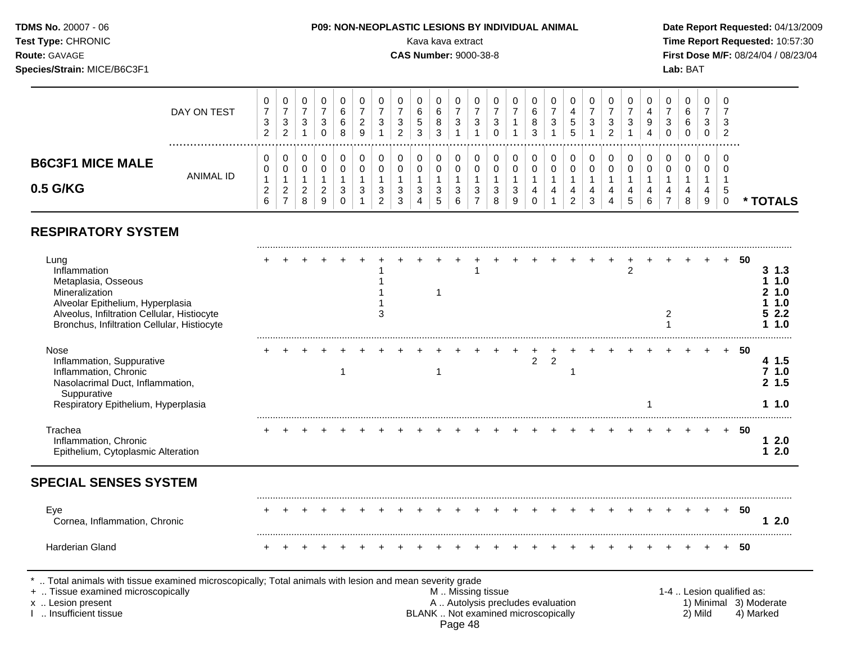**Test Type:** CHRONIC **Transfer CHRONIC** Kava Rava extract Kava extract **Time Report Requested:** 10:57:30 **Route:** GAVAGE **CAS Number:** 9000-38-8 **First Dose M/F:** 08/24/04 / 08/23/04 **Species/Strain:** MICE/B6C3F1 **Lab:** BAT

|                                     | DAY ON TEST | υ<br>⇁<br>◠<br>- 0<br>ົ | 0<br>-<br>3<br>ົ      | U<br>3           | 3 | U<br>6<br>6<br>8     | J.<br><u>_</u><br>9 | u<br>J | v<br>J<br>ົ | ⌒<br>5<br>ົ | ◡<br>6<br>8<br>2<br>J | 3               | U<br>3      | U<br>ົ<br>د      |   | 0<br>6<br>8<br>3 | U<br>ົ<br>ັ | ,,<br>$\sim$<br>IJ | v<br>3             | دت | U<br>3 | C<br>4 | 0<br>3<br>0 | 0<br>6<br>6<br>0 | 3 | - U<br>-3                   |          |
|-------------------------------------|-------------|-------------------------|-----------------------|------------------|---|----------------------|---------------------|--------|-------------|-------------|-----------------------|-----------------|-------------|------------------|---|------------------|-------------|--------------------|--------------------|----|--------|--------|-------------|------------------|---|-----------------------------|----------|
| <b>B6C3F1 MICE MALE</b><br>0.5 G/KG | ANIMAL ID   | v<br>v<br><u>_</u>      | 0<br>0<br>ົ<br>∠<br>- | U<br>U<br>∼<br>8 | C | O<br>$\sqrt{2}$<br>ు | v<br>$\sim$<br>ັ    | 3<br>_ | U<br>3<br>c | دت          | v<br>υ<br>3<br>5      | $\epsilon$<br>ు | 0<br>0<br>3 | U<br>U<br>3<br>8 | P | 0<br>0<br>4<br>0 | 4           | 4<br>ີ<br><u>.</u> | υ<br>4<br>r<br>- 3 |    | 4<br>đ | 4      | 0<br>0<br>4 | 0<br>0<br>4<br>8 | 4 | - 0<br>$\overline{ }$<br>.5 | * TOTALS |

## **RESPIRATORY SYSTEM**

| Lung<br>Inflammation<br>Metaplasia, Osseous<br>Mineralization<br>Alveolar Epithelium, Hyperplasia<br>Alveolus, Infiltration Cellular, Histiocyte<br>Bronchus, Infiltration Cellular, Histiocyte |  |  |  |  |  |                   |  |   |                                                                          |  | 2 | 2 |         |  | 50                        | $3 \; 1.3$<br>1 1.0<br>21.0<br>11.0<br>52.2<br>11.0 |
|-------------------------------------------------------------------------------------------------------------------------------------------------------------------------------------------------|--|--|--|--|--|-------------------|--|---|--------------------------------------------------------------------------|--|---|---|---------|--|---------------------------|-----------------------------------------------------|
| Nose<br>Inflammation, Suppurative<br>Inflammation, Chronic<br>Nasolacrimal Duct, Inflammation,<br>Suppurative<br>Respiratory Epithelium, Hyperplasia                                            |  |  |  |  |  |                   |  | 2 | $\overline{2}$                                                           |  |   |   |         |  | 50                        | 4 1.5<br>71.0<br>2, 1.5<br>11.0                     |
| Trachea<br>Inflammation, Chronic<br>Epithelium, Cytoplasmic Alteration<br><b>SPECIAL SENSES SYSTEM</b>                                                                                          |  |  |  |  |  |                   |  |   |                                                                          |  |   |   |         |  | -50                       | 12.0<br>$12.0$                                      |
| Eye<br>Cornea, Inflammation, Chronic                                                                                                                                                            |  |  |  |  |  |                   |  |   |                                                                          |  |   |   |         |  | 50                        | 12.0                                                |
| <b>Harderian Gland</b>                                                                                                                                                                          |  |  |  |  |  |                   |  |   |                                                                          |  |   |   |         |  | 50                        |                                                     |
| Total animals with tissue examined microscopically; Total animals with lesion and mean severity grade<br>+  Tissue examined microscopically<br>x  Lesion present<br>Insufficient tissue         |  |  |  |  |  | M  Missing tissue |  |   | A  Autolysis precludes evaluation<br>BLANK  Not examined microscopically |  |   |   | 2) Mild |  | 1-4  Lesion qualified as: | 1) Minimal 3) Moderate<br>4) Marked                 |

Page 48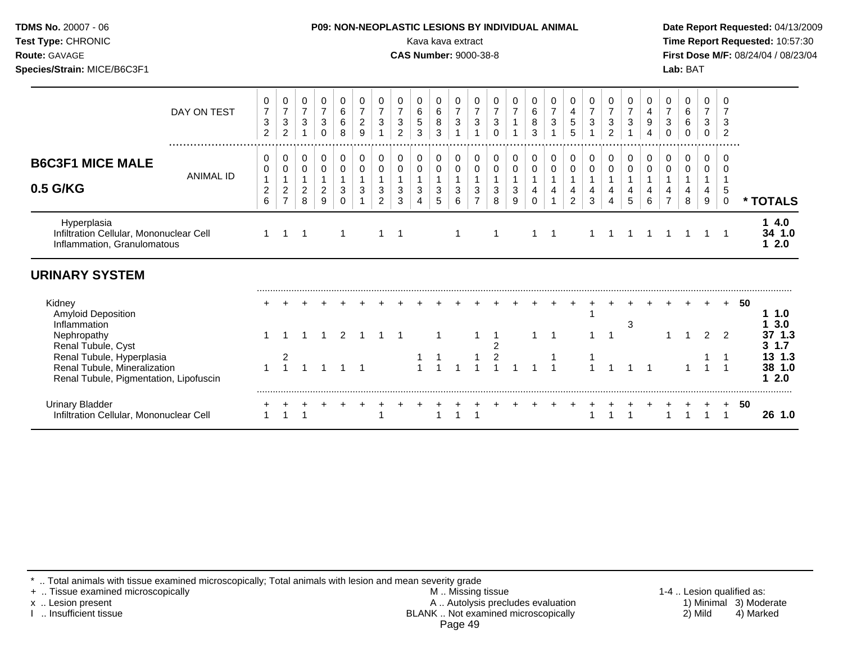| Test Type: CHRONIC<br>Route: GAVAGE<br>Species/Strain: MICE/B6C3F1                                                        |                  |                                            |                                                       |                                                  |                                                                 |                                         |                                                |                                                                  |                                                                    | Kava kava extract<br><b>CAS Number: 9000-38-8</b> |                                  |                                                                                         |                                                                          |                                                   |                            |                              |                                     |                            |                                            |                                                                    |                                                  |                                                    |                                                       | Lab: BAT                             |                                            |                                                   | Time Report Requested: 10:57:30<br>First Dose M/F: 08/24/04 / 08/23/04 |
|---------------------------------------------------------------------------------------------------------------------------|------------------|--------------------------------------------|-------------------------------------------------------|--------------------------------------------------|-----------------------------------------------------------------|-----------------------------------------|------------------------------------------------|------------------------------------------------------------------|--------------------------------------------------------------------|---------------------------------------------------|----------------------------------|-----------------------------------------------------------------------------------------|--------------------------------------------------------------------------|---------------------------------------------------|----------------------------|------------------------------|-------------------------------------|----------------------------|--------------------------------------------|--------------------------------------------------------------------|--------------------------------------------------|----------------------------------------------------|-------------------------------------------------------|--------------------------------------|--------------------------------------------|---------------------------------------------------|------------------------------------------------------------------------|
|                                                                                                                           | DAY ON TEST      | 0<br>$\overline{7}$<br>3<br>$\overline{2}$ | 0<br>$\overline{7}$<br>$\mathbf{3}$<br>$\overline{c}$ | 0<br>$\overline{7}$<br>$\ensuremath{\mathsf{3}}$ | 0<br>$\overline{7}$<br>$\ensuremath{\mathsf{3}}$<br>$\mathbf 0$ | 0<br>$\,6\,$<br>$\,6$<br>8              | 0<br>$\overline{7}$<br>$\sqrt{2}$<br>9         | 0<br>$\overline{7}$<br>$\ensuremath{\mathsf{3}}$<br>$\mathbf{1}$ | 0<br>$\overline{7}$<br>$\ensuremath{\mathsf{3}}$<br>$\overline{2}$ | 0<br>$\,6\,$<br>5<br>3                            | 0<br>$\,6\,$<br>8<br>3           | 0<br>$\overline{7}$<br>$\ensuremath{\mathsf{3}}$                                        | 0<br>$\overline{7}$<br>$\ensuremath{\mathsf{3}}$<br>$\overline{1}$       | 0<br>$\overline{7}$<br>$\mathbf{3}$<br>$\Omega$   | 0<br>$\overline{7}$        | 0<br>$\,6$<br>8<br>3         | 0<br>$\overline{7}$<br>$\mathbf{3}$ | 0<br>4<br>$\sqrt{5}$<br>5  | 0<br>$\overline{7}$<br>$\sqrt{3}$          | 0<br>$\overline{7}$<br>$\ensuremath{\mathsf{3}}$<br>$\overline{c}$ | 0<br>$\overline{7}$<br>$\ensuremath{\mathsf{3}}$ | 0<br>$\overline{4}$<br>$\boldsymbol{9}$<br>4       | 0<br>$\overline{7}$<br>$\mathbf{3}$<br>$\mathbf 0$    | 0<br>$\,6\,$<br>$\,6$<br>$\mathbf 0$ | 0<br>$\overline{7}$<br>3<br>$\mathbf 0$    | $\Omega$<br>$\overline{7}$<br>3<br>$\overline{2}$ |                                                                        |
| <b>B6C3F1 MICE MALE</b><br>0.5 G/KG                                                                                       | <b>ANIMAL ID</b> | 0<br>0<br>$\overline{c}$<br>6              | 0<br>0<br>$\overline{c}$<br>$\overline{7}$            | 0<br>0<br>$\mathbf{1}$<br>$\overline{2}$<br>8    | 0<br>$\pmb{0}$<br>$\mathbf{1}$<br>$\overline{c}$<br>9           | 0<br>0<br>$\mathbf{1}$<br>3<br>$\Omega$ | 0<br>$\pmb{0}$<br>$\mathbf{1}$<br>$\mathbf{3}$ | 0<br>$\pmb{0}$<br>1<br>3<br>$\overline{2}$                       | 0<br>$\mathbf 0$<br>$\mathbf{1}$<br>$\sqrt{3}$<br>$\mathbf{3}$     | 0<br>$\mathbf 0$<br>$\mathbf{1}$<br>3<br>4        | 0<br>0<br>$\mathbf{1}$<br>3<br>5 | $\pmb{0}$<br>$\mathbf 0$<br>$\mathbf{1}$<br>$\ensuremath{\mathsf{3}}$<br>$6\phantom{a}$ | $\mathbf 0$<br>$\pmb{0}$<br>$\mathbf{1}$<br>$\sqrt{3}$<br>$\overline{7}$ | 0<br>$\pmb{0}$<br>$\mathbf{1}$<br>$\sqrt{3}$<br>8 | 0<br>$\mathbf 0$<br>3<br>9 | 0<br>$\mathbf 0$<br>$\Omega$ | 0<br>$\mathbf 0$<br>4               | 0<br>$\mathbf 0$<br>4<br>2 | 0<br>$\mathbf 0$<br>$\mathbf{1}$<br>4<br>3 | 0<br>$\mathbf 0$<br>$\mathbf{1}$<br>4<br>4                         | 0<br>$\mathbf 0$<br>$\mathbf{1}$<br>4<br>5       | 0<br>$\mathsf{O}\xspace$<br>$\mathbf{1}$<br>4<br>6 | 0<br>$\pmb{0}$<br>$\mathbf{1}$<br>4<br>$\overline{7}$ | 0<br>$\mathbf 0$<br>1<br>4<br>8      | 0<br>$\mathbf 0$<br>$\mathbf{1}$<br>4<br>9 | $\Omega$<br>$\Omega$<br>5<br>$\mathbf 0$          | * TOTALS                                                               |
| Hyperplasia<br>Infiltration Cellular, Mononuclear Cell<br>Inflammation, Granulomatous                                     |                  | $\mathbf{1}$                               | $\mathbf 1$                                           | $\mathbf 1$                                      |                                                                 | $\mathbf{1}$                            |                                                | 1                                                                | -1                                                                 |                                                   |                                  | -1                                                                                      |                                                                          | 1                                                 |                            |                              | $\overline{1}$                      |                            |                                            |                                                                    |                                                  |                                                    |                                                       |                                      | 1                                          | $\overline{1}$                                    | 14.0<br>34 1.0<br>12.0                                                 |
| <b>URINARY SYSTEM</b>                                                                                                     |                  |                                            |                                                       |                                                  |                                                                 |                                         |                                                |                                                                  |                                                                    |                                                   |                                  |                                                                                         |                                                                          |                                                   |                            |                              |                                     |                            |                                            |                                                                    |                                                  |                                                    |                                                       |                                      |                                            |                                                   |                                                                        |
| Kidney<br><b>Amyloid Deposition</b><br>Inflammation<br>Nephropathy                                                        |                  |                                            |                                                       |                                                  |                                                                 | 2                                       |                                                |                                                                  |                                                                    |                                                   |                                  |                                                                                         |                                                                          |                                                   |                            |                              |                                     |                            |                                            |                                                                    | 3                                                |                                                    |                                                       |                                      | $\overline{2}$                             | $+$<br>2                                          | 50<br>1 1.0<br>3.0<br>37 1.3                                           |
| Renal Tubule, Cyst<br>Renal Tubule, Hyperplasia<br>Renal Tubule, Mineralization<br>Renal Tubule, Pigmentation, Lipofuscin |                  |                                            | $\frac{2}{1}$                                         |                                                  |                                                                 |                                         | $\overline{1}$                                 |                                                                  |                                                                    |                                                   |                                  |                                                                                         |                                                                          | $\boldsymbol{2}$<br>$\overline{c}$                |                            |                              |                                     |                            |                                            |                                                                    |                                                  |                                                    |                                                       |                                      |                                            | $\overline{1}$<br>$\overline{1}$                  | $3 \t1.7$<br>13 1.3<br>38 1.0<br>12.0                                  |
| <b>Urinary Bladder</b><br>Infiltration Cellular, Mononuclear Cell                                                         |                  |                                            |                                                       |                                                  |                                                                 |                                         |                                                |                                                                  |                                                                    |                                                   |                                  |                                                                                         |                                                                          |                                                   |                            |                              |                                     |                            |                                            |                                                                    |                                                  |                                                    |                                                       |                                      |                                            | $\mathbf{1}$                                      | 50<br>26 1.0                                                           |

\* .. Total animals with tissue examined microscopically; Total animals with lesion and mean severity grade

+ .. Tissue examined microscopically M .. Missing tissue 1-4 .. Lesion qualified as: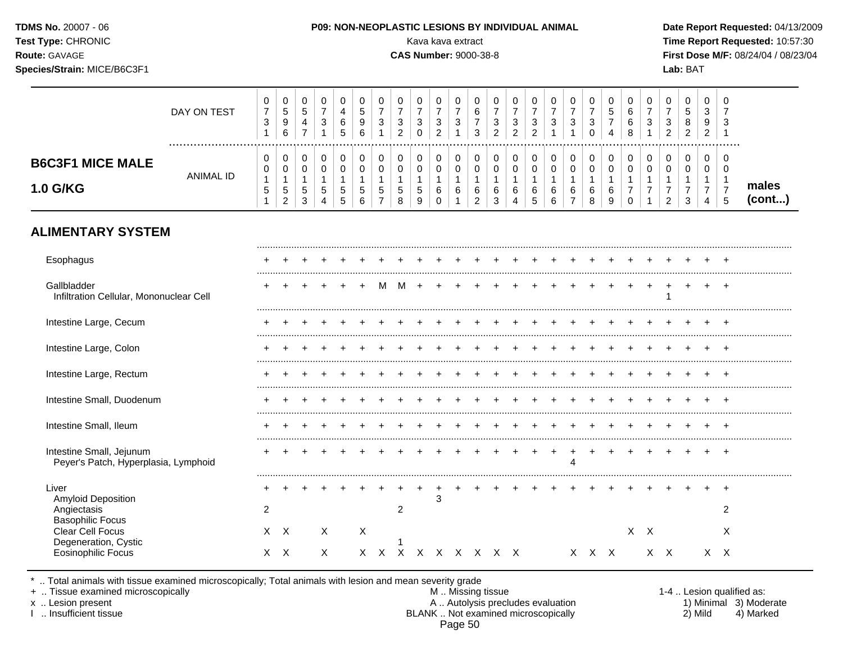| TDMS No. 20007 - 06<br>Test Type: CHRONIC<br>Route: GAVAGE<br>Species/Strain: MICE/B6C3F1 |                  |                                                     |                                                       |                                                             |                                                       |                                                            |                                                         |                                                            |                                            | Kava kava extract<br><b>CAS Number: 9000-38-8</b> |                                                         |                                      |                                                           |                                                       | <b>P09: NON-NEOPLASTIC LESIONS BY INDIVIDUAL ANIMAL</b> |                                                     |                                          |                                               |                                                 |                                                     |                                                                |                                                       |                                            | Lab: BAT                             |                                            |                                      | Date Report Requested: 04/13/2009<br>Time Report Requested: 10:57:30<br>First Dose M/F: 08/24/04 / 08/23/04 |
|-------------------------------------------------------------------------------------------|------------------|-----------------------------------------------------|-------------------------------------------------------|-------------------------------------------------------------|-------------------------------------------------------|------------------------------------------------------------|---------------------------------------------------------|------------------------------------------------------------|--------------------------------------------|---------------------------------------------------|---------------------------------------------------------|--------------------------------------|-----------------------------------------------------------|-------------------------------------------------------|---------------------------------------------------------|-----------------------------------------------------|------------------------------------------|-----------------------------------------------|-------------------------------------------------|-----------------------------------------------------|----------------------------------------------------------------|-------------------------------------------------------|--------------------------------------------|--------------------------------------|--------------------------------------------|--------------------------------------|-------------------------------------------------------------------------------------------------------------|
|                                                                                           | DAY ON TEST      | 0<br>$\overline{7}$<br>$\mathbf{3}$<br>$\mathbf{1}$ | $\mathbf 0$<br>$\sqrt{5}$<br>$9\,$<br>$6\phantom{1}$  | $\pmb{0}$<br>$\sqrt{5}$<br>$\overline{4}$<br>$\overline{7}$ | 0<br>$\overline{7}$<br>$\mathbf{3}$<br>$\overline{1}$ | $\mathbf 0$<br>$\overline{\mathbf{4}}$<br>$\,6\,$<br>5     | 0<br>$\mathbf 5$<br>$\boldsymbol{9}$<br>$6\phantom{1}6$ | 0<br>$\overline{7}$<br>$\mathbf{3}$                        | 0<br>$\overline{7}$<br>3<br>$\overline{2}$ | 0<br>$\overline{7}$<br>$\mathbf{3}$<br>$\Omega$   | 0<br>$\overline{7}$<br>$\mathbf{3}$<br>$\overline{2}$   | 0<br>$\boldsymbol{7}$<br>$\mathbf 3$ | 0<br>$\,6\,$<br>$\boldsymbol{7}$<br>3                     | 0<br>$\overline{7}$<br>$\mathbf{3}$<br>$\overline{2}$ | 0<br>$\overline{7}$<br>$\sqrt{3}$<br>$\overline{2}$     | 0<br>$\overline{7}$<br>$\sqrt{3}$<br>$\overline{2}$ | 0<br>$\overline{7}$<br>$\mathbf{3}$      | 0<br>$\overline{7}$<br>3                      | 0<br>$\overline{7}$<br>$\mathbf{3}$<br>$\Omega$ | 0<br>$\sqrt{5}$<br>$\overline{7}$<br>$\overline{4}$ | 0<br>$\,6\,$<br>6<br>8                                         | 0<br>$\overline{7}$<br>$\ensuremath{\mathsf{3}}$<br>1 | 0<br>$\overline{7}$<br>3<br>$\overline{2}$ | 0<br>5<br>8<br>$\overline{c}$        | 0<br>3<br>9<br>$\overline{c}$              | 0                                    |                                                                                                             |
| <b>B6C3F1 MICE MALE</b><br>1.0 G/KG                                                       | <b>ANIMAL ID</b> | 0<br>0<br>$\mathbf{1}$<br>5                         | 0<br>0<br>$\mathbf 1$<br>$\sqrt{5}$<br>$\overline{2}$ | 0<br>$\pmb{0}$<br>$\mathbf{1}$<br>5<br>3                    | $\mathbf 0$<br>$\mathbf 0$<br>$\mathbf{1}$<br>5       | $\pmb{0}$<br>$\pmb{0}$<br>$\mathbf{1}$<br>$\,$ 5 $\,$<br>5 | 0<br>$\pmb{0}$<br>1<br>5<br>6                           | 0<br>$\overline{0}$<br>$\mathbf{1}$<br>5<br>$\overline{7}$ | 0<br>$\mathbf 0$<br>1<br>5<br>8            | 0<br>0<br>1<br>5<br>9                             | $\pmb{0}$<br>$\pmb{0}$<br>$\mathbf{1}$<br>6<br>$\Omega$ | 0<br>$\mathbf 0$<br>6                | 0<br>$\mathbf 0$<br>$\overline{1}$<br>6<br>$\overline{2}$ | 0<br>$\mathbf 0$<br>$\overline{1}$<br>6<br>3          | 0<br>$\pmb{0}$<br>$\mathbf{1}$<br>6<br>4                | 0<br>$\pmb{0}$<br>6<br>5                            | 0<br>$\pmb{0}$<br>$\mathbf{1}$<br>6<br>6 | 0<br>0<br>$\mathbf{1}$<br>6<br>$\overline{7}$ | 0<br>$\pmb{0}$<br>$\mathbf{1}$<br>6<br>8        | 0<br>$\pmb{0}$<br>$\,6\,$<br>9                      | 0<br>$\mathsf 0$<br>$\mathbf{1}$<br>$\overline{7}$<br>$\Omega$ | 0<br>$\mathbf 0$<br>$\overline{1}$<br>$\overline{7}$  | 0<br>0<br>$\overline{7}$<br>$\overline{2}$ | 0<br>$\Omega$<br>1<br>$\overline{7}$ | 0<br>0<br>$\overline{7}$<br>$\overline{4}$ | 0<br>$\Omega$<br>$\overline{7}$<br>5 | males<br>(cont)                                                                                             |
| <b>ALIMENTARY SYSTEM</b>                                                                  |                  |                                                     |                                                       |                                                             |                                                       |                                                            |                                                         |                                                            |                                            |                                                   |                                                         |                                      |                                                           |                                                       |                                                         |                                                     |                                          |                                               |                                                 |                                                     |                                                                |                                                       |                                            |                                      |                                            |                                      |                                                                                                             |
| Esophagus                                                                                 |                  |                                                     |                                                       |                                                             |                                                       |                                                            |                                                         |                                                            |                                            |                                                   |                                                         |                                      |                                                           |                                                       |                                                         |                                                     |                                          |                                               |                                                 |                                                     |                                                                |                                                       |                                            |                                      |                                            | $\div$                               |                                                                                                             |
| Gallbladder<br>Infiltration Cellular, Mononuclear Cell                                    |                  |                                                     |                                                       |                                                             |                                                       |                                                            |                                                         |                                                            |                                            |                                                   |                                                         |                                      |                                                           |                                                       |                                                         |                                                     |                                          |                                               |                                                 |                                                     |                                                                |                                                       |                                            |                                      |                                            |                                      |                                                                                                             |
| Intestine Large, Cecum                                                                    |                  |                                                     |                                                       |                                                             |                                                       |                                                            |                                                         |                                                            |                                            |                                                   |                                                         |                                      |                                                           |                                                       |                                                         |                                                     |                                          |                                               |                                                 |                                                     |                                                                |                                                       |                                            |                                      |                                            |                                      |                                                                                                             |
| Intestine Large, Colon                                                                    |                  |                                                     |                                                       |                                                             |                                                       |                                                            |                                                         |                                                            |                                            |                                                   |                                                         |                                      |                                                           |                                                       |                                                         |                                                     |                                          |                                               |                                                 |                                                     |                                                                |                                                       |                                            |                                      |                                            |                                      |                                                                                                             |
| Intestine Large, Rectum                                                                   |                  |                                                     |                                                       |                                                             |                                                       |                                                            |                                                         |                                                            |                                            |                                                   |                                                         |                                      |                                                           |                                                       |                                                         |                                                     |                                          |                                               |                                                 |                                                     |                                                                |                                                       |                                            |                                      |                                            |                                      |                                                                                                             |
| Intestine Small, Duodenum                                                                 |                  |                                                     |                                                       |                                                             |                                                       |                                                            |                                                         |                                                            |                                            |                                                   |                                                         |                                      |                                                           |                                                       |                                                         |                                                     |                                          |                                               |                                                 |                                                     |                                                                |                                                       |                                            |                                      |                                            |                                      |                                                                                                             |
| Intestine Small, Ileum                                                                    |                  | ÷                                                   |                                                       |                                                             |                                                       |                                                            |                                                         |                                                            |                                            |                                                   |                                                         |                                      |                                                           |                                                       |                                                         |                                                     |                                          |                                               |                                                 | $\pm$                                               | $\pm$                                                          |                                                       |                                            |                                      | $\pm$                                      | $+$                                  |                                                                                                             |
| Intestine Small, Jejunum<br>Peyer's Patch, Hyperplasia, Lymphoid                          |                  |                                                     |                                                       |                                                             |                                                       |                                                            |                                                         |                                                            |                                            |                                                   |                                                         |                                      |                                                           |                                                       |                                                         |                                                     |                                          | 4                                             |                                                 |                                                     |                                                                |                                                       |                                            |                                      |                                            |                                      |                                                                                                             |

| Liver<br><b>Amyloid Deposition</b>              | ÷. |  |  |  |  |  |  |                   |  |    |  |          |  |  |     |
|-------------------------------------------------|----|--|--|--|--|--|--|-------------------|--|----|--|----------|--|--|-----|
| Angiectasis<br><b>Basophilic Focus</b>          | _  |  |  |  |  |  |  |                   |  |    |  |          |  |  |     |
| <b>Clear Cell Focus</b><br>Degeneration, Cystic |    |  |  |  |  |  |  |                   |  |    |  | <b>X</b> |  |  |     |
| <b>Eosinophilic Focus</b>                       |    |  |  |  |  |  |  | X X X X X X X X X |  | X. |  |          |  |  | x x |

\* .. Total animals with tissue examined microscopically; Total animals with lesion and mean severity grade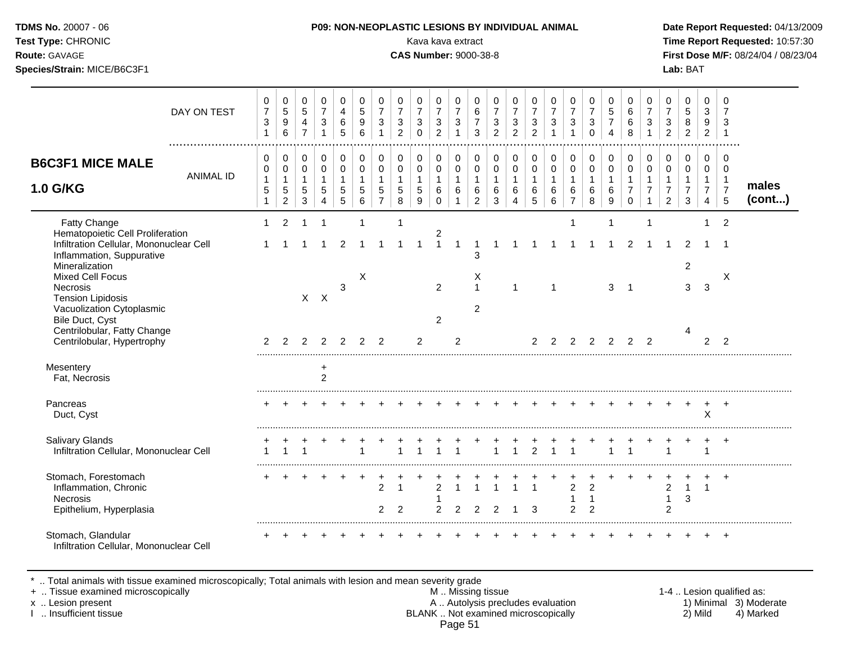| <b>DMS No.</b> 20007 - 06 |  |
|---------------------------|--|
| est Type: CHRONIC         |  |
|                           |  |

**Test Type:** CHRONIC Kava kava extract **Time Report Requested:** 10:57:30 **Route:** GAVAGE **CAS Number:** 9000-38-8 **First Dose M/F:** 08/24/04 / 08/23/04 **Species/Strain:** MICE/B6C3F1 **Lab:** BAT

|                                                                                                                                                                                   | DAY ON TEST      | 0<br>$\boldsymbol{7}$<br>3<br>$\mathbf{1}$  | $\mathbf 0$<br>$\,$ 5 $\,$<br>$9\,$<br>$\,6\,$                           | 0<br>$\sqrt{5}$<br>4<br>$\overline{7}$                          | 0<br>$\overline{7}$<br>3<br>1              | 0<br>4<br>6<br>5                           | 0<br>$5\,$<br>9<br>6                                          | 0<br>$\overline{7}$<br>3                                      | 0<br>$\overline{7}$<br>3<br>$\overline{2}$       | 0<br>$\overline{7}$<br>3<br>$\Omega$                | 0<br>$\overline{7}$<br>3<br>$\overline{2}$        | 0<br>$\overline{7}$<br>$\mathbf{3}$         | $\mathbf 0$<br>6<br>$\overline{7}$<br>3                 | 0<br>$\overline{7}$<br>3<br>$\overline{2}$       | 0<br>$\overline{7}$<br>$\sqrt{3}$<br>$\overline{2}$                           | 0<br>$\overline{7}$<br>$\mathbf{3}$<br>$\overline{2}$ | 0<br>$\overline{7}$<br>3<br>$\mathbf{1}$   | 0<br>$\overline{7}$<br>3<br>$\mathbf{1}$              | 0<br>$\overline{7}$<br>$\mathbf{3}$<br>$\Omega$    | 0<br>$\overline{5}$<br>$\overline{7}$<br>4 | $\mathbf 0$<br>6<br>6<br>8                                     | 0<br>$\overline{7}$<br>3                                          | 0<br>$\overline{7}$<br>3<br>$\overline{2}$ | 0<br>$\overline{5}$<br>8<br>$\overline{c}$ | 0<br>$\mathbf{3}$<br>9<br>$\overline{2}$                             | $\mathbf 0$<br>$\overline{7}$<br>3<br>$\overline{1}$             |                 |
|-----------------------------------------------------------------------------------------------------------------------------------------------------------------------------------|------------------|---------------------------------------------|--------------------------------------------------------------------------|-----------------------------------------------------------------|--------------------------------------------|--------------------------------------------|---------------------------------------------------------------|---------------------------------------------------------------|--------------------------------------------------|-----------------------------------------------------|---------------------------------------------------|---------------------------------------------|---------------------------------------------------------|--------------------------------------------------|-------------------------------------------------------------------------------|-------------------------------------------------------|--------------------------------------------|-------------------------------------------------------|----------------------------------------------------|--------------------------------------------|----------------------------------------------------------------|-------------------------------------------------------------------|--------------------------------------------|--------------------------------------------|----------------------------------------------------------------------|------------------------------------------------------------------|-----------------|
| <b>B6C3F1 MICE MALE</b><br><b>1.0 G/KG</b>                                                                                                                                        | <b>ANIMAL ID</b> | 0<br>0<br>$\mathbf{1}$<br>5<br>$\mathbf{1}$ | $\pmb{0}$<br>$\mathbf 0$<br>$\mathbf{1}$<br>$\sqrt{5}$<br>$\overline{2}$ | $\mathbf 0$<br>$\mathbf 0$<br>$\overline{1}$<br>$\sqrt{5}$<br>3 | 0<br>$\mathbf 0$<br>$\mathbf{1}$<br>5<br>4 | 0<br>$\mathbf 0$<br>$\mathbf{1}$<br>5<br>5 | $\mathbf 0$<br>$\mathbf 0$<br>$\mathbf{1}$<br>$\sqrt{5}$<br>6 | $\,0\,$<br>$\mathbf 0$<br>$\mathbf{1}$<br>5<br>$\overline{7}$ | $\pmb{0}$<br>$\pmb{0}$<br>$\mathbf{1}$<br>5<br>8 | 0<br>$\mathbf 0$<br>$\mathbf{1}$<br>$\sqrt{5}$<br>9 | 0<br>$\mathbf 0$<br>$\mathbf{1}$<br>6<br>$\Omega$ | 0<br>$\mathbf 0$<br>$\mathbf{1}$<br>6<br>-1 | 0<br>$\mathbf 0$<br>$\mathbf{1}$<br>6<br>$\overline{2}$ | 0<br>$\mathbf 0$<br>$\mathbf{1}$<br>$\,6\,$<br>3 | 0<br>$\mathbf 0$<br>$\mathbf{1}$<br>$6\phantom{1}6$<br>$\boldsymbol{\Lambda}$ | $\pmb{0}$<br>$\pmb{0}$<br>$\mathbf{1}$<br>6<br>5      | 0<br>$\mathbf 0$<br>$\mathbf{1}$<br>6<br>6 | 0<br>$\pmb{0}$<br>$\mathbf{1}$<br>6<br>$\overline{7}$ | 0<br>$\mathbf 0$<br>$\mathbf{1}$<br>6<br>8         | 0<br>$\mathbf 0$<br>$\mathbf{1}$<br>6<br>9 | 0<br>$\mathbf 0$<br>$\mathbf{1}$<br>$\overline{7}$<br>$\Omega$ | 0<br>$\mathbf 0$<br>$\mathbf{1}$<br>$\overline{7}$<br>$\mathbf 1$ | $\pmb{0}$<br>$\mathbf 0$<br>$\overline{2}$ | 0<br>$\mathbf 0$<br>$\overline{7}$<br>3    | 0<br>$\mathbf 0$<br>$\mathbf{1}$<br>$\overline{7}$<br>$\overline{4}$ | $\mathbf 0$<br>$\Omega$<br>$\overline{1}$<br>$\overline{7}$<br>5 | males<br>(cont) |
| Fatty Change<br>Hematopoietic Cell Proliferation<br>Infiltration Cellular, Mononuclear Cell<br>Inflammation, Suppurative<br>Mineralization<br><b>Mixed Cell Focus</b><br>Necrosis |                  | $\mathbf{1}$<br>1                           | $\overline{2}$                                                           | $\overline{1}$                                                  | $\overline{1}$<br>-1                       | 2<br>3                                     | X                                                             |                                                               | $\mathbf{1}$                                     | 1                                                   | $\overline{c}$<br>$\mathbf{1}$<br>$\overline{2}$  | $\overline{1}$                              | 1<br>3<br>X<br>$\mathbf{1}$                             | -1                                               | 1                                                                             |                                                       | 1<br>1                                     | 1<br>1                                                |                                                    | 1<br>3                                     | 2<br>$\overline{\mathbf{1}}$                                   | $\mathbf 1$                                                       |                                            | 2<br>$\overline{c}$<br>3                   | 3                                                                    | $\overline{2}$<br>-1<br>X                                        |                 |
| <b>Tension Lipidosis</b><br>Vacuolization Cytoplasmic<br>Bile Duct, Cyst<br>Centrilobular, Fatty Change<br>Centrilobular, Hypertrophy<br>Mesentery                                |                  | $\overline{2}$                              | $\mathfrak{p}$                                                           | $\mathcal{P}$                                                   | $X$ $X$<br>$\mathcal{P}$                   | $\mathfrak{p}$                             | $\mathcal{P}$                                                 | 2                                                             |                                                  | $\overline{2}$                                      | $\overline{2}$                                    | 2                                           | 2                                                       |                                                  |                                                                               | $\mathcal{P}$                                         | 2                                          | 2                                                     | 2                                                  | 2                                          | 2                                                              | $\mathcal{P}$                                                     |                                            | 4                                          | 2                                                                    | $\mathcal{P}$                                                    |                 |
| Fat, Necrosis<br>Pancreas<br>Duct, Cyst                                                                                                                                           |                  |                                             |                                                                          |                                                                 | $\ddot{}$<br>$\overline{2}$                |                                            |                                                               |                                                               |                                                  |                                                     |                                                   |                                             |                                                         |                                                  |                                                                               |                                                       |                                            |                                                       |                                                    |                                            |                                                                |                                                                   |                                            |                                            | $\pm$<br>$\mathsf{X}$                                                | $+$                                                              |                 |
| <b>Salivary Glands</b><br>Infiltration Cellular, Mononuclear Cell                                                                                                                 |                  |                                             |                                                                          |                                                                 |                                            |                                            |                                                               |                                                               |                                                  |                                                     |                                                   |                                             |                                                         |                                                  |                                                                               | $\overline{2}$                                        | 1                                          |                                                       |                                                    |                                            |                                                                |                                                                   |                                            |                                            |                                                                      | $\overline{ }$                                                   |                 |
| Stomach, Forestomach<br>Inflammation, Chronic<br>Necrosis<br>Epithelium, Hyperplasia                                                                                              |                  |                                             |                                                                          |                                                                 |                                            |                                            |                                                               | 2<br>2                                                        | $\overline{2}$                                   |                                                     | $\mathfrak{p}$<br>2                               | 2                                           | 2                                                       |                                                  |                                                                               | 3                                                     |                                            | $\overline{2}$<br>$\overline{2}$                      | $\overline{2}$<br>$\overline{1}$<br>$\overline{2}$ |                                            |                                                                |                                                                   | 2<br>$\mathbf 1$<br>2                      | $\mathbf{1}$<br>3                          | $\mathbf 1$                                                          | $\overline{ }$                                                   |                 |
| Stomach, Glandular<br>Infiltration Cellular, Mononuclear Cell                                                                                                                     |                  |                                             |                                                                          |                                                                 |                                            |                                            |                                                               |                                                               |                                                  |                                                     |                                                   |                                             |                                                         |                                                  |                                                                               |                                                       |                                            |                                                       |                                                    |                                            |                                                                |                                                                   |                                            |                                            |                                                                      |                                                                  |                 |

\* .. Total animals with tissue examined microscopically; Total animals with lesion and mean severity grade

+ .. Tissue examined microscopically M .. Missing tissue 1-4 .. Lesion qualified as:

- x .. Lesion present **A .. Autolysis precludes evaluation** A .. Autolysis precludes evaluation 1) Minimal 3) Moderate I .. Insufficient tissue BLANK .. Not examined microscopically 2) Mild 4) Marked Page 51
-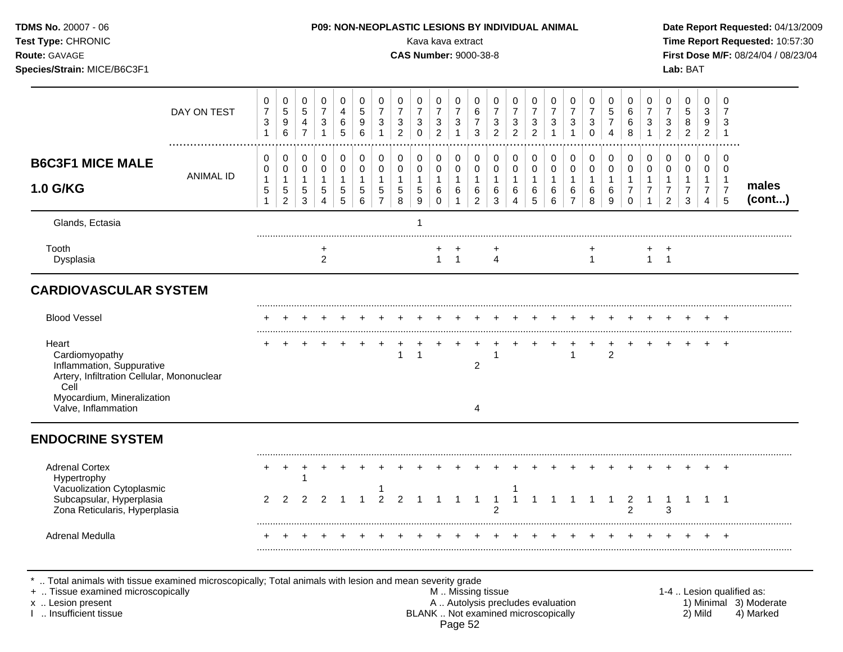|                  |                                                                                                                                           |                                              |                                                |                                                                  |                                          |                                                    |                                                                  |                                                         |                                                    |                                                       |                                                                    | <b>CAS Number: 9000-38-8</b>                   |                                                                    |                                                                    |                                                                      |                                                   |                                                                      |                                                              |                                                      |                                  |                                                     |                                                       | Lab: BAT                                     |                                                       |                                                      | First Dose M/F: 08/24/04 / 08/23/04  |
|------------------|-------------------------------------------------------------------------------------------------------------------------------------------|----------------------------------------------|------------------------------------------------|------------------------------------------------------------------|------------------------------------------|----------------------------------------------------|------------------------------------------------------------------|---------------------------------------------------------|----------------------------------------------------|-------------------------------------------------------|--------------------------------------------------------------------|------------------------------------------------|--------------------------------------------------------------------|--------------------------------------------------------------------|----------------------------------------------------------------------|---------------------------------------------------|----------------------------------------------------------------------|--------------------------------------------------------------|------------------------------------------------------|----------------------------------|-----------------------------------------------------|-------------------------------------------------------|----------------------------------------------|-------------------------------------------------------|------------------------------------------------------|--------------------------------------|
| DAY ON TEST      | 0<br>$\overline{7}$<br>3<br>$\mathbf{1}$                                                                                                  | 0<br>5<br>$\boldsymbol{9}$<br>$6\phantom{a}$ | 0<br>$5\,$<br>$\overline{4}$<br>$\overline{7}$ | 0<br>$\overline{7}$<br>$\ensuremath{\mathsf{3}}$<br>$\mathbf{1}$ | 0<br>$\overline{4}$<br>$\,6\,$<br>5      | $\mathbf 0$<br>$\sqrt{5}$<br>$\boldsymbol{9}$<br>6 | 0<br>$\overline{7}$<br>$\ensuremath{\mathsf{3}}$<br>$\mathbf{1}$ | 0<br>$\boldsymbol{7}$<br>$\mathbf{3}$<br>$\overline{2}$ | 0<br>$\overline{7}$<br>$\mathbf{3}$<br>$\mathbf 0$ | 0<br>$\overline{7}$<br>$\mathbf{3}$<br>$\overline{2}$ | 0<br>$\overline{7}$<br>$\ensuremath{\mathsf{3}}$<br>$\overline{1}$ | 0<br>$\,6\,$<br>$\overline{7}$<br>$\mathbf{3}$ | 0<br>$\overline{7}$<br>$\ensuremath{\mathsf{3}}$<br>$\overline{2}$ | 0<br>$\overline{7}$<br>$\ensuremath{\mathsf{3}}$<br>$\overline{2}$ | 0<br>$\boldsymbol{7}$<br>$\ensuremath{\mathsf{3}}$<br>$\overline{2}$ | 0<br>$\overline{7}$<br>$\sqrt{3}$<br>$\mathbf{1}$ | 0<br>$\boldsymbol{7}$<br>$\ensuremath{\mathsf{3}}$<br>$\overline{1}$ | 0<br>$\overline{7}$<br>$\ensuremath{\mathsf{3}}$<br>$\Omega$ | 0<br>$\,$ 5 $\,$<br>$\overline{7}$<br>$\overline{4}$ | 0<br>$\,6\,$<br>$\,6$<br>8       | 0<br>$\overline{7}$<br>$\mathbf{3}$<br>$\mathbf{1}$ | 0<br>$\overline{7}$<br>$\mathbf{3}$<br>$\overline{2}$ | 0<br>$\sqrt{5}$<br>$\bf 8$<br>$\overline{2}$ | 0<br>$\ensuremath{\mathsf{3}}$<br>9<br>$\overline{2}$ | $\mathbf 0$<br>$\overline{7}$<br>3<br>$\overline{1}$ |                                      |
| <b>ANIMAL ID</b> | 0<br>0<br>$\mathbf{1}$                                                                                                                    | 0<br>$\mathbf 0$<br>$\mathbf{1}$             | 0<br>$\mathbf 0$<br>$\mathbf{1}$               | 0<br>$\mathbf 0$<br>$\mathbf{1}$                                 | $\pmb{0}$<br>$\mathbf 0$<br>$\mathbf{1}$ | 0<br>$\mathbf 0$<br>$\mathbf{1}$                   | 0<br>$\mathbf 0$<br>$\mathbf{1}$                                 | 0<br>$\mathbf 0$<br>$\mathbf{1}$                        | 0<br>$\mathbf 0$<br>$\mathbf{1}$                   | 0<br>$\mathbf 0$<br>$\mathbf{1}$                      | 0<br>$\mathsf{O}\xspace$<br>$\mathbf{1}$                           | 0<br>0<br>$\mathbf{1}$                         | 0<br>$\mathbf 0$<br>$\overline{1}$                                 | 0<br>$\mathbf 0$<br>$\mathbf{1}$                                   | 0<br>$\mathbf 0$<br>$\mathbf{1}$                                     | 0<br>$\pmb{0}$<br>$\mathbf{1}$                    | 0<br>$\mathbf 0$<br>$\mathbf{1}$                                     | 0<br>$\mathbf 0$<br>$\mathbf{1}$                             | 0<br>$\mathbf 0$<br>$\mathbf{1}$                     | 0<br>$\mathbf 0$<br>$\mathbf{1}$ | 0<br>$\mathbf 0$<br>$\mathbf{1}$                    | $\pmb{0}$<br>0<br>$\mathbf{1}$                        | $\mathbf 0$<br>$\mathbf 0$<br>$\mathbf{1}$   | 0<br>0<br>$\mathbf{1}$                                | $\mathbf 0$<br>$\mathbf 0$<br>$\overline{1}$         | males                                |
|                  | $\mathbf{1}$                                                                                                                              | $\overline{2}$                               | 3                                              | $\overline{4}$                                                   | $\overline{5}$                           | 6                                                  | $\overline{7}$                                                   | 8                                                       | 9                                                  | 0                                                     | $\mathbf{1}$                                                       | $\overline{2}$                                 | $\mathbf{3}$                                                       | $\overline{4}$                                                     | 5                                                                    | 6                                                 | $\overline{7}$                                                       | 8                                                            | $\boldsymbol{9}$                                     | $\mathbf 0$                      | $\mathbf{1}$                                        | $\overline{2}$                                        | $\sqrt{3}$                                   | $\overline{4}$                                        | 5                                                    | (cont)                               |
|                  |                                                                                                                                           |                                              |                                                |                                                                  |                                          |                                                    |                                                                  |                                                         | 1                                                  |                                                       |                                                                    |                                                |                                                                    |                                                                    |                                                                      |                                                   |                                                                      |                                                              |                                                      |                                  |                                                     |                                                       |                                              |                                                       |                                                      |                                      |
|                  |                                                                                                                                           |                                              |                                                | $\overline{c}$                                                   |                                          |                                                    |                                                                  |                                                         |                                                    | +                                                     |                                                                    |                                                | $\overline{4}$                                                     |                                                                    |                                                                      |                                                   |                                                                      | $\overline{1}$                                               |                                                      |                                  |                                                     | +                                                     |                                              |                                                       |                                                      |                                      |
|                  |                                                                                                                                           |                                              |                                                |                                                                  |                                          |                                                    |                                                                  |                                                         |                                                    |                                                       |                                                                    |                                                |                                                                    |                                                                    |                                                                      |                                                   |                                                                      |                                                              |                                                      |                                  |                                                     |                                                       |                                              |                                                       |                                                      |                                      |
|                  |                                                                                                                                           |                                              |                                                |                                                                  |                                          |                                                    |                                                                  |                                                         |                                                    |                                                       |                                                                    |                                                |                                                                    |                                                                    |                                                                      |                                                   |                                                                      |                                                              |                                                      |                                  |                                                     |                                                       |                                              |                                                       |                                                      |                                      |
|                  |                                                                                                                                           |                                              |                                                |                                                                  |                                          |                                                    |                                                                  | $\mathbf{1}$                                            | $\mathbf{1}$                                       |                                                       |                                                                    | $\overline{2}$                                 | $\mathbf{1}$                                                       |                                                                    |                                                                      |                                                   | $\mathbf{1}$                                                         |                                                              | +<br>$\overline{2}$                                  |                                  |                                                     |                                                       |                                              |                                                       | $\div$                                               |                                      |
|                  |                                                                                                                                           |                                              |                                                |                                                                  |                                          |                                                    |                                                                  |                                                         |                                                    |                                                       |                                                                    | 4                                              |                                                                    |                                                                    |                                                                      |                                                   |                                                                      |                                                              |                                                      |                                  |                                                     |                                                       |                                              |                                                       |                                                      |                                      |
|                  |                                                                                                                                           |                                              |                                                |                                                                  |                                          |                                                    |                                                                  |                                                         |                                                    |                                                       |                                                                    |                                                |                                                                    |                                                                    |                                                                      |                                                   |                                                                      |                                                              |                                                      |                                  |                                                     |                                                       |                                              |                                                       |                                                      |                                      |
|                  |                                                                                                                                           | $\overline{+}$                               |                                                |                                                                  |                                          |                                                    |                                                                  |                                                         |                                                    |                                                       |                                                                    |                                                |                                                                    | 1                                                                  |                                                                      |                                                   |                                                                      |                                                              |                                                      |                                  |                                                     |                                                       |                                              |                                                       | $\overline{+}$                                       |                                      |
|                  | $\overline{2}$                                                                                                                            | $\overline{2}$                               | 2                                              | 2                                                                |                                          | $\overline{1}$                                     | $\overline{2}$                                                   | 2                                                       |                                                    |                                                       | $\overline{1}$                                                     |                                                | $\overline{1}$<br>$\overline{2}$                                   | $\mathbf{1}$                                                       | $\mathbf 1$                                                          | -1                                                | $\overline{1}$                                                       | $\overline{1}$                                               | $\mathbf{1}$                                         | $\overline{2}$                   | $\overline{1}$                                      | -1<br>3                                               | -1                                           |                                                       |                                                      |                                      |
|                  |                                                                                                                                           |                                              |                                                |                                                                  | ÷                                        | $\div$                                             | $\overline{+}$                                                   | $\ddot{}$                                               | $+$                                                | $\pm$                                                 | $+$                                                                | $^{+}$                                         | $^{+}$                                                             | $+$                                                                | $+$                                                                  | $^{+}$                                            | $+$                                                                  | $^+$                                                         | $\pm$                                                | $\ddot{}$                        | $+$                                                 | $^+$                                                  | $\pm$                                        |                                                       | $^{+}$                                               |                                      |
|                  | <b>CARDIOVASCULAR SYSTEM</b><br>Artery, Infiltration Cellular, Mononuclear<br>Myocardium, Mineralization<br>Zona Reticularis, Hyperplasia | 5                                            | 5                                              | $5\phantom{.0}$                                                  | $\sqrt{5}$                               | $5\phantom{.0}$                                    | $\,$ 5 $\,$                                                      | $\mathbf 5$                                             | $5\phantom{.0}$                                    | 5                                                     | 6                                                                  | $\,6\,$<br>$1 \quad 1$                         | $\,6\,$<br>$\overline{1}$                                          | $6\phantom{1}6$                                                    | 6                                                                    | 6                                                 | 6                                                                    | 6                                                            | 6                                                    | $\,6$                            | $\overline{7}$                                      | $\overline{7}$                                        | $\overline{7}$<br>$1 \quad 1$                | $\overline{7}$                                        | $\overline{7}$                                       | $\overline{7}$<br>$1 \quad 1$<br>$+$ |

\* .. Total animals with tissue examined microscopically; Total animals with lesion and mean severity grade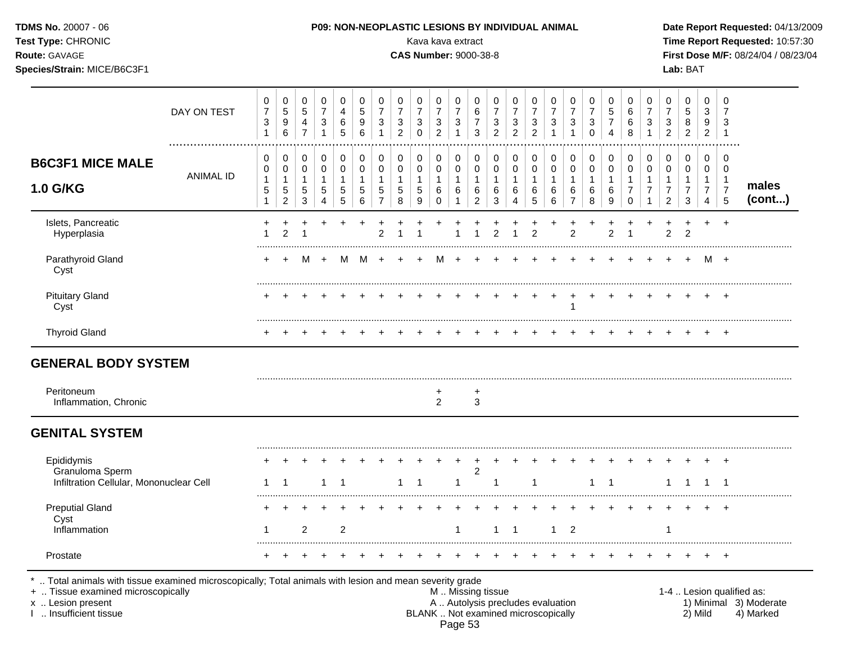| TDMS No. 20007 - 06<br>Test Type: CHRONIC<br>Route: GAVAGE<br>Species/Strain: MICE/B6C3F1 |                  |                                            |                          |                                                      |                               |                  |                           |                                          |                                            |                                         | P09: NON-NEOPLASTIC LESIONS BY INDIVIDUAL ANIMAL<br>Kava kava extract<br><b>CAS Number: 9000-38-8</b> |                                                         |                                                |                                            |                                            |                                          |                               |                          |                                           |                               |                                               |                               |                                            | Lab: BAT                               |                                                  |                                    | Date Report Requested: 04/13/2009<br>Time Report Requested: 10:57:30<br>First Dose M/F: 08/24/04 / 08/23/04 |
|-------------------------------------------------------------------------------------------|------------------|--------------------------------------------|--------------------------|------------------------------------------------------|-------------------------------|------------------|---------------------------|------------------------------------------|--------------------------------------------|-----------------------------------------|-------------------------------------------------------------------------------------------------------|---------------------------------------------------------|------------------------------------------------|--------------------------------------------|--------------------------------------------|------------------------------------------|-------------------------------|--------------------------|-------------------------------------------|-------------------------------|-----------------------------------------------|-------------------------------|--------------------------------------------|----------------------------------------|--------------------------------------------------|------------------------------------|-------------------------------------------------------------------------------------------------------------|
|                                                                                           | DAY ON TEST      | 0<br>$\boldsymbol{7}$<br>3<br>$\mathbf{1}$ | 0<br>5<br>9<br>6         | 0<br>$\,$ 5 $\,$<br>$\overline{4}$<br>$\overline{7}$ | 0<br>$\overline{7}$<br>3<br>1 | 0<br>4<br>6<br>5 | 0<br>$\sqrt{5}$<br>9<br>6 | 0<br>$\overline{7}$<br>3<br>$\mathbf{1}$ | 0<br>$\overline{7}$<br>3<br>$\overline{c}$ | 0<br>$\overline{7}$<br>3<br>$\mathbf 0$ | $\pmb{0}$<br>$\overline{7}$<br>$\ensuremath{\mathsf{3}}$<br>$\overline{c}$                            | 0<br>$\boldsymbol{7}$<br>$\mathbf{3}$<br>$\overline{1}$ | 0<br>$\,6\,$<br>$\overline{7}$<br>$\mathbf{3}$ | 0<br>$\overline{7}$<br>3<br>$\overline{2}$ | 0<br>$\overline{7}$<br>3<br>$\overline{2}$ | 0<br>$\boldsymbol{7}$<br>3<br>$\sqrt{2}$ | 0<br>$\overline{7}$<br>3<br>1 | 0<br>$\overline{7}$<br>3 | 0<br>$\boldsymbol{7}$<br>3<br>$\mathbf 0$ | 0<br>5<br>$\overline{7}$<br>4 | 0<br>$\,6$<br>6<br>8                          | 0<br>$\overline{7}$<br>3<br>1 | 0<br>$\overline{7}$<br>3<br>$\overline{2}$ | 0<br>$\sqrt{5}$<br>8<br>$\overline{2}$ | 0<br>3<br>9<br>$\overline{2}$                    | 0<br>7<br>3<br>-1                  |                                                                                                             |
| <b>B6C3F1 MICE MALE</b>                                                                   |                  | 0<br>0                                     | 0<br>$\pmb{0}$           | 0<br>$\pmb{0}$                                       | 0<br>$\pmb{0}$                | 0<br>0           | 0<br>$\pmb{0}$            | 0<br>$\pmb{0}$                           | 0<br>$\pmb{0}$                             | 0<br>0                                  | $\pmb{0}$<br>$\mathsf 0$                                                                              | $\pmb{0}$<br>$\pmb{0}$                                  | 0<br>$\pmb{0}$                                 | 0<br>0                                     | 0<br>$\pmb{0}$                             | 0<br>$\pmb{0}$                           | 0<br>$\mathbf 0$              | 0<br>0                   | 0<br>$\pmb{0}$                            | 0<br>$\mathbf 0$              | 0<br>$\pmb{0}$                                | 0<br>$\pmb{0}$                | 0<br>0                                     | 0<br>$\mathbf 0$                       | 0<br>$\mathbf 0$                                 | 0<br>0                             |                                                                                                             |
| 1.0 G/KG                                                                                  | <b>ANIMAL ID</b> | $\mathbf{1}$<br>5<br>$\mathbf{1}$          | 1<br>5<br>$\overline{c}$ | $\mathbf{1}$<br>$\sqrt{5}$<br>$\sqrt{3}$             | 1<br>5<br>4                   | 1<br>5<br>5      | 1<br>5<br>6               | $\mathbf{1}$<br>5<br>$\overline{7}$      | $\mathbf{1}$<br>5<br>8                     | 5<br>9                                  | $\mathbf{1}$<br>6<br>$\Omega$                                                                         | $\mathbf{1}$<br>6<br>$\mathbf{1}$                       | $\overline{1}$<br>6<br>$\overline{c}$          | $\mathbf{1}$<br>6<br>3                     | 1<br>6<br>4                                | 1<br>6<br>$\sqrt{5}$                     | 1<br>6<br>6                   | 6<br>$\overline{7}$      | 1<br>6<br>8                               | 1<br>6<br>9                   | $\mathbf{1}$<br>$\overline{7}$<br>$\mathbf 0$ | $\mathbf{1}$                  | $\overline{2}$                             | 3                                      | $\mathbf{1}$<br>$\overline{7}$<br>$\overline{4}$ | $\mathbf 1$<br>$\overline{7}$<br>5 | males<br>(cont)                                                                                             |
| Islets, Pancreatic<br>Hyperplasia                                                         |                  |                                            | $\mathfrak{p}$           |                                                      |                               |                  |                           | $\overline{2}$                           |                                            |                                         |                                                                                                       |                                                         |                                                | $\overline{2}$                             |                                            | $\overline{c}$                           |                               | $\overline{2}$           |                                           | $\overline{2}$                |                                               |                               | $\overline{2}$                             | $\overline{2}$                         | $\pm$                                            | $+$                                |                                                                                                             |
| Parathyroid Gland<br>Cyst                                                                 |                  |                                            |                          | м                                                    | $\ddot{}$                     | м                | M                         | $\overline{+}$                           |                                            |                                         | м                                                                                                     | $\overline{+}$                                          |                                                |                                            |                                            |                                          |                               |                          |                                           |                               |                                               |                               |                                            |                                        | M +                                              |                                    |                                                                                                             |
| <b>Pituitary Gland</b><br>Cyst                                                            |                  |                                            |                          |                                                      |                               |                  |                           |                                          |                                            |                                         |                                                                                                       |                                                         |                                                |                                            |                                            |                                          |                               | 1                        |                                           | $\div$                        |                                               |                               |                                            |                                        |                                                  |                                    |                                                                                                             |
| <b>Thyroid Gland</b>                                                                      |                  |                                            |                          |                                                      |                               |                  |                           |                                          |                                            |                                         |                                                                                                       |                                                         |                                                |                                            |                                            |                                          |                               |                          |                                           |                               |                                               |                               |                                            |                                        |                                                  | $+$                                |                                                                                                             |
| <b>GENERAL BODY SYSTEM</b>                                                                |                  |                                            |                          |                                                      |                               |                  |                           |                                          |                                            |                                         |                                                                                                       |                                                         |                                                |                                            |                                            |                                          |                               |                          |                                           |                               |                                               |                               |                                            |                                        |                                                  |                                    |                                                                                                             |
| Peritoneum<br>Inflammation, Chronic                                                       |                  |                                            |                          |                                                      |                               |                  |                           |                                          |                                            |                                         | $\overline{2}$                                                                                        |                                                         | 3                                              |                                            |                                            |                                          |                               |                          |                                           |                               |                                               |                               |                                            |                                        |                                                  |                                    |                                                                                                             |
| <b>GENITAL SYSTEM</b>                                                                     |                  |                                            |                          |                                                      |                               |                  |                           |                                          |                                            |                                         |                                                                                                       |                                                         |                                                |                                            |                                            |                                          |                               |                          |                                           |                               |                                               |                               |                                            |                                        |                                                  |                                    |                                                                                                             |
| Epididymis<br>Granuloma Sperm                                                             |                  |                                            |                          |                                                      |                               |                  |                           |                                          |                                            |                                         |                                                                                                       |                                                         | $\overline{c}$                                 |                                            |                                            |                                          |                               |                          |                                           |                               |                                               |                               |                                            |                                        |                                                  |                                    |                                                                                                             |
| Infiltration Cellular, Mononuclear Cell                                                   |                  | 1                                          |                          |                                                      |                               |                  |                           |                                          |                                            |                                         |                                                                                                       |                                                         |                                                |                                            |                                            | 1                                        |                               |                          |                                           |                               |                                               |                               |                                            |                                        |                                                  |                                    |                                                                                                             |
| <b>Preputial Gland</b><br>Cyst                                                            |                  |                                            |                          |                                                      |                               |                  |                           |                                          |                                            |                                         |                                                                                                       |                                                         |                                                |                                            |                                            |                                          |                               |                          |                                           |                               |                                               |                               |                                            |                                        |                                                  |                                    |                                                                                                             |
| Inflammation                                                                              |                  | 1                                          |                          | 2                                                    |                               | 2                |                           |                                          |                                            |                                         |                                                                                                       |                                                         |                                                | 1                                          | -1                                         |                                          |                               | 2                        |                                           |                               |                                               |                               |                                            |                                        |                                                  |                                    |                                                                                                             |
| Prostate                                                                                  |                  |                                            |                          |                                                      |                               |                  |                           |                                          |                                            |                                         |                                                                                                       |                                                         |                                                |                                            |                                            |                                          |                               |                          |                                           |                               |                                               |                               |                                            |                                        |                                                  | $+$                                |                                                                                                             |

I .. Insufficient tissue BLANK .. Not examined microscopically 2) Mild 4) Marked Page 53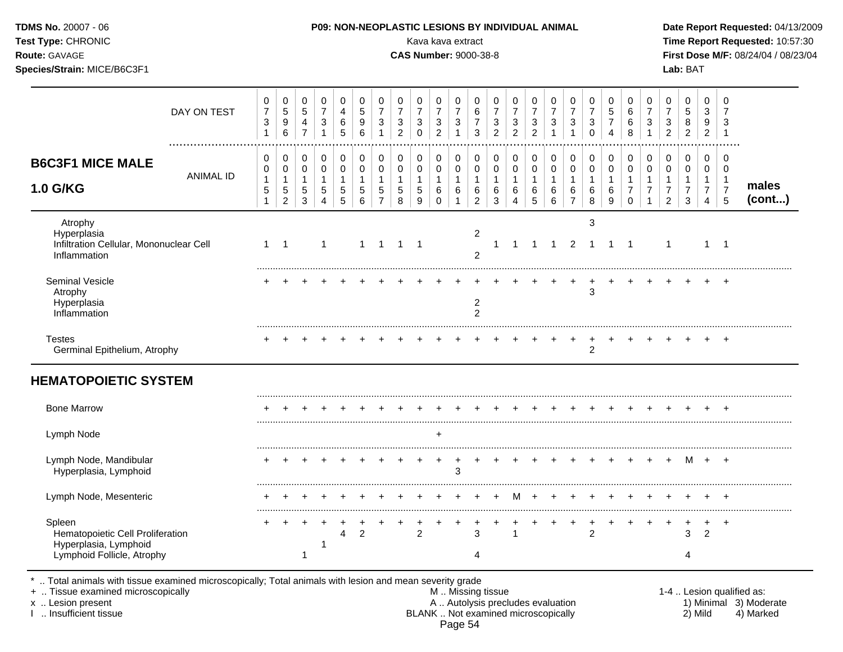| Test Type: CHRONIC<br>Route: GAVAGE<br>Species/Strain: MICE/B6C3F1                                |                                                  |                                               |                                           |                                                                          |                                                      |                                                        |                                                                  |                                                                    | Kava kava extract<br><b>CAS Number: 9000-38-8</b> |                                                                    |                                                                            |                                                               |                                                                              |                                                                    |                                            |                                                                  |                                                                  |                                                            |                                                     |                                                                   |                                                       |                                                                              | Lab: BAT                                                          |                                                                      |                                                                     | Time Report Requested: 10:57:30<br>First Dose M/F: 08/24/04 / 08/23/04 |
|---------------------------------------------------------------------------------------------------|--------------------------------------------------|-----------------------------------------------|-------------------------------------------|--------------------------------------------------------------------------|------------------------------------------------------|--------------------------------------------------------|------------------------------------------------------------------|--------------------------------------------------------------------|---------------------------------------------------|--------------------------------------------------------------------|----------------------------------------------------------------------------|---------------------------------------------------------------|------------------------------------------------------------------------------|--------------------------------------------------------------------|--------------------------------------------|------------------------------------------------------------------|------------------------------------------------------------------|------------------------------------------------------------|-----------------------------------------------------|-------------------------------------------------------------------|-------------------------------------------------------|------------------------------------------------------------------------------|-------------------------------------------------------------------|----------------------------------------------------------------------|---------------------------------------------------------------------|------------------------------------------------------------------------|
| DAY ON TEST                                                                                       | $\pmb{0}$<br>$\overline{7}$<br>3<br>$\mathbf{1}$ | 0<br>$\mathbf 5$<br>$\boldsymbol{9}$<br>$\,6$ | 0<br>5<br>4<br>$\overline{7}$             | 0<br>$\overline{7}$<br>$\ensuremath{\mathsf{3}}$<br>$\mathbf{1}$         | $\mathbf 0$<br>$\overline{4}$<br>$\,6$<br>5          | $\mathbf 0$<br>$\overline{5}$<br>$\boldsymbol{9}$<br>6 | 0<br>$\overline{7}$<br>$\ensuremath{\mathsf{3}}$<br>$\mathbf{1}$ | 0<br>$\overline{7}$<br>$\ensuremath{\mathsf{3}}$<br>$\overline{2}$ | 0<br>$\overline{7}$<br>3<br>0                     | 0<br>$\overline{7}$<br>$\ensuremath{\mathsf{3}}$<br>$\overline{c}$ | $\mathbf 0$<br>$\overline{7}$<br>$\ensuremath{\mathsf{3}}$<br>$\mathbf{1}$ | 0<br>$\,6\,$<br>$\overline{7}$<br>$\mathfrak{Z}$              | $\mathbf 0$<br>$\overline{7}$<br>$\ensuremath{\mathsf{3}}$<br>$\overline{2}$ | 0<br>$\overline{7}$<br>$\ensuremath{\mathsf{3}}$<br>$\overline{2}$ | 0<br>$\overline{7}$<br>3<br>$\overline{2}$ | 0<br>$\overline{7}$<br>$\ensuremath{\mathsf{3}}$<br>$\mathbf{1}$ | 0<br>$\overline{7}$<br>$\ensuremath{\mathsf{3}}$<br>$\mathbf{1}$ | $\mathbf 0$<br>$\overline{7}$<br>$\sqrt{3}$<br>$\mathbf 0$ | 0<br>$\sqrt{5}$<br>$\overline{7}$<br>$\overline{4}$ | $\mathbf 0$<br>$\,6$<br>$\,6$<br>8                                | 0<br>$\overline{7}$<br>$\ensuremath{\mathsf{3}}$<br>1 | $\mathbf 0$<br>$\overline{7}$<br>$\ensuremath{\mathsf{3}}$<br>$\overline{2}$ | $\mathbf 0$<br>$\,$ 5 $\,$<br>8<br>$\overline{2}$                 | $\mathbf 0$<br>3<br>9<br>$\overline{2}$                              | $\mathbf 0$<br>$\overline{7}$<br>3<br>$\overline{1}$                |                                                                        |
| <b>B6C3F1 MICE MALE</b><br><b>ANIMAL ID</b><br>1.0 G/KG                                           | 0<br>0<br>1<br>$\sqrt{5}$<br>$\mathbf{1}$        | 0<br>0<br>1<br>$\sqrt{5}$<br>$\boldsymbol{2}$ | 0<br>0<br>$\mathbf{1}$<br>$\sqrt{5}$<br>3 | $\pmb{0}$<br>$\mbox{O}$<br>$\mathbf{1}$<br>$\mathbf 5$<br>$\overline{4}$ | $\mathbf 0$<br>0<br>$\mathbf{1}$<br>$\,$ 5 $\,$<br>5 | 0<br>$\mathbf 0$<br>$\mathbf{1}$<br>$\sqrt{5}$<br>6    | 0<br>$\mathbf 0$<br>$\mathbf{1}$<br>$\sqrt{5}$<br>$\overline{7}$ | 0<br>$\mathbf 0$<br>$\mathbf{1}$<br>$\sqrt{5}$<br>8                | 0<br>0<br>$\mathbf{1}$<br>5<br>9                  | 0<br>$\pmb{0}$<br>$\mathbf{1}$<br>6<br>$\mathbf 0$                 | $\mathbf 0$<br>$\pmb{0}$<br>$\mathbf{1}$<br>$\,6\,$                        | 0<br>$\pmb{0}$<br>$\mathbf{1}$<br>$\,6\,$<br>$\boldsymbol{2}$ | 0<br>$\pmb{0}$<br>$\mathbf{1}$<br>$\,6\,$<br>3                               | 0<br>$\pmb{0}$<br>1<br>6<br>4                                      | 0<br>$\mathbf 0$<br>1<br>6<br>5            | $\pmb{0}$<br>$\mathsf 0$<br>$\mathbf{1}$<br>6<br>6               | 0<br>$\mathsf{O}\xspace$<br>$\mathbf{1}$<br>6<br>$\overline{7}$  | $\mathbf 0$<br>$\mathbf 0$<br>$\overline{1}$<br>6<br>8     | $\mathbf 0$<br>0<br>$\mathbf{1}$<br>$\,6$<br>9      | 0<br>$\mathbf 0$<br>$\mathbf{1}$<br>$\overline{7}$<br>$\mathbf 0$ | 0<br>0<br>$\mathbf{1}$<br>$\overline{7}$<br>1         | 0<br>$\pmb{0}$<br>$\mathbf{1}$<br>$\overline{7}$<br>$\overline{2}$           | $\mathbf 0$<br>$\mathbf 0$<br>$\mathbf{1}$<br>$\overline{7}$<br>3 | $\mathbf 0$<br>0<br>$\mathbf{1}$<br>$\overline{7}$<br>$\overline{4}$ | $\mathbf 0$<br>$\mathbf 0$<br>$\overline{1}$<br>$\overline{7}$<br>5 | males<br>(cont)                                                        |
| Atrophy<br>Hyperplasia<br>Infiltration Cellular, Mononuclear Cell<br>Inflammation                 |                                                  | $1 \quad 1$                                   |                                           | $\mathbf{1}$                                                             |                                                      | $\mathbf{1}$                                           | $\overline{1}$                                                   | $\overline{1}$                                                     | $\overline{1}$                                    |                                                                    |                                                                            | $\overline{2}$<br>$\overline{2}$                              | $\mathbf{1}$                                                                 | $\mathbf{1}$                                                       | $\overline{1}$                             | $\overline{1}$                                                   | 2                                                                | 3<br>$\overline{1}$                                        | $1 \quad 1$                                         |                                                                   |                                                       | $\mathbf{1}$                                                                 |                                                                   |                                                                      | $1 \quad 1$                                                         |                                                                        |
| Seminal Vesicle<br>Atrophy<br>Hyperplasia<br>Inflammation                                         |                                                  |                                               |                                           |                                                                          |                                                      |                                                        |                                                                  |                                                                    |                                                   |                                                                    |                                                                            | 2<br>$\overline{2}$                                           |                                                                              |                                                                    |                                            |                                                                  |                                                                  | 3                                                          |                                                     |                                                                   |                                                       |                                                                              |                                                                   |                                                                      | $\div$                                                              |                                                                        |
| <b>Testes</b><br>Germinal Epithelium, Atrophy                                                     |                                                  |                                               |                                           |                                                                          |                                                      |                                                        |                                                                  |                                                                    |                                                   |                                                                    |                                                                            |                                                               |                                                                              |                                                                    |                                            |                                                                  |                                                                  | 2                                                          |                                                     |                                                                   |                                                       |                                                                              |                                                                   |                                                                      |                                                                     |                                                                        |
| <b>HEMATOPOIETIC SYSTEM</b>                                                                       |                                                  |                                               |                                           |                                                                          |                                                      |                                                        |                                                                  |                                                                    |                                                   |                                                                    |                                                                            |                                                               |                                                                              |                                                                    |                                            |                                                                  |                                                                  |                                                            |                                                     |                                                                   |                                                       |                                                                              |                                                                   |                                                                      |                                                                     |                                                                        |
| <b>Bone Marrow</b>                                                                                |                                                  |                                               |                                           |                                                                          |                                                      |                                                        |                                                                  |                                                                    |                                                   |                                                                    |                                                                            |                                                               |                                                                              |                                                                    |                                            |                                                                  |                                                                  |                                                            |                                                     |                                                                   |                                                       |                                                                              |                                                                   |                                                                      |                                                                     |                                                                        |
| Lymph Node                                                                                        |                                                  |                                               |                                           |                                                                          |                                                      |                                                        |                                                                  |                                                                    |                                                   | $\ddot{}$                                                          |                                                                            |                                                               |                                                                              |                                                                    |                                            |                                                                  |                                                                  |                                                            |                                                     |                                                                   |                                                       |                                                                              |                                                                   |                                                                      |                                                                     |                                                                        |
| Lymph Node, Mandibular<br>Hyperplasia, Lymphoid                                                   |                                                  |                                               |                                           |                                                                          |                                                      |                                                        |                                                                  |                                                                    | $\ddot{}$                                         | $\ddot{}$                                                          | $\ddot{}$<br>3                                                             |                                                               |                                                                              |                                                                    |                                            |                                                                  |                                                                  | $+$                                                        | $+$                                                 |                                                                   |                                                       | $+$ $+$ $+$                                                                  |                                                                   | M + +                                                                |                                                                     |                                                                        |
| Lymph Node, Mesenteric                                                                            |                                                  |                                               |                                           |                                                                          |                                                      |                                                        |                                                                  |                                                                    |                                                   |                                                                    |                                                                            |                                                               |                                                                              | м                                                                  |                                            |                                                                  |                                                                  |                                                            |                                                     |                                                                   |                                                       |                                                                              |                                                                   |                                                                      |                                                                     |                                                                        |
| Spleen<br>Hematopoietic Cell Proliferation<br>Hyperplasia, Lymphoid<br>Lymphoid Follicle, Atrophy |                                                  |                                               | $\ddot{}$                                 | -1                                                                       | 4                                                    | $\overline{2}$                                         |                                                                  |                                                                    | $\overline{2}$                                    |                                                                    |                                                                            | 3<br>4                                                        |                                                                              |                                                                    |                                            |                                                                  |                                                                  | $\overline{2}$                                             |                                                     |                                                                   |                                                       | $\pm$                                                                        | 3<br>4                                                            | $\ddot{}$<br>$\overline{2}$                                          | $\ddot{}$                                                           |                                                                        |

\* .. Total animals with tissue examined microscopically; Total animals with lesion and mean severity grade

+ .. Tissue examined microscopically M .. Missing tissue 1-4 .. Lesion qualified as: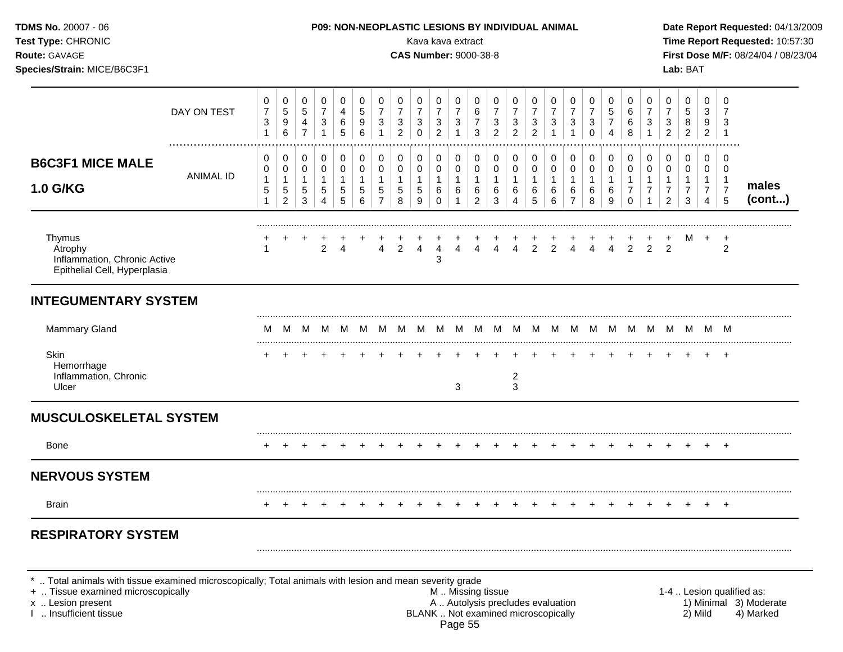| <b>TDMS No. 20007 - 06</b><br>Test Type: CHRONIC<br>Route: GAVAGE<br>Species/Strain: MICE/B6C3F1                                      |                  |                                             |                                                       |                                                             |                                                   |                                          |                                                       |                                                                  |                                                                      | Kava kava extract<br><b>CAS Number: 9000-38-8</b> |                                                                            |                                                                          |                                                         |                                            | P09: NON-NEOPLASTIC LESIONS BY INDIVIDUAL ANIMAL              |                                                       |                                            |                                    |                                                                   |                                                    |                                                                 |                                                   |                                            | Lab: BAT                                     |                                                                      |                                                     | Date Report Requested: 04/13/2009<br>Time Report Requested: 10:57:30<br>First Dose M/F: 08/24/04 / 08/23/04 |
|---------------------------------------------------------------------------------------------------------------------------------------|------------------|---------------------------------------------|-------------------------------------------------------|-------------------------------------------------------------|---------------------------------------------------|------------------------------------------|-------------------------------------------------------|------------------------------------------------------------------|----------------------------------------------------------------------|---------------------------------------------------|----------------------------------------------------------------------------|--------------------------------------------------------------------------|---------------------------------------------------------|--------------------------------------------|---------------------------------------------------------------|-------------------------------------------------------|--------------------------------------------|------------------------------------|-------------------------------------------------------------------|----------------------------------------------------|-----------------------------------------------------------------|---------------------------------------------------|--------------------------------------------|----------------------------------------------|----------------------------------------------------------------------|-----------------------------------------------------|-------------------------------------------------------------------------------------------------------------|
|                                                                                                                                       | DAY ON TEST      | 0<br>$\boldsymbol{7}$<br>3<br>$\mathbf{1}$  | 0<br>5<br>9<br>6                                      | 0<br>$\,$ 5 $\,$<br>$\overline{4}$<br>$\overline{7}$        | 0<br>$\overline{7}$<br>$\sqrt{3}$<br>$\mathbf{1}$ | 0<br>4<br>$\,6\,$<br>5                   | 0<br>5<br>9<br>6                                      | 0<br>$\overline{7}$<br>$\ensuremath{\mathsf{3}}$<br>$\mathbf{1}$ | 0<br>$\boldsymbol{7}$<br>$\ensuremath{\mathsf{3}}$<br>$\overline{c}$ | 0<br>$\overline{7}$<br>3<br>$\mathbf 0$           | $\pmb{0}$<br>$\overline{7}$<br>$\ensuremath{\mathsf{3}}$<br>$\overline{c}$ | 0<br>$\overline{7}$<br>$\ensuremath{\mathsf{3}}$<br>$\overline{1}$       | 0<br>$\,6\,$<br>$\boldsymbol{7}$<br>3                   | 0<br>$\overline{7}$<br>3<br>$\overline{2}$ | 0<br>$\overline{7}$<br>3<br>$\overline{2}$                    | 0<br>$\boldsymbol{7}$<br>$\sqrt{3}$<br>$\overline{c}$ | 0<br>$\overline{7}$<br>3<br>-1             | 0<br>$\overline{7}$<br>3           | 0<br>$\boldsymbol{7}$<br>$\ensuremath{\mathsf{3}}$<br>$\mathbf 0$ | 0<br>5<br>$\overline{7}$<br>4                      | 0<br>$\,6\,$<br>6<br>$\,8\,$                                    | 0<br>$\overline{7}$<br>$\sqrt{3}$<br>$\mathbf{1}$ | 0<br>$\overline{7}$<br>3<br>$\overline{2}$ | 0<br>$\sqrt{5}$<br>$\bf 8$<br>$\overline{2}$ | 0<br>3<br>9<br>$\overline{2}$                                        | 0<br>$\overline{7}$<br>3<br>$\overline{\mathbf{1}}$ |                                                                                                             |
| <b>B6C3F1 MICE MALE</b><br>1.0 G/KG                                                                                                   | <b>ANIMAL ID</b> | 0<br>0<br>$\mathbf{1}$<br>5<br>$\mathbf{1}$ | 0<br>$\pmb{0}$<br>$\mathbf{1}$<br>5<br>$\overline{c}$ | 0<br>$\pmb{0}$<br>$\mathbf{1}$<br>$\,$ 5 $\,$<br>$\sqrt{3}$ | 0<br>$\pmb{0}$<br>$\mathbf{1}$<br>5<br>4          | 0<br>$\pmb{0}$<br>$\mathbf{1}$<br>5<br>5 | 0<br>$\pmb{0}$<br>$\mathbf{1}$<br>5<br>$6\phantom{1}$ | 0<br>$\pmb{0}$<br>$\mathbf{1}$<br>$\mathbf 5$<br>$\overline{7}$  | 0<br>$\pmb{0}$<br>$\mathbf{1}$<br>5<br>8                             | 0<br>0<br>$\mathbf{1}$<br>$\sqrt{5}$<br>9         | $\pmb{0}$<br>$\pmb{0}$<br>$\mathbf{1}$<br>$\,6$<br>$\Omega$                | $\pmb{0}$<br>$\mathsf{O}\xspace$<br>$\mathbf{1}$<br>$\,6$<br>$\mathbf 1$ | 0<br>$\pmb{0}$<br>$\overline{1}$<br>6<br>$\overline{2}$ | 0<br>0<br>$\mathbf{1}$<br>6<br>3           | 0<br>$\pmb{0}$<br>$\mathbf{1}$<br>6<br>$\boldsymbol{\Lambda}$ | 0<br>$\pmb{0}$<br>$\mathbf{1}$<br>$\,6$<br>5          | 0<br>$\mathbf 0$<br>$\mathbf{1}$<br>6<br>6 | 0<br>0<br>1<br>6<br>$\overline{7}$ | 0<br>$\pmb{0}$<br>$\mathbf{1}$<br>6<br>8                          | 0<br>$\mathsf{O}\xspace$<br>$\mathbf{1}$<br>6<br>9 | 0<br>$\pmb{0}$<br>$\mathbf{1}$<br>$\overline{7}$<br>$\mathbf 0$ | 0<br>$\pmb{0}$<br>$\mathbf{1}$<br>7               | 0<br>0<br>$\overline{7}$<br>$\overline{2}$ | 0<br>$\pmb{0}$<br>7<br>3                     | 0<br>$\mathbf 0$<br>$\mathbf{1}$<br>$\overline{7}$<br>$\overline{4}$ | 0<br>0<br>$\overline{1}$<br>$\overline{7}$<br>5     | males<br>(cont)                                                                                             |
| Thymus<br>Atrophy<br>Inflammation, Chronic Active<br>Epithelial Cell, Hyperplasia                                                     |                  | -1                                          |                                                       |                                                             | 2                                                 | Δ                                        |                                                       | 4                                                                | $\overline{2}$                                                       | 4                                                 | $\overline{4}$<br>3                                                        | 4                                                                        | 4                                                       | $\overline{4}$                             | $\overline{4}$                                                | $\frac{1}{2}$                                         | $\overline{2}$                             | $\overline{4}$                     | $\overline{4}$                                                    | $\frac{+}{4}$                                      | $\frac{+}{2}$                                                   | $\overline{2}$                                    | $\overline{2}$                             | M                                            | $^{+}$                                                               | $^{+}$<br>2                                         |                                                                                                             |
| <b>INTEGUMENTARY SYSTEM</b>                                                                                                           |                  |                                             |                                                       |                                                             |                                                   |                                          |                                                       |                                                                  |                                                                      |                                                   |                                                                            |                                                                          |                                                         |                                            |                                                               |                                                       |                                            |                                    |                                                                   |                                                    |                                                                 |                                                   |                                            |                                              |                                                                      |                                                     |                                                                                                             |
| Mammary Gland                                                                                                                         |                  | м                                           | M                                                     | M                                                           | M                                                 |                                          |                                                       | MMM                                                              | M                                                                    | M                                                 |                                                                            | MMM                                                                      |                                                         | M                                          |                                                               | MMM                                                   |                                            | M                                  | M                                                                 | - M                                                | - M                                                             |                                                   |                                            | MMMMM                                        |                                                                      |                                                     |                                                                                                             |
| Skin<br>Hemorrhage<br>Inflammation, Chronic<br>Ulcer                                                                                  |                  |                                             |                                                       |                                                             |                                                   |                                          |                                                       |                                                                  |                                                                      |                                                   |                                                                            | 3                                                                        |                                                         |                                            | 2<br>3                                                        |                                                       |                                            |                                    |                                                                   |                                                    |                                                                 |                                                   |                                            |                                              | $\pm$                                                                | $+$                                                 |                                                                                                             |
| <b>MUSCULOSKELETAL SYSTEM</b>                                                                                                         |                  |                                             |                                                       |                                                             |                                                   |                                          |                                                       |                                                                  |                                                                      |                                                   |                                                                            |                                                                          |                                                         |                                            |                                                               |                                                       |                                            |                                    |                                                                   |                                                    |                                                                 |                                                   |                                            |                                              |                                                                      |                                                     |                                                                                                             |
| <b>Bone</b>                                                                                                                           |                  |                                             |                                                       |                                                             |                                                   |                                          |                                                       |                                                                  |                                                                      |                                                   |                                                                            |                                                                          |                                                         |                                            |                                                               |                                                       |                                            |                                    |                                                                   |                                                    |                                                                 |                                                   |                                            |                                              |                                                                      | $+$                                                 |                                                                                                             |
| <b>NERVOUS SYSTEM</b>                                                                                                                 |                  |                                             |                                                       |                                                             |                                                   |                                          |                                                       |                                                                  |                                                                      |                                                   |                                                                            |                                                                          |                                                         |                                            |                                                               |                                                       |                                            |                                    |                                                                   |                                                    |                                                                 |                                                   |                                            |                                              |                                                                      |                                                     |                                                                                                             |
| Brain                                                                                                                                 |                  |                                             |                                                       |                                                             |                                                   |                                          |                                                       |                                                                  |                                                                      |                                                   |                                                                            |                                                                          |                                                         |                                            |                                                               |                                                       |                                            |                                    |                                                                   |                                                    |                                                                 |                                                   |                                            |                                              |                                                                      |                                                     |                                                                                                             |
| <b>RESPIRATORY SYSTEM</b><br>*  Total animals with tissue examined microscopically; Total animals with lesion and mean severity grade |                  |                                             |                                                       |                                                             |                                                   |                                          |                                                       |                                                                  |                                                                      |                                                   |                                                                            |                                                                          |                                                         |                                            |                                                               |                                                       |                                            |                                    |                                                                   |                                                    |                                                                 |                                                   |                                            |                                              |                                                                      |                                                     |                                                                                                             |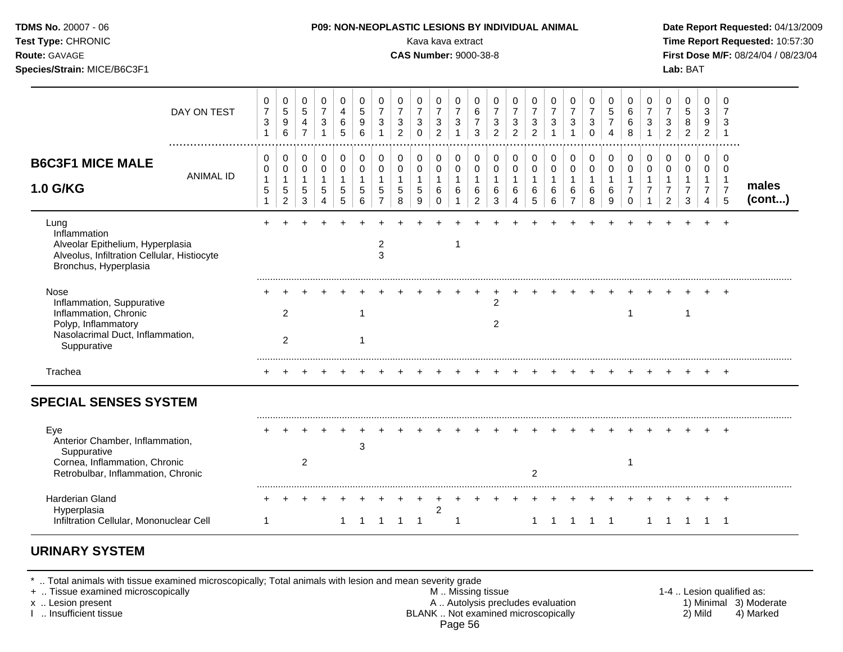| Test Type: CHRONIC<br>Route: GAVAGE<br>Species/Strain: MICE/B6C3F1                                                                                           |                                             |                                                         |                                            |                                                                |                                                      |                                 |                                                                 |                                                       |                                            | Kava kava extract<br><b>CAS Number: 9000-38-8</b>                  |                                                     |                                                               |                                                     |                                                       |                                                       |                                   |                                                         |                                               |                                            |                                                               |                                                    |                                                                      | Lab: BAT                                                         |                                                         |                                                           | Time Report Requested: 10:57:30<br>First Dose M/F: 08/24/04 / 08/23/04 |
|--------------------------------------------------------------------------------------------------------------------------------------------------------------|---------------------------------------------|---------------------------------------------------------|--------------------------------------------|----------------------------------------------------------------|------------------------------------------------------|---------------------------------|-----------------------------------------------------------------|-------------------------------------------------------|--------------------------------------------|--------------------------------------------------------------------|-----------------------------------------------------|---------------------------------------------------------------|-----------------------------------------------------|-------------------------------------------------------|-------------------------------------------------------|-----------------------------------|---------------------------------------------------------|-----------------------------------------------|--------------------------------------------|---------------------------------------------------------------|----------------------------------------------------|----------------------------------------------------------------------|------------------------------------------------------------------|---------------------------------------------------------|-----------------------------------------------------------|------------------------------------------------------------------------|
| DAY ON TEST                                                                                                                                                  | 0<br>$\overline{7}$<br>3<br>$\mathbf{1}$    | 0<br>$\mathbf 5$<br>$\boldsymbol{9}$<br>$6\phantom{1}6$ | 0<br>5<br>$\overline{4}$<br>$\overline{7}$ | 0<br>$\overline{7}$<br>$\sqrt{3}$<br>$\mathbf{1}$              | 0<br>4<br>$\,6\,$<br>5                               | 0<br>$\sqrt{5}$<br>9<br>6       | 0<br>$\overline{7}$<br>$\mathbf{3}$<br>$\mathbf{1}$             | 0<br>$\overline{7}$<br>$\mathbf{3}$<br>$\overline{2}$ | 0<br>$\overline{7}$<br>3<br>0              | 0<br>$\overline{7}$<br>$\ensuremath{\mathsf{3}}$<br>$\overline{c}$ | 0<br>$\overline{7}$<br>$\sqrt{3}$<br>$\overline{1}$ | 0<br>$\,6\,$<br>$\overline{7}$<br>3                           | 0<br>$\overline{7}$<br>$\sqrt{3}$<br>$\overline{2}$ | 0<br>$\overline{7}$<br>$\mathbf{3}$<br>$\overline{2}$ | 0<br>$\overline{7}$<br>$\mathbf{3}$<br>$\overline{2}$ | 0<br>$\overline{7}$<br>$\sqrt{3}$ | 0<br>$\overline{7}$<br>$\mathbf{3}$                     | 0<br>$\overline{7}$<br>$\sqrt{3}$<br>$\Omega$ | 0<br>5<br>$\overline{7}$<br>4              | 0<br>6<br>6<br>8                                              | 0<br>$\overline{7}$<br>3                           | 0<br>$\overline{7}$<br>$\sqrt{3}$<br>$\overline{c}$                  | 0<br>$\,$ 5 $\,$<br>$\,8\,$<br>$\overline{c}$                    | $\mathbf 0$<br>3<br>9<br>$\overline{a}$                 | $\mathbf 0$<br>7<br>3<br>$\overline{1}$                   |                                                                        |
| <b>B6C3F1 MICE MALE</b><br><b>ANIMAL ID</b><br><b>1.0 G/KG</b>                                                                                               | 0<br>0<br>$\mathbf{1}$<br>5<br>$\mathbf{1}$ | 0<br>0<br>1<br>$\sqrt{5}$<br>$\overline{2}$             | 0<br>0<br>1<br>5<br>3                      | 0<br>$\pmb{0}$<br>$\mathbf{1}$<br>5<br>$\overline{\mathbf{4}}$ | $\mathbf 0$<br>$\mathbf 0$<br>$\mathbf{1}$<br>5<br>5 | 0<br>$\mathbf 0$<br>1<br>5<br>6 | 0<br>$\pmb{0}$<br>$\mathbf{1}$<br>$\mathbf 5$<br>$\overline{7}$ | 0<br>$\mathbf 0$<br>$\mathbf{1}$<br>5<br>8            | 0<br>$\mathbf 0$<br>$\mathbf{1}$<br>5<br>9 | 0<br>0<br>$\mathbf{1}$<br>6<br>$\Omega$                            | 0<br>$\mathbf 0$<br>$\mathbf{1}$<br>6               | 0<br>$\mathbf 0$<br>$\mathbf{1}$<br>$\,6\,$<br>$\overline{c}$ | 0<br>$\mathbf 0$<br>$\mathbf{1}$<br>$\,6\,$<br>3    | 0<br>$\mathbf 0$<br>$\mathbf{1}$<br>6<br>4            | 0<br>$\pmb{0}$<br>1<br>6<br>5                         | 0<br>$\mathbf 0$<br>6<br>6        | 0<br>$\mathbf 0$<br>$\mathbf{1}$<br>6<br>$\overline{7}$ | 0<br>$\mathbf 0$<br>$\mathbf{1}$<br>6<br>8    | 0<br>$\mathbf 0$<br>$\mathbf{1}$<br>6<br>9 | 0<br>$\mathsf 0$<br>$\mathbf 1$<br>$\overline{7}$<br>$\Omega$ | 0<br>$\mathbf 0$<br>$\mathbf{1}$<br>$\overline{7}$ | 0<br>$\mathbf 0$<br>$\mathbf{1}$<br>$\overline{7}$<br>$\overline{2}$ | 0<br>$\mathbf 0$<br>$\mathbf{1}$<br>$\overline{7}$<br>$\sqrt{3}$ | $\mathbf 0$<br>0<br>$\mathbf{1}$<br>$\overline{7}$<br>4 | 0<br>$\mathbf 0$<br>$\overline{1}$<br>$\overline{7}$<br>5 | males<br>(cont)                                                        |
| Lung<br>Inflammation<br>Alveolar Epithelium, Hyperplasia<br>Alveolus, Infiltration Cellular, Histiocyte<br>Bronchus, Hyperplasia                             |                                             |                                                         |                                            |                                                                |                                                      |                                 | 2<br>3                                                          |                                                       |                                            |                                                                    | -1                                                  |                                                               |                                                     |                                                       |                                                       |                                   |                                                         |                                               |                                            |                                                               |                                                    |                                                                      |                                                                  |                                                         |                                                           |                                                                        |
| Nose<br>Inflammation, Suppurative<br>Inflammation, Chronic<br>Polyp, Inflammatory<br>Nasolacrimal Duct, Inflammation,<br>Suppurative                         |                                             | 2<br>2                                                  |                                            |                                                                |                                                      | -1<br>1                         |                                                                 |                                                       |                                            |                                                                    |                                                     |                                                               | $\overline{c}$<br>2                                 |                                                       |                                                       |                                   |                                                         |                                               |                                            | 1                                                             |                                                    |                                                                      | $\mathbf 1$                                                      |                                                         | $\pm$                                                     |                                                                        |
| Trachea                                                                                                                                                      |                                             |                                                         |                                            |                                                                |                                                      |                                 |                                                                 |                                                       |                                            |                                                                    |                                                     |                                                               |                                                     |                                                       |                                                       |                                   |                                                         |                                               |                                            |                                                               |                                                    |                                                                      |                                                                  |                                                         |                                                           |                                                                        |
| <b>SPECIAL SENSES SYSTEM</b><br>Eye<br>Anterior Chamber, Inflammation,<br>Suppurative<br>Cornea, Inflammation, Chronic<br>Retrobulbar, Inflammation, Chronic |                                             |                                                         | $\overline{a}$                             |                                                                |                                                      | 3                               |                                                                 |                                                       |                                            |                                                                    |                                                     |                                                               |                                                     |                                                       | 2                                                     |                                   |                                                         |                                               |                                            | $\mathbf 1$                                                   |                                                    |                                                                      |                                                                  |                                                         |                                                           |                                                                        |
| Harderian Gland<br>Hyperplasia<br>Infiltration Cellular, Mononuclear Cell                                                                                    | 1                                           |                                                         |                                            |                                                                | $\mathbf{1}$                                         | $\overline{1}$                  | $\overline{1}$                                                  | $\overline{1}$                                        | $\overline{1}$                             | $\overline{c}$                                                     | -1                                                  |                                                               |                                                     |                                                       | 1                                                     | $\overline{1}$                    | $\overline{1}$                                          | $1 \quad 1$                                   |                                            |                                                               | $\mathbf{1}$                                       | $\overline{1}$                                                       | $\overline{1}$                                                   | $1 \quad 1$                                             |                                                           |                                                                        |

### **URINARY SYSTEM**

\* .. Total animals with tissue examined microscopically; Total animals with lesion and mean severity grade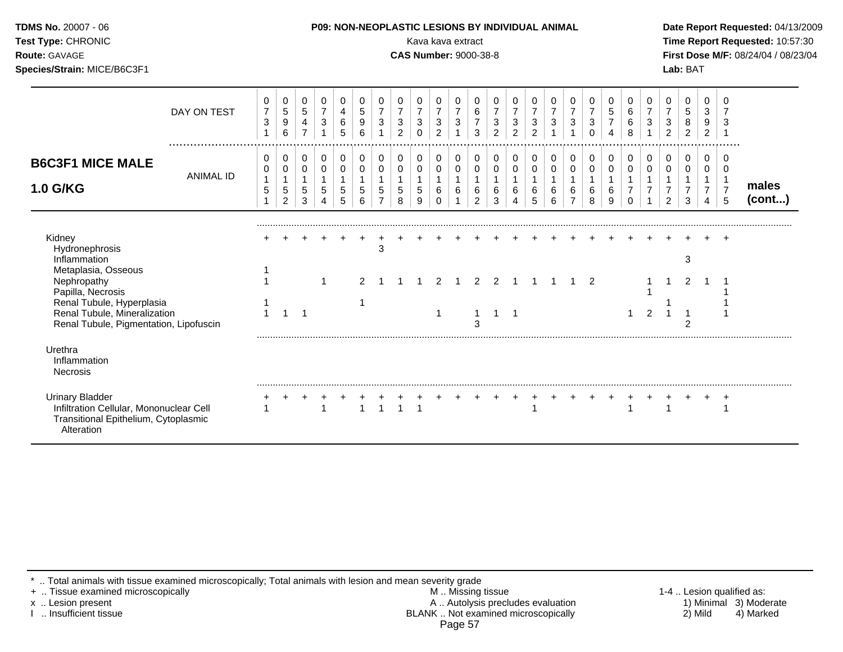| Test Type: CHRONIC<br><b>Route: GAVAGE</b><br>Species/Strain: MICE/B6C3F1                                                               |                  |                                                                  |                                           |                                        |                                                   |                  |                                                       |                                                   |                                                       | Kava kava extract<br><b>CAS Number: 9000-38-8</b> |                                                                    |                                               |                                                         |                                                     |                               |                          |                                                  |                               |                                                 |                                        |                                                      |                          |                                                                            | Lab: BAT                                      |                                               |                                                           | Time Report Requested: 10:57:30<br>First Dose M/F: 08/24/04 / 08/23/04 |
|-----------------------------------------------------------------------------------------------------------------------------------------|------------------|------------------------------------------------------------------|-------------------------------------------|----------------------------------------|---------------------------------------------------|------------------|-------------------------------------------------------|---------------------------------------------------|-------------------------------------------------------|---------------------------------------------------|--------------------------------------------------------------------|-----------------------------------------------|---------------------------------------------------------|-----------------------------------------------------|-------------------------------|--------------------------|--------------------------------------------------|-------------------------------|-------------------------------------------------|----------------------------------------|------------------------------------------------------|--------------------------|----------------------------------------------------------------------------|-----------------------------------------------|-----------------------------------------------|-----------------------------------------------------------|------------------------------------------------------------------------|
|                                                                                                                                         | DAY ON TEST      | 0<br>$\overline{7}$<br>$\ensuremath{\mathsf{3}}$<br>$\mathbf{1}$ | 0<br>$\mathbf 5$<br>$\boldsymbol{9}$<br>6 | 0<br>$\sqrt{5}$<br>4<br>$\overline{7}$ | 0<br>$\overline{7}$<br>$\sqrt{3}$<br>$\mathbf{1}$ | 0<br>4<br>6<br>5 | 0<br>$\sqrt{5}$<br>$\boldsymbol{9}$<br>6              | 0<br>$\overline{7}$<br>$\sqrt{3}$<br>$\mathbf{1}$ | 0<br>$\overline{7}$<br>$\mathbf{3}$<br>$\overline{2}$ | 0<br>$\boldsymbol{7}$<br>3<br>$\Omega$            | 0<br>$\overline{7}$<br>$\ensuremath{\mathsf{3}}$<br>$\overline{2}$ | 0<br>$\overline{7}$<br>$\sqrt{3}$             | 0<br>6<br>$\boldsymbol{7}$<br>3                         | 0<br>$\overline{7}$<br>$\sqrt{3}$<br>$\overline{2}$ | 0<br>$\overline{7}$<br>3<br>2 | 0<br>3<br>$\overline{2}$ | 0<br>$\overline{7}$<br>$\ensuremath{\mathsf{3}}$ | 0<br>$\overline{7}$<br>3      | 0<br>$\boldsymbol{7}$<br>$\sqrt{3}$<br>$\Omega$ | 0<br>$\sqrt{5}$<br>$\overline{7}$<br>4 | 0<br>6<br>$\,6$<br>8                                 | 0<br>$\overline{7}$<br>3 | 0<br>$\boldsymbol{7}$<br>$\mathbf{3}$<br>$\overline{2}$                    | 0<br>$\,$ 5 $\,$<br>$\bf 8$<br>$\overline{a}$ | 0<br>3<br>9<br>$\overline{2}$                 | 0<br>3<br>$\overline{1}$                                  |                                                                        |
| <b>B6C3F1 MICE MALE</b><br>1.0 G/KG                                                                                                     | <b>ANIMAL ID</b> | 0<br>0<br>$\mathbf{1}$<br>5<br>1                                 | 0<br>$\pmb{0}$<br>5<br>2                  | 0<br>0<br>$\overline{1}$<br>5<br>3     | 0<br>$\pmb{0}$<br>$\mathbf{1}$<br>$\sqrt{5}$<br>4 | 0<br>0<br>5<br>5 | 0<br>$\mathbf 0$<br>$\overline{1}$<br>$\sqrt{5}$<br>6 | 0<br>$\,0\,$<br>1<br>5<br>$\overline{7}$          | 0<br>0<br>$\mathbf{1}$<br>5<br>8                      | 0<br>0<br>$\mathbf{1}$<br>5<br>9                  | 0<br>0<br>6<br>$\Omega$                                            | $\pmb{0}$<br>$\mathbf 0$<br>$\mathbf{1}$<br>6 | 0<br>$\mathbf 0$<br>$\mathbf{1}$<br>6<br>$\overline{2}$ | 0<br>$\mathbf 0$<br>$\mathbf{1}$<br>6<br>3          | 0<br>0<br>6<br>4              | 0<br>0<br>6<br>5         | 0<br>$\pmb{0}$<br>6<br>6                         | 0<br>0<br>6<br>$\overline{7}$ | 0<br>0<br>1<br>6<br>8                           | 0<br>0<br>$\mathbf{1}$<br>6<br>9       | 0<br>0<br>$\mathbf{1}$<br>$\overline{7}$<br>$\Omega$ | 0<br>0<br>$\overline{7}$ | $\pmb{0}$<br>$\pmb{0}$<br>$\mathbf{1}$<br>$\overline{7}$<br>$\overline{2}$ | 0<br>0<br>$\overline{7}$<br>3                 | 0<br>0<br>$\mathbf{1}$<br>$\overline{7}$<br>4 | 0<br>$\mathbf 0$<br>$\overline{1}$<br>$\overline{7}$<br>5 | males<br>(cont)                                                        |
| Kidney<br>Hydronephrosis<br>Inflammation<br>Metaplasia, Osseous                                                                         |                  |                                                                  |                                           |                                        |                                                   |                  |                                                       | 3                                                 |                                                       |                                                   |                                                                    |                                               |                                                         |                                                     |                               |                          |                                                  |                               |                                                 |                                        |                                                      |                          |                                                                            | 3                                             |                                               |                                                           |                                                                        |
| Nephropathy<br>Papilla, Necrosis<br>Renal Tubule, Hyperplasia<br>Renal Tubule, Mineralization<br>Renal Tubule, Pigmentation, Lipofuscin |                  | $\mathbf{1}$                                                     | $\overline{1}$                            |                                        | $\mathbf 1$                                       |                  | $\overline{2}$<br>1                                   |                                                   |                                                       |                                                   | 2<br>$\mathbf 1$                                                   | $\overline{1}$                                | 2<br>$\mathbf{1}$<br>3                                  | $\overline{2}$<br>$1 \quad 1$                       |                               |                          |                                                  |                               | 2                                               |                                        | $\mathbf{1}$                                         | $\overline{2}$           |                                                                            | 2<br>2                                        |                                               |                                                           |                                                                        |
| Urethra<br>Inflammation<br>Necrosis                                                                                                     |                  |                                                                  |                                           |                                        |                                                   |                  |                                                       |                                                   |                                                       |                                                   |                                                                    |                                               |                                                         |                                                     |                               |                          |                                                  |                               |                                                 |                                        |                                                      |                          |                                                                            |                                               |                                               |                                                           |                                                                        |
| <b>Urinary Bladder</b><br>Infiltration Cellular, Mononuclear Cell<br>Transitional Epithelium, Cytoplasmic<br>Alteration                 |                  |                                                                  |                                           |                                        | $\overline{1}$                                    |                  | $\overline{1}$                                        | $\mathbf{1}$                                      |                                                       | $\overline{1}$                                    |                                                                    |                                               |                                                         |                                                     | $^{+}$                        |                          |                                                  |                               |                                                 |                                        |                                                      |                          |                                                                            |                                               |                                               | $^{+}$                                                    |                                                                        |

\* .. Total animals with tissue examined microscopically; Total animals with lesion and mean severity grade

+ .. Tissue examined microscopically M .. Missing tissue 1-4 .. Lesion qualified as: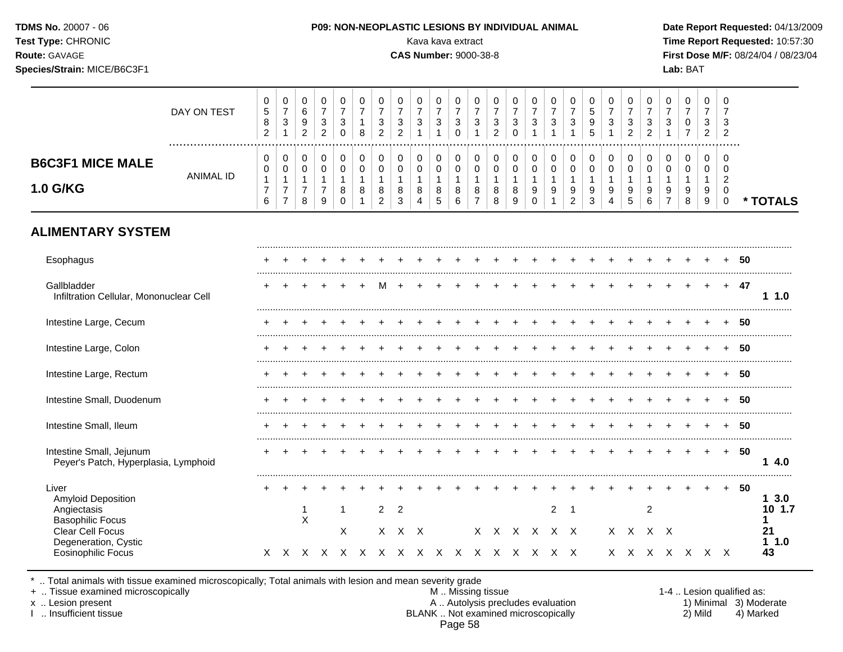| Test Type: CHRONIC<br>Route: GAVAGE<br>Species/Strain: MICE/B6C3F1           |                                                    |                                                    |                                                           |                                                                    |                                                  |                                          |                                                             |                                                      | Kava kava extract<br><b>CAS Number: 9000-38-8</b> |                                       |                                                  |                                          |                                                     |                                                |                                                                              |                                                   |                                                                  |                                                                |                                                 |                                                       |                                                     |                                                   | Lab: BAT                                                       |                                                 |                                                      |     | Time Report Requested: 10:57:30<br>First Dose M/F: 08/24/04 / 08/23/04 |
|------------------------------------------------------------------------------|----------------------------------------------------|----------------------------------------------------|-----------------------------------------------------------|--------------------------------------------------------------------|--------------------------------------------------|------------------------------------------|-------------------------------------------------------------|------------------------------------------------------|---------------------------------------------------|---------------------------------------|--------------------------------------------------|------------------------------------------|-----------------------------------------------------|------------------------------------------------|------------------------------------------------------------------------------|---------------------------------------------------|------------------------------------------------------------------|----------------------------------------------------------------|-------------------------------------------------|-------------------------------------------------------|-----------------------------------------------------|---------------------------------------------------|----------------------------------------------------------------|-------------------------------------------------|------------------------------------------------------|-----|------------------------------------------------------------------------|
| DAY ON TEST                                                                  | 0<br>$\sqrt{5}$<br>8<br>$\overline{2}$             | 0<br>$\overline{7}$<br>$\sqrt{3}$<br>$\mathbf{1}$  | 0<br>$6\phantom{a}$<br>$\boldsymbol{9}$<br>$\overline{c}$ | 0<br>$\overline{7}$<br>$\ensuremath{\mathsf{3}}$<br>$\overline{2}$ | 0<br>$\overline{7}$<br>$\mathbf{3}$<br>$\pmb{0}$ | 0<br>$\overline{7}$<br>$\mathbf{1}$<br>8 | $\pmb{0}$<br>$\overline{7}$<br>$\sqrt{3}$<br>$\overline{2}$ | 0<br>$\overline{7}$<br>$\sqrt{3}$<br>$\overline{2}$  | 0<br>$\overline{7}$<br>$\sqrt{3}$<br>$\mathbf{1}$ | 0<br>$\overline{7}$<br>3<br>1         | 0<br>$\overline{7}$<br>$\sqrt{3}$<br>$\mathbf 0$ | 0<br>$\overline{7}$<br>3<br>$\mathbf{1}$ | 0<br>$\overline{7}$<br>$\sqrt{3}$<br>$\overline{2}$ | 0<br>$\overline{7}$<br>$\sqrt{3}$<br>$\pmb{0}$ | $\mathbf 0$<br>$\overline{7}$<br>$\ensuremath{\mathsf{3}}$<br>$\overline{1}$ | 0<br>$\overline{7}$<br>$\sqrt{3}$<br>$\mathbf{1}$ | 0<br>$\overline{7}$<br>$\ensuremath{\mathsf{3}}$<br>$\mathbf{1}$ | $\mathbf 0$<br>$\sqrt{5}$<br>$\boldsymbol{9}$<br>5             | 0<br>$\overline{7}$<br>3<br>$\mathbf{1}$        | 0<br>$\overline{7}$<br>$\mathbf{3}$<br>$\overline{2}$ | 0<br>$\overline{7}$<br>$\sqrt{3}$<br>$\overline{2}$ | 0<br>$\overline{7}$<br>$\sqrt{3}$<br>$\mathbf{1}$ | $\mathbf 0$<br>$\overline{7}$<br>$\mathbf 0$<br>$\overline{7}$ | 0<br>$\overline{7}$<br>3<br>$2^{\circ}$         | $\mathbf 0$<br>$\overline{7}$<br>3<br>$\overline{2}$ |     |                                                                        |
| <b>B6C3F1 MICE MALE</b><br><b>ANIMAL ID</b><br>1.0 G/KG                      | $\mathbf 0$<br>0<br>$\mathbf{1}$<br>$\overline{7}$ | $\mathbf 0$<br>0<br>$\mathbf{1}$<br>$\overline{7}$ | 0<br>0<br>$\mathbf{1}$<br>$\overline{7}$                  | $\mathbf 0$<br>0<br>$\mathbf{1}$<br>$\overline{7}$                 | $\mathbf 0$<br>$\pmb{0}$<br>$\mathbf{1}$<br>8    | 0<br>$\pmb{0}$<br>$\mathbf{1}$<br>8      | $\mathbf 0$<br>$\mathbf 0$<br>$\mathbf{1}$<br>$\bf 8$       | $\mathbf 0$<br>$\pmb{0}$<br>$\overline{1}$<br>$\bf8$ | $\mathbf 0$<br>0<br>$\mathbf{1}$<br>$\,8\,$       | $\mathbf 0$<br>0<br>$\mathbf{1}$<br>8 | $\mathbf 0$<br>$\pmb{0}$<br>$\mathbf{1}$<br>8    | 0<br>0<br>$\mathbf{1}$<br>8              | $\mathbf 0$<br>$\pmb{0}$<br>$\mathbf{1}$<br>$\bf8$  | $\mathbf 0$<br>$\pmb{0}$<br>$\mathbf{1}$<br>8  | $\mathbf 0$<br>$\mathbf 0$<br>$\mathbf{1}$<br>9                              | $\mathbf 0$<br>$\mathbf 0$<br>$\mathbf{1}$<br>9   | 0<br>$\pmb{0}$<br>$\mathbf{1}$<br>$\boldsymbol{9}$               | $\mathbf 0$<br>$\mathbf 0$<br>$\mathbf{1}$<br>$\boldsymbol{9}$ | $\mathbf 0$<br>$\mathbf 0$<br>$\mathbf{1}$<br>9 | $\mathbf 0$<br>$\pmb{0}$<br>$\mathbf{1}$<br>9         | $\mathbf 0$<br>$\mathbf 0$<br>$\mathbf{1}$<br>9     | $\mathbf 0$<br>$\mathbf 0$<br>$\mathbf{1}$<br>9   | $\mathbf 0$<br>$\mathbf 0$<br>$\overline{1}$<br>9              | $\mathbf 0$<br>$\mathbf 0$<br>$\mathbf{1}$<br>9 | $\mathbf 0$<br>0<br>$\overline{2}$<br>$\mathbf 0$    |     |                                                                        |
| <b>ALIMENTARY SYSTEM</b>                                                     | 6                                                  | $\overline{7}$                                     | 8                                                         | $\boldsymbol{9}$                                                   | $\pmb{0}$                                        | $\mathbf{1}$                             | $\sqrt{2}$                                                  | $\sqrt{3}$                                           | 4                                                 | 5                                     | 6                                                | $\overline{7}$                           | 8                                                   | $\boldsymbol{9}$                               | $\pmb{0}$                                                                    | $\mathbf{1}$                                      | $\boldsymbol{2}$                                                 | $\ensuremath{\mathsf{3}}$                                      | 4                                               | 5                                                     | $\,6\,$                                             | $\overline{7}$                                    | $\bf 8$                                                        | 9                                               | $\mathbf 0$                                          |     | * TOTALS                                                               |
| Esophagus                                                                    |                                                    |                                                    |                                                           |                                                                    |                                                  |                                          |                                                             |                                                      |                                                   |                                       |                                                  |                                          |                                                     |                                                |                                                                              |                                                   |                                                                  |                                                                |                                                 |                                                       |                                                     |                                                   |                                                                |                                                 |                                                      | -50 |                                                                        |
| Gallbladder<br>Infiltration Cellular, Mononuclear Cell                       |                                                    |                                                    |                                                           |                                                                    |                                                  | $+$                                      | M                                                           | $+$                                                  |                                                   |                                       |                                                  |                                          |                                                     |                                                |                                                                              |                                                   | $+$                                                              |                                                                | $+$                                             |                                                       |                                                     | $+$                                               | $+$                                                            | $+$                                             | $+$                                                  | -47 | 1 1.0                                                                  |
| Intestine Large, Cecum                                                       |                                                    |                                                    |                                                           |                                                                    |                                                  |                                          |                                                             |                                                      |                                                   |                                       |                                                  |                                          |                                                     |                                                |                                                                              |                                                   |                                                                  |                                                                |                                                 |                                                       |                                                     |                                                   |                                                                |                                                 |                                                      | -50 |                                                                        |
| Intestine Large, Colon                                                       |                                                    |                                                    |                                                           |                                                                    |                                                  |                                          |                                                             |                                                      |                                                   |                                       |                                                  |                                          |                                                     |                                                |                                                                              |                                                   |                                                                  |                                                                |                                                 |                                                       |                                                     |                                                   |                                                                |                                                 |                                                      | -50 |                                                                        |
| Intestine Large, Rectum                                                      |                                                    |                                                    |                                                           |                                                                    |                                                  |                                          |                                                             |                                                      |                                                   |                                       |                                                  |                                          |                                                     |                                                |                                                                              |                                                   |                                                                  |                                                                |                                                 |                                                       |                                                     |                                                   |                                                                |                                                 |                                                      | 50  |                                                                        |
| Intestine Small, Duodenum                                                    |                                                    |                                                    |                                                           |                                                                    |                                                  |                                          |                                                             |                                                      |                                                   |                                       |                                                  |                                          |                                                     |                                                |                                                                              |                                                   |                                                                  |                                                                |                                                 |                                                       |                                                     |                                                   |                                                                |                                                 |                                                      | -50 |                                                                        |
| Intestine Small, Ileum                                                       |                                                    |                                                    |                                                           |                                                                    |                                                  |                                          |                                                             |                                                      |                                                   |                                       |                                                  |                                          |                                                     |                                                |                                                                              |                                                   |                                                                  |                                                                |                                                 |                                                       |                                                     |                                                   |                                                                |                                                 |                                                      | 50  |                                                                        |
| Intestine Small, Jejunum<br>Peyer's Patch, Hyperplasia, Lymphoid             |                                                    |                                                    |                                                           |                                                                    |                                                  |                                          |                                                             |                                                      |                                                   |                                       |                                                  |                                          | $\pm$                                               |                                                |                                                                              |                                                   |                                                                  |                                                                |                                                 |                                                       |                                                     |                                                   | $+$                                                            | $+$                                             | $+$                                                  | -50 | 14.0                                                                   |
| Liver<br><b>Amyloid Deposition</b><br>Angiectasis<br><b>Basophilic Focus</b> |                                                    |                                                    | 1<br>X                                                    |                                                                    | $\mathbf 1$                                      |                                          | $\overline{2}$                                              | $\overline{2}$                                       |                                                   |                                       |                                                  |                                          |                                                     |                                                |                                                                              | $\overline{2}$                                    | $\overline{\phantom{0}}$                                         |                                                                |                                                 |                                                       | $\overline{c}$                                      |                                                   |                                                                |                                                 | $+$                                                  | -50 | 13.0<br>10 1.7<br>1                                                    |
| Clear Cell Focus<br>Degeneration, Cystic<br><b>Eosinophilic Focus</b>        |                                                    |                                                    |                                                           |                                                                    | Χ                                                |                                          | $\times$<br>X X X X X X X X X X X X X X X X                 |                                                      | $X$ $X$                                           |                                       |                                                  |                                          |                                                     | x x x x x x                                    |                                                                              |                                                   |                                                                  |                                                                |                                                 | X X                                                   |                                                     | $X$ $X$                                           | x x x x x x x                                                  |                                                 |                                                      |     | 21<br>11.0<br>43                                                       |

\* .. Total animals with tissue examined microscopically; Total animals with lesion and mean severity grade

+ .. Tissue examined microscopically M .. Missing tissue 1-4 .. Lesion qualified as: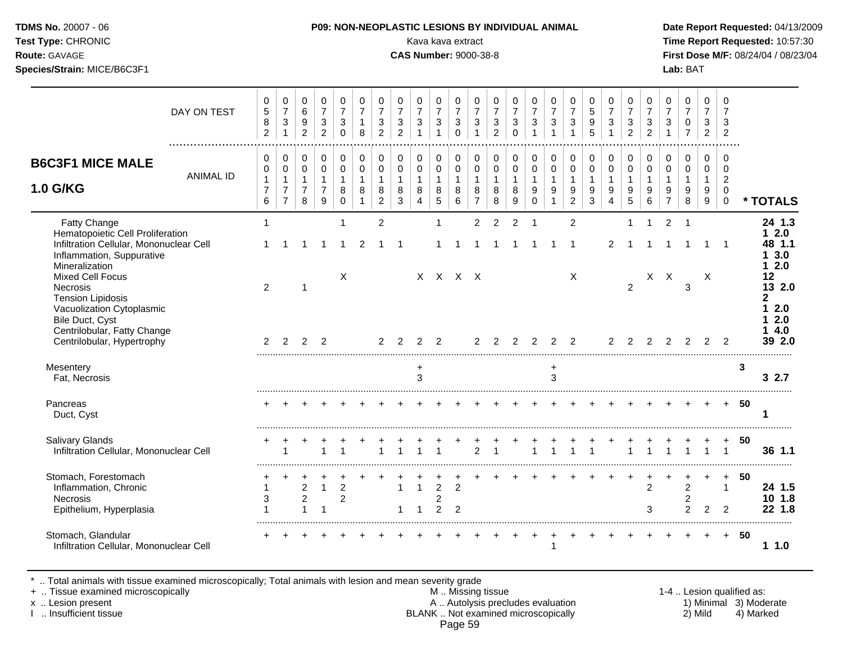**Test Type:** CHRONIC **Transfer CHRONIC** Kava Rava extract Kava extract **Time Report Requested:** 10:57:30 **Route:** GAVAGE **CAS Number:** 9000-38-8 **First Dose M/F:** 08/24/04 / 08/23/04 **Species/Strain:** MICE/B6C3F1 **Lab:** BAT

|                                                                                                                                                       | DAY ON TEST      | $\mathbf 0$<br>$\,$ 5 $\,$<br>$\bf8$<br>$\overline{2}$               | $\mathbf 0$<br>$\boldsymbol{7}$<br>$\ensuremath{\mathsf{3}}$<br>$\overline{1}$ | $\mathbf 0$<br>$\,6\,$<br>9<br>$\overline{2}$                  | 0<br>$\overline{7}$<br>$\mathbf{3}$<br>$\overline{2}$           | $\mathbf 0$<br>$\overline{7}$<br>3<br>$\Omega$              | 0<br>$\overline{7}$<br>$\mathbf{1}$<br>8                | $\mathbf 0$<br>$\overline{7}$<br>$\mathbf{3}$<br>$\overline{2}$   | 0<br>$\overline{7}$<br>$\sqrt{3}$<br>2             | 0<br>$\overline{7}$<br>$\mathfrak{S}$<br>$\overline{1}$ | $\mathbf 0$<br>$\overline{7}$<br>$\sqrt{3}$<br>$\mathbf{1}$ | $\pmb{0}$<br>$\overline{7}$<br>$\mathbf{3}$<br>$\Omega$         | $\pmb{0}$<br>$\overline{7}$<br>$\sqrt{3}$                                 | $\pmb{0}$<br>$\overline{7}$<br>$\sqrt{3}$<br>$\overline{2}$ | 0<br>$\overline{7}$<br>$\mathfrak{Z}$<br>$\Omega$  | 0<br>$\overline{7}$<br>$\mathbf{3}$                       | 0<br>$\overline{\mathbf{7}}$<br>$\ensuremath{\mathsf{3}}$     | $\pmb{0}$<br>$\overline{7}$<br>$\sqrt{3}$<br>$\mathbf{1}$         | 0<br>5<br>9<br>5                                   | $\mathbf 0$<br>$\overline{7}$<br>$\sqrt{3}$<br>$\overline{1}$     | 0<br>$\overline{7}$<br>$\sqrt{3}$<br>$\overline{2}$ | $\mathbf 0$<br>$\overline{7}$<br>$\sqrt{3}$<br>$\overline{2}$ | 0<br>$\overline{7}$<br>$\mathbf{3}$           | 0<br>$\overline{7}$<br>$\pmb{0}$<br>$\overline{7}$      | $\mathbf 0$<br>$\overline{7}$<br>$\sqrt{3}$<br>$\overline{2}$ | 0<br>$\overline{7}$<br>3<br>$\overline{2}$                |    |                                            |
|-------------------------------------------------------------------------------------------------------------------------------------------------------|------------------|----------------------------------------------------------------------|--------------------------------------------------------------------------------|----------------------------------------------------------------|-----------------------------------------------------------------|-------------------------------------------------------------|---------------------------------------------------------|-------------------------------------------------------------------|----------------------------------------------------|---------------------------------------------------------|-------------------------------------------------------------|-----------------------------------------------------------------|---------------------------------------------------------------------------|-------------------------------------------------------------|----------------------------------------------------|-----------------------------------------------------------|---------------------------------------------------------------|-------------------------------------------------------------------|----------------------------------------------------|-------------------------------------------------------------------|-----------------------------------------------------|---------------------------------------------------------------|-----------------------------------------------|---------------------------------------------------------|---------------------------------------------------------------|-----------------------------------------------------------|----|--------------------------------------------|
| <b>B6C3F1 MICE MALE</b><br><b>1.0 G/KG</b>                                                                                                            | <b>ANIMAL ID</b> | $\mathbf 0$<br>0<br>$\mathbf{1}$<br>$\overline{7}$<br>$6\phantom{a}$ | 0<br>$\pmb{0}$<br>$\mathbf{1}$<br>$\overline{7}$<br>$\overline{7}$             | $\Omega$<br>$\mathbf 0$<br>$\mathbf{1}$<br>$\overline{7}$<br>8 | $\mathbf 0$<br>$\pmb{0}$<br>$\mathbf{1}$<br>$\overline{7}$<br>9 | $\mathbf 0$<br>$\mathbf 0$<br>$\mathbf{1}$<br>8<br>$\Omega$ | 0<br>$\mathbf 0$<br>$\mathbf{1}$<br>8<br>$\overline{1}$ | $\mathbf 0$<br>$\mathbf 0$<br>$\mathbf{1}$<br>8<br>$\overline{2}$ | $\mathbf 0$<br>$\pmb{0}$<br>$\mathbf{1}$<br>8<br>3 | 0<br>$\mathbf 0$<br>$\mathbf{1}$<br>8<br>$\overline{4}$ | $\mathbf 0$<br>$\mathbf 0$<br>$\mathbf{1}$<br>8<br>5        | $\mathbf 0$<br>$\pmb{0}$<br>$\mathbf{1}$<br>8<br>$6\phantom{a}$ | $\mathbf 0$<br>$\mathsf{O}\xspace$<br>$\mathbf{1}$<br>8<br>$\overline{7}$ | $\mathbf 0$<br>$\pmb{0}$<br>$\mathbf{1}$<br>8<br>8          | $\mathbf 0$<br>$\pmb{0}$<br>$\mathbf{1}$<br>8<br>9 | 0<br>$\mathsf{O}\xspace$<br>$\mathbf{1}$<br>9<br>$\Omega$ | $\mathbf 0$<br>$\pmb{0}$<br>$\mathbf{1}$<br>9<br>$\mathbf{1}$ | $\mathbf 0$<br>$\mathbf 0$<br>$\mathbf{1}$<br>9<br>$\overline{2}$ | $\mathbf 0$<br>$\pmb{0}$<br>$\mathbf{1}$<br>9<br>3 | $\mathbf 0$<br>$\mathbf 0$<br>$\mathbf{1}$<br>9<br>$\overline{4}$ | $\mathbf 0$<br>$\pmb{0}$<br>$\mathbf{1}$<br>9<br>5  | $\mathbf 0$<br>$\mathbf 0$<br>$\mathbf{1}$<br>9<br>6          | 0<br>0<br>$\mathbf{1}$<br>9<br>$\overline{7}$ | 0<br>$\pmb{0}$<br>$\mathbf{1}$<br>9<br>8                | $\Omega$<br>0<br>$\mathbf{1}$<br>9<br>9                       | $\Omega$<br>0<br>$\sqrt{2}$<br>$\mathbf 0$<br>$\mathbf 0$ |    | * TOTALS                                   |
| Fatty Change<br>Hematopoietic Cell Proliferation<br>Infiltration Cellular, Mononuclear Cell<br>Inflammation, Suppurative<br>Mineralization            |                  | $\mathbf{1}$                                                         |                                                                                |                                                                | -1                                                              | 1<br>1                                                      | 2                                                       | $\overline{2}$<br>-1                                              | $\mathbf 1$                                        |                                                         | 1                                                           |                                                                 | $\overline{2}$                                                            | $\overline{2}$                                              | 2<br>-1                                            | 1                                                         |                                                               | $\overline{2}$<br>-1                                              |                                                    | 2                                                                 | 1                                                   | -1                                                            | $\overline{c}$                                |                                                         | -1                                                            | $\overline{1}$                                            |    | 24 1.3<br>$12.0$<br>48 1.1<br>13.0<br>12.0 |
| <b>Mixed Cell Focus</b><br><b>Necrosis</b><br><b>Tension Lipidosis</b><br>Vacuolization Cytoplasmic<br>Bile Duct, Cyst<br>Centrilobular, Fatty Change |                  | 2                                                                    |                                                                                | -1                                                             |                                                                 | $\boldsymbol{\mathsf{X}}$                                   |                                                         |                                                                   |                                                    |                                                         | $X$ $X$ $X$ $X$                                             |                                                                 |                                                                           |                                                             |                                                    |                                                           |                                                               | $\boldsymbol{\mathsf{X}}$                                         |                                                    |                                                                   | $\overline{2}$                                      |                                                               | $X$ $X$                                       | 3                                                       | $\times$                                                      |                                                           |    | 12<br>13 2.0<br>2<br>12.0<br>2.0<br>4.0    |
| Centrilobular, Hypertrophy                                                                                                                            |                  | 2                                                                    | 2                                                                              | $\overline{2}$                                                 | $\overline{2}$                                                  |                                                             |                                                         | 2                                                                 | 2                                                  | $\overline{2}$                                          | $\overline{2}$                                              |                                                                 | $\overline{2}$                                                            | $\overline{2}$                                              | $\overline{2}$                                     | $\overline{2}$                                            | 2                                                             | $\overline{2}$                                                    |                                                    | $\overline{c}$                                                    | 2                                                   | $\mathcal{P}$                                                 | $\overline{2}$                                | $\overline{2}$                                          | 2                                                             | 2                                                         |    | 39 2.0                                     |
| Mesentery<br>Fat, Necrosis                                                                                                                            |                  |                                                                      |                                                                                |                                                                |                                                                 |                                                             |                                                         |                                                                   |                                                    | $\ddot{}$<br>3                                          |                                                             |                                                                 |                                                                           |                                                             |                                                    |                                                           | $\ddot{}$<br>3                                                |                                                                   |                                                    |                                                                   |                                                     |                                                               |                                               |                                                         |                                                               |                                                           | 3  | 32.7                                       |
| Pancreas<br>Duct, Cyst                                                                                                                                |                  |                                                                      |                                                                                |                                                                |                                                                 |                                                             |                                                         |                                                                   |                                                    |                                                         |                                                             |                                                                 |                                                                           |                                                             |                                                    |                                                           |                                                               |                                                                   |                                                    |                                                                   |                                                     |                                                               |                                               |                                                         |                                                               |                                                           | 50 | 1                                          |
| Salivary Glands<br>Infiltration Cellular, Mononuclear Cell                                                                                            |                  |                                                                      |                                                                                |                                                                | 1                                                               | 1                                                           |                                                         | 1                                                                 | 1                                                  |                                                         | -1                                                          |                                                                 | $\overline{2}$                                                            |                                                             |                                                    | 1                                                         | $\mathbf{1}$                                                  | 1                                                                 | $\mathbf 1$                                        |                                                                   |                                                     |                                                               |                                               | 1                                                       |                                                               | $\mathbf{1}$                                              | 50 | 36 1.1                                     |
| Stomach, Forestomach<br>Inflammation, Chronic<br><b>Necrosis</b><br>Epithelium, Hyperplasia                                                           |                  | $\mathbf{1}$<br>3<br>1                                               |                                                                                | $\overline{c}$<br>$\overline{c}$                               | $\mathbf{1}$<br>-1                                              | $\overline{c}$<br>$\overline{2}$                            |                                                         |                                                                   | 1<br>1                                             | $\mathbf{1}$                                            | $\overline{2}$<br>$\overline{c}$<br>2                       | $\overline{2}$<br>$\overline{2}$                                |                                                                           |                                                             |                                                    |                                                           |                                                               |                                                                   |                                                    |                                                                   |                                                     | 2<br>3                                                        |                                               | +<br>$\overline{c}$<br>$\overline{c}$<br>$\overline{2}$ | 2                                                             | $\ddot{}$<br>$\mathbf{1}$<br>$\mathcal{P}$                | 50 | 24 1.5<br>10 1.8<br>22 1.8                 |
| Stomach, Glandular<br>Infiltration Cellular, Mononuclear Cell                                                                                         |                  |                                                                      |                                                                                |                                                                |                                                                 |                                                             |                                                         |                                                                   |                                                    |                                                         |                                                             |                                                                 |                                                                           |                                                             |                                                    |                                                           |                                                               |                                                                   |                                                    |                                                                   |                                                     |                                                               |                                               |                                                         |                                                               | $+$                                                       | 50 | 11.0                                       |

\* .. Total animals with tissue examined microscopically; Total animals with lesion and mean severity grade<br>+ .. Tissue examined microscopically

+ .. Tissue examined microscopically  $M$ .. Missing tissue 1-4 .. Lesion qualified as: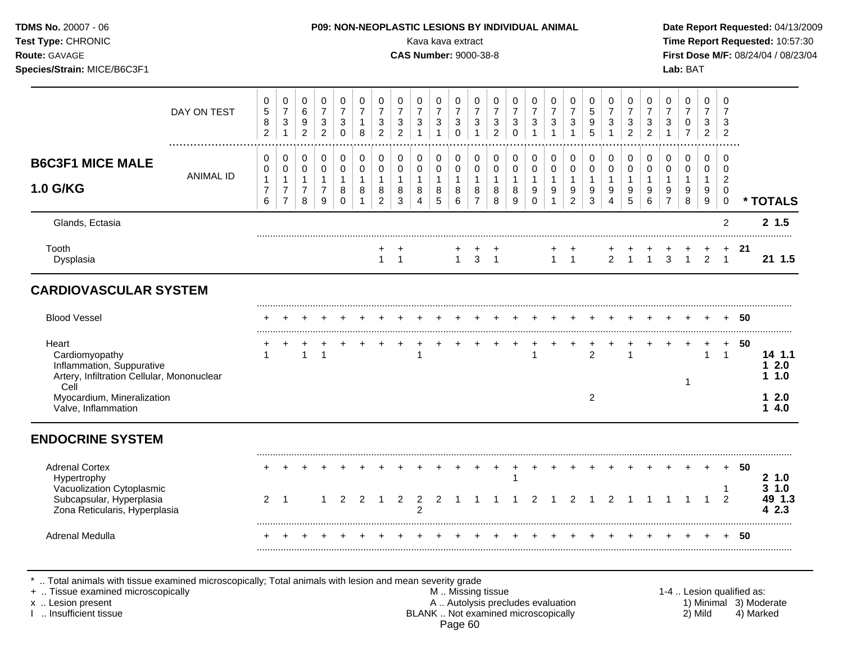| Test Type: CHRONIC<br>Route: GAVAGE<br>Species/Strain: MICE/B6C3F1                                                             |                  |                                              |                                                           |                                                    |                                                                                      |                                                                  |                                                                 |                                                                          |                                              | Kava kava extract<br><b>CAS Number: 9000-38-8</b> |                                                             |                                                                                   |                                                             |                                                                            |                                                            |                                                       |                                                                            |                                                                          |                                                                 |                                                             |                                                             |                                                 |                                                                          | Lab: BAT                                                     |                                                            |                                                             |        | Time Report Requested: 10:57:30<br>First Dose M/F: 08/24/04 / 08/23/04 |
|--------------------------------------------------------------------------------------------------------------------------------|------------------|----------------------------------------------|-----------------------------------------------------------|----------------------------------------------------|--------------------------------------------------------------------------------------|------------------------------------------------------------------|-----------------------------------------------------------------|--------------------------------------------------------------------------|----------------------------------------------|---------------------------------------------------|-------------------------------------------------------------|-----------------------------------------------------------------------------------|-------------------------------------------------------------|----------------------------------------------------------------------------|------------------------------------------------------------|-------------------------------------------------------|----------------------------------------------------------------------------|--------------------------------------------------------------------------|-----------------------------------------------------------------|-------------------------------------------------------------|-------------------------------------------------------------|-------------------------------------------------|--------------------------------------------------------------------------|--------------------------------------------------------------|------------------------------------------------------------|-------------------------------------------------------------|--------|------------------------------------------------------------------------|
|                                                                                                                                | DAY ON TEST      | $\mathbf 0$<br>$\sqrt{5}$<br>8<br>$\sqrt{2}$ | $\pmb{0}$<br>$\overline{7}$<br>$\sqrt{3}$<br>$\mathbf{1}$ | 0<br>$\,6\,$<br>$9\,$<br>$\overline{2}$            | $\begin{array}{c} 0 \\ 7 \end{array}$<br>$\ensuremath{\mathsf{3}}$<br>$\overline{c}$ | $\mathsf 0$<br>$\boldsymbol{7}$<br>$\mathfrak{S}$<br>$\mathbf 0$ | $\pmb{0}$<br>$\overline{7}$<br>$\mathbf{1}$<br>8                | $\,0\,$<br>$\overline{7}$<br>$\ensuremath{\mathsf{3}}$<br>$\overline{c}$ | $\pmb{0}$<br>$\overline{7}$<br>$\frac{3}{2}$ | 0<br>$\overline{7}$<br>3<br>$\mathbf{1}$          | $\pmb{0}$<br>$\boldsymbol{7}$<br>$\sqrt{3}$<br>$\mathbf{1}$ | $\begin{array}{c} 0 \\ 7 \end{array}$<br>$\ensuremath{\mathsf{3}}$<br>$\mathsf 0$ | $\pmb{0}$<br>$\overline{7}$<br>$\sqrt{3}$<br>$\overline{1}$ | $\pmb{0}$<br>$\overline{7}$<br>$\ensuremath{\mathsf{3}}$<br>$\overline{2}$ | $\pmb{0}$<br>$\overline{7}$<br>$\mathbf{3}$<br>$\mathbf 0$ | 0<br>$\overline{7}$<br>$\mathfrak{S}$<br>$\mathbf{1}$ | $\pmb{0}$<br>$\overline{7}$<br>$\ensuremath{\mathsf{3}}$<br>$\overline{1}$ | $\pmb{0}$<br>$\overline{7}$<br>$\ensuremath{\mathsf{3}}$<br>$\mathbf{1}$ | $\mathbf 0$<br>$\sqrt{5}$<br>$\boldsymbol{9}$<br>$\overline{5}$ | $\pmb{0}$<br>$\boldsymbol{7}$<br>$\sqrt{3}$<br>$\mathbf{1}$ | $\pmb{0}$<br>$\overline{7}$<br>$\sqrt{3}$<br>$\overline{c}$ | 0<br>$\overline{7}$<br>3<br>$\overline{2}$      | $\pmb{0}$<br>$\overline{7}$<br>$\ensuremath{\mathsf{3}}$<br>$\mathbf{1}$ | $\mathsf 0$<br>$\overline{7}$<br>$\pmb{0}$<br>$\overline{7}$ | $\mathbf 0$<br>$\overline{7}$<br>$\sqrt{3}$<br>$2^{\circ}$ | $\mathbf 0$<br>$\overline{7}$<br>3<br>$\overline{2}$        |        |                                                                        |
| <b>B6C3F1 MICE MALE</b><br>1.0 G/KG                                                                                            | <b>ANIMAL ID</b> | 0<br>0<br>$\mathbf{1}$<br>$\overline{7}$     | 0<br>$\mathbf 0$<br>$\mathbf{1}$<br>$\overline{7}$        | $\mathbf 0$<br>0<br>$\mathbf{1}$<br>$\overline{7}$ | $\pmb{0}$<br>$\pmb{0}$<br>$\mathbf{1}$<br>$\overline{7}$                             | $\mathbf 0$<br>$\mathbf 0$<br>$\mathbf{1}$<br>8                  | $\mathbf 0$<br>$\mathbf 0$<br>$\mathbf{1}$<br>8<br>$\mathbf{1}$ | 0<br>$\pmb{0}$<br>$\mathbf{1}$<br>8                                      | 0<br>$\mathbf 0$<br>$\mathbf{1}$<br>8        | 0<br>$\mathbf 0$<br>$\mathbf{1}$<br>8             | $\mathbf 0$<br>0<br>$\mathbf{1}$<br>8                       | $\mathbf 0$<br>$\mathbf 0$<br>$\mathbf{1}$<br>8                                   | 0<br>$\mathsf{O}\xspace$<br>$\mathbf{1}$<br>8               | 0<br>$\mathbf 0$<br>$\mathbf{1}$<br>8                                      | 0<br>$\mathbf 0$<br>$\mathbf{1}$<br>8                      | 0<br>$\pmb{0}$<br>$\mathbf{1}$<br>9                   | $\mathbf 0$<br>$\pmb{0}$<br>$\mathbf{1}$<br>9<br>$\mathbf{1}$              | $\mathbf 0$<br>$\mathbf 0$<br>$\mathbf{1}$<br>9                          | $\Omega$<br>$\mathbf 0$<br>$\mathbf{1}$<br>9                    | $\mathbf 0$<br>$\mathbf 0$<br>$\mathbf{1}$<br>9             | 0<br>$\mathbf 0$<br>$\mathbf{1}$<br>9                       | $\mathbf 0$<br>$\mathbf 0$<br>$\mathbf{1}$<br>9 | $\mathbf 0$<br>$\mathbf 0$<br>$\mathbf{1}$<br>9<br>$\overline{7}$        | $\mathbf 0$<br>$\mathbf 0$<br>$\mathbf{1}$<br>9              | $\mathbf 0$<br>0<br>$\mathbf{1}$<br>9                      | $\mathbf 0$<br>$\mathbf 0$<br>$\overline{2}$<br>$\mathbf 0$ |        |                                                                        |
| Glands, Ectasia                                                                                                                |                  | 6                                            | $\overline{7}$                                            | 8                                                  | 9                                                                                    | $\Omega$                                                         |                                                                 | $\overline{2}$                                                           | 3                                            | $\overline{4}$                                    | 5                                                           | 6                                                                                 | $\overline{7}$                                              | 8                                                                          | 9                                                          | $\Omega$                                              |                                                                            | $\overline{2}$                                                           | 3                                                               | $\overline{4}$                                              | 5                                                           | 6                                               |                                                                          | 8                                                            | 9                                                          | $\mathbf 0$<br>$\overline{c}$                               |        | * TOTALS<br>2, 1.5                                                     |
| Tooth<br>Dysplasia                                                                                                             |                  |                                              |                                                           |                                                    |                                                                                      |                                                                  |                                                                 | 1                                                                        | $\overline{1}$                               |                                                   |                                                             | $\mathbf{1}$                                                                      | 3                                                           | $\overline{1}$                                                             |                                                            |                                                       | $\mathbf{1}$                                                               | $\overline{1}$                                                           |                                                                 | $\overline{2}$                                              | $\mathbf{1}$                                                | $\overline{1}$                                  | 3                                                                        | $\mathbf{1}$                                                 | $\overline{2}$                                             | $\overline{1}$                                              | + 21   | 21 1.5                                                                 |
| <b>CARDIOVASCULAR SYSTEM</b>                                                                                                   |                  |                                              |                                                           |                                                    |                                                                                      |                                                                  |                                                                 |                                                                          |                                              |                                                   |                                                             |                                                                                   |                                                             |                                                                            |                                                            |                                                       |                                                                            |                                                                          |                                                                 |                                                             |                                                             |                                                 |                                                                          |                                                              |                                                            |                                                             |        |                                                                        |
| <b>Blood Vessel</b>                                                                                                            |                  |                                              |                                                           |                                                    |                                                                                      |                                                                  |                                                                 |                                                                          |                                              |                                                   |                                                             |                                                                                   |                                                             |                                                                            |                                                            |                                                       |                                                                            |                                                                          |                                                                 |                                                             |                                                             |                                                 |                                                                          |                                                              |                                                            |                                                             | + 50   |                                                                        |
| Heart<br>Cardiomyopathy<br>Inflammation, Suppurative<br>Artery, Infiltration Cellular, Mononuclear                             |                  | $\mathbf{1}$                                 |                                                           | $\mathbf{1}$                                       | $\overline{1}$                                                                       |                                                                  |                                                                 |                                                                          | $\ddot{}$                                    | $\ddot{}$<br>$\mathbf{1}$                         | $+$                                                         | $\ddot{}$                                                                         | $+$                                                         | $+$                                                                        | $+$                                                        | 1                                                     | $\ddot{}$                                                                  | $\ddot{}$                                                                | $\ddot{}$<br>$\mathfrak{p}$                                     | $\ddot{}$                                                   |                                                             | $\ddot{}$                                       | $\ddot{}$                                                                | $+$<br>-1                                                    | $+$<br>$\mathbf{1}$                                        | $+$<br>$\overline{1}$                                       | 50     | 14 1.1<br>12.0<br>1.0                                                  |
| Cell<br>Myocardium, Mineralization<br>Valve, Inflammation                                                                      |                  |                                              |                                                           |                                                    |                                                                                      |                                                                  |                                                                 |                                                                          |                                              |                                                   |                                                             |                                                                                   |                                                             |                                                                            |                                                            |                                                       |                                                                            |                                                                          | 2                                                               |                                                             |                                                             |                                                 |                                                                          |                                                              |                                                            |                                                             |        | 12.0<br>14.0                                                           |
| <b>ENDOCRINE SYSTEM</b>                                                                                                        |                  |                                              |                                                           |                                                    |                                                                                      |                                                                  |                                                                 |                                                                          |                                              |                                                   |                                                             |                                                                                   |                                                             |                                                                            |                                                            |                                                       |                                                                            |                                                                          |                                                                 |                                                             |                                                             |                                                 |                                                                          |                                                              |                                                            |                                                             |        |                                                                        |
| <b>Adrenal Cortex</b><br>Hypertrophy<br>Vacuolization Cytoplasmic<br>Subcapsular, Hyperplasia<br>Zona Reticularis, Hyperplasia |                  |                                              | $2 \quad 1$                                               |                                                    | -1                                                                                   | 2                                                                | 2                                                               | -1                                                                       | $\overline{2}$                               | 2<br>$\overline{2}$                               | 2                                                           | -1                                                                                | $\mathbf 1$                                                 | -1                                                                         | $\mathbf{1}$                                               | 2                                                     |                                                                            | $\overline{2}$                                                           | $\mathbf 1$                                                     | 2                                                           |                                                             | -1                                              | $\overline{1}$                                                           | $\overline{1}$                                               | $\overline{1}$                                             | $\mathbf{1}$<br>$\overline{2}$                              | + 50   | 21.0<br>3 1.0<br>49 1.3<br>4 2.3                                       |
|                                                                                                                                |                  |                                              |                                                           |                                                    |                                                                                      |                                                                  |                                                                 |                                                                          |                                              |                                                   |                                                             |                                                                                   |                                                             |                                                                            |                                                            |                                                       |                                                                            |                                                                          |                                                                 |                                                             |                                                             |                                                 |                                                                          |                                                              |                                                            |                                                             | $+ 50$ |                                                                        |

\* .. Total animals with tissue examined microscopically; Total animals with lesion and mean severity grade

+ .. Tissue examined microscopically M .. Missing tissue 1-4 .. Lesion qualified as: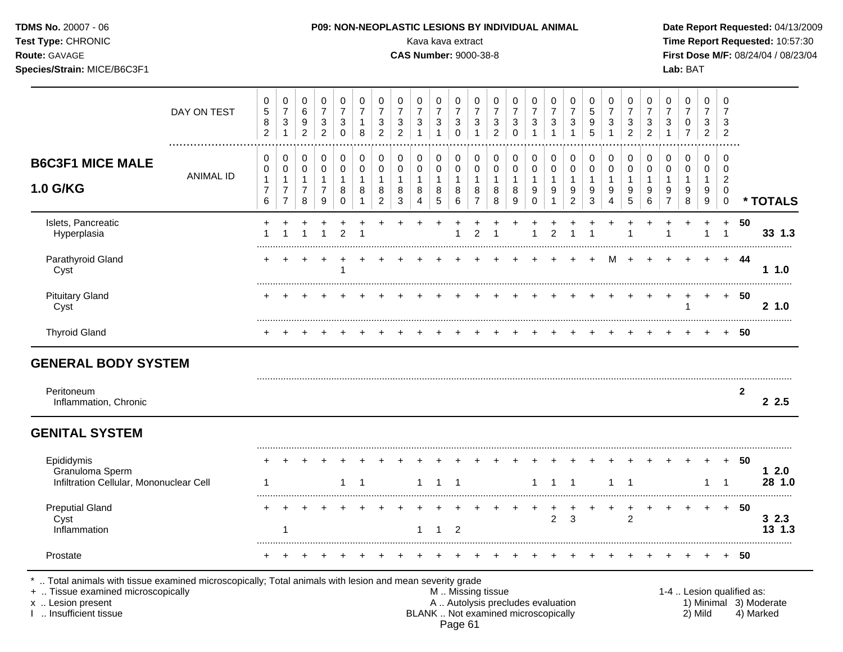| Test Type: CHRONIC<br>Route: GAVAGE<br>Species/Strain: MICE/B6C3F1 |                       |                                                     |                                                                  |                                            |                                                                          |                                                 |                                          |                                            |                                                                    | Kava kava extract<br><b>CAS Number: 9000-38-8</b> |                                          |                                                                         |                                                       |                                                               |                                      |                                       |                                          |                                        |                                         |                                                   |                                                                    |                                            |                                          | Lab: BAT                                   |                                                      |                                                      |              | Time Report Requested: 10:57:30<br>First Dose M/F: 08/24/04 / 08/23/04 |
|--------------------------------------------------------------------|-----------------------|-----------------------------------------------------|------------------------------------------------------------------|--------------------------------------------|--------------------------------------------------------------------------|-------------------------------------------------|------------------------------------------|--------------------------------------------|--------------------------------------------------------------------|---------------------------------------------------|------------------------------------------|-------------------------------------------------------------------------|-------------------------------------------------------|---------------------------------------------------------------|--------------------------------------|---------------------------------------|------------------------------------------|----------------------------------------|-----------------------------------------|---------------------------------------------------|--------------------------------------------------------------------|--------------------------------------------|------------------------------------------|--------------------------------------------|------------------------------------------------------|------------------------------------------------------|--------------|------------------------------------------------------------------------|
|                                                                    | DAY ON TEST           | $\pmb{0}$<br>$\sqrt{5}$<br>$\bf8$<br>$\overline{2}$ | 0<br>$\overline{7}$<br>$\ensuremath{\mathsf{3}}$<br>$\mathbf{1}$ | 0<br>$\,6\,$<br>9<br>$\overline{a}$        | $\,0\,$<br>$\overline{7}$<br>$\ensuremath{\mathsf{3}}$<br>$\overline{c}$ | 0<br>$\overline{7}$<br>$\sqrt{3}$<br>$\Omega$   | 0<br>$\overline{7}$<br>$\mathbf{1}$<br>8 | 0<br>$\overline{7}$<br>3<br>$\overline{2}$ | 0<br>$\overline{7}$<br>$\ensuremath{\mathsf{3}}$<br>$\overline{2}$ | 0<br>$\overline{7}$<br>3                          | 0<br>$\overline{7}$<br>3<br>$\mathbf{1}$ | $\pmb{0}$<br>$\overline{7}$<br>$\ensuremath{\mathsf{3}}$<br>$\mathbf 0$ | 0<br>$\overline{7}$<br>$\mathbf{3}$<br>$\overline{1}$ | $\mathbf 0$<br>$\overline{7}$<br>$\sqrt{3}$<br>$\overline{2}$ | 0<br>$\overline{7}$<br>3<br>$\Omega$ | 0<br>$\overline{7}$<br>$\mathbf{3}$   | 0<br>7<br>$\ensuremath{\mathsf{3}}$<br>1 | 0<br>$\overline{7}$<br>$\sqrt{3}$<br>1 | $\mathbf 0$<br>$\overline{5}$<br>9<br>5 | 0<br>$\overline{7}$<br>$\sqrt{3}$<br>$\mathbf{1}$ | 0<br>$\overline{7}$<br>$\ensuremath{\mathsf{3}}$<br>$\overline{2}$ | 0<br>$\overline{7}$<br>3<br>$\overline{c}$ | 0<br>$\overline{7}$<br>3<br>$\mathbf{1}$ | 0<br>$\overline{7}$<br>0<br>$\overline{7}$ | $\mathbf 0$<br>$\overline{7}$<br>3<br>$\overline{2}$ | $\mathbf 0$<br>$\overline{7}$<br>3<br>$\overline{2}$ |              |                                                                        |
| <b>B6C3F1 MICE MALE</b><br>1.0 G/KG                                | .<br><b>ANIMAL ID</b> | 0<br>$\pmb{0}$<br>$\mathbf{1}$<br>$\overline{7}$    | 0<br>$\mathsf 0$<br>$\mathbf{1}$<br>$\overline{7}$               | 0<br>0<br>$\overline{1}$<br>$\overline{7}$ | 0<br>$\pmb{0}$<br>$\mathbf{1}$<br>$\overline{7}$                         | $\mathbf 0$<br>$\mathbf 0$<br>$\mathbf{1}$<br>8 | 0<br>$\mathbf 0$<br>$\mathbf{1}$<br>8    | 0<br>$\pmb{0}$<br>$\mathbf{1}$<br>8        | 0<br>$\pmb{0}$<br>$\mathbf{1}$<br>8                                | 0<br>0<br>$\mathbf{1}$<br>8                       | 0<br>0<br>$\mathbf{1}$<br>8              | 0<br>$\mathsf{O}\xspace$<br>$\mathbf{1}$<br>8                           | 0<br>$\pmb{0}$<br>$\mathbf{1}$<br>8                   | 0<br>$\pmb{0}$<br>$\mathbf{1}$<br>8                           | 0<br>$\pmb{0}$<br>1<br>8             | 0<br>$\pmb{0}$<br>$\overline{1}$<br>9 | 0<br>$\pmb{0}$<br>$\mathbf{1}$<br>9      | 0<br>$\mathbf 0$<br>$\mathbf{1}$<br>9  | 0<br>$\mathbf 0$<br>$\overline{1}$<br>9 | 0<br>$\mathbf 0$<br>$\mathbf{1}$<br>9             | 0<br>$\pmb{0}$<br>$\mathbf{1}$<br>9                                | 0<br>$\mathbf 0$<br>$\mathbf{1}$<br>9      | 0<br>$\pmb{0}$<br>$\mathbf{1}$<br>$9\,$  | 0<br>$\mathbf 0$<br>$\mathbf{1}$<br>9      | 0<br>$\mathbf 0$<br>$\mathbf{1}$<br>9                | 0<br>$\mathbf 0$<br>$\overline{c}$<br>0              |              |                                                                        |
|                                                                    |                       | 6                                                   | $\overline{7}$                                                   | 8                                          | $\boldsymbol{9}$                                                         | $\mathbf 0$                                     |                                          | $\overline{2}$                             | $\mathbf{3}$                                                       | 4                                                 | 5                                        | 6                                                                       | $\overline{7}$                                        | 8                                                             | 9                                    | 0                                     | 1                                        | $\overline{c}$                         | 3                                       | $\overline{4}$                                    | 5                                                                  | 6                                          | $\overline{7}$                           | $\,8\,$                                    | 9                                                    | $\mathbf 0$                                          |              | * TOTALS                                                               |
| Islets, Pancreatic<br>Hyperplasia                                  |                       |                                                     |                                                                  |                                            |                                                                          | $\overline{2}$                                  |                                          |                                            |                                                                    |                                                   |                                          |                                                                         | $\overline{c}$                                        |                                                               |                                      |                                       | $\mathcal{P}$                            |                                        |                                         |                                                   |                                                                    |                                            |                                          |                                            |                                                      | $\ddot{}$<br>1                                       | 50           | 33 1.3                                                                 |
| Parathyroid Gland<br>Cyst                                          |                       |                                                     |                                                                  |                                            |                                                                          |                                                 |                                          |                                            |                                                                    |                                                   |                                          |                                                                         |                                                       |                                                               |                                      |                                       |                                          |                                        | $\ddot{}$                               | M                                                 |                                                                    |                                            |                                          |                                            |                                                      | $+$                                                  | - 44         | 1.0                                                                    |
| <b>Pituitary Gland</b><br>Cyst                                     |                       |                                                     |                                                                  |                                            |                                                                          |                                                 |                                          |                                            |                                                                    |                                                   |                                          |                                                                         |                                                       |                                                               |                                      |                                       |                                          |                                        |                                         |                                                   |                                                                    |                                            | $\pm$                                    | -1                                         | $+$                                                  | $+$                                                  | -50          | 21.0                                                                   |
| <b>Thyroid Gland</b>                                               |                       |                                                     |                                                                  |                                            |                                                                          |                                                 |                                          |                                            |                                                                    |                                                   |                                          |                                                                         |                                                       |                                                               |                                      |                                       |                                          |                                        |                                         |                                                   |                                                                    |                                            |                                          |                                            |                                                      | $+$                                                  | -50          |                                                                        |
| <b>GENERAL BODY SYSTEM</b>                                         |                       |                                                     |                                                                  |                                            |                                                                          |                                                 |                                          |                                            |                                                                    |                                                   |                                          |                                                                         |                                                       |                                                               |                                      |                                       |                                          |                                        |                                         |                                                   |                                                                    |                                            |                                          |                                            |                                                      |                                                      |              |                                                                        |
| Peritoneum<br>Inflammation, Chronic                                |                       |                                                     |                                                                  |                                            |                                                                          |                                                 |                                          |                                            |                                                                    |                                                   |                                          |                                                                         |                                                       |                                                               |                                      |                                       |                                          |                                        |                                         |                                                   |                                                                    |                                            |                                          |                                            |                                                      |                                                      | $\mathbf{2}$ | 2.5                                                                    |
| <b>GENITAL SYSTEM</b>                                              |                       |                                                     |                                                                  |                                            |                                                                          |                                                 |                                          |                                            |                                                                    |                                                   |                                          |                                                                         |                                                       |                                                               |                                      |                                       |                                          |                                        |                                         |                                                   |                                                                    |                                            |                                          |                                            |                                                      |                                                      |              |                                                                        |
| Epididymis<br>Granuloma Sperm                                      |                       |                                                     |                                                                  |                                            |                                                                          | $\mathbf{1}$                                    | -1                                       |                                            |                                                                    | 1                                                 | -1                                       | $\overline{1}$                                                          |                                                       |                                                               |                                      | 1                                     | $\overline{1}$                           | $\overline{1}$                         |                                         | 1                                                 | -1                                                                 |                                            |                                          |                                            |                                                      |                                                      | + 50         | 12.0<br>28 1.0                                                         |
| Infiltration Cellular, Mononuclear Cell                            |                       |                                                     |                                                                  |                                            |                                                                          |                                                 |                                          |                                            |                                                                    |                                                   |                                          |                                                                         |                                                       |                                                               |                                      |                                       |                                          |                                        |                                         |                                                   |                                                                    |                                            |                                          |                                            | $\overline{1}$                                       | -1                                                   |              |                                                                        |
| <b>Preputial Gland</b><br>Cyst<br>Inflammation                     |                       |                                                     | $\mathbf{1}$                                                     |                                            |                                                                          |                                                 |                                          |                                            |                                                                    | $\mathbf{1}$                                      | $\mathbf{1}$                             | 2                                                                       |                                                       |                                                               |                                      |                                       | ٠<br>$\overline{2}$                      | $\sqrt{3}$                             |                                         |                                                   | $\overline{c}$                                                     | $\div$                                     | $\ddot{}$                                |                                            | $\ddot{}$                                            |                                                      | $+ 50$       | 32.3<br>13 1.3                                                         |

Prostate + + + + + + + + + + + + + + + + + + + + + + + + + **50**

\* .. Total animals with tissue examined microscopically; Total animals with lesion and mean severity grade<br>+ .. Tissue examined microscopically by myssing tissue<br>M.. Missing tissue

+ .. Tissue examined microscopically examined microscopically and the state of the state of the state of the state of the M .. Missing tissue M .. Missing tissue and the state of the state of the state of the state of the x .. Lesion present **A .. Autolysis precludes evaluation** A .. Autolysis precludes evaluation 1) Minimal 3) Moderate I .. Insufficient tissue BLANK .. Not examined microscopically 2) Mild 4) Marked Page 61

.........................................................................................................................................................................................................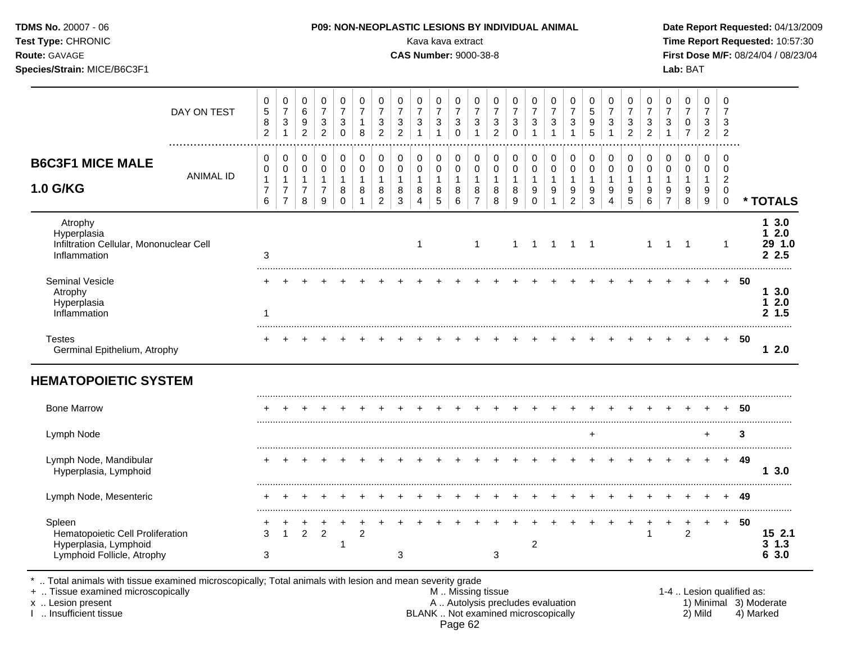| Test Type: CHRONIC<br>Route: GAVAGE<br>Species/Strain: MICE/B6C3F1                                |                  |                                                                   |                                                                              |                                               |                                                                    |                                                                |                                                                   |                                                                    |                                                                    |                                                    | Kava kava extract<br><b>CAS Number: 9000-38-8</b>  |                                                                               |                                                       |                                                                              |                                                    |                                                                |                                                                    |                                                                    |                                                                 |                                                                   |                                                      |                                               |                                                                            | Lab: BAT                                                       |                                                                     |                                                                            |        | Time Report Requested: 10:57:30<br>First Dose M/F: 08/24/04 / 08/23/04 |
|---------------------------------------------------------------------------------------------------|------------------|-------------------------------------------------------------------|------------------------------------------------------------------------------|-----------------------------------------------|--------------------------------------------------------------------|----------------------------------------------------------------|-------------------------------------------------------------------|--------------------------------------------------------------------|--------------------------------------------------------------------|----------------------------------------------------|----------------------------------------------------|-------------------------------------------------------------------------------|-------------------------------------------------------|------------------------------------------------------------------------------|----------------------------------------------------|----------------------------------------------------------------|--------------------------------------------------------------------|--------------------------------------------------------------------|-----------------------------------------------------------------|-------------------------------------------------------------------|------------------------------------------------------|-----------------------------------------------|----------------------------------------------------------------------------|----------------------------------------------------------------|---------------------------------------------------------------------|----------------------------------------------------------------------------|--------|------------------------------------------------------------------------|
|                                                                                                   | DAY ON TEST      | $\mathbf 0$<br>$\overline{5}$<br>8<br>$\overline{c}$              | 0<br>$\overline{7}$<br>$\ensuremath{\mathsf{3}}$<br>$\mathbf{1}$             | 0<br>$\,6\,$<br>$9\,$<br>$\overline{a}$       | 0<br>$\overline{7}$<br>$\ensuremath{\mathsf{3}}$<br>$\overline{2}$ | $\mathbf 0$<br>$\overline{7}$<br>3<br>$\mathbf 0$              | $\mathbf 0$<br>$\overline{7}$<br>$\mathbf{1}$<br>8                | 0<br>$\overline{7}$<br>$\ensuremath{\mathsf{3}}$<br>$\overline{2}$ | 0<br>$\overline{7}$<br>$\ensuremath{\mathsf{3}}$<br>$\overline{2}$ | $\mathbf 0$<br>$\overline{7}$<br>3<br>$\mathbf{1}$ | $\mathbf 0$<br>$\overline{7}$<br>3<br>$\mathbf{1}$ | $\mathbf 0$<br>$\overline{7}$<br>$\ensuremath{\mathsf{3}}$<br>$\mathbf 0$     | 0<br>$\overline{7}$<br>$\sqrt{3}$<br>$\overline{1}$   | $\mathbf 0$<br>$\overline{7}$<br>$\ensuremath{\mathsf{3}}$<br>$\overline{2}$ | 0<br>$\overline{7}$<br>3<br>$\mathbf 0$            | $\mathbf 0$<br>$\overline{7}$<br>3<br>$\mathbf{1}$             | 0<br>$\overline{7}$<br>$\ensuremath{\mathsf{3}}$<br>$\overline{1}$ | 0<br>$\overline{7}$<br>$\ensuremath{\mathsf{3}}$<br>$\overline{1}$ | $\Omega$<br>$\overline{5}$<br>$\boldsymbol{9}$<br>5             | $\mathbf 0$<br>$\overline{7}$<br>$\sqrt{3}$<br>$\overline{1}$     | $\mathbf 0$<br>$\overline{7}$<br>3<br>$\overline{2}$ | 0<br>$\overline{7}$<br>3<br>$\overline{2}$    | $\mathbf 0$<br>$\overline{7}$<br>$\ensuremath{\mathsf{3}}$<br>$\mathbf{1}$ | $\mathbf 0$<br>$\overline{7}$<br>$\mathbf 0$<br>$\overline{7}$ | $\mathbf 0$<br>$\overline{7}$<br>$\sqrt{3}$<br>$\overline{2}$       | $\mathbf 0$<br>$\overline{7}$<br>3<br>$\overline{2}$                       |        |                                                                        |
| <b>B6C3F1 MICE MALE</b><br><b>1.0 G/KG</b>                                                        | <b>ANIMAL ID</b> | $\mathbf 0$<br>$\mathbf 0$<br>$\mathbf{1}$<br>$\overline{7}$<br>6 | $\mathbf 0$<br>$\pmb{0}$<br>$\mathbf{1}$<br>$\overline{7}$<br>$\overline{7}$ | 0<br>0<br>$\mathbf{1}$<br>$\overline{7}$<br>8 | $\pmb{0}$<br>$\pmb{0}$<br>$\mathbf{1}$<br>$\overline{7}$<br>9      | $\mathbf 0$<br>$\pmb{0}$<br>$\overline{1}$<br>8<br>$\mathbf 0$ | $\mathbf 0$<br>$\pmb{0}$<br>$\overline{1}$<br>8<br>$\overline{1}$ | 0<br>$\pmb{0}$<br>$\mathbf{1}$<br>8<br>$\overline{2}$              | $\pmb{0}$<br>$\pmb{0}$<br>$\mathbf{1}$<br>$\,8\,$<br>$\mathbf{3}$  | 0<br>0<br>$\mathbf{1}$<br>8<br>4                   | $\pmb{0}$<br>$\pmb{0}$<br>$\mathbf{1}$<br>8<br>5   | $\pmb{0}$<br>$\mathsf{O}\xspace$<br>$\mathbf{1}$<br>$\,8\,$<br>$6\phantom{a}$ | 0<br>$\pmb{0}$<br>$\mathbf{1}$<br>8<br>$\overline{7}$ | $\pmb{0}$<br>$\pmb{0}$<br>$\mathbf{1}$<br>8<br>8                             | $\mathbf 0$<br>$\pmb{0}$<br>$\mathbf{1}$<br>8<br>9 | 0<br>$\pmb{0}$<br>$\mathbf{1}$<br>$\boldsymbol{9}$<br>$\Omega$ | $\pmb{0}$<br>$\pmb{0}$<br>$\mathbf{1}$<br>9                        | $\mathsf 0$<br>$\mathbf 0$<br>$\mathbf{1}$<br>9<br>$\overline{2}$  | $\mathbf 0$<br>$\mathbf 0$<br>$\mathbf{1}$<br>9<br>$\mathbf{3}$ | $\mathbf 0$<br>$\mathbf 0$<br>$\mathbf{1}$<br>9<br>$\overline{4}$ | $\mathbf 0$<br>$\pmb{0}$<br>$\mathbf{1}$<br>9<br>5   | 0<br>0<br>$\mathbf{1}$<br>9<br>$6\phantom{1}$ | $\pmb{0}$<br>$\pmb{0}$<br>$\mathbf{1}$<br>9<br>$\overline{7}$              | $\pmb{0}$<br>$\pmb{0}$<br>$\mathbf{1}$<br>9<br>$\,8\,$         | $\mathbf 0$<br>$\mathbf 0$<br>$\mathbf{1}$<br>9<br>$\boldsymbol{9}$ | $\mathbf 0$<br>$\mathbf 0$<br>$\overline{2}$<br>$\mathbf 0$<br>$\mathbf 0$ |        | * TOTALS                                                               |
| Atrophy<br>Hyperplasia<br>Infiltration Cellular, Mononuclear Cell<br>Inflammation                 |                  | 3                                                                 |                                                                              |                                               |                                                                    |                                                                |                                                                   |                                                                    |                                                                    | 1                                                  |                                                    |                                                                               | $\overline{1}$                                        |                                                                              | $\mathbf{1}$                                       | $\overline{1}$                                                 | $\overline{\mathbf{1}}$                                            | $\overline{1}$                                                     | $\overline{\phantom{0}}$                                        |                                                                   |                                                      | $\mathbf{1}$                                  | $\mathbf{1}$                                                               | $\overline{\phantom{0}}$                                       |                                                                     | $\mathbf{1}$                                                               |        | 13.0<br>12.0<br>29 1.0<br>2.2.5                                        |
| <b>Seminal Vesicle</b><br>Atrophy<br>Hyperplasia<br>Inflammation                                  |                  | 1                                                                 |                                                                              |                                               |                                                                    |                                                                |                                                                   |                                                                    |                                                                    |                                                    |                                                    |                                                                               |                                                       |                                                                              |                                                    |                                                                |                                                                    |                                                                    |                                                                 |                                                                   |                                                      |                                               |                                                                            |                                                                |                                                                     |                                                                            | $+ 50$ | 13.0<br>12.0<br>2, 1.5                                                 |
| <b>Testes</b><br>Germinal Epithelium, Atrophy                                                     |                  |                                                                   |                                                                              |                                               |                                                                    |                                                                |                                                                   |                                                                    |                                                                    |                                                    |                                                    |                                                                               |                                                       |                                                                              |                                                    |                                                                |                                                                    |                                                                    |                                                                 |                                                                   |                                                      |                                               |                                                                            |                                                                |                                                                     | + 50                                                                       |        | $12.0$                                                                 |
| <b>HEMATOPOIETIC SYSTEM</b><br><b>Bone Marrow</b>                                                 |                  |                                                                   |                                                                              |                                               |                                                                    |                                                                |                                                                   |                                                                    |                                                                    |                                                    |                                                    |                                                                               |                                                       |                                                                              |                                                    |                                                                |                                                                    |                                                                    |                                                                 |                                                                   |                                                      |                                               |                                                                            |                                                                |                                                                     |                                                                            | -50    |                                                                        |
| Lymph Node                                                                                        |                  |                                                                   |                                                                              |                                               |                                                                    |                                                                |                                                                   |                                                                    |                                                                    |                                                    |                                                    |                                                                               |                                                       |                                                                              |                                                    |                                                                |                                                                    |                                                                    |                                                                 |                                                                   |                                                      |                                               |                                                                            |                                                                | $\div$                                                              |                                                                            | 3      |                                                                        |
| Lymph Node, Mandibular<br>Hyperplasia, Lymphoid                                                   |                  |                                                                   |                                                                              |                                               |                                                                    |                                                                |                                                                   |                                                                    |                                                                    |                                                    |                                                    |                                                                               |                                                       |                                                                              |                                                    |                                                                |                                                                    |                                                                    |                                                                 |                                                                   |                                                      |                                               |                                                                            |                                                                |                                                                     |                                                                            | + 49   | 13.0                                                                   |
| Lymph Node, Mesenteric                                                                            |                  |                                                                   |                                                                              |                                               |                                                                    |                                                                |                                                                   |                                                                    |                                                                    | $+$                                                | $+$                                                |                                                                               |                                                       |                                                                              | + + + + + +                                        |                                                                |                                                                    |                                                                    |                                                                 |                                                                   |                                                      | + + + + + +                                   |                                                                            | $+$                                                            | $+$                                                                 |                                                                            | $+ 49$ |                                                                        |
| Spleen<br>Hematopoietic Cell Proliferation<br>Hyperplasia, Lymphoid<br>Lymphoid Follicle, Atrophy |                  | 3<br>3                                                            | $\overline{1}$                                                               | $\ddot{}$<br>$\overline{2}$                   | $\ddot{}$<br>$\overline{2}$                                        | +<br>$\mathbf{1}$                                              | 2                                                                 |                                                                    | 3                                                                  |                                                    |                                                    |                                                                               |                                                       | 3                                                                            |                                                    | $\overline{2}$                                                 |                                                                    |                                                                    |                                                                 |                                                                   | $\ddot{}$                                            | $\ddot{}$<br>$\mathbf{1}$                     | $+$                                                                        | $+$<br>$\overline{2}$                                          | $+$                                                                 |                                                                            | $+ 50$ | <br>15 2.1<br>$3 \; 1.3$<br>6 3.0                                      |

\* .. Total animals with tissue examined microscopically; Total animals with lesion and mean severity grade

+ .. Tissue examined microscopically M .. Missing tissue 1-4 .. Lesion qualified as: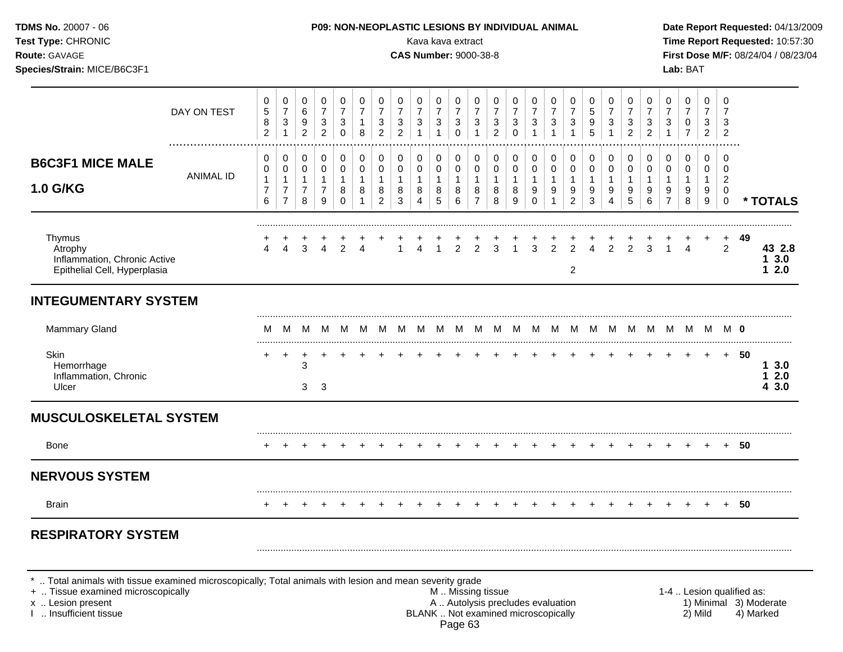| <b>TDMS No. 20007 - 06</b><br>Test Type: CHRONIC<br>Route: GAVAGE<br>Species/Strain: MICE/B6C3F1                                      |                       |                                                 |                                                                    |                                                       |                                                       |                                                    |                                                     |                                                       |                                                         | Kava kava extract<br><b>CAS Number: 9000-38-8</b> |                                                          |                                                                   |                                                       |                                            | P09: NON-NEOPLASTIC LESIONS BY INDIVIDUAL ANIMAL |                                                     |                                                       |                                          |                                           |                                                    |                                                       |                                                     |                                               | Lab: BAT                                           |                                            |                                                     |        | Date Report Requested: 04/13/2009<br>Time Report Requested: 10:57:30<br>First Dose M/F: 08/24/04 / 08/23/04 |
|---------------------------------------------------------------------------------------------------------------------------------------|-----------------------|-------------------------------------------------|--------------------------------------------------------------------|-------------------------------------------------------|-------------------------------------------------------|----------------------------------------------------|-----------------------------------------------------|-------------------------------------------------------|---------------------------------------------------------|---------------------------------------------------|----------------------------------------------------------|-------------------------------------------------------------------|-------------------------------------------------------|--------------------------------------------|--------------------------------------------------|-----------------------------------------------------|-------------------------------------------------------|------------------------------------------|-------------------------------------------|----------------------------------------------------|-------------------------------------------------------|-----------------------------------------------------|-----------------------------------------------|----------------------------------------------------|--------------------------------------------|-----------------------------------------------------|--------|-------------------------------------------------------------------------------------------------------------|
|                                                                                                                                       | DAY ON TEST           | 0<br>$\sqrt{5}$<br>8<br>$\sqrt{2}$              | 0<br>$\overline{7}$<br>$\sqrt{3}$<br>1                             | 0<br>$\,6\,$<br>9<br>$\overline{2}$                   | 0<br>$\boldsymbol{7}$<br>$\sqrt{3}$<br>$\overline{2}$ | 0<br>$\boldsymbol{7}$<br>$\sqrt{3}$<br>$\mathbf 0$ | 0<br>$\overline{7}$<br>$\mathbf{1}$<br>8            | 0<br>$\overline{7}$<br>$\sqrt{3}$<br>$\overline{2}$   | 0<br>$\boldsymbol{7}$<br>$\mathbf{3}$<br>$\overline{2}$ | 0<br>$\boldsymbol{7}$<br>3                        | $\pmb{0}$<br>$\overline{7}$<br>$\ensuremath{\mathsf{3}}$ | 0<br>$\boldsymbol{7}$<br>$\ensuremath{\mathsf{3}}$<br>$\mathbf 0$ | 0<br>$\overline{7}$<br>$\mathbf{3}$<br>1              | 0<br>$\overline{7}$<br>3<br>$\overline{2}$ | 0<br>$\overline{7}$<br>3<br>$\mathbf 0$          | 0<br>$\boldsymbol{7}$<br>$\sqrt{3}$<br>$\mathbf{1}$ | 0<br>$\overline{7}$<br>$\sqrt{3}$<br>$\mathbf{1}$     | 0<br>$\overline{7}$<br>3                 | 0<br>$\mathbf 5$<br>$\boldsymbol{9}$<br>5 | 0<br>$\overline{7}$<br>3<br>$\mathbf{1}$           | 0<br>$\overline{7}$<br>$\mathbf{3}$<br>$\overline{2}$ | 0<br>$\overline{7}$<br>$\sqrt{3}$<br>$\overline{2}$ | 0<br>$\overline{7}$<br>3                      | 0<br>$\overline{7}$<br>$\pmb{0}$<br>$\overline{7}$ | 0<br>$\overline{7}$<br>3<br>$\overline{2}$ | 0<br>$\overline{7}$<br>3<br>$\overline{2}$          |        |                                                                                                             |
| <b>B6C3F1 MICE MALE</b><br>1.0 G/KG                                                                                                   | .<br><b>ANIMAL ID</b> | 0<br>0<br>$\mathbf{1}$<br>$\boldsymbol{7}$<br>6 | 0<br>$\pmb{0}$<br>$\mathbf{1}$<br>$\overline{7}$<br>$\overline{7}$ | 0<br>$\pmb{0}$<br>$\mathbf{1}$<br>$\overline{7}$<br>8 | 0<br>$\pmb{0}$<br>$\mathbf{1}$<br>$\overline{7}$<br>9 | 0<br>$\pmb{0}$<br>$\mathbf{1}$<br>8<br>$\Omega$    | 0<br>$\pmb{0}$<br>$\mathbf{1}$<br>8<br>$\mathbf{1}$ | 0<br>$\pmb{0}$<br>$\mathbf{1}$<br>8<br>$\overline{2}$ | 0<br>$\pmb{0}$<br>$\mathbf{1}$<br>8<br>$\mathbf{3}$     | 0<br>$\pmb{0}$<br>$\mathbf{1}$<br>8<br>4          | $\pmb{0}$<br>$\mathbf 0$<br>$\mathbf{1}$<br>8<br>5       | 0<br>$\mathbf 0$<br>$\mathbf{1}$<br>$\bf 8$<br>$\,6\,$            | 0<br>$\pmb{0}$<br>$\mathbf{1}$<br>8<br>$\overline{7}$ | 0<br>0<br>$\mathbf{1}$<br>8<br>8           | 0<br>$\pmb{0}$<br>$\mathbf{1}$<br>8<br>9         | 0<br>$\pmb{0}$<br>$\mathbf{1}$<br>9<br>$\mathbf 0$  | 0<br>$\mathbf 0$<br>$\mathbf{1}$<br>9<br>$\mathbf{1}$ | 0<br>$\pmb{0}$<br>$\mathbf{1}$<br>9<br>2 | 0<br>$\pmb{0}$<br>$\mathbf{1}$<br>9<br>3  | 0<br>$\mathsf{O}\xspace$<br>$\mathbf{1}$<br>9<br>4 | 0<br>$\pmb{0}$<br>$\mathbf{1}$<br>9<br>5              | 0<br>$\pmb{0}$<br>$\mathbf{1}$<br>9<br>6            | 0<br>0<br>$\mathbf{1}$<br>9<br>$\overline{7}$ | 0<br>$\pmb{0}$<br>$\mathbf{1}$<br>9<br>8           | 0<br>$\mathbf 0$<br>$\mathbf{1}$<br>9<br>9 | $\Omega$<br>0<br>$\overline{2}$<br>0<br>$\mathbf 0$ |        | * TOTALS                                                                                                    |
| Thymus<br>Atrophy<br>Inflammation, Chronic Active<br>Epithelial Cell, Hyperplasia                                                     |                       | 4                                               | $\overline{4}$                                                     | 3                                                     | $\overline{4}$                                        | $\overline{2}$                                     | $\overline{4}$                                      |                                                       | $\mathbf{1}$                                            | $\Delta$                                          | $\overline{1}$                                           | $\overline{2}$                                                    | $\overline{2}$                                        | $\overline{3}$                             | $\overline{1}$                                   | $\overline{3}$                                      | $\overline{2}$                                        | $\overline{2}$<br>$\overline{2}$         | $\Delta$                                  | $\overline{2}$                                     | $\overline{2}$                                        | 3                                                   |                                               | $\overline{4}$                                     |                                            | $\ddot{}$<br>2                                      | 49     | 43 2.8<br>13.0<br>12.0                                                                                      |
| <b>INTEGUMENTARY SYSTEM</b>                                                                                                           |                       |                                                 |                                                                    |                                                       |                                                       |                                                    |                                                     |                                                       |                                                         |                                                   |                                                          |                                                                   |                                                       |                                            |                                                  |                                                     |                                                       |                                          |                                           |                                                    |                                                       |                                                     |                                               |                                                    |                                            |                                                     |        |                                                                                                             |
| Mammary Gland                                                                                                                         |                       | м                                               | M                                                                  | M                                                     | M                                                     | M                                                  | M                                                   | - M                                                   | M                                                       | M                                                 |                                                          | MMM                                                               |                                                       | M                                          |                                                  | MMM                                                 |                                                       | M                                        |                                           |                                                    |                                                       |                                                     |                                               | MMMMMMMM <b>0</b>                                  |                                            |                                                     |        |                                                                                                             |
| Skin<br>Hemorrhage<br>Inflammation, Chronic<br>Ulcer                                                                                  |                       | $\ddot{}$                                       | $\ddot{}$                                                          | 3<br>3                                                | -3                                                    |                                                    |                                                     |                                                       |                                                         |                                                   |                                                          |                                                                   |                                                       |                                            |                                                  |                                                     |                                                       |                                          |                                           |                                                    |                                                       |                                                     |                                               | $\ddot{}$                                          | $+$                                        |                                                     | $+ 50$ | 13.0<br>12.0<br>43.0                                                                                        |
| <b>MUSCULOSKELETAL SYSTEM</b>                                                                                                         |                       |                                                 |                                                                    |                                                       |                                                       |                                                    |                                                     |                                                       |                                                         |                                                   |                                                          |                                                                   |                                                       |                                            |                                                  |                                                     |                                                       |                                          |                                           |                                                    |                                                       |                                                     |                                               |                                                    |                                            |                                                     |        |                                                                                                             |
| <b>Bone</b>                                                                                                                           |                       |                                                 |                                                                    |                                                       |                                                       |                                                    |                                                     |                                                       |                                                         |                                                   |                                                          |                                                                   |                                                       |                                            |                                                  |                                                     |                                                       |                                          |                                           |                                                    |                                                       |                                                     |                                               |                                                    |                                            |                                                     | 50     |                                                                                                             |
| <b>NERVOUS SYSTEM</b>                                                                                                                 |                       |                                                 |                                                                    |                                                       |                                                       |                                                    |                                                     |                                                       |                                                         |                                                   |                                                          |                                                                   |                                                       |                                            |                                                  |                                                     |                                                       |                                          |                                           |                                                    |                                                       |                                                     |                                               |                                                    |                                            |                                                     |        |                                                                                                             |
| Brain                                                                                                                                 |                       |                                                 |                                                                    |                                                       |                                                       |                                                    |                                                     |                                                       |                                                         |                                                   |                                                          |                                                                   |                                                       |                                            |                                                  |                                                     |                                                       |                                          |                                           |                                                    |                                                       |                                                     |                                               |                                                    |                                            |                                                     | 50     |                                                                                                             |
| <b>RESPIRATORY SYSTEM</b><br>*  Total animals with tissue examined microscopically; Total animals with lesion and mean severity grade |                       |                                                 |                                                                    |                                                       |                                                       |                                                    |                                                     |                                                       |                                                         |                                                   |                                                          |                                                                   |                                                       |                                            |                                                  |                                                     |                                                       |                                          |                                           |                                                    |                                                       |                                                     |                                               |                                                    |                                            |                                                     |        |                                                                                                             |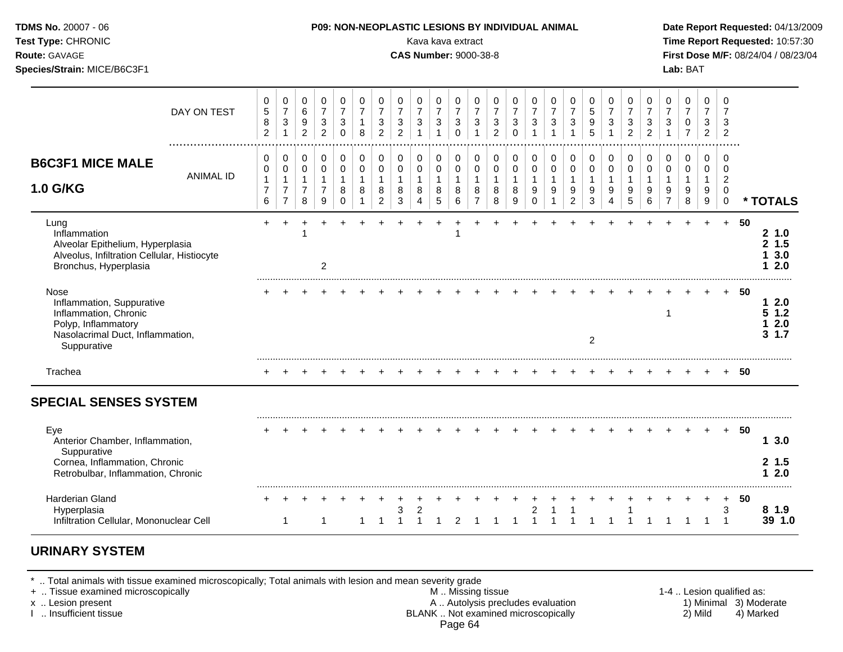| TDMS No. 20007 - 06<br>Test Type: CHRONIC<br>Route: GAVAGE<br>Species/Strain: MICE/B6C3F1                                            |                  |                                                                 |                                                                              |                                                            |                                                         |                                                              |                                               |                                                                 |                                                                    | P09: NON-NEOPLASTIC LESIONS BY INDIVIDUAL ANIMAL<br>Kava kava extract<br><b>CAS Number: 9000-38-8</b> |                                                                              |                                                                 |                                                                  |                                                                      |                                                         |                                                     |                                                                    |                                                               |                                          |                                                                              |                                                                              |                                                                              |                                                                              | Lab: BAT                                             |                                                                              |                                                                  |        | Date Report Requested: 04/13/2009<br>Time Report Requested: 10:57:30<br>First Dose M/F: 08/24/04 / 08/23/04 |
|--------------------------------------------------------------------------------------------------------------------------------------|------------------|-----------------------------------------------------------------|------------------------------------------------------------------------------|------------------------------------------------------------|---------------------------------------------------------|--------------------------------------------------------------|-----------------------------------------------|-----------------------------------------------------------------|--------------------------------------------------------------------|-------------------------------------------------------------------------------------------------------|------------------------------------------------------------------------------|-----------------------------------------------------------------|------------------------------------------------------------------|----------------------------------------------------------------------|---------------------------------------------------------|-----------------------------------------------------|--------------------------------------------------------------------|---------------------------------------------------------------|------------------------------------------|------------------------------------------------------------------------------|------------------------------------------------------------------------------|------------------------------------------------------------------------------|------------------------------------------------------------------------------|------------------------------------------------------|------------------------------------------------------------------------------|------------------------------------------------------------------|--------|-------------------------------------------------------------------------------------------------------------|
|                                                                                                                                      | DAY ON TEST      | $\mathbf 0$<br>$\sqrt{5}$<br>8<br>$\overline{2}$                | 0<br>$\overline{7}$<br>$\ensuremath{\mathsf{3}}$<br>$\mathbf{1}$             | $\mathbf 0$<br>$\,6$<br>$\boldsymbol{9}$<br>$\overline{2}$ | 0<br>$\overline{7}$<br>$\mathbf{3}$<br>$\overline{2}$   | 0<br>$\overline{7}$<br>$\ensuremath{\mathsf{3}}$<br>$\Omega$ | 0<br>$\overline{7}$<br>$\mathbf{1}$<br>8      | $\mathbf 0$<br>$\overline{7}$<br>$\mathbf{3}$<br>$\overline{2}$ | 0<br>$\overline{7}$<br>$\ensuremath{\mathsf{3}}$<br>$\overline{2}$ | 0<br>$\boldsymbol{7}$<br>$\ensuremath{\mathsf{3}}$<br>$\overline{1}$                                  | $\mathbf 0$<br>$\overline{7}$<br>$\ensuremath{\mathsf{3}}$<br>$\overline{1}$ | 0<br>$\overline{7}$<br>$\ensuremath{\mathsf{3}}$<br>$\mathbf 0$ | 0<br>$\overline{7}$<br>$\ensuremath{\mathsf{3}}$<br>$\mathbf{1}$ | 0<br>$\boldsymbol{7}$<br>$\ensuremath{\mathsf{3}}$<br>$\overline{2}$ | $\mathbf 0$<br>$\overline{7}$<br>$\sqrt{3}$<br>$\Omega$ | 0<br>$\overline{7}$<br>$\mathbf{3}$<br>$\mathbf{1}$ | 0<br>$\overline{7}$<br>$\mathbf{3}$<br>$\mathbf{1}$                | $\mathbf 0$<br>$\overline{7}$<br>$\mathbf{3}$<br>$\mathbf{1}$ | 0<br>5<br>9<br>5                         | 0<br>$\overline{7}$<br>$\ensuremath{\mathsf{3}}$<br>$\overline{1}$           | $\mathbf 0$<br>$\overline{7}$<br>$\ensuremath{\mathsf{3}}$<br>$\overline{2}$ | $\mathbf 0$<br>$\overline{7}$<br>$\ensuremath{\mathsf{3}}$<br>$\overline{2}$ | $\mathbf 0$<br>$\overline{7}$<br>$\ensuremath{\mathsf{3}}$<br>$\overline{1}$ | 0<br>$\overline{7}$<br>$\mathbf 0$<br>$\overline{7}$ | $\mathbf 0$<br>$\overline{7}$<br>$\ensuremath{\mathsf{3}}$<br>$\overline{2}$ | $\mathbf 0$<br>$\overline{7}$<br>3<br>$\overline{2}$             |        |                                                                                                             |
| <b>B6C3F1 MICE MALE</b><br><b>1.0 G/KG</b>                                                                                           | <b>ANIMAL ID</b> | $\mathbf 0$<br>$\pmb{0}$<br>$\mathbf{1}$<br>$\overline{7}$<br>6 | $\mathbf 0$<br>$\pmb{0}$<br>$\mathbf{1}$<br>$\overline{7}$<br>$\overline{7}$ | 0<br>$\pmb{0}$<br>$\mathbf{1}$<br>$\overline{7}$<br>8      | 0<br>$\mathsf 0$<br>$\mathbf{1}$<br>$\overline{7}$<br>9 | $\pmb{0}$<br>$\pmb{0}$<br>$\mathbf{1}$<br>8<br>$\Omega$      | $\pmb{0}$<br>$\mathbf 0$<br>$\mathbf{1}$<br>8 | 0<br>$\pmb{0}$<br>$\mathbf{1}$<br>8<br>$\overline{2}$           | 0<br>$\mathbf 0$<br>$\mathbf{1}$<br>$\,8\,$<br>3                   | $\pmb{0}$<br>$\pmb{0}$<br>$\mathbf{1}$<br>8<br>$\overline{4}$                                         | $\pmb{0}$<br>$\pmb{0}$<br>$\mathbf{1}$<br>8<br>$\overline{5}$                | 0<br>$\pmb{0}$<br>$\mathbf{1}$<br>8<br>$\,6\,$                  | 0<br>$\pmb{0}$<br>$\mathbf{1}$<br>8<br>$\overline{7}$            | 0<br>$\pmb{0}$<br>$\mathbf{1}$<br>8<br>8                             | 0<br>$\pmb{0}$<br>$\mathbf{1}$<br>8<br>9                | 0<br>$\pmb{0}$<br>$\mathbf{1}$<br>9<br>$\Omega$     | 0<br>$\pmb{0}$<br>$\mathbf{1}$<br>$\boldsymbol{9}$<br>$\mathbf{1}$ | 0<br>$\pmb{0}$<br>$\mathbf{1}$<br>9<br>$\overline{2}$         | 0<br>$\pmb{0}$<br>$\mathbf{1}$<br>9<br>3 | $\pmb{0}$<br>$\pmb{0}$<br>$\mathbf{1}$<br>$\boldsymbol{9}$<br>$\overline{4}$ | 0<br>$\pmb{0}$<br>$\mathbf{1}$<br>9<br>$\overline{5}$                        | 0<br>$\pmb{0}$<br>$\mathbf{1}$<br>$9\,$<br>$\,6\,$                           | $\pmb{0}$<br>$\pmb{0}$<br>$\overline{1}$<br>9<br>$\overline{7}$              | $\mathbf 0$<br>$\pmb{0}$<br>$\mathbf{1}$<br>9<br>8   | 0<br>$\pmb{0}$<br>$\mathbf{1}$<br>9<br>$\boldsymbol{9}$                      | 0<br>$\mathbf 0$<br>$\overline{2}$<br>$\mathbf 0$<br>$\mathbf 0$ |        | * TOTALS                                                                                                    |
| Lung<br>Inflammation<br>Alveolar Epithelium, Hyperplasia<br>Alveolus, Infiltration Cellular, Histiocyte<br>Bronchus, Hyperplasia     |                  | $+$                                                             | $+$                                                                          | $\ddot{}$                                                  | $+$<br>$\boldsymbol{2}$                                 | $+$                                                          |                                               |                                                                 |                                                                    | $+$                                                                                                   | $+$                                                                          | $\ddot{}$                                                       | $+$                                                              | $+$                                                                  |                                                         |                                                     |                                                                    |                                                               |                                          |                                                                              |                                                                              |                                                                              |                                                                              |                                                      | $+$                                                                          | $+$                                                              | -50    | 21.0<br>2, 1.5<br>13.0<br>12.0                                                                              |
| Nose<br>Inflammation, Suppurative<br>Inflammation, Chronic<br>Polyp, Inflammatory<br>Nasolacrimal Duct, Inflammation,<br>Suppurative |                  |                                                                 |                                                                              |                                                            |                                                         |                                                              |                                               |                                                                 |                                                                    |                                                                                                       |                                                                              |                                                                 |                                                                  |                                                                      |                                                         |                                                     |                                                                    |                                                               | $\overline{2}$                           |                                                                              |                                                                              |                                                                              | $\mathbf 1$                                                                  |                                                      |                                                                              |                                                                  | $+ 50$ | 12.0<br>51.2<br>12.0<br>31.7                                                                                |
| Trachea                                                                                                                              |                  |                                                                 |                                                                              |                                                            |                                                         |                                                              |                                               |                                                                 |                                                                    |                                                                                                       |                                                                              |                                                                 |                                                                  |                                                                      |                                                         |                                                     |                                                                    |                                                               |                                          |                                                                              |                                                                              |                                                                              |                                                                              |                                                      |                                                                              |                                                                  | $+ 50$ |                                                                                                             |
| <b>SPECIAL SENSES SYSTEM</b>                                                                                                         |                  |                                                                 |                                                                              |                                                            |                                                         |                                                              |                                               |                                                                 |                                                                    |                                                                                                       |                                                                              |                                                                 |                                                                  |                                                                      |                                                         |                                                     |                                                                    |                                                               |                                          |                                                                              |                                                                              |                                                                              |                                                                              |                                                      |                                                                              |                                                                  |        |                                                                                                             |
| Eye<br>Anterior Chamber, Inflammation,<br>Suppurative<br>Cornea, Inflammation, Chronic<br>Retrobulbar, Inflammation, Chronic         |                  |                                                                 |                                                                              |                                                            |                                                         |                                                              |                                               |                                                                 |                                                                    |                                                                                                       |                                                                              |                                                                 |                                                                  |                                                                      |                                                         |                                                     |                                                                    |                                                               |                                          |                                                                              |                                                                              |                                                                              |                                                                              |                                                      |                                                                              | $+$                                                              | -50    | 13.0<br>2, 1.5<br>12.0                                                                                      |
| <b>Harderian Gland</b><br>Hyperplasia<br>Infiltration Cellular, Mononuclear Cell                                                     |                  |                                                                 | 1                                                                            |                                                            | 1                                                       |                                                              | $\mathbf 1$                                   | $\overline{1}$                                                  | 3<br>$\overline{1}$                                                | 2<br>$\overline{1}$                                                                                   | $\overline{1}$                                                               | 2                                                               | $\mathbf{1}$                                                     |                                                                      | $1 \quad 1$                                             | $\overline{2}$<br>$\overline{1}$                    | $\overline{1}$                                                     | $\mathbf{1}$                                                  | $\mathbf{1}$                             | $\overline{1}$                                                               | $\overline{1}$                                                               | $\overline{1}$                                                               |                                                                              | $1 \quad 1$                                          | $\overline{1}$                                                               | $+$<br>3<br>$\overline{1}$                                       | 50     | 8 1.9<br>39 1.0                                                                                             |

## **URINARY SYSTEM**

\* .. Total animals with tissue examined microscopically; Total animals with lesion and mean severity grade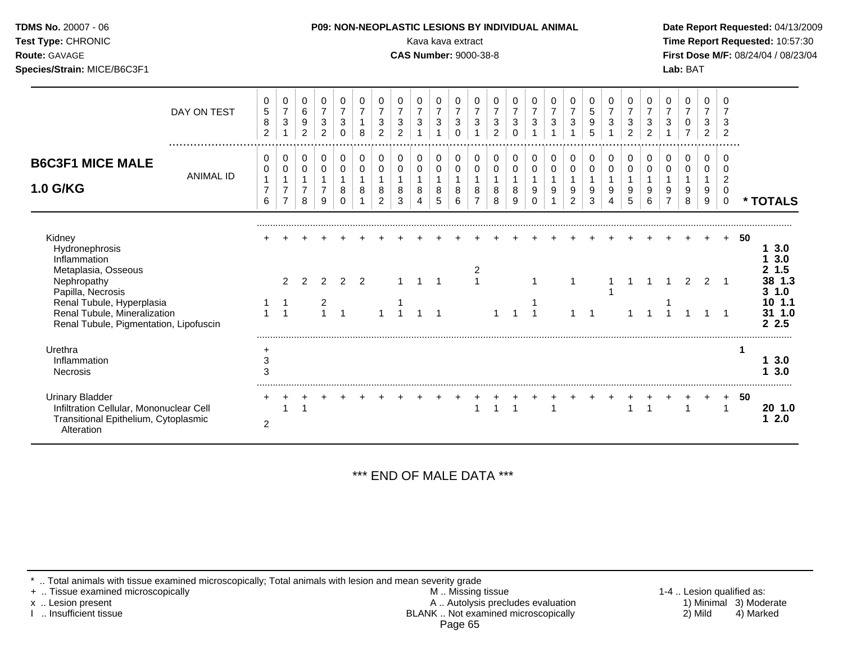| Test Type: CHRONIC<br>Route: GAVAGE<br>Species/Strain: MICE/B6C3F1                                                               |                  |                                                         |                                                                   |                                                       |                                                                 |                                                      |                                          |                                                                    |                                                                      | Kava kava extract<br><b>CAS Number: 9000-38-8</b>            |                                          |                                                                 |                                                       |                                                                    |                                                      |                                           |                                                     |                                                                  |                                            |                                  |                                                                    |                                                       |                                                     | Lab: BAT                                   |                                            |                                                                  |    | Time Report Requested: 10:57:30<br>First Dose M/F: 08/24/04 / 08/23/04 |
|----------------------------------------------------------------------------------------------------------------------------------|------------------|---------------------------------------------------------|-------------------------------------------------------------------|-------------------------------------------------------|-----------------------------------------------------------------|------------------------------------------------------|------------------------------------------|--------------------------------------------------------------------|----------------------------------------------------------------------|--------------------------------------------------------------|------------------------------------------|-----------------------------------------------------------------|-------------------------------------------------------|--------------------------------------------------------------------|------------------------------------------------------|-------------------------------------------|-----------------------------------------------------|------------------------------------------------------------------|--------------------------------------------|----------------------------------|--------------------------------------------------------------------|-------------------------------------------------------|-----------------------------------------------------|--------------------------------------------|--------------------------------------------|------------------------------------------------------------------|----|------------------------------------------------------------------------|
|                                                                                                                                  | DAY ON TEST      | 0<br>$\,$ 5 $\,$<br>$\bf 8$<br>$\overline{c}$           | 0<br>$\overline{7}$<br>$\sqrt{3}$<br>1                            | 0<br>$\,6\,$<br>$\boldsymbol{9}$<br>$\overline{c}$    | 0<br>$\overline{7}$<br>$\sqrt{3}$<br>$\overline{2}$             | 0<br>$\boldsymbol{7}$<br>$\mathbf{3}$<br>$\mathbf 0$ | 0<br>$\overline{7}$<br>$\mathbf{1}$<br>8 | 0<br>$\overline{7}$<br>$\ensuremath{\mathsf{3}}$<br>$\overline{c}$ | 0<br>$\boldsymbol{7}$<br>$\ensuremath{\mathsf{3}}$<br>$\overline{2}$ | $\Omega$<br>$\boldsymbol{7}$<br>$\sqrt{3}$<br>$\overline{1}$ | 0<br>$\overline{7}$<br>3<br>$\mathbf{1}$ | 0<br>$\overline{7}$<br>$\ensuremath{\mathsf{3}}$<br>$\mathbf 0$ | 0<br>$\boldsymbol{7}$<br>$\mathbf{3}$<br>$\mathbf{1}$ | 0<br>$\overline{7}$<br>$\ensuremath{\mathsf{3}}$<br>$\overline{2}$ | 0<br>$\boldsymbol{7}$<br>$\mathbf{3}$<br>$\mathbf 0$ | 0<br>$\overline{7}$<br>3                  | 0<br>$\overline{7}$<br>$\sqrt{3}$<br>$\overline{ }$ | 0<br>$\overline{7}$<br>$\ensuremath{\mathsf{3}}$<br>$\mathbf{1}$ | 0<br>$\overline{5}$<br>$9\,$<br>5          | 0<br>$\overline{7}$<br>3         | 0<br>$\overline{7}$<br>$\ensuremath{\mathsf{3}}$<br>$\overline{c}$ | 0<br>$\overline{7}$<br>$\mathbf{3}$<br>$\overline{c}$ | 0<br>$\overline{7}$<br>$\mathbf{3}$<br>$\mathbf{1}$ | 0<br>$\overline{7}$<br>0<br>$\overline{7}$ | 0<br>$\overline{7}$<br>3<br>$\overline{2}$ | $\Omega$<br>7<br>3<br>$\overline{2}$                             |    |                                                                        |
| <b>B6C3F1 MICE MALE</b><br>1.0 G/KG                                                                                              | <b>ANIMAL ID</b> | $\mathbf 0$<br>0<br>$\mathbf{1}$<br>$\overline{7}$<br>6 | 0<br>$\pmb{0}$<br>$\mathbf 1$<br>$\overline{7}$<br>$\overline{7}$ | 0<br>$\pmb{0}$<br>$\mathbf{1}$<br>$\overline{7}$<br>8 | $\mathbf 0$<br>$\pmb{0}$<br>$\mathbf{1}$<br>$\overline{7}$<br>9 | 0<br>$\pmb{0}$<br>$\mathbf{1}$<br>8<br>0             | 0<br>0<br>$\mathbf{1}$<br>8              | 0<br>$\pmb{0}$<br>$\mathbf{1}$<br>8<br>$\overline{c}$              | 0<br>$\mathbf 0$<br>8<br>3                                           | 0<br>$\pmb{0}$<br>$\mathbf{1}$<br>8<br>4                     | 0<br>0<br>$\mathbf{1}$<br>8<br>5         | 0<br>$\pmb{0}$<br>$\mathbf{1}$<br>8<br>6                        | 0<br>$\pmb{0}$<br>$\mathbf{1}$<br>8<br>$\overline{7}$ | 0<br>0<br>$\mathbf{1}$<br>$\bf 8$<br>8                             | 0<br>$\pmb{0}$<br>$\mathbf{1}$<br>8<br>9             | 0<br>0<br>$\overline{1}$<br>9<br>$\Omega$ | 0<br>$\pmb{0}$<br>$\mathbf{1}$<br>9                 | 0<br>$\pmb{0}$<br>1<br>9<br>$\overline{2}$                       | $\mathbf 0$<br>0<br>$\mathbf{1}$<br>9<br>3 | 0<br>0<br>$\mathbf{1}$<br>9<br>4 | 0<br>0<br>$\mathbf{1}$<br>9<br>5                                   | 0<br>$\pmb{0}$<br>$\mathbf{1}$<br>9<br>6              | 0<br>0<br>$\mathbf{1}$<br>9<br>$\overline{7}$       | 0<br>0<br>$\overline{1}$<br>9<br>8         | 0<br>0<br>$\mathbf{1}$<br>9<br>9           | 0<br>$\mathbf 0$<br>$\overline{c}$<br>$\mathbf 0$<br>$\mathbf 0$ |    | * TOTALS                                                               |
| Kidney<br>Hydronephrosis<br>Inflammation<br>Metaplasia, Osseous<br>Nephropathy<br>Papilla, Necrosis<br>Renal Tubule, Hyperplasia |                  |                                                         | 2<br>$\mathbf 1$                                                  | $\mathcal{P}$                                         | $\overline{2}$                                                  | $\overline{2}$                                       | 2                                        |                                                                    |                                                                      | $\mathbf{1}$                                                 |                                          |                                                                 | $\mathbf{1}$                                          |                                                                    |                                                      |                                           |                                                     |                                                                  |                                            |                                  |                                                                    |                                                       |                                                     | 2                                          | 2                                          |                                                                  | 50 | 13.0<br>3.0<br>1.5<br>2<br>38 1.3<br>31.0<br>10 1.1                    |
| Renal Tubule, Mineralization<br>Renal Tubule, Pigmentation, Lipofuscin                                                           |                  | $\mathbf{1}$                                            | $\overline{1}$                                                    |                                                       | $\frac{2}{1}$                                                   | $\overline{1}$                                       |                                          |                                                                    |                                                                      | $\overline{1}$                                               | $\overline{1}$                           |                                                                 |                                                       |                                                                    |                                                      |                                           |                                                     |                                                                  |                                            |                                  |                                                                    |                                                       |                                                     |                                            |                                            | $\overline{1}$                                                   |    | 31 1.0<br>2.5                                                          |
| Urethra<br>Inflammation<br>Necrosis                                                                                              |                  | $\ddot{}$<br>$\ensuremath{\mathsf{3}}$<br>3             |                                                                   |                                                       |                                                                 |                                                      |                                          |                                                                    |                                                                      |                                                              |                                          |                                                                 |                                                       |                                                                    |                                                      |                                           |                                                     |                                                                  |                                            |                                  |                                                                    |                                                       |                                                     |                                            |                                            |                                                                  | 1  | 13.0<br>3.0                                                            |
| <b>Urinary Bladder</b><br>Infiltration Cellular, Mononuclear Cell<br>Transitional Epithelium, Cytoplasmic<br>Alteration          |                  | $\overline{c}$                                          |                                                                   |                                                       |                                                                 |                                                      |                                          |                                                                    |                                                                      |                                                              |                                          |                                                                 | 1                                                     |                                                                    | 1                                                    |                                           | $\overline{\mathbf{1}}$                             |                                                                  |                                            |                                  |                                                                    | $\overline{1}$                                        |                                                     | $\overline{1}$                             |                                            | 1                                                                | 50 | 20 1.0<br>12.0                                                         |

\*\*\* END OF MALE DATA \*\*\*

\* .. Total animals with tissue examined microscopically; Total animals with lesion and mean severity grade

+ .. Tissue examined microscopically M .. Missing tissue 1-4 .. Lesion qualified as: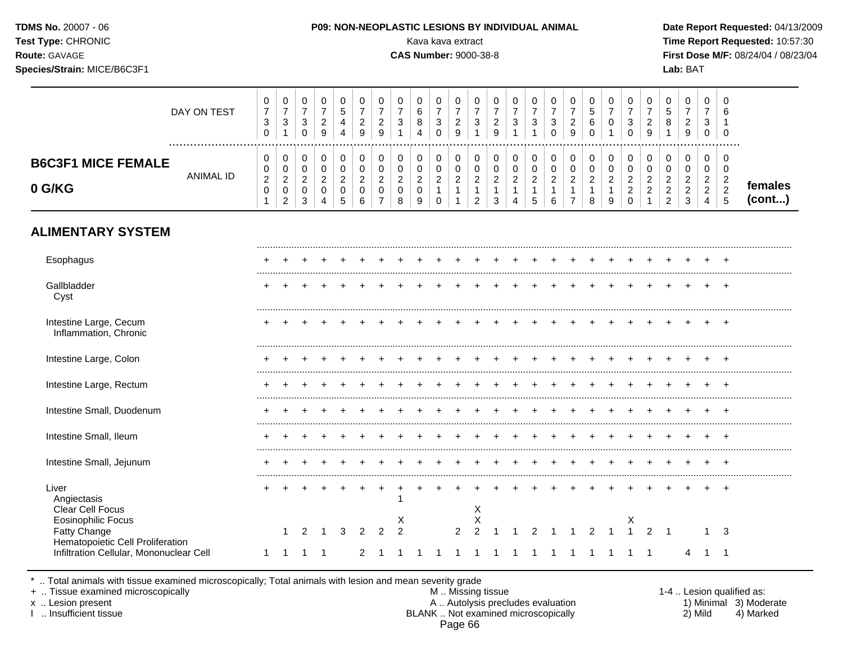| TDMS No. 20007 - 06<br>Test Type: CHRONIC<br>Route: GAVAGE<br>Species/Strain: MICE/B6C3F1          |                                                                 |                                                                    |                                                                             |                                                        |                                                                |                                                        |                                                                               |                                                              | P09: NON-NEOPLASTIC LESIONS BY INDIVIDUAL ANIMAL<br>Kava kava extract<br><b>CAS Number: 9000-38-8</b> |                                                                             |                                                                    |                                                                      |                                                                   |                                                                              |                                                                 |                                                               |                                                            |                                                       |                                                                                |                                                                                       |                                                                            |                                                                              | Lab: BAT                                                                     |                                                                        |                                                                           | Date Report Requested: 04/13/2009<br>Time Report Requested: 10:57:30<br>First Dose M/F: 08/24/04 / 08/23/04 |
|----------------------------------------------------------------------------------------------------|-----------------------------------------------------------------|--------------------------------------------------------------------|-----------------------------------------------------------------------------|--------------------------------------------------------|----------------------------------------------------------------|--------------------------------------------------------|-------------------------------------------------------------------------------|--------------------------------------------------------------|-------------------------------------------------------------------------------------------------------|-----------------------------------------------------------------------------|--------------------------------------------------------------------|----------------------------------------------------------------------|-------------------------------------------------------------------|------------------------------------------------------------------------------|-----------------------------------------------------------------|---------------------------------------------------------------|------------------------------------------------------------|-------------------------------------------------------|--------------------------------------------------------------------------------|---------------------------------------------------------------------------------------|----------------------------------------------------------------------------|------------------------------------------------------------------------------|------------------------------------------------------------------------------|------------------------------------------------------------------------|---------------------------------------------------------------------------|-------------------------------------------------------------------------------------------------------------|
| DAY ON TEST                                                                                        | $\pmb{0}$<br>$\overline{7}$<br>3<br>$\mathbf 0$                 | $\boldsymbol{0}$<br>$\overline{7}$<br>$\mathbf{3}$<br>$\mathbf{1}$ | $\mathbf 0$<br>$\overline{7}$<br>$\mathbf{3}$<br>$\mathbf 0$                | 0<br>$\overline{7}$<br>$\sqrt{2}$<br>9                 | 0<br>5<br>4<br>$\overline{4}$                                  | $\mathbf 0$<br>$\overline{7}$<br>$\boldsymbol{2}$<br>9 | 0<br>$\overline{7}$<br>$\overline{c}$<br>9                                    | $\mathbf 0$<br>$\overline{7}$<br>$\sqrt{3}$<br>$\mathbf{1}$  | $\mathbf 0$<br>$\,6\,$<br>$\bf 8$<br>$\overline{4}$                                                   | $\mathbf 0$<br>$\overline{7}$<br>$\mathbf{3}$<br>$\mathbf 0$                | $\boldsymbol{0}$<br>$\overline{7}$<br>$\sqrt{2}$<br>9              | $\mathbf 0$<br>$\overline{7}$<br>$\mathbf{3}$<br>$\mathbf{1}$        | $\mathbf 0$<br>$\overline{7}$<br>$\overline{2}$<br>9              | $\mathbf 0$<br>$\overline{7}$<br>$\mathbf{3}$<br>$\overline{1}$              | 0<br>$\overline{7}$<br>$\mathbf{3}$<br>$\mathbf{1}$             | 0<br>$\overline{7}$<br>3<br>$\mathbf 0$                       | 0<br>$\overline{7}$<br>$\overline{c}$<br>9                 | 0<br>5<br>6<br>$\mathbf 0$                            | $\mathbf 0$<br>$\overline{7}$<br>$\mathbf 0$<br>$\overline{1}$                 | 0<br>$\overline{7}$<br>$\mathbf{3}$<br>$\mathbf 0$                                    | $\pmb{0}$<br>$\overline{7}$<br>$\sqrt{2}$<br>9                             | $\mathbf 0$<br>$\sqrt{5}$<br>$\bf 8$<br>$\mathbf{1}$                         | $\mathbf 0$<br>$\overline{7}$<br>$\sqrt{2}$<br>9                             | $\mathbf 0$<br>$\overline{7}$<br>3<br>$\mathbf 0$                      | $\mathbf 0$<br>6<br>$\overline{1}$<br>$\Omega$                            |                                                                                                             |
| <b>B6C3F1 MICE FEMALE</b><br><b>ANIMAL ID</b><br>0 G/KG                                            | 0<br>$\mathbf 0$<br>$\overline{c}$<br>$\pmb{0}$<br>$\mathbf{1}$ | 0<br>$\mathsf 0$<br>$\overline{a}$<br>$\pmb{0}$<br>$\overline{2}$  | $\mathbf 0$<br>$\mathbf 0$<br>$\overline{2}$<br>$\mathbf 0$<br>$\mathbf{3}$ | 0<br>$\mathbf 0$<br>$\overline{a}$<br>$\mathbf 0$<br>4 | $\pmb{0}$<br>$\mathbf 0$<br>$\overline{c}$<br>$\mathbf 0$<br>5 | 0<br>$\pmb{0}$<br>$\overline{c}$<br>$\pmb{0}$<br>6     | $\mathbf 0$<br>$\mathbf 0$<br>$\overline{a}$<br>$\mathbf 0$<br>$\overline{7}$ | $\mathbf 0$<br>$\mathbf 0$<br>$\sqrt{2}$<br>$\mathbf 0$<br>8 | $\boldsymbol{0}$<br>$\mathbf 0$<br>$\overline{c}$<br>$\pmb{0}$<br>9                                   | $\mathbf 0$<br>$\mathbf 0$<br>$\overline{c}$<br>$\mathbf{1}$<br>$\mathbf 0$ | 0<br>$\mathbf 0$<br>$\overline{2}$<br>$\mathbf{1}$<br>$\mathbf{1}$ | 0<br>$\mathbf 0$<br>$\overline{c}$<br>$\mathbf{1}$<br>$\overline{2}$ | $\mathbf 0$<br>$\mathbf 0$<br>$\overline{c}$<br>$\mathbf{1}$<br>3 | $\pmb{0}$<br>$\mathbf 0$<br>$\overline{2}$<br>$\mathbf{1}$<br>$\overline{4}$ | $\pmb{0}$<br>$\mathsf 0$<br>$\overline{a}$<br>$\mathbf{1}$<br>5 | 0<br>$\mathbf 0$<br>$\overline{a}$<br>$\mathbf{1}$<br>$\,6\,$ | 0<br>0<br>$\overline{c}$<br>$\mathbf{1}$<br>$\overline{7}$ | $\pmb{0}$<br>0<br>$\overline{c}$<br>$\mathbf{1}$<br>8 | $\pmb{0}$<br>$\pmb{0}$<br>$\boldsymbol{2}$<br>$\mathbf{1}$<br>$\boldsymbol{9}$ | $\mathbf 0$<br>$\mathbf 0$<br>$\overline{2}$<br>$\overline{c}$<br>$\mathsf{O}\xspace$ | $\mathbf 0$<br>$\mathbf 0$<br>$\overline{c}$<br>$\sqrt{2}$<br>$\mathbf{1}$ | $\mathbf 0$<br>$\mathbf 0$<br>$\sqrt{2}$<br>$\overline{2}$<br>$\overline{c}$ | $\mathbf 0$<br>$\mathbf 0$<br>$\boldsymbol{2}$<br>$\sqrt{2}$<br>$\mathbf{3}$ | 0<br>$\mathbf 0$<br>$\overline{2}$<br>$\overline{2}$<br>$\overline{4}$ | $\mathbf 0$<br>$\Omega$<br>$\overline{2}$<br>$\overline{2}$<br>$\sqrt{5}$ | females<br>(cont)                                                                                           |
| <b>ALIMENTARY SYSTEM</b>                                                                           |                                                                 |                                                                    |                                                                             |                                                        |                                                                |                                                        |                                                                               |                                                              |                                                                                                       |                                                                             |                                                                    |                                                                      |                                                                   |                                                                              |                                                                 |                                                               |                                                            |                                                       |                                                                                |                                                                                       |                                                                            |                                                                              |                                                                              |                                                                        |                                                                           |                                                                                                             |
| Esophagus                                                                                          |                                                                 |                                                                    |                                                                             |                                                        |                                                                |                                                        |                                                                               |                                                              |                                                                                                       |                                                                             |                                                                    |                                                                      |                                                                   |                                                                              |                                                                 |                                                               |                                                            |                                                       |                                                                                |                                                                                       |                                                                            |                                                                              |                                                                              |                                                                        |                                                                           |                                                                                                             |
| Gallbladder<br>Cyst                                                                                |                                                                 |                                                                    |                                                                             |                                                        |                                                                |                                                        |                                                                               |                                                              |                                                                                                       |                                                                             |                                                                    |                                                                      |                                                                   |                                                                              |                                                                 |                                                               |                                                            |                                                       |                                                                                | $\ddot{}$                                                                             |                                                                            |                                                                              |                                                                              |                                                                        |                                                                           |                                                                                                             |
| Intestine Large, Cecum<br>Inflammation, Chronic                                                    |                                                                 |                                                                    |                                                                             |                                                        |                                                                |                                                        |                                                                               |                                                              |                                                                                                       |                                                                             |                                                                    |                                                                      |                                                                   |                                                                              |                                                                 |                                                               |                                                            |                                                       | $\overline{+}$                                                                 |                                                                                       |                                                                            |                                                                              |                                                                              |                                                                        |                                                                           |                                                                                                             |
| Intestine Large, Colon                                                                             |                                                                 |                                                                    |                                                                             |                                                        |                                                                |                                                        |                                                                               |                                                              |                                                                                                       |                                                                             |                                                                    |                                                                      |                                                                   |                                                                              |                                                                 |                                                               |                                                            |                                                       |                                                                                | $\div$                                                                                |                                                                            |                                                                              |                                                                              |                                                                        |                                                                           |                                                                                                             |
| Intestine Large, Rectum                                                                            |                                                                 |                                                                    |                                                                             |                                                        |                                                                |                                                        |                                                                               |                                                              |                                                                                                       |                                                                             |                                                                    |                                                                      |                                                                   |                                                                              |                                                                 |                                                               |                                                            |                                                       |                                                                                |                                                                                       |                                                                            |                                                                              |                                                                              |                                                                        |                                                                           |                                                                                                             |
| Intestine Small, Duodenum                                                                          |                                                                 |                                                                    |                                                                             |                                                        |                                                                |                                                        |                                                                               |                                                              |                                                                                                       |                                                                             |                                                                    |                                                                      |                                                                   |                                                                              |                                                                 |                                                               |                                                            |                                                       |                                                                                |                                                                                       |                                                                            |                                                                              |                                                                              |                                                                        |                                                                           |                                                                                                             |
| Intestine Small, Ileum                                                                             |                                                                 |                                                                    |                                                                             |                                                        |                                                                |                                                        |                                                                               |                                                              |                                                                                                       |                                                                             |                                                                    |                                                                      |                                                                   |                                                                              |                                                                 |                                                               |                                                            |                                                       |                                                                                |                                                                                       |                                                                            |                                                                              |                                                                              |                                                                        |                                                                           |                                                                                                             |
| Intestine Small, Jejunum                                                                           |                                                                 |                                                                    |                                                                             |                                                        |                                                                |                                                        |                                                                               |                                                              |                                                                                                       |                                                                             |                                                                    |                                                                      |                                                                   |                                                                              |                                                                 |                                                               |                                                            |                                                       |                                                                                |                                                                                       |                                                                            |                                                                              |                                                                              |                                                                        |                                                                           |                                                                                                             |
| Liver<br>Angiectasis<br>Clear Cell Focus<br><b>Eosinophilic Focus</b>                              |                                                                 |                                                                    |                                                                             |                                                        |                                                                |                                                        |                                                                               | -1                                                           |                                                                                                       |                                                                             |                                                                    | X                                                                    |                                                                   |                                                                              |                                                                 |                                                               |                                                            |                                                       |                                                                                |                                                                                       |                                                                            |                                                                              |                                                                              |                                                                        |                                                                           |                                                                                                             |
| <b>Fatty Change</b><br>Hematopoietic Cell Proliferation<br>Infiltration Cellular, Mononuclear Cell | $\mathbf{1}$                                                    | $\mathbf{1}$<br>$\overline{1}$                                     | 2<br>-1                                                                     | $\overline{1}$<br>$\overline{1}$                       | 3                                                              | 2<br>2                                                 | 2                                                                             | X<br>$\overline{2}$<br>-1                                    | $\overline{1}$                                                                                        | $\overline{1}$                                                              | 2<br>$\overline{1}$                                                | Χ<br>$\overline{2}$<br>$\overline{1}$                                | -1                                                                | -1                                                                           | 2<br>$\overline{1}$                                             | $\overline{1}$                                                | -1                                                         | 2<br>1                                                | -1                                                                             | х<br>$\mathbf{1}$                                                                     | $\overline{2}$<br>$\overline{\phantom{1}}$                                 |                                                                              | 4                                                                            | $\mathbf{1}$                                                           | 3<br>$\overline{1}$                                                       |                                                                                                             |

\* .. Total animals with tissue examined microscopically; Total animals with lesion and mean severity grade

+ .. Tissue examined microscopically M .. Missing tissue 1-4 .. Lesion qualified as: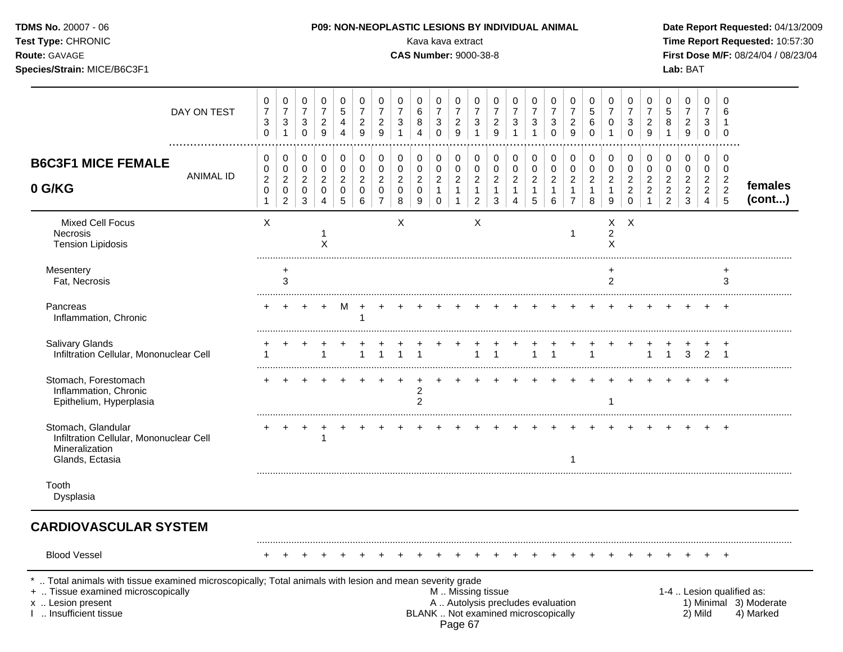| Route: GAVAGE<br>Species/Strain: MICE/B6C3F1                                                       |                                               |                                                           |                                                    |                                                           |                                    |                                              |                                                 |                                              | <b>CAS Number: 9000-38-8</b> |                                         |                                                          |                                                            |                                               |                               |                          |                               |                                            |                                                 |                                               |                                                           |                                                     |                                                              | Lab: BAT                                                 |                                                 |                                                 | First Dose M/F: 08/24/04 / 08/23/04 |
|----------------------------------------------------------------------------------------------------|-----------------------------------------------|-----------------------------------------------------------|----------------------------------------------------|-----------------------------------------------------------|------------------------------------|----------------------------------------------|-------------------------------------------------|----------------------------------------------|------------------------------|-----------------------------------------|----------------------------------------------------------|------------------------------------------------------------|-----------------------------------------------|-------------------------------|--------------------------|-------------------------------|--------------------------------------------|-------------------------------------------------|-----------------------------------------------|-----------------------------------------------------------|-----------------------------------------------------|--------------------------------------------------------------|----------------------------------------------------------|-------------------------------------------------|-------------------------------------------------|-------------------------------------|
| DAY ON TEST                                                                                        | 0<br>$\overline{7}$<br>3<br>0                 | 0<br>$\overline{7}$<br>$\sqrt{3}$<br>1                    | 0<br>$\overline{7}$<br>$\mathbf{3}$<br>$\mathbf 0$ | 0<br>$\overline{7}$<br>$\overline{c}$<br>$\boldsymbol{9}$ | 0<br>5<br>4<br>4                   | 0<br>$\overline{7}$<br>$\overline{c}$<br>9   | 0<br>$\boldsymbol{7}$<br>$\overline{c}$<br>9    | 0<br>7<br>$\sqrt{3}$<br>1                    | 0<br>6<br>8<br>4             | 0<br>7<br>3<br>$\mathbf 0$              | 0<br>$\overline{7}$<br>$\overline{c}$<br>9               | 0<br>$\boldsymbol{7}$<br>$\mathbf{3}$<br>1                 | 0<br>$\overline{7}$<br>$\overline{c}$<br>9    | 0<br>7<br>3                   | 0<br>$\overline{7}$<br>3 | 0<br>7<br>3<br>$\mathbf 0$    | 0<br>7<br>$\overline{c}$<br>9              | 0<br>$\sqrt{5}$<br>$\,6\,$<br>$\mathbf 0$       | 0<br>7<br>0<br>1                              | 0<br>$\overline{7}$<br>3<br>$\mathbf 0$                   | 0<br>$\overline{7}$<br>$\overline{\mathbf{c}}$<br>9 | 0<br>$\mathbf 5$<br>8<br>$\mathbf{1}$                        | 0<br>7<br>$\overline{c}$<br>$\boldsymbol{9}$             | 0<br>7<br>3<br>0                                | $\Omega$<br>6<br>-1<br>0                        |                                     |
| <b>B6C3F1 MICE FEMALE</b><br><b>ANIMAL ID</b><br>0 G/KG                                            | 0<br>0<br>$\overline{c}$<br>0<br>$\mathbf{1}$ | 0<br>0<br>$\overline{c}$<br>$\mathbf 0$<br>$\overline{c}$ | 0<br>0<br>$\overline{2}$<br>0<br>3                 | 0<br>0<br>$\overline{2}$<br>0<br>4                        | 0<br>0<br>$\overline{2}$<br>0<br>5 | 0<br>$\mathbf 0$<br>$\overline{2}$<br>0<br>6 | 0<br>0<br>$\overline{c}$<br>0<br>$\overline{7}$ | 0<br>$\mathbf 0$<br>$\overline{2}$<br>0<br>8 | 0<br>0<br>2<br>0<br>9        | 0<br>0<br>$\overline{2}$<br>$\mathbf 0$ | $\pmb{0}$<br>$\pmb{0}$<br>$\overline{c}$<br>$\mathbf{1}$ | 0<br>0<br>$\overline{2}$<br>$\mathbf{1}$<br>$\overline{2}$ | 0<br>0<br>$\overline{2}$<br>$\mathbf{1}$<br>3 | 0<br>0<br>$\overline{c}$<br>4 | 0<br>0<br>2<br>5         | 0<br>0<br>$\overline{2}$<br>6 | 0<br>0<br>$\overline{2}$<br>$\overline{7}$ | 0<br>0<br>$\overline{2}$<br>$\overline{1}$<br>8 | 0<br>0<br>$\overline{2}$<br>$\mathbf{1}$<br>9 | 0<br>0<br>$\overline{2}$<br>$\overline{c}$<br>$\mathbf 0$ | 0<br>0<br>$\overline{c}$<br>$\overline{c}$          | 0<br>0<br>$\overline{c}$<br>$\overline{c}$<br>$\overline{2}$ | 0<br>0<br>$\overline{2}$<br>$\overline{c}$<br>$\sqrt{3}$ | 0<br>0<br>$\overline{2}$<br>$\overline{2}$<br>4 | 0<br>0<br>$\overline{c}$<br>$\overline{c}$<br>5 | females<br>(cont)                   |
| <b>Mixed Cell Focus</b><br>Necrosis<br><b>Tension Lipidosis</b>                                    | X                                             |                                                           |                                                    | X                                                         |                                    |                                              |                                                 | X                                            |                              |                                         |                                                          | X                                                          |                                               |                               |                          |                               |                                            |                                                 | х<br>$\overline{\mathbf{c}}$<br>X             | $\times$                                                  |                                                     |                                                              |                                                          |                                                 |                                                 |                                     |
| Mesentery<br>Fat, Necrosis                                                                         |                                               | $\ddot{}$<br>3                                            |                                                    |                                                           |                                    |                                              |                                                 |                                              |                              |                                         |                                                          |                                                            |                                               |                               |                          |                               |                                            |                                                 | +<br>$\overline{2}$                           |                                                           |                                                     |                                                              |                                                          |                                                 | 3                                               |                                     |
| Pancreas<br>Inflammation, Chronic                                                                  |                                               |                                                           |                                                    |                                                           |                                    |                                              |                                                 |                                              |                              |                                         |                                                          |                                                            |                                               |                               |                          |                               |                                            |                                                 |                                               |                                                           |                                                     |                                                              |                                                          |                                                 |                                                 |                                     |
| Salivary Glands<br>Infiltration Cellular, Mononuclear Cell                                         |                                               |                                                           |                                                    |                                                           |                                    |                                              |                                                 |                                              |                              |                                         |                                                          |                                                            |                                               |                               |                          |                               |                                            |                                                 |                                               |                                                           |                                                     |                                                              | 3                                                        | $\overline{2}$                                  |                                                 |                                     |
| Stomach, Forestomach<br>Inflammation, Chronic<br>Epithelium, Hyperplasia                           |                                               |                                                           |                                                    |                                                           |                                    |                                              |                                                 |                                              | 2<br>$\overline{2}$          |                                         |                                                          |                                                            |                                               |                               |                          |                               |                                            |                                                 |                                               |                                                           |                                                     |                                                              |                                                          |                                                 |                                                 |                                     |
| Stomach, Glandular<br>Infiltration Cellular, Mononuclear Cell<br>Mineralization<br>Glands, Ectasia |                                               |                                                           |                                                    |                                                           |                                    |                                              |                                                 |                                              |                              |                                         |                                                          |                                                            |                                               |                               |                          |                               |                                            |                                                 |                                               |                                                           |                                                     |                                                              |                                                          |                                                 |                                                 |                                     |
| Tooth<br>Dysplasia                                                                                 |                                               |                                                           |                                                    |                                                           |                                    |                                              |                                                 |                                              |                              |                                         |                                                          |                                                            |                                               |                               |                          |                               |                                            |                                                 |                                               |                                                           |                                                     |                                                              |                                                          |                                                 |                                                 |                                     |
| <b>CARDIOVASCULAR SYSTEM</b>                                                                       |                                               |                                                           |                                                    |                                                           |                                    |                                              |                                                 |                                              |                              |                                         |                                                          |                                                            |                                               |                               |                          |                               |                                            |                                                 |                                               |                                                           |                                                     |                                                              |                                                          |                                                 |                                                 |                                     |
| <b>Blood Vessel</b>                                                                                |                                               |                                                           |                                                    |                                                           |                                    |                                              |                                                 |                                              |                              |                                         |                                                          |                                                            |                                               |                               |                          |                               |                                            |                                                 |                                               |                                                           |                                                     |                                                              |                                                          |                                                 |                                                 |                                     |

**TDMS No.** 20007 - 06 **P09: NON-NEOPLASTIC LESIONS BY INDIVIDUAL ANIMAL Date Report Requested:** 04/13/2009 **Test Type:** CHRONIC **Transfer CHRONIC** Kava Rava extract Kava extract **Time Report Requested:** 10:57:30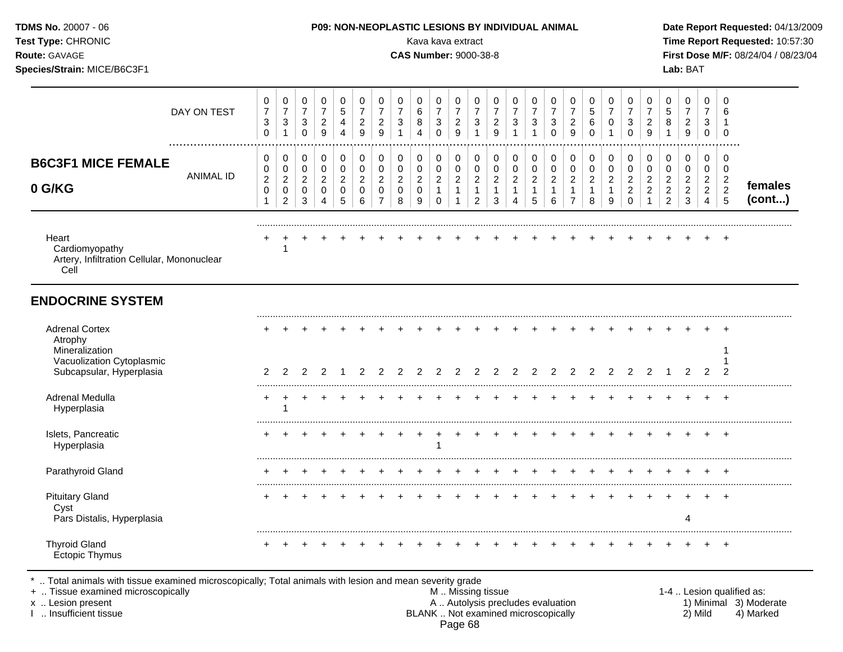| TDMS No. 20007 - 06<br>Test Type: CHRONIC<br>Route: GAVAGE<br>Species/Strain: MICE/B6C3F1                   |                                                                 |                                                                             |                                                                          | P09: NON-NEOPLASTIC LESIONS BY INDIVIDUAL ANIMAL                        |                                                               |                                                                    |                                                                         |                                                                    | Kava kava extract<br><b>CAS Number: 9000-38-8</b> |                                                                           |                                                        |                                                                              |                                                                   |                                                                        |                                                                            |                                                    |                                                            |                                                               |                                                                 |                                                                             |                                                      |                                                              | Lab: BAT                                                      |                                                                      |                                                      | Date Report Requested: 04/13/2009<br>Time Report Requested: 10:57:30<br>First Dose M/F: 08/24/04 / 08/23/04 |
|-------------------------------------------------------------------------------------------------------------|-----------------------------------------------------------------|-----------------------------------------------------------------------------|--------------------------------------------------------------------------|-------------------------------------------------------------------------|---------------------------------------------------------------|--------------------------------------------------------------------|-------------------------------------------------------------------------|--------------------------------------------------------------------|---------------------------------------------------|---------------------------------------------------------------------------|--------------------------------------------------------|------------------------------------------------------------------------------|-------------------------------------------------------------------|------------------------------------------------------------------------|----------------------------------------------------------------------------|----------------------------------------------------|------------------------------------------------------------|---------------------------------------------------------------|-----------------------------------------------------------------|-----------------------------------------------------------------------------|------------------------------------------------------|--------------------------------------------------------------|---------------------------------------------------------------|----------------------------------------------------------------------|------------------------------------------------------|-------------------------------------------------------------------------------------------------------------|
| DAY ON TEST                                                                                                 | 0<br>$\overline{7}$<br>$\ensuremath{\mathsf{3}}$<br>$\mathbf 0$ | 0<br>$\boldsymbol{7}$<br>$\ensuremath{\mathsf{3}}$<br>$\mathbf{1}$          | 0<br>$\overline{\mathbf{7}}$<br>$\ensuremath{\mathsf{3}}$<br>$\mathbf 0$ | 0<br>$\boldsymbol{7}$<br>$\frac{2}{9}$                                  | 0<br>$\,$ 5 $\,$<br>$\overline{\mathbf{4}}$<br>$\overline{4}$ | 0<br>$\boldsymbol{7}$<br>$\sqrt{2}$<br>$\overline{9}$              | 0<br>$\boldsymbol{7}$<br>$\boldsymbol{2}$<br>9                          | 0<br>$\boldsymbol{7}$<br>$\ensuremath{\mathsf{3}}$<br>$\mathbf{1}$ | 0<br>6<br>8<br>$\overline{A}$                     | 0<br>$\overline{7}$<br>$\ensuremath{\mathsf{3}}$<br>$\mathbf 0$           | 0<br>$\boldsymbol{7}$<br>$\frac{2}{9}$                 | $\mathbf 0$<br>$\boldsymbol{7}$<br>$\ensuremath{\mathsf{3}}$<br>$\mathbf{1}$ | 0<br>$\overline{7}$<br>$\overline{\mathbf{c}}$<br>$\overline{9}$  | $\boldsymbol{0}$<br>$\boldsymbol{7}$<br>$\sqrt{3}$<br>$\overline{1}$   | 0<br>$\boldsymbol{7}$<br>$\ensuremath{\mathsf{3}}$<br>$\mathbf{1}$         | 0<br>$\overline{7}$<br>$\mathbf{3}$<br>$\mathbf 0$ | 0<br>$\boldsymbol{7}$<br>$\overline{a}$<br>$\overline{9}$  | 0<br>$\,$ 5 $\,$<br>$\,6\,$<br>$\Omega$                       | 0<br>$\overline{7}$<br>$\pmb{0}$                                | 0<br>$\boldsymbol{7}$<br>$\ensuremath{\mathsf{3}}$<br>$\mathbf 0$           | 0<br>$\overline{7}$<br>$\frac{2}{9}$                 | 0<br>$\,$ 5 $\,$<br>8<br>$\mathbf{1}$                        | 0<br>$\overline{7}$<br>$\boldsymbol{2}$<br>9                  | 0<br>$\overline{7}$<br>3<br>$\mathbf 0$                              | $\Omega$<br>$\Omega$                                 |                                                                                                             |
| .<br><b>B6C3F1 MICE FEMALE</b><br><b>ANIMAL ID</b><br>0 G/KG                                                | 0<br>0<br>$\overline{c}$<br>$\pmb{0}$<br>1                      | $\mathbf 0$<br>$\mathbf 0$<br>$\overline{a}$<br>$\pmb{0}$<br>$\overline{2}$ | $\pmb{0}$<br>$\mathsf 0$<br>$\sqrt{2}$<br>$\pmb{0}$<br>$\mathbf{3}$      | $\pmb{0}$<br>$\mathbf 0$<br>$\sqrt{2}$<br>$\mathbf 0$<br>$\overline{4}$ | $\pmb{0}$<br>0<br>$\sqrt{2}$<br>$\mathbf 0$<br>5              | $\pmb{0}$<br>$\mathbf 0$<br>$\sqrt{2}$<br>$\mathsf{O}\xspace$<br>6 | $\pmb{0}$<br>$\mathbf 0$<br>$\sqrt{2}$<br>$\mathbf 0$<br>$\overline{7}$ | 0<br>$\pmb{0}$<br>$\overline{c}$<br>0<br>8                         | 0<br>0<br>$\overline{2}$<br>$\mathsf 0$<br>9      | $\pmb{0}$<br>$\pmb{0}$<br>$\boldsymbol{2}$<br>$\mathbf{1}$<br>$\mathbf 0$ | $\pmb{0}$<br>$\mathbf 0$<br>$\sqrt{2}$<br>$\mathbf{1}$ | $\pmb{0}$<br>$\pmb{0}$<br>$\boldsymbol{2}$<br>$\mathbf{1}$<br>$\overline{2}$ | $\pmb{0}$<br>$\mathbf 0$<br>$\overline{2}$<br>$\overline{1}$<br>3 | $\pmb{0}$<br>$\pmb{0}$<br>$\sqrt{2}$<br>$\mathbf{1}$<br>$\overline{4}$ | $\pmb{0}$<br>$\mathbf 0$<br>$\boldsymbol{2}$<br>$\mathbf{1}$<br>$\sqrt{5}$ | 0<br>$\pmb{0}$<br>$\sqrt{2}$<br>$\mathbf{1}$<br>6  | 0<br>0<br>$\overline{a}$<br>$\mathbf{1}$<br>$\overline{7}$ | $\pmb{0}$<br>$\pmb{0}$<br>$\overline{c}$<br>$\mathbf{1}$<br>8 | $\pmb{0}$<br>$\pmb{0}$<br>$\boldsymbol{2}$<br>$\mathbf{1}$<br>9 | $\pmb{0}$<br>$\mathbf 0$<br>$\overline{c}$<br>$\overline{c}$<br>$\mathbf 0$ | 0<br>$\pmb{0}$<br>$\overline{c}$<br>$\boldsymbol{2}$ | 0<br>0<br>$\overline{2}$<br>$\overline{c}$<br>$\overline{2}$ | $\,0\,$<br>$\pmb{0}$<br>$\overline{c}$<br>$\overline{c}$<br>3 | $\pmb{0}$<br>0<br>$\overline{c}$<br>$\overline{2}$<br>$\overline{4}$ | 0<br>$\mathbf 0$<br>$\overline{2}$<br>$\overline{5}$ | females<br>(cont)                                                                                           |
| Heart<br>Cardiomyopathy<br>Artery, Infiltration Cellular, Mononuclear<br>Cell                               |                                                                 |                                                                             |                                                                          |                                                                         |                                                               |                                                                    |                                                                         |                                                                    |                                                   |                                                                           |                                                        |                                                                              |                                                                   |                                                                        |                                                                            |                                                    |                                                            |                                                               |                                                                 |                                                                             |                                                      |                                                              |                                                               |                                                                      |                                                      |                                                                                                             |
| <b>ENDOCRINE SYSTEM</b>                                                                                     |                                                                 |                                                                             |                                                                          |                                                                         |                                                               |                                                                    |                                                                         |                                                                    |                                                   |                                                                           |                                                        |                                                                              |                                                                   |                                                                        |                                                                            |                                                    |                                                            |                                                               |                                                                 |                                                                             |                                                      |                                                              |                                                               |                                                                      |                                                      |                                                                                                             |
| <b>Adrenal Cortex</b><br>Atrophy<br>Mineralization<br>Vacuolization Cytoplasmic<br>Subcapsular, Hyperplasia | 2                                                               | 2                                                                           | 2                                                                        | 2                                                                       |                                                               | 2                                                                  | 2                                                                       | 2                                                                  | $\overline{2}$                                    | 2                                                                         | $\overline{2}$                                         | $\overline{2}$                                                               | $\overline{2}$                                                    | 2                                                                      | $\overline{2}$                                                             | 2                                                  | $\overline{2}$                                             | 2                                                             | 2                                                               | $\overline{2}$                                                              | 2                                                    | $\overline{1}$                                               | 2                                                             | 2                                                                    | $\overline{2}$                                       |                                                                                                             |
| Adrenal Medulla<br>Hyperplasia                                                                              | +                                                               | $\div$                                                                      |                                                                          |                                                                         |                                                               |                                                                    |                                                                         |                                                                    |                                                   |                                                                           |                                                        |                                                                              |                                                                   |                                                                        |                                                                            |                                                    |                                                            |                                                               |                                                                 |                                                                             |                                                      |                                                              |                                                               | $\pm$                                                                | $+$                                                  |                                                                                                             |
| Islets, Pancreatic<br>Hyperplasia                                                                           | $\pm$                                                           |                                                                             |                                                                          |                                                                         |                                                               |                                                                    |                                                                         |                                                                    |                                                   | -1                                                                        |                                                        |                                                                              |                                                                   |                                                                        |                                                                            |                                                    |                                                            |                                                               |                                                                 |                                                                             |                                                      |                                                              |                                                               | $+$                                                                  | $+$                                                  |                                                                                                             |
| Parathyroid Gland                                                                                           |                                                                 |                                                                             |                                                                          |                                                                         |                                                               |                                                                    |                                                                         |                                                                    |                                                   |                                                                           |                                                        |                                                                              |                                                                   |                                                                        |                                                                            |                                                    |                                                            |                                                               |                                                                 |                                                                             |                                                      |                                                              |                                                               |                                                                      | $\pm$                                                |                                                                                                             |
| <b>Pituitary Gland</b><br>Cyst<br>Pars Distalis, Hyperplasia                                                | $\pm$                                                           |                                                                             |                                                                          |                                                                         |                                                               |                                                                    |                                                                         |                                                                    |                                                   |                                                                           |                                                        |                                                                              |                                                                   |                                                                        |                                                                            |                                                    |                                                            |                                                               |                                                                 |                                                                             |                                                      |                                                              | 4                                                             |                                                                      | $\overline{+}$                                       |                                                                                                             |
| <b>Thyroid Gland</b><br><b>Ectopic Thymus</b>                                                               |                                                                 |                                                                             |                                                                          |                                                                         |                                                               |                                                                    |                                                                         |                                                                    |                                                   |                                                                           |                                                        |                                                                              |                                                                   |                                                                        |                                                                            |                                                    |                                                            |                                                               |                                                                 |                                                                             |                                                      |                                                              |                                                               |                                                                      | $\overline{+}$                                       |                                                                                                             |

.. Total animals with tissue examined microscopically<br>+ .. Tissue examined microscopically<br>x .. Lesion present<br>1 .. Insufficient tissue + .. Tissue examined microscopically M .. Missing tissue 1-4 .. Lesion qualified as: x .. Lesion present **A .. Autolysis precludes evaluation** A .. Autolysis precludes evaluation 1) Minimal 3) Moderate I .. Insufficient tissue BLANK .. Not examined microscopically 2) Mild 4) Marked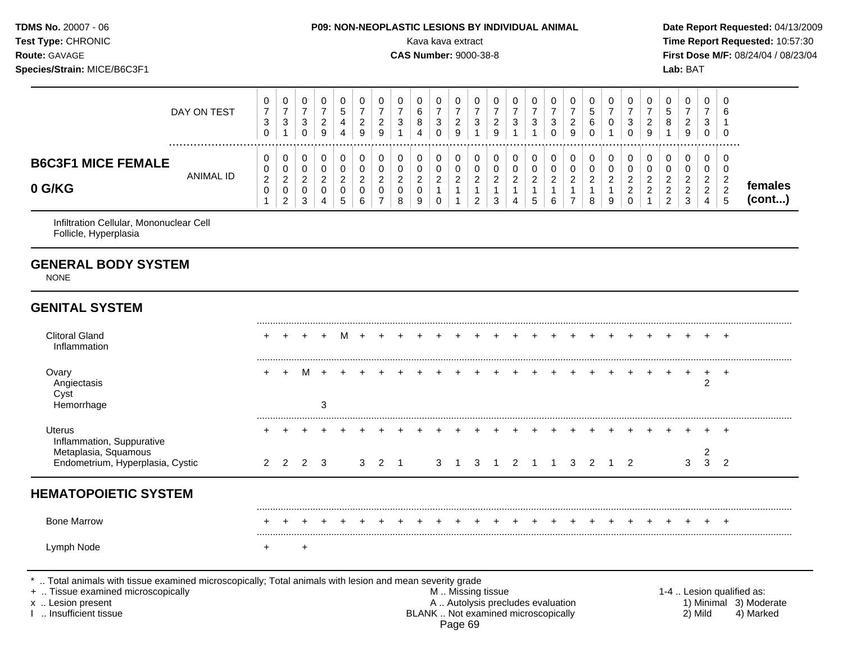| <b>TDMS No. 20007 - 06</b><br><b>Test Type: CHRONIC</b><br><b>Route: GAVAGE</b><br>Species/Strain: MICE/B6C3F1 |             | <b>P09: NON-NEOPLASTIC LESIONS BY INDIVIDUAL ANIMAL</b><br>Kava kava extract<br><b>CAS Number: 9000-38-8</b> | Date Report Requested: 04/13/2009<br>Time Report Requested: 10:57:30<br>First Dose M/F: 08/24/04 / 08/23/04<br>Lab: BAT |
|----------------------------------------------------------------------------------------------------------------|-------------|--------------------------------------------------------------------------------------------------------------|-------------------------------------------------------------------------------------------------------------------------|
|                                                                                                                | DAY ON TEST | 0                                                                                                            | 0<br>6                                                                                                                  |

Infiltration Cellular, Mononuclear Cell Follicle, Hyperplasia

**B6C3F1 MICE FEMALE**

#### **GENERAL BODY SYSTEM**

NONE

**0 G/KG**

#### **GENITAL SYSTEM** ......................................................................................................................................................................................................... Clitoral Gland + + + + M + + + + + + + + + + + + + + + + + + + + Inflammation ......................................................................................................................................................................................................... Ovary + + M + + + + + + + + + + + + + + + + + + + + + +

ANIMAL ID

| $\sim$ vary<br>Angiectasis<br>Cyst<br>Hemorrhage         |         | 3 |  |       |  |                |     |  |              |  |  |     |  |   |     |  |
|----------------------------------------------------------|---------|---|--|-------|--|----------------|-----|--|--------------|--|--|-----|--|---|-----|--|
| Uterus<br>Inflammation, Suppurative                      |         |   |  |       |  |                |     |  |              |  |  |     |  |   | $+$ |  |
| Metaplasia, Squamous<br>Endometrium, Hyperplasia, Cystic | 2 2 2 3 |   |  | 3 2 1 |  | $\mathbf{3}$ 1 | 3 1 |  | $\sqrt{2}$ 1 |  |  | 1 2 |  | ີ | - 2 |  |

## **HEMATOPOIETIC SYSTEM**

\* .. Total animals with tissue examined microscopically; Total animals with lesion and mean severity grade

 

 

 

 

 

 

 

 

 

 

 

.................................................................................................................................................................

 

 

 

 

 

 

 

 

 

 

 

 

 

 

**females (cont...)**

+ .. Tissue examined microscopically examined microscopically and the state of the state of the M .. Missing tissue the M .. Missing tissue the matrix of the M .. Missing tissue the matrix of the M .. Lesion qualified as:

x .. Lesion present 1) Minimal 3) Moderate<br>A .. Autolysis precludes evaluation 1 and 1) Minimal 3) Moderate<br>BLANK .. Not examined microscopically 1 and 1) Mild 4) Marked BLANK .. Not examined microscopically Page 69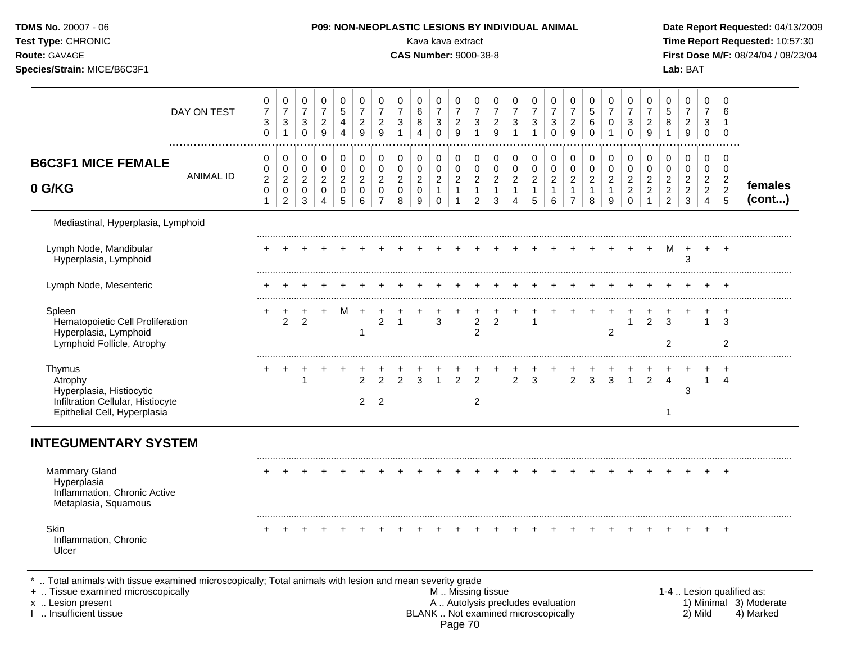| TDMS No. 20007 - 06<br>Test Type: CHRONIC<br>Route: GAVAGE<br>Species/Strain: MICE/B6C3F1                          |                           |                                                                 |                                                                                 |                                                                   |                                                                         |                                                               |                                                                          |                                                                             |                                              | Kava kava extract<br><b>CAS Number: 9000-38-8</b> |                                                                         |                                                                              |                                                                              |                                                                  | P09: NON-NEOPLASTIC LESIONS BY INDIVIDUAL ANIMAL                       |                                                                |                                                                 |                                                                      |                                                           |                                                           |                                                                     |                                                         |                                                              | Lab: BAT                                              |                                                              |                                                              | Date Report Requested: 04/13/2009<br>Time Report Requested: 10:57:30<br>First Dose M/F: 08/24/04 / 08/23/04 |
|--------------------------------------------------------------------------------------------------------------------|---------------------------|-----------------------------------------------------------------|---------------------------------------------------------------------------------|-------------------------------------------------------------------|-------------------------------------------------------------------------|---------------------------------------------------------------|--------------------------------------------------------------------------|-----------------------------------------------------------------------------|----------------------------------------------|---------------------------------------------------|-------------------------------------------------------------------------|------------------------------------------------------------------------------|------------------------------------------------------------------------------|------------------------------------------------------------------|------------------------------------------------------------------------|----------------------------------------------------------------|-----------------------------------------------------------------|----------------------------------------------------------------------|-----------------------------------------------------------|-----------------------------------------------------------|---------------------------------------------------------------------|---------------------------------------------------------|--------------------------------------------------------------|-------------------------------------------------------|--------------------------------------------------------------|--------------------------------------------------------------|-------------------------------------------------------------------------------------------------------------|
|                                                                                                                    | DAY ON TEST               | 0<br>$\overline{7}$<br>$\ensuremath{\mathsf{3}}$<br>$\mathbf 0$ | 0<br>$\boldsymbol{7}$<br>$\ensuremath{\mathsf{3}}$<br>$\mathbf{1}$              | 0<br>$\boldsymbol{7}$<br>$\ensuremath{\mathsf{3}}$<br>$\mathbf 0$ | 0<br>$\boldsymbol{7}$<br>$\overline{c}$<br>$9\,$                        | 0<br>$\,$ 5 $\,$<br>$\overline{\mathbf{4}}$<br>$\overline{4}$ | 0<br>$\boldsymbol{7}$<br>$\boldsymbol{2}$<br>9                           | 0<br>$\boldsymbol{7}$<br>$\boldsymbol{2}$<br>$\boldsymbol{9}$               | 0<br>$\boldsymbol{7}$<br>3<br>$\mathbf{1}$   | 0<br>6<br>8<br>$\overline{4}$                     | 0<br>$\overline{7}$<br>$\ensuremath{\mathsf{3}}$<br>$\mathbf 0$         | 0<br>$\boldsymbol{7}$<br>$\boldsymbol{2}$<br>9                               | $\pmb{0}$<br>$\boldsymbol{7}$<br>$\sqrt{3}$<br>$\mathbf{1}$                  | 0<br>$\overline{7}$<br>$\overline{\mathbf{c}}$<br>$\overline{9}$ | $\pmb{0}$<br>$\overline{7}$<br>$\sqrt{3}$<br>$\overline{1}$            | 0<br>$\overline{7}$<br>$\ensuremath{\mathsf{3}}$<br>1          | 0<br>$\overline{7}$<br>$\ensuremath{\mathsf{3}}$<br>$\mathbf 0$ | 0<br>$\boldsymbol{7}$<br>$\overline{a}$<br>9                         | 0<br>$\mathbf 5$<br>$\,6\,$<br>$\Omega$                   | 0<br>$\overline{7}$<br>$\pmb{0}$                          | 0<br>$\boldsymbol{7}$<br>$\ensuremath{\mathsf{3}}$<br>$\mathbf 0$   | 0<br>$\boldsymbol{7}$<br>$\frac{2}{9}$                  | 0<br>$\,$ 5 $\,$<br>8<br>$\mathbf{1}$                        | 0<br>$\overline{7}$<br>$\boldsymbol{2}$<br>$9\,$      | 0<br>$\overline{7}$<br>3<br>$\mathbf 0$                      | $\Omega$<br>6<br>$\mathbf 0$                                 |                                                                                                             |
| <b>B6C3F1 MICE FEMALE</b><br>0 G/KG                                                                                | . <b>.</b> .<br>ANIMAL ID | 0<br>0<br>$\overline{c}$<br>$\pmb{0}$<br>$\mathbf{1}$           | $\mathbf 0$<br>$\mathbf 0$<br>$\boldsymbol{2}$<br>$\mathbf 0$<br>$\overline{2}$ | $\pmb{0}$<br>$\mathsf 0$<br>$\sqrt{2}$<br>$\mathbf 0$<br>3        | $\pmb{0}$<br>$\mathbf 0$<br>$\sqrt{2}$<br>$\mathbf 0$<br>$\overline{4}$ | $\pmb{0}$<br>0<br>$\sqrt{2}$<br>$\mathbf 0$<br>5              | $\pmb{0}$<br>$\mathbf 0$<br>$\boldsymbol{2}$<br>$\mathsf{O}\xspace$<br>6 | $\pmb{0}$<br>$\mathbf 0$<br>$\overline{c}$<br>$\mathbf 0$<br>$\overline{7}$ | 0<br>$\pmb{0}$<br>$\boldsymbol{2}$<br>0<br>8 | 0<br>0<br>$\overline{c}$<br>$\mathsf 0$<br>9      | $\pmb{0}$<br>$\pmb{0}$<br>$\overline{2}$<br>$\mathbf{1}$<br>$\mathbf 0$ | $\pmb{0}$<br>$\pmb{0}$<br>$\boldsymbol{2}$<br>$\mathbf{1}$<br>$\overline{1}$ | $\pmb{0}$<br>$\pmb{0}$<br>$\boldsymbol{2}$<br>$\mathbf{1}$<br>$\overline{2}$ | $\pmb{0}$<br>$\mathbf 0$<br>$\sqrt{2}$<br>$\overline{1}$<br>3    | $\pmb{0}$<br>$\pmb{0}$<br>$\sqrt{2}$<br>$\mathbf{1}$<br>$\overline{4}$ | 0<br>$\pmb{0}$<br>$\overline{c}$<br>$\mathbf{1}$<br>$\sqrt{5}$ | 0<br>$\mathsf 0$<br>$\sqrt{2}$<br>$\mathbf{1}$<br>6             | 0<br>$\mathbf 0$<br>$\overline{a}$<br>$\mathbf{1}$<br>$\overline{7}$ | $\pmb{0}$<br>$\pmb{0}$<br>$\sqrt{2}$<br>$\mathbf{1}$<br>8 | $\pmb{0}$<br>$\pmb{0}$<br>$\sqrt{2}$<br>$\mathbf{1}$<br>9 | $\pmb{0}$<br>$\mathsf 0$<br>$\sqrt{2}$<br>$\sqrt{2}$<br>$\mathbf 0$ | 0<br>$\pmb{0}$<br>$\overline{c}$<br>$\overline{c}$<br>1 | 0<br>0<br>$\overline{2}$<br>$\overline{c}$<br>$\overline{2}$ | $\,0\,$<br>0<br>$\overline{2}$<br>$\overline{c}$<br>3 | 0<br>0<br>$\overline{c}$<br>$\overline{2}$<br>$\overline{4}$ | 0<br>0<br>$\overline{c}$<br>$\overline{2}$<br>$\overline{5}$ | females<br>(cont)                                                                                           |
| Mediastinal, Hyperplasia, Lymphoid                                                                                 |                           |                                                                 |                                                                                 |                                                                   |                                                                         |                                                               |                                                                          |                                                                             |                                              |                                                   |                                                                         |                                                                              |                                                                              |                                                                  |                                                                        |                                                                |                                                                 |                                                                      |                                                           |                                                           |                                                                     |                                                         |                                                              |                                                       |                                                              |                                                              |                                                                                                             |
| Lymph Node, Mandibular<br>Hyperplasia, Lymphoid                                                                    |                           |                                                                 |                                                                                 |                                                                   |                                                                         |                                                               |                                                                          |                                                                             |                                              |                                                   |                                                                         |                                                                              |                                                                              |                                                                  |                                                                        |                                                                |                                                                 |                                                                      |                                                           |                                                           |                                                                     | $\ddot{}$                                               | м                                                            | $\ddot{}$<br>3                                        | $+$                                                          | $^{+}$                                                       |                                                                                                             |
| Lymph Node, Mesenteric                                                                                             |                           |                                                                 |                                                                                 |                                                                   |                                                                         |                                                               |                                                                          |                                                                             |                                              |                                                   |                                                                         |                                                                              |                                                                              |                                                                  |                                                                        |                                                                |                                                                 |                                                                      |                                                           |                                                           |                                                                     |                                                         |                                                              |                                                       |                                                              |                                                              |                                                                                                             |
| Spleen<br>Hematopoietic Cell Proliferation<br>Hyperplasia, Lymphoid<br>Lymphoid Follicle, Atrophy                  |                           | +                                                               | +<br>$\overline{2}$                                                             | $\overline{2}$                                                    |                                                                         | M                                                             | $\ddot{}$<br>1                                                           | $\overline{2}$                                                              | $\mathbf{1}$                                 |                                                   | $\mathbf{3}$                                                            |                                                                              | $\boldsymbol{2}$<br>$\overline{2}$                                           | $\overline{2}$                                                   |                                                                        | 1                                                              |                                                                 |                                                                      |                                                           | 2                                                         | $\mathbf{1}$                                                        | $\overline{2}$                                          | 3<br>$\overline{2}$                                          |                                                       |                                                              | 3<br>$\overline{c}$                                          |                                                                                                             |
| Thymus<br>Atrophy<br>Hyperplasia, Histiocytic<br>Infiltration Cellular, Histiocyte<br>Epithelial Cell, Hyperplasia |                           | +                                                               | +                                                                               | $\overline{1}$                                                    |                                                                         |                                                               | 2<br>$\overline{2}$                                                      | 2<br>$\overline{2}$                                                         | $\overline{2}$                               | 3                                                 | $\overline{1}$                                                          | $\overline{2}$                                                               | $\overline{2}$<br>$\overline{2}$                                             |                                                                  | $\overline{2}$                                                         | 3                                                              |                                                                 | $\overline{2}$                                                       | 3                                                         | 3                                                         | $\mathbf{1}$                                                        | $\overline{2}$                                          | $\overline{4}$<br>$\mathbf 1$                                | 3                                                     | $\mathbf{1}$                                                 | $\overline{4}$                                               |                                                                                                             |
| <b>INTEGUMENTARY SYSTEM</b>                                                                                        |                           |                                                                 |                                                                                 |                                                                   |                                                                         |                                                               |                                                                          |                                                                             |                                              |                                                   |                                                                         |                                                                              |                                                                              |                                                                  |                                                                        |                                                                |                                                                 |                                                                      |                                                           |                                                           |                                                                     |                                                         |                                                              |                                                       |                                                              |                                                              |                                                                                                             |
| <b>Mammary Gland</b><br>Hyperplasia<br>Inflammation, Chronic Active<br>Metaplasia, Squamous                        |                           |                                                                 |                                                                                 |                                                                   |                                                                         |                                                               |                                                                          |                                                                             |                                              |                                                   |                                                                         |                                                                              |                                                                              |                                                                  |                                                                        |                                                                |                                                                 |                                                                      |                                                           |                                                           |                                                                     |                                                         |                                                              |                                                       |                                                              | $\ddot{}$                                                    |                                                                                                             |
| Skin<br>Inflammation, Chronic<br>Ulcer                                                                             |                           |                                                                 |                                                                                 |                                                                   |                                                                         |                                                               |                                                                          |                                                                             |                                              |                                                   |                                                                         |                                                                              |                                                                              |                                                                  |                                                                        |                                                                |                                                                 |                                                                      |                                                           |                                                           |                                                                     |                                                         |                                                              |                                                       |                                                              |                                                              |                                                                                                             |

.. Total animals with tissue examined microscopically<br>+ .. Tissue examined microscopically<br>x .. Lesion present<br>1 .. Insufficient tissue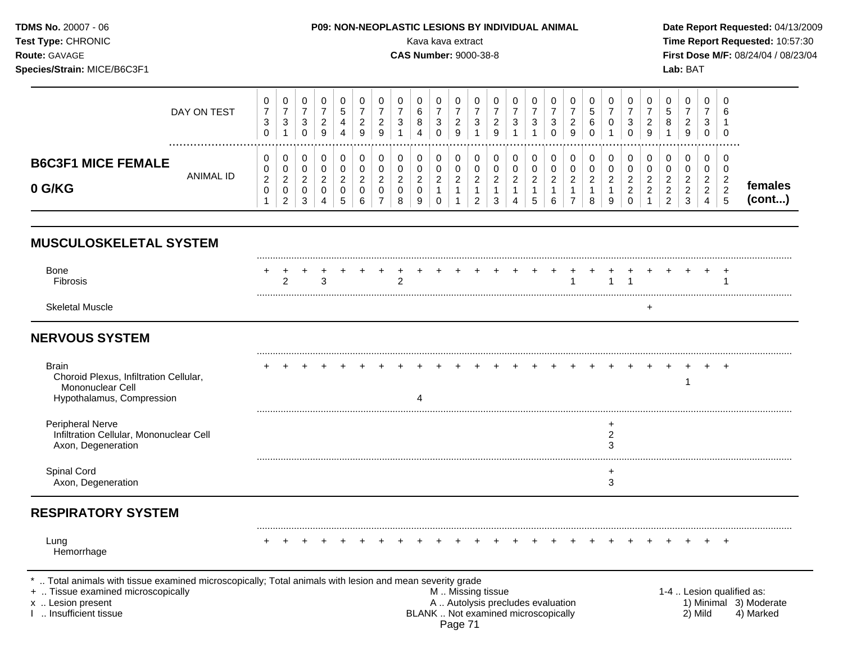| <b>TDMS No. 20007 - 06</b><br><b>P09: NON-NEOPLASTIC LESIONS BY INDIVIDUAL ANIMAL</b><br><b>Test Type: CHRONIC</b><br>Kava kava extract<br><b>Route: GAVAGE</b><br><b>CAS Number: 9000-38-8</b><br>Species/Strain: MICE/B6C3F1 |             |   |   |  |   |  |   |        |   |   |        |        |              |  |   |        | Lab: BAT | Date Report Requested: 04/13/2009<br>Time Report Requested: 10:57:30<br><b>First Dose M/F: 08/24/04 / 08/23/04</b> |             |          |        |   |   |  |  |
|--------------------------------------------------------------------------------------------------------------------------------------------------------------------------------------------------------------------------------|-------------|---|---|--|---|--|---|--------|---|---|--------|--------|--------------|--|---|--------|----------|--------------------------------------------------------------------------------------------------------------------|-------------|----------|--------|---|---|--|--|
|                                                                                                                                                                                                                                | DAY ON TEST | 3 | 3 |  | ົ |  | ົ | 0<br>ົ | 3 | 8 | 0<br>3 | 0<br>ົ | $\mathbf{r}$ |  | 3 | 0<br>3 | ີ        |                                                                                                                    | 0<br>5<br>6 | $\Omega$ | 0<br>3 | ົ | R |  |  |

|                                                        | <br>.            | 0                                 |                                     |    | 9 | 4      | 9                                           | a<br>◡ |                              |                                 | v                        | ັ           |                                | 9                        |   |                          |        | 9                  |        |        | 0                       | 9                         |                                          | 9                                                   |                                | 0              |                  |
|--------------------------------------------------------|------------------|-----------------------------------|-------------------------------------|----|---|--------|---------------------------------------------|--------|------------------------------|---------------------------------|--------------------------|-------------|--------------------------------|--------------------------|---|--------------------------|--------|--------------------|--------|--------|-------------------------|---------------------------|------------------------------------------|-----------------------------------------------------|--------------------------------|----------------|------------------|
| <b>FEMALE</b><br><b>B6C3F</b><br><b>MICE</b><br>0 G/KG | <b>ANIMAL ID</b> | 0<br>0<br>$\sim$<br><u>_</u><br>0 | <u>_</u><br>ັ<br>$\sim$<br><u>.</u> | ູບ | 4 | ∽<br>ັ | J<br>◡<br>◠<br><u>.</u><br>ັ<br>$\sim$<br>6 | v      | 0<br>0<br><u>.</u><br>U<br>8 | ◡<br>⌒<br>◡<br>-<br>◡<br>a<br>◡ | v<br>v<br><u>_</u><br>ັບ | ັ<br>◡<br>- | ັ<br>ັ<br>$\sim$<br>$\epsilon$ | ◡<br>ັບ<br><u>_</u><br>ັ | ◡ | v<br>⌒<br><u>_</u><br>D. | -<br>ັ | ັ<br>⌒<br><u>_</u> | -<br>ັ | v<br>У | ັ<br>-<br><u>_</u><br>◡ | ັ<br><u>_</u><br><u>_</u> | ◡<br>-<br><u>_</u><br>$\sim$<br><u>_</u> | $\sim$<br>ັ<br>⌒<br><u>_</u><br><u>_</u><br>⌒<br>J. | ັ<br><u>_</u><br><u>_</u><br>4 | <u>.</u><br>່ວ | females<br>cont) |

## **MUSCULOSKELETAL SYSTEM**

| <b>Bone</b><br>Fibrosis | - |  |  |  |  |  |  |  | + + + + + + + + + + + + + + + + + + |  |  |  |  |  |  |
|-------------------------|---|--|--|--|--|--|--|--|-------------------------------------|--|--|--|--|--|--|
| <b>Skeletal Muscle</b>  |   |  |  |  |  |  |  |  |                                     |  |  |  |  |  |  |

### **NERVOUS SYSTEM**

| Brain<br>Choroid Plexus, Infiltration Cellular,<br>Mononuclear Cell<br>Hypothalamus, Compression |  |  |  |  |  |  |  |  |  |  |  |  |  |  |
|--------------------------------------------------------------------------------------------------|--|--|--|--|--|--|--|--|--|--|--|--|--|--|
| <b>Peripheral Nerve</b><br>Infiltration Cellular, Mononuclear Cell<br>Axon, Degeneration         |  |  |  |  |  |  |  |  |  |  |  |  |  |  |
| Spinal Cord<br>Axon, Degeneration                                                                |  |  |  |  |  |  |  |  |  |  |  |  |  |  |

## **RESPIRATORY SYSTEM**

......................................................................................................................................................................................................... Lung + + + + + + + + + + + + + + + + + + + + + + + + + Hemorrhage \* .. Total animals with tissue examined microscopically; Total animals with lesion and mean severity grade<br>+ .. Tissue examined microscopically by myssing tissue<br>M.. Missing tissue + .. Tissue examined microscopically examined microscopically **M** .. Missing tissue 1-4 .. Lesion qualified as:<br>A .. Autolysis precludes evaluation 1) Minimal 3) Moderate x .. Lesion present 1) Minimal 3) Moderate A .. Autolysis precludes evaluation 1) Minimal 3) Moderate I .. Insufficient tissue BLANK .. Not examined microscopically 2) Mild 4) Marked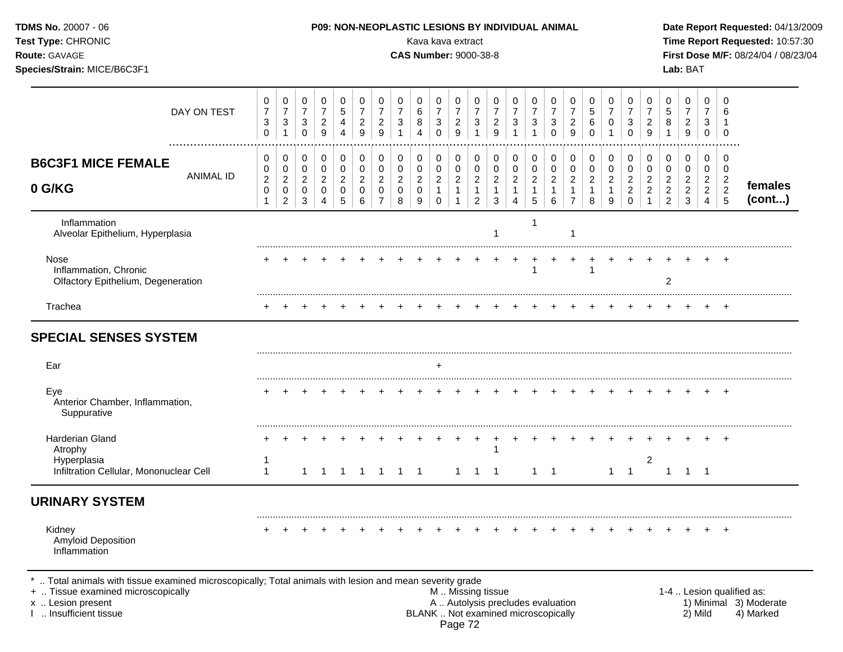| TDMS No. 20007 - 06<br>Test Type: CHRONIC<br>Route: GAVAGE<br>Species/Strain: MICE/B6C3F1                                                                                                  | P09: NON-NEOPLASTIC LESIONS BY INDIVIDUAL ANIMAL<br>Kava kava extract<br><b>CAS Number: 9000-38-8</b> |                                                         |                                                                   |                                            |                                    |                                                      |                                                                   |                                            |                                    |                                                                            |                                                                           |                                                                      |                                            |                                                                          |                                            |                                         | Date Report Requested: 04/13/2009<br>Time Report Requested: 10:57:30<br>First Dose M/F: 08/24/04 / 08/23/04<br>Lab: BAT |                               |                                               |                                                                  |                                            |                                                 |                                                             |                                                              |                                                      |                                                                  |
|--------------------------------------------------------------------------------------------------------------------------------------------------------------------------------------------|-------------------------------------------------------------------------------------------------------|---------------------------------------------------------|-------------------------------------------------------------------|--------------------------------------------|------------------------------------|------------------------------------------------------|-------------------------------------------------------------------|--------------------------------------------|------------------------------------|----------------------------------------------------------------------------|---------------------------------------------------------------------------|----------------------------------------------------------------------|--------------------------------------------|--------------------------------------------------------------------------|--------------------------------------------|-----------------------------------------|-------------------------------------------------------------------------------------------------------------------------|-------------------------------|-----------------------------------------------|------------------------------------------------------------------|--------------------------------------------|-------------------------------------------------|-------------------------------------------------------------|--------------------------------------------------------------|------------------------------------------------------|------------------------------------------------------------------|
| DAY ON TEST                                                                                                                                                                                | 0<br>$\boldsymbol{7}$<br>3<br>0                                                                       | 0<br>$\boldsymbol{7}$<br>$\mathbf{3}$<br>-1             | 0<br>$\boldsymbol{7}$<br>$\ensuremath{\mathsf{3}}$<br>$\mathbf 0$ | 0<br>$\overline{7}$<br>$\overline{c}$<br>9 | 0<br>$\sqrt{5}$<br>4<br>4          | 0<br>$\overline{7}$<br>$\overline{c}$<br>9           | 0<br>$\overline{7}$<br>$\overline{c}$<br>9                        | 0<br>$\overline{7}$<br>3<br>1              | 0<br>6<br>8<br>4                   | 0<br>$\overline{7}$<br>$\ensuremath{\mathsf{3}}$<br>$\mathbf 0$            | 0<br>$\boldsymbol{7}$<br>$\frac{2}{9}$                                    | 0<br>$\overline{7}$<br>$\mathbf{3}$<br>1                             | 0<br>$\overline{7}$<br>$\overline{c}$<br>9 | 0<br>$\overline{7}$<br>3<br>1                                            | 0<br>$\boldsymbol{7}$<br>3<br>1            | 0<br>$\overline{7}$<br>3<br>$\mathbf 0$ | 0<br>7<br>2<br>9                                                                                                        | 0<br>5<br>6<br>$\Omega$       | 0<br>$\overline{7}$<br>0                      | 0<br>$\overline{7}$<br>3<br>$\Omega$                             | 0<br>$\overline{7}$<br>$\overline{c}$<br>9 | 0<br>5<br>8                                     | 0<br>$\overline{7}$<br>$\overline{c}$<br>9                  | 0<br>$\overline{7}$<br>3<br>$\mathbf 0$                      | 0<br>6<br>0                                          |                                                                  |
| <b>B6C3F1 MICE FEMALE</b><br><b>ANIMAL ID</b><br>0 G/KG                                                                                                                                    | 0<br>0<br>$\overline{c}$<br>0<br>1                                                                    | 0<br>$\pmb{0}$<br>$\overline{c}$<br>0<br>$\overline{c}$ | 0<br>$\pmb{0}$<br>$\overline{c}$<br>0<br>3                        | 0<br>0<br>$\overline{c}$<br>0<br>4         | 0<br>0<br>$\overline{c}$<br>0<br>5 | 0<br>$\pmb{0}$<br>$\overline{2}$<br>$\mathbf 0$<br>6 | 0<br>$\pmb{0}$<br>$\overline{c}$<br>$\mathbf 0$<br>$\overline{7}$ | 0<br>$\pmb{0}$<br>$\overline{c}$<br>0<br>8 | 0<br>0<br>$\overline{a}$<br>0<br>9 | $\pmb{0}$<br>$\mathsf{O}\xspace$<br>$\sqrt{2}$<br>$\mathbf{1}$<br>$\Omega$ | $\pmb{0}$<br>$\pmb{0}$<br>$\overline{c}$<br>$\mathbf 1$<br>$\overline{1}$ | 0<br>$\pmb{0}$<br>$\boldsymbol{2}$<br>$\mathbf{1}$<br>$\overline{2}$ | 0<br>0<br>$\overline{2}$<br>3              | 0<br>$\pmb{0}$<br>$\overline{2}$<br>1<br>4                               | 0<br>$\pmb{0}$<br>$\overline{c}$<br>1<br>5 | 0<br>$\mathbf 0$<br>$\overline{c}$<br>6 | 0<br>0<br>$\overline{2}$                                                                                                | 0<br>0<br>$\overline{c}$<br>8 | 0<br>0<br>$\overline{c}$<br>$\mathbf{1}$<br>9 | 0<br>$\pmb{0}$<br>$\overline{c}$<br>$\boldsymbol{2}$<br>$\Omega$ | 0<br>$\pmb{0}$<br>$\overline{c}$<br>2      | 0<br>0<br>$\overline{a}$<br>$\overline{c}$<br>2 | 0<br>$\mathbf 0$<br>$\overline{c}$<br>$\boldsymbol{2}$<br>3 | 0<br>0<br>$\overline{c}$<br>$\overline{2}$<br>$\overline{4}$ | 0<br>0<br>$\overline{c}$<br>$\sqrt{2}$<br>$\sqrt{5}$ | females<br>(cont)                                                |
| Inflammation<br>Alveolar Epithelium, Hyperplasia                                                                                                                                           |                                                                                                       |                                                         |                                                                   |                                            |                                    |                                                      |                                                                   |                                            |                                    |                                                                            |                                                                           |                                                                      |                                            |                                                                          | 1                                          |                                         |                                                                                                                         |                               |                                               |                                                                  |                                            |                                                 |                                                             |                                                              |                                                      |                                                                  |
| Nose<br>Inflammation, Chronic<br>Olfactory Epithelium, Degeneration                                                                                                                        |                                                                                                       |                                                         |                                                                   |                                            |                                    |                                                      |                                                                   |                                            |                                    |                                                                            |                                                                           |                                                                      |                                            |                                                                          | 1                                          |                                         |                                                                                                                         |                               |                                               |                                                                  |                                            | 2                                               |                                                             |                                                              |                                                      |                                                                  |
| Trachea                                                                                                                                                                                    |                                                                                                       |                                                         |                                                                   |                                            |                                    |                                                      |                                                                   |                                            |                                    |                                                                            |                                                                           |                                                                      |                                            |                                                                          |                                            |                                         |                                                                                                                         |                               |                                               |                                                                  |                                            |                                                 |                                                             |                                                              | $+$                                                  |                                                                  |
| <b>SPECIAL SENSES SYSTEM</b>                                                                                                                                                               |                                                                                                       |                                                         |                                                                   |                                            |                                    |                                                      |                                                                   |                                            |                                    |                                                                            |                                                                           |                                                                      |                                            |                                                                          |                                            |                                         |                                                                                                                         |                               |                                               |                                                                  |                                            |                                                 |                                                             |                                                              |                                                      |                                                                  |
| Ear                                                                                                                                                                                        |                                                                                                       |                                                         |                                                                   |                                            |                                    |                                                      |                                                                   |                                            |                                    | $\ddot{}$                                                                  |                                                                           |                                                                      |                                            |                                                                          |                                            |                                         |                                                                                                                         |                               |                                               |                                                                  |                                            |                                                 |                                                             |                                                              |                                                      |                                                                  |
| Eye<br>Anterior Chamber, Inflammation,<br>Suppurative                                                                                                                                      |                                                                                                       |                                                         |                                                                   |                                            |                                    |                                                      |                                                                   |                                            |                                    |                                                                            |                                                                           |                                                                      |                                            |                                                                          |                                            |                                         |                                                                                                                         |                               |                                               |                                                                  |                                            |                                                 |                                                             |                                                              | $\div$                                               |                                                                  |
| <b>Harderian Gland</b><br>Atrophy<br>Hyperplasia                                                                                                                                           |                                                                                                       |                                                         |                                                                   |                                            |                                    |                                                      |                                                                   |                                            |                                    |                                                                            |                                                                           | $\ddot{}$                                                            | $\ddot{}$                                  |                                                                          |                                            |                                         |                                                                                                                         |                               |                                               |                                                                  | $\overline{c}$                             |                                                 |                                                             |                                                              |                                                      |                                                                  |
| Infiltration Cellular, Mononuclear Cell                                                                                                                                                    | 1                                                                                                     |                                                         | 1                                                                 | $\mathbf 1$                                | -1                                 | $\overline{1}$                                       | $\overline{1}$                                                    | $1 \quad 1$                                |                                    |                                                                            | $\overline{1}$                                                            | $1 \quad 1$                                                          |                                            |                                                                          | $1 \quad 1$                                |                                         |                                                                                                                         |                               | $\mathbf{1}$                                  | $\overline{1}$                                                   |                                            | $\mathbf{1}$                                    | -1                                                          | $\overline{\phantom{1}}$                                     |                                                      |                                                                  |
| <b>URINARY SYSTEM</b>                                                                                                                                                                      |                                                                                                       |                                                         |                                                                   |                                            |                                    |                                                      |                                                                   |                                            |                                    |                                                                            |                                                                           |                                                                      |                                            |                                                                          |                                            |                                         |                                                                                                                         |                               |                                               |                                                                  |                                            |                                                 |                                                             |                                                              |                                                      |                                                                  |
| Kidney<br>Amyloid Deposition<br>Inflammation                                                                                                                                               |                                                                                                       |                                                         |                                                                   |                                            |                                    |                                                      |                                                                   |                                            |                                    |                                                                            |                                                                           |                                                                      |                                            |                                                                          | $+$                                        |                                         |                                                                                                                         |                               | $+$                                           | $+$                                                              | $+$                                        |                                                 |                                                             |                                                              |                                                      |                                                                  |
| *  Total animals with tissue examined microscopically; Total animals with lesion and mean severity grade<br>+  Tissue examined microscopically<br>x  Lesion present<br>Insufficient tissue |                                                                                                       |                                                         |                                                                   |                                            |                                    |                                                      |                                                                   |                                            |                                    |                                                                            | M  Missing tissue                                                         |                                                                      |                                            | A  Autolysis precludes evaluation<br>BLANK  Not examined microscopically |                                            |                                         |                                                                                                                         |                               |                                               |                                                                  |                                            |                                                 |                                                             | 2) Mild                                                      |                                                      | 1-4  Lesion qualified as:<br>1) Minimal 3) Moderate<br>4) Marked |

Page 72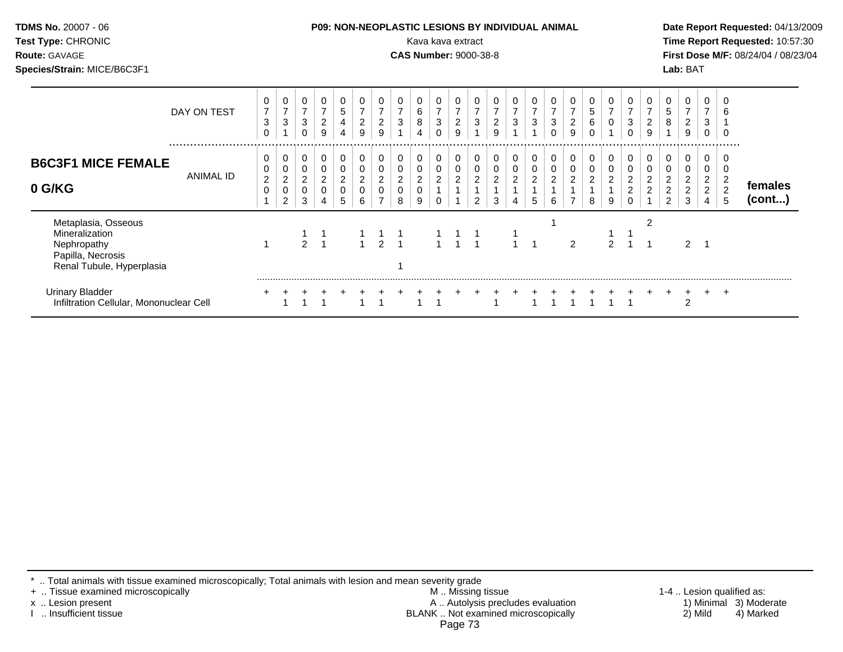| Test Type: CHRONIC<br>Route: GAVAGE<br>Species/Strain: MICE/B6C3F1                                     |             |                               |                                              |                                      |                               |                                         |                                         |                                                |                                    | Kava kava extract<br><b>CAS Number: 9000-38-8</b> |                     |                                                          |                                         |                                       |                     |        |                                    |                                                   |                          |                              |                                       |                                           | Lab: BAT                                     |                                          |                              | Time Report Requested: 10:57:30<br>First Dose M/F: 08/24/04 / 08/23/04 |
|--------------------------------------------------------------------------------------------------------|-------------|-------------------------------|----------------------------------------------|--------------------------------------|-------------------------------|-----------------------------------------|-----------------------------------------|------------------------------------------------|------------------------------------|---------------------------------------------------|---------------------|----------------------------------------------------------|-----------------------------------------|---------------------------------------|---------------------|--------|------------------------------------|---------------------------------------------------|--------------------------|------------------------------|---------------------------------------|-------------------------------------------|----------------------------------------------|------------------------------------------|------------------------------|------------------------------------------------------------------------|
|                                                                                                        | DAY ON TEST | 3<br>$\Omega$                 | 0<br>7<br>3                                  | 0<br>$\overline{7}$<br>3<br>$\Omega$ | 0<br>$\boldsymbol{2}$<br>9    | 0<br>$\,$ 5 $\,$<br>$\overline{4}$<br>4 | $\boldsymbol{7}$<br>$\overline{c}$<br>9 | 0<br>$\overline{7}$<br>$\overline{c}$<br>9     | 3<br>$\overline{1}$                | $\frac{6}{8}$                                     | 3<br>$\Omega$       | 0<br>$\begin{array}{c} 7 \\ 2 \end{array}$<br>9          | 0<br>$\boldsymbol{7}$<br>$\mathfrak{S}$ | $\overline{7}$<br>$\overline{2}$<br>9 | $\overline{7}$<br>3 | 3<br>0 | $\overline{7}$<br>$\mathbf 2$<br>9 | $\begin{array}{c} 5 \\ 6 \end{array}$<br>$\Omega$ | $\mathbf 0$              | 3<br>$\Omega$                | $\overline{7}$<br>$\overline{a}$<br>9 | $\begin{array}{c} 5 \\ 8 \end{array}$     | 0<br>$\overline{7}$<br>$\boldsymbol{2}$<br>9 | $\overline{7}$<br>$\sqrt{3}$<br>$\Omega$ | 6<br>$\mathbf 0$             |                                                                        |
| <b>B6C3F1 MICE FEMALE</b><br>0 G/KG                                                                    | ANIMAL ID   | 0<br>0<br>$\overline{2}$<br>0 | 0<br>0<br>$\overline{a}$<br>$\mathbf 0$<br>2 | 0<br>0<br>$\overline{c}$<br>0<br>3   | 0<br>0<br>$\overline{c}$<br>0 | 0<br>0<br>$\overline{c}$<br>0<br>5      | 0<br>$\boldsymbol{2}$<br>6              | 0<br>0<br>$\overline{c}$<br>$\mathbf 0$        | 0<br>$\overline{c}$<br>$\mathbf 0$ | 0<br>$\overline{c}$<br>0                          | 0<br>$\overline{c}$ | $\mathbf 0$<br>$\mathbf 0$<br>$\overline{c}$             | $\mathbf 0$<br>0<br>$\mathbf 2$<br>2    | 0<br>0<br>$\sqrt{2}$<br>3             | 0<br>0<br>2         | 0<br>6 | 0<br>0<br>$\overline{2}$           | 0<br>$\boldsymbol{2}$                             | 0<br>$\overline{c}$<br>9 | $\sqrt{2}$<br>$\overline{c}$ | 0<br>0<br>$\frac{2}{2}$               | 0<br>0<br>$\frac{2}{2}$<br>$\overline{2}$ | 0<br>0<br>$\frac{2}{2}$<br>3                 | 0<br>0<br>$\frac{2}{2}$                  | 0<br>0<br>$\frac{2}{2}$<br>5 | females<br>(cont)                                                      |
| Metaplasia, Osseous<br>Mineralization<br>Nephropathy<br>Papilla, Necrosis<br>Renal Tubule, Hyperplasia |             |                               |                                              | $\overline{2}$                       | $\overline{1}$                |                                         | $\overline{1}$                          | $\begin{array}{cc} 1 & 1 \\ 2 & 1 \end{array}$ |                                    |                                                   |                     | $\begin{array}{cccc} 1 & 1 & 1 \\ 1 & 1 & 1 \end{array}$ |                                         |                                       |                     |        | 2                                  |                                                   | $\overline{2}$           |                              | 2                                     |                                           | 2                                            | -1                                       |                              |                                                                        |
| <b>Urinary Bladder</b><br>Infiltration Cellular, Mononuclear Cell                                      |             |                               |                                              |                                      |                               |                                         |                                         |                                                |                                    |                                                   |                     |                                                          |                                         |                                       |                     |        |                                    |                                                   |                          |                              |                                       |                                           | 2                                            | $\pm$                                    | $\pm$                        |                                                                        |

\* .. Total animals with tissue examined microscopically; Total animals with lesion and mean severity grade

+ .. Tissue examined microscopically M .. Missing tissue 1-4 .. Lesion qualified as: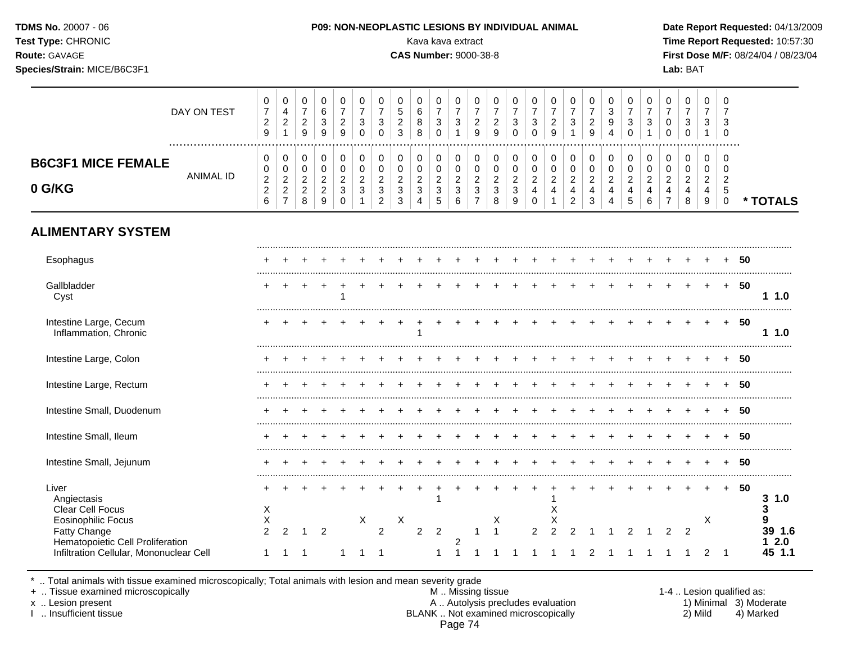| Route: GAVAGE<br>Species/Strain: MICE/B6C3F1                                  |                  |                                                                 |                                                              |                                                      |                                                                 |                                              |                                                              |                                                                                           |                                                                   | <b>CAS Number: 9000-38-8</b>                 |                                         |                                                                                      |                                                                      |                                                                   |                                                    |                                                                |                                                      |                                                                         |                                                                |                                                                     |                                                        |                                                                 |                                                                                  | Lab: BAT                                                                |                                       |                                                                        |        | First Dose M/F: 08/24/04 / 08/23/04 |
|-------------------------------------------------------------------------------|------------------|-----------------------------------------------------------------|--------------------------------------------------------------|------------------------------------------------------|-----------------------------------------------------------------|----------------------------------------------|--------------------------------------------------------------|-------------------------------------------------------------------------------------------|-------------------------------------------------------------------|----------------------------------------------|-----------------------------------------|--------------------------------------------------------------------------------------|----------------------------------------------------------------------|-------------------------------------------------------------------|----------------------------------------------------|----------------------------------------------------------------|------------------------------------------------------|-------------------------------------------------------------------------|----------------------------------------------------------------|---------------------------------------------------------------------|--------------------------------------------------------|-----------------------------------------------------------------|----------------------------------------------------------------------------------|-------------------------------------------------------------------------|---------------------------------------|------------------------------------------------------------------------|--------|-------------------------------------|
|                                                                               | DAY ON TEST      | 0<br>$\overline{7}$<br>$\overline{c}$<br>$9\,$                  | 0<br>4<br>$\overline{a}$<br>$\mathbf{1}$                     | $\mathbf 0$<br>$\overline{7}$<br>$\overline{a}$<br>9 | $\mathbf 0$<br>$\,6\,$<br>$\ensuremath{\mathsf{3}}$<br>9        | 0<br>$\overline{7}$<br>$\sqrt{2}$<br>9       | $\mathbf 0$<br>$\overline{7}$<br>$\sqrt{3}$<br>$\Omega$      | 0<br>$\overline{7}$<br>$\sqrt{3}$<br>$\mathbf 0$                                          | $\mathbf 0$<br>5<br>$\overline{c}$<br>3                           | 0<br>6<br>8<br>8                             | $\mathbf 0$<br>$\overline{7}$<br>3<br>0 | $\mathbf 0$<br>$\overline{7}$<br>$\mathbf{3}$<br>$\mathbf{1}$                        | 0<br>$\overline{7}$<br>$\frac{2}{9}$                                 | $\mathbf 0$<br>$\overline{7}$<br>$\sqrt{2}$<br>$\overline{9}$     | 0<br>$\overline{7}$<br>$\mathbf{3}$<br>$\mathbf 0$ | $\Omega$<br>$\overline{7}$<br>3<br>$\Omega$                    | $\mathbf 0$<br>$\overline{7}$<br>$\overline{a}$<br>9 | $\Omega$<br>$\overline{7}$<br>$\ensuremath{\mathsf{3}}$<br>$\mathbf{1}$ | $\Omega$<br>$\overline{7}$<br>$\overline{c}$<br>$\overline{9}$ | 0<br>$\mathbf{3}$<br>9<br>4                                         | 0<br>$\overline{7}$<br>$\mathbf{3}$<br>$\mathbf 0$     | $\mathbf 0$<br>$\overline{7}$<br>3                              | 0<br>$\overline{7}$<br>$\mathbf 0$<br>$\pmb{0}$                                  | $\mathbf 0$<br>$\overline{7}$<br>$\ensuremath{\mathsf{3}}$<br>$\pmb{0}$ | $\mathbf 0$<br>7<br>3<br>$\mathbf{1}$ | $\mathbf 0$<br>7<br>3<br>$\mathbf 0$                                   |        |                                     |
| <b>B6C3F1 MICE FEMALE</b><br>0 G/KG                                           | <b>ANIMAL ID</b> | $\mathbf 0$<br>0<br>$\boldsymbol{2}$<br>$\overline{c}$<br>$\,6$ | 0<br>0<br>$\overline{2}$<br>$\overline{2}$<br>$\overline{7}$ | 0<br>0<br>$\overline{2}$<br>$\overline{2}$<br>8      | $\pmb{0}$<br>$\pmb{0}$<br>$\overline{c}$<br>$\overline{a}$<br>9 | 0<br>0<br>$\overline{2}$<br>3<br>$\mathbf 0$ | $\mathbf 0$<br>$\mathbf 0$<br>$\overline{2}$<br>$\mathbf{3}$ | $\mathbf 0$<br>$\pmb{0}$<br>$\overline{2}$<br>$\ensuremath{\mathsf{3}}$<br>$\overline{2}$ | $\mathbf 0$<br>$\mathbf 0$<br>$\overline{2}$<br>$\mathbf{3}$<br>3 | 0<br>$\mathbf 0$<br>$\overline{2}$<br>3<br>4 | 0<br>0<br>$\overline{2}$<br>3<br>5      | $\mathbf 0$<br>$\mathbf 0$<br>$\overline{2}$<br>$\ensuremath{\mathsf{3}}$<br>$\,6\,$ | 0<br>$\mathbf 0$<br>$\overline{2}$<br>$\mathbf{3}$<br>$\overline{7}$ | $\mathbf 0$<br>$\mathbf 0$<br>$\overline{2}$<br>$\mathbf{3}$<br>8 | 0<br>$\mathbf 0$<br>$\overline{2}$<br>3<br>9       | $\mathbf 0$<br>$\pmb{0}$<br>$\overline{2}$<br>4<br>$\mathbf 0$ | $\mathbf 0$<br>$\pmb{0}$<br>$\overline{c}$<br>4      | $\mathbf 0$<br>0<br>$\overline{2}$<br>4<br>$\overline{2}$               | $\mathbf 0$<br>0<br>$\overline{2}$<br>4<br>$\mathbf{3}$        | $\mathbf 0$<br>$\mathbf 0$<br>2<br>$\overline{4}$<br>$\overline{4}$ | $\mathbf 0$<br>$\mathbf 0$<br>$\overline{2}$<br>4<br>5 | 0<br>$\mathbf 0$<br>$\overline{2}$<br>$\overline{4}$<br>$\,6\,$ | $\mathbf 0$<br>$\mathbf 0$<br>$\overline{2}$<br>$\overline{4}$<br>$\overline{7}$ | $\mathbf 0$<br>0<br>$\overline{2}$<br>4<br>8                            | 0<br>0<br>$\overline{2}$<br>4<br>9    | $\mathbf 0$<br>$\Omega$<br>$\overline{2}$<br>$\sqrt{5}$<br>$\mathsf 0$ |        | * TOTALS                            |
| <b>ALIMENTARY SYSTEM</b>                                                      |                  |                                                                 |                                                              |                                                      |                                                                 |                                              |                                                              |                                                                                           |                                                                   |                                              |                                         |                                                                                      |                                                                      |                                                                   |                                                    |                                                                |                                                      |                                                                         |                                                                |                                                                     |                                                        |                                                                 |                                                                                  |                                                                         |                                       |                                                                        |        |                                     |
| Esophagus                                                                     |                  |                                                                 |                                                              |                                                      |                                                                 |                                              |                                                              |                                                                                           |                                                                   |                                              |                                         |                                                                                      |                                                                      |                                                                   |                                                    |                                                                |                                                      |                                                                         |                                                                |                                                                     |                                                        |                                                                 |                                                                                  | + + + + + + + + + + + + + + + + + + 50                                  |                                       |                                                                        |        |                                     |
| Gallbladder<br>Cyst                                                           |                  |                                                                 | $+$                                                          | $+$                                                  | $+$                                                             | $+$<br>$\mathbf{1}$                          |                                                              |                                                                                           |                                                                   | $+$                                          |                                         | $+ + +$                                                                              |                                                                      | $+$                                                               | $+$                                                |                                                                | $+$                                                  | $+$                                                                     | $+$ $+$ $+$                                                    |                                                                     |                                                        | $+$                                                             |                                                                                  | $+ + + + + 50$                                                          |                                       |                                                                        |        | 11.0                                |
| Intestine Large, Cecum<br>Inflammation, Chronic                               |                  |                                                                 |                                                              |                                                      |                                                                 |                                              |                                                              |                                                                                           |                                                                   |                                              |                                         |                                                                                      |                                                                      |                                                                   |                                                    |                                                                |                                                      |                                                                         |                                                                |                                                                     |                                                        | $+$                                                             | $+$                                                                              | $+$                                                                     |                                       | $+ + 50$                                                               |        | 1.0                                 |
| Intestine Large, Colon                                                        |                  |                                                                 |                                                              |                                                      |                                                                 |                                              |                                                              |                                                                                           |                                                                   |                                              |                                         |                                                                                      |                                                                      |                                                                   |                                                    |                                                                |                                                      |                                                                         |                                                                |                                                                     |                                                        |                                                                 |                                                                                  |                                                                         |                                       | $+ + 50$                                                               |        |                                     |
| Intestine Large, Rectum                                                       |                  |                                                                 |                                                              |                                                      |                                                                 |                                              |                                                              |                                                                                           |                                                                   |                                              |                                         |                                                                                      |                                                                      |                                                                   |                                                    |                                                                |                                                      |                                                                         |                                                                |                                                                     |                                                        |                                                                 |                                                                                  |                                                                         |                                       |                                                                        | $+ 50$ |                                     |
| Intestine Small, Duodenum                                                     |                  |                                                                 |                                                              |                                                      |                                                                 |                                              |                                                              |                                                                                           |                                                                   |                                              |                                         |                                                                                      |                                                                      |                                                                   | $+$                                                |                                                                |                                                      | $+$                                                                     | $+$                                                            | $+$ $+$ $+$                                                         |                                                        |                                                                 | $+$                                                                              | $+ + + 50$                                                              |                                       |                                                                        |        |                                     |
| Intestine Small, Ileum                                                        |                  |                                                                 |                                                              |                                                      |                                                                 |                                              |                                                              |                                                                                           |                                                                   |                                              |                                         |                                                                                      |                                                                      |                                                                   |                                                    |                                                                |                                                      |                                                                         |                                                                |                                                                     |                                                        |                                                                 |                                                                                  |                                                                         |                                       |                                                                        | $+ 50$ |                                     |
| Intestine Small, Jejunum                                                      |                  |                                                                 |                                                              |                                                      |                                                                 |                                              |                                                              |                                                                                           |                                                                   |                                              |                                         |                                                                                      |                                                                      |                                                                   |                                                    |                                                                |                                                      |                                                                         |                                                                |                                                                     |                                                        |                                                                 |                                                                                  | $+$ $-$                                                                 | $+$                                   |                                                                        | + 50   |                                     |
| Liver<br>Angiectasis<br>Clear Cell Focus                                      |                  | X                                                               |                                                              |                                                      |                                                                 |                                              |                                                              |                                                                                           | $\pm$                                                             | $+$                                          |                                         |                                                                                      |                                                                      |                                                                   |                                                    | $+$                                                            | $\ddot{}$<br>X                                       |                                                                         |                                                                |                                                                     |                                                        |                                                                 |                                                                                  |                                                                         | $+$                                   |                                                                        | + 50   | 3 1.0<br>3                          |
| <b>Eosinophilic Focus</b><br>Fatty Change<br>Hematopoietic Cell Proliferation |                  | X<br>$\overline{2}$                                             | $\overline{2}$                                               |                                                      | $\overline{2}$                                                  |                                              | X.                                                           | $\overline{2}$                                                                            | X                                                                 | $\overline{2}$                               | 2                                       | 2                                                                                    |                                                                      | X<br>$1 \quad 1$                                                  |                                                    | $\overline{2}$                                                 | х<br>$\overline{2}$                                  | 2                                                                       | $\overline{1}$                                                 | $\overline{1}$                                                      | 2                                                      | $\overline{1}$                                                  | 2                                                                                | $\overline{2}$                                                          | X                                     |                                                                        |        | 9<br>39 1.6<br>12.0                 |
| Infiltration Cellular, Mononuclear Cell                                       |                  | $\mathbf{1}$                                                    | $\overline{1}$                                               | $\overline{1}$                                       |                                                                 | $\mathbf{1}$                                 | $1 \quad 1$                                                  |                                                                                           |                                                                   |                                              | $\mathbf{1}$                            | $\overline{1}$                                                                       | $\overline{1}$                                                       | $1 \quad 1$                                                       |                                                    | -1                                                             | $\overline{1}$                                       | $\overline{1}$                                                          | $\overline{2}$                                                 |                                                                     | 1 1 1                                                  |                                                                 | $1 \quad 1$                                                                      |                                                                         |                                       | $2 \quad 1$                                                            |        | 45 1.1                              |

\* .. Total animals with tissue examined microscopically; Total animals with lesion and mean severity grade

+ .. Tissue examined microscopically M .. Missing tissue 1-4 .. Lesion qualified as:

x .. Lesion present **A .. Autolysis precludes evaluation** A .. Autolysis precludes evaluation 1) Minimal 3) Moderate I .. Insufficient tissue BLANK .. Not examined microscopically 2) Mild 4) Marked Page 74

## **TDMS No.** 20007 - 06 **P09: NON-NEOPLASTIC LESIONS BY INDIVIDUAL ANIMAL Date Report Requested:** 04/13/2009 **Test Type:** CHRONIC Kava kava extract **Time Report Requested:** 10:57:30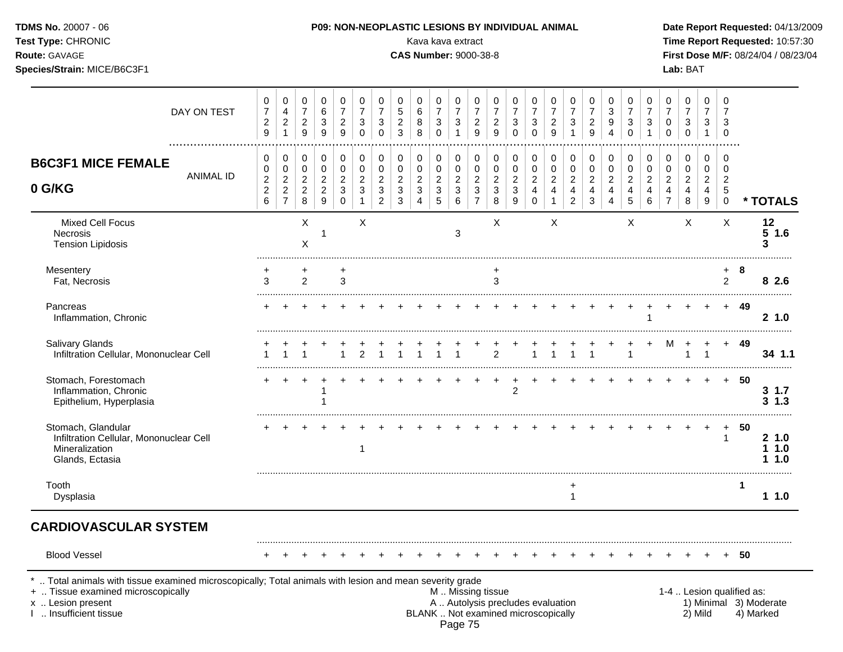| DAY ON TEST                                                                                                                                                                                | 0<br>$\boldsymbol{7}$<br>$\overline{c}$<br>9                  | 0<br>$\overline{4}$<br>$\sqrt{2}$<br>$\overline{1}$ | 0<br>$\overline{7}$<br>$\boldsymbol{2}$<br>$\boldsymbol{9}$ | 0<br>$\,6$<br>3<br>$\boldsymbol{9}$                                      | 0<br>$\overline{7}$<br>$\overline{2}$<br>9         | 0<br>$\boldsymbol{7}$<br>3<br>$\mathbf 0$          | 0<br>$\overline{7}$<br>3<br>$\Omega$                               | 0<br>5<br>$\overline{c}$<br>3                                     | 0<br>$\,6$<br>8<br>8                                         | 0<br>$\boldsymbol{7}$<br>$\sqrt{3}$<br>$\Omega$                  | 0<br>$\overline{7}$<br>$\mathbf{3}$<br>$\mathbf{1}$ | 0<br>$\overline{7}$<br>$\overline{c}$<br>9                                                    | 0<br>7<br>$\overline{2}$<br>9                             | 0<br>$\overline{7}$<br>3<br>$\Omega$                  | 0<br>$\overline{7}$<br>3<br>$\mathbf 0$                | 0<br>$\overline{7}$<br>$\overline{2}$<br>9                              | 0<br>$\boldsymbol{7}$<br>$\ensuremath{\mathsf{3}}$<br>$\mathbf{1}$        | 0<br>$\overline{7}$<br>$\overline{2}$<br>9              | 0<br>$\sqrt{3}$<br>$\boldsymbol{9}$<br>$\overline{4}$     | 0<br>$\overline{7}$<br>$\mathbf{3}$<br>$\mathbf 0$    | 0<br>$\overline{7}$<br>$\mathbf{3}$<br>$\mathbf{1}$ | 0<br>$\overline{7}$<br>$\mathbf 0$<br>$\Omega$                     | 0<br>7<br>3<br>$\Omega$                                   | 0<br>$\overline{7}$<br>3<br>$\mathbf{1}$                         | 0<br>7<br>3<br>$\Omega$                                |                           |                                     |
|--------------------------------------------------------------------------------------------------------------------------------------------------------------------------------------------|---------------------------------------------------------------|-----------------------------------------------------|-------------------------------------------------------------|--------------------------------------------------------------------------|----------------------------------------------------|----------------------------------------------------|--------------------------------------------------------------------|-------------------------------------------------------------------|--------------------------------------------------------------|------------------------------------------------------------------|-----------------------------------------------------|-----------------------------------------------------------------------------------------------|-----------------------------------------------------------|-------------------------------------------------------|--------------------------------------------------------|-------------------------------------------------------------------------|---------------------------------------------------------------------------|---------------------------------------------------------|-----------------------------------------------------------|-------------------------------------------------------|-----------------------------------------------------|--------------------------------------------------------------------|-----------------------------------------------------------|------------------------------------------------------------------|--------------------------------------------------------|---------------------------|-------------------------------------|
| <b>B6C3F1 MICE FEMALE</b><br>ANIMAL ID<br>0 G/KG                                                                                                                                           | 0<br>$\,0\,$<br>$\boldsymbol{2}$<br>$\boldsymbol{2}$<br>$\,6$ | 0<br>$\pmb{0}$<br>$\boldsymbol{2}$<br>$\frac{2}{7}$ | 0<br>$\pmb{0}$<br>$\overline{c}$<br>$\overline{c}$<br>8     | 0<br>$\mathbf 0$<br>$\overline{c}$<br>$\overline{c}$<br>$\boldsymbol{9}$ | 0<br>$\mathbf 0$<br>$\sqrt{2}$<br>3<br>$\mathbf 0$ | 0<br>$\mathbf 0$<br>$\overline{c}$<br>$\mathbf{3}$ | 0<br>$\pmb{0}$<br>$\overline{c}$<br>$\mathbf{3}$<br>$\overline{c}$ | $\pmb{0}$<br>$\mathbf 0$<br>$\overline{c}$<br>$\mathfrak{S}$<br>3 | 0<br>0<br>$\overline{a}$<br>$\mathfrak{Z}$<br>$\overline{4}$ | 0<br>$\pmb{0}$<br>$\overline{c}$<br>$\sqrt{3}$<br>$\overline{5}$ | 0<br>$\mathbf 0$<br>$\sqrt{2}$<br>$\mathbf{3}$<br>6 | 0<br>$\pmb{0}$<br>$\overline{c}$<br>$\ensuremath{\mathsf{3}}$<br>$\overline{7}$               | 0<br>$\mathbf 0$<br>$\boldsymbol{2}$<br>$\mathbf{3}$<br>8 | 0<br>$\pmb{0}$<br>$\overline{c}$<br>$\mathbf{3}$<br>9 | 0<br>$\mathbf 0$<br>$\overline{c}$<br>4<br>$\mathbf 0$ | 0<br>$\pmb{0}$<br>$\sqrt{2}$<br>$\overline{\mathbf{4}}$<br>$\mathbf{1}$ | 0<br>$\pmb{0}$<br>$\sqrt{2}$<br>$\overline{\mathbf{4}}$<br>$\overline{2}$ | 0<br>$\mathbf 0$<br>$\overline{c}$<br>4<br>$\mathbf{3}$ | 0<br>$\mathbf 0$<br>$\overline{c}$<br>$\overline{4}$<br>4 | 0<br>$\pmb{0}$<br>$\boldsymbol{2}$<br>4<br>$\sqrt{5}$ | 0<br>0<br>$\boldsymbol{2}$<br>$\overline{4}$<br>6   | 0<br>$\mathbf 0$<br>$\sqrt{2}$<br>$\overline{4}$<br>$\overline{7}$ | 0<br>$\mathbf 0$<br>$\overline{2}$<br>$\overline{4}$<br>8 | 0<br>0<br>$\boldsymbol{2}$<br>$\overline{4}$<br>$\boldsymbol{9}$ | 0<br>$\mathbf 0$<br>$\overline{2}$<br>5<br>$\mathbf 0$ |                           | * TOTALS                            |
| <b>Mixed Cell Focus</b><br><b>Necrosis</b><br><b>Tension Lipidosis</b>                                                                                                                     |                                                               |                                                     | X<br>X                                                      |                                                                          |                                                    | X                                                  |                                                                    |                                                                   |                                                              |                                                                  | 3                                                   |                                                                                               | X                                                         |                                                       |                                                        | X                                                                       |                                                                           |                                                         |                                                           | X                                                     |                                                     |                                                                    | X                                                         |                                                                  | $\sf X$                                                |                           | 12<br>$5$ 1.6<br>3                  |
| Mesentery<br>Fat, Necrosis                                                                                                                                                                 | +<br>3                                                        |                                                     | $\overline{2}$                                              |                                                                          | 3                                                  |                                                    |                                                                    |                                                                   |                                                              |                                                                  |                                                     |                                                                                               | ٠<br>3                                                    |                                                       |                                                        |                                                                         |                                                                           |                                                         |                                                           |                                                       |                                                     |                                                                    |                                                           |                                                                  | $+$<br>2                                               | 8                         | 8 2.6                               |
| Pancreas<br>Inflammation, Chronic                                                                                                                                                          |                                                               |                                                     |                                                             |                                                                          |                                                    |                                                    |                                                                    |                                                                   |                                                              |                                                                  |                                                     |                                                                                               |                                                           |                                                       |                                                        |                                                                         |                                                                           |                                                         |                                                           |                                                       |                                                     |                                                                    |                                                           |                                                                  | $+$                                                    | 49                        | 21.0                                |
| Salivary Glands<br>Infiltration Cellular, Mononuclear Cell                                                                                                                                 |                                                               |                                                     |                                                             |                                                                          |                                                    | 2                                                  |                                                                    |                                                                   |                                                              |                                                                  |                                                     |                                                                                               | $\overline{2}$                                            |                                                       |                                                        |                                                                         |                                                                           |                                                         |                                                           |                                                       |                                                     | м                                                                  |                                                           |                                                                  | $+$                                                    | 49                        | 34 1.1                              |
| Stomach, Forestomach<br>Inflammation, Chronic<br>Epithelium, Hyperplasia                                                                                                                   |                                                               |                                                     |                                                             |                                                                          |                                                    |                                                    |                                                                    |                                                                   |                                                              |                                                                  |                                                     |                                                                                               |                                                           | $\overline{2}$                                        |                                                        |                                                                         |                                                                           |                                                         |                                                           |                                                       |                                                     |                                                                    |                                                           | $\ddot{}$                                                        | $+$                                                    | 50                        | $3 \t1.7$<br>$3 \t1.3$              |
| Stomach, Glandular<br>Infiltration Cellular, Mononuclear Cell<br>Mineralization<br>Glands, Ectasia                                                                                         |                                                               |                                                     |                                                             |                                                                          |                                                    | 1                                                  |                                                                    |                                                                   |                                                              |                                                                  |                                                     |                                                                                               |                                                           |                                                       |                                                        |                                                                         |                                                                           |                                                         |                                                           |                                                       |                                                     |                                                                    |                                                           |                                                                  | 1                                                      | 50                        | 21.0<br>11.0<br>11.0                |
| Tooth<br>Dysplasia                                                                                                                                                                         |                                                               |                                                     |                                                             |                                                                          |                                                    |                                                    |                                                                    |                                                                   |                                                              |                                                                  |                                                     |                                                                                               |                                                           |                                                       |                                                        |                                                                         | +<br>$\mathbf{1}$                                                         |                                                         |                                                           |                                                       |                                                     |                                                                    |                                                           |                                                                  |                                                        | 1                         | 11.0                                |
| <b>CARDIOVASCULAR SYSTEM</b>                                                                                                                                                               |                                                               |                                                     |                                                             |                                                                          |                                                    |                                                    |                                                                    |                                                                   |                                                              |                                                                  |                                                     |                                                                                               |                                                           |                                                       |                                                        |                                                                         |                                                                           |                                                         |                                                           |                                                       |                                                     |                                                                    |                                                           |                                                                  |                                                        |                           |                                     |
| <b>Blood Vessel</b>                                                                                                                                                                        |                                                               |                                                     |                                                             |                                                                          |                                                    |                                                    |                                                                    |                                                                   |                                                              |                                                                  |                                                     |                                                                                               |                                                           |                                                       |                                                        |                                                                         |                                                                           |                                                         |                                                           |                                                       |                                                     |                                                                    |                                                           |                                                                  |                                                        | 50                        |                                     |
| Total animals with tissue examined microscopically; Total animals with lesion and mean severity grade<br>+  Tissue examined microscopically<br>x  Lesion present<br>I  Insufficient tissue |                                                               |                                                     |                                                             |                                                                          |                                                    |                                                    |                                                                    |                                                                   |                                                              |                                                                  |                                                     | M  Missing tissue<br>A  Autolysis precludes evaluation<br>BLANK  Not examined microscopically |                                                           |                                                       |                                                        |                                                                         |                                                                           |                                                         |                                                           |                                                       |                                                     |                                                                    |                                                           | 2) Mild                                                          |                                                        | 1-4  Lesion qualified as: | 1) Minimal 3) Moderate<br>4) Marked |

**Species/Strain:** MICE/B6C3F1 **Lab:** BAT

**Test Type:** CHRONIC **Transfer CHRONIC Report Requested:** 10:57:30 **Route:** GAVAGE **CAS Number:** 9000-38-8 **First Dose M/F:** 08/24/04 / 08/23/04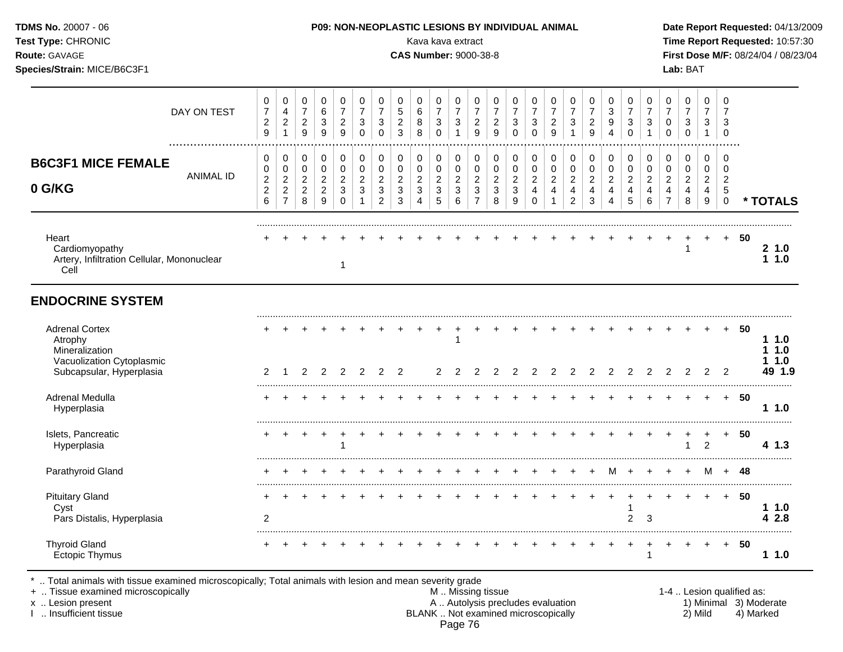| Test Type: CHRONIC<br>Route: GAVAGE<br>Species/Strain: MICE/B6C3F1                                          |                  |                                                                       |                                                                          |                                                                     |                                                                   |                                                                                 |                                                                                    |                                                                                |                                                                     | Kava kava extract<br><b>CAS Number: 9000-38-8</b>         |                                                                 |                                                                                    |                                                                |                                                             |                                                              |                                                                     |                                                                          |                                                                                  |                                                                 |                                                                                           |                                                                                |                                                                     |                                                                      | Lab: BAT                                                        |                                                                     |                                                                           |        | Time Report Requested: 10:57:30<br>First Dose M/F: 08/24/04 / 08/23/04 |
|-------------------------------------------------------------------------------------------------------------|------------------|-----------------------------------------------------------------------|--------------------------------------------------------------------------|---------------------------------------------------------------------|-------------------------------------------------------------------|---------------------------------------------------------------------------------|------------------------------------------------------------------------------------|--------------------------------------------------------------------------------|---------------------------------------------------------------------|-----------------------------------------------------------|-----------------------------------------------------------------|------------------------------------------------------------------------------------|----------------------------------------------------------------|-------------------------------------------------------------|--------------------------------------------------------------|---------------------------------------------------------------------|--------------------------------------------------------------------------|----------------------------------------------------------------------------------|-----------------------------------------------------------------|-------------------------------------------------------------------------------------------|--------------------------------------------------------------------------------|---------------------------------------------------------------------|----------------------------------------------------------------------|-----------------------------------------------------------------|---------------------------------------------------------------------|---------------------------------------------------------------------------|--------|------------------------------------------------------------------------|
|                                                                                                             | DAY ON TEST      | $\pmb{0}$<br>$\boldsymbol{7}$<br>$\boldsymbol{2}$<br>$\boldsymbol{9}$ | 0<br>$\overline{4}$<br>$\boldsymbol{2}$<br>$\mathbf{1}$                  | 0<br>$\overline{7}$<br>$\sqrt{2}$<br>$\mathsf g$                    | $\pmb{0}$<br>$\,6$<br>$\mathsf 3$<br>$\mathsf g$                  | 0<br>$\overline{7}$<br>$\overline{c}$<br>$\mathsf g$                            | 0<br>$\overline{7}$<br>$\sqrt{3}$<br>$\mathbf 0$                                   | 0<br>$\overline{7}$<br>$\ensuremath{\mathsf{3}}$<br>$\mathbf 0$                | $\mathbf 0$<br>5<br>$\frac{2}{3}$                                   | $\mathbf 0$<br>$\,6\,$<br>8<br>8                          | 0<br>$\overline{7}$<br>$\ensuremath{\mathsf{3}}$<br>$\mathbf 0$ | $\begin{array}{c} 0 \\ 7 \end{array}$<br>$\ensuremath{\mathsf{3}}$<br>$\mathbf{1}$ | $\pmb{0}$<br>$\overline{7}$<br>$\frac{2}{9}$                   | $\mathbf 0$<br>$\overline{7}$<br>$\frac{2}{9}$              | $\mathbf 0$<br>$\overline{7}$<br>$\mathbf{3}$<br>$\mathsf 0$ | 0<br>$\overline{7}$<br>3<br>$\mathbf 0$                             | $\pmb{0}$<br>$\overline{7}$<br>$\overline{c}$<br>$\mathsf g$             | 0<br>$\overline{7}$<br>$\ensuremath{\mathsf{3}}$<br>$\mathbf{1}$                 | $\mathbf 0$<br>$\overline{7}$<br>$\frac{2}{9}$                  | $\mathbf 0$<br>$\mathbf{3}$<br>$\boldsymbol{9}$<br>$\overline{4}$                         | $\mathbf 0$<br>$\overline{7}$<br>$\ensuremath{\mathsf{3}}$<br>$\mathbf 0$      | 0<br>$\overline{7}$<br>3<br>$\mathbf{1}$                            | $\pmb{0}$<br>$\overline{7}$<br>$\pmb{0}$<br>$\pmb{0}$                | 0<br>$\overline{7}$<br>$\ensuremath{\mathsf{3}}$<br>$\pmb{0}$   | $\mathbf 0$<br>$\overline{7}$<br>$\sqrt{3}$<br>$\mathbf{1}$         | $\mathbf 0$<br>$\overline{7}$<br>3<br>$\mathbf 0$                         |        |                                                                        |
| <b>B6C3F1 MICE FEMALE</b><br>0 G/KG                                                                         | <b>ANIMAL ID</b> | 0<br>$\mathbf 0$<br>$\mathbf 2$<br>$\boldsymbol{2}$<br>6              | 0<br>$\mathsf 0$<br>$\overline{c}$<br>$\boldsymbol{2}$<br>$\overline{7}$ | $\mathbf 0$<br>$\mathbf 0$<br>$\overline{2}$<br>$\overline{2}$<br>8 | $\pmb{0}$<br>$\pmb{0}$<br>$\overline{2}$<br>$\boldsymbol{2}$<br>9 | $\mathbf 0$<br>$\mathsf{O}\xspace$<br>$\sqrt{2}$<br>$\mathbf{3}$<br>$\mathbf 0$ | $\mathbf 0$<br>$\mathbf 0$<br>$\boldsymbol{2}$<br>$\mathfrak{Z}$<br>$\overline{1}$ | $\pmb{0}$<br>$\mathbf 0$<br>$\overline{c}$<br>$\mathfrak{Z}$<br>$\overline{2}$ | $\mathbf 0$<br>$\mathsf 0$<br>$\overline{c}$<br>$\mathfrak{S}$<br>3 | $\mathbf 0$<br>0<br>$\overline{c}$<br>3<br>$\overline{4}$ | 0<br>$\pmb{0}$<br>$\overline{c}$<br>$\sqrt{3}$<br>5             | $\mathbf 0$<br>$\pmb{0}$<br>$\overline{2}$<br>$\mathbf{3}$<br>6                    | 0<br>$\pmb{0}$<br>$\sqrt{2}$<br>$\mathbf{3}$<br>$\overline{7}$ | $\mathbf 0$<br>$\pmb{0}$<br>$\sqrt{2}$<br>$\mathbf{3}$<br>8 | 0<br>$\mathsf 0$<br>$\overline{2}$<br>$\mathbf{3}$<br>9      | 0<br>$\pmb{0}$<br>$\boldsymbol{2}$<br>$\overline{4}$<br>$\mathbf 0$ | 0<br>$\mathbf 0$<br>$\boldsymbol{2}$<br>$\overline{4}$<br>$\overline{1}$ | $\mathbf 0$<br>$\mathbf 0$<br>$\overline{c}$<br>$\overline{4}$<br>$\overline{2}$ | $\mathbf 0$<br>$\mathbf 0$<br>$\sqrt{2}$<br>$\overline{4}$<br>3 | $\mathbf 0$<br>$\pmb{0}$<br>$\boldsymbol{2}$<br>$\overline{\mathbf{4}}$<br>$\overline{4}$ | $\mathbf 0$<br>$\mathbf 0$<br>$\boldsymbol{2}$<br>$\overline{\mathbf{4}}$<br>5 | $\mathbf 0$<br>$\mathbf 0$<br>$\overline{2}$<br>$\overline{4}$<br>6 | 0<br>$\pmb{0}$<br>$\overline{a}$<br>$\overline{4}$<br>$\overline{7}$ | $\mathbf 0$<br>$\mathbf 0$<br>$\sqrt{2}$<br>$\overline{4}$<br>8 | $\mathbf 0$<br>$\mathbf 0$<br>$\overline{c}$<br>$\overline{a}$<br>9 | $\mathbf 0$<br>$\mathbf 0$<br>$\sqrt{2}$<br>$\overline{5}$<br>$\mathbf 0$ |        | * TOTALS                                                               |
| Heart<br>Cardiomyopathy<br>Artery, Infiltration Cellular, Mononuclear<br>Cell                               |                  |                                                                       |                                                                          |                                                                     |                                                                   | $\mathbf{1}$                                                                    |                                                                                    |                                                                                |                                                                     |                                                           |                                                                 |                                                                                    |                                                                |                                                             |                                                              |                                                                     |                                                                          |                                                                                  |                                                                 |                                                                                           |                                                                                |                                                                     |                                                                      | 1                                                               | $+$                                                                 |                                                                           | $+ 50$ | 21.0<br>11.0                                                           |
| <b>ENDOCRINE SYSTEM</b>                                                                                     |                  |                                                                       |                                                                          |                                                                     |                                                                   |                                                                                 |                                                                                    |                                                                                |                                                                     |                                                           |                                                                 |                                                                                    |                                                                |                                                             |                                                              |                                                                     |                                                                          |                                                                                  |                                                                 |                                                                                           |                                                                                |                                                                     |                                                                      |                                                                 |                                                                     |                                                                           |        |                                                                        |
| <b>Adrenal Cortex</b><br>Atrophy<br>Mineralization<br>Vacuolization Cytoplasmic<br>Subcapsular, Hyperplasia |                  | 2                                                                     | $\overline{1}$                                                           | 2                                                                   | 2                                                                 | 2                                                                               | 2                                                                                  | $\overline{2}$                                                                 | 2                                                                   |                                                           | $\pm$<br>2                                                      | $+$<br>$\mathbf{1}$<br>2                                                           | $+$<br>$\overline{2}$                                          | 2                                                           | 2                                                            | 2                                                                   | 2                                                                        | 2                                                                                | 2                                                               | 2                                                                                         | 2                                                                              | 2                                                                   | 2                                                                    | 2                                                               | $\overline{2}$                                                      | $+$<br>2                                                                  | -50    | 1.0<br>1.0<br>11.0<br>49 1.9                                           |
| Adrenal Medulla<br>Hyperplasia                                                                              |                  |                                                                       |                                                                          |                                                                     |                                                                   |                                                                                 |                                                                                    |                                                                                |                                                                     |                                                           |                                                                 |                                                                                    |                                                                |                                                             |                                                              |                                                                     |                                                                          |                                                                                  |                                                                 |                                                                                           |                                                                                |                                                                     |                                                                      |                                                                 | $+$                                                                 |                                                                           | $+ 50$ | 11.0                                                                   |
| Islets, Pancreatic<br>Hyperplasia                                                                           |                  |                                                                       |                                                                          |                                                                     |                                                                   |                                                                                 |                                                                                    |                                                                                |                                                                     |                                                           |                                                                 |                                                                                    |                                                                |                                                             |                                                              |                                                                     |                                                                          |                                                                                  |                                                                 |                                                                                           |                                                                                |                                                                     | $\ddot{}$                                                            | $\ddot{}$<br>1                                                  | $\ddot{}$<br>$\overline{2}$                                         | $+$                                                                       | 50     | 4 1.3                                                                  |
| Parathyroid Gland                                                                                           |                  |                                                                       |                                                                          |                                                                     |                                                                   |                                                                                 |                                                                                    |                                                                                |                                                                     |                                                           |                                                                 |                                                                                    |                                                                |                                                             |                                                              |                                                                     |                                                                          |                                                                                  |                                                                 | м                                                                                         |                                                                                |                                                                     |                                                                      |                                                                 | м                                                                   |                                                                           | $+ 48$ |                                                                        |
| <b>Pituitary Gland</b><br>Cyst<br>Pars Distalis, Hyperplasia                                                |                  | $\overline{c}$                                                        |                                                                          |                                                                     |                                                                   |                                                                                 |                                                                                    |                                                                                |                                                                     |                                                           |                                                                 |                                                                                    |                                                                |                                                             |                                                              |                                                                     |                                                                          |                                                                                  |                                                                 |                                                                                           | 1<br>2                                                                         | 3                                                                   |                                                                      |                                                                 |                                                                     |                                                                           | $+ 50$ | 11.0<br>42.8                                                           |
| <b>Thyroid Gland</b><br>Ectopic Thymus                                                                      |                  |                                                                       | $\div$                                                                   | $+$                                                                 |                                                                   |                                                                                 |                                                                                    |                                                                                |                                                                     |                                                           |                                                                 |                                                                                    |                                                                |                                                             |                                                              |                                                                     |                                                                          |                                                                                  |                                                                 |                                                                                           |                                                                                | $\overline{ }$<br>$\mathbf{1}$                                      |                                                                      |                                                                 |                                                                     |                                                                           | $+ 50$ | 11.0                                                                   |

\* .. Total animals with tissue examined microscopically; Total animals with lesion and mean severity grade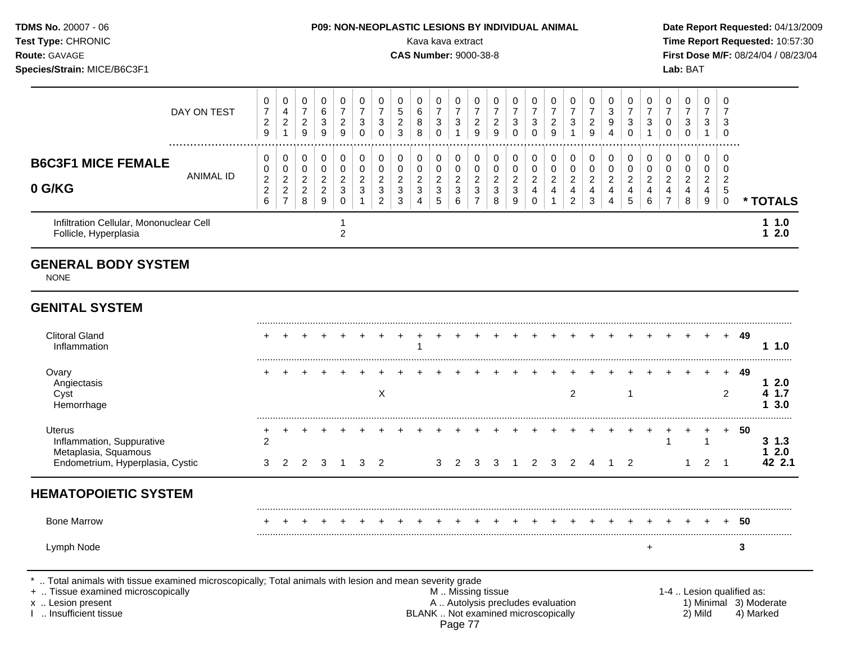| <b>TDMS No. 20007 - 06</b>  |             |                |                          | P09: NON-NEOPLASTIC LESIONS BY INDIVIDUAL ANIMAL |  |               |                |    |               |                              |  |  |  |   |   |                  | Date Rep        |  |
|-----------------------------|-------------|----------------|--------------------------|--------------------------------------------------|--|---------------|----------------|----|---------------|------------------------------|--|--|--|---|---|------------------|-----------------|--|
| <b>Test Type: CHRONIC</b>   |             |                |                          |                                                  |  |               |                |    |               | Kava kava extract            |  |  |  |   |   |                  | <b>Time Rep</b> |  |
| <b>Route: GAVAGE</b>        |             |                |                          |                                                  |  |               |                |    |               | <b>CAS Number: 9000-38-8</b> |  |  |  |   |   | <b>First Dos</b> |                 |  |
| Species/Strain: MICE/B6C3F1 |             |                |                          |                                                  |  |               |                |    |               |                              |  |  |  |   |   |                  | Lab: BAT        |  |
|                             | DAV ON TEST | $\overline{ }$ | $\overline{\phantom{0}}$ | R.                                               |  | $\rightarrow$ | $\overline{ }$ | C. | $\rightarrow$ |                              |  |  |  | ົ | ⇁ | -                |                 |  |

|                                                                                                                                                                  | DAY ON TEST          | 0<br>$\overline{7}$<br>$\sqrt{2}$<br>$\boldsymbol{9}$            | 0<br>4<br>$\sqrt{2}$<br>$\mathbf{1}$                               | 0<br>$\overline{7}$<br>$\sqrt{2}$<br>9                     | 0<br>6<br>$\sqrt{3}$<br>$\boldsymbol{9}$                               | 0<br>$\overline{7}$<br>$\sqrt{2}$<br>$\boldsymbol{9}$  | 0<br>$\overline{7}$<br>3<br>$\mathbf 0$  | 0<br>$\overline{7}$<br>3<br>$\Omega$                             | 0<br>$\sqrt{5}$<br>$\boldsymbol{2}$<br>3                      | 0<br>6<br>8<br>$\boldsymbol{8}$                             | 0<br>$\overline{7}$<br>$\mathsf 3$<br>$\mathsf 0$             | 0<br>$\overline{7}$<br>$\sqrt{3}$<br>$\mathbf{1}$       | 0<br>$\overline{7}$<br>$\overline{c}$<br>$\boldsymbol{9}$        | 0<br>$\overline{7}$<br>$\overline{c}$<br>9          | 0<br>$\overline{7}$<br>$\sqrt{3}$<br>$\Omega$       | 0<br>$\overline{7}$<br>3<br>$\Omega$                             | 0<br>$\overline{7}$<br>$\sqrt{2}$<br>$\boldsymbol{9}$                         | 0<br>$\overline{7}$<br>3<br>$\mathbf{1}$                             | 0<br>$\overline{7}$<br>$\boldsymbol{2}$<br>$\mathsf g$                   | 0<br>3<br>9<br>4                                    | 0<br>$\overline{7}$<br>3<br>$\Omega$ | 0<br>$\overline{7}$<br>3                                | 0<br>$\overline{7}$<br>$\mathbf 0$<br>$\Omega$  | 0<br>$\overline{7}$<br>$\mathbf{3}$<br>0                  | 0<br>$\overline{7}$<br>$\mathbf{3}$<br>$\mathbf{1}$ | 0<br>7<br>3<br>0                                 |                           |                        |
|------------------------------------------------------------------------------------------------------------------------------------------------------------------|----------------------|------------------------------------------------------------------|--------------------------------------------------------------------|------------------------------------------------------------|------------------------------------------------------------------------|--------------------------------------------------------|------------------------------------------|------------------------------------------------------------------|---------------------------------------------------------------|-------------------------------------------------------------|---------------------------------------------------------------|---------------------------------------------------------|------------------------------------------------------------------|-----------------------------------------------------|-----------------------------------------------------|------------------------------------------------------------------|-------------------------------------------------------------------------------|----------------------------------------------------------------------|--------------------------------------------------------------------------|-----------------------------------------------------|--------------------------------------|---------------------------------------------------------|-------------------------------------------------|-----------------------------------------------------------|-----------------------------------------------------|--------------------------------------------------|---------------------------|------------------------|
| <b>B6C3F1 MICE FEMALE</b><br>0 G/KG                                                                                                                              | <br><b>ANIMAL ID</b> | 0<br>0<br>$\boldsymbol{2}$<br>$\boldsymbol{2}$<br>$6\phantom{a}$ | 0<br>$\pmb{0}$<br>$\boldsymbol{2}$<br>$\sqrt{2}$<br>$\overline{7}$ | 0<br>$\boldsymbol{0}$<br>$\overline{c}$<br>$\sqrt{2}$<br>8 | 0<br>$\pmb{0}$<br>$\overline{c}$<br>$\overline{c}$<br>$\boldsymbol{9}$ | 0<br>$\mathsf 0$<br>$\overline{c}$<br>3<br>$\mathbf 0$ | 0<br>0<br>$\overline{c}$<br>$\mathbf{3}$ | 0<br>$\pmb{0}$<br>$\overline{c}$<br>$\sqrt{3}$<br>$\overline{2}$ | $\pmb{0}$<br>$\pmb{0}$<br>$\overline{c}$<br>$\mathbf{3}$<br>3 | 0<br>0<br>$\boldsymbol{2}$<br>$\mathbf 3$<br>$\overline{4}$ | 0<br>$\boldsymbol{0}$<br>$\boldsymbol{2}$<br>$\mathsf 3$<br>5 | 0<br>$\pmb{0}$<br>$\overline{2}$<br>$\mathfrak{Z}$<br>6 | 0<br>$\pmb{0}$<br>$\sqrt{2}$<br>$\mathfrak{S}$<br>$\overline{7}$ | 0<br>$\pmb{0}$<br>$\overline{c}$<br>$\sqrt{3}$<br>8 | 0<br>$\pmb{0}$<br>$\overline{c}$<br>$\sqrt{3}$<br>9 | 0<br>$\mathsf 0$<br>$\overline{2}$<br>$\overline{4}$<br>$\Omega$ | 0<br>$\pmb{0}$<br>$\boldsymbol{2}$<br>$\overline{\mathbf{4}}$<br>$\mathbf{1}$ | 0<br>$\pmb{0}$<br>$\overline{2}$<br>$\overline{4}$<br>$\overline{2}$ | $\pmb{0}$<br>$\pmb{0}$<br>$\overline{c}$<br>$\overline{\mathbf{4}}$<br>3 | 0<br>$\pmb{0}$<br>$\sqrt{2}$<br>$\overline{4}$<br>4 | 0<br>0<br>$\overline{c}$<br>4<br>5   | 0<br>$\pmb{0}$<br>$\overline{2}$<br>$\overline{4}$<br>6 | 0<br>0<br>$\overline{2}$<br>4<br>$\overline{7}$ | 0<br>$\mathbf 0$<br>$\overline{c}$<br>$\overline{4}$<br>8 | $\Omega$<br>$\mathbf 0$<br>$\overline{2}$<br>4<br>9 | $\Omega$<br>$\mathbf 0$<br>2<br>5<br>$\mathbf 0$ |                           | * TOTALS               |
| Infiltration Cellular, Mononuclear Cell<br>Follicle, Hyperplasia                                                                                                 |                      |                                                                  |                                                                    |                                                            |                                                                        | 1<br>$\overline{c}$                                    |                                          |                                                                  |                                                               |                                                             |                                                               |                                                         |                                                                  |                                                     |                                                     |                                                                  |                                                                               |                                                                      |                                                                          |                                                     |                                      |                                                         |                                                 |                                                           |                                                     |                                                  |                           | 11.0<br>12.0           |
| <b>GENERAL BODY SYSTEM</b><br><b>NONE</b>                                                                                                                        |                      |                                                                  |                                                                    |                                                            |                                                                        |                                                        |                                          |                                                                  |                                                               |                                                             |                                                               |                                                         |                                                                  |                                                     |                                                     |                                                                  |                                                                               |                                                                      |                                                                          |                                                     |                                      |                                                         |                                                 |                                                           |                                                     |                                                  |                           |                        |
| <b>GENITAL SYSTEM</b>                                                                                                                                            |                      |                                                                  |                                                                    |                                                            |                                                                        |                                                        |                                          |                                                                  |                                                               |                                                             |                                                               |                                                         |                                                                  |                                                     |                                                     |                                                                  |                                                                               |                                                                      |                                                                          |                                                     |                                      |                                                         |                                                 |                                                           |                                                     |                                                  |                           |                        |
| <b>Clitoral Gland</b><br>Inflammation                                                                                                                            |                      |                                                                  |                                                                    |                                                            |                                                                        |                                                        |                                          |                                                                  |                                                               |                                                             |                                                               |                                                         |                                                                  |                                                     |                                                     |                                                                  |                                                                               |                                                                      |                                                                          |                                                     |                                      |                                                         |                                                 |                                                           |                                                     | $+$                                              | 49                        | 1.0                    |
| Ovary<br>Angiectasis<br>Cyst<br>Hemorrhage                                                                                                                       |                      |                                                                  |                                                                    |                                                            |                                                                        |                                                        |                                          | $\boldsymbol{\mathsf{X}}$                                        |                                                               |                                                             |                                                               |                                                         |                                                                  |                                                     |                                                     |                                                                  |                                                                               | $\overline{2}$                                                       |                                                                          |                                                     | $\mathbf 1$                          |                                                         |                                                 |                                                           |                                                     | $\pm$<br>2                                       | 49                        | 12.0<br>4 1.7<br>13.0  |
| <b>Uterus</b><br>Inflammation, Suppurative<br>Metaplasia, Squamous                                                                                               |                      | ٠<br>2                                                           |                                                                    |                                                            |                                                                        |                                                        |                                          |                                                                  |                                                               |                                                             |                                                               |                                                         |                                                                  |                                                     |                                                     |                                                                  |                                                                               |                                                                      |                                                                          |                                                     |                                      |                                                         | +<br>$\mathbf{1}$                               | $\ddot{}$                                                 | $\ddot{}$<br>$\overline{1}$                         | $+$                                              | 50                        | $3 \; 1.3$<br>12.0     |
| Endometrium, Hyperplasia, Cystic                                                                                                                                 |                      | 3                                                                | 2                                                                  | 2                                                          | 3                                                                      | -1                                                     | 3                                        | 2                                                                |                                                               |                                                             | 3                                                             | 2                                                       | 3                                                                | 3                                                   | -1                                                  | 2                                                                | 3                                                                             | 2                                                                    | $\overline{4}$                                                           | -1                                                  | 2                                    |                                                         |                                                 | 1                                                         | 2                                                   | $\overline{1}$                                   |                           | 42 2.1                 |
| <b>HEMATOPOIETIC SYSTEM</b>                                                                                                                                      |                      |                                                                  |                                                                    |                                                            |                                                                        |                                                        |                                          |                                                                  |                                                               |                                                             |                                                               |                                                         |                                                                  |                                                     |                                                     |                                                                  |                                                                               |                                                                      |                                                                          |                                                     |                                      |                                                         |                                                 |                                                           |                                                     |                                                  |                           |                        |
| <b>Bone Marrow</b>                                                                                                                                               |                      |                                                                  |                                                                    |                                                            |                                                                        |                                                        |                                          |                                                                  |                                                               |                                                             |                                                               |                                                         |                                                                  |                                                     |                                                     |                                                                  |                                                                               |                                                                      |                                                                          |                                                     |                                      |                                                         |                                                 |                                                           |                                                     | $+$                                              | - 50                      |                        |
| Lymph Node                                                                                                                                                       |                      |                                                                  |                                                                    |                                                            |                                                                        |                                                        |                                          |                                                                  |                                                               |                                                             |                                                               |                                                         |                                                                  |                                                     |                                                     |                                                                  |                                                                               |                                                                      |                                                                          |                                                     |                                      | $\ddot{}$                                               |                                                 |                                                           |                                                     |                                                  | 3                         |                        |
| Total animals with tissue examined microscopically; Total animals with lesion and mean severity grade<br>+  Tissue examined microscopically<br>x  Lesion present |                      |                                                                  |                                                                    |                                                            |                                                                        |                                                        |                                          |                                                                  |                                                               |                                                             |                                                               |                                                         | M. Missing tissue                                                |                                                     |                                                     | A  Autolysis precludes evaluation                                |                                                                               |                                                                      |                                                                          |                                                     |                                      |                                                         |                                                 |                                                           |                                                     |                                                  | 1-4  Lesion qualified as: | 1) Minimal 3) Moderate |

I .. Insufficient tissue BLANK .. Not examined microscopically 2) Mild 4) Marked Page 77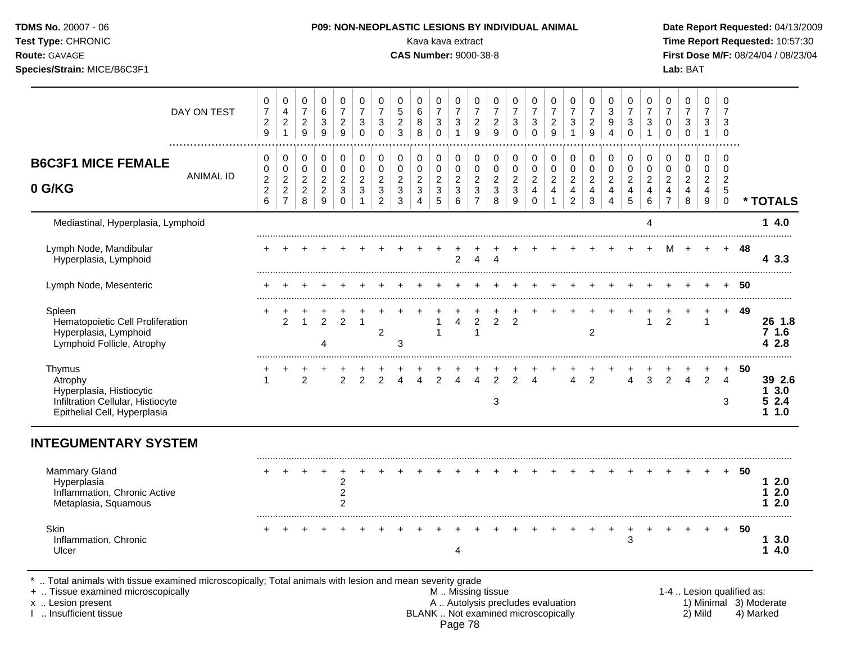| Test Type: CHRONIC<br>Route: GAVAGE<br>Species/Strain: MICE/B6C3F1                                                 |                  |                                                        |                                                         |                                        |                                           |                                                      |                                                   |                                                                         |                                         | Kava kava extract<br><b>CAS Number: 9000-38-8</b> |                                         |                                                                              |                                                             |                                                               |                                                   |                                              |                                                      |                                                                  |                                                      |                                                                 |                                            |                                                    |                                            | Lab: BAT                                                                          |                                                    |                                                   |      | Time Report Requested: 10:57:30<br>First Dose M/F: 08/24/04 / 08/23/04 |
|--------------------------------------------------------------------------------------------------------------------|------------------|--------------------------------------------------------|---------------------------------------------------------|----------------------------------------|-------------------------------------------|------------------------------------------------------|---------------------------------------------------|-------------------------------------------------------------------------|-----------------------------------------|---------------------------------------------------|-----------------------------------------|------------------------------------------------------------------------------|-------------------------------------------------------------|---------------------------------------------------------------|---------------------------------------------------|----------------------------------------------|------------------------------------------------------|------------------------------------------------------------------|------------------------------------------------------|-----------------------------------------------------------------|--------------------------------------------|----------------------------------------------------|--------------------------------------------|-----------------------------------------------------------------------------------|----------------------------------------------------|---------------------------------------------------|------|------------------------------------------------------------------------|
|                                                                                                                    | DAY ON TEST<br>  | $\pmb{0}$<br>$\boldsymbol{7}$<br>$\boldsymbol{2}$<br>9 | 0<br>$\overline{4}$<br>$\boldsymbol{2}$<br>$\mathbf{1}$ | 0<br>$\overline{7}$<br>$\sqrt{2}$<br>9 | $\pmb{0}$<br>$\,6$<br>$\mathfrak{S}$<br>9 | 0<br>$\overline{7}$<br>$\overline{c}$<br>9           | $\mathbf 0$<br>$\overline{7}$<br>3<br>$\mathbf 0$ | $\pmb{0}$<br>$\overline{7}$<br>$\ensuremath{\mathsf{3}}$<br>$\mathbf 0$ | $\mathbf 0$<br>5<br>$\overline{c}$<br>3 | $\mathbf 0$<br>6<br>8<br>8                        | 0<br>$\overline{7}$<br>3<br>$\mathbf 0$ | $\mathbf 0$<br>$\overline{7}$<br>$\ensuremath{\mathsf{3}}$<br>$\overline{1}$ | $\pmb{0}$<br>$\overline{7}$<br>$\sqrt{2}$<br>$\overline{9}$ | $\mathbf 0$<br>$\overline{7}$<br>$\sqrt{2}$<br>$\overline{9}$ | $\mathbf 0$<br>$\overline{7}$<br>3<br>$\mathsf 0$ | 0<br>$\overline{7}$<br>3<br>$\mathbf 0$      | $\mathbf 0$<br>$\overline{7}$<br>$\overline{c}$<br>9 | 0<br>$\overline{7}$<br>$\ensuremath{\mathsf{3}}$<br>$\mathbf{1}$ | $\mathbf 0$<br>$\overline{7}$<br>$\sqrt{2}$<br>$9\,$ | $\mathbf 0$<br>$\sqrt{3}$<br>$\boldsymbol{9}$<br>$\overline{4}$ | 0<br>$\overline{7}$<br>3<br>$\mathbf 0$    | $\mathbf 0$<br>$\overline{7}$<br>3<br>$\mathbf{1}$ | 0<br>$\overline{7}$<br>0<br>$\pmb{0}$      | $\mathbf 0$<br>$\overline{7}$<br>$\ensuremath{\mathsf{3}}$<br>$\mathsf{O}\xspace$ | $\mathbf 0$<br>$\overline{7}$<br>3<br>$\mathbf{1}$ | $\mathbf 0$<br>$\overline{7}$<br>3<br>$\mathbf 0$ |      |                                                                        |
| <b>B6C3F1 MICE FEMALE</b>                                                                                          | <b>ANIMAL ID</b> | 0<br>$\pmb{0}$<br>$\boldsymbol{2}$                     | 0<br>$\pmb{0}$<br>$\sqrt{2}$                            | 0<br>0<br>$\overline{c}$               | $\pmb{0}$<br>$\pmb{0}$<br>$\overline{c}$  | $\pmb{0}$<br>$\mathbf 0$<br>$\overline{c}$           | 0<br>$\mathbf 0$<br>$\overline{c}$                | 0<br>$\pmb{0}$<br>$\overline{c}$                                        | 0<br>$\mathbf 0$<br>$\overline{c}$      | 0<br>0<br>$\overline{c}$                          | $\pmb{0}$<br>0<br>$\boldsymbol{2}$      | $\pmb{0}$<br>$\pmb{0}$<br>$\boldsymbol{2}$                                   | 0<br>$\mathbf 0$<br>$\boldsymbol{2}$                        | $\pmb{0}$<br>$\pmb{0}$<br>$\sqrt{2}$                          | 0<br>$\pmb{0}$<br>$\overline{c}$                  | 0<br>$\mathsf{O}\xspace$<br>$\boldsymbol{2}$ | $\pmb{0}$<br>$\pmb{0}$<br>$\overline{c}$             | $\mathsf 0$<br>$\mathbf 0$<br>$\sqrt{2}$                         | $\mathbf 0$<br>$\pmb{0}$<br>$\boldsymbol{2}$         | 0<br>$\mathbf 0$<br>$\sqrt{2}$                                  | $\pmb{0}$<br>$\mathbf 0$<br>$\overline{c}$ | 0<br>$\mathsf{O}\xspace$<br>$\overline{a}$         | $\pmb{0}$<br>$\mathbf 0$<br>$\overline{a}$ | $\pmb{0}$<br>$\mathbf 0$<br>$\overline{c}$                                        | 0<br>$\mathbf 0$<br>$\overline{c}$                 | $\mathbf 0$<br>$\mathbf 0$<br>$\overline{2}$      |      |                                                                        |
| 0 G/KG                                                                                                             |                  | $\boldsymbol{2}$<br>$\,6$                              | $\sqrt{2}$<br>$\overline{7}$                            | $\mathbf 2$<br>8                       | $\overline{c}$<br>$\boldsymbol{9}$        | $\mathbf{3}$<br>$\pmb{0}$                            | $\mathfrak{Z}$<br>1                               | $\sqrt{3}$<br>$\overline{c}$                                            | $\mathbf{3}$<br>$\sqrt{3}$              | 3<br>4                                            | $\ensuremath{\mathsf{3}}$<br>5          | $\ensuremath{\mathsf{3}}$<br>$\,6\,$                                         | $\sqrt{3}$<br>$\overline{7}$                                | $\sqrt{3}$<br>8                                               | 3<br>$\boldsymbol{9}$                             | $\overline{4}$<br>$\mathbf 0$                | $\overline{4}$                                       | $\overline{4}$<br>$\overline{2}$                                 | $\overline{\mathbf{4}}$<br>$\mathfrak{Z}$            | $\overline{4}$<br>$\overline{\mathbf{4}}$                       | $\overline{4}$<br>$\overline{5}$           | $\overline{4}$<br>$\,6\,$                          | $\overline{4}$<br>$\overline{7}$           | $\overline{4}$<br>$\bf 8$                                                         | $\overline{4}$<br>$\boldsymbol{9}$                 | $\overline{5}$<br>$\mathsf 0$                     |      | * TOTALS                                                               |
| Mediastinal, Hyperplasia, Lymphoid                                                                                 |                  |                                                        |                                                         |                                        |                                           |                                                      |                                                   |                                                                         |                                         |                                                   |                                         |                                                                              |                                                             |                                                               |                                                   |                                              |                                                      |                                                                  |                                                      |                                                                 |                                            | $\overline{4}$                                     |                                            |                                                                                   |                                                    |                                                   |      | 14.0                                                                   |
| Lymph Node, Mandibular<br>Hyperplasia, Lymphoid                                                                    |                  |                                                        |                                                         |                                        |                                           |                                                      |                                                   |                                                                         |                                         |                                                   |                                         | 2                                                                            | $\overline{4}$                                              | $\overline{4}$                                                |                                                   |                                              |                                                      |                                                                  |                                                      |                                                                 |                                            | $\ddot{}$                                          | М                                          | $+$                                                                               | $+$                                                |                                                   | + 48 | 4 3.3                                                                  |
| Lymph Node, Mesenteric                                                                                             |                  |                                                        |                                                         |                                        |                                           |                                                      |                                                   |                                                                         |                                         |                                                   |                                         |                                                                              | $+$                                                         |                                                               |                                                   |                                              |                                                      |                                                                  |                                                      |                                                                 |                                            |                                                    |                                            |                                                                                   |                                                    |                                                   | - 50 | .                                                                      |
| Spleen<br>Hematopoietic Cell Proliferation<br>Hyperplasia, Lymphoid<br>Lymphoid Follicle, Atrophy                  |                  |                                                        | $\mathfrak{p}$                                          | +<br>$\overline{1}$                    | $\overline{2}$<br>$\overline{4}$          | $\mathcal{P}$                                        | $\overline{1}$                                    | $\overline{c}$                                                          | 3                                       |                                                   |                                         | 4                                                                            | $\overline{2}$<br>$\mathbf{1}$                              | $\overline{2}$                                                | $\overline{2}$                                    | $+$                                          |                                                      |                                                                  | $\overline{2}$                                       |                                                                 |                                            | $\ddot{}$<br>$\mathbf{1}$                          | $\ddot{}$<br>$\overline{2}$                | $+$                                                                               | +<br>$\overline{1}$                                | $+$                                               | - 49 | 26 1.8<br>71.6<br>42.8<br>.                                            |
| Thymus<br>Atrophy<br>Hyperplasia, Histiocytic<br>Infiltration Cellular, Histiocyte<br>Epithelial Cell, Hyperplasia |                  | $\mathbf{1}$                                           |                                                         | $\overline{2}$                         |                                           | $\mathcal{P}$                                        | $\mathcal{P}$                                     | $\mathfrak{D}$                                                          |                                         | $\overline{4}$                                    | $\mathcal{P}$                           | $\mathbf{A}$                                                                 | $\frac{+}{4}$                                               | $\overline{2}$<br>3                                           | $\overline{2}$                                    | 4                                            |                                                      | $\overline{4}$                                                   | 2                                                    |                                                                 | $\overline{4}$                             | $\mathbf{3}$                                       | $\overline{2}$                             | $\overline{4}$                                                                    | $\overline{2}$                                     | $+$<br>4<br>3                                     | 50   | 39 2.6<br>13.0<br>52.4<br>11.0                                         |
| <b>INTEGUMENTARY SYSTEM</b>                                                                                        |                  |                                                        |                                                         |                                        |                                           |                                                      |                                                   |                                                                         |                                         |                                                   |                                         |                                                                              |                                                             |                                                               |                                                   |                                              |                                                      |                                                                  |                                                      |                                                                 |                                            |                                                    |                                            |                                                                                   |                                                    |                                                   |      |                                                                        |
| <b>Mammary Gland</b><br>Hyperplasia<br>Inflammation, Chronic Active<br>Metaplasia, Squamous                        |                  |                                                        |                                                         |                                        |                                           | $\overline{c}$<br>$\boldsymbol{2}$<br>$\overline{2}$ |                                                   |                                                                         |                                         |                                                   |                                         |                                                                              |                                                             |                                                               |                                                   |                                              |                                                      |                                                                  |                                                      |                                                                 |                                            |                                                    |                                            |                                                                                   |                                                    | $+$                                               | -50  | 12.0<br>12.0<br>12.0                                                   |
| <b>Skin</b><br>Inflammation, Chronic<br>Ulcer                                                                      |                  |                                                        |                                                         |                                        |                                           |                                                      |                                                   |                                                                         |                                         |                                                   |                                         | 4                                                                            |                                                             |                                                               |                                                   |                                              |                                                      |                                                                  |                                                      |                                                                 | $\ddot{}$<br>3                             | $\ddot{}$                                          | $+$                                        |                                                                                   |                                                    | $+$                                               | -50  | 13.0<br>14.0                                                           |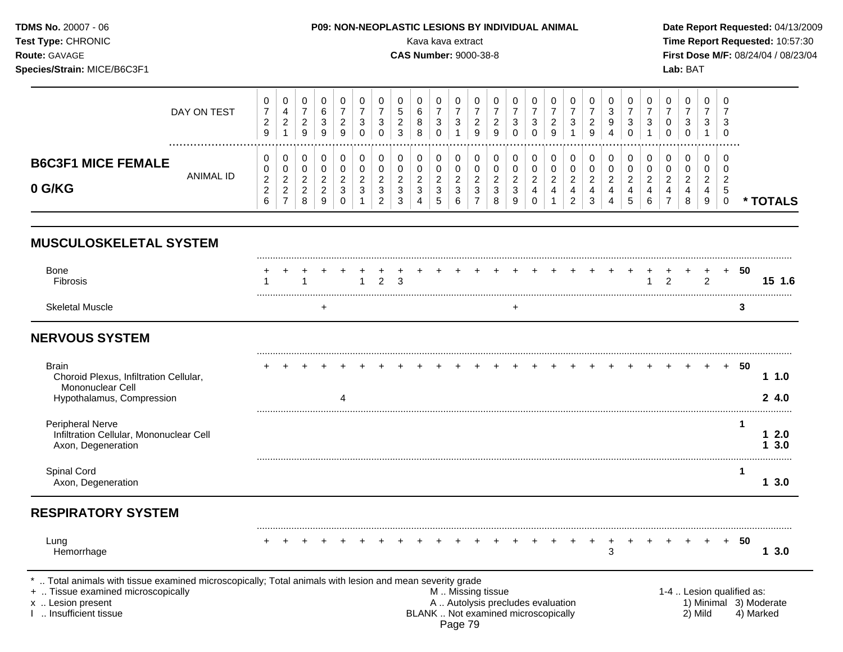| <b>TDMS No. 20007 - 06</b><br><b>Test Type: CHRONIC</b><br><b>Route: GAVAGE</b><br>Species/Strain: MICE/B6C3F1 |                    | <b>P09: NON-NEOPLASTIC LESIONS BY INDIVIDUAL ANIMAL</b><br>Kava kava extract<br><b>CAS Number: 9000-38-8</b> | Date Report Requested: 04/13/2009<br>Time Report Requested: 10:57:30<br><b>First Dose M/F: 08/24/04 / 08/23/04</b><br>Lab: BAT |
|----------------------------------------------------------------------------------------------------------------|--------------------|--------------------------------------------------------------------------------------------------------------|--------------------------------------------------------------------------------------------------------------------------------|
|                                                                                                                | <b>DAV ON TEAT</b> | $\rightarrow$                                                                                                |                                                                                                                                |

|                                     | DAY ON TEST<br>ົ<br>_<br>9                                            | 4<br><u>.</u>                       | O<br>9        | 9      |        |                    | _ | b<br>ິ<br>$\circ$<br>8        | ັ             | ت                                 | -<br>У       |   | N            | ັ<br>υ | ∼<br>ч |          |   | u<br>O<br>4 | $\overline{\phantom{a}}$ | 3                            | U<br>v      |        | ు           | ັບ<br>- 0                 |        |
|-------------------------------------|-----------------------------------------------------------------------|-------------------------------------|---------------|--------|--------|--------------------|---|-------------------------------|---------------|-----------------------------------|--------------|---|--------------|--------|--------|----------|---|-------------|--------------------------|------------------------------|-------------|--------|-------------|---------------------------|--------|
| <b>B6C3F1 MICE FEMALE</b><br>0 G/KG | 0<br>0<br>ANIMAL ID<br>ົ<br><u>_</u><br><sup>o</sup><br><u>_</u><br>6 | ັ<br>◡<br><u>_</u><br><u>.</u><br>- | <u>.</u><br>9 | ັ<br>ν | ▃<br>N | -<br>N<br><u>_</u> | ັ | u<br>u<br><u>.</u><br>ັບ<br>4 | -<br>ັບ<br>ັບ | U<br>U<br><u>_</u><br>◡<br>⌒<br>6 | ັບ<br>-<br>◡ | ີ | U<br>ັບ<br>9 | -<br>ັ | u<br>▃ | <u>_</u> | ັ | -<br>4      | ັ                        | Ü<br>O<br>ີ<br><u>_</u><br>6 | υ<br>U<br>- | _<br>O | U<br>4<br>9 | - 6<br>- 6<br>c<br>-<br>◡ | TOTALS |

# **MUSCULOSKELETAL SYSTEM**

| Bone<br>Fibrosis |  |  |  |  |  |  |  |  |  |  |  | + + + + + + + + + + + + + + + + + + |  | -50 |  |
|------------------|--|--|--|--|--|--|--|--|--|--|--|-------------------------------------|--|-----|--|
| Skeletal         |  |  |  |  |  |  |  |  |  |  |  |                                     |  |     |  |

# **NERVOUS SYSTEM**

| <b>Brain</b><br>Choroid Plexus, Infiltration Cellular,<br>Mononuclear Cell<br>Hypothalamus, Compression |  |  |  |  |  |         |                                     |  |  |  |  |  |         |                           | 50        | 1.0<br>24.0            |  |
|---------------------------------------------------------------------------------------------------------|--|--|--|--|--|---------|-------------------------------------|--|--|--|--|--|---------|---------------------------|-----------|------------------------|--|
|                                                                                                         |  |  |  |  |  |         |                                     |  |  |  |  |  |         |                           |           |                        |  |
| <b>Peripheral Nerve</b><br>Infiltration Cellular, Mononuclear Cell<br>Axon, Degeneration                |  |  |  |  |  |         |                                     |  |  |  |  |  |         |                           |           | 2.0<br>3.0             |  |
| Spinal Cord<br>Axon, Degeneration                                                                       |  |  |  |  |  |         |                                     |  |  |  |  |  |         |                           |           | 3.0                    |  |
| <b>RESPIRATORY SYSTEM</b>                                                                               |  |  |  |  |  |         |                                     |  |  |  |  |  |         |                           |           |                        |  |
| Lung<br>Hemorrhage                                                                                      |  |  |  |  |  |         |                                     |  |  |  |  |  |         |                           | 50        | 3.0                    |  |
| . Total animals with tissue examined microscopically; Total animals with lesion and mean severity grade |  |  |  |  |  |         |                                     |  |  |  |  |  |         |                           |           |                        |  |
| +  Tissue examined microscopically                                                                      |  |  |  |  |  |         | M  Missing tissue                   |  |  |  |  |  |         | 1-4  Lesion qualified as: |           |                        |  |
| x  Lesion present                                                                                       |  |  |  |  |  |         | A  Autolysis precludes evaluation   |  |  |  |  |  |         |                           |           | 1) Minimal 3) Moderate |  |
| Insufficient tissue                                                                                     |  |  |  |  |  | Page 79 | BLANK  Not examined microscopically |  |  |  |  |  | 2) Mild |                           | 4) Marked |                        |  |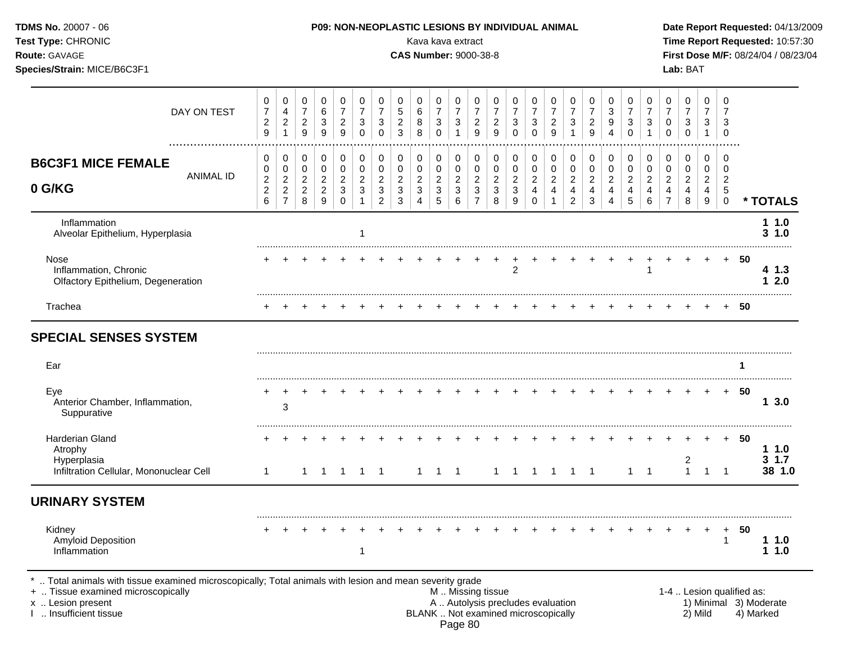| TDMS No. 20007 - 06<br>Test Type: CHRONIC<br>Route: GAVAGE<br>Species/Strain: MICE/B6C3F1 |                  |                                                             |                                  |                                              |                                                |                                            |                                                  |                                                  |                                               | P09: NON-NEOPLASTIC LESIONS BY INDIVIDUAL ANIMAL<br>Kava kava extract<br><b>CAS Number: 9000-38-8</b> |                                         |                                          |                                        |                                            |                                                  |                                         |                                              |                                          |                                                       |                                     |                                                  |                                        |                                  | Lab: BAT                                |                                            |                                         |    | Date Report Requested: 04/13/2009<br>Time Report Requested: 10:57:30<br>First Dose M/F: 08/24/04 / 08/23/04 |
|-------------------------------------------------------------------------------------------|------------------|-------------------------------------------------------------|----------------------------------|----------------------------------------------|------------------------------------------------|--------------------------------------------|--------------------------------------------------|--------------------------------------------------|-----------------------------------------------|-------------------------------------------------------------------------------------------------------|-----------------------------------------|------------------------------------------|----------------------------------------|--------------------------------------------|--------------------------------------------------|-----------------------------------------|----------------------------------------------|------------------------------------------|-------------------------------------------------------|-------------------------------------|--------------------------------------------------|----------------------------------------|----------------------------------|-----------------------------------------|--------------------------------------------|-----------------------------------------|----|-------------------------------------------------------------------------------------------------------------|
|                                                                                           | DAY ON TEST      | 0<br>$\boldsymbol{7}$<br>$\overline{c}$<br>$\boldsymbol{9}$ | 0<br>4<br>$\boldsymbol{2}$<br>1  | 0<br>$\boldsymbol{7}$<br>$\overline{2}$<br>9 | 0<br>$\,6\,$<br>$\ensuremath{\mathsf{3}}$<br>9 | 0<br>$\overline{7}$<br>$\overline{c}$<br>9 | 0<br>$\overline{7}$<br>$\sqrt{3}$<br>$\mathbf 0$ | 0<br>$\overline{7}$<br>$\sqrt{3}$<br>$\mathbf 0$ | 0<br>$\sqrt{5}$<br>$\sqrt{2}$<br>$\mathbf{3}$ | 0<br>6<br>8<br>8                                                                                      | 0<br>$\overline{7}$<br>3<br>$\mathbf 0$ | 0<br>$\overline{7}$<br>3<br>$\mathbf{1}$ | 0<br>$\overline{7}$<br>$\sqrt{2}$<br>9 | 0<br>$\overline{7}$<br>$\overline{c}$<br>9 | 0<br>$\overline{7}$<br>$\sqrt{3}$<br>$\mathbf 0$ | 0<br>$\overline{7}$<br>3<br>$\mathbf 0$ | 0<br>$\boldsymbol{7}$<br>$\overline{c}$<br>9 | 0<br>$\overline{7}$<br>3<br>$\mathbf{1}$ | 0<br>$\boldsymbol{7}$<br>$\overline{\mathbf{c}}$<br>9 | 0<br>$\ensuremath{\mathsf{3}}$<br>9 | 0<br>$\overline{7}$<br>$\sqrt{3}$<br>$\mathbf 0$ | 0<br>$\overline{7}$<br>$\sqrt{3}$<br>1 | 0<br>7<br>0<br>$\mathbf 0$       | 0<br>$\overline{7}$<br>3<br>$\mathbf 0$ | 0<br>$\overline{7}$<br>3<br>$\overline{1}$ | 0<br>$\overline{7}$<br>3<br>$\mathbf 0$ |    |                                                                                                             |
| <b>B6C3F1 MICE FEMALE</b>                                                                 | <b>ANIMAL ID</b> | 0<br>0<br>$\boldsymbol{2}$                                  | 0<br>0<br>$\overline{c}$         | 0<br>$\mathsf 0$<br>$\overline{a}$           | 0<br>$\pmb{0}$<br>$\overline{c}$               | 0<br>$\pmb{0}$<br>$\overline{c}$           | 0<br>$\pmb{0}$<br>$\overline{c}$                 | 0<br>$\mathsf 0$<br>$\overline{c}$               | 0<br>$\pmb{0}$<br>$\sqrt{2}$                  | 0<br>$\boldsymbol{0}$<br>$\overline{c}$                                                               | 0<br>$\pmb{0}$<br>$\boldsymbol{2}$      | 0<br>$\mathsf 0$<br>$\boldsymbol{2}$     | 0<br>$\pmb{0}$<br>$\overline{c}$       | 0<br>$\pmb{0}$<br>$\overline{c}$           | 0<br>$\overline{0}$<br>$\overline{c}$            | 0<br>$\mathbf 0$<br>$\overline{c}$      | 0<br>$\pmb{0}$<br>$\overline{c}$             | 0<br>0<br>$\overline{c}$                 | 0<br>0<br>$\overline{\mathbf{c}}$                     | 0<br>$\pmb{0}$<br>$\overline{2}$    | 0<br>$\pmb{0}$<br>$\overline{c}$                 | 0<br>$\pmb{0}$<br>$\overline{c}$       | 0<br>$\pmb{0}$<br>$\overline{a}$ | 0<br>$\mathbf 0$<br>$\overline{c}$      | 0<br>$\mathbf 0$<br>$\overline{2}$         | $\Omega$<br>0<br>$\overline{c}$         |    |                                                                                                             |
| 0 G/KG                                                                                    |                  | $\sqrt{2}$<br>6                                             | $\overline{c}$<br>$\overline{7}$ | $\boldsymbol{2}$<br>8                        | $\overline{c}$<br>9                            | 3<br>0                                     | $\mathbf{3}$                                     | $\mathbf{3}$<br>$\overline{2}$                   | $\mathbf{3}$<br>3                             | 3<br>4                                                                                                | $\mathbf{3}$<br>5                       | $\mathbf{3}$<br>6                        | $\mathbf{3}$<br>$\overline{7}$         | 3<br>8                                     | $\sqrt{3}$<br>9                                  | 4<br>$\Omega$                           | $\overline{4}$<br>$\mathbf{1}$               | 4<br>$\overline{2}$                      | $\overline{4}$<br>3                                   | $\overline{4}$<br>4                 | $\overline{4}$<br>5                              | $\overline{4}$<br>6                    | 4<br>$\overline{7}$              | $\overline{4}$<br>8                     | 4<br>9                                     | 5<br>$\pmb{0}$                          |    | * TOTALS                                                                                                    |
| Inflammation<br>Alveolar Epithelium, Hyperplasia                                          |                  |                                                             |                                  |                                              |                                                |                                            |                                                  |                                                  |                                               |                                                                                                       |                                         |                                          |                                        |                                            |                                                  |                                         |                                              |                                          |                                                       |                                     |                                                  |                                        |                                  |                                         |                                            |                                         |    | 11.0<br>3 1.0                                                                                               |
| <b>Nose</b><br>Inflammation, Chronic<br>Olfactory Epithelium, Degeneration                |                  |                                                             |                                  |                                              |                                                |                                            |                                                  |                                                  |                                               |                                                                                                       |                                         |                                          |                                        |                                            | $\overline{2}$                                   |                                         |                                              |                                          |                                                       |                                     | $\pm$                                            | $\ddot{}$<br>$\overline{\mathbf{1}}$   |                                  |                                         |                                            |                                         | 50 | 4 1.3<br>12.0                                                                                               |
| Trachea                                                                                   |                  |                                                             |                                  |                                              |                                                |                                            |                                                  |                                                  |                                               |                                                                                                       |                                         |                                          |                                        |                                            |                                                  |                                         |                                              |                                          |                                                       |                                     |                                                  |                                        |                                  |                                         |                                            |                                         | 50 |                                                                                                             |
| <b>SPECIAL SENSES SYSTEM</b><br>Ear                                                       |                  |                                                             |                                  |                                              |                                                |                                            |                                                  |                                                  |                                               |                                                                                                       |                                         |                                          |                                        |                                            |                                                  |                                         |                                              |                                          |                                                       |                                     |                                                  |                                        |                                  |                                         |                                            |                                         | 1  |                                                                                                             |
| Eye<br>Anterior Chamber, Inflammation,<br>Suppurative                                     |                  |                                                             | 3                                |                                              |                                                |                                            |                                                  |                                                  |                                               |                                                                                                       |                                         |                                          |                                        |                                            |                                                  |                                         |                                              |                                          |                                                       |                                     |                                                  |                                        |                                  |                                         |                                            | $+$                                     | 50 | 13.0                                                                                                        |
| <b>Harderian Gland</b><br>Atrophy                                                         |                  |                                                             |                                  |                                              |                                                |                                            |                                                  |                                                  |                                               |                                                                                                       |                                         |                                          |                                        |                                            |                                                  |                                         |                                              |                                          |                                                       |                                     |                                                  |                                        |                                  |                                         |                                            |                                         | 50 | 11.0<br>31.7                                                                                                |
| Hyperplasia<br>Infiltration Cellular, Mononuclear Cell                                    |                  | 1                                                           |                                  | 1                                            | 1                                              | $\mathbf{1}$                               | $1 \quad 1$                                      |                                                  |                                               | $\mathbf{1}$                                                                                          | $1 \quad 1$                             |                                          |                                        |                                            | 1 1 1 1 1 1                                      |                                         |                                              |                                          |                                                       |                                     | $\mathbf{1}$                                     | $\overline{1}$                         |                                  | 2<br>$\mathbf{1}$                       | $\mathbf 1$                                | $\overline{1}$                          |    | 38 1.0                                                                                                      |
| <b>URINARY SYSTEM</b>                                                                     |                  |                                                             |                                  |                                              |                                                |                                            |                                                  |                                                  |                                               |                                                                                                       |                                         |                                          |                                        |                                            |                                                  |                                         |                                              |                                          |                                                       |                                     |                                                  |                                        |                                  |                                         |                                            |                                         |    |                                                                                                             |
| Kidney<br>Amyloid Deposition<br>Inflammation                                              |                  |                                                             |                                  |                                              |                                                |                                            | 1                                                |                                                  |                                               |                                                                                                       |                                         |                                          |                                        |                                            |                                                  |                                         |                                              |                                          |                                                       |                                     |                                                  |                                        |                                  |                                         |                                            | $\ddot{}$<br>-1                         | 50 | 11.0<br>11.0                                                                                                |

| Tutal animals with tissue examined microscopically, Tutal animals with resion and mean severity grade. |                                     |                           |                        |
|--------------------------------------------------------------------------------------------------------|-------------------------------------|---------------------------|------------------------|
| . Tissue examined microscopically                                                                      | M  Missing tissue                   | 1-4  Lesion qualified as: |                        |
| x  Lesion present                                                                                      | A  Autolysis precludes evaluation   |                           | 1) Minimal 3) Moderate |
| Insufficient tissue                                                                                    | BLANK  Not examined microscopically | 2) Mild                   | 4) Marked              |
|                                                                                                        | Page 80                             |                           |                        |
|                                                                                                        |                                     |                           |                        |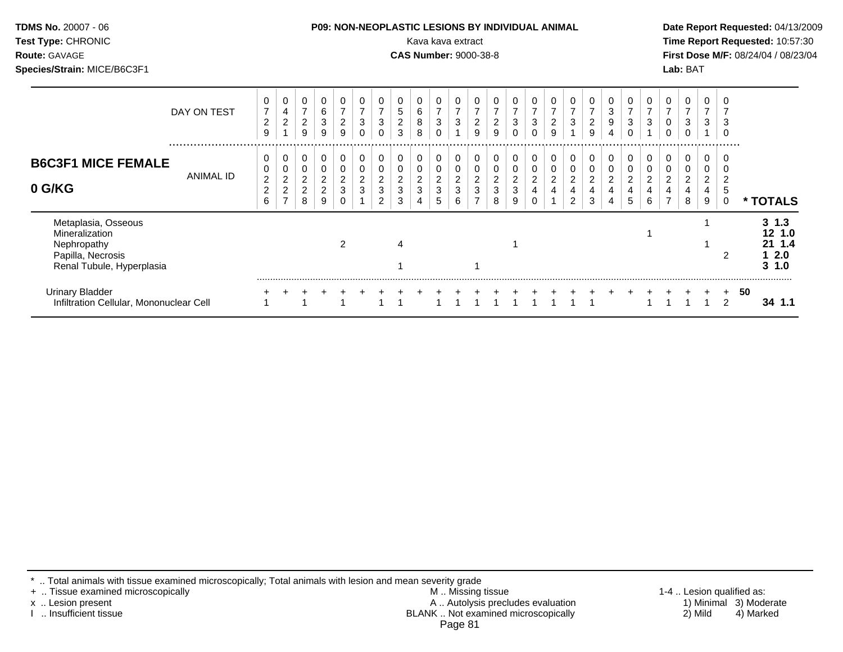| Test Type: CHRONIC<br><b>Route: GAVAGE</b><br>Species/Strain: MICE/B6C3F1                              |                                            |                                                              |                                                          |                                                 |                               |                                                         |                                                 |                               | Kava kava extract<br><b>CAS Number: 9000-38-8</b> |                                    |                                                |                                          |                                                         |                                    |        |                                   |                                                   |                                 |                          |               |                                        |                                              | Lab: BAT                           |                                             |                                         | Time Report Requested: 10:57:30<br>First Dose M/F: 08/24/04 / 08/23/04 |
|--------------------------------------------------------------------------------------------------------|--------------------------------------------|--------------------------------------------------------------|----------------------------------------------------------|-------------------------------------------------|-------------------------------|---------------------------------------------------------|-------------------------------------------------|-------------------------------|---------------------------------------------------|------------------------------------|------------------------------------------------|------------------------------------------|---------------------------------------------------------|------------------------------------|--------|-----------------------------------|---------------------------------------------------|---------------------------------|--------------------------|---------------|----------------------------------------|----------------------------------------------|------------------------------------|---------------------------------------------|-----------------------------------------|------------------------------------------------------------------------|
| DAY ON TEST                                                                                            | $\overline{c}$<br>9                        | 0<br>4<br>$\overline{a}$                                     | 0<br>$\overline{7}$<br>$\overline{c}$<br>9               | 0<br>6<br>$\mathbf{3}$<br>9                     | $\boldsymbol{2}$<br>9         | $\overline{7}$<br>$\ensuremath{\mathsf{3}}$<br>$\Omega$ | 0<br>7<br>$\ensuremath{\mathsf{3}}$<br>$\Omega$ | 0<br>5<br>$\overline{c}$<br>3 | 6<br>8<br>8                                       | $\overline{7}$<br>$\,$ 3 $\,$<br>0 | 0<br>$\overline{7}$<br>$\sqrt{3}$              | 0<br>$\boldsymbol{7}$<br>$\sqrt{2}$<br>9 | $\overline{7}$<br>$\overline{c}$<br>9                   | 3<br>$\Omega$                      | 3      | $\sqrt{2}$<br>9                   | 0<br>$\overline{7}$<br>$\ensuremath{\mathsf{3}}$  | $\sqrt{2}$<br>9                 | 3<br>9<br>4              | 3<br>$\Omega$ | 0<br>$\overline{7}$<br>3               | 0<br>$\overline{7}$<br>0<br>0                | 0<br>3<br>$\Omega$                 | 7<br>3                                      | 3<br>$\mathbf 0$                        |                                                                        |
| <br><b>B6C3F1 MICE FEMALE</b><br>ANIMAL ID<br>0 G/KG                                                   | 0<br>$\overline{2}$<br>$\overline{c}$<br>6 | 0<br>0<br>$\overline{c}$<br>$\overline{c}$<br>$\overline{ }$ | 0<br>0<br>$\overline{\mathbf{c}}$<br>$\overline{c}$<br>8 | 0<br>0<br>$\overline{c}$<br>$\overline{c}$<br>9 | 0<br>0<br>$\overline{c}$<br>3 | 0<br>$\boldsymbol{2}$<br>3                              | 0<br>0<br>$\overline{c}$<br>3<br>2              | 0<br>0<br>$\overline{c}$<br>3 | 0<br>$\overline{\mathbf{c}}$<br>3                 | 0<br>$\overline{c}$<br>3<br>5      | $\mathbf 0$<br>$\pmb{0}$<br>$\frac{2}{3}$<br>6 | 0<br>$\pmb{0}$<br>$\frac{2}{3}$          | $\boldsymbol{0}$<br>$\mathbf 0$<br>$\sqrt{2}$<br>3<br>8 | 0<br>0<br>$\overline{c}$<br>3<br>9 | 0<br>2 | 0<br>$\overline{\mathbf{c}}$<br>4 | 0<br>0<br>$\boldsymbol{2}$<br>4<br>$\overline{2}$ | 0<br>$\boldsymbol{2}$<br>4<br>3 | 0<br>$\overline{c}$<br>4 | 0<br>2        | 0<br>0<br>$\overline{\mathbf{c}}$<br>6 | $\overline{0}$<br>0<br>$\boldsymbol{2}$<br>4 | 0<br>0<br>$\overline{c}$<br>4<br>8 | 0<br>0<br>$\overline{\mathbf{c}}$<br>4<br>9 | $\overline{c}$<br>5<br>$\boldsymbol{0}$ | * TOTALS                                                               |
| Metaplasia, Osseous<br>Mineralization<br>Nephropathy<br>Papilla, Necrosis<br>Renal Tubule, Hyperplasia |                                            |                                                              |                                                          |                                                 | 2                             |                                                         |                                                 | 4                             |                                                   |                                    |                                                |                                          |                                                         |                                    |        |                                   |                                                   |                                 |                          |               |                                        |                                              |                                    |                                             | 2                                       | $3 \t1.3$<br>12 1.0<br>21 1.4<br>2.0<br>$3 \t1.0$                      |
| <b>Urinary Bladder</b><br>Infiltration Cellular, Mononuclear Cell                                      |                                            |                                                              |                                                          |                                                 |                               |                                                         |                                                 |                               |                                                   |                                    |                                                |                                          |                                                         |                                    |        |                                   |                                                   |                                 |                          |               |                                        |                                              |                                    |                                             |                                         | 50<br>34 1.1                                                           |

\* .. Total animals with tissue examined microscopically; Total animals with lesion and mean severity grade

+ .. Tissue examined microscopically M .. Missing tissue 1-4 .. Lesion qualified as: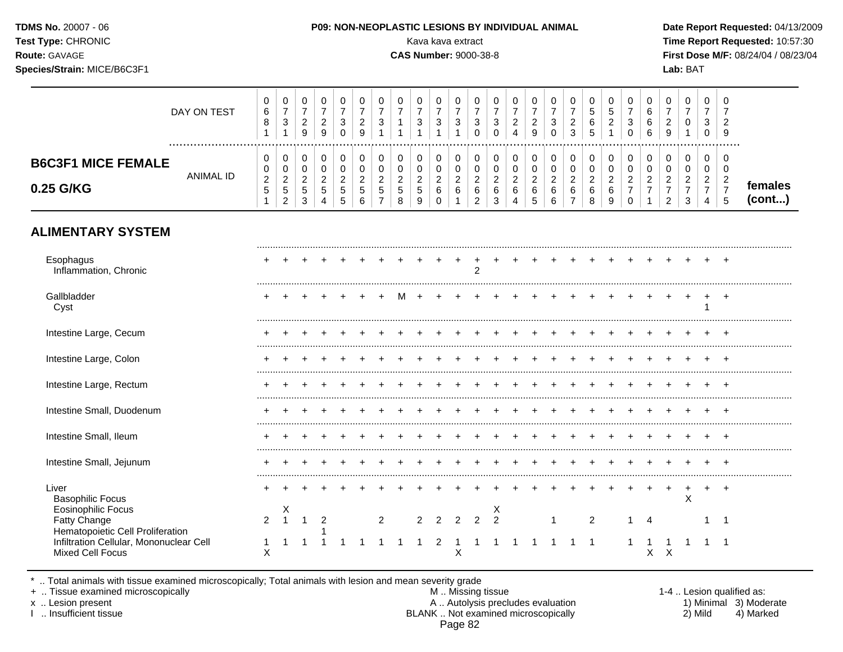| <b>TDMS No. 20007 - 06</b><br>Test Type: CHRONIC<br><b>Route: GAVAGE</b><br>Species/Strain: MICE/B6C3F1 |             |             |   |   |   |  |  |        | Kava kava extract<br><b>CAS Number: 9000-38-8</b> |   |        | <b>P09: NON-NEOPLASTIC LESIONS BY INDIVIDUAL ANIMAL</b> |        |  |        |        |        |   | Lab: BAT |    | Date Report Requested: 04/13/2009<br>Time Report Requested: 10:57:30<br><b>First Dose M/F: 08/24/04 / 08/23/04</b> |
|---------------------------------------------------------------------------------------------------------|-------------|-------------|---|---|---|--|--|--------|---------------------------------------------------|---|--------|---------------------------------------------------------|--------|--|--------|--------|--------|---|----------|----|--------------------------------------------------------------------------------------------------------------------|
|                                                                                                         | DAY ON TEST | 0<br>6<br>8 | ີ | റ | 3 |  |  | 0<br>3 | 0<br>3                                            | 3 | 0<br>3 | $\mathbf 0$<br>ົ                                        | $\sim$ |  | 5<br>6 | 0<br>5 | 0<br>3 | 6 |          | -2 |                                                                                                                    |

|                                     |                  | ັ             | ັ                              | <u>_</u><br>$\Omega$<br>ັ | <u>_</u><br>9      | ັ<br>$\sim$<br>◡ | <u>_</u><br>a<br>v | ັ                                    |   | ັ                       | ັ           | ັ             | ັ<br>◡               | ັ | <u>.</u><br>4 | -<br>9       | ັ<br>0                       | <u>.</u><br>$\sim$<br>ູບ | <u>_</u>           | ັ<br>◡ | ັ<br>$\sim$<br>o | <u>_</u><br>ч<br>÷   |          | ັ<br>ັ                  | <u>_</u><br>9 |                   |
|-------------------------------------|------------------|---------------|--------------------------------|---------------------------|--------------------|------------------|--------------------|--------------------------------------|---|-------------------------|-------------|---------------|----------------------|---|---------------|--------------|------------------------------|--------------------------|--------------------|--------|------------------|----------------------|----------|-------------------------|---------------|-------------------|
| <b>MICE FEMALE</b><br><b>B6C3F1</b> |                  | ັ             | 0<br>U                         |                           | ັ<br>ັ             | ັ<br>ັ           | ັ<br>ັ             |                                      |   | v<br>v                  | ັ<br>ັ      | ັ<br>◡        |                      |   | ◡<br>◡        | ັ<br>v       | ັ<br>v                       | ັ<br>ັ                   |                    | ັ<br>ັ | ັ<br>ັບ          | ◡                    |          | ັ<br>ັບ                 | v<br><b>U</b> |                   |
| 0.25 G/KG                           | <b>ANIMAL ID</b> | <u>_</u><br>N | <u>.</u><br>∽<br>◡<br><u>_</u> | -<br>ັ                    | <u>_</u><br>∽<br>J | ∽<br>ັ<br>ັ      | <u>.</u><br>ບ<br>u | <u>_</u><br>$\overline{\phantom{a}}$ | N | <u>.</u><br>J<br>u<br>c | -<br>v<br>ັ | <u>_</u><br>ν | <u>.</u><br><u>_</u> |   | <u>.</u><br>◡ | -<br>ັບ<br>J | ⌒<br><u>_</u><br>о<br>⌒<br>◡ | <u>_</u><br>ັ<br>-       | <u>.</u><br>ν<br>ັ | -      | <u>_</u>         | <u>_</u><br><u>_</u> | <u>_</u> | $\sim$<br><u>.</u><br>4 | ◡             | females<br>(cont) |

# **ALIMENTARY SYSTEM**

| Esophagus<br>Inflammation, Chronic                                                   |                |   |   |  |   |               |   | $\mathfrak{p}$ |                    |  |  |   |  |   |   |        |
|--------------------------------------------------------------------------------------|----------------|---|---|--|---|---------------|---|----------------|--------------------|--|--|---|--|---|---|--------|
| Gallbladder<br>Cyst                                                                  |                |   |   |  |   |               |   |                |                    |  |  |   |  |   |   |        |
| Intestine Large, Cecum                                                               |                |   |   |  |   |               |   |                |                    |  |  |   |  |   |   |        |
| Intestine Large, Colon                                                               |                |   |   |  |   |               |   |                |                    |  |  |   |  |   |   |        |
| Intestine Large, Rectum                                                              |                |   |   |  |   |               |   |                |                    |  |  |   |  |   |   |        |
| Intestine Small, Duodenum                                                            |                |   |   |  |   |               |   |                |                    |  |  |   |  |   |   |        |
| Intestine Small, Ileum                                                               |                |   |   |  |   |               |   |                |                    |  |  |   |  |   |   |        |
| Intestine Small, Jejunum                                                             |                |   |   |  |   |               |   |                |                    |  |  |   |  |   |   |        |
| Liver<br><b>Basophilic Focus</b>                                                     |                |   |   |  |   |               |   |                |                    |  |  |   |  |   | X | $\div$ |
| <b>Eosinophilic Focus</b><br><b>Fatty Change</b><br>Hematopoietic Cell Proliferation | $\mathfrak{p}$ | Х | 2 |  | 2 | $\mathcal{P}$ |   |                | ᄉ<br>$\mathcal{P}$ |  |  | 2 |  | 4 |   |        |
| Infiltration Cellular, Mononuclear Cell<br>Mixed Cell Focus                          |                |   |   |  |   |               | х |                |                    |  |  |   |  | ⋏ |   |        |

\* .. Total animals with tissue examined microscopically; Total animals with lesion and mean severity grade

+ .. Tissue examined microscopically M .. Missing tissue 1-4 .. Lesion qualified as: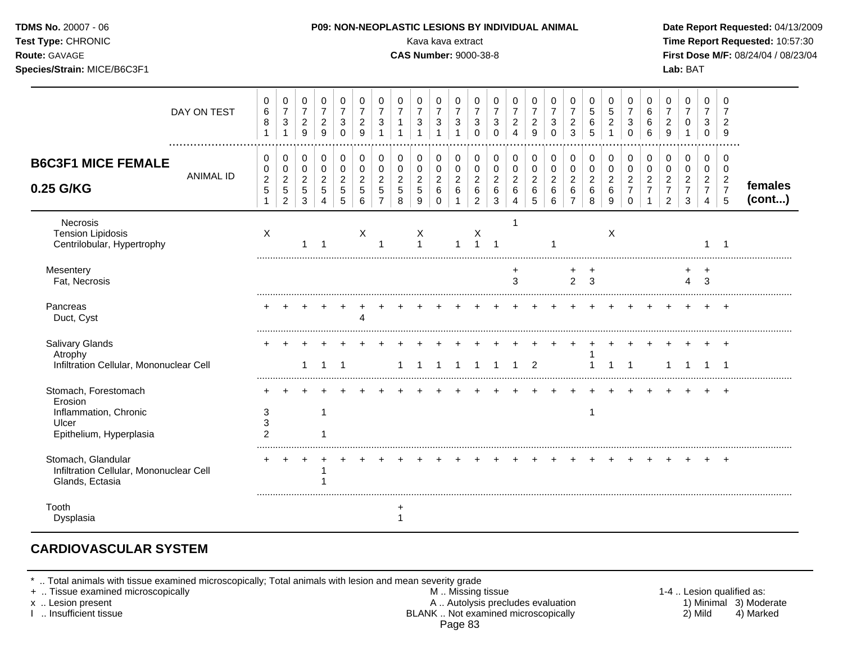| Test Type: CHRONIC<br>Route: GAVAGE<br>Species/Strain: MICE/B6C3F1                           |                  |                                                 |                                                                   |                                                       |                                                           |                                                                  |                                                |                                                                  |                                                     | Kava kava extract<br><b>CAS Number: 9000-38-8</b> |                                                    |                                                                    |                                                               |                                                |                                                           |                                              |                                            |                                                                 |                                                    |                                                    |                                                                    |                                                                      |                                                                        | Lab: BAT                                                                 |                                                                        |                                                                     | Time Report Requested: 10:57:30<br>First Dose M/F: 08/24/04 / 08/23/04 |
|----------------------------------------------------------------------------------------------|------------------|-------------------------------------------------|-------------------------------------------------------------------|-------------------------------------------------------|-----------------------------------------------------------|------------------------------------------------------------------|------------------------------------------------|------------------------------------------------------------------|-----------------------------------------------------|---------------------------------------------------|----------------------------------------------------|--------------------------------------------------------------------|---------------------------------------------------------------|------------------------------------------------|-----------------------------------------------------------|----------------------------------------------|--------------------------------------------|-----------------------------------------------------------------|----------------------------------------------------|----------------------------------------------------|--------------------------------------------------------------------|----------------------------------------------------------------------|------------------------------------------------------------------------|--------------------------------------------------------------------------|------------------------------------------------------------------------|---------------------------------------------------------------------|------------------------------------------------------------------------|
|                                                                                              | DAY ON TEST      | 0<br>6<br>8<br>$\mathbf{1}$                     | 0<br>$\overline{7}$<br>$\ensuremath{\mathsf{3}}$<br>$\mathbf{1}$  | 0<br>$\boldsymbol{7}$<br>$\sqrt{2}$<br>$\overline{9}$ | 0<br>$\overline{7}$<br>$\boldsymbol{2}$<br>9              | 0<br>$\overline{7}$<br>$\ensuremath{\mathsf{3}}$<br>$\Omega$     | 0<br>$\overline{7}$<br>$\sqrt{2}$<br>9         | 0<br>$\overline{7}$<br>$\ensuremath{\mathsf{3}}$<br>$\mathbf{1}$ | 0<br>$\overline{7}$<br>$\mathbf{1}$<br>$\mathbf{1}$ | 0<br>$\overline{7}$<br>3<br>1                     | 0<br>$\overline{7}$<br>3<br>$\mathbf{1}$           | 0<br>$\overline{7}$<br>$\ensuremath{\mathsf{3}}$<br>$\overline{1}$ | 0<br>$\overline{7}$<br>$\mathbf{3}$<br>$\mathbf 0$            | 0<br>$\overline{7}$<br>$\sqrt{3}$<br>$\Omega$  | 0<br>$\overline{7}$<br>$\overline{c}$<br>$\overline{4}$   | 0<br>$\overline{7}$<br>$\overline{2}$<br>9   | 0<br>$\overline{7}$<br>3<br>$\mathbf 0$    | 0<br>$\overline{7}$<br>$\overline{c}$<br>$\mathbf{3}$           | 0<br>$\overline{5}$<br>6<br>5                      | 0<br>5<br>$\sqrt{2}$<br>$\mathbf{1}$               | 0<br>$\overline{7}$<br>$\ensuremath{\mathsf{3}}$<br>$\mathbf 0$    | 0<br>6<br>$\,6\,$<br>6                                               | 0<br>$\overline{7}$<br>$\sqrt{2}$<br>$\boldsymbol{9}$                  | 0<br>$\overline{7}$<br>0<br>$\mathbf{1}$                                 | 0<br>$\overline{7}$<br>3<br>$\mathbf 0$                                | $\mathbf 0$<br>7<br>$\overline{c}$<br>9                             |                                                                        |
| <b>B6C3F1 MICE FEMALE</b><br>0.25 G/KG                                                       | <b>ANIMAL ID</b> | 0<br>0<br>$\boldsymbol{2}$<br>5<br>$\mathbf{1}$ | 0<br>$\pmb{0}$<br>$\overline{c}$<br>$\mathbf 5$<br>$\overline{2}$ | 0<br>$\mathbf 0$<br>$\overline{2}$<br>5<br>3          | 0<br>$\mathbf 0$<br>$\overline{c}$<br>$\overline{5}$<br>4 | $\mathbf 0$<br>$\mathbf 0$<br>$\overline{c}$<br>$\,$ 5 $\,$<br>5 | 0<br>$\mathbf 0$<br>$\boldsymbol{2}$<br>5<br>6 | 0<br>$\pmb{0}$<br>$\overline{2}$<br>$\sqrt{5}$<br>$\overline{7}$ | 0<br>$\mathsf 0$<br>$\overline{c}$<br>5<br>8        | 0<br>$\mathbf 0$<br>$\overline{c}$<br>5<br>9      | 0<br>0<br>$\overline{c}$<br>$\,6\,$<br>$\mathbf 0$ | $\pmb{0}$<br>$\mathsf{O}\xspace$<br>$\sqrt{2}$<br>$\,6\,$<br>-1    | 0<br>$\pmb{0}$<br>$\overline{2}$<br>$\,6\,$<br>$\overline{c}$ | 0<br>$\mathbf 0$<br>$\sqrt{2}$<br>$\,6\,$<br>3 | 0<br>$\mathbf 0$<br>$\overline{c}$<br>6<br>$\overline{4}$ | 0<br>$\mathbf 0$<br>$\overline{2}$<br>6<br>5 | 0<br>$\pmb{0}$<br>$\overline{c}$<br>6<br>6 | 0<br>$\mathbf 0$<br>$\overline{c}$<br>$\,6\,$<br>$\overline{7}$ | 0<br>$\mathbf 0$<br>$\overline{c}$<br>$\,6\,$<br>8 | 0<br>$\mathsf 0$<br>$\overline{2}$<br>$\,6\,$<br>9 | 0<br>$\mathbf 0$<br>$\boldsymbol{2}$<br>$\overline{7}$<br>$\Omega$ | 0<br>$\mathbf 0$<br>$\overline{a}$<br>$\overline{7}$<br>$\mathbf{1}$ | 0<br>$\pmb{0}$<br>$\overline{2}$<br>$\boldsymbol{7}$<br>$\overline{2}$ | $\mathbf 0$<br>$\mathbf 0$<br>$\sqrt{2}$<br>$\overline{7}$<br>$\sqrt{3}$ | 0<br>$\mathbf 0$<br>$\overline{2}$<br>$\overline{7}$<br>$\overline{4}$ | $\mathbf 0$<br>$\mathbf 0$<br>$\overline{2}$<br>$\overline{7}$<br>5 | females<br>(cont)                                                      |
| Necrosis<br><b>Tension Lipidosis</b><br>Centrilobular, Hypertrophy                           |                  | $\boldsymbol{\mathsf{X}}$                       |                                                                   |                                                       |                                                           |                                                                  | X                                              | 1                                                                |                                                     | X<br>$\mathbf{1}$                                 |                                                    | 1                                                                  | X<br>$\overline{1}$                                           | $\overline{1}$                                 |                                                           |                                              |                                            |                                                                 |                                                    | X                                                  |                                                                    |                                                                      |                                                                        |                                                                          | 1                                                                      | -1                                                                  |                                                                        |
| Mesentery<br>Fat, Necrosis                                                                   |                  |                                                 |                                                                   |                                                       |                                                           |                                                                  |                                                |                                                                  |                                                     |                                                   |                                                    |                                                                    |                                                               |                                                | +<br>3                                                    |                                              |                                            | $\overline{2}$                                                  | 3                                                  |                                                    |                                                                    |                                                                      |                                                                        | 4                                                                        | $\ddot{}$<br>3                                                         |                                                                     |                                                                        |
| Pancreas<br>Duct, Cyst                                                                       |                  |                                                 |                                                                   |                                                       |                                                           |                                                                  | Δ                                              |                                                                  |                                                     |                                                   |                                                    |                                                                    |                                                               |                                                |                                                           |                                              |                                            |                                                                 |                                                    |                                                    |                                                                    |                                                                      |                                                                        |                                                                          |                                                                        |                                                                     |                                                                        |
| Salivary Glands<br>Atrophy<br>Infiltration Cellular, Mononuclear Cell                        |                  |                                                 |                                                                   | $\mathbf{1}$                                          | $\mathbf 1$                                               | $\overline{1}$                                                   |                                                |                                                                  | 1                                                   | -1                                                | -1                                                 | $\overline{1}$                                                     | $\overline{1}$                                                | $\mathbf{1}$                                   | $\mathbf{1}$                                              | $\overline{2}$                               |                                            |                                                                 | -1                                                 | $\mathbf{1}$                                       | $\overline{1}$                                                     | $\ddot{}$                                                            | $\mathbf{1}$                                                           | $\pm$<br>$\mathbf 1$                                                     | $+$<br>$\overline{1}$                                                  | $+$<br>$\overline{1}$                                               |                                                                        |
| Stomach, Forestomach<br>Erosion<br>Inflammation, Chronic<br>Ulcer<br>Epithelium, Hyperplasia |                  | 3<br>3<br>$\overline{2}$                        |                                                                   |                                                       | $\overline{1}$                                            |                                                                  |                                                |                                                                  |                                                     |                                                   |                                                    |                                                                    |                                                               |                                                |                                                           |                                              |                                            |                                                                 | $\overline{1}$                                     |                                                    |                                                                    |                                                                      |                                                                        |                                                                          |                                                                        |                                                                     |                                                                        |
| Stomach, Glandular<br>Infiltration Cellular, Mononuclear Cell<br>Glands, Ectasia             |                  |                                                 |                                                                   |                                                       | -1                                                        |                                                                  |                                                |                                                                  |                                                     |                                                   |                                                    |                                                                    |                                                               |                                                |                                                           |                                              |                                            |                                                                 |                                                    |                                                    |                                                                    |                                                                      |                                                                        |                                                                          |                                                                        | $\overline{+}$                                                      |                                                                        |
| Tooth<br>Dysplasia                                                                           |                  |                                                 |                                                                   |                                                       |                                                           |                                                                  |                                                |                                                                  |                                                     |                                                   |                                                    |                                                                    |                                                               |                                                |                                                           |                                              |                                            |                                                                 |                                                    |                                                    |                                                                    |                                                                      |                                                                        |                                                                          |                                                                        |                                                                     |                                                                        |

## **CARDIOVASCULAR SYSTEM**

\* .. Total animals with tissue examined microscopically; Total animals with lesion and mean severity grade

- + .. Tissue examined microscopically M .. Missing tissue 1-4 .. Lesion qualified as: x .. Lesion present **A .. Autolysis precludes evaluation** A .. Autolysis precludes evaluation 1) Minimal 3) Moderate I .. Insufficient tissue BLANK .. Not examined microscopically 2) Mild 4) Marked Page 83
-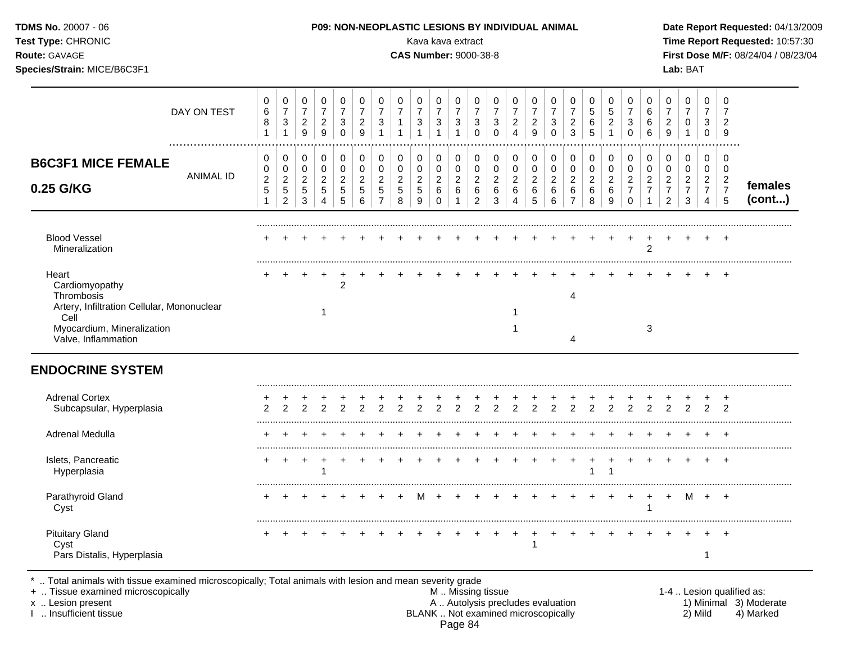| TDMS No. 20007 - 06<br>Test Type: CHRONIC<br>Route: GAVAGE<br>Species/Strain: MICE/B6C3F1                                                        |             |                                                                  |                                                                          |                                                                       |                                                                                    |                                                          |                                                               |                                                                    |                                                     | P09: NON-NEOPLASTIC LESIONS BY INDIVIDUAL ANIMAL<br>Kava kava extract<br><b>CAS Number: 9000-38-8</b> |                                                          |                                                                   |                                                                 |                                                            |                                                                 |                                                       |                                                                 |                                                     |                                                  |                                                            |                                                                                 |                                                                               |                                                                        | Lab: BAT                                                    |                                                                                  |                                                                                | Date Report Requested: 04/13/2009<br>Time Report Requested: 10:57:30<br>First Dose M/F: 08/24/04 / 08/23/04 |
|--------------------------------------------------------------------------------------------------------------------------------------------------|-------------|------------------------------------------------------------------|--------------------------------------------------------------------------|-----------------------------------------------------------------------|------------------------------------------------------------------------------------|----------------------------------------------------------|---------------------------------------------------------------|--------------------------------------------------------------------|-----------------------------------------------------|-------------------------------------------------------------------------------------------------------|----------------------------------------------------------|-------------------------------------------------------------------|-----------------------------------------------------------------|------------------------------------------------------------|-----------------------------------------------------------------|-------------------------------------------------------|-----------------------------------------------------------------|-----------------------------------------------------|--------------------------------------------------|------------------------------------------------------------|---------------------------------------------------------------------------------|-------------------------------------------------------------------------------|------------------------------------------------------------------------|-------------------------------------------------------------|----------------------------------------------------------------------------------|--------------------------------------------------------------------------------|-------------------------------------------------------------------------------------------------------------|
|                                                                                                                                                  | DAY ON TEST | $\pmb{0}$<br>$\,6$<br>8<br>$\mathbf{1}$                          | $\pmb{0}$<br>$\overline{7}$<br>$\ensuremath{\mathsf{3}}$<br>$\mathbf{1}$ | $\mathbf 0$<br>$\overline{7}$<br>$\boldsymbol{2}$<br>$\boldsymbol{9}$ | $\pmb{0}$<br>$\boldsymbol{7}$<br>$\sqrt{2}$<br>$\boldsymbol{9}$                    | 0<br>$\overline{7}$<br>$\sqrt{3}$<br>$\mathbf 0$         | 0<br>$\overline{7}$<br>$\sqrt{2}$<br>$\boldsymbol{9}$         | 0<br>$\overline{7}$<br>$\ensuremath{\mathsf{3}}$<br>$\mathbf{1}$   | 0<br>$\overline{7}$<br>1<br>$\mathbf{1}$            | 0<br>$\overline{7}$<br>3                                                                              | 0<br>$\overline{7}$<br>3<br>$\overline{1}$               | 0<br>$\overline{7}$<br>$\sqrt{3}$<br>$\mathbf{1}$                 | $\mathbf 0$<br>$\overline{7}$<br>$\sqrt{3}$<br>$\mathbf 0$      | 0<br>$\overline{7}$<br>$\mathbf{3}$<br>0                   | 0<br>$\overline{7}$<br>$\sqrt{2}$<br>$\overline{4}$             | 0<br>$\overline{7}$<br>$\sqrt{2}$<br>$\boldsymbol{9}$ | 0<br>$\overline{7}$<br>$\ensuremath{\mathsf{3}}$<br>$\mathsf 0$ | 0<br>$\overline{7}$<br>$\overline{\mathbf{c}}$<br>3 | 0<br>5<br>$\,6$<br>5                             | 0<br>$\overline{5}$<br>$\sqrt{2}$<br>$\overline{1}$        | 0<br>$\overline{7}$<br>$\ensuremath{\mathsf{3}}$<br>$\mathsf{O}\xspace$         | $\mathbf 0$<br>6<br>6<br>$\,6$                                                | 0<br>$\overline{7}$<br>$\overline{c}$<br>9                             | $\Omega$<br>$\overline{7}$<br>$\mathbf 0$<br>1              | $\mathbf 0$<br>$\overline{7}$<br>3<br>$\pmb{0}$                                  | $\Omega$<br>$\overline{7}$<br>$\overline{2}$<br>9                              |                                                                                                             |
| <b>B6C3F1 MICE FEMALE</b><br>0.25 G/KG                                                                                                           | ANIMAL ID   | 0<br>$\mathbf 0$<br>$\overline{c}$<br>$\sqrt{5}$<br>$\mathbf{1}$ | 0<br>$\pmb{0}$<br>$\sqrt{2}$<br>$\sqrt{5}$<br>$\overline{a}$             | 0<br>$\pmb{0}$<br>$\overline{c}$<br>$\,$ 5 $\,$<br>$\mathbf{3}$       | $\pmb{0}$<br>$\mathsf{O}\xspace$<br>$\overline{c}$<br>$\sqrt{5}$<br>$\overline{4}$ | $\pmb{0}$<br>$\pmb{0}$<br>$\sqrt{2}$<br>$\,$ 5 $\,$<br>5 | 0<br>$\pmb{0}$<br>$\sqrt{2}$<br>$\sqrt{5}$<br>$6\phantom{1}6$ | 0<br>$\pmb{0}$<br>$\boldsymbol{2}$<br>$\sqrt{5}$<br>$\overline{7}$ | 0<br>$\pmb{0}$<br>$\overline{\mathbf{c}}$<br>5<br>8 | 0<br>0<br>$\overline{2}$<br>5<br>9                                                                    | 0<br>$\pmb{0}$<br>$\overline{c}$<br>$\,6$<br>$\mathbf 0$ | $\mathbf 0$<br>$\mathbf 0$<br>$\overline{c}$<br>6<br>$\mathbf{1}$ | 0<br>$\pmb{0}$<br>$\boldsymbol{2}$<br>$\,6\,$<br>$\overline{2}$ | $\mathbf 0$<br>$\pmb{0}$<br>$\overline{2}$<br>$\,6\,$<br>3 | $\pmb{0}$<br>$\pmb{0}$<br>$\overline{2}$<br>6<br>$\overline{4}$ | 0<br>$\pmb{0}$<br>$\boldsymbol{2}$<br>$\,6\,$<br>5    | 0<br>$\mathsf 0$<br>$\overline{c}$<br>$\,6$<br>6                | 0<br>0<br>$\overline{c}$<br>6<br>$\overline{7}$     | 0<br>$\mathbf 0$<br>$\overline{c}$<br>$\,6$<br>8 | $\mathbf 0$<br>$\pmb{0}$<br>$\boldsymbol{2}$<br>$\,6$<br>9 | $\mathbf 0$<br>$\mathbf 0$<br>$\overline{c}$<br>$\boldsymbol{7}$<br>$\mathbf 0$ | $\mathbf 0$<br>$\mathsf{O}\xspace$<br>$\boldsymbol{2}$<br>$\overline{7}$<br>1 | 0<br>$\mathbf 0$<br>$\overline{c}$<br>$\overline{7}$<br>$\overline{c}$ | 0<br>$\mathbf 0$<br>$\boldsymbol{2}$<br>$\overline{7}$<br>3 | $\mathbf 0$<br>$\mathbf 0$<br>$\overline{c}$<br>$\overline{7}$<br>$\overline{4}$ | $\Omega$<br>$\mathbf 0$<br>$\overline{2}$<br>$\overline{7}$<br>$5\phantom{.0}$ | females<br>(cont)                                                                                           |
| <b>Blood Vessel</b><br>Mineralization                                                                                                            |             |                                                                  |                                                                          |                                                                       |                                                                                    |                                                          |                                                               |                                                                    |                                                     |                                                                                                       |                                                          |                                                                   |                                                                 |                                                            |                                                                 |                                                       |                                                                 |                                                     |                                                  | $\overline{+}$                                             | $\pm$                                                                           | $\overline{+}$<br>$\overline{2}$                                              | $\pm$                                                                  |                                                             |                                                                                  |                                                                                |                                                                                                             |
| Heart<br>Cardiomyopathy<br>Thrombosis<br>Artery, Infiltration Cellular, Mononuclear<br>Cell<br>Myocardium, Mineralization<br>Valve, Inflammation |             |                                                                  |                                                                          |                                                                       | -1                                                                                 | 2                                                        |                                                               |                                                                    |                                                     |                                                                                                       |                                                          |                                                                   |                                                                 |                                                            | 1<br>1                                                          |                                                       |                                                                 | 4<br>4                                              |                                                  |                                                            |                                                                                 | 3                                                                             |                                                                        |                                                             |                                                                                  |                                                                                |                                                                                                             |
| <b>ENDOCRINE SYSTEM</b>                                                                                                                          |             |                                                                  |                                                                          |                                                                       |                                                                                    |                                                          |                                                               |                                                                    |                                                     |                                                                                                       |                                                          |                                                                   |                                                                 |                                                            |                                                                 |                                                       |                                                                 |                                                     |                                                  |                                                            |                                                                                 |                                                                               |                                                                        |                                                             |                                                                                  |                                                                                |                                                                                                             |
| <b>Adrenal Cortex</b><br>Subcapsular, Hyperplasia                                                                                                |             | $\overline{2}$                                                   | $\overline{2}$                                                           | 2                                                                     | $\overline{2}$                                                                     | 2                                                        | $\overline{2}$                                                | 2                                                                  | 2                                                   | 2                                                                                                     | $\overline{2}$                                           | $\overline{2}$                                                    | $\overline{2}$                                                  | $\overline{2}$                                             | 2                                                               | $\overline{2}$                                        | $\overline{2}$                                                  | $\overline{2}$                                      | $\overline{2}$                                   | $\overline{2}$                                             | $\overline{2}$                                                                  | 2                                                                             | 2                                                                      | $\overline{2}$                                              | $\mathfrak{p}$                                                                   | $\mathcal{P}$                                                                  |                                                                                                             |
| Adrenal Medulla                                                                                                                                  |             |                                                                  |                                                                          |                                                                       |                                                                                    |                                                          |                                                               |                                                                    |                                                     |                                                                                                       |                                                          |                                                                   |                                                                 |                                                            |                                                                 |                                                       |                                                                 |                                                     |                                                  |                                                            |                                                                                 |                                                                               |                                                                        |                                                             |                                                                                  |                                                                                |                                                                                                             |
| Islets, Pancreatic<br>Hyperplasia                                                                                                                |             | $\ddot{}$                                                        | $+$                                                                      | $\pm$                                                                 | $\ddot{}$<br>1                                                                     | $\ddot{}$                                                |                                                               |                                                                    |                                                     |                                                                                                       |                                                          |                                                                   |                                                                 |                                                            |                                                                 |                                                       |                                                                 | $+$                                                 | $\ddot{}$<br>$\mathbf{1}$                        | $\ddot{}$<br>$\overline{1}$                                | $+$                                                                             | $+$                                                                           |                                                                        |                                                             |                                                                                  | $\div$                                                                         |                                                                                                             |
| Parathyroid Gland<br>Cyst                                                                                                                        |             | ÷                                                                |                                                                          |                                                                       |                                                                                    |                                                          |                                                               |                                                                    |                                                     | м                                                                                                     |                                                          |                                                                   |                                                                 |                                                            |                                                                 |                                                       |                                                                 |                                                     |                                                  | $\pm$                                                      | $+$                                                                             | $\pm$<br>-1                                                                   | $+$                                                                    | M +                                                         |                                                                                  | $+$                                                                            |                                                                                                             |
| <b>Pituitary Gland</b><br>Cyst<br>Pars Distalis, Hyperplasia                                                                                     |             |                                                                  |                                                                          |                                                                       |                                                                                    |                                                          |                                                               |                                                                    |                                                     |                                                                                                       |                                                          |                                                                   |                                                                 |                                                            |                                                                 | $^{+}$<br>1                                           |                                                                 |                                                     |                                                  |                                                            |                                                                                 |                                                                               |                                                                        |                                                             | $\mathbf{1}$                                                                     |                                                                                |                                                                                                             |

\* .. Total animals with tissue examined microscopically; Total animals with lesion and mean severity grade

+ .. Tissue examined microscopically M .. Missing tissue 1-4 .. Lesion qualified as: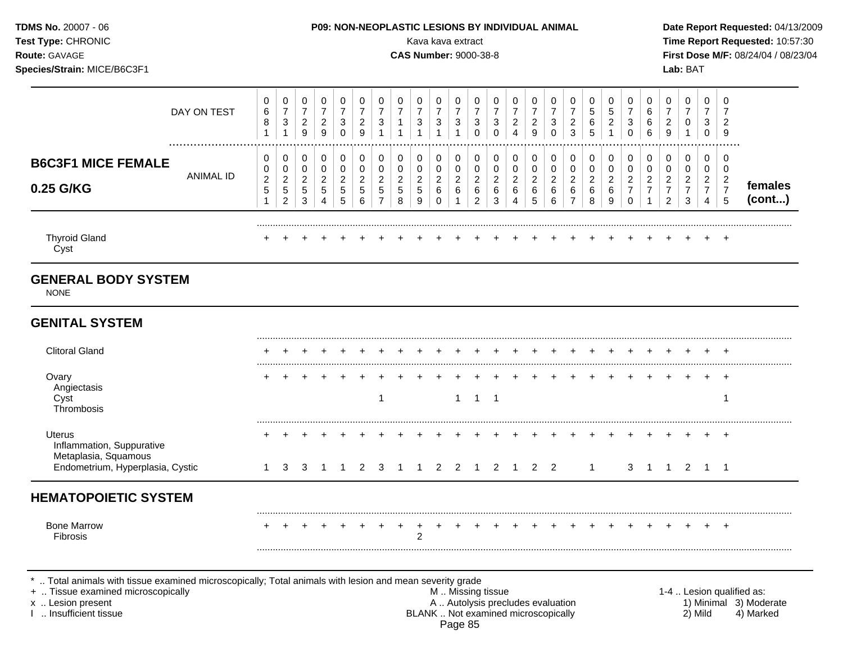| <b>TDMS No. 20007 - 06</b><br>P09: NON-NEOPLASTIC LESIONS BY INDIVIDUAL ANIMAL<br>Test Type: CHRONIC<br>Kava kava extract<br>Route: GAVAGE<br><b>CAS Number: 9000-38-8</b><br>Species/Strain: MICE/B6C3F1<br>$\pmb{0}$<br>0<br>0<br>0<br>$\boldsymbol{0}$<br>0<br>0<br>0<br>0<br>0<br>$\overline{7}$<br>$\overline{7}$<br>$\boldsymbol{7}$<br>$\overline{7}$<br>$\boldsymbol{7}$<br>$\overline{7}$<br>$\overline{7}$<br>$\overline{7}$<br>6<br>$\overline{7}$<br>DAY ON TEST |                                                                                                                   |                                           |                                                           |                                                  |                                                  |                                                          |                                                 |                                                    |                                |                                     |                                                             |                                                  |                                                                                                                         |                                                           |                                            |                                                      |                                              |                                              |                                                   |                                                                 |                                                      |                                            | Lab: BAT                                             |                                                      |                                            | Time Report Requested: 10:57:30<br>First Dose M/F: 08/24/04 / 08/23/04 |
|------------------------------------------------------------------------------------------------------------------------------------------------------------------------------------------------------------------------------------------------------------------------------------------------------------------------------------------------------------------------------------------------------------------------------------------------------------------------------|-------------------------------------------------------------------------------------------------------------------|-------------------------------------------|-----------------------------------------------------------|--------------------------------------------------|--------------------------------------------------|----------------------------------------------------------|-------------------------------------------------|----------------------------------------------------|--------------------------------|-------------------------------------|-------------------------------------------------------------|--------------------------------------------------|-------------------------------------------------------------------------------------------------------------------------|-----------------------------------------------------------|--------------------------------------------|------------------------------------------------------|----------------------------------------------|----------------------------------------------|---------------------------------------------------|-----------------------------------------------------------------|------------------------------------------------------|--------------------------------------------|------------------------------------------------------|------------------------------------------------------|--------------------------------------------|------------------------------------------------------------------------|
|                                                                                                                                                                                                                                                                                                                                                                                                                                                                              | $\bf 8$<br>$\mathbf{1}$                                                                                           | $\ensuremath{\mathsf{3}}$<br>$\mathbf{1}$ | $\frac{2}{9}$                                             | $\frac{2}{9}$                                    | $\sqrt{3}$<br>$\mathbf 0$                        | $\frac{2}{9}$                                            | $\sqrt{3}$<br>$\overline{1}$                    | $\mathbf{1}$<br>1                                  | $\mathbf{3}$<br>$\overline{1}$ | $\ensuremath{\mathsf{3}}$<br>1      | $\pmb{0}$<br>$\boldsymbol{7}$<br>$\sqrt{3}$<br>$\mathbf{1}$ | 0<br>$\overline{7}$<br>$\sqrt{3}$<br>$\mathbf 0$ | 0<br>$\overline{7}$<br>3<br>$\Omega$                                                                                    | 0<br>$\overline{7}$<br>$\boldsymbol{2}$<br>$\overline{4}$ | 0<br>$\overline{7}$<br>$\overline{c}$<br>9 | 0<br>$\boldsymbol{7}$<br>$\mathbf{3}$<br>$\mathbf 0$ | 0<br>$\boldsymbol{7}$<br>$\overline{c}$<br>3 | 0<br>$\mathbf 5$<br>6<br>5                   | 0<br>$\sqrt{5}$<br>$\overline{c}$<br>$\mathbf{1}$ | 0<br>$\overline{7}$<br>$\ensuremath{\mathsf{3}}$<br>$\mathbf 0$ | 0<br>$\,6$<br>$\,6\,$<br>6                           | 0<br>$\overline{7}$<br>$\overline{c}$<br>9 | 0<br>$\overline{7}$<br>$\pmb{0}$                     | 0<br>$\overline{7}$<br>3<br>$\mathbf 0$              | 0<br>7<br>$\overline{2}$<br>9              |                                                                        |
|                                                                                                                                                                                                                                                                                                                                                                                                                                                                              | 0<br>0<br>$\overline{c}$<br>5                                                                                     | 0<br>0<br>$\overline{c}$<br>$\mathbf 5$   | 0<br>$\mathbf 0$<br>$\boldsymbol{2}$<br>$\sqrt{5}$        | 0<br>$\pmb{0}$<br>$\boldsymbol{2}$<br>$\sqrt{5}$ | 0<br>$\mathbf 0$<br>$\overline{c}$<br>$\sqrt{5}$ | $\pmb{0}$<br>$\mathbf 0$<br>$\overline{2}$<br>$\sqrt{5}$ | 0<br>$\pmb{0}$<br>$\overline{c}$<br>$\,$ 5 $\,$ | 0<br>$\mathbf 0$<br>$\boldsymbol{2}$<br>$\sqrt{5}$ | 0<br>0<br>$\overline{2}$<br>5  | 0<br>$\mathbf 0$<br>$\sqrt{2}$<br>6 | 0<br>$\pmb{0}$<br>$\overline{c}$<br>$\,6$                   | 0<br>$\pmb{0}$<br>$\boldsymbol{2}$<br>$\,6$      | 0<br>0<br>$\overline{2}$<br>6                                                                                           | 0<br>$\pmb{0}$<br>$\boldsymbol{2}$<br>6                   | 0<br>0<br>$\overline{a}$<br>6              | 0<br>$\pmb{0}$<br>$\boldsymbol{2}$<br>6              | 0<br>0<br>$\overline{2}$<br>6                | 0<br>$\boldsymbol{0}$<br>$\overline{c}$<br>6 | 0<br>$\pmb{0}$<br>$\overline{c}$<br>$\,6$         | 0<br>$\mathbf 0$<br>$\overline{a}$<br>$\boldsymbol{7}$          | 0<br>$\pmb{0}$<br>$\boldsymbol{2}$<br>$\overline{7}$ | 0<br>0<br>$\overline{c}$<br>$\overline{7}$ | 0<br>$\mathbf 0$<br>$\overline{2}$<br>$\overline{7}$ | 0<br>$\mathbf 0$<br>$\overline{c}$<br>$\overline{7}$ | 0<br>0<br>$\overline{c}$<br>$\overline{7}$ | females                                                                |
|                                                                                                                                                                                                                                                                                                                                                                                                                                                                              | $\ddot{}$                                                                                                         | $\pm$                                     | $\pm$                                                     |                                                  |                                                  |                                                          |                                                 |                                                    |                                |                                     |                                                             |                                                  |                                                                                                                         |                                                           |                                            |                                                      |                                              |                                              |                                                   | $\pm$                                                           |                                                      |                                            |                                                      |                                                      | $+$                                        | (cont)                                                                 |
|                                                                                                                                                                                                                                                                                                                                                                                                                                                                              |                                                                                                                   |                                           |                                                           |                                                  |                                                  |                                                          |                                                 |                                                    |                                |                                     |                                                             |                                                  |                                                                                                                         |                                                           |                                            |                                                      |                                              |                                              |                                                   |                                                                 |                                                      |                                            |                                                      |                                                      |                                            |                                                                        |
|                                                                                                                                                                                                                                                                                                                                                                                                                                                                              |                                                                                                                   |                                           |                                                           |                                                  |                                                  |                                                          |                                                 |                                                    |                                |                                     |                                                             |                                                  |                                                                                                                         |                                                           |                                            |                                                      |                                              |                                              |                                                   |                                                                 |                                                      |                                            |                                                      |                                                      |                                            |                                                                        |
|                                                                                                                                                                                                                                                                                                                                                                                                                                                                              |                                                                                                                   |                                           |                                                           |                                                  |                                                  |                                                          |                                                 |                                                    |                                |                                     |                                                             |                                                  |                                                                                                                         |                                                           |                                            |                                                      |                                              |                                              |                                                   |                                                                 |                                                      |                                            |                                                      |                                                      | $^{+}$                                     |                                                                        |
|                                                                                                                                                                                                                                                                                                                                                                                                                                                                              |                                                                                                                   |                                           |                                                           |                                                  |                                                  |                                                          | -1                                              |                                                    |                                |                                     |                                                             |                                                  |                                                                                                                         |                                                           |                                            |                                                      |                                              |                                              |                                                   |                                                                 |                                                      |                                            |                                                      |                                                      | $+$<br>-1                                  |                                                                        |
|                                                                                                                                                                                                                                                                                                                                                                                                                                                                              |                                                                                                                   |                                           |                                                           |                                                  |                                                  |                                                          |                                                 |                                                    |                                |                                     |                                                             |                                                  |                                                                                                                         |                                                           |                                            |                                                      |                                              |                                              |                                                   |                                                                 |                                                      |                                            |                                                      |                                                      |                                            |                                                                        |
|                                                                                                                                                                                                                                                                                                                                                                                                                                                                              |                                                                                                                   |                                           |                                                           |                                                  |                                                  |                                                          |                                                 |                                                    |                                |                                     |                                                             |                                                  |                                                                                                                         |                                                           |                                            |                                                      |                                              |                                              |                                                   |                                                                 |                                                      |                                            |                                                      |                                                      |                                            |                                                                        |
|                                                                                                                                                                                                                                                                                                                                                                                                                                                                              |                                                                                                                   |                                           |                                                           |                                                  |                                                  |                                                          |                                                 |                                                    | 2                              |                                     |                                                             |                                                  |                                                                                                                         |                                                           |                                            |                                                      |                                              |                                              |                                                   |                                                                 |                                                      |                                            |                                                      |                                                      | $+$                                        |                                                                        |
|                                                                                                                                                                                                                                                                                                                                                                                                                                                                              | <b>ANIMAL ID</b><br><b>GENERAL BODY SYSTEM</b><br>Endometrium, Hyperplasia, Cystic<br><b>HEMATOPOIETIC SYSTEM</b> | 1                                         | $\overline{c}$<br>3<br>+  Tissue examined microscopically | 3<br>3                                           | 4<br>-1                                          | 5<br>-1                                                  | 6<br>2                                          | $\overline{7}$<br>$\mathbf{3}$                     | 8                              | 9<br>$\sim$ 1                       | 0                                                           | 1<br>$1 \quad 2 \quad 2$                         | $\overline{c}$<br>Total animals with tissue examined microscopically; Total animals with lesion and mean severity grade | 3<br>$1 \quad 1 \quad 1$<br>$\overline{1}$                | M  Missing tissue                          | 5                                                    | 6<br>2 1 2 2                                 | $\overline{7}$                               | 8<br>$\mathbf{1}$                                 | $\boldsymbol{9}$                                                | $\pmb{0}$<br>3                                       |                                            | 2<br>$\mathbf{1}$                                    | 3                                                    | 4                                          | 5<br>1 2 1 1<br>1-4  Lesion qualified as:                              |

I .. Insufficient tissue BLANK .. Not examined microscopically 2) Mild 4) Marked Page 85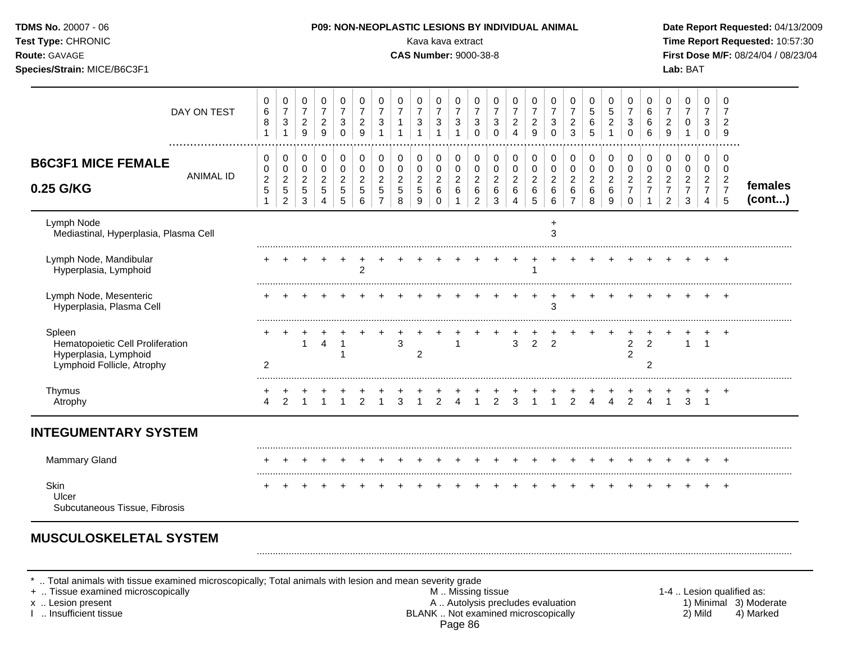| TDMS No. 20007 - 06<br>Test Type: CHRONIC<br>Route: GAVAGE<br>Species/Strain: MICE/B6C3F1         |                                                        |                                                                  |                                                       |                                                                            |                                                                           |                                                                |                                                                  |                                                     | P09: NON-NEOPLASTIC LESIONS BY INDIVIDUAL ANIMAL<br>Kava kava extract<br><b>CAS Number: 9000-38-8</b> |                                                                    |                                                                      |                                                           |                                                    |                                                                 |                                              |                                                     |                                                          |                                        |                                                                   |                                                                         |                                                                      |                                                                     | Lab: BAT                                               |                                                              |                                                                      | Date Report Requested: 04/13/2009<br>Time Report Requested: 10:57:30<br>First Dose M/F: 08/24/04 / 08/23/04 |
|---------------------------------------------------------------------------------------------------|--------------------------------------------------------|------------------------------------------------------------------|-------------------------------------------------------|----------------------------------------------------------------------------|---------------------------------------------------------------------------|----------------------------------------------------------------|------------------------------------------------------------------|-----------------------------------------------------|-------------------------------------------------------------------------------------------------------|--------------------------------------------------------------------|----------------------------------------------------------------------|-----------------------------------------------------------|----------------------------------------------------|-----------------------------------------------------------------|----------------------------------------------|-----------------------------------------------------|----------------------------------------------------------|----------------------------------------|-------------------------------------------------------------------|-------------------------------------------------------------------------|----------------------------------------------------------------------|---------------------------------------------------------------------|--------------------------------------------------------|--------------------------------------------------------------|----------------------------------------------------------------------|-------------------------------------------------------------------------------------------------------------|
| DAY ON TEST                                                                                       | 0<br>$\,6$<br>8<br>$\mathbf{1}$                        | 0<br>$\overline{7}$<br>$\ensuremath{\mathsf{3}}$<br>$\mathbf{1}$ | 0<br>$\overline{7}$<br>$\frac{2}{9}$                  | 0<br>$\boldsymbol{7}$<br>$\frac{2}{9}$                                     | $\mathbf 0$<br>$\overline{7}$<br>$\ensuremath{\mathsf{3}}$<br>$\mathbf 0$ | 0<br>$\overline{\mathbf{7}}$<br>$\sqrt{2}$<br>$\boldsymbol{9}$ | 0<br>$\overline{7}$<br>$\ensuremath{\mathsf{3}}$<br>$\mathbf{1}$ | 0<br>$\overline{7}$<br>$\mathbf{1}$<br>$\mathbf{1}$ | 0<br>$\boldsymbol{7}$<br>$\mathbf{3}$<br>$\mathbf{1}$                                                 | 0<br>$\overline{7}$<br>$\ensuremath{\mathsf{3}}$<br>$\overline{1}$ | 0<br>$\boldsymbol{7}$<br>$\ensuremath{\mathsf{3}}$<br>$\overline{1}$ | 0<br>$\overline{7}$<br>$\mathbf{3}$<br>$\mathbf 0$        | 0<br>$\overline{7}$<br>3<br>$\mathbf 0$            | 0<br>$\overline{7}$<br>$\sqrt{2}$<br>$\overline{4}$             | 0<br>$\overline{7}$<br>$\boldsymbol{2}$<br>9 | 0<br>$\overline{7}$<br>$\mathbf{3}$<br>$\mathbf{0}$ | 0<br>$\overline{7}$<br>$\overline{a}$<br>$\overline{3}$  | 0<br>5<br>6<br>$\overline{5}$          | 0<br>$\overline{5}$<br>$\boldsymbol{2}$<br>$\mathbf{1}$           | 0<br>$\overline{7}$<br>$\ensuremath{\mathsf{3}}$<br>$\mathsf{O}\xspace$ | $\mathbf 0$<br>$\,6\,$<br>6<br>6                                     | 0<br>$\overline{7}$<br>$\overline{c}$<br>9                          | $\Omega$<br>$\overline{7}$<br>0<br>$\mathbf{1}$        | 0<br>$\overline{7}$<br>3<br>$\Omega$                         | $\Omega$<br>$\overline{7}$<br>$\overline{2}$<br>9                    |                                                                                                             |
| <br><b>B6C3F1 MICE FEMALE</b><br><b>ANIMAL ID</b><br>0.25 G/KG                                    | 0<br>0<br>$\overline{c}$<br>$\sqrt{5}$<br>$\mathbf{1}$ | 0<br>0<br>$\overline{a}$<br>$\sqrt{5}$<br>$\overline{2}$         | 0<br>$\mathbf 0$<br>$\overline{c}$<br>$\sqrt{5}$<br>3 | $\pmb{0}$<br>$\mathbf 0$<br>$\overline{c}$<br>$\sqrt{5}$<br>$\overline{4}$ | $\pmb{0}$<br>0<br>$\overline{c}$<br>$\sqrt{5}$<br>5                       | 0<br>$\mathbf 0$<br>$\sqrt{2}$<br>$\sqrt{5}$<br>$\,6\,$        | 0<br>0<br>$\overline{2}$<br>$\sqrt{5}$<br>$\overline{7}$         | 0<br>0<br>$\overline{c}$<br>5<br>8                  | 0<br>0<br>$\overline{a}$<br>5<br>9                                                                    | 0<br>$\pmb{0}$<br>$\overline{c}$<br>$\,6\,$<br>$\mathbf 0$         | 0<br>0<br>$\sqrt{2}$<br>6<br>$\mathbf{1}$                            | 0<br>$\pmb{0}$<br>$\sqrt{2}$<br>$\,6\,$<br>$\overline{2}$ | 0<br>$\mathbf 0$<br>$\overline{2}$<br>$\,6\,$<br>3 | 0<br>$\mathbf 0$<br>$\overline{c}$<br>$\,6\,$<br>$\overline{4}$ | 0<br>0<br>$\boldsymbol{2}$<br>$\,6$<br>5     | 0<br>$\pmb{0}$<br>$\overline{2}$<br>6<br>6          | 0<br>0<br>$\overline{\mathbf{c}}$<br>6<br>$\overline{7}$ | 0<br>0<br>$\overline{a}$<br>$\,6$<br>8 | 0<br>$\pmb{0}$<br>$\boldsymbol{2}$<br>$\,6\,$<br>$\boldsymbol{9}$ | 0<br>0<br>$\overline{2}$<br>$\overline{7}$<br>$\mathbf 0$               | 0<br>$\mathbf 0$<br>$\overline{c}$<br>$\overline{7}$<br>$\mathbf{1}$ | 0<br>$\Omega$<br>$\overline{c}$<br>$\overline{7}$<br>$\overline{c}$ | 0<br>$\Omega$<br>$\overline{2}$<br>$\overline{7}$<br>3 | 0<br>0<br>$\overline{2}$<br>$\overline{7}$<br>$\overline{4}$ | 0<br>$\Omega$<br>$\overline{2}$<br>$\overline{7}$<br>$5\phantom{.0}$ | females<br>(cont)                                                                                           |
| Lymph Node<br>Mediastinal, Hyperplasia, Plasma Cell                                               |                                                        |                                                                  |                                                       |                                                                            |                                                                           |                                                                |                                                                  |                                                     |                                                                                                       |                                                                    |                                                                      |                                                           |                                                    |                                                                 |                                              | 3                                                   |                                                          |                                        |                                                                   |                                                                         |                                                                      |                                                                     |                                                        |                                                              |                                                                      |                                                                                                             |
| Lymph Node, Mandibular<br>Hyperplasia, Lymphoid                                                   |                                                        |                                                                  |                                                       |                                                                            | $\ddot{}$                                                                 | $^{+}$<br>$\overline{2}$                                       |                                                                  |                                                     |                                                                                                       |                                                                    |                                                                      |                                                           |                                                    | $+$                                                             | $+$<br>1                                     | $+$ $+$                                             |                                                          |                                        |                                                                   |                                                                         |                                                                      |                                                                     |                                                        |                                                              |                                                                      |                                                                                                             |
| Lymph Node, Mesenteric<br>Hyperplasia, Plasma Cell                                                |                                                        |                                                                  |                                                       |                                                                            |                                                                           |                                                                |                                                                  |                                                     |                                                                                                       |                                                                    |                                                                      |                                                           |                                                    |                                                                 |                                              | 3                                                   |                                                          |                                        |                                                                   |                                                                         |                                                                      |                                                                     |                                                        |                                                              | $+$                                                                  |                                                                                                             |
| Spleen<br>Hematopoietic Cell Proliferation<br>Hyperplasia, Lymphoid<br>Lymphoid Follicle, Atrophy | $\overline{c}$                                         |                                                                  | $\mathbf{1}$                                          | 4                                                                          | -1                                                                        |                                                                |                                                                  | 3                                                   | $\overline{c}$                                                                                        |                                                                    |                                                                      |                                                           |                                                    | 3                                                               | $\overline{2}$                               | $\overline{2}$                                      |                                                          |                                        |                                                                   | $\overline{c}$<br>$\overline{2}$                                        | 2<br>2                                                               |                                                                     |                                                        |                                                              | $\ddot{}$                                                            |                                                                                                             |
| Thymus<br>Atrophy                                                                                 | 4                                                      | 2                                                                |                                                       |                                                                            | $\overline{1}$                                                            | 2                                                              | $\overline{1}$                                                   | 3                                                   |                                                                                                       | $\overline{2}$                                                     | $\overline{4}$                                                       | $\overline{1}$                                            | $\overline{2}$                                     | 3                                                               | $\overline{1}$                               | $\overline{1}$                                      | 2                                                        | $\overline{4}$                         | $\overline{4}$                                                    | $\ddot{}$<br>2                                                          | $\overline{4}$                                                       | $\mathbf{1}$                                                        |                                                        | $3 \quad 1$                                                  | $+$                                                                  |                                                                                                             |
| <b>INTEGUMENTARY SYSTEM</b>                                                                       |                                                        |                                                                  |                                                       |                                                                            |                                                                           |                                                                |                                                                  |                                                     |                                                                                                       |                                                                    |                                                                      |                                                           |                                                    |                                                                 |                                              |                                                     |                                                          |                                        |                                                                   |                                                                         |                                                                      |                                                                     |                                                        |                                                              |                                                                      |                                                                                                             |
| <b>Mammary Gland</b>                                                                              |                                                        |                                                                  |                                                       |                                                                            |                                                                           |                                                                |                                                                  |                                                     |                                                                                                       |                                                                    |                                                                      |                                                           |                                                    |                                                                 |                                              |                                                     | $+$                                                      |                                        | $+$                                                               |                                                                         |                                                                      |                                                                     |                                                        |                                                              |                                                                      |                                                                                                             |
| Skin<br>Ulcer<br>Subcutaneous Tissue, Fibrosis                                                    |                                                        |                                                                  |                                                       |                                                                            |                                                                           |                                                                |                                                                  |                                                     |                                                                                                       |                                                                    |                                                                      |                                                           |                                                    |                                                                 |                                              |                                                     |                                                          |                                        |                                                                   |                                                                         |                                                                      |                                                                     |                                                        |                                                              | $\overline{+}$                                                       |                                                                                                             |

\* .. Total animals with tissue examined microscopically; Total animals with lesion and mean severity grade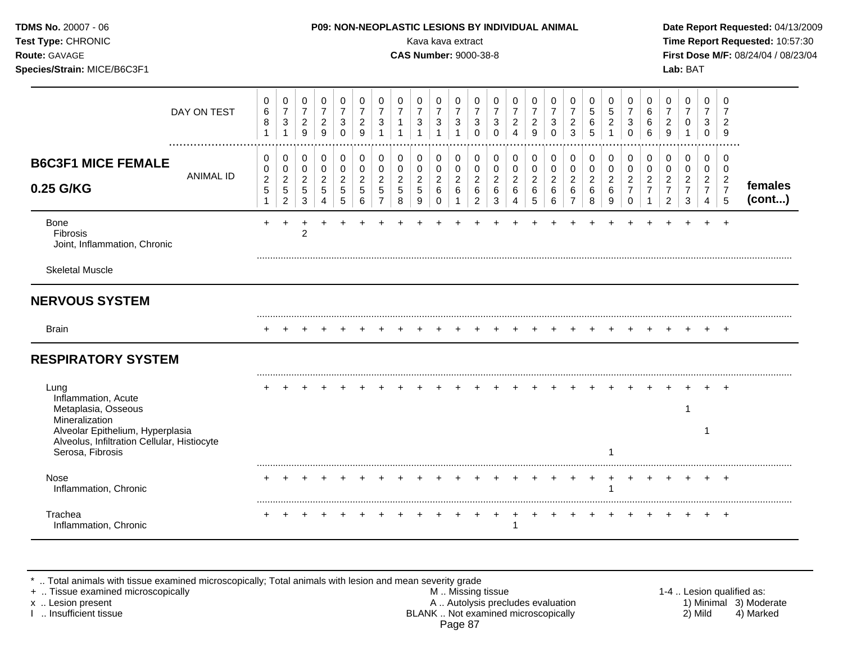| TDMS No. 20007 - 06<br>Test Type: CHRONIC<br>Route: GAVAGE<br>Species/Strain: MICE/B6C3F1           |                                        |                                                                                |                                                                           |                                                                              | <b>P09: NON-NEOPLASTIC LESIONS BY INDIVIDUAL ANIMAL</b>       |                                                           |                                                                          |                                              | Kava kava extract<br><b>CAS Number: 9000-38-8</b> |                                                              |                                                           |                                                                   |                                                                           |                                                             |                                                            |                                                          |                                                           |                                                        |                                                              |                                                                           |                                                                                  |                                                                                  | Lab: BAT                                                          |                                                                        |                                                                                   | Date Report Requested: 04/13/2009<br>Time Report Requested: 10:57:30<br>First Dose M/F: 08/24/04 / 08/23/04 |
|-----------------------------------------------------------------------------------------------------|----------------------------------------|--------------------------------------------------------------------------------|---------------------------------------------------------------------------|------------------------------------------------------------------------------|---------------------------------------------------------------|-----------------------------------------------------------|--------------------------------------------------------------------------|----------------------------------------------|---------------------------------------------------|--------------------------------------------------------------|-----------------------------------------------------------|-------------------------------------------------------------------|---------------------------------------------------------------------------|-------------------------------------------------------------|------------------------------------------------------------|----------------------------------------------------------|-----------------------------------------------------------|--------------------------------------------------------|--------------------------------------------------------------|---------------------------------------------------------------------------|----------------------------------------------------------------------------------|----------------------------------------------------------------------------------|-------------------------------------------------------------------|------------------------------------------------------------------------|-----------------------------------------------------------------------------------|-------------------------------------------------------------------------------------------------------------|
| DAY ON TEST<br>                                                                                     | 0<br>$\,6$<br>$\bf 8$<br>$\mathbf{1}$  | $\pmb{0}$<br>$\overline{7}$<br>$\sqrt{3}$<br>$\mathbf{1}$                      | 0<br>$\overline{7}$<br>$\sqrt{2}$<br>9                                    | 0<br>$\overline{7}$<br>$\overline{c}$<br>$9\,$                               | $\pmb{0}$<br>$\overline{7}$<br>$\mathbf{3}$<br>$\Omega$       | 0<br>$\overline{7}$<br>$\sqrt{2}$<br>9                    | 0<br>$\overline{7}$<br>$\mathbf{3}$<br>$\overline{1}$                    | 0<br>$\overline{7}$<br>1                     | 0<br>$\overline{7}$<br>$\mathbf{3}$               | $\pmb{0}$<br>$\overline{7}$<br>$\sqrt{3}$                    | 0<br>$\boldsymbol{7}$<br>$\mathbf{3}$<br>$\overline{1}$   | 0<br>$\overline{7}$<br>$\ensuremath{\mathsf{3}}$<br>$\mathbf 0$   | 0<br>$\overline{7}$<br>3<br>$\mathbf 0$                                   | $\pmb{0}$<br>$\overline{7}$<br>$\sqrt{2}$<br>$\overline{4}$ | 0<br>$\overline{7}$<br>$\boldsymbol{2}$<br>9               | 0<br>$\overline{7}$<br>$\mathbf{3}$<br>$\mathbf 0$       | 0<br>$\overline{7}$<br>$\overline{2}$<br>$\overline{3}$   | 0<br>$\sqrt{5}$<br>$\,6\,$<br>5                        | 0<br>$\sqrt{5}$<br>$\boldsymbol{2}$                          | $\mathbf 0$<br>$\overline{7}$<br>$\ensuremath{\mathsf{3}}$<br>$\mathbf 0$ | $\mathbf 0$<br>$\,6\,$<br>$\,6\,$<br>6                                           | 0<br>$\overline{7}$<br>$\sqrt{2}$<br>$\boldsymbol{9}$                            | 0<br>$\overline{7}$<br>0<br>1                                     | 0<br>$\overline{7}$<br>3<br>$\mathbf 0$                                | $\Omega$<br>2<br>9                                                                |                                                                                                             |
| <b>B6C3F1 MICE FEMALE</b><br><b>ANIMAL ID</b><br>0.25 G/KG                                          | 0<br>0<br>$\overline{c}$<br>$\sqrt{5}$ | $\pmb{0}$<br>$\mathbf 0$<br>$\boldsymbol{2}$<br>$\sqrt{5}$<br>$\boldsymbol{2}$ | $\mathbf 0$<br>$\mathsf 0$<br>$\overline{c}$<br>$\,$ 5 $\,$<br>$\sqrt{3}$ | $\mathbf 0$<br>$\mathbf 0$<br>$\overline{c}$<br>$\sqrt{5}$<br>$\overline{4}$ | $\pmb{0}$<br>$\mathbf 0$<br>$\sqrt{2}$<br>$\overline{5}$<br>5 | $\mathbf 0$<br>$\pmb{0}$<br>$\sqrt{2}$<br>$\sqrt{5}$<br>6 | $\pmb{0}$<br>$\pmb{0}$<br>$\overline{c}$<br>$\sqrt{5}$<br>$\overline{7}$ | 0<br>$\mathbf 0$<br>$\overline{c}$<br>5<br>8 | 0<br>0<br>$\overline{c}$<br>5<br>9                | $\pmb{0}$<br>$\pmb{0}$<br>$\overline{c}$<br>6<br>$\mathbf 0$ | 0<br>$\mathbf 0$<br>$\overline{2}$<br>6<br>$\overline{1}$ | $\pmb{0}$<br>$\pmb{0}$<br>$\sqrt{2}$<br>$\,6\,$<br>$\overline{2}$ | $\mathbf 0$<br>$\mathbf 0$<br>$\boldsymbol{2}$<br>$\,6\,$<br>$\mathbf{3}$ | $\mathbf 0$<br>$\mathbf 0$<br>$\overline{c}$<br>6<br>4      | 0<br>$\mathbf 0$<br>$\overline{c}$<br>$6\phantom{1}6$<br>5 | $\mathbf 0$<br>$\mathbf 0$<br>$\boldsymbol{2}$<br>6<br>6 | 0<br>$\mathbf 0$<br>$\overline{2}$<br>6<br>$\overline{7}$ | $\mathbf 0$<br>$\mathbf 0$<br>$\overline{c}$<br>6<br>8 | $\mathbf 0$<br>$\mathbf 0$<br>$\boldsymbol{2}$<br>$\,6$<br>9 | 0<br>$\mathbf 0$<br>$\overline{2}$<br>$\overline{7}$<br>0                 | $\mathbf 0$<br>$\pmb{0}$<br>$\boldsymbol{2}$<br>$\overline{7}$<br>$\overline{1}$ | $\mathbf 0$<br>$\mathbf 0$<br>$\overline{c}$<br>$\overline{7}$<br>$\overline{c}$ | $\pmb{0}$<br>$\mathbf 0$<br>$\overline{c}$<br>$\overline{7}$<br>3 | 0<br>$\mathbf 0$<br>$\overline{c}$<br>$\overline{7}$<br>$\overline{4}$ | $\mathbf 0$<br>$\mathbf 0$<br>$\overline{2}$<br>$\overline{7}$<br>$5\phantom{.0}$ | females<br>(cont)                                                                                           |
| Bone<br><b>Fibrosis</b><br>Joint, Inflammation, Chronic                                             | $\pm$                                  | $+$                                                                            | $\overline{c}$                                                            |                                                                              |                                                               |                                                           |                                                                          |                                              |                                                   |                                                              |                                                           |                                                                   |                                                                           |                                                             |                                                            |                                                          |                                                           |                                                        |                                                              |                                                                           |                                                                                  |                                                                                  |                                                                   |                                                                        | $\div$                                                                            |                                                                                                             |
| <b>Skeletal Muscle</b>                                                                              |                                        |                                                                                |                                                                           |                                                                              |                                                               |                                                           |                                                                          |                                              |                                                   |                                                              |                                                           |                                                                   |                                                                           |                                                             |                                                            |                                                          |                                                           |                                                        |                                                              |                                                                           |                                                                                  |                                                                                  |                                                                   |                                                                        |                                                                                   |                                                                                                             |
| <b>NERVOUS SYSTEM</b>                                                                               |                                        |                                                                                |                                                                           |                                                                              |                                                               |                                                           |                                                                          |                                              |                                                   |                                                              |                                                           |                                                                   |                                                                           |                                                             |                                                            |                                                          |                                                           |                                                        |                                                              |                                                                           |                                                                                  |                                                                                  |                                                                   |                                                                        |                                                                                   |                                                                                                             |
| <b>Brain</b>                                                                                        | $\ddot{}$                              |                                                                                |                                                                           |                                                                              |                                                               |                                                           |                                                                          |                                              |                                                   |                                                              |                                                           |                                                                   |                                                                           |                                                             |                                                            |                                                          |                                                           |                                                        |                                                              |                                                                           |                                                                                  |                                                                                  |                                                                   |                                                                        | $+$                                                                               |                                                                                                             |
| <b>RESPIRATORY SYSTEM</b>                                                                           |                                        |                                                                                |                                                                           |                                                                              |                                                               |                                                           |                                                                          |                                              |                                                   |                                                              |                                                           |                                                                   |                                                                           |                                                             |                                                            |                                                          |                                                           |                                                        |                                                              |                                                                           |                                                                                  |                                                                                  |                                                                   |                                                                        |                                                                                   |                                                                                                             |
| Lung<br>Inflammation, Acute<br>Metaplasia, Osseous<br>Mineralization                                |                                        |                                                                                |                                                                           |                                                                              |                                                               |                                                           |                                                                          |                                              |                                                   |                                                              |                                                           |                                                                   |                                                                           |                                                             |                                                            |                                                          |                                                           |                                                        |                                                              |                                                                           |                                                                                  |                                                                                  | 1                                                                 |                                                                        |                                                                                   |                                                                                                             |
| Alveolar Epithelium, Hyperplasia<br>Alveolus, Infiltration Cellular, Histiocyte<br>Serosa, Fibrosis |                                        |                                                                                |                                                                           |                                                                              |                                                               |                                                           |                                                                          |                                              |                                                   |                                                              |                                                           |                                                                   |                                                                           |                                                             |                                                            |                                                          |                                                           |                                                        | 1                                                            |                                                                           |                                                                                  |                                                                                  |                                                                   | 1                                                                      |                                                                                   |                                                                                                             |
| Nose<br>Inflammation, Chronic                                                                       |                                        |                                                                                |                                                                           |                                                                              |                                                               |                                                           |                                                                          |                                              |                                                   |                                                              |                                                           |                                                                   |                                                                           |                                                             |                                                            |                                                          |                                                           | $\pm$                                                  | $\overline{+}$<br>1                                          | $\ddot{}$                                                                 |                                                                                  |                                                                                  |                                                                   |                                                                        |                                                                                   |                                                                                                             |
| Trachea<br>Inflammation, Chronic                                                                    |                                        |                                                                                |                                                                           |                                                                              |                                                               |                                                           |                                                                          |                                              |                                                   |                                                              |                                                           |                                                                   |                                                                           | $\mathbf{1}$                                                |                                                            |                                                          |                                                           |                                                        |                                                              |                                                                           |                                                                                  |                                                                                  |                                                                   |                                                                        | $\ddot{}$                                                                         |                                                                                                             |

\* .. Total animals with tissue examined microscopically; Total animals with lesion and mean severity grade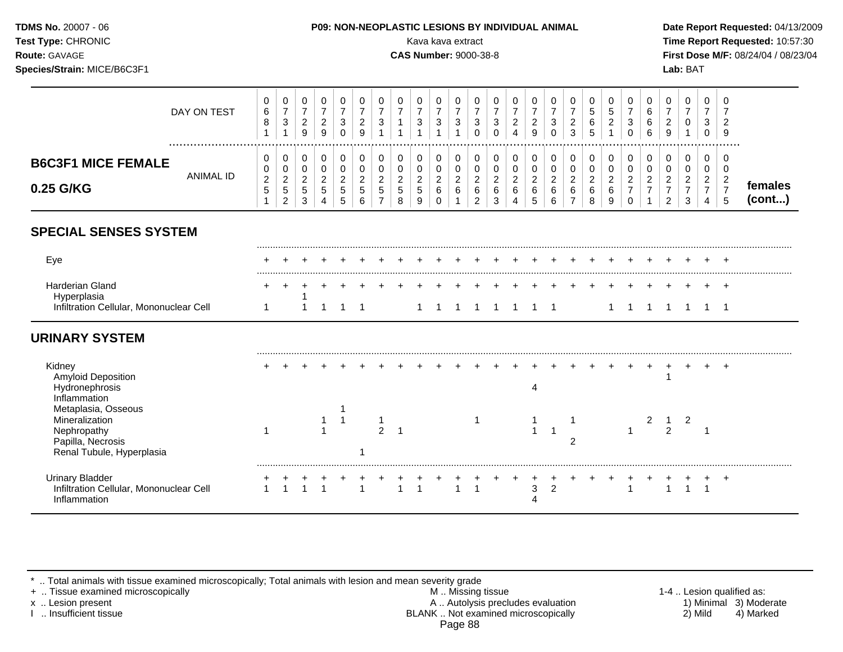| <b>TDMS No. 20007 - 06</b><br><b>Test Type: CHRONIC</b> | <b>P09: NON-NEOPLASTIC LESIONS BY INDIVIDUAL ANIMAL</b><br>Kava kava extract                                                                                         | Date Rep<br><b>Time Rep</b>  |
|---------------------------------------------------------|----------------------------------------------------------------------------------------------------------------------------------------------------------------------|------------------------------|
| <b>Route: GAVAGE</b><br>Species/Strain: MICE/B6C3F1     | <b>CAS Number: 9000-38-8</b>                                                                                                                                         | <b>First Dos</b><br>Lab: BAT |
|                                                         | $\mathbf 0$<br>$\mathbf 0$<br>$\overline{0}$<br>$\overline{0}$<br>$\overline{0}$<br>$\overline{0}$<br>$\overline{0}$<br>$\overline{0}$<br>$\overline{0}$<br>$\Omega$ |                              |

|                                                                                                        | DAY ON TEST      | $\pmb{0}$<br>6<br>$\bf 8$<br>1                         | 0<br>$\overline{7}$<br>$\sqrt{3}$<br>1      | 0<br>$\overline{7}$<br>$\overline{c}$<br>9 | 0<br>$\overline{7}$<br>$\sqrt{2}$<br>9   | 0<br>$\overline{7}$<br>3<br>$\Omega$ | 0<br>$\overline{7}$<br>$\overline{2}$<br>9                | 0<br>$\overline{7}$<br>3<br>$\overline{1}$                        | 0<br>$\boldsymbol{7}$<br>$\mathbf{1}$<br>$\overline{ }$      | 0<br>$\overline{7}$<br>$\ensuremath{\mathsf{3}}$<br>$\overline{1}$ | 0<br>$\overline{7}$<br>$\mathbf 3$<br>$\blacktriangleleft$     | 0<br>$\overline{7}$<br>$\mathbf{3}$<br>1 | 0<br>$\overline{7}$<br>$\mathbf{3}$<br>$\Omega$ | 0<br>$\overline{7}$<br>$\mathbf{3}$<br>$\Omega$    | 0<br>$\overline{7}$<br>$\sqrt{2}$<br>$\overline{4}$          | 0<br>$\boldsymbol{7}$<br>$\sqrt{2}$<br>9                      | 0<br>$\boldsymbol{7}$<br>$\ensuremath{\mathsf{3}}$<br>$\Omega$ | 0<br>$\overline{7}$<br>$\boldsymbol{2}$<br>3                              | 0<br>$\sqrt{5}$<br>6<br>5                      | 0<br>$\sqrt{5}$<br>$\overline{2}$              | 0<br>$\overline{7}$<br>3<br>$\Omega$                         | 0<br>6<br>6<br>6                                     | 0<br>$\overline{7}$<br>$\overline{c}$<br>9                     | 0<br>$\boldsymbol{7}$<br>$\pmb{0}$<br>$\mathbf{1}$          | 0<br>$\overline{7}$<br>$\mathbf{3}$<br>$\Omega$              | 0<br>7<br>$\overline{2}$<br>9         |                   |
|--------------------------------------------------------------------------------------------------------|------------------|--------------------------------------------------------|---------------------------------------------|--------------------------------------------|------------------------------------------|--------------------------------------|-----------------------------------------------------------|-------------------------------------------------------------------|--------------------------------------------------------------|--------------------------------------------------------------------|----------------------------------------------------------------|------------------------------------------|-------------------------------------------------|----------------------------------------------------|--------------------------------------------------------------|---------------------------------------------------------------|----------------------------------------------------------------|---------------------------------------------------------------------------|------------------------------------------------|------------------------------------------------|--------------------------------------------------------------|------------------------------------------------------|----------------------------------------------------------------|-------------------------------------------------------------|--------------------------------------------------------------|---------------------------------------|-------------------|
| <b>B6C3F1 MICE FEMALE</b><br>0.25 G/KG                                                                 | <b>ANIMAL ID</b> | 0<br>0<br>$\overline{c}$<br>$\sqrt{5}$<br>$\mathbf{1}$ | 0<br>0<br>$\sqrt{2}$<br>5<br>$\overline{c}$ | 0<br>0<br>$\boldsymbol{2}$<br>5<br>3       | 0<br>$\mathbf 0$<br>$\sqrt{2}$<br>5<br>4 | 0<br>0<br>$\overline{c}$<br>5<br>5   | 0<br>$\pmb{0}$<br>$\boldsymbol{2}$<br>$\overline{5}$<br>6 | 0<br>$\mathsf{O}\xspace$<br>$\overline{a}$<br>5<br>$\overline{7}$ | 0<br>$\pmb{0}$<br>$\begin{array}{c} 2 \\ 5 \end{array}$<br>8 | $\mathbf 0$<br>$\mathbf 0$<br>$\overline{c}$<br>$\sqrt{5}$<br>9    | 0<br>$\mathbf 0$<br>$\boldsymbol{2}$<br>$\,6\,$<br>$\mathbf 0$ | 0<br>0<br>$\overline{2}$<br>6<br>1       | 0<br>0<br>$\overline{2}$<br>6<br>$\overline{c}$ | 0<br>$\mathbf 0$<br>$\overline{2}$<br>$\,6\,$<br>3 | 0<br>$\pmb{0}$<br>$\begin{array}{c} 2 \\ 6 \end{array}$<br>4 | 0<br>$\mathbf 0$<br>$\boldsymbol{2}$<br>$\,6\,$<br>$\sqrt{5}$ | 0<br>$\mathbf 0$<br>$\overline{a}$<br>6<br>6                   | $\mathbf 0$<br>$\pmb{0}$<br>$\boldsymbol{2}$<br>$\,6\,$<br>$\overline{7}$ | 0<br>$\mathbf 0$<br>$\boldsymbol{2}$<br>6<br>8 | 0<br>$\mathbf 0$<br>$\boldsymbol{2}$<br>6<br>9 | 0<br>$\mathbf 0$<br>$\sqrt{2}$<br>$\overline{7}$<br>$\Omega$ | 0<br>$\pmb{0}$<br>$\boldsymbol{2}$<br>$\overline{7}$ | 0<br>0<br>$\overline{2}$<br>$\boldsymbol{7}$<br>$\overline{2}$ | 0<br>$\mathbf 0$<br>$\overline{a}$<br>$\boldsymbol{7}$<br>3 | 0<br>0<br>$\overline{2}$<br>$\overline{7}$<br>$\overline{4}$ | 0<br>0<br>$\frac{2}{7}$<br>$\sqrt{5}$ | females<br>(cont) |
| <b>SPECIAL SENSES SYSTEM</b>                                                                           |                  |                                                        |                                             |                                            |                                          |                                      |                                                           |                                                                   |                                                              |                                                                    |                                                                |                                          |                                                 |                                                    |                                                              |                                                               |                                                                |                                                                           |                                                |                                                |                                                              |                                                      |                                                                |                                                             |                                                              |                                       |                   |
| Eye                                                                                                    |                  |                                                        |                                             |                                            |                                          |                                      |                                                           |                                                                   |                                                              |                                                                    |                                                                |                                          |                                                 |                                                    |                                                              |                                                               |                                                                |                                                                           |                                                |                                                |                                                              |                                                      |                                                                |                                                             |                                                              |                                       |                   |
| <b>Harderian Gland</b><br>Hyperplasia                                                                  |                  |                                                        |                                             |                                            |                                          |                                      |                                                           |                                                                   |                                                              |                                                                    |                                                                |                                          |                                                 |                                                    |                                                              |                                                               |                                                                |                                                                           |                                                |                                                |                                                              |                                                      |                                                                |                                                             |                                                              | $\pm$                                 |                   |
| Infiltration Cellular, Mononuclear Cell                                                                |                  | 1                                                      |                                             |                                            |                                          |                                      |                                                           |                                                                   |                                                              |                                                                    |                                                                |                                          |                                                 | $\overline{1}$                                     | $\overline{1}$                                               | $\overline{1}$                                                | $\overline{\phantom{1}}$                                       |                                                                           |                                                | $\mathbf{1}$                                   | $\overline{1}$                                               |                                                      | $\overline{1}$                                                 |                                                             | 1                                                            | $\overline{1}$                        |                   |
| <b>URINARY SYSTEM</b>                                                                                  |                  |                                                        |                                             |                                            |                                          |                                      |                                                           |                                                                   |                                                              |                                                                    |                                                                |                                          |                                                 |                                                    |                                                              |                                                               |                                                                |                                                                           |                                                |                                                |                                                              |                                                      |                                                                |                                                             |                                                              |                                       |                   |
| Kidney<br><b>Amyloid Deposition</b><br>Hydronephrosis<br>Inflammation                                  |                  |                                                        |                                             |                                            |                                          |                                      |                                                           |                                                                   |                                                              |                                                                    |                                                                |                                          |                                                 |                                                    |                                                              | 4                                                             |                                                                |                                                                           |                                                |                                                |                                                              |                                                      | 1                                                              |                                                             |                                                              | $\overline{ }$                        |                   |
| Metaplasia, Osseous<br>Mineralization<br>Nephropathy<br>Papilla, Necrosis<br>Renal Tubule, Hyperplasia |                  |                                                        |                                             |                                            | -1<br>$\overline{1}$                     | $\mathbf{1}$                         |                                                           | 1<br>$\overline{2}$                                               |                                                              |                                                                    |                                                                |                                          | $\mathbf 1$                                     |                                                    |                                                              | $\overline{\mathbf{1}}$                                       | $\overline{1}$                                                 | -1<br>$\overline{2}$                                                      |                                                |                                                | 1                                                            | 2                                                    | $\mathbf{1}$<br>$\overline{2}$                                 | $\overline{c}$                                              | -1                                                           |                                       |                   |
| <b>Urinary Bladder</b><br>Infiltration Cellular, Mononuclear Cell<br>Inflammation                      |                  | $\overline{1}$                                         | $\overline{1}$                              |                                            | $\overline{1}$                           |                                      | $\overline{1}$                                            |                                                                   |                                                              | $\overline{1}$                                                     |                                                                | $\overline{1}$                           | $\overline{1}$                                  |                                                    |                                                              | $\mathfrak{S}$<br>Δ                                           | $\overline{2}$                                                 |                                                                           |                                                |                                                |                                                              |                                                      | 1                                                              | $\blacktriangleleft$                                        | $\overline{1}$                                               | $\cdot$                               |                   |

\* .. Total animals with tissue examined microscopically; Total animals with lesion and mean severity grade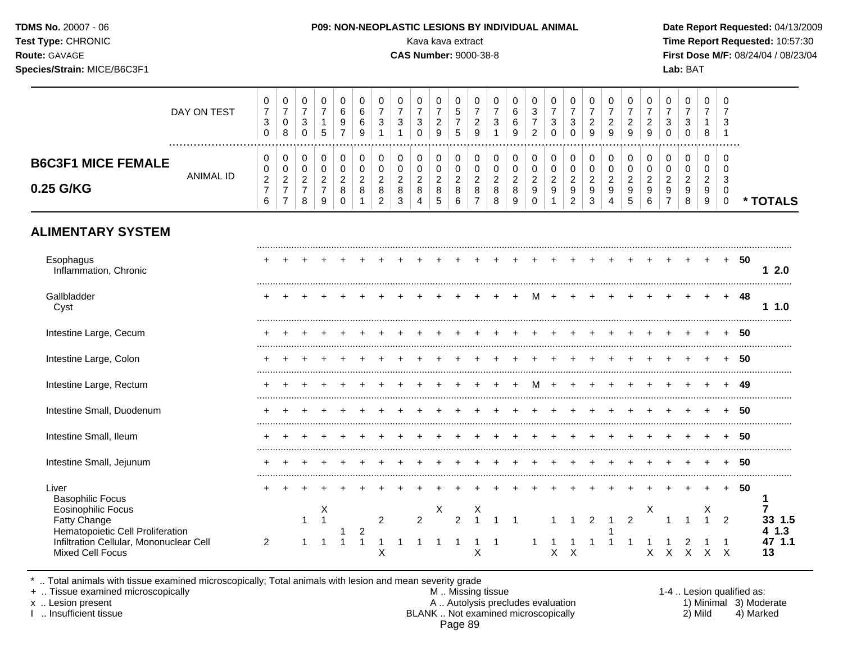| Test Type: CHRONIC<br>Route: GAVAGE<br>Species/Strain: MICE/B6C3F1                                     |                  |                                                 |                                                       |                                         |                                            |                                                    |                                  |                                                                            |                                                           | Kava kava extract<br><b>CAS Number: 9000-38-8</b>  |                                                       |                                                     |                                                           |                                                                  |                                             |                                                                 |                                                          |                                                       |                                            |                                                           |                                                         |                                                                     |                                                                     | Lab: BAT                                                   |                                                    |                                                               |      | Time Report Requested: 10:57:30<br>First Dose M/F: 08/24/04 / 08/23/04 |  |
|--------------------------------------------------------------------------------------------------------|------------------|-------------------------------------------------|-------------------------------------------------------|-----------------------------------------|--------------------------------------------|----------------------------------------------------|----------------------------------|----------------------------------------------------------------------------|-----------------------------------------------------------|----------------------------------------------------|-------------------------------------------------------|-----------------------------------------------------|-----------------------------------------------------------|------------------------------------------------------------------|---------------------------------------------|-----------------------------------------------------------------|----------------------------------------------------------|-------------------------------------------------------|--------------------------------------------|-----------------------------------------------------------|---------------------------------------------------------|---------------------------------------------------------------------|---------------------------------------------------------------------|------------------------------------------------------------|----------------------------------------------------|---------------------------------------------------------------|------|------------------------------------------------------------------------|--|
|                                                                                                        | DAY ON TEST      | $\pmb{0}$<br>$\overline{7}$<br>3<br>$\mathbf 0$ | $\pmb{0}$<br>$\overline{7}$<br>$\mathbf 0$<br>$\bf 8$ | 0<br>$\overline{7}$<br>3<br>$\mathbf 0$ | 0<br>$\overline{7}$<br>$\mathbf{1}$<br>5   | 0<br>$\,6\,$<br>$\boldsymbol{9}$<br>$\overline{7}$ | 0<br>6<br>$\,6\,$<br>9           | $\mathbf 0$<br>$\overline{7}$<br>$\ensuremath{\mathsf{3}}$<br>$\mathbf{1}$ | $\pmb{0}$<br>$\overline{7}$<br>$\sqrt{3}$<br>$\mathbf{1}$ | 0<br>$\overline{7}$<br>$\mathbf{3}$<br>$\mathbf 0$ | 0<br>$\overline{7}$<br>$\sqrt{2}$<br>$\boldsymbol{9}$ | 0<br>$\sqrt{5}$<br>$\overline{7}$<br>$\overline{5}$ | 0<br>$\overline{7}$<br>$\overline{c}$<br>$\boldsymbol{9}$ | 0<br>$\overline{7}$<br>$\ensuremath{\mathsf{3}}$<br>$\mathbf{1}$ | 0<br>$\,6\,$<br>$\,6\,$<br>$\boldsymbol{9}$ | $\mathbf 0$<br>$\sqrt{3}$<br>$\boldsymbol{7}$<br>$\overline{2}$ | $\mathbf 0$<br>$\overline{7}$<br>$\sqrt{3}$<br>$\pmb{0}$ | 0<br>$\overline{7}$<br>$\sqrt{3}$<br>$\boldsymbol{0}$ | 0<br>$\overline{7}$<br>$\frac{2}{9}$       | 0<br>$\boldsymbol{7}$<br>$\overline{a}$<br>$\overline{9}$ | 0<br>$\overline{7}$<br>$\overline{c}$<br>$\overline{9}$ | $\pmb{0}$<br>$\overline{7}$<br>$\boldsymbol{2}$<br>$\boldsymbol{9}$ | $\mathbf 0$<br>$\overline{7}$<br>$\mathsf 3$<br>$\mathsf{O}\xspace$ | $\mathbf 0$<br>$\overline{7}$<br>$\sqrt{3}$<br>$\mathbf 0$ | $\mathbf 0$<br>$\overline{7}$<br>$\mathbf{1}$<br>8 | $\mathbf 0$<br>$\overline{7}$<br>$\sqrt{3}$<br>$\overline{1}$ |      |                                                                        |  |
| <b>B6C3F1 MICE FEMALE</b>                                                                              | <b>ANIMAL ID</b> | $\mathbf 0$<br>0<br>$\boldsymbol{2}$            | $\mathbf 0$<br>$\pmb{0}$<br>$\sqrt{2}$                | 0<br>$\mathbf 0$<br>$\sqrt{2}$          | $\mathbf 0$<br>$\pmb{0}$<br>$\overline{2}$ | $\mathbf 0$<br>$\pmb{0}$<br>$\overline{c}$         | 0<br>$\pmb{0}$<br>$\overline{c}$ | $\mathbf 0$<br>$\pmb{0}$<br>$\mathbf 2$                                    | 0<br>$\pmb{0}$<br>$\sqrt{2}$                              | $\mathbf 0$<br>$\pmb{0}$<br>$\sqrt{2}$             | $\mathbf 0$<br>$\pmb{0}$<br>$\boldsymbol{2}$          | $\mathbf 0$<br>$\mathbf 0$<br>$\sqrt{2}$            | 0<br>$\mathsf 0$<br>$\overline{c}$                        | $\mathbf 0$<br>$\pmb{0}$<br>$\overline{2}$                       | 0<br>$\pmb{0}$<br>$\sqrt{2}$                | $\mathbf 0$<br>$\pmb{0}$<br>$\sqrt{2}$                          | $\mathbf 0$<br>$\mathbf 0$<br>$\boldsymbol{2}$           | 0<br>$\pmb{0}$<br>$\sqrt{2}$                          | $\mathbf 0$<br>$\pmb{0}$<br>$\overline{c}$ | $\mathbf 0$<br>$\pmb{0}$<br>$\overline{c}$                | $\mathbf 0$<br>$\pmb{0}$<br>$\sqrt{2}$                  | 0<br>$\pmb{0}$<br>$\overline{a}$                                    | $\mathbf 0$<br>$\mathbf 0$<br>$\overline{2}$                        | $\mathbf 0$<br>$\mathbf 0$<br>$\sqrt{2}$                   | $\mathbf 0$<br>$\mathbf 0$<br>$\overline{c}$       | $\mathbf 0$<br>$\mathbf 0$<br>3                               |      |                                                                        |  |
| 0.25 G/KG                                                                                              |                  | $\overline{7}$<br>6                             | $\overline{7}$<br>$\overline{7}$                      | $\overline{7}$<br>8                     | $\overline{7}$<br>9                        | 8<br>$\Omega$                                      | 8<br>$\mathbf 1$                 | $\bf 8$<br>$\overline{2}$                                                  | $\bf 8$<br>$\sqrt{3}$                                     | 8<br>$\overline{4}$                                | $\,8\,$<br>5                                          | $\bf8$<br>$6\phantom{a}$                            | $\bf 8$<br>$\overline{7}$                                 | 8<br>8                                                           | 8<br>$\boldsymbol{9}$                       | $\boldsymbol{9}$<br>$\mathbf 0$                                 | $9\,$<br>$\mathbf{1}$                                    | $\boldsymbol{9}$<br>$\overline{2}$                    | $\boldsymbol{9}$<br>$\mathbf{3}$           | $\boldsymbol{9}$<br>4                                     | $\boldsymbol{9}$<br>5                                   | $\boldsymbol{9}$<br>$6\phantom{a}$                                  | $\boldsymbol{9}$<br>$\overline{7}$                                  | $\boldsymbol{9}$<br>8                                      | 9<br>$\boldsymbol{9}$                              | $\mathbf 0$<br>$\mathbf 0$                                    |      | * TOTALS                                                               |  |
| <b>ALIMENTARY SYSTEM</b>                                                                               |                  |                                                 |                                                       |                                         |                                            |                                                    |                                  |                                                                            |                                                           |                                                    |                                                       |                                                     |                                                           |                                                                  |                                             |                                                                 |                                                          |                                                       |                                            |                                                           |                                                         |                                                                     |                                                                     |                                                            |                                                    |                                                               |      |                                                                        |  |
| Esophagus<br>Inflammation, Chronic                                                                     |                  |                                                 |                                                       |                                         |                                            |                                                    |                                  |                                                                            |                                                           |                                                    |                                                       |                                                     |                                                           |                                                                  |                                             |                                                                 |                                                          |                                                       |                                            |                                                           |                                                         |                                                                     |                                                                     |                                                            |                                                    | $+$                                                           | -50  | 12.0                                                                   |  |
| Gallbladder<br>Cyst                                                                                    |                  |                                                 |                                                       |                                         |                                            |                                                    |                                  |                                                                            |                                                           |                                                    |                                                       |                                                     |                                                           |                                                                  | $\ddot{}$                                   | М                                                               |                                                          | $\ddot{}$                                             |                                            |                                                           |                                                         |                                                                     |                                                                     |                                                            |                                                    | $+$                                                           | -48  | 11.0                                                                   |  |
| Intestine Large, Cecum                                                                                 |                  |                                                 |                                                       |                                         |                                            |                                                    |                                  |                                                                            |                                                           |                                                    |                                                       |                                                     |                                                           |                                                                  |                                             |                                                                 |                                                          |                                                       |                                            |                                                           |                                                         |                                                                     |                                                                     |                                                            |                                                    |                                                               | 50   |                                                                        |  |
| Intestine Large, Colon                                                                                 |                  |                                                 |                                                       |                                         |                                            |                                                    |                                  |                                                                            |                                                           |                                                    |                                                       |                                                     |                                                           |                                                                  |                                             |                                                                 |                                                          |                                                       |                                            |                                                           |                                                         |                                                                     |                                                                     |                                                            |                                                    |                                                               | -50  |                                                                        |  |
| Intestine Large, Rectum                                                                                |                  |                                                 |                                                       |                                         |                                            |                                                    |                                  |                                                                            |                                                           |                                                    |                                                       |                                                     |                                                           |                                                                  | $+$                                         | M                                                               | $+$                                                      | $+$                                                   |                                            |                                                           |                                                         | $\div$                                                              | $+$                                                                 | $+$                                                        |                                                    |                                                               | - 49 |                                                                        |  |
| Intestine Small, Duodenum                                                                              |                  |                                                 |                                                       |                                         |                                            |                                                    |                                  |                                                                            |                                                           |                                                    |                                                       |                                                     |                                                           |                                                                  |                                             |                                                                 |                                                          |                                                       |                                            |                                                           |                                                         |                                                                     |                                                                     |                                                            |                                                    |                                                               | -50  |                                                                        |  |
| Intestine Small, Ileum                                                                                 |                  |                                                 |                                                       |                                         |                                            |                                                    |                                  |                                                                            |                                                           |                                                    |                                                       |                                                     |                                                           |                                                                  |                                             |                                                                 |                                                          |                                                       |                                            |                                                           |                                                         |                                                                     |                                                                     |                                                            |                                                    |                                                               | 50   |                                                                        |  |
| Intestine Small, Jejunum                                                                               |                  |                                                 |                                                       |                                         |                                            |                                                    |                                  |                                                                            |                                                           |                                                    |                                                       |                                                     |                                                           |                                                                  |                                             |                                                                 |                                                          |                                                       |                                            |                                                           |                                                         | $\overline{ }$                                                      | $\ddot{}$                                                           |                                                            |                                                    |                                                               | -50  |                                                                        |  |
| Liver<br><b>Basophilic Focus</b><br><b>Eosinophilic Focus</b><br><b>Fatty Change</b>                   |                  | +                                               |                                                       | $\overline{ }$<br>$\mathbf{1}$          | $\div$<br>Χ<br>$\overline{1}$              |                                                    |                                  | $\overline{2}$                                                             |                                                           | $\overline{2}$                                     | X                                                     | $\overline{2}$                                      | X<br>$\overline{1}$                                       | $\mathbf{1}$                                                     | $\overline{1}$                              |                                                                 | 1                                                        | $\mathbf{1}$                                          | $\overline{2}$                             | $\overline{1}$                                            | $\overline{2}$                                          | X                                                                   |                                                                     | $\overline{1}$                                             | $+$<br>X<br>$\mathbf{1}$                           | $+$<br>$\overline{2}$                                         | - 50 | -1<br>7<br>33 1.5                                                      |  |
| Hematopoietic Cell Proliferation<br>Infiltration Cellular, Mononuclear Cell<br><b>Mixed Cell Focus</b> |                  | $\overline{2}$                                  |                                                       |                                         |                                            | $\mathbf 1$                                        | 2<br>$\mathbf{1}$                | $\mathsf X$                                                                | -1                                                        | 1                                                  | 1                                                     | 1                                                   | -1<br>Χ                                                   | -1                                                               |                                             |                                                                 | $X$ $X$                                                  |                                                       |                                            |                                                           |                                                         |                                                                     |                                                                     | X X X                                                      | X X                                                |                                                               |      | 41.3<br>47 1.1<br>13                                                   |  |

\* .. Total animals with tissue examined microscopically; Total animals with lesion and mean severity grade

+ .. Tissue examined microscopically M .. Missing tissue 1-4 .. Lesion qualified as: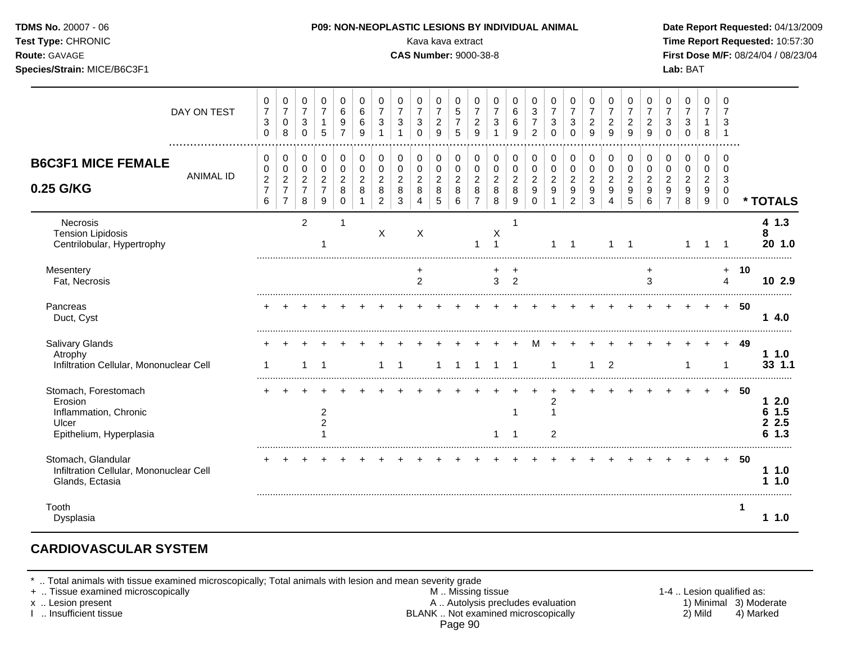| Test Type: CHRONIC<br>Route: GAVAGE<br>Species/Strain: MICE/B6C3F1                           |                                                             |                                                                            |                                                                     |                                                           |                                                                |                                                    |                                                                             |                                                                     | Kava kava extract<br><b>CAS Number: 9000-38-8</b>      |                                              |                                                |                                                           |                                                                  |                                                      |                                                             |                                                               |                                                                        |                                                |                                                   |                                                   |                                                           |                                                                          | Lab: BAT                                                 |                                                 |                                                        |     | Time Report Requested: 10:57:30<br>First Dose M/F: 08/24/04 / 08/23/04 |
|----------------------------------------------------------------------------------------------|-------------------------------------------------------------|----------------------------------------------------------------------------|---------------------------------------------------------------------|-----------------------------------------------------------|----------------------------------------------------------------|----------------------------------------------------|-----------------------------------------------------------------------------|---------------------------------------------------------------------|--------------------------------------------------------|----------------------------------------------|------------------------------------------------|-----------------------------------------------------------|------------------------------------------------------------------|------------------------------------------------------|-------------------------------------------------------------|---------------------------------------------------------------|------------------------------------------------------------------------|------------------------------------------------|---------------------------------------------------|---------------------------------------------------|-----------------------------------------------------------|--------------------------------------------------------------------------|----------------------------------------------------------|-------------------------------------------------|--------------------------------------------------------|-----|------------------------------------------------------------------------|
| DAY ON TEST                                                                                  | 0<br>$\overline{7}$<br>3<br>$\mathbf 0$                     | 0<br>$\overline{7}$<br>$\mathbf 0$<br>8                                    | 0<br>$\overline{7}$<br>3<br>$\mathbf 0$                             | 0<br>$\overline{7}$<br>$\mathbf{1}$<br>5                  | 0<br>6<br>$\boldsymbol{9}$<br>$\overline{7}$                   | 0<br>6<br>6<br>9                                   | $\pmb{0}$<br>$\overline{7}$<br>$\sqrt{3}$<br>$\overline{1}$                 | 0<br>$\overline{7}$<br>$\ensuremath{\mathsf{3}}$<br>$\overline{1}$  | $\Omega$<br>$\overline{7}$<br>$\mathbf{3}$<br>$\Omega$ | 0<br>$\overline{7}$<br>$\overline{2}$<br>9   | 0<br>5<br>$\overline{7}$<br>5                  | 0<br>$\overline{7}$<br>$\overline{a}$<br>9                | 0<br>$\overline{7}$<br>$\ensuremath{\mathsf{3}}$<br>$\mathbf{1}$ | 0<br>$\,6\,$<br>$\,6\,$<br>9                         | 0<br>$\sqrt{3}$<br>$\overline{7}$<br>$\overline{2}$         | 0<br>$\overline{7}$<br>$\sqrt{3}$<br>$\Omega$                 | 0<br>$\overline{7}$<br>$\ensuremath{\mathsf{3}}$<br>$\mathbf 0$        | 0<br>$\overline{7}$<br>$\overline{2}$<br>9     | $\Omega$<br>$\overline{7}$<br>$\overline{2}$<br>9 | $\Omega$<br>$\overline{7}$<br>$\overline{2}$<br>9 | 0<br>$\overline{7}$<br>$\boldsymbol{2}$<br>$\overline{9}$ | 0<br>$\overline{7}$<br>$\mathbf{3}$<br>$\mathbf 0$                       | $\Omega$<br>$\overline{7}$<br>3<br>$\mathbf 0$           | $\Omega$<br>$\overline{7}$<br>$\mathbf{1}$<br>8 | $\Omega$<br>7<br>3<br>$\overline{1}$                   |     |                                                                        |
| <b>B6C3F1 MICE FEMALE</b><br><b>ANIMAL ID</b><br>0.25 G/KG                                   | $\mathbf 0$<br>0<br>$\boldsymbol{2}$<br>$\overline{7}$<br>6 | $\pmb{0}$<br>$\mathbf 0$<br>$\sqrt{2}$<br>$\overline{7}$<br>$\overline{7}$ | $\mathbf 0$<br>$\mathbf 0$<br>$\overline{2}$<br>$\overline{7}$<br>8 | 0<br>$\mathbf 0$<br>$\overline{a}$<br>$\overline{7}$<br>9 | $\pmb{0}$<br>$\mathbf 0$<br>$\overline{c}$<br>8<br>$\mathbf 0$ | $\,0\,$<br>0<br>$\overline{c}$<br>8<br>$\mathbf 1$ | $\pmb{0}$<br>$\mathsf{O}\xspace$<br>$\sqrt{2}$<br>$\,8\,$<br>$\overline{2}$ | $\pmb{0}$<br>$\pmb{0}$<br>$\overline{c}$<br>$\,8\,$<br>$\mathbf{3}$ | 0<br>$\mathbf 0$<br>$\sqrt{2}$<br>8<br>$\overline{4}$  | 0<br>$\mathbf 0$<br>$\overline{c}$<br>8<br>5 | 0<br>$\mathbf 0$<br>$\boldsymbol{2}$<br>8<br>6 | $\mathbf 0$<br>0<br>$\overline{2}$<br>8<br>$\overline{7}$ | $\pmb{0}$<br>$\pmb{0}$<br>$\overline{c}$<br>8<br>8               | $\pmb{0}$<br>$\pmb{0}$<br>$\boldsymbol{2}$<br>8<br>9 | $\pmb{0}$<br>$\mathbf 0$<br>$\overline{c}$<br>9<br>$\Omega$ | $\mathbf 0$<br>$\mathbf 0$<br>$\sqrt{2}$<br>9<br>$\mathbf{1}$ | 0<br>$\pmb{0}$<br>$\overline{2}$<br>$\boldsymbol{9}$<br>$\overline{2}$ | 0<br>$\mathsf 0$<br>$\boldsymbol{2}$<br>9<br>3 | 0<br>$\mathbf 0$<br>$\overline{2}$<br>9<br>4      | 0<br>0<br>$\overline{2}$<br>9<br>5                | $\mathbf 0$<br>$\mathbf 0$<br>$\overline{2}$<br>9<br>6    | 0<br>$\mathbf 0$<br>$\overline{c}$<br>$\boldsymbol{9}$<br>$\overline{7}$ | $\mathbf 0$<br>$\mathbf 0$<br>$\boldsymbol{2}$<br>9<br>8 | 0<br>$\mathbf 0$<br>$\overline{c}$<br>9<br>9    | $\mathbf 0$<br>$\mathbf 0$<br>3<br>0<br>$\overline{0}$ |     | * TOTALS                                                               |
| Necrosis<br><b>Tension Lipidosis</b><br>Centrilobular, Hypertrophy                           |                                                             |                                                                            | $\overline{2}$                                                      | -1                                                        | -1                                                             |                                                    | X                                                                           |                                                                     | X                                                      |                                              |                                                | $\mathbf{1}$                                              | X<br>$\overline{1}$                                              | $\overline{1}$                                       |                                                             | $\mathbf{1}$                                                  | $\overline{1}$                                                         |                                                | 1                                                 | $\mathbf 1$                                       |                                                           |                                                                          | $\overline{1}$                                           | $\mathbf{1}$                                    | -1                                                     |     | 41.3<br>8<br>20 1.0                                                    |
| Mesentery<br>Fat, Necrosis                                                                   |                                                             |                                                                            |                                                                     |                                                           |                                                                |                                                    |                                                                             |                                                                     | +<br>$\overline{2}$                                    |                                              |                                                |                                                           | +<br>$\overline{3}$                                              | $\ddot{}$<br>2                                       |                                                             |                                                               |                                                                        |                                                |                                                   |                                                   | $\ddot{}$<br>3                                            |                                                                          |                                                          |                                                 | $+$<br>4                                               | 10  | 10 2.9                                                                 |
| Pancreas<br>Duct, Cyst                                                                       |                                                             |                                                                            |                                                                     |                                                           |                                                                |                                                    |                                                                             |                                                                     |                                                        |                                              |                                                |                                                           |                                                                  |                                                      |                                                             |                                                               |                                                                        |                                                |                                                   |                                                   |                                                           |                                                                          |                                                          |                                                 | $+$                                                    | -50 | 14.0                                                                   |
| Salivary Glands<br>Atrophy<br>Infiltration Cellular, Mononuclear Cell                        | -1                                                          |                                                                            | 1                                                                   | $\overline{1}$                                            |                                                                |                                                    | $\mathbf 1$                                                                 | -1                                                                  |                                                        | 1                                            | -1                                             | $\overline{1}$                                            | $\mathbf{1}$                                                     | $\overline{1}$                                       | м                                                           | $\overline{1}$                                                |                                                                        | 1                                              | $\overline{2}$                                    |                                                   |                                                           |                                                                          | -1                                                       |                                                 | 1                                                      | -49 | 11.0<br>33 1.1                                                         |
| Stomach, Forestomach<br>Erosion<br>Inflammation, Chronic<br>Ulcer<br>Epithelium, Hyperplasia |                                                             |                                                                            |                                                                     | $\overline{c}$<br>$\overline{2}$                          |                                                                |                                                    |                                                                             |                                                                     |                                                        |                                              |                                                |                                                           | 1                                                                | 1<br>-1                                              |                                                             | 2<br>1<br>$\overline{2}$                                      |                                                                        |                                                |                                                   |                                                   |                                                           |                                                                          |                                                          |                                                 | $+$                                                    | 50  | 12.0<br>6 1.5<br>2.5<br>1.3<br>6.                                      |
| Stomach, Glandular<br>Infiltration Cellular, Mononuclear Cell<br>Glands, Ectasia             |                                                             |                                                                            |                                                                     |                                                           |                                                                |                                                    |                                                                             |                                                                     |                                                        |                                              |                                                |                                                           |                                                                  |                                                      |                                                             |                                                               |                                                                        |                                                |                                                   |                                                   |                                                           |                                                                          |                                                          | $+$                                             | $+$                                                    | 50  | 11.0<br>1.1.0                                                          |
| Tooth<br>Dysplasia                                                                           |                                                             |                                                                            |                                                                     |                                                           |                                                                |                                                    |                                                                             |                                                                     |                                                        |                                              |                                                |                                                           |                                                                  |                                                      |                                                             |                                                               |                                                                        |                                                |                                                   |                                                   |                                                           |                                                                          |                                                          |                                                 |                                                        | 1   | 11.0                                                                   |

## **CARDIOVASCULAR SYSTEM**

\* .. Total animals with tissue examined microscopically; Total animals with lesion and mean severity grade

- + .. Tissue examined microscopically M .. Missing tissue 1-4 .. Lesion qualified as: x .. Lesion present **A .. Autolysis precludes evaluation** A .. Autolysis precludes evaluation 1) Minimal 3) Moderate I .. Insufficient tissue BLANK .. Not examined microscopically 2) Mild 4) Marked Page 90
-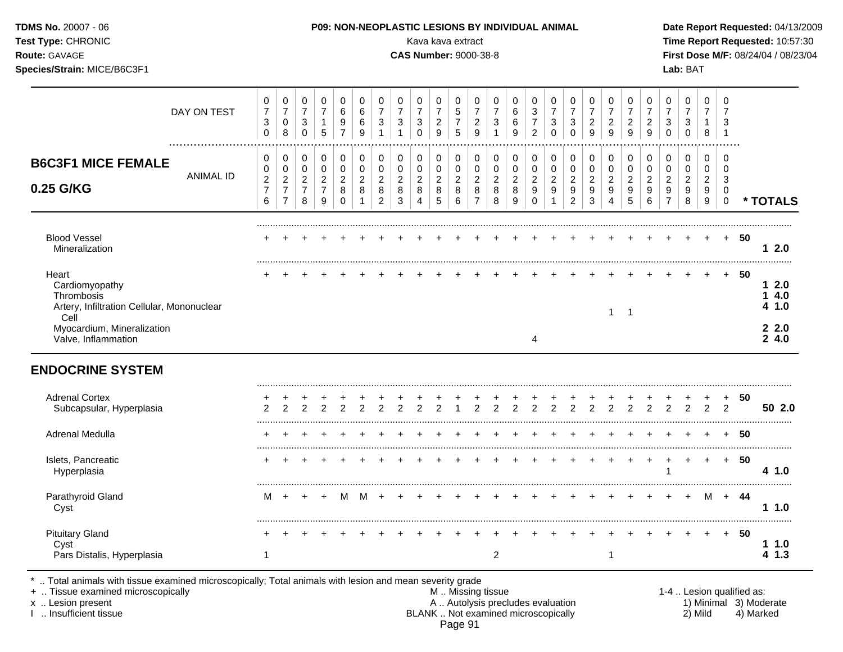| TDMS No. 20007 - 06<br>Test Type: CHRONIC<br>Route: GAVAGE<br>Species/Strain: MICE/B6C3F1                                 |                  |                                                                 |                                                                      |                                                                           |                                                         |                                                                    |                                                       |                                                                     |                                                                                     | P09: NON-NEOPLASTIC LESIONS BY INDIVIDUAL ANIMAL<br>Kava kava extract<br><b>CAS Number: 9000-38-8</b> |                                                        |                                                       |                                                                  |                                                                            |                                                   |                                                                       |                                                                                |                                                                     |                                                    |                                                                                  |                                                                          |                                                                           |                                                                                        | Lab: BAT                                                     |                                              |                                                            |      |   | Date Report Requested: 04/13/2009<br>Time Report Requested: 10:57:30<br>First Dose M/F: 08/24/04 / 08/23/04 |
|---------------------------------------------------------------------------------------------------------------------------|------------------|-----------------------------------------------------------------|----------------------------------------------------------------------|---------------------------------------------------------------------------|---------------------------------------------------------|--------------------------------------------------------------------|-------------------------------------------------------|---------------------------------------------------------------------|-------------------------------------------------------------------------------------|-------------------------------------------------------------------------------------------------------|--------------------------------------------------------|-------------------------------------------------------|------------------------------------------------------------------|----------------------------------------------------------------------------|---------------------------------------------------|-----------------------------------------------------------------------|--------------------------------------------------------------------------------|---------------------------------------------------------------------|----------------------------------------------------|----------------------------------------------------------------------------------|--------------------------------------------------------------------------|---------------------------------------------------------------------------|----------------------------------------------------------------------------------------|--------------------------------------------------------------|----------------------------------------------|------------------------------------------------------------|------|---|-------------------------------------------------------------------------------------------------------------|
|                                                                                                                           | DAY ON TEST      | 0<br>$\overline{7}$<br>$\ensuremath{\mathsf{3}}$<br>$\mathbf 0$ | $\pmb{0}$<br>$\overline{7}$<br>$\pmb{0}$<br>8                        | $\mathbf 0$<br>$\overline{7}$<br>$\ensuremath{\mathsf{3}}$<br>$\mathbf 0$ | 0<br>$\overline{7}$<br>$\mathbf{1}$<br>$\overline{5}$   | $\pmb{0}$<br>$\,6$<br>$\boldsymbol{9}$<br>$\overline{7}$           | 0<br>$\,6\,$<br>$\,6\,$<br>$\boldsymbol{9}$           | 0<br>$\overline{7}$<br>$\ensuremath{\mathsf{3}}$<br>$\mathbf{1}$    | $\mathbf 0$<br>$\overline{\mathbf{7}}$<br>$\ensuremath{\mathsf{3}}$<br>$\mathbf{1}$ | $\mathbf 0$<br>$\boldsymbol{7}$<br>$\ensuremath{\mathsf{3}}$<br>$\mathbf 0$                           | $\mathbf 0$<br>$\overline{7}$<br>$\sqrt{2}$<br>9       | 0<br>$\sqrt{5}$<br>$\overline{7}$<br>$\overline{5}$   | $\pmb{0}$<br>$\overline{7}$<br>$\sqrt{2}$<br>$\overline{9}$      | $\mathbf 0$<br>$\overline{7}$<br>$\ensuremath{\mathsf{3}}$<br>$\mathbf{1}$ | $\mathbf 0$<br>$\,6$<br>$\,6$<br>9                | 0<br>$\mathbf{3}$<br>$\overline{7}$<br>$\overline{c}$                 | $\mathbf 0$<br>$\overline{7}$<br>$\ensuremath{\mathsf{3}}$<br>$\mathbf 0$      | 0<br>$\overline{7}$<br>$\mathfrak{S}$<br>$\mathbf 0$                | $\pmb{0}$<br>$\overline{7}$<br>$\overline{c}$<br>9 | $\pmb{0}$<br>$\overline{7}$<br>$\sqrt{2}$<br>9                                   | $\mathsf 0$<br>$\overline{7}$<br>$\sqrt{2}$<br>9                         | $\mathbf 0$<br>$\overline{7}$<br>$\sqrt{2}$<br>$\boldsymbol{9}$           | $\mathbf 0$<br>$\boldsymbol{7}$<br>$\ensuremath{\mathsf{3}}$<br>$\mathbf 0$            | $\mathbf 0$<br>$\overline{7}$<br>3<br>$\mathbf 0$            | 0<br>$\overline{7}$<br>$\mathbf{1}$<br>8     | $\mathbf 0$<br>$\overline{7}$<br>3<br>$\overline{1}$       |      |   |                                                                                                             |
| <b>B6C3F1 MICE FEMALE</b><br>0.25 G/KG                                                                                    | <b>ANIMAL ID</b> | 0<br>$\mathbf 0$<br>$\overline{2}$<br>$\overline{7}$<br>6       | 0<br>$\pmb{0}$<br>$\overline{c}$<br>$\overline{7}$<br>$\overline{7}$ | $\mathbf 0$<br>$\mathbf 0$<br>$\boldsymbol{2}$<br>$\overline{7}$<br>8     | 0<br>$\pmb{0}$<br>$\overline{c}$<br>$\overline{7}$<br>9 | $\mathbf 0$<br>$\mathsf 0$<br>$\boldsymbol{2}$<br>8<br>$\mathbf 0$ | 0<br>$\pmb{0}$<br>$\overline{c}$<br>8<br>$\mathbf{1}$ | $\mathbf 0$<br>$\pmb{0}$<br>$\boldsymbol{2}$<br>8<br>$\overline{2}$ | $\mathbf 0$<br>$\mathsf 0$<br>$\overline{c}$<br>$\,8\,$<br>$\mathbf{3}$             | $\mathbf 0$<br>$\mathsf{O}\xspace$<br>$\boldsymbol{2}$<br>8<br>$\overline{4}$                         | $\mathbf 0$<br>$\mathbf 0$<br>$\overline{2}$<br>8<br>5 | 0<br>$\pmb{0}$<br>$\sqrt{2}$<br>$\boldsymbol{8}$<br>6 | $\Omega$<br>$\pmb{0}$<br>$\sqrt{2}$<br>$\,8\,$<br>$\overline{7}$ | $\mathbf 0$<br>$\pmb{0}$<br>$\overline{2}$<br>8<br>8                       | 0<br>$\boldsymbol{0}$<br>$\overline{2}$<br>8<br>9 | 0<br>$\mathsf 0$<br>$\overline{c}$<br>$\boldsymbol{9}$<br>$\mathbf 0$ | $\mathbf 0$<br>$\pmb{0}$<br>$\overline{2}$<br>$\boldsymbol{9}$<br>$\mathbf{1}$ | $\mathbf 0$<br>$\mathbf 0$<br>$\overline{c}$<br>9<br>$\overline{2}$ | 0<br>0<br>$\overline{c}$<br>9<br>$\mathbf{3}$      | $\mathbf 0$<br>$\pmb{0}$<br>$\overline{c}$<br>$\boldsymbol{9}$<br>$\overline{4}$ | $\mathbf 0$<br>$\mathbf 0$<br>$\overline{2}$<br>$9\,$<br>$5\phantom{.0}$ | $\mathbf 0$<br>$\pmb{0}$<br>$\overline{2}$<br>$\boldsymbol{9}$<br>$\,6\,$ | $\mathbf 0$<br>$\mathsf{O}\xspace$<br>$\sqrt{2}$<br>$\boldsymbol{9}$<br>$\overline{7}$ | $\mathbf 0$<br>$\mathbf 0$<br>$\boldsymbol{2}$<br>$9\,$<br>8 | 0<br>$\mathbf 0$<br>$\overline{2}$<br>9<br>9 | $\Omega$<br>$\mathbf 0$<br>3<br>$\mathbf 0$<br>$\mathbf 0$ |      |   | * TOTALS                                                                                                    |
| <b>Blood Vessel</b><br>Mineralization                                                                                     |                  |                                                                 |                                                                      |                                                                           |                                                         |                                                                    |                                                       |                                                                     |                                                                                     |                                                                                                       |                                                        |                                                       |                                                                  |                                                                            |                                                   |                                                                       |                                                                                |                                                                     |                                                    |                                                                                  |                                                                          |                                                                           |                                                                                        |                                                              | $+$                                          | $+$                                                        | -50  |   | 12.0                                                                                                        |
| Heart<br>Cardiomyopathy<br>Thrombosis<br>Artery, Infiltration Cellular, Mononuclear<br>Cell<br>Myocardium, Mineralization |                  |                                                                 |                                                                      |                                                                           |                                                         |                                                                    |                                                       |                                                                     |                                                                                     |                                                                                                       |                                                        |                                                       |                                                                  |                                                                            |                                                   |                                                                       |                                                                                |                                                                     |                                                    | $\mathbf{1}$                                                                     | $\overline{\phantom{0}}$                                                 |                                                                           |                                                                                        |                                                              | $\ddot{}$                                    | $+$                                                        | -50  |   | 12.0<br>14.0<br>4 1.0<br>22.0                                                                               |
| Valve, Inflammation<br><b>ENDOCRINE SYSTEM</b>                                                                            |                  |                                                                 |                                                                      |                                                                           |                                                         |                                                                    |                                                       |                                                                     |                                                                                     |                                                                                                       |                                                        |                                                       |                                                                  |                                                                            |                                                   | $\overline{4}$                                                        |                                                                                |                                                                     |                                                    |                                                                                  |                                                                          |                                                                           |                                                                                        |                                                              |                                              |                                                            |      |   | 24.0                                                                                                        |
| <b>Adrenal Cortex</b><br>Subcapsular, Hyperplasia                                                                         |                  |                                                                 | $\mathcal{P}$                                                        | $\overline{2}$                                                            | $\overline{2}$                                          | $\overline{2}$                                                     | 2                                                     | $\overline{2}$                                                      | 2                                                                                   | $\overline{2}$                                                                                        | 2                                                      | $\overline{1}$                                        | $\overline{2}$                                                   | $\overline{2}$                                                             | $\overline{2}$                                    | $\overline{2}$                                                        | $\overline{2}$                                                                 | $\overline{2}$                                                      | $\overline{2}$                                     | $\overline{2}$                                                                   | $\overline{2}$                                                           | $\overline{2}$                                                            | $\overline{2}$                                                                         | 2                                                            | $\overline{2}$                               | $\overline{2}$                                             | 50   |   | 50 2.0                                                                                                      |
| Adrenal Medulla                                                                                                           |                  |                                                                 |                                                                      |                                                                           |                                                         |                                                                    |                                                       |                                                                     |                                                                                     |                                                                                                       |                                                        |                                                       |                                                                  |                                                                            |                                                   |                                                                       |                                                                                |                                                                     |                                                    |                                                                                  |                                                                          |                                                                           |                                                                                        |                                                              |                                              |                                                            | 50   |   |                                                                                                             |
| Islets, Pancreatic<br>Hyperplasia                                                                                         |                  |                                                                 |                                                                      |                                                                           |                                                         |                                                                    |                                                       |                                                                     |                                                                                     |                                                                                                       |                                                        |                                                       |                                                                  |                                                                            |                                                   |                                                                       |                                                                                |                                                                     |                                                    |                                                                                  | $+$                                                                      | $+$                                                                       | $+$<br>1                                                                               |                                                              | $+$ $+$                                      | $+$                                                        | 50   |   | 4 1.0                                                                                                       |
| Parathyroid Gland<br>Cyst                                                                                                 |                  | м                                                               | $+$                                                                  | $\ddot{}$                                                                 | $\ddot{}$                                               | М                                                                  | M                                                     | $+$                                                                 |                                                                                     |                                                                                                       |                                                        |                                                       |                                                                  |                                                                            |                                                   |                                                                       |                                                                                |                                                                     |                                                    |                                                                                  |                                                                          |                                                                           |                                                                                        |                                                              | M                                            | + 44                                                       |      | . | 11.0                                                                                                        |
| <b>Pituitary Gland</b><br>Cyst<br>Pars Distalis, Hyperplasia                                                              |                  | $\mathbf{1}$                                                    |                                                                      |                                                                           |                                                         |                                                                    |                                                       |                                                                     |                                                                                     |                                                                                                       |                                                        |                                                       |                                                                  | $\overline{c}$                                                             |                                                   |                                                                       |                                                                                |                                                                     |                                                    | $\mathbf{1}$                                                                     |                                                                          |                                                                           |                                                                                        |                                                              | $+$                                          |                                                            | + 50 |   | 11.0<br>4 1.3                                                                                               |

\* .. Total animals with tissue examined microscopically; Total animals with lesion and mean severity grade

+ .. Tissue examined microscopically M .. Missing tissue 1-4 .. Lesion qualified as: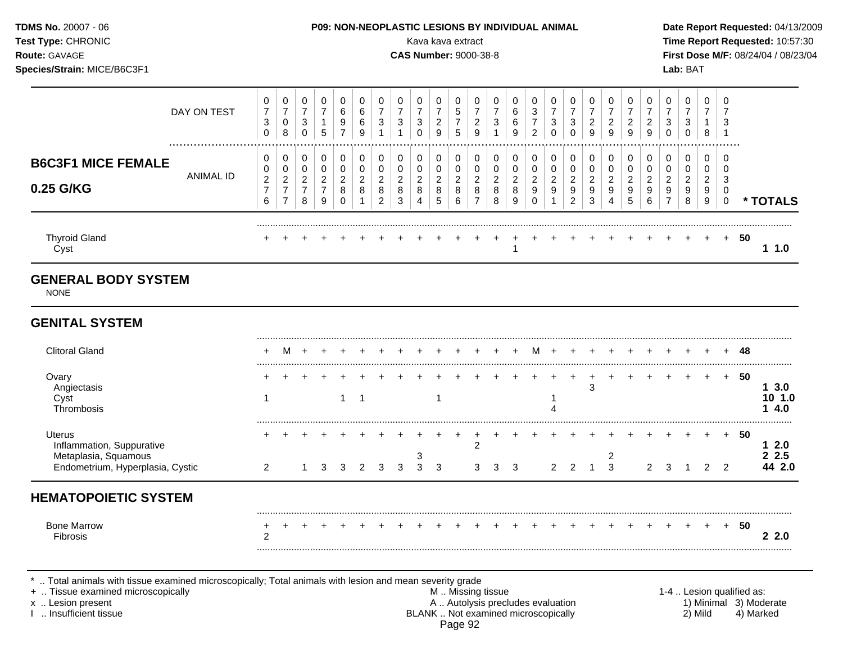| TDMS No. 20007 - 06<br>Test Type: CHRONIC<br>Route: GAVAGE<br>Species/Strain: MICE/B6C3F1              |                  |                                                                    |                                                                                    |                                                                 |                                                                   |                                                                             |                                                                 |                                                                                |                                                                          |                                                  | Kava kava extract<br><b>CAS Number: 9000-38-8</b>                   |                                                            |                                                                            |                                                               |                                                        | P09: NON-NEOPLASTIC LESIONS BY INDIVIDUAL ANIMAL                                |                                                 |                                                                       |                                                                     |                                                                            |                                                                            |                                                                           |                                                                        | Lab: BAT                                                              |                                                        |                                                          |          | Date Report Requested: 04/13/2009<br>Time Report Requested: 10:57:30<br>First Dose M/F: 08/24/04 / 08/23/04 |
|--------------------------------------------------------------------------------------------------------|------------------|--------------------------------------------------------------------|------------------------------------------------------------------------------------|-----------------------------------------------------------------|-------------------------------------------------------------------|-----------------------------------------------------------------------------|-----------------------------------------------------------------|--------------------------------------------------------------------------------|--------------------------------------------------------------------------|--------------------------------------------------|---------------------------------------------------------------------|------------------------------------------------------------|----------------------------------------------------------------------------|---------------------------------------------------------------|--------------------------------------------------------|---------------------------------------------------------------------------------|-------------------------------------------------|-----------------------------------------------------------------------|---------------------------------------------------------------------|----------------------------------------------------------------------------|----------------------------------------------------------------------------|---------------------------------------------------------------------------|------------------------------------------------------------------------|-----------------------------------------------------------------------|--------------------------------------------------------|----------------------------------------------------------|----------|-------------------------------------------------------------------------------------------------------------|
|                                                                                                        | DAY ON TEST      | $\pmb{0}$<br>$\boldsymbol{7}$<br>3<br>$\mathbf{0}$                 | $\pmb{0}$<br>$\overline{7}$<br>$\mathbf 0$<br>8                                    | $\pmb{0}$<br>$\overline{7}$<br>$\mathbf{3}$<br>$\mathbf 0$      | $\pmb{0}$<br>$\overline{7}$<br>$\mathbf{1}$<br>5                  | $\pmb{0}$<br>6<br>$\boldsymbol{9}$<br>$\overline{7}$                        | $\pmb{0}$<br>$\,6\,$<br>6<br>9                                  | $\pmb{0}$<br>$\overline{7}$<br>$\mathsf 3$<br>$\mathbf{1}$                     | $\pmb{0}$<br>$\overline{7}$<br>$\ensuremath{\mathsf{3}}$<br>$\mathbf{1}$ | 0<br>$\overline{7}$<br>$\sqrt{3}$<br>$\Omega$    | $\mathsf 0$<br>$\overline{7}$<br>$\boldsymbol{2}$<br>$\overline{9}$ | $\mathbf 0$<br>$\frac{5}{7}$<br>5                          | $\pmb{0}$<br>$\overline{7}$<br>$\boldsymbol{2}$<br>$\overline{9}$          | $\mathbf 0$<br>$\overline{7}$<br>$\mathbf{3}$<br>$\mathbf{1}$ | $\mathbf 0$<br>$\,6\,$<br>$\,6\,$<br>9                 | $\pmb{0}$<br>$\sqrt{3}$<br>$\overline{7}$<br>$\overline{2}$                     | 0<br>$\overline{7}$<br>$\sqrt{3}$<br>$\Omega$   | 0<br>$\overline{7}$<br>3<br>$\Omega$                                  | $\mathbf 0$<br>$\overline{7}$<br>$\overline{2}$<br>$\overline{9}$   | 0<br>$\overline{7}$<br>$\overline{a}$<br>$\overline{9}$                    | $\pmb{0}$<br>$\overline{7}$<br>$\overline{2}$<br>$\overline{9}$            | $\pmb{0}$<br>$\overline{7}$<br>$\overline{c}$<br>9                        | 0<br>$\overline{7}$<br>$\ensuremath{\mathsf{3}}$<br>$\Omega$           | $\pmb{0}$<br>$\overline{7}$<br>$\sqrt{3}$<br>$\mathbf 0$              | $\mathbf 0$<br>$\overline{7}$<br>$\mathbf{1}$<br>8     | $\mathbf 0$<br>$\overline{7}$<br>3<br>$\overline{1}$     |          |                                                                                                             |
| <b>B6C3F1 MICE FEMALE</b><br>0.25 G/KG                                                                 | <b>ANIMAL ID</b> | 0<br>$\mathbf 0$<br>$\sqrt{2}$<br>$\overline{7}$<br>$6\phantom{a}$ | $\pmb{0}$<br>$\mathsf{O}\xspace$<br>$\sqrt{2}$<br>$\overline{7}$<br>$\overline{7}$ | $\mathbf 0$<br>$\mathbf 0$<br>$\sqrt{2}$<br>$\overline{7}$<br>8 | $\pmb{0}$<br>$\mathsf 0$<br>$\overline{c}$<br>$\overline{7}$<br>9 | $\pmb{0}$<br>$\mathsf{O}\xspace$<br>$\boldsymbol{2}$<br>$\bf 8$<br>$\Omega$ | $\pmb{0}$<br>$\mathbf 0$<br>$\overline{c}$<br>8<br>$\mathbf{1}$ | $\boldsymbol{0}$<br>$\mathbf 0$<br>$\overline{c}$<br>$\bf 8$<br>$\overline{2}$ | $\pmb{0}$<br>$\pmb{0}$<br>$\overline{c}$<br>$\bf 8$<br>3                 | $\pmb{0}$<br>$\mathbf 0$<br>$\sqrt{2}$<br>8<br>4 | $\pmb{0}$<br>$\pmb{0}$<br>$\overline{2}$<br>$\,8\,$<br>5            | $\pmb{0}$<br>$\pmb{0}$<br>$\sqrt{2}$<br>$\bf 8$<br>$\,6\,$ | $\pmb{0}$<br>$\mathsf{O}\xspace$<br>$\sqrt{2}$<br>$\bf8$<br>$\overline{7}$ | $\mathbf 0$<br>$\mathbf 0$<br>$\sqrt{2}$<br>8<br>8            | $\pmb{0}$<br>$\mathbf 0$<br>$\sqrt{2}$<br>$\,8\,$<br>9 | $\pmb{0}$<br>$\mathsf{O}\xspace$<br>$\sqrt{2}$<br>$\boldsymbol{9}$<br>$\pmb{0}$ | 0<br>$\mathbf{0}$<br>$\boldsymbol{2}$<br>9<br>1 | $\mathbf 0$<br>$\mathbf 0$<br>2<br>$\boldsymbol{9}$<br>$\overline{2}$ | $\pmb{0}$<br>$\mathbf 0$<br>$\overline{c}$<br>$\boldsymbol{9}$<br>3 | $\boldsymbol{0}$<br>$\mathbf 0$<br>$\overline{a}$<br>$\boldsymbol{9}$<br>4 | $\boldsymbol{0}$<br>$\mathsf 0$<br>$\overline{2}$<br>$\boldsymbol{9}$<br>5 | $\pmb{0}$<br>$\mathsf 0$<br>$\overline{c}$<br>$\boldsymbol{9}$<br>$\,6\,$ | $\pmb{0}$<br>0<br>$\overline{2}$<br>$\boldsymbol{9}$<br>$\overline{7}$ | $\pmb{0}$<br>$\mathbf 0$<br>$\boldsymbol{2}$<br>$\boldsymbol{9}$<br>8 | $\mathbf 0$<br>$\mathbf 0$<br>$\overline{2}$<br>9<br>9 | $\mathbf 0$<br>$\Omega$<br>3<br>$\mathbf 0$<br>$\pmb{0}$ |          | * TOTALS                                                                                                    |
|                                                                                                        |                  |                                                                    |                                                                                    |                                                                 |                                                                   |                                                                             |                                                                 |                                                                                |                                                                          |                                                  |                                                                     |                                                            |                                                                            |                                                               |                                                        |                                                                                 |                                                 |                                                                       |                                                                     |                                                                            |                                                                            |                                                                           |                                                                        |                                                                       |                                                        | $+$                                                      | 50       | 11.0                                                                                                        |
| <b>Thyroid Gland</b><br>Cyst<br><b>GENERAL BODY SYSTEM</b><br><b>NONE</b>                              |                  |                                                                    |                                                                                    |                                                                 |                                                                   |                                                                             |                                                                 |                                                                                |                                                                          |                                                  |                                                                     |                                                            |                                                                            |                                                               |                                                        |                                                                                 |                                                 |                                                                       |                                                                     |                                                                            |                                                                            |                                                                           |                                                                        |                                                                       |                                                        |                                                          |          |                                                                                                             |
| <b>GENITAL SYSTEM</b><br><b>Clitoral Gland</b><br>Ovary<br>Angiectasis<br>Cyst<br>Thrombosis           |                  | $\mathbf{1}$                                                       | M                                                                                  | $+$                                                             |                                                                   | $1 \quad 1$                                                                 |                                                                 |                                                                                |                                                                          |                                                  | $\mathbf{1}$                                                        |                                                            |                                                                            | $+$                                                           | $+$                                                    | M                                                                               | $+$<br>-1<br>$\boldsymbol{\Lambda}$             | $+$                                                                   | 3                                                                   |                                                                            |                                                                            |                                                                           |                                                                        |                                                                       | $+$                                                    | $+$                                                      | 48<br>50 | 13.0<br>10 1.0<br>14.0                                                                                      |
| <b>Uterus</b><br>Inflammation, Suppurative<br>Metaplasia, Squamous<br>Endometrium, Hyperplasia, Cystic |                  | 2                                                                  |                                                                                    | 1                                                               | 3                                                                 | 3                                                                           | 2                                                               | 3                                                                              | 3                                                                        | 3<br>3                                           | 3                                                                   |                                                            | $\overline{c}$<br>3                                                        | 3                                                             | 3                                                      |                                                                                 | $\overline{2}$                                  | 2                                                                     | $\mathbf{1}$                                                        | $\overline{\mathbf{c}}$<br>$\overline{3}$                                  |                                                                            | 2                                                                         | 3                                                                      |                                                                       | $\overline{2}$                                         | $+$<br>$\overline{2}$                                    | 50       | 12.0<br>2.5<br>44 2.0                                                                                       |

\* .. Total animals with tissue examined microscopically; Total animals with lesion and mean severity grade

- + .. Tissue examined microscopically M .. Missing tissue 1-4 .. Lesion qualified as: x .. Lesion present **A .. Autolysis precludes evaluation** A .. Autolysis precludes evaluation 1) Minimal 3) Moderate I .. Insufficient tissue BLANK .. Not examined microscopically 2) Mild 4) Marked Page 92
-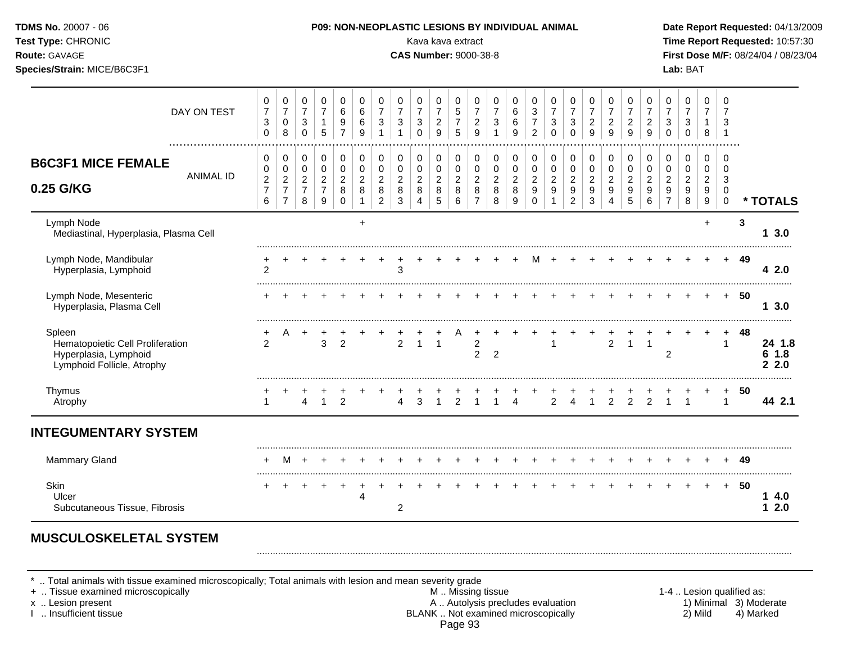| TDMS No. 20007 - 06<br>Test Type: CHRONIC<br>Route: GAVAGE<br>Species/Strain: MICE/B6C3F1         |                  |                                                           |                                                                  |                                                                  |                                                         |                                                            |                                                                |                                                                              |                                                                            | Kava kava extract<br><b>CAS Number: 9000-38-8</b>                 |                                                                   |                                                    | P09: NON-NEOPLASTIC LESIONS BY INDIVIDUAL ANIMAL                         |                                                          |                                                                 |                                                                    |                                                                          |                                                                           |                                                               |                                                                                |                                                                      |                                                                     |                                                                             | Lab: BAT                                                              |                                                  |                                                                 |     | Date Report Requested: 04/13/2009<br>Time Report Requested: 10:57:30<br>First Dose M/F: 08/24/04 / 08/23/04 |
|---------------------------------------------------------------------------------------------------|------------------|-----------------------------------------------------------|------------------------------------------------------------------|------------------------------------------------------------------|---------------------------------------------------------|------------------------------------------------------------|----------------------------------------------------------------|------------------------------------------------------------------------------|----------------------------------------------------------------------------|-------------------------------------------------------------------|-------------------------------------------------------------------|----------------------------------------------------|--------------------------------------------------------------------------|----------------------------------------------------------|-----------------------------------------------------------------|--------------------------------------------------------------------|--------------------------------------------------------------------------|---------------------------------------------------------------------------|---------------------------------------------------------------|--------------------------------------------------------------------------------|----------------------------------------------------------------------|---------------------------------------------------------------------|-----------------------------------------------------------------------------|-----------------------------------------------------------------------|--------------------------------------------------|-----------------------------------------------------------------|-----|-------------------------------------------------------------------------------------------------------------|
|                                                                                                   | DAY ON TEST      | 0<br>$\boldsymbol{7}$<br>3<br>$\mathbf 0$                 | 0<br>$\overline{7}$<br>$\pmb{0}$<br>8                            | 0<br>$\overline{7}$<br>$\sqrt{3}$<br>$\mathbf 0$                 | 0<br>$\overline{7}$<br>$\mathbf{1}$<br>5                | 0<br>$\,6$<br>$\boldsymbol{9}$<br>$\overline{7}$           | $\pmb{0}$<br>$\,6\,$<br>$\,6\,$<br>9                           | $\mathbf 0$<br>$\boldsymbol{7}$<br>$\ensuremath{\mathsf{3}}$<br>$\mathbf{1}$ | $\mathbf 0$<br>$\overline{7}$<br>$\ensuremath{\mathsf{3}}$<br>$\mathbf{1}$ | $\mathbf 0$<br>$\boldsymbol{7}$<br>$\sqrt{3}$<br>$\mathbf 0$      | $\mathbf 0$<br>$\overline{7}$<br>$\overline{c}$<br>$\overline{9}$ | 0<br>$\,$ 5 $\,$<br>$\overline{7}$<br>5            | $\mathbf 0$<br>$\boldsymbol{7}$<br>$\overline{c}$<br>$\overline{9}$      | 0<br>$\boldsymbol{7}$<br>$\sqrt{3}$<br>$\mathbf{1}$      | $\mathbf 0$<br>$\,6$<br>$\,6$<br>9                              | 0<br>$\ensuremath{\mathsf{3}}$<br>$\overline{7}$<br>$\overline{c}$ | 0<br>$\boldsymbol{7}$<br>$\ensuremath{\mathsf{3}}$<br>$\mathbf 0$        | 0<br>$\boldsymbol{7}$<br>$\mathbf{3}$<br>$\mathbf 0$                      | 0<br>$\overline{7}$<br>$\overline{c}$<br>9                    | $\pmb{0}$<br>$\overline{7}$<br>$\overline{c}$<br>$\boldsymbol{9}$              | 0<br>$\boldsymbol{7}$<br>$\overline{c}$<br>$\mathsf g$               | $\mathbf 0$<br>$\overline{7}$<br>$\overline{c}$<br>$\boldsymbol{9}$ | $\mathbf 0$<br>$\boldsymbol{7}$<br>$\ensuremath{\mathsf{3}}$<br>$\mathbf 0$ | $\mathbf 0$<br>$\overline{7}$<br>$\sqrt{3}$<br>$\mathbf 0$            | 0<br>$\overline{7}$<br>1<br>8                    | $\mathbf 0$<br>$\overline{7}$<br>3<br>$\overline{1}$            |     |                                                                                                             |
| <b>B6C3F1 MICE FEMALE</b><br>0.25 G/KG                                                            | <b>ANIMAL ID</b> | 0<br>$\pmb{0}$<br>$\boldsymbol{2}$<br>$\overline{7}$<br>6 | 0<br>$\pmb{0}$<br>$\sqrt{2}$<br>$\overline{7}$<br>$\overline{7}$ | 0<br>$\pmb{0}$<br>$\overline{c}$<br>$\overline{\mathbf{7}}$<br>8 | 0<br>$\pmb{0}$<br>$\overline{c}$<br>$\overline{7}$<br>9 | $\pmb{0}$<br>$\pmb{0}$<br>$\overline{c}$<br>8<br>$\pmb{0}$ | $\pmb{0}$<br>$\pmb{0}$<br>$\boldsymbol{2}$<br>8<br>$\mathbf 1$ | 0<br>$\pmb{0}$<br>$\overline{c}$<br>$\bf 8$<br>$\overline{2}$                | $\mathbf 0$<br>$\pmb{0}$<br>$\boldsymbol{2}$<br>$\,8\,$<br>$\sqrt{3}$      | $\pmb{0}$<br>$\pmb{0}$<br>$\boldsymbol{2}$<br>8<br>$\overline{4}$ | $\pmb{0}$<br>$\mathbf 0$<br>$\overline{c}$<br>$\bf 8$<br>5        | 0<br>$\pmb{0}$<br>$\sqrt{2}$<br>$\,8\,$<br>$\,6\,$ | $\mathbf 0$<br>$\pmb{0}$<br>$\boldsymbol{2}$<br>$\bf8$<br>$\overline{7}$ | $\pmb{0}$<br>$\pmb{0}$<br>$\overline{c}$<br>$\,8\,$<br>8 | $\,0\,$<br>$\pmb{0}$<br>$\overline{2}$<br>8<br>$\boldsymbol{9}$ | 0<br>0<br>$\overline{c}$<br>$\boldsymbol{9}$<br>$\mathbf 0$        | 0<br>$\mathbf 0$<br>$\boldsymbol{2}$<br>$\boldsymbol{9}$<br>$\mathbf{1}$ | $\,0\,$<br>$\pmb{0}$<br>$\boldsymbol{2}$<br>$\mathsf g$<br>$\overline{c}$ | $\pmb{0}$<br>$\pmb{0}$<br>$\overline{c}$<br>9<br>$\mathbf{3}$ | $\pmb{0}$<br>$\pmb{0}$<br>$\overline{c}$<br>$\boldsymbol{9}$<br>$\overline{4}$ | 0<br>$\mathsf 0$<br>$\overline{c}$<br>$\boldsymbol{9}$<br>$\sqrt{5}$ | $\pmb{0}$<br>$\pmb{0}$<br>$\boldsymbol{2}$<br>$9\,$<br>$\,6\,$      | $\pmb{0}$<br>$\pmb{0}$<br>$\boldsymbol{2}$<br>9<br>$\overline{7}$           | $\mathbf 0$<br>$\pmb{0}$<br>$\boldsymbol{2}$<br>$\boldsymbol{9}$<br>8 | 0<br>$\mathbf 0$<br>$\overline{c}$<br>9<br>$9\,$ | $\Omega$<br>$\mathbf 0$<br>3<br>$\Omega$<br>$\mathsf{O}\xspace$ |     | * TOTALS                                                                                                    |
| Lymph Node<br>Mediastinal, Hyperplasia, Plasma Cell                                               |                  |                                                           |                                                                  |                                                                  |                                                         |                                                            | $\ddot{}$                                                      |                                                                              |                                                                            |                                                                   |                                                                   |                                                    |                                                                          |                                                          |                                                                 |                                                                    |                                                                          |                                                                           |                                                               |                                                                                |                                                                      |                                                                     |                                                                             |                                                                       | $+$                                              |                                                                 | 3   | 13.0                                                                                                        |
| Lymph Node, Mandibular<br>Hyperplasia, Lymphoid                                                   |                  | $\mathfrak{p}$                                            |                                                                  |                                                                  |                                                         |                                                            |                                                                |                                                                              | 3                                                                          |                                                                   |                                                                   |                                                    |                                                                          |                                                          |                                                                 | м                                                                  |                                                                          |                                                                           |                                                               |                                                                                |                                                                      |                                                                     |                                                                             |                                                                       | $\ddot{}$                                        | $+$                                                             | 49  | 4 2.0                                                                                                       |
| Lymph Node, Mesenteric<br>Hyperplasia, Plasma Cell                                                |                  |                                                           |                                                                  |                                                                  |                                                         |                                                            |                                                                |                                                                              |                                                                            |                                                                   |                                                                   |                                                    |                                                                          |                                                          |                                                                 |                                                                    |                                                                          |                                                                           |                                                               |                                                                                |                                                                      |                                                                     |                                                                             |                                                                       |                                                  | $+$                                                             | 50  | 13.0                                                                                                        |
| Spleen<br>Hematopoietic Cell Proliferation<br>Hyperplasia, Lymphoid<br>Lymphoid Follicle, Atrophy |                  | $\overline{2}$                                            |                                                                  |                                                                  | 3                                                       | $\overline{2}$                                             |                                                                |                                                                              | $\overline{2}$                                                             | $\mathbf{1}$                                                      | -1                                                                |                                                    | $\overline{2}$<br>2                                                      | 2                                                        |                                                                 |                                                                    | $\mathbf{1}$                                                             |                                                                           |                                                               | $\overline{2}$                                                                 | $\overline{1}$                                                       | $\overline{1}$                                                      | 2                                                                           |                                                                       |                                                  | $\mathbf{1}$                                                    | 48  | 24 1.8<br>6 1.8<br>2.2.0                                                                                    |
| Thymus<br>Atrophy                                                                                 |                  | $\mathbf{1}$                                              |                                                                  | $\overline{4}$                                                   | $\mathbf{1}$                                            | 2                                                          |                                                                |                                                                              | 4                                                                          | 3                                                                 | $\overline{1}$                                                    | $\overline{c}$                                     | $\mathbf{1}$                                                             | $\mathbf{1}$                                             | 4                                                               |                                                                    | $\overline{2}$                                                           | $\overline{4}$                                                            | $\mathbf{1}$                                                  | 2                                                                              | $\overline{2}$                                                       | 2                                                                   | $\overline{1}$                                                              | $\overline{\mathbf{1}}$                                               |                                                  | $\ddot{}$<br>$\mathbf{1}$                                       | 50  | 44 2.1                                                                                                      |
| <b>INTEGUMENTARY SYSTEM</b>                                                                       |                  |                                                           |                                                                  |                                                                  |                                                         |                                                            |                                                                |                                                                              |                                                                            |                                                                   |                                                                   |                                                    |                                                                          |                                                          |                                                                 |                                                                    |                                                                          |                                                                           |                                                               |                                                                                |                                                                      |                                                                     |                                                                             |                                                                       |                                                  |                                                                 |     |                                                                                                             |
| <b>Mammary Gland</b>                                                                              |                  |                                                           | м                                                                | $\pm$                                                            |                                                         |                                                            |                                                                |                                                                              |                                                                            |                                                                   |                                                                   |                                                    |                                                                          |                                                          |                                                                 |                                                                    |                                                                          |                                                                           |                                                               |                                                                                |                                                                      |                                                                     |                                                                             |                                                                       |                                                  |                                                                 | -49 |                                                                                                             |
| Skin<br>Ulcer<br>Subcutaneous Tissue, Fibrosis                                                    |                  |                                                           |                                                                  |                                                                  |                                                         |                                                            | $\overline{4}$                                                 |                                                                              | $\overline{2}$                                                             |                                                                   |                                                                   |                                                    |                                                                          |                                                          |                                                                 |                                                                    |                                                                          |                                                                           |                                                               |                                                                                |                                                                      |                                                                     |                                                                             | $\ddot{}$                                                             | $+$                                              | $+$                                                             | 50  | 14.0<br>12.0                                                                                                |

.........................................................................................................................................................................................................

\* .. Total animals with tissue examined microscopically; Total animals with lesion and mean severity grade

- + .. Tissue examined microscopically M .. Missing tissue 1-4 .. Lesion qualified as: x .. Lesion present **A .. Autolysis precludes evaluation** A .. Autolysis precludes evaluation 1) Minimal 3) Moderate I .. Insufficient tissue BLANK .. Not examined microscopically 2) Mild 4) Marked Page 93
-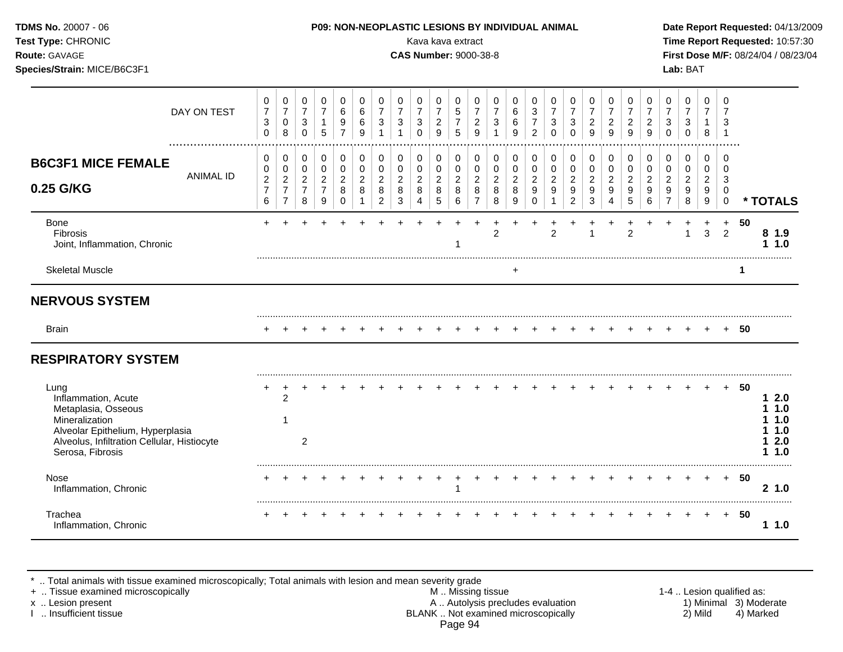| Test Type: CHRONIC<br>Route: GAVAGE<br>Species/Strain: MICE/B6C3F1                                  |                  |                                                                 |                                                                      |                                                    |                                                                   |                                                     |                                         |                                                                 |                                                             | Kava kava extract<br><b>CAS Number: 9000-38-8</b> |                                            |                                                        |                                                         |                                                   |                               |                                                   |                                                 |                                                                 |                                                     |                                            |                                                     |                                                      |                                                         | Lab: BAT                                                   |                                                          |                                         |             | Time Report Requested: 10:57:30<br>First Dose M/F: 08/24/04 / 08/23/04 |
|-----------------------------------------------------------------------------------------------------|------------------|-----------------------------------------------------------------|----------------------------------------------------------------------|----------------------------------------------------|-------------------------------------------------------------------|-----------------------------------------------------|-----------------------------------------|-----------------------------------------------------------------|-------------------------------------------------------------|---------------------------------------------------|--------------------------------------------|--------------------------------------------------------|---------------------------------------------------------|---------------------------------------------------|-------------------------------|---------------------------------------------------|-------------------------------------------------|-----------------------------------------------------------------|-----------------------------------------------------|--------------------------------------------|-----------------------------------------------------|------------------------------------------------------|---------------------------------------------------------|------------------------------------------------------------|----------------------------------------------------------|-----------------------------------------|-------------|------------------------------------------------------------------------|
|                                                                                                     | DAY ON TEST      | 0<br>$\overline{7}$<br>$\ensuremath{\mathsf{3}}$<br>$\mathbf 0$ | 0<br>$\overline{7}$<br>$\mathbf 0$<br>8                              | 0<br>$\overline{7}$<br>$\mathbf{3}$<br>$\mathbf 0$ | 0<br>$\overline{7}$<br>$\mathbf{1}$<br>5                          | 0<br>6<br>9<br>$\overline{7}$                       | $\mathbf 0$<br>$\,6\,$<br>$\,6\,$<br>9  | 0<br>$\overline{7}$<br>$\sqrt{3}$<br>$\mathbf{1}$               | 0<br>$\overline{7}$<br>$\mathbf{3}$<br>$\mathbf{1}$         | 0<br>$\overline{7}$<br>3<br>$\Omega$              | 0<br>$\overline{7}$<br>$\overline{c}$<br>9 | 0<br>$\sqrt{5}$<br>$\overline{7}$<br>5                 | 0<br>$\overline{7}$<br>$\frac{2}{9}$                    | 0<br>$\overline{7}$<br>$\sqrt{3}$<br>$\mathbf{1}$ | 0<br>6<br>$\,6$<br>9          | 0<br>3<br>$\overline{7}$<br>$\overline{2}$        | 0<br>$\overline{7}$<br>3<br>$\Omega$            | 0<br>$\overline{7}$<br>$\ensuremath{\mathsf{3}}$<br>$\mathbf 0$ | 0<br>$\overline{7}$<br>$\overline{\mathbf{c}}$<br>9 | 0<br>$\overline{7}$<br>$\overline{c}$<br>9 | 0<br>$\overline{7}$<br>$\overline{\mathbf{c}}$<br>9 | $\mathbf 0$<br>$\overline{7}$<br>$\overline{a}$<br>9 | 0<br>$\overline{7}$<br>$\mathsf 3$<br>$\mathbf 0$       | 0<br>$\overline{7}$<br>$\sqrt{3}$<br>$\mathbf 0$           | $\mathbf 0$<br>$\overline{7}$<br>$\mathbf{1}$<br>$\bf 8$ | $\mathbf 0$<br>7<br>3<br>$\overline{1}$ |             |                                                                        |
| <b>B6C3F1 MICE FEMALE</b><br>0.25 G/KG                                                              | <b>ANIMAL ID</b> | 0<br>0<br>$\boldsymbol{2}$<br>$\overline{7}$<br>$6\phantom{1}$  | 0<br>$\pmb{0}$<br>$\overline{2}$<br>$\overline{7}$<br>$\overline{7}$ | 0<br>0<br>$\overline{a}$<br>$\overline{7}$<br>8    | $\pmb{0}$<br>$\mathbf 0$<br>$\overline{c}$<br>$\overline{7}$<br>9 | $\mathbf 0$<br>0<br>$\overline{2}$<br>8<br>$\Omega$ | 0<br>$\mathbf 0$<br>$\overline{2}$<br>8 | $\pmb{0}$<br>$\pmb{0}$<br>$\overline{2}$<br>8<br>$\overline{2}$ | 0<br>$\pmb{0}$<br>$\overline{c}$<br>$\,8\,$<br>$\mathbf{3}$ | 0<br>0<br>$\overline{2}$<br>8<br>4                | 0<br>0<br>$\overline{c}$<br>8<br>5         | $\mathbf 0$<br>$\mathsf 0$<br>$\overline{c}$<br>8<br>6 | 0<br>$\pmb{0}$<br>$\overline{c}$<br>8<br>$\overline{7}$ | 0<br>$\mathbf 0$<br>$\overline{2}$<br>8<br>8      | 0<br>$\pmb{0}$<br>2<br>8<br>9 | 0<br>$\pmb{0}$<br>$\overline{c}$<br>9<br>$\Omega$ | $\mathbf 0$<br>$\pmb{0}$<br>$\overline{c}$<br>9 | 0<br>0<br>$\overline{c}$<br>9<br>$\overline{2}$                 | 0<br>$\mathbf 0$<br>2<br>9<br>3                     | 0<br>0<br>2<br>9<br>4                      | 0<br>0<br>$\overline{2}$<br>9<br>5                  | 0<br>0<br>$\overline{2}$<br>9<br>6                   | 0<br>$\pmb{0}$<br>$\overline{c}$<br>9<br>$\overline{7}$ | $\mathbf 0$<br>$\pmb{0}$<br>$\overline{2}$<br>9<br>$\,8\,$ | 0<br>0<br>$\overline{2}$<br>9<br>9                       | 0<br>0<br>3<br>0<br>$\mathbf 0$         |             | * TOTALS                                                               |
| Bone<br><b>Fibrosis</b><br>Joint, Inflammation, Chronic                                             |                  |                                                                 |                                                                      |                                                    |                                                                   |                                                     |                                         |                                                                 |                                                             |                                                   |                                            |                                                        |                                                         | 2                                                 |                               |                                                   | 2                                               |                                                                 | 1                                                   |                                            | $\overline{2}$                                      |                                                      |                                                         | $\mathbf{1}$                                               | 3                                                        | $\ddot{}$<br>2                          | 50          | 8 1.9<br>11.0                                                          |
| <b>Skeletal Muscle</b>                                                                              |                  |                                                                 |                                                                      |                                                    |                                                                   |                                                     |                                         |                                                                 |                                                             |                                                   |                                            |                                                        |                                                         |                                                   | $\ddot{}$                     |                                                   |                                                 |                                                                 |                                                     |                                            |                                                     |                                                      |                                                         |                                                            |                                                          |                                         | $\mathbf 1$ |                                                                        |
| <b>NERVOUS SYSTEM</b>                                                                               |                  |                                                                 |                                                                      |                                                    |                                                                   |                                                     |                                         |                                                                 |                                                             |                                                   |                                            |                                                        |                                                         |                                                   |                               |                                                   |                                                 |                                                                 |                                                     |                                            |                                                     |                                                      |                                                         |                                                            |                                                          |                                         |             |                                                                        |
| <b>Brain</b>                                                                                        |                  |                                                                 |                                                                      |                                                    |                                                                   |                                                     |                                         |                                                                 |                                                             |                                                   |                                            |                                                        |                                                         |                                                   |                               |                                                   |                                                 |                                                                 |                                                     |                                            |                                                     |                                                      |                                                         |                                                            |                                                          |                                         | + 50        |                                                                        |
| <b>RESPIRATORY SYSTEM</b>                                                                           |                  |                                                                 |                                                                      |                                                    |                                                                   |                                                     |                                         |                                                                 |                                                             |                                                   |                                            |                                                        |                                                         |                                                   |                               |                                                   |                                                 |                                                                 |                                                     |                                            |                                                     |                                                      |                                                         |                                                            |                                                          |                                         |             |                                                                        |
| Lung<br>Inflammation, Acute<br>Metaplasia, Osseous<br>Mineralization                                |                  |                                                                 | $\overline{c}$<br>1                                                  |                                                    |                                                                   |                                                     |                                         |                                                                 |                                                             |                                                   |                                            |                                                        |                                                         |                                                   |                               |                                                   |                                                 |                                                                 |                                                     |                                            |                                                     |                                                      |                                                         |                                                            |                                                          |                                         | + 50        | 12.0<br>11.0<br>1.0                                                    |
| Alveolar Epithelium, Hyperplasia<br>Alveolus, Infiltration Cellular, Histiocyte<br>Serosa, Fibrosis |                  |                                                                 |                                                                      | $\overline{2}$                                     |                                                                   |                                                     |                                         |                                                                 |                                                             |                                                   |                                            |                                                        |                                                         |                                                   |                               |                                                   |                                                 |                                                                 |                                                     |                                            |                                                     |                                                      |                                                         |                                                            |                                                          |                                         |             | 1.0<br>12.0<br>1 1.0                                                   |
| Nose<br>Inflammation, Chronic                                                                       |                  |                                                                 |                                                                      |                                                    |                                                                   |                                                     |                                         |                                                                 |                                                             |                                                   | $\ddot{}$                                  |                                                        | $\ddot{}$                                               |                                                   |                               |                                                   |                                                 |                                                                 |                                                     |                                            |                                                     |                                                      |                                                         |                                                            | $\pm$                                                    |                                         | + 50        | 2, 1.0                                                                 |
| Trachea<br>Inflammation, Chronic                                                                    |                  |                                                                 |                                                                      |                                                    |                                                                   |                                                     |                                         |                                                                 |                                                             |                                                   |                                            |                                                        |                                                         |                                                   |                               |                                                   |                                                 |                                                                 |                                                     |                                            |                                                     |                                                      |                                                         |                                                            |                                                          | $+$                                     | - 50        | 11.0                                                                   |

\* .. Total animals with tissue examined microscopically; Total animals with lesion and mean severity grade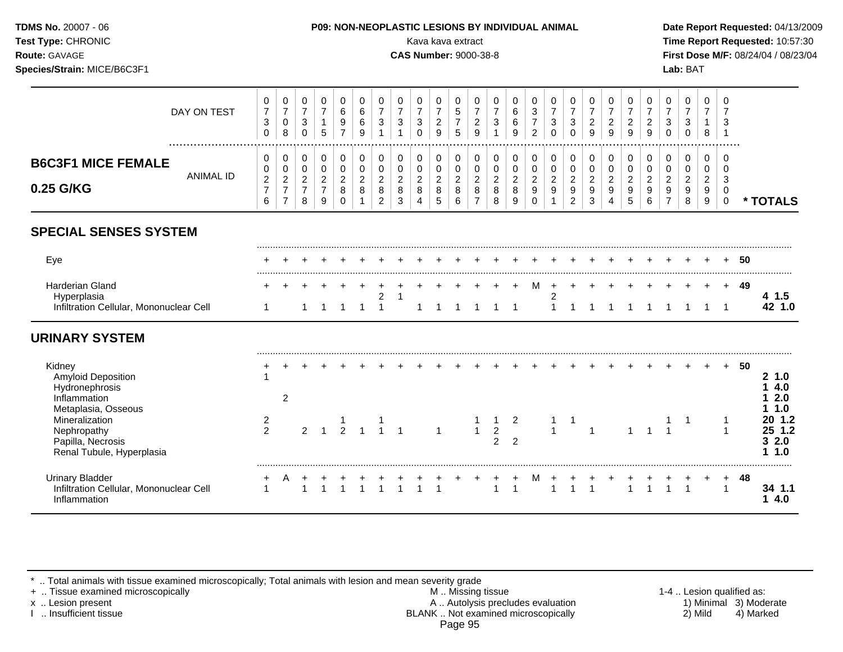**Test Type:** CHRONIC Kava kava extract **Time Report Requested:** 10:57:30 **Route:** GAVAGE **CAS Number:** 9000-38-8 **First Dose M/F:** 08/24/04 / 08/23/04 **Species/Strain:** MICE/B6C3F1 **Lab:** BAT

|                                                                                                        | DAY ON TEST      | 0<br>$\boldsymbol{7}$<br>$\mathbf{3}$<br>$\mathbf 0$ | 0<br>$\boldsymbol{7}$<br>$\mathsf{O}\xspace$<br>8              | 0<br>$\boldsymbol{7}$<br>$\sqrt{3}$<br>$\mathbf 0$    | 0<br>$\overline{7}$<br>1<br>5                         | 0<br>6<br>9<br>$\overline{7}$                       | 0<br>$\,6$<br>6<br>9                    | 0<br>$\overline{7}$<br>$\sqrt{3}$               | 0<br>$\overline{7}$<br>$\mathbf{3}$                   | 0<br>$\boldsymbol{7}$<br>$\mathbf{3}$<br>$\Omega$ | 0<br>$\boldsymbol{7}$<br>$\sqrt{2}$<br>9                    | 0<br>$\sqrt{5}$<br>$\boldsymbol{7}$<br>5   | 0<br>$\overline{7}$<br>$\sqrt{2}$<br>9                | 0<br>$\overline{7}$<br>$\sqrt{3}$                | 0<br>$\,6\,$<br>$\,6\,$<br>9                       | 0<br>$\mathbf{3}$<br>$\overline{7}$<br>$\overline{c}$                  | 0<br>$\overline{7}$<br>3<br>$\Omega$                                 | 0<br>$\boldsymbol{7}$<br>$\mathbf 3$<br>$\Omega$        | 0<br>$\boldsymbol{7}$<br>$\overline{c}$<br>9              | 0<br>$\overline{7}$<br>$\overline{c}$<br>9 | 0<br>$\overline{7}$<br>$\boldsymbol{2}$<br>9             | 0<br>$\overline{7}$<br>$\overline{c}$<br>9        | 0<br>$\overline{7}$<br>$\mathbf{3}$<br>$\mathbf 0$  | 0<br>$\boldsymbol{7}$<br>$\mathbf{3}$<br>0        | 0<br>$\overline{7}$<br>$\mathbf 1$<br>8 | 0<br>$\overline{7}$<br>3               |    |                                              |
|--------------------------------------------------------------------------------------------------------|------------------|------------------------------------------------------|----------------------------------------------------------------|-------------------------------------------------------|-------------------------------------------------------|-----------------------------------------------------|-----------------------------------------|-------------------------------------------------|-------------------------------------------------------|---------------------------------------------------|-------------------------------------------------------------|--------------------------------------------|-------------------------------------------------------|--------------------------------------------------|----------------------------------------------------|------------------------------------------------------------------------|----------------------------------------------------------------------|---------------------------------------------------------|-----------------------------------------------------------|--------------------------------------------|----------------------------------------------------------|---------------------------------------------------|-----------------------------------------------------|---------------------------------------------------|-----------------------------------------|----------------------------------------|----|----------------------------------------------|
| <b>B6C3F1 MICE FEMALE</b><br>0.25 G/KG                                                                 | <b>ANIMAL ID</b> | 0<br>0<br>$\overline{c}$<br>$\overline{7}$<br>6      | 0<br>0<br>$\boldsymbol{2}$<br>$\overline{7}$<br>$\overline{7}$ | 0<br>$\mathbf 0$<br>$\sqrt{2}$<br>$\overline{7}$<br>8 | 0<br>$\mathbf 0$<br>$\sqrt{2}$<br>$\overline{7}$<br>9 | 0<br>$\mathbf 0$<br>$\overline{2}$<br>8<br>$\Omega$ | 0<br>$\mathbf 0$<br>$\overline{c}$<br>8 | 0<br>0<br>$\overline{2}$<br>8<br>$\overline{2}$ | 0<br>$\pmb{0}$<br>$\overline{2}$<br>8<br>$\mathbf{3}$ | 0<br>0<br>$\overline{a}$<br>8<br>$\overline{4}$   | 0<br>$\pmb{0}$<br>$\boldsymbol{2}$<br>$\bf 8$<br>$\sqrt{5}$ | 0<br>$\pmb{0}$<br>$\overline{c}$<br>8<br>6 | 0<br>0<br>$\overline{c}$<br>$\,8\,$<br>$\overline{7}$ | 0<br>$\pmb{0}$<br>$\overline{c}$<br>$\bf 8$<br>8 | 0<br>$\pmb{0}$<br>$_{\rm 2}^2$<br>$\boldsymbol{9}$ | 0<br>$\pmb{0}$<br>$\begin{array}{c} 2 \\ 9 \end{array}$<br>$\mathbf 0$ | 0<br>$\pmb{0}$<br>$\overline{2}$<br>$\boldsymbol{9}$<br>$\mathbf{1}$ | 0<br>$\pmb{0}$<br>$\overline{c}$<br>9<br>$\overline{c}$ | 0<br>$\pmb{0}$<br>$\overline{2}$<br>$\boldsymbol{9}$<br>3 | 0<br>0<br>$\overline{2}$<br>9<br>4         | $\Omega$<br>0<br>$\overline{c}$<br>$\boldsymbol{9}$<br>5 | 0<br>0<br>$\overline{2}$<br>$\boldsymbol{9}$<br>6 | 0<br>0<br>$\overline{2}$<br>$9\,$<br>$\overline{7}$ | 0<br>0<br>$\overline{c}$<br>$\boldsymbol{9}$<br>8 | 0<br>0<br>$\overline{2}$<br>9<br>9      | $\Omega$<br>0<br>3<br>0<br>$\mathbf 0$ |    | * TOTALS                                     |
| <b>SPECIAL SENSES SYSTEM</b>                                                                           |                  |                                                      |                                                                |                                                       |                                                       |                                                     |                                         |                                                 |                                                       |                                                   |                                                             |                                            |                                                       |                                                  |                                                    |                                                                        |                                                                      |                                                         |                                                           |                                            |                                                          |                                                   |                                                     |                                                   |                                         |                                        |    |                                              |
| Eye                                                                                                    |                  |                                                      |                                                                |                                                       |                                                       |                                                     |                                         |                                                 |                                                       |                                                   |                                                             |                                            |                                                       |                                                  |                                                    |                                                                        |                                                                      |                                                         |                                                           |                                            |                                                          |                                                   |                                                     |                                                   |                                         |                                        | 50 |                                              |
| <b>Harderian Gland</b><br>Hyperplasia<br>Infiltration Cellular, Mononuclear Cell                       |                  | 1                                                    |                                                                |                                                       |                                                       |                                                     | 1                                       | $\overline{c}$<br>$\overline{1}$                | 1                                                     |                                                   |                                                             |                                            |                                                       |                                                  |                                                    | M                                                                      | $\ddot{}$<br>$\overline{\mathbf{c}}$<br>$\mathbf{1}$                 |                                                         |                                                           |                                            |                                                          |                                                   |                                                     |                                                   |                                         | $\ddot{}$<br>$\overline{1}$            | 49 | 4 1.5<br>42 1.0                              |
| <b>URINARY SYSTEM</b>                                                                                  |                  |                                                      |                                                                |                                                       |                                                       |                                                     |                                         |                                                 |                                                       |                                                   |                                                             |                                            |                                                       |                                                  |                                                    |                                                                        |                                                                      |                                                         |                                                           |                                            |                                                          |                                                   |                                                     |                                                   |                                         |                                        |    |                                              |
| Kidney<br><b>Amyloid Deposition</b><br>Hydronephrosis<br>Inflammation                                  |                  |                                                      | 2                                                              |                                                       |                                                       |                                                     |                                         |                                                 |                                                       |                                                   |                                                             |                                            |                                                       |                                                  |                                                    |                                                                        |                                                                      |                                                         |                                                           |                                            |                                                          |                                                   |                                                     |                                                   |                                         |                                        | 50 | 2, 1.0<br>4.0<br>2.0                         |
| Metaplasia, Osseous<br>Mineralization<br>Nephropathy<br>Papilla, Necrosis<br>Renal Tubule, Hyperplasia |                  | $\overline{2}$<br>$\overline{2}$                     |                                                                | $\overline{2}$                                        |                                                       | $\overline{2}$                                      |                                         |                                                 |                                                       |                                                   | $\mathbf{1}$                                                |                                            | $\overline{1}$                                        | $\mathbf{1}$<br>$\overline{2}$<br>$\overline{2}$ | 2<br>$\overline{2}$                                |                                                                        | 1                                                                    | -1                                                      | 1                                                         |                                            |                                                          |                                                   |                                                     |                                                   |                                         | $\mathbf 1$<br>1                       |    | 1.0<br>20 1.2<br>25 1.2<br>32.0<br>1.0<br>1. |
| <b>Urinary Bladder</b><br>Infiltration Cellular, Mononuclear Cell<br>Inflammation                      |                  | +<br>$\mathbf{1}$                                    | A                                                              | $\overline{+}$                                        |                                                       |                                                     |                                         |                                                 |                                                       |                                                   |                                                             |                                            |                                                       |                                                  |                                                    | M                                                                      |                                                                      |                                                         |                                                           |                                            |                                                          |                                                   |                                                     |                                                   |                                         | $\ddot{}$<br>$\overline{1}$            | 48 | 34 1.1<br>14.0                               |

\* .. Total animals with tissue examined microscopically; Total animals with lesion and mean severity grade<br>+ .. Tissue examined microscopically

+ .. Tissue examined microscopically examined microscopically **M** .. Missing tissue M .. Missing tissue 1-4 .. Lesion qualified as:<br>A .. Autolysis precludes evaluation 1) Minimal 3) Moderate x .. Lesion present **A .. Autolysis precludes evaluation** A .. Autolysis precludes evaluation 1) Minimal 3) Moderate I .. Insufficient tissue BLANK .. Not examined microscopically 2) Mild 4) Marked Page 95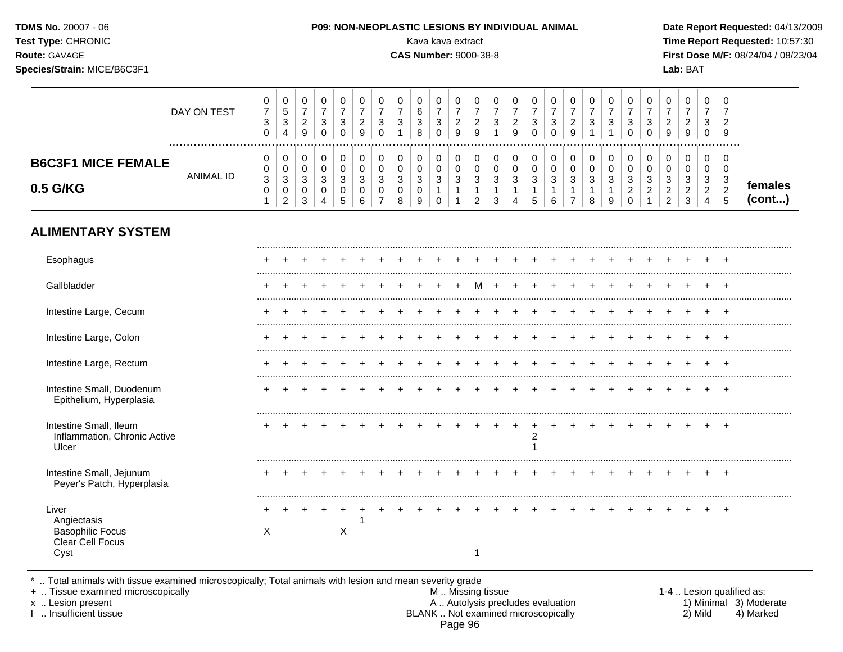| <b>TDMS No. 20007 - 06</b><br><b>Test Type: CHRONIC</b><br><b>Route: GAVAGE</b><br>Species/Strain: MICE/B6C3F1 |             |   |  |  |   |             | Kava kava extract<br><b>CAS Number: 9000-38-8</b> |  |  | <b>P09: NON-NEOPLASTIC LESIONS BY INDIVIDUAL ANIMAL</b> |  |   |   |   |  | Lab: BAT |  | Date Report Requested: 04/13/2009<br>Time Report Requested: 10:57:30<br>First Dose M/F: 08/24/04 / 08/23/04 |  |
|----------------------------------------------------------------------------------------------------------------|-------------|---|--|--|---|-------------|---------------------------------------------------|--|--|---------------------------------------------------------|--|---|---|---|--|----------|--|-------------------------------------------------------------------------------------------------------------|--|
|                                                                                                                | DAY ON TEST | 0 |  |  | 0 | $\mathbf 0$ |                                                   |  |  |                                                         |  | 0 | 0 | 0 |  |          |  |                                                                                                             |  |

|                                                                   | ົ<br>◡<br>0      | 3<br>4                                 | $\sim$<br><u>_</u><br>9 | ົ<br>ັ<br>ັ           | ⌒<br>ັ<br>v           | ◠<br><u>_</u><br>9                   | ັ<br>U           |        | ົ<br>ັ<br>8 | $\sim$ | $\sim$<br><u>_</u><br>9 | ◡            | ົ<br>ັ            | <sup>o</sup><br><u>_</u><br>9 | ັ<br>◡      | ں<br>ν      | ົ<br>ັ           | $\sqrt{2}$<br>ັ | ີ<br>ັ<br>U                  | <sup>o</sup><br>ັ<br>⌒<br>U  | 9                                     | ÷                             | $\sim$          | $\sim$<br><u>_</u><br>9            |                   |
|-------------------------------------------------------------------|------------------|----------------------------------------|-------------------------|-----------------------|-----------------------|--------------------------------------|------------------|--------|-------------|--------|-------------------------|--------------|-------------------|-------------------------------|-------------|-------------|------------------|-----------------|------------------------------|------------------------------|---------------------------------------|-------------------------------|-----------------|------------------------------------|-------------------|
| <br><br><b>B6C3F1 MICE FEMALE</b><br><b>ANIMAL ID</b><br>0.5 G/KG | U<br>U<br>3<br>U | 0<br>0<br>3<br>0<br>$\sim$<br><u>_</u> | ັ<br>$\sim$<br>ັ        | ັ<br>ັ<br>J<br>v<br>4 | ັ<br>u<br>ັ<br>∽<br>ັ | ັ<br>v<br>◠<br>J<br>U<br>$\sim$<br>6 | v<br>◡<br>◡<br>U | ັ<br>ັ | O<br>ັ<br>9 |        | ັບ<br>◡<br>c<br>J       | ັບ<br>J<br>- | v<br>v<br>J<br>ູບ | U<br>◡<br>◡<br>4              | ັ<br>◡<br>◡ | ັ<br>ഄ<br>ס | ◠<br>J<br>o<br>o | ت<br>У          | U<br>U<br>ں<br><u>_</u><br>U | ◡<br>ν<br>⌒<br>ັ<br><u>_</u> | ັ<br>◡<br>ັ<br><u>_</u><br>$\epsilon$ | ັ<br>ັ<br>ັບ<br><u>_</u><br>◡ | Ő<br>$\epsilon$ | 0<br>0<br>J<br><u>_</u><br>∽<br>ັບ | females<br>(cont) |

# **ALIMENTARY SYSTEM**

| Esophagus                                                                   |   |  |   |  |  |  |   |  |                |  |  |  |  |                |
|-----------------------------------------------------------------------------|---|--|---|--|--|--|---|--|----------------|--|--|--|--|----------------|
| Gallbladder                                                                 |   |  |   |  |  |  | M |  |                |  |  |  |  |                |
| Intestine Large, Cecum                                                      |   |  |   |  |  |  |   |  |                |  |  |  |  |                |
| Intestine Large, Colon                                                      |   |  |   |  |  |  |   |  |                |  |  |  |  |                |
| Intestine Large, Rectum                                                     |   |  |   |  |  |  |   |  |                |  |  |  |  |                |
| Intestine Small, Duodenum<br>Epithelium, Hyperplasia                        |   |  |   |  |  |  |   |  |                |  |  |  |  | $\overline{ }$ |
| Intestine Small, Ileum<br>Inflammation, Chronic Active<br>Ulcer             |   |  |   |  |  |  |   |  | $\overline{2}$ |  |  |  |  | $\overline{ }$ |
| Intestine Small, Jejunum<br>Peyer's Patch, Hyperplasia                      |   |  |   |  |  |  |   |  |                |  |  |  |  |                |
| Liver<br>Angiectasis<br><b>Basophilic Focus</b><br>Clear Cell Focus<br>Cyst | X |  | X |  |  |  |   |  |                |  |  |  |  |                |

\* .. Total animals with tissue examined microscopically; Total animals with lesion and mean severity grade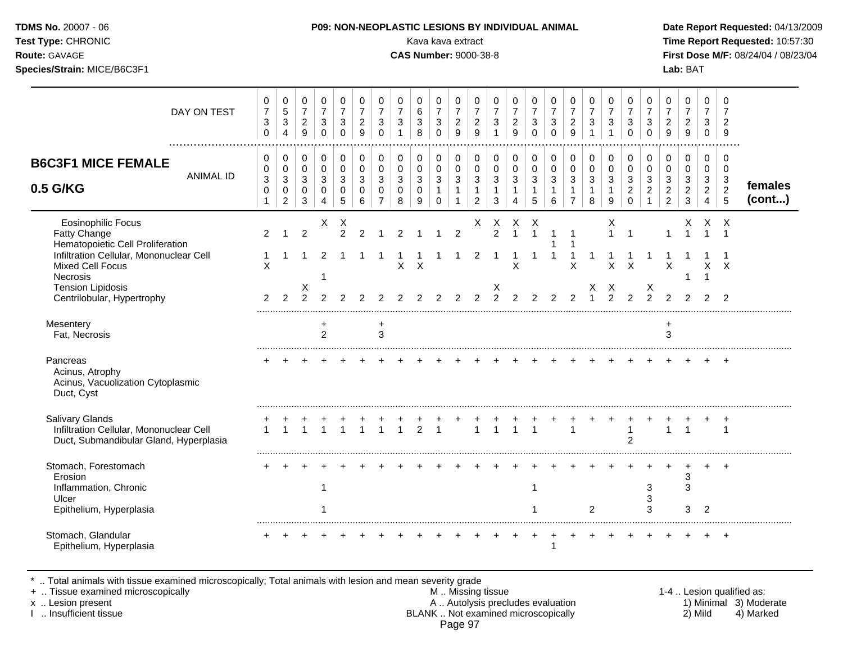| <b>TDMS No.</b> 20007 - 06                       |  |
|--------------------------------------------------|--|
| $T_{\alpha \alpha i}$ $T_{\rm UBA}$ , $C$ ud $C$ |  |

### **P09: NON-NEOPLASTIC LESIONS BY INDIVIDUAL ANIMAL Date Report Requested: 04/13/2009**

**Test Type:** CHRONIC Kava kava extract **Time Report Requested:** 10:57:30 **Route:** GAVAGE **CAS Number:** 9000-38-8 **First Dose M/F:** 08/24/04 / 08/23/04 **Species/Strain:** MICE/B6C3F1 **Lab:** BAT

### Eosinophilic Focus X X X X X X X X X X Fatty Change 2 1 2 2 2 1 2 1 1 2 2 1 1 1 1 1 1 1 1 1 1 Hematopoietic Cell Proliferation 1 1 Infiltration Cellular, Mononuclear Cell 1 1 1 2 1 1 1 1 1 1 1 2 1 1 1 1 1 1 1 1 1 1 1 1 1 Mixed Cell Focus X X X X X X X X X X Necrosis 1 1 1 Tension Lipidosis X X X X X Centrilobular, Hypertrophy 2 2 2 2 2 2 2 2 2 2 2 2 2 2 2 2 2 1 2 2 2 2 2 2 2 ......................................................................................................................................................................................................... Mesentery + + + Fat, Necrosis 2 3 3 ......................................................................................................................................................................................................... Pancreas + + + + + + + + + + + + + + + + + + + + + + + + + Acinus, Atrophy Acinus, Vacuolization Cytoplasmic Duct, Cyst ......................................................................................................................................................................................................... Salivary Glands + + + + + + + + + + + + + + + + + + + + + + + + + Infiltration Cellular, Mononuclear Cell 1 1 1 1 1 1 1 1 2 1 1 1 1 1 1 1 1 1 1 Duct, Submandibular Gland, Hyperplasia 2 ......................................................................................................................................................................................................... Stomach, Forestomach Erosion 3 Inflammation, Chronic **1** 1 3 3 3 ulcer the contract of the contract of the contract of the contract of the contract of the contract of the contract of the contract of the contract of the contract of the contract of the contract of the contract of the cont Epithelium, Hyperplasia 2 3 3 2 3 2 2 3 3 2 2 3 3 2 2 3 3 2 2 3 3 2 2 3 3 2 2 3 3 2 2 3 3 2 2 3 3 2 2 3 3 2 2 3 4 2 3 2 2 3 3 2 2 3 3 2 2 3 3 2 2 3 3 2 2 3 3 2 2 3 3 2 2 3 3 2 2 3 3 2 3 2 3 2 3 2 3 2 3 2 3 2 3 2 3 2 3 2 3 ......................................................................................................................................................................................................... Stomach, Glandular Epithelium, Hyperplasia 1 DAY ON TEST  $\Omega$   $\Omega$   $\overline{7}$   $\Omega$   $\Omega$   $\Omega$  ................................................................................................................................................................. **B6C3F1 MICE FEMALE** ANIMAL ID **0.5 G/KG**  $\Omega$  **females (cont...)**

.. Total animals with tissue examined microscopically; Total animals with lesion and mean severity grade<br>Tissue examined microscopically.

+ .. Tissue examined microscopically examined microscopically and the state of the state of the M .. Missing tissue the M .. Missing tissue the matrix of the M .. Missing tissue the matrix of the M .. Lesion qualified as:

x .. Lesion present 1) Minimal 3) Moderate<br>A .. Autolysis precludes evaluation 1 and 1) Minimal 3) Moderate<br>BLANK .. Not examined microscopically 1 and 1) Mild 4) Marked BLANK .. Not examined microscopically Page 97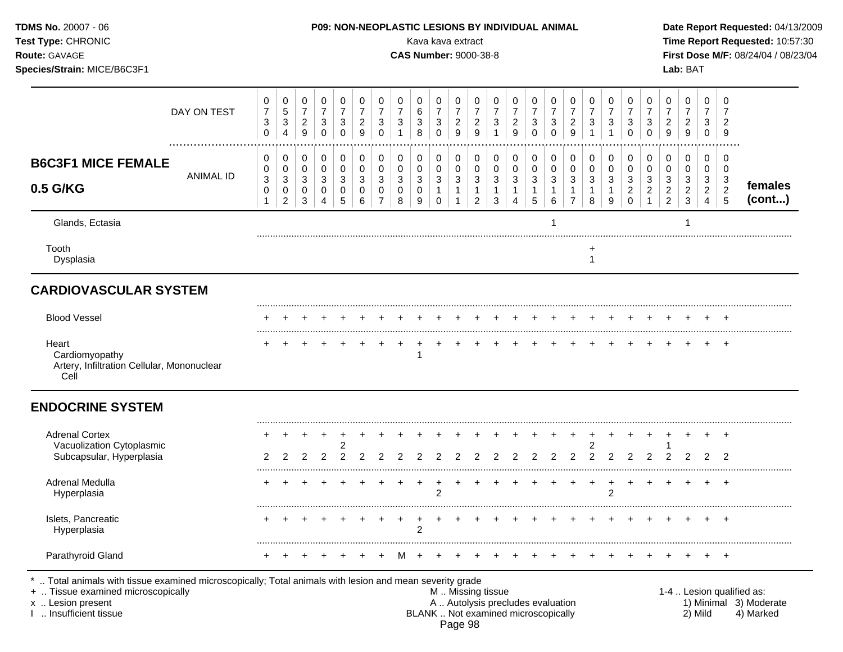|                                                                                                               |                           |                                              |                               |                                         |                                                           |                                                    |                                          |                             |                                                    |                                              |                                            |                                          |                                                     |                                         |                                                    |                                                       |                                                                  |                          |                                                    |                                                  |                               |                                                           |                                         |                                            | Date Report Requested: 04/13/2009                                                             |
|---------------------------------------------------------------------------------------------------------------|---------------------------|----------------------------------------------|-------------------------------|-----------------------------------------|-----------------------------------------------------------|----------------------------------------------------|------------------------------------------|-----------------------------|----------------------------------------------------|----------------------------------------------|--------------------------------------------|------------------------------------------|-----------------------------------------------------|-----------------------------------------|----------------------------------------------------|-------------------------------------------------------|------------------------------------------------------------------|--------------------------|----------------------------------------------------|--------------------------------------------------|-------------------------------|-----------------------------------------------------------|-----------------------------------------|--------------------------------------------|-----------------------------------------------------------------------------------------------|
| 0<br>$\boldsymbol{7}$<br>3<br>0                                                                               | 0<br>5<br>$\sqrt{3}$<br>4 | 0<br>$\boldsymbol{7}$<br>$\overline{a}$<br>9 | 0<br>$\overline{7}$<br>3<br>0 | 0<br>$\overline{7}$<br>3<br>$\mathbf 0$ | 0<br>$\overline{7}$<br>$\overline{c}$<br>$\boldsymbol{9}$ | 0<br>$\boldsymbol{7}$<br>$\sqrt{3}$<br>$\mathbf 0$ | 0<br>$\overline{7}$<br>$\mathbf{3}$<br>1 | 0<br>6<br>$\mathbf{3}$<br>8 | 0<br>$\overline{7}$<br>$\mathbf{3}$<br>$\mathbf 0$ | 0<br>$\boldsymbol{7}$<br>$\overline{2}$<br>9 | 0<br>$\overline{7}$<br>$\overline{c}$<br>9 | 0<br>$\overline{7}$<br>3<br>$\mathbf{1}$ | 0<br>$\overline{7}$<br>$\overline{\mathbf{c}}$<br>9 | 0<br>$\overline{7}$<br>3<br>$\mathbf 0$ | 0<br>$\boldsymbol{7}$<br>$\sqrt{3}$<br>$\mathbf 0$ | 0<br>$\boldsymbol{7}$<br>$\overline{\mathbf{c}}$<br>9 | 0<br>$\boldsymbol{7}$<br>3                                       | 0<br>$\overline{7}$<br>3 | 0<br>$\boldsymbol{7}$<br>$\sqrt{3}$<br>$\mathbf 0$ | 0<br>$\overline{7}$<br>$\sqrt{3}$<br>$\mathbf 0$ | 0<br>7<br>$\overline{a}$<br>9 | 0<br>$\overline{7}$<br>$\overline{c}$<br>$\boldsymbol{9}$ | 0<br>$\overline{7}$<br>3<br>$\mathbf 0$ | 0<br>$\overline{7}$<br>$\overline{2}$<br>9 |                                                                                               |
| 0<br>0                                                                                                        | 0<br>0                    | 0<br>$\mathbf 0$                             | 0<br>$\pmb{0}$                | 0<br>$\pmb{0}$                          | 0<br>$\pmb{0}$                                            | 0<br>$\mathsf{O}\xspace$                           | 0<br>$\pmb{0}$                           | 0<br>0                      | 0<br>$\mathbf 0$                                   | 0<br>$\mathbf 0$                             | 0<br>$\pmb{0}$                             | 0<br>$\pmb{0}$                           | 0<br>$\pmb{0}$                                      | 0<br>$\mathbf 0$                        | 0<br>$\pmb{0}$                                     | 0<br>0                                                | 0<br>0                                                           | 0<br>$\pmb{0}$           | 0<br>$\pmb{0}$                                     | 0<br>$\pmb{0}$                                   | 0<br>$\pmb{0}$                | 0<br>0                                                    | 0<br>$\mathbf 0$                        | 0<br>0                                     |                                                                                               |
| 0<br>1                                                                                                        | 0<br>$\overline{2}$       | 0<br>3                                       | 0<br>4                        | 0<br>5                                  | 0<br>6                                                    | 0<br>$\overline{7}$                                | 0<br>8                                   | 0<br>9                      | $\mathbf 1$<br>$\mathbf 0$                         | 1<br>1                                       | $\mathbf{1}$<br>$\overline{2}$             | 1<br>3                                   | 1<br>4                                              | 5                                       | $\mathbf{1}$<br>6                                  | 1<br>$\overline{7}$                                   | 8                                                                | 9                        | $\overline{c}$<br>$\mathbf 0$                      | $\overline{c}$                                   | $\overline{2}$<br>2           | $\overline{c}$<br>3                                       | $\overline{a}$<br>$\overline{4}$        | $\sqrt{2}$<br>$\overline{5}$               | females<br>(cont)                                                                             |
|                                                                                                               |                           |                                              |                               |                                         |                                                           |                                                    |                                          |                             |                                                    |                                              |                                            |                                          |                                                     |                                         |                                                    |                                                       |                                                                  |                          |                                                    |                                                  |                               |                                                           |                                         |                                            |                                                                                               |
|                                                                                                               |                           |                                              |                               |                                         |                                                           |                                                    |                                          |                             |                                                    |                                              |                                            |                                          |                                                     |                                         |                                                    |                                                       | +<br>-1                                                          |                          |                                                    |                                                  |                               |                                                           |                                         |                                            |                                                                                               |
|                                                                                                               |                           |                                              |                               |                                         |                                                           |                                                    |                                          |                             |                                                    |                                              |                                            |                                          |                                                     |                                         |                                                    |                                                       |                                                                  |                          |                                                    |                                                  |                               |                                                           |                                         |                                            |                                                                                               |
|                                                                                                               |                           |                                              |                               |                                         |                                                           |                                                    |                                          |                             |                                                    |                                              |                                            |                                          |                                                     |                                         |                                                    |                                                       |                                                                  |                          |                                                    |                                                  |                               |                                                           |                                         | $\pm$                                      |                                                                                               |
|                                                                                                               |                           |                                              |                               |                                         |                                                           |                                                    |                                          |                             |                                                    |                                              |                                            |                                          |                                                     |                                         |                                                    |                                                       |                                                                  |                          |                                                    |                                                  |                               |                                                           |                                         | $^{+}$                                     |                                                                                               |
|                                                                                                               |                           |                                              |                               |                                         |                                                           |                                                    |                                          |                             |                                                    |                                              |                                            |                                          |                                                     |                                         |                                                    |                                                       |                                                                  |                          |                                                    |                                                  |                               |                                                           |                                         |                                            |                                                                                               |
|                                                                                                               |                           | 2                                            | 2                             | 2<br>2                                  | 2                                                         |                                                    |                                          |                             |                                                    |                                              |                                            |                                          |                                                     | 2                                       |                                                    | 2                                                     |                                                                  | 2                        | 2                                                  | 2                                                |                               | 2                                                         | 2                                       | 2                                          |                                                                                               |
|                                                                                                               |                           |                                              |                               |                                         |                                                           |                                                    |                                          |                             | 2                                                  |                                              |                                            |                                          |                                                     |                                         |                                                    |                                                       |                                                                  | $\overline{2}$           |                                                    |                                                  |                               |                                                           |                                         | $\overline{ }$                             |                                                                                               |
|                                                                                                               |                           |                                              |                               |                                         |                                                           |                                                    |                                          | 2                           |                                                    |                                              |                                            |                                          |                                                     |                                         |                                                    |                                                       |                                                                  |                          |                                                    |                                                  |                               |                                                           |                                         |                                            |                                                                                               |
|                                                                                                               |                           |                                              |                               |                                         |                                                           |                                                    | M                                        |                             |                                                    |                                              |                                            |                                          |                                                     |                                         |                                                    |                                                       |                                                                  |                          |                                                    |                                                  |                               |                                                           |                                         |                                            |                                                                                               |
| DAY ON TEST<br><b>ANIMAL ID</b><br><b>CARDIOVASCULAR SYSTEM</b><br>Artery, Infiltration Cellular, Mononuclear | $\ensuremath{\mathsf{3}}$ | 3                                            | 3                             | 3                                       | 3                                                         | $\sqrt{3}$                                         | $\mathbf{3}$                             | $\sqrt{3}$                  | 3                                                  | $\sqrt{3}$                                   | $\mathbf{3}$                               | Kava kava extract<br>$\sqrt{3}$          | <b>CAS Number: 9000-38-8</b><br>3                   | 3                                       | 3                                                  | $\ensuremath{\mathsf{3}}$                             | P09: NON-NEOPLASTIC LESIONS BY INDIVIDUAL ANIMAL<br>$\mathbf{3}$ | 3                        | 3                                                  | 3                                                | $\sqrt{3}$                    | $\mathbf{3}$                                              | 3                                       | Lab: BAT<br>3                              | Time Report Requested: 10:57:30<br>First Dose M/F: 08/24/04 / 08/23/04<br>$\mathbf{3}$<br>$+$ |

Page 98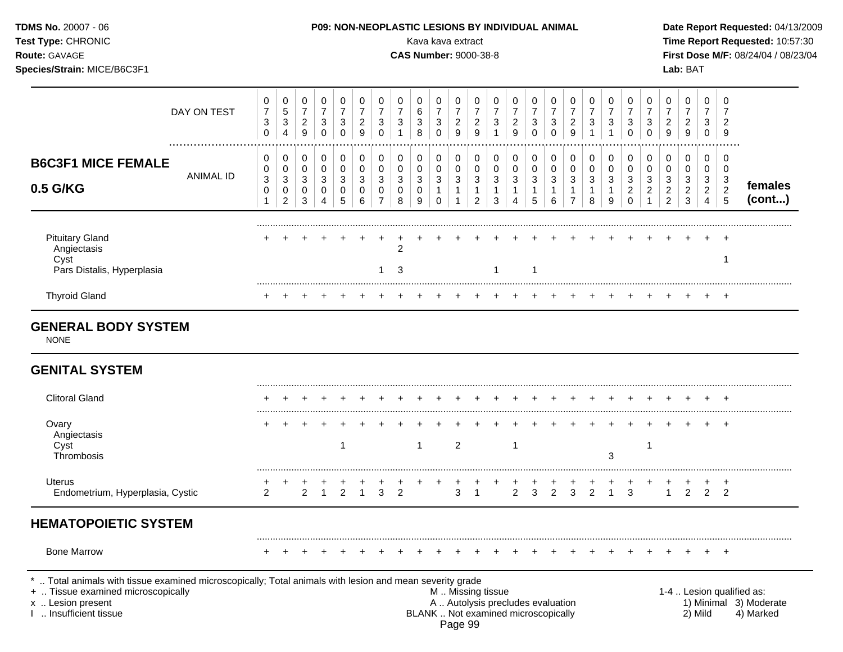| Test Type: CHRONIC<br>Route: GAVAGE<br>Species/Strain: MICE/B6C3F1                                                                                                                            |                  |                               |                                                  |                                                             |                                       |                                         |                                            |                                           |                                          | Kava kava extract<br><b>CAS Number: 9000-38-8</b> |                                         |                                                           |                                              |                                                                    |                                                                          |                                      |                         |                                               |                                                     |                                                     |                                           |                                      |                                                        | Lab: BAT                                                           |                                                 |                                    | Time Report Requested: 10:57:30<br>First Dose M/F: 08/24/04 / 08/23/04 |
|-----------------------------------------------------------------------------------------------------------------------------------------------------------------------------------------------|------------------|-------------------------------|--------------------------------------------------|-------------------------------------------------------------|---------------------------------------|-----------------------------------------|--------------------------------------------|-------------------------------------------|------------------------------------------|---------------------------------------------------|-----------------------------------------|-----------------------------------------------------------|----------------------------------------------|--------------------------------------------------------------------|--------------------------------------------------------------------------|--------------------------------------|-------------------------|-----------------------------------------------|-----------------------------------------------------|-----------------------------------------------------|-------------------------------------------|--------------------------------------|--------------------------------------------------------|--------------------------------------------------------------------|-------------------------------------------------|------------------------------------|------------------------------------------------------------------------|
|                                                                                                                                                                                               | DAY ON TEST      | 0<br>$\overline{7}$<br>3<br>0 | 0<br>$\mathbf 5$<br>$\sqrt{3}$<br>$\overline{4}$ | 0<br>$\boldsymbol{7}$<br>$\overline{c}$<br>$\boldsymbol{9}$ | 0<br>$\overline{7}$<br>3<br>$\pmb{0}$ | 0<br>$\overline{7}$<br>3<br>$\mathbf 0$ | 0<br>$\overline{7}$<br>$\overline{c}$<br>9 | 0<br>$\boldsymbol{7}$<br>3<br>$\mathbf 0$ | 0<br>$\overline{7}$<br>3<br>$\mathbf{1}$ | 0<br>6<br>3<br>8                                  | 0<br>$\overline{7}$<br>3<br>$\mathbf 0$ | 0<br>$\overline{7}$<br>$\overline{c}$<br>$\boldsymbol{9}$ | 0<br>$\boldsymbol{7}$<br>$\overline{c}$<br>9 | 0<br>$\boldsymbol{7}$<br>$\ensuremath{\mathsf{3}}$<br>$\mathbf{1}$ | 0<br>7<br>$\overline{c}$<br>9                                            | 0<br>$\overline{7}$<br>3<br>$\Omega$ | 0<br>7<br>3<br>$\Omega$ | 0<br>$\boldsymbol{7}$<br>$\overline{c}$<br>9  | 0<br>$\boldsymbol{7}$<br>$\sqrt{3}$<br>$\mathbf{1}$ | 0<br>$\overline{7}$<br>$\mathbf{3}$<br>$\mathbf{1}$ | 0<br>$\overline{7}$<br>3<br>$\mathbf 0$   | 0<br>$\overline{7}$<br>3<br>$\Omega$ | 0<br>$\boldsymbol{7}$<br>$\overline{a}$<br>$\mathsf g$ | 0<br>$\overline{7}$<br>$\overline{\mathbf{c}}$<br>$\boldsymbol{9}$ | 0<br>7<br>3<br>$\mathbf 0$                      | 0<br>7<br>$\overline{c}$<br>9      |                                                                        |
| <b>B6C3F1 MICE FEMALE</b><br>0.5 G/KG                                                                                                                                                         | <b>ANIMAL ID</b> | 0<br>0<br>3<br>0<br>1         | 0<br>0<br>3<br>0<br>$\overline{c}$               | 0<br>0<br>3<br>0<br>3                                       | 0<br>0<br>3<br>0<br>4                 | 0<br>0<br>3<br>0<br>5                   | 0<br>0<br>3<br>0<br>6                      | 0<br>0<br>3<br>0<br>$\overline{7}$        | 0<br>0<br>3<br>0<br>8                    | 0<br>0<br>3<br>0<br>9                             | 0<br>0<br>3<br>1<br>$\Omega$            | 0<br>$\pmb{0}$<br>3<br>$\mathbf{1}$                       | 0<br>0<br>3<br>-1<br>$\overline{2}$          | 0<br>0<br>3<br>$\overline{1}$<br>3                                 | 0<br>0<br>3<br>4                                                         | 0<br>0<br>3<br>5                     | 0<br>0<br>3<br>1<br>6   | 0<br>0<br>3<br>$\mathbf{1}$<br>$\overline{7}$ | 0<br>0<br>3<br>$\mathbf 1$<br>8                     | 0<br>0<br>3<br>1<br>9                               | 0<br>0<br>3<br>$\overline{c}$<br>$\Omega$ | 0<br>0<br>3<br>$\overline{a}$        | 0<br>0<br>3<br>$\overline{c}$<br>$\overline{2}$        | 0<br>0<br>3<br>$\overline{c}$<br>$\sqrt{3}$                        | 0<br>0<br>3<br>$\overline{2}$<br>$\overline{4}$ | 0<br>0<br>3<br>$\overline{c}$<br>5 | females<br>(cont)                                                      |
| <b>Pituitary Gland</b><br>Angiectasis<br>Cyst<br>Pars Distalis, Hyperplasia                                                                                                                   |                  |                               |                                                  |                                                             |                                       |                                         |                                            | 1                                         | 2<br>3                                   |                                                   |                                         |                                                           |                                              | 1                                                                  |                                                                          |                                      |                         |                                               |                                                     |                                                     |                                           |                                      |                                                        |                                                                    |                                                 | $\mathbf 1$                        |                                                                        |
| <b>Thyroid Gland</b>                                                                                                                                                                          |                  |                               |                                                  |                                                             |                                       |                                         |                                            |                                           |                                          |                                                   |                                         |                                                           |                                              |                                                                    |                                                                          |                                      |                         |                                               |                                                     |                                                     |                                           |                                      |                                                        |                                                                    |                                                 |                                    |                                                                        |
| <b>NONE</b><br><b>GENITAL SYSTEM</b>                                                                                                                                                          |                  |                               |                                                  |                                                             |                                       |                                         |                                            |                                           |                                          |                                                   |                                         |                                                           |                                              |                                                                    |                                                                          |                                      |                         |                                               |                                                     |                                                     |                                           |                                      |                                                        |                                                                    |                                                 |                                    |                                                                        |
| <b>Clitoral Gland</b>                                                                                                                                                                         |                  |                               |                                                  |                                                             |                                       |                                         |                                            |                                           |                                          |                                                   |                                         |                                                           |                                              |                                                                    |                                                                          |                                      |                         |                                               |                                                     |                                                     |                                           |                                      |                                                        |                                                                    |                                                 |                                    |                                                                        |
| Ovary<br>Angiectasis<br>Cyst<br>Thrombosis                                                                                                                                                    |                  |                               |                                                  |                                                             |                                       | -1                                      |                                            |                                           |                                          | $\mathbf{1}$                                      |                                         | $\overline{2}$                                            |                                              |                                                                    | $\mathbf{1}$                                                             |                                      |                         |                                               |                                                     | 3                                                   |                                           | -1                                   |                                                        |                                                                    |                                                 |                                    |                                                                        |
| Uterus<br>Endometrium, Hyperplasia, Cystic                                                                                                                                                    |                  | $\overline{2}$                |                                                  | $\overline{2}$                                              |                                       | $\overline{2}$                          |                                            | 3                                         | $\overline{2}$                           |                                                   |                                         | 3                                                         | -1                                           |                                                                    | $\overline{2}$                                                           | 3                                    | $\overline{2}$          | 3                                             | 2                                                   |                                                     | 3                                         |                                      | $\mathbf{1}$                                           | 2                                                                  | $\overline{2}$                                  | $^{+}$<br>2                        |                                                                        |
| <b>HEMATOPOIETIC SYSTEM</b>                                                                                                                                                                   |                  |                               |                                                  |                                                             |                                       |                                         |                                            |                                           |                                          |                                                   |                                         |                                                           |                                              |                                                                    |                                                                          |                                      |                         |                                               |                                                     |                                                     |                                           |                                      |                                                        |                                                                    |                                                 |                                    |                                                                        |
| <b>Bone Marrow</b>                                                                                                                                                                            |                  |                               |                                                  |                                                             |                                       |                                         |                                            |                                           |                                          |                                                   |                                         |                                                           |                                              |                                                                    |                                                                          |                                      |                         |                                               |                                                     |                                                     |                                           |                                      |                                                        |                                                                    |                                                 |                                    |                                                                        |
| *  Total animals with tissue examined microscopically; Total animals with lesion and mean severity grade<br>+  Tissue examined microscopically<br>x  Lesion present<br>I  Insufficient tissue |                  |                               |                                                  |                                                             |                                       |                                         |                                            |                                           |                                          |                                                   |                                         | M  Missing tissue<br>Page 99                              |                                              |                                                                    | A  Autolysis precludes evaluation<br>BLANK  Not examined microscopically |                                      |                         |                                               |                                                     |                                                     |                                           |                                      |                                                        |                                                                    | 2) Mild                                         |                                    | 1-4  Lesion qualified as:<br>1) Minimal 3) Moderate<br>4) Marked       |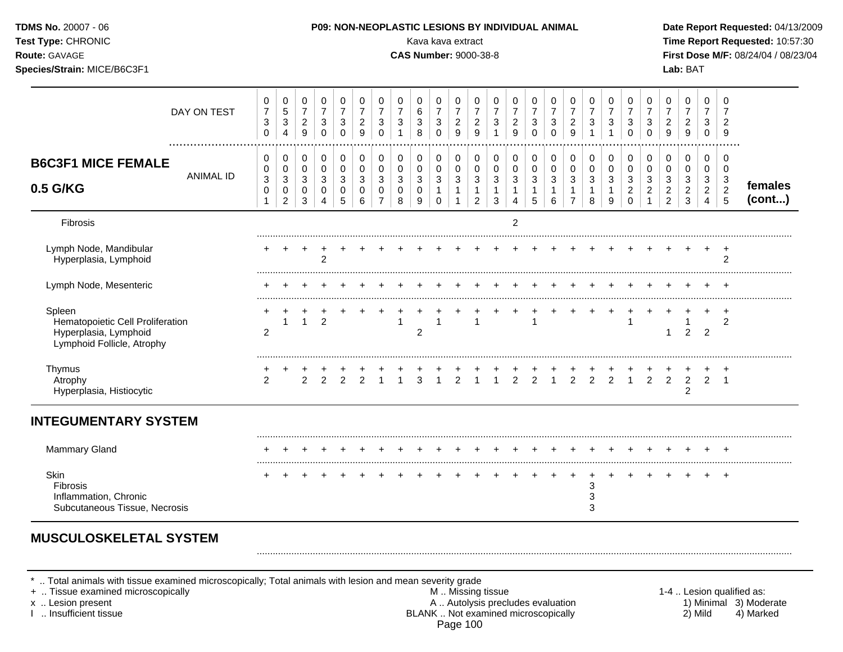| <b>TDMS No. 20007 - 06</b><br>Test Type: CHRONIC<br>Route: GAVAGE<br>Species/Strain: MICE/B6C3F1  |                  |                                                                           |                                                                        |                                                         |                                           |                                                               |                                                               |                                                             |                                                                  | Kava kava extract<br><b>CAS Number: 9000-38-8</b>       |                                                                    |                                                                  | P09: NON-NEOPLASTIC LESIONS BY INDIVIDUAL ANIMAL                           |                                                                          |                                                                  |                                                     |                                                |                                                                    |                                                                          |                                                     |                                                                             |                                                                  |                                                                                   | Lab: BAT                                                    |                                                    |                                                                 | Date Report Requested: 04/13/2009<br>Time Report Requested: 10:57:30<br>First Dose M/F: 08/24/04 / 08/23/04 |
|---------------------------------------------------------------------------------------------------|------------------|---------------------------------------------------------------------------|------------------------------------------------------------------------|---------------------------------------------------------|-------------------------------------------|---------------------------------------------------------------|---------------------------------------------------------------|-------------------------------------------------------------|------------------------------------------------------------------|---------------------------------------------------------|--------------------------------------------------------------------|------------------------------------------------------------------|----------------------------------------------------------------------------|--------------------------------------------------------------------------|------------------------------------------------------------------|-----------------------------------------------------|------------------------------------------------|--------------------------------------------------------------------|--------------------------------------------------------------------------|-----------------------------------------------------|-----------------------------------------------------------------------------|------------------------------------------------------------------|-----------------------------------------------------------------------------------|-------------------------------------------------------------|----------------------------------------------------|-----------------------------------------------------------------|-------------------------------------------------------------------------------------------------------------|
|                                                                                                   | DAY ON TEST      | $\pmb{0}$<br>$\boldsymbol{7}$<br>$\ensuremath{\mathsf{3}}$<br>$\mathbf 0$ | $\pmb{0}$<br>$\sqrt{5}$<br>$\ensuremath{\mathsf{3}}$<br>$\overline{4}$ | 0<br>$\overline{7}$<br>$\overline{2}$<br>$\overline{9}$ | 0<br>$\overline{7}$<br>3<br>0             | 0<br>$\overline{7}$<br>$\mathbf{3}$<br>$\mathbf 0$            | $\pmb{0}$<br>$\overline{7}$<br>$\boldsymbol{2}$<br>9          | 0<br>$\overline{7}$<br>$\sqrt{3}$<br>$\pmb{0}$              | 0<br>$\overline{7}$<br>$\ensuremath{\mathsf{3}}$<br>$\mathbf{1}$ | 0<br>$\,6\,$<br>$\sqrt{3}$<br>8                         | $\mathbf 0$<br>$\overline{7}$<br>$\sqrt{3}$<br>$\mathbf 0$         | 0<br>$\overline{7}$<br>$\overline{2}$<br>$\mathsf g$             | $\mathbf 0$<br>$\overline{7}$<br>$\frac{2}{9}$                             | $\pmb{0}$<br>$\overline{7}$<br>$\ensuremath{\mathsf{3}}$<br>$\mathbf{1}$ | 0<br>$\overline{7}$<br>$\sqrt{2}$<br>9                           | 0<br>$\overline{7}$<br>3<br>$\mathbf 0$             | 0<br>$\overline{7}$<br>3<br>$\mathbf 0$        | 0<br>$\overline{7}$<br>$\overline{2}$<br>9                         | 0<br>$\overline{7}$<br>$\mathbf{3}$<br>$\mathbf{1}$                      | 0<br>$\overline{7}$<br>$\sqrt{3}$<br>$\overline{1}$ | 0<br>$\overline{7}$<br>$\sqrt{3}$<br>$\mathbf 0$                            | 0<br>$\overline{7}$<br>$\sqrt{3}$<br>$\mathbf 0$                 | $\pmb{0}$<br>$\boldsymbol{7}$<br>$\overline{2}$<br>9                              | $\pmb{0}$<br>$\overline{7}$<br>$\boldsymbol{2}$<br>9        | 0<br>$\overline{7}$<br>$\mathbf{3}$<br>$\mathbf 0$ | $\mathbf 0$<br>$\overline{7}$<br>$\overline{2}$<br>9            |                                                                                                             |
| <b>B6C3F1 MICE FEMALE</b><br>0.5 G/KG                                                             | <b>ANIMAL ID</b> | 0<br>0<br>$\ensuremath{\mathsf{3}}$<br>0<br>$\mathbf{1}$                  | 0<br>$\pmb{0}$<br>$\mathbf{3}$<br>0<br>$\overline{2}$                  | 0<br>$\pmb{0}$<br>$\mathbf{3}$<br>0<br>3                | $\mathbf 0$<br>$\mathbf 0$<br>3<br>0<br>4 | $\pmb{0}$<br>$\pmb{0}$<br>$\ensuremath{\mathsf{3}}$<br>0<br>5 | $\pmb{0}$<br>$\pmb{0}$<br>$\ensuremath{\mathsf{3}}$<br>0<br>6 | $\pmb{0}$<br>$\pmb{0}$<br>$\sqrt{3}$<br>0<br>$\overline{7}$ | $\mathbf 0$<br>$\pmb{0}$<br>$\sqrt{3}$<br>$\mathbf 0$<br>8       | $\mathbf 0$<br>0<br>$\ensuremath{\mathsf{3}}$<br>0<br>9 | $\pmb{0}$<br>$\mathbf 0$<br>$\sqrt{3}$<br>$\mathbf{1}$<br>$\Omega$ | 0<br>$\mathsf 0$<br>$\mathbf{3}$<br>$\mathbf{1}$<br>$\mathbf{1}$ | $\mathbf 0$<br>$\pmb{0}$<br>$\mathbf{3}$<br>$\mathbf{1}$<br>$\overline{2}$ | 0<br>$\pmb{0}$<br>$\sqrt{3}$<br>$\mathbf{1}$<br>3                        | 0<br>$\pmb{0}$<br>$\ensuremath{\mathsf{3}}$<br>$\mathbf{1}$<br>4 | 0<br>$\pmb{0}$<br>$\mathbf{3}$<br>$\mathbf{1}$<br>5 | 0<br>$\pmb{0}$<br>3<br>$\mathbf{1}$<br>$\,6\,$ | $\mathbf 0$<br>0<br>$\mathbf{3}$<br>$\mathbf{1}$<br>$\overline{7}$ | $\pmb{0}$<br>$\pmb{0}$<br>$\ensuremath{\mathsf{3}}$<br>$\mathbf{1}$<br>8 | 0<br>$\pmb{0}$<br>$\sqrt{3}$<br>$\mathbf{1}$<br>9   | $\mathbf 0$<br>$\mathsf 0$<br>$\mathbf{3}$<br>$\overline{a}$<br>$\mathbf 0$ | 0<br>$\pmb{0}$<br>$\sqrt{3}$<br>$\boldsymbol{2}$<br>$\mathbf{1}$ | $\mathbf 0$<br>0<br>$\ensuremath{\mathsf{3}}$<br>$\overline{2}$<br>$\overline{2}$ | $\mathbf 0$<br>$\mathbf 0$<br>$\sqrt{3}$<br>$\sqrt{2}$<br>3 | 0<br>0<br>3<br>$\overline{2}$<br>$\overline{4}$    | $\mathbf 0$<br>$\mathbf 0$<br>$\sqrt{3}$<br>$\overline{2}$<br>5 | females<br>(cont)                                                                                           |
| Fibrosis                                                                                          |                  |                                                                           |                                                                        |                                                         |                                           |                                                               |                                                               |                                                             |                                                                  |                                                         |                                                                    |                                                                  |                                                                            |                                                                          | $\overline{2}$                                                   |                                                     |                                                |                                                                    |                                                                          |                                                     |                                                                             |                                                                  |                                                                                   |                                                             |                                                    |                                                                 |                                                                                                             |
| Lymph Node, Mandibular<br>Hyperplasia, Lymphoid                                                   |                  |                                                                           |                                                                        |                                                         | $\overline{2}$                            |                                                               |                                                               |                                                             |                                                                  |                                                         |                                                                    |                                                                  |                                                                            |                                                                          |                                                                  |                                                     |                                                |                                                                    |                                                                          |                                                     |                                                                             |                                                                  |                                                                                   |                                                             |                                                    | $\ddot{}$<br>2                                                  |                                                                                                             |
| Lymph Node, Mesenteric                                                                            |                  |                                                                           |                                                                        |                                                         |                                           |                                                               |                                                               |                                                             |                                                                  |                                                         |                                                                    |                                                                  |                                                                            |                                                                          |                                                                  |                                                     |                                                |                                                                    |                                                                          |                                                     |                                                                             |                                                                  |                                                                                   |                                                             |                                                    |                                                                 |                                                                                                             |
| Spleen<br>Hematopoietic Cell Proliferation<br>Hyperplasia, Lymphoid<br>Lymphoid Follicle, Atrophy |                  | $\overline{c}$                                                            | $\mathbf{1}$                                                           | $\mathbf{1}$                                            | 2                                         |                                                               |                                                               |                                                             | $\mathbf{1}$                                                     | $\overline{c}$                                          | $\overline{\mathbf{1}}$                                            |                                                                  | $\mathbf{1}$                                                               |                                                                          |                                                                  | 1                                                   |                                                |                                                                    |                                                                          | $\div$                                              | $\ddot{}$<br>1                                                              |                                                                  | 1                                                                                 | -1<br>2                                                     | $\overline{2}$                                     | $\ddot{}$<br>2                                                  |                                                                                                             |
| Thymus<br>Atrophy<br>Hyperplasia, Histiocytic                                                     |                  | $\overline{2}$                                                            |                                                                        | 2                                                       | 2                                         | 2                                                             | $\overline{2}$                                                | $\mathbf{1}$                                                | $\mathbf{1}$                                                     | 3                                                       | $\overline{1}$                                                     | $\overline{2}$                                                   | $\mathbf{1}$                                                               | $\mathbf{1}$                                                             | $\overline{2}$                                                   | $\overline{2}$                                      | $\mathbf{1}$                                   | $\overline{2}$                                                     | $\overline{2}$                                                           | 2                                                   | $\mathbf{1}$                                                                | 2                                                                | 2                                                                                 | $\overline{c}$<br>$\overline{2}$                            | $\overline{2}$                                     | $\div$<br>$\overline{1}$                                        |                                                                                                             |
| <b>INTEGUMENTARY SYSTEM</b>                                                                       |                  |                                                                           |                                                                        |                                                         |                                           |                                                               |                                                               |                                                             |                                                                  |                                                         |                                                                    |                                                                  |                                                                            |                                                                          |                                                                  |                                                     |                                                |                                                                    |                                                                          |                                                     |                                                                             |                                                                  |                                                                                   |                                                             |                                                    |                                                                 |                                                                                                             |
| <b>Mammary Gland</b>                                                                              |                  |                                                                           |                                                                        |                                                         |                                           |                                                               |                                                               |                                                             |                                                                  |                                                         |                                                                    |                                                                  |                                                                            |                                                                          |                                                                  | $^{+}$                                              | $\ddot{}$                                      | $+$                                                                |                                                                          | $\overline{+}$                                      | $+$                                                                         |                                                                  |                                                                                   |                                                             |                                                    |                                                                 |                                                                                                             |
| <b>Skin</b><br><b>Fibrosis</b><br>Inflammation, Chronic<br>Subcutaneous Tissue, Necrosis          |                  |                                                                           |                                                                        |                                                         |                                           |                                                               |                                                               |                                                             |                                                                  |                                                         |                                                                    |                                                                  |                                                                            |                                                                          |                                                                  |                                                     |                                                | $\ddot{}$                                                          | +<br>3<br>3<br>3                                                         | $\ddot{}$                                           |                                                                             |                                                                  |                                                                                   |                                                             |                                                    | $+$                                                             |                                                                                                             |

\* .. Total animals with tissue examined microscopically; Total animals with lesion and mean severity grade<br>+ .. Tissue examined microscopically by M.. Missing tissue

+ .. Tissue examined microscopically examined microscopically and the state of the state of the state of the state M .. Missing tissue M .. Missing tissue and M .. Missing tissue and the state of the state of the state M . x .. Lesion present **A .. Autolysis precludes evaluation** A .. Autolysis precludes evaluation 1) Minimal 3) Moderate I .. Insufficient tissue BLANK .. Not examined microscopically 2) Mild 4) Marked Page 100

.........................................................................................................................................................................................................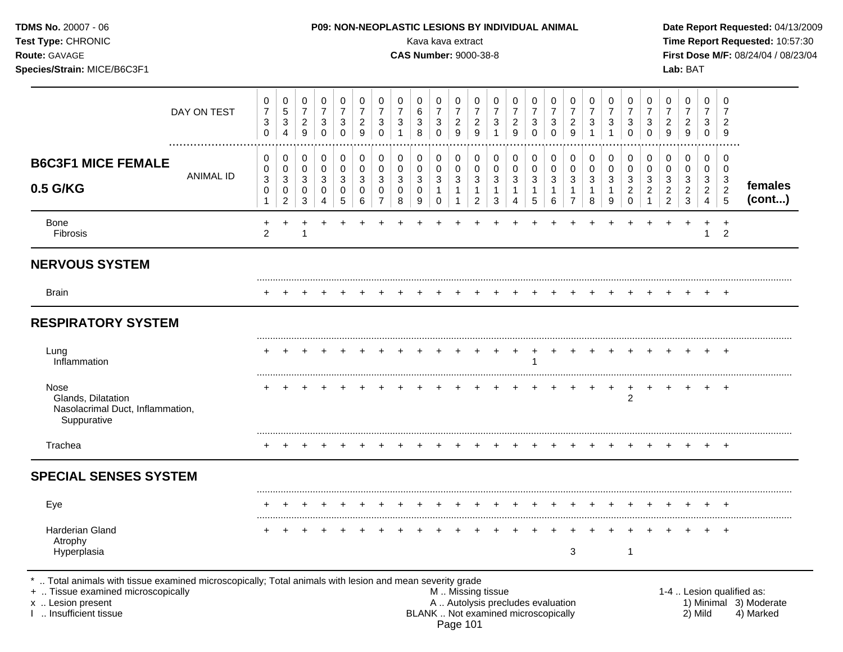| TDMS No. 20007 - 06<br>Test Type: CHRONIC<br>Route: GAVAGE<br>Species/Strain: MICE/B6C3F1                                                                           |                                           |                                    |                                              |                               |                                         |                                            |                                                    |                               |                       |                                                   | Kava kava extract<br><b>CAS Number: 9000-38-8</b> |                                                        |                  | P09: NON-NEOPLASTIC LESIONS BY INDIVIDUAL ANIMAL |                                           |                                         |                  |                          |                          |                                                      |                                         |                                    | Lab: BAT                                              |                                                 |                                                      | Date Report Requested: 04/13/2009<br>Time Report Requested: 10:57:30<br>First Dose M/F: 08/24/04 / 08/23/04 |
|---------------------------------------------------------------------------------------------------------------------------------------------------------------------|-------------------------------------------|------------------------------------|----------------------------------------------|-------------------------------|-----------------------------------------|--------------------------------------------|----------------------------------------------------|-------------------------------|-----------------------|---------------------------------------------------|---------------------------------------------------|--------------------------------------------------------|------------------|--------------------------------------------------|-------------------------------------------|-----------------------------------------|------------------|--------------------------|--------------------------|------------------------------------------------------|-----------------------------------------|------------------------------------|-------------------------------------------------------|-------------------------------------------------|------------------------------------------------------|-------------------------------------------------------------------------------------------------------------|
| DAY ON TEST                                                                                                                                                         | 0<br>$\boldsymbol{7}$<br>3<br>$\mathbf 0$ | 0<br>5<br>3<br>4                   | 0<br>$\boldsymbol{7}$<br>$\overline{c}$<br>9 | 0<br>$\overline{7}$<br>3<br>0 | 0<br>$\overline{7}$<br>3<br>$\mathbf 0$ | 0<br>$\overline{7}$<br>$\overline{2}$<br>9 | 0<br>$\boldsymbol{7}$<br>$\sqrt{3}$<br>$\mathbf 0$ | 0<br>$\overline{7}$<br>3<br>1 | 0<br>6<br>3<br>8      | 0<br>$\overline{7}$<br>$\sqrt{3}$<br>$\mathbf 0$  | 0<br>$\boldsymbol{7}$<br>$\frac{2}{9}$            | 0<br>$\overline{7}$<br>$\overline{c}$<br>9             | 0<br>7<br>3<br>1 | 0<br>$\overline{7}$<br>$\overline{c}$<br>9       | 0<br>$\boldsymbol{7}$<br>3<br>$\mathbf 0$ | 0<br>$\overline{7}$<br>3<br>$\mathbf 0$ | 0<br>7<br>2<br>9 | 0<br>$\overline{7}$<br>3 | 0<br>$\overline{7}$<br>3 | 0<br>$\boldsymbol{7}$<br>3<br>$\mathbf 0$            | 0<br>$\overline{7}$<br>3<br>$\mathbf 0$ | 0<br>7<br>$\overline{a}$<br>9      | 0<br>$\overline{7}$<br>$\overline{c}$<br>9            | 0<br>$\overline{7}$<br>3<br>$\mathbf{0}$        | 0<br>7<br>$\overline{2}$<br>9                        |                                                                                                             |
| <b>B6C3F1 MICE FEMALE</b><br><b>ANIMAL ID</b><br>0.5 G/KG                                                                                                           | 0<br>0<br>3<br>0<br>1                     | 0<br>0<br>3<br>0<br>$\overline{c}$ | 0<br>0<br>3<br>0<br>3                        | 0<br>0<br>3<br>0<br>4         | 0<br>0<br>3<br>0<br>5                   | 0<br>0<br>3<br>0<br>6                      | 0<br>$\pmb{0}$<br>3<br>0<br>$\overline{7}$         | 0<br>0<br>3<br>0<br>8         | 0<br>0<br>3<br>0<br>9 | $\pmb{0}$<br>$\mathsf{O}\xspace$<br>3<br>$\Omega$ | 0<br>$\pmb{0}$<br>$\mathbf{3}$<br>1<br>-1         | 0<br>$\pmb{0}$<br>$\mathbf{3}$<br>-1<br>$\overline{2}$ | 0<br>0<br>3<br>3 | 0<br>0<br>3<br>4                                 | 0<br>$\pmb{0}$<br>3<br>1<br>5             | 0<br>0<br>3<br>-1<br>6                  | 0<br>0<br>3<br>7 | 0<br>0<br>3<br>8         | 0<br>0<br>3<br>1<br>9    | 0<br>$\pmb{0}$<br>3<br>$\overline{c}$<br>$\mathbf 0$ | 0<br>$\pmb{0}$<br>3<br>2                | 0<br>0<br>3<br>2<br>$\overline{2}$ | 0<br>$\mathbf 0$<br>$\sqrt{3}$<br>$\overline{c}$<br>3 | 0<br>0<br>3<br>$\overline{2}$<br>$\overline{4}$ | 0<br>0<br>$\sqrt{3}$<br>$\sqrt{2}$<br>$\overline{5}$ | females<br>(cont)                                                                                           |
| <b>Bone</b><br>Fibrosis                                                                                                                                             | 2                                         |                                    |                                              |                               |                                         |                                            |                                                    |                               |                       |                                                   |                                                   |                                                        |                  |                                                  |                                           |                                         |                  |                          |                          |                                                      |                                         |                                    |                                                       | $\ddot{}$<br>1                                  | $\ddot{}$<br>$\overline{2}$                          |                                                                                                             |
| <b>NERVOUS SYSTEM</b>                                                                                                                                               |                                           |                                    |                                              |                               |                                         |                                            |                                                    |                               |                       |                                                   |                                                   |                                                        |                  |                                                  |                                           |                                         |                  |                          |                          |                                                      |                                         |                                    |                                                       |                                                 |                                                      |                                                                                                             |
| <b>Brain</b>                                                                                                                                                        |                                           |                                    |                                              |                               |                                         |                                            |                                                    |                               |                       |                                                   |                                                   |                                                        |                  |                                                  |                                           |                                         |                  |                          |                          |                                                      |                                         |                                    |                                                       |                                                 |                                                      |                                                                                                             |
| <b>RESPIRATORY SYSTEM</b>                                                                                                                                           |                                           |                                    |                                              |                               |                                         |                                            |                                                    |                               |                       |                                                   |                                                   |                                                        |                  |                                                  |                                           |                                         |                  |                          |                          |                                                      |                                         |                                    |                                                       |                                                 |                                                      |                                                                                                             |
| Lung<br>Inflammation                                                                                                                                                |                                           |                                    |                                              |                               |                                         |                                            |                                                    |                               |                       |                                                   |                                                   |                                                        | +                | +                                                | +                                         |                                         |                  |                          |                          |                                                      |                                         |                                    |                                                       |                                                 | $+$                                                  |                                                                                                             |
| Nose<br>Glands, Dilatation<br>Nasolacrimal Duct, Inflammation,<br>Suppurative                                                                                       |                                           |                                    |                                              |                               |                                         |                                            |                                                    |                               |                       |                                                   |                                                   |                                                        |                  |                                                  |                                           |                                         |                  |                          | $^{+}$                   | $+$<br>2                                             | $^{+}$                                  |                                    |                                                       |                                                 |                                                      |                                                                                                             |
| Trachea                                                                                                                                                             |                                           |                                    |                                              |                               |                                         |                                            |                                                    |                               |                       |                                                   |                                                   |                                                        |                  |                                                  |                                           |                                         |                  |                          |                          |                                                      |                                         |                                    |                                                       |                                                 | $+$                                                  |                                                                                                             |
| <b>SPECIAL SENSES SYSTEM</b>                                                                                                                                        |                                           |                                    |                                              |                               |                                         |                                            |                                                    |                               |                       |                                                   |                                                   |                                                        |                  |                                                  |                                           |                                         |                  |                          |                          |                                                      |                                         |                                    |                                                       |                                                 |                                                      |                                                                                                             |
| Eye                                                                                                                                                                 |                                           |                                    |                                              |                               |                                         |                                            |                                                    |                               |                       |                                                   |                                                   |                                                        |                  |                                                  |                                           |                                         |                  |                          |                          |                                                      |                                         |                                    |                                                       |                                                 | $+$                                                  |                                                                                                             |
| Harderian Gland<br>Atrophy<br>Hyperplasia                                                                                                                           |                                           |                                    |                                              |                               |                                         |                                            |                                                    |                               |                       |                                                   |                                                   |                                                        |                  |                                                  | $\ddot{}$                                 |                                         | 3                |                          |                          | -1                                                   |                                         |                                    |                                                       |                                                 | $+$                                                  |                                                                                                             |
| *  Total animals with tissue examined microscopically; Total animals with lesion and mean severity grade<br>+  Tissue examined microscopically<br>x  Lesion present |                                           |                                    |                                              |                               |                                         |                                            |                                                    |                               |                       |                                                   | M  Missing tissue                                 |                                                        |                  | A  Autolysis precludes evaluation                |                                           |                                         |                  |                          |                          |                                                      |                                         |                                    |                                                       |                                                 |                                                      | 1-4  Lesion qualified as:<br>1) Minimal 3) Moderate                                                         |

I .. Insufficient tissue BLANK .. Not examined microscopically 2) Mild 4) Marked Page 101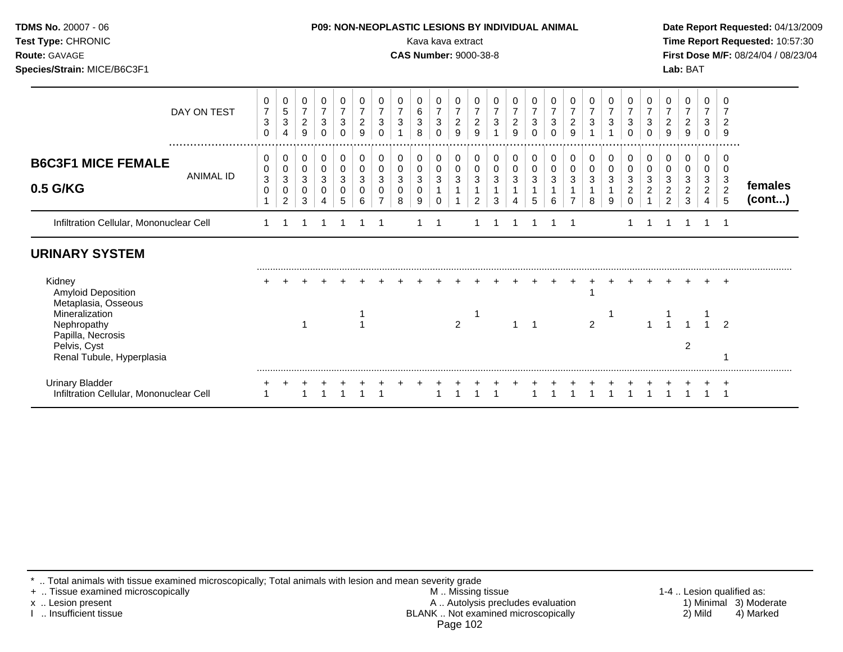| <b>TDMS No. 20007 - 06</b><br><b>Test Type: CHRONIC</b><br><b>Route: GAVAGE</b><br>Species/Strain: MICE/B6C3F1 |             |        |  |  |   |        |             |        | Kava kava extract<br><b>CAS Number: 9000-38-8</b> |                  | <b>P09: NON-NEOPLASTIC LESIONS BY INDIVIDUAL ANIMAL</b> |        |   |   |   |  |  | Lab: BAT | Date Report Requested: 04/13/2009<br>Time Report Requested: 10:57:30<br><b>First Dose M/F: 08/24/04 / 08/23/04</b> |  |
|----------------------------------------------------------------------------------------------------------------|-------------|--------|--|--|---|--------|-------------|--------|---------------------------------------------------|------------------|---------------------------------------------------------|--------|---|---|---|--|--|----------|--------------------------------------------------------------------------------------------------------------------|--|
|                                                                                                                | DAY ON TEST | 0<br>3 |  |  | ົ | 0<br>ົ | 0<br>6<br>3 | 0<br>2 |                                                   | $\mathbf 0$<br>3 | 0<br>ົ                                                  | 0<br>2 | ◠ | ົ | 2 |  |  |          |                                                                                                                    |  |

.................................................................................................................................................................

**females (cont...)**

## **URINARY SYSTEM**

**0.5 G/KG**

**B6C3F1 MICE FEMALE**

| Kidney                                                     |  |  |  |  |  |   |  |  |  |   |  |  |  | + |
|------------------------------------------------------------|--|--|--|--|--|---|--|--|--|---|--|--|--|---|
| Amyloid Deposition                                         |  |  |  |  |  |   |  |  |  |   |  |  |  |   |
| Metaplasia, Osseous<br>Mineralization                      |  |  |  |  |  |   |  |  |  |   |  |  |  |   |
| Nephropathy                                                |  |  |  |  |  | ົ |  |  |  | ົ |  |  |  | ົ |
| Papilla, Necrosis                                          |  |  |  |  |  |   |  |  |  |   |  |  |  |   |
| Pelvis, Cyst                                               |  |  |  |  |  |   |  |  |  |   |  |  |  |   |
| Renal Tubule, Hyperplasia                                  |  |  |  |  |  |   |  |  |  |   |  |  |  |   |
|                                                            |  |  |  |  |  |   |  |  |  |   |  |  |  |   |
| Urinary Bladder<br>Infiltration Cellular, Mononuclear Cell |  |  |  |  |  |   |  |  |  |   |  |  |  |   |
|                                                            |  |  |  |  |  |   |  |  |  |   |  |  |  |   |

Infiltration Cellular, Mononuclear Cell 1 1 1 1 1 1 1 1 1 1 1 1 1 1 1 1 1 1 1 1 1

\* .. Total animals with tissue examined microscopically; Total animals with lesion and mean severity grade<br>+ .. Tissue examined microscopically by any state mean severity grade

ANIMAL ID

+ .. Tissue examined microscopically the state of the state of the M .. Missing tissue 1-4 .. Lesion qualified as: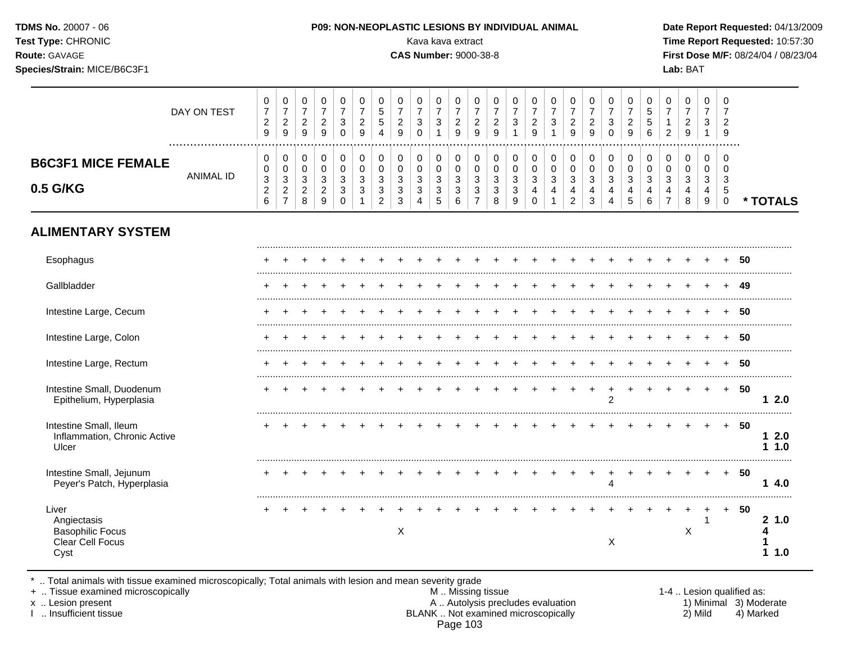| <b>TDMS No. 20007 - 06</b><br><b>Test Type: CHRONIC</b><br><b>Route: GAVAGE</b><br>Species/Strain: MICE/B6C3F1 |             | <b>P09: NON-NEOPLASTIC LESIONS BY INDIVIDUAL ANIMAL</b><br>Kava kava extract<br><b>CAS Number: 9000-38-8</b> | Date Report Requested: 04/13/2009<br>Time Report Requested: 10:57:30<br><b>First Dose M/F: 08/24/04 / 08/23/04</b><br>Lab: BAT |
|----------------------------------------------------------------------------------------------------------------|-------------|--------------------------------------------------------------------------------------------------------------|--------------------------------------------------------------------------------------------------------------------------------|
|                                                                                                                | DAY ON TEST |                                                                                                              |                                                                                                                                |

| <b>UAI VIIILUI</b>                                        | ົ<br><u>_</u><br>9                          | <u>.</u><br>9             | ັ<br>◡ | _<br>9                       | ◡      | y | ັ<br>ັ<br>4 | -<br>a<br>◡           | u      | <b>اب</b> | -<br>9 | L<br>ч      | -      | <u>_</u><br>9 | ◡       | u | <u>_</u><br>a | ٮ | <u>_</u><br>9                | ັ<br>◡<br>6              | _ | <u>_</u><br>ч<br>ັ | n<br>ັ           | Y             |      |  |
|-----------------------------------------------------------|---------------------------------------------|---------------------------|--------|------------------------------|--------|---|-------------|-----------------------|--------|-----------|--------|-------------|--------|---------------|---------|---|---------------|---|------------------------------|--------------------------|---|--------------------|------------------|---------------|------|--|
| <b>B6C3F1 MICE FEMALE</b><br><b>ANIMAL ID</b><br>0.5 G/KG | U<br>U<br>$\sim$<br>د<br><u>_</u><br>⌒<br>u | ັບ<br>u<br>ັບ<br><u>_</u> | ີ<br>- | U<br>v<br>J<br><u>_</u><br>9 | J<br>ັ |   | ◡<br>◡<br>ັ | U<br>ν<br>ັ<br>ັ<br>ັ | ັ<br>ں | ັບ<br>ັ   | ັ<br>ັ | u<br>◡<br>u | ں<br>ັ | ັ<br>u<br>4   | ັບ<br>J | ັ | <b>اب</b>     | ັ | 0<br>0<br>◠<br>- 3<br>"<br>đ | ◡<br>ັບ<br>ູບ<br>4<br>ັບ |   | J                  | U<br>U<br>ັ<br>u | -O<br>د.<br>ು | ALS: |  |

# **ALIMENTARY SYSTEM**

| Esophagus                                                                   |  |  |  |   |  |  |  |  |  |                |  |   |        |     | 50 |             |
|-----------------------------------------------------------------------------|--|--|--|---|--|--|--|--|--|----------------|--|---|--------|-----|----|-------------|
| Gallbladder                                                                 |  |  |  |   |  |  |  |  |  |                |  |   |        |     | 49 |             |
| Intestine Large, Cecum                                                      |  |  |  |   |  |  |  |  |  |                |  |   |        |     | 50 |             |
| Intestine Large, Colon                                                      |  |  |  |   |  |  |  |  |  |                |  |   |        |     | 50 |             |
| Intestine Large, Rectum                                                     |  |  |  |   |  |  |  |  |  |                |  |   |        |     | 50 |             |
| Intestine Small, Duodenum<br>Epithelium, Hyperplasia                        |  |  |  |   |  |  |  |  |  | $\overline{2}$ |  |   | $\div$ | $+$ | 50 | 2.0         |
| Intestine Small, Ileum<br>Inflammation, Chronic Active<br>Ulcer             |  |  |  |   |  |  |  |  |  |                |  |   |        | $+$ | 50 | 2.0<br>1.0  |
| Intestine Small, Jejunum<br>Peyer's Patch, Hyperplasia                      |  |  |  |   |  |  |  |  |  |                |  |   |        | $+$ | 50 | 4.0         |
| Liver<br>Angiectasis<br><b>Basophilic Focus</b><br>Clear Cell Focus<br>Cyst |  |  |  | X |  |  |  |  |  | X              |  | X |        | $+$ | 50 | 21.0<br>1.0 |

\* .. Total animals with tissue examined microscopically; Total animals with lesion and mean severity grade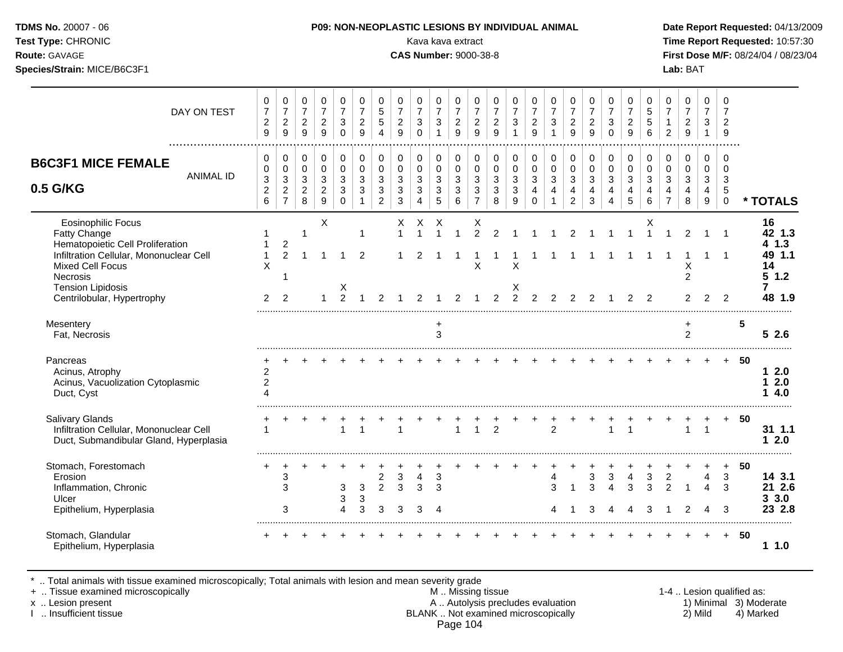**Species/Strain:** MICE/B6C3F1 **Lab:** BAT

### **TDMS No.** 20007 - 06 **P09: NON-NEOPLASTIC LESIONS BY INDIVIDUAL ANIMAL Date Report Requested:** 04/13/2009

**Test Type:** CHRONIC Kava kava extract **Time Report Requested:** 10:57:30 **Route:** GAVAGE **CAS Number:** 9000-38-8 **First Dose M/F:** 08/24/04 / 08/23/04

| DAY ON TEST                                                                                                                                                                                                                      | 0<br>$\overline{7}$<br>$\overline{c}$<br>9                 | $\pmb{0}$<br>$\overline{7}$<br>$\boldsymbol{2}$<br>9               | 0<br>$\overline{7}$<br>$\sqrt{2}$<br>9                | 0<br>$\overline{7}$<br>$\sqrt{2}$<br>$\boldsymbol{9}$                        | 0<br>$\overline{7}$<br>3<br>$\Omega$           | 0<br>$\overline{7}$<br>$\overline{c}$<br>9 | 0<br>$\sqrt{5}$<br>5<br>$\boldsymbol{\Lambda}$         | 0<br>$\overline{7}$<br>$\overline{c}$<br>9 | 0<br>$\overline{7}$<br>$\mathbf{3}$<br>$\Omega$                  | 0<br>$\overline{7}$<br>$\sqrt{3}$<br>$\mathbf{1}$     | 0<br>$\overline{7}$<br>$\overline{2}$<br>9          | 0<br>$\overline{7}$<br>$\sqrt{2}$<br>9                  | 0<br>$\overline{7}$<br>$\overline{2}$<br>9 | 0<br>$\overline{7}$<br>$\mathbf{3}$        | 0<br>$\overline{7}$<br>$\boldsymbol{2}$<br>9        | $\pmb{0}$<br>$\overline{7}$<br>$\mathbf{3}$                  | 0<br>$\overline{7}$<br>$\boldsymbol{2}$<br>9          | 0<br>$\overline{7}$<br>$\overline{2}$<br>9                                 | $\pmb{0}$<br>$\overline{7}$<br>$\sqrt{3}$<br>$\Omega$           | 0<br>$\overline{7}$<br>$\overline{c}$<br>9                     | 0<br>5<br>5<br>6             | 0<br>$\overline{7}$<br>$\overline{2}$        | 0<br>$\overline{7}$<br>$\boldsymbol{2}$<br>9 | 0<br>$\overline{7}$<br>$\mathbf{3}$<br>$\mathbf{1}$                            | 0<br>$\overline{7}$<br>$\overline{2}$<br>9         |    |                                                            |
|----------------------------------------------------------------------------------------------------------------------------------------------------------------------------------------------------------------------------------|------------------------------------------------------------|--------------------------------------------------------------------|-------------------------------------------------------|------------------------------------------------------------------------------|------------------------------------------------|--------------------------------------------|--------------------------------------------------------|--------------------------------------------|------------------------------------------------------------------|-------------------------------------------------------|-----------------------------------------------------|---------------------------------------------------------|--------------------------------------------|--------------------------------------------|-----------------------------------------------------|--------------------------------------------------------------|-------------------------------------------------------|----------------------------------------------------------------------------|-----------------------------------------------------------------|----------------------------------------------------------------|------------------------------|----------------------------------------------|----------------------------------------------|--------------------------------------------------------------------------------|----------------------------------------------------|----|------------------------------------------------------------|
| <b>B6C3F1 MICE FEMALE</b><br><b>ANIMAL ID</b><br>0.5 G/KG                                                                                                                                                                        | 0<br>0<br>$\ensuremath{\mathsf{3}}$<br>$\overline{c}$<br>6 | 0<br>$\mathbf 0$<br>$\sqrt{3}$<br>$\overline{c}$<br>$\overline{7}$ | 0<br>$\mathbf 0$<br>$\sqrt{3}$<br>$\overline{2}$<br>8 | $\mathbf 0$<br>$\pmb{0}$<br>$\sqrt{3}$<br>$\overline{c}$<br>$\boldsymbol{9}$ | $\pmb{0}$<br>$\mathbf 0$<br>3<br>3<br>$\Omega$ | 0<br>$\mathbf 0$<br>3<br>3                 | $\mathbf 0$<br>$\mathbf 0$<br>3<br>3<br>$\overline{2}$ | 0<br>$\mathbf 0$<br>3<br>3<br>3            | 0<br>$\mathbf 0$<br>$\sqrt{3}$<br>$\mathbf{3}$<br>$\overline{4}$ | 0<br>$\mathbf 0$<br>$\sqrt{3}$<br>3<br>$\overline{5}$ | $\,0\,$<br>0<br>$\mathfrak{S}$<br>$\mathbf{3}$<br>6 | 0<br>$\mathbf 0$<br>3<br>$\mathbf{3}$<br>$\overline{7}$ | 0<br>0<br>$\mathfrak{S}$<br>3<br>8         | 0<br>$\mathbf 0$<br>$\mathbf{3}$<br>3<br>9 | $\mathbf 0$<br>0<br>3<br>$\overline{4}$<br>$\Omega$ | $\mathbf 0$<br>$\mathbf 0$<br>$\mathbf{3}$<br>$\overline{4}$ | 0<br>$\mathbf 0$<br>$\sqrt{3}$<br>4<br>$\overline{2}$ | $\,0\,$<br>$\pmb{0}$<br>$\mathfrak{S}$<br>$\overline{4}$<br>$\mathfrak{S}$ | $\pmb{0}$<br>$\mathbf 0$<br>$\mathbf{3}$<br>$\overline{4}$<br>4 | $\pmb{0}$<br>$\mathbf 0$<br>$\mathbf 3$<br>$\overline{4}$<br>5 | 0<br>$\Omega$<br>3<br>4<br>6 | 0<br>$\mathbf 0$<br>3<br>4<br>$\overline{7}$ | $\pmb{0}$<br>0<br>$\mathbf{3}$<br>4<br>8     | $\mathbf 0$<br>$\mathbf 0$<br>$\sqrt{3}$<br>$\overline{4}$<br>$\boldsymbol{9}$ | 0<br>$\mathbf 0$<br>3<br>$\sqrt{5}$<br>$\mathsf 0$ |    | * TOTALS                                                   |
| <b>Eosinophilic Focus</b><br><b>Fatty Change</b><br>Hematopoietic Cell Proliferation<br>Infiltration Cellular, Mononuclear Cell<br><b>Mixed Cell Focus</b><br>Necrosis<br><b>Tension Lipidosis</b><br>Centrilobular, Hypertrophy | 1<br>X<br>2                                                | $\overline{2}$<br>$\overline{2}$<br>$\overline{2}$                 | 1                                                     | X                                                                            | X<br>$\mathfrak{D}$                            | $\mathbf 1$<br>$\overline{2}$              |                                                        | х<br>$\overline{1}$                        | Х<br>$\overline{A}$                                              | Х                                                     |                                                     | Χ<br>$\overline{2}$<br>X                                | $\overline{2}$<br>$\mathcal{P}$            | X<br>X<br>$\mathcal{P}$                    | $\mathcal{P}$                                       | $\mathcal{P}$                                                | $\mathcal{P}$                                         |                                                                            |                                                                 |                                                                | х<br>1<br>$\mathcal{P}$      |                                              | $\mathfrak{p}$<br>X<br>$\overline{c}$        |                                                                                | $\mathbf{1}$<br>$\mathcal{P}$                      |    | 16<br>42 1.3<br>1.3<br>4<br>49 1.1<br>14<br>51.2<br>48 1.9 |
| Mesentery<br>Fat, Necrosis                                                                                                                                                                                                       |                                                            |                                                                    |                                                       |                                                                              |                                                |                                            |                                                        |                                            |                                                                  | $\ddot{}$<br>3                                        |                                                     |                                                         |                                            |                                            |                                                     |                                                              |                                                       |                                                                            |                                                                 |                                                                |                              |                                              | $\ddot{}$<br>$\overline{2}$                  |                                                                                |                                                    | 5  | 52.6                                                       |
| Pancreas<br>Acinus, Atrophy<br>Acinus, Vacuolization Cytoplasmic<br>Duct, Cyst                                                                                                                                                   | $\overline{c}$<br>$\overline{c}$<br>$\Delta$               |                                                                    |                                                       |                                                                              |                                                |                                            |                                                        |                                            |                                                                  |                                                       |                                                     |                                                         |                                            |                                            |                                                     |                                                              |                                                       |                                                                            |                                                                 |                                                                |                              |                                              |                                              |                                                                                | $+$                                                | 50 | 12.0<br>2.0<br>1<br>4.0                                    |
| <b>Salivary Glands</b><br>Infiltration Cellular, Mononuclear Cell<br>Duct, Submandibular Gland, Hyperplasia                                                                                                                      |                                                            |                                                                    |                                                       |                                                                              | 1                                              |                                            |                                                        |                                            |                                                                  |                                                       | 1                                                   | 1                                                       | 2                                          |                                            |                                                     | 2                                                            |                                                       |                                                                            |                                                                 |                                                                |                              |                                              | $\overline{1}$                               | $\overline{1}$                                                                 |                                                    | 50 | 31 1.1<br>2.0<br>1                                         |
| Stomach, Forestomach<br>Erosion<br>Inflammation, Chronic<br>Ulcer<br>Epithelium, Hyperplasia                                                                                                                                     |                                                            | 3<br>3<br>3                                                        |                                                       |                                                                              | 3<br>3<br>4                                    | 3<br>3<br>3                                | $\overline{c}$<br>$\overline{2}$<br>3                  | 3<br>3<br>3                                | 4<br>3<br>3                                                      | 3<br>3                                                |                                                     |                                                         |                                            |                                            |                                                     | 4<br>3                                                       |                                                       | 3<br>3<br>З                                                                | 3<br>$\Delta$                                                   | 4<br>3                                                         | 3<br>3<br>3                  | $\overline{c}$<br>$\mathfrak{p}$             |                                              | 4<br>Δ<br>4                                                                    | $\ddot{}$<br>3<br>3<br>3                           | 50 | 14 3.1<br>21 2.6<br>33.0<br>23 2.8                         |
| Stomach, Glandular<br>Epithelium, Hyperplasia                                                                                                                                                                                    |                                                            |                                                                    |                                                       |                                                                              |                                                |                                            |                                                        |                                            |                                                                  |                                                       |                                                     |                                                         |                                            |                                            |                                                     |                                                              |                                                       |                                                                            |                                                                 |                                                                |                              |                                              |                                              |                                                                                | $+$                                                | 50 | 11.0                                                       |

\* .. Total animals with tissue examined microscopically; Total animals with lesion and mean severity grade

+ .. Tissue examined microscopically M .. Missing tissue 1-4 .. Lesion qualified as: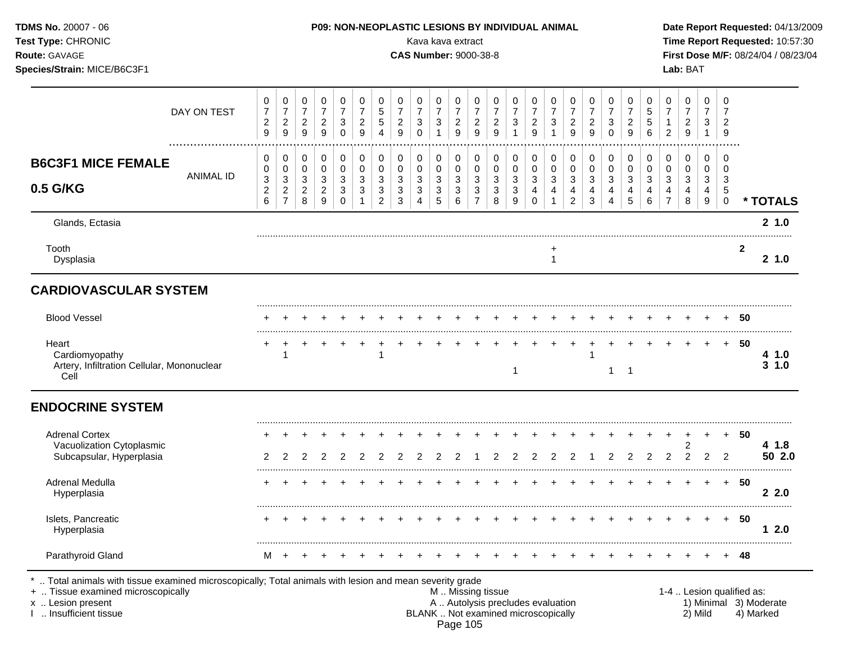| TDMS No. 20007 - 06<br>Test Type: CHRONIC<br>Route: GAVAGE<br>Species/Strain: MICE/B6C3F1 |                       |                                              |                                                               |                                                  |                                              |                                          |                                                |                                                  |                                                             |                                              | Kava kava extract<br><b>CAS Number: 9000-38-8</b>                                          |                                                           |                                                     |                                            |                                                  |                                                               | P09: NON-NEOPLASTIC LESIONS BY INDIVIDUAL ANIMAL |                                            |                                              |                                         |                                                  |                                     |                                       | Lab: BAT                                                    |                                            |                                            |              | Date Report Requested: 04/13/2009<br>Time Report Requested: 10:57:30<br>First Dose M/F: 08/24/04 / 08/23/04 |
|-------------------------------------------------------------------------------------------|-----------------------|----------------------------------------------|---------------------------------------------------------------|--------------------------------------------------|----------------------------------------------|------------------------------------------|------------------------------------------------|--------------------------------------------------|-------------------------------------------------------------|----------------------------------------------|--------------------------------------------------------------------------------------------|-----------------------------------------------------------|-----------------------------------------------------|--------------------------------------------|--------------------------------------------------|---------------------------------------------------------------|--------------------------------------------------|--------------------------------------------|----------------------------------------------|-----------------------------------------|--------------------------------------------------|-------------------------------------|---------------------------------------|-------------------------------------------------------------|--------------------------------------------|--------------------------------------------|--------------|-------------------------------------------------------------------------------------------------------------|
|                                                                                           | DAY ON TEST           | 0<br>$\boldsymbol{7}$<br>$\overline{c}$<br>9 | 0<br>$\boldsymbol{7}$<br>$\overline{c}$<br>9                  | 0<br>$\overline{7}$<br>$\overline{2}$<br>9       | 0<br>$\boldsymbol{7}$<br>$\overline{c}$<br>9 | 0<br>$\boldsymbol{7}$<br>$\sqrt{3}$<br>0 | 0<br>$\overline{7}$<br>$\overline{c}$<br>9     | 0<br>$\mathbf 5$<br>$\sqrt{5}$<br>$\overline{4}$ | 0<br>$\boldsymbol{7}$<br>$\overline{c}$<br>$\boldsymbol{9}$ | 0<br>$\boldsymbol{7}$<br>3<br>$\mathbf 0$    | $\pmb{0}$<br>$\overline{7}$<br>$\ensuremath{\mathsf{3}}$                                   | 0<br>$\boldsymbol{7}$<br>$\frac{2}{9}$                    | 0<br>$\overline{7}$<br>$\overline{\mathbf{c}}$<br>9 | 0<br>$\overline{7}$<br>$\overline{c}$<br>9 | 0<br>$\overline{7}$<br>3<br>1                    | 0<br>$\boldsymbol{7}$<br>$\overline{c}$<br>$9\,$              | 0<br>$\boldsymbol{7}$<br>3<br>1                  | 0<br>$\overline{7}$<br>$\overline{c}$<br>9 | 0<br>$\boldsymbol{7}$<br>$\overline{c}$<br>9 | 0<br>$\overline{7}$<br>3<br>$\mathbf 0$ | 0<br>$\overline{7}$<br>$\overline{c}$<br>9       | 0<br>$\mathbf 5$<br>5<br>6          | 0<br>$\overline{7}$<br>$\overline{2}$ | 0<br>$\overline{7}$<br>$\boldsymbol{2}$<br>$\boldsymbol{9}$ | 0<br>$\overline{7}$<br>3<br>$\overline{1}$ | 0<br>$\overline{7}$<br>$\overline{2}$<br>9 |              |                                                                                                             |
| <b>B6C3F1 MICE FEMALE</b><br>0.5 G/KG                                                     | .<br><b>ANIMAL ID</b> | 0<br>0<br>3<br>$\boldsymbol{2}$              | 0<br>$\pmb{0}$<br>$\ensuremath{\mathsf{3}}$<br>$\overline{c}$ | 0<br>$\pmb{0}$<br>$\mathbf{3}$<br>$\overline{c}$ | 0<br>$\pmb{0}$<br>3<br>$\overline{c}$        | 0<br>$\pmb{0}$<br>$\sqrt{3}$<br>3        | 0<br>$\pmb{0}$<br>$\mathbf{3}$<br>$\mathbf{3}$ | 0<br>$\pmb{0}$<br>$\ensuremath{\mathsf{3}}$<br>3 | 0<br>$\pmb{0}$<br>$\ensuremath{\mathsf{3}}$<br>3            | 0<br>$\pmb{0}$<br>$\sqrt{3}$<br>$\mathbf{3}$ | $\pmb{0}$<br>$\mathsf{O}\xspace$<br>$\ensuremath{\mathsf{3}}$<br>$\ensuremath{\mathsf{3}}$ | 0<br>$\pmb{0}$<br>$\sqrt{3}$<br>$\ensuremath{\mathsf{3}}$ | 0<br>$\pmb{0}$<br>$\sqrt{3}$<br>$\sqrt{3}$          | 0<br>$\pmb{0}$<br>3<br>3                   | 0<br>$\pmb{0}$<br>$\ensuremath{\mathsf{3}}$<br>3 | 0<br>$\pmb{0}$<br>$\ensuremath{\mathsf{3}}$<br>$\overline{4}$ | 0<br>$\mathbf 0$<br>$\sqrt{3}$<br>4              | 0<br>0<br>3<br>4                           | 0<br>$\pmb{0}$<br>$\sqrt{3}$<br>4            | 0<br>$\boldsymbol{0}$<br>3<br>4         | 0<br>$\pmb{0}$<br>$\ensuremath{\mathsf{3}}$<br>4 | 0<br>$\pmb{0}$<br>$\mathbf{3}$<br>4 | 0<br>$\pmb{0}$<br>3<br>4              | 0<br>$\pmb{0}$<br>$\mathbf{3}$<br>4                         | 0<br>$\mathbf 0$<br>3<br>4                 | $\Omega$<br>0<br>$\sqrt{3}$<br>$\sqrt{5}$  |              |                                                                                                             |
| Glands, Ectasia                                                                           |                       | 6                                            | $\overline{7}$                                                | $\bf 8$                                          | 9                                            | $\mathbf 0$                              | $\mathbf{1}$                                   | $\overline{c}$                                   | 3                                                           | 4                                            | $\sqrt{5}$                                                                                 | $\,6\,$                                                   | $\overline{7}$                                      | 8                                          | 9                                                | $\mathbf 0$                                                   | $\overline{1}$                                   | $\overline{2}$                             | 3                                            | 4                                       | 5                                                | 6                                   | $\overline{7}$                        | 8                                                           | 9                                          | $\pmb{0}$                                  |              | * TOTALS<br>21.0                                                                                            |
| Tooth<br>Dysplasia                                                                        |                       |                                              |                                                               |                                                  |                                              |                                          |                                                |                                                  |                                                             |                                              |                                                                                            |                                                           |                                                     |                                            |                                                  |                                                               | -1                                               |                                            |                                              |                                         |                                                  |                                     |                                       |                                                             |                                            |                                            | $\mathbf{2}$ | 21.0                                                                                                        |
| <b>CARDIOVASCULAR SYSTEM</b>                                                              |                       |                                              |                                                               |                                                  |                                              |                                          |                                                |                                                  |                                                             |                                              |                                                                                            |                                                           |                                                     |                                            |                                                  |                                                               |                                                  |                                            |                                              |                                         |                                                  |                                     |                                       |                                                             |                                            |                                            |              |                                                                                                             |
| <b>Blood Vessel</b>                                                                       |                       |                                              |                                                               |                                                  |                                              |                                          |                                                |                                                  |                                                             |                                              |                                                                                            |                                                           |                                                     |                                            |                                                  |                                                               |                                                  |                                            |                                              |                                         |                                                  |                                     |                                       |                                                             |                                            |                                            | 50           |                                                                                                             |
| Heart<br>Cardiomyopathy<br>Artery, Infiltration Cellular, Mononuclear<br>Cell             |                       |                                              | -1                                                            |                                                  |                                              |                                          |                                                | 1                                                |                                                             |                                              |                                                                                            |                                                           |                                                     |                                            | 1                                                |                                                               |                                                  |                                            |                                              | 1                                       | -1                                               |                                     |                                       |                                                             | $\ddot{}$                                  | $\ddot{}$                                  | 50           | 4 1.0<br>3 1.0                                                                                              |
| <b>ENDOCRINE SYSTEM</b>                                                                   |                       |                                              |                                                               |                                                  |                                              |                                          |                                                |                                                  |                                                             |                                              |                                                                                            |                                                           |                                                     |                                            |                                                  |                                                               |                                                  |                                            |                                              |                                         |                                                  |                                     |                                       |                                                             |                                            |                                            |              |                                                                                                             |
| <b>Adrenal Cortex</b><br>Vacuolization Cytoplasmic<br>Subcapsular, Hyperplasia            |                       | 2                                            | 2                                                             |                                                  |                                              |                                          | 2                                              | 2                                                | 2                                                           |                                              | 2                                                                                          | 2                                                         |                                                     | 2                                          |                                                  | 2                                                             |                                                  | 2                                          |                                              | 2                                       | 2                                                | 2                                   | 2                                     | 2<br>$\overline{2}$                                         | $\overline{2}$                             | $\pm$<br>$\overline{2}$                    | 50           | 4 1.8<br>50 2.0                                                                                             |
| Adrenal Medulla<br>Hyperplasia                                                            |                       |                                              |                                                               |                                                  |                                              |                                          |                                                |                                                  |                                                             |                                              |                                                                                            |                                                           |                                                     |                                            |                                                  |                                                               |                                                  |                                            |                                              |                                         |                                                  |                                     |                                       |                                                             | $\pm$                                      | $+$                                        | 50           | 22.0                                                                                                        |
| Islets, Pancreatic<br>Hyperplasia                                                         |                       |                                              |                                                               |                                                  |                                              |                                          |                                                |                                                  |                                                             |                                              |                                                                                            |                                                           |                                                     |                                            |                                                  |                                                               |                                                  |                                            |                                              |                                         |                                                  |                                     |                                       |                                                             |                                            |                                            | 50           | 12.0                                                                                                        |
| Parathyroid Gland                                                                         |                       | M                                            |                                                               |                                                  |                                              |                                          |                                                |                                                  |                                                             |                                              |                                                                                            |                                                           |                                                     |                                            |                                                  |                                                               |                                                  |                                            |                                              |                                         |                                                  |                                     |                                       |                                                             |                                            |                                            | 48           |                                                                                                             |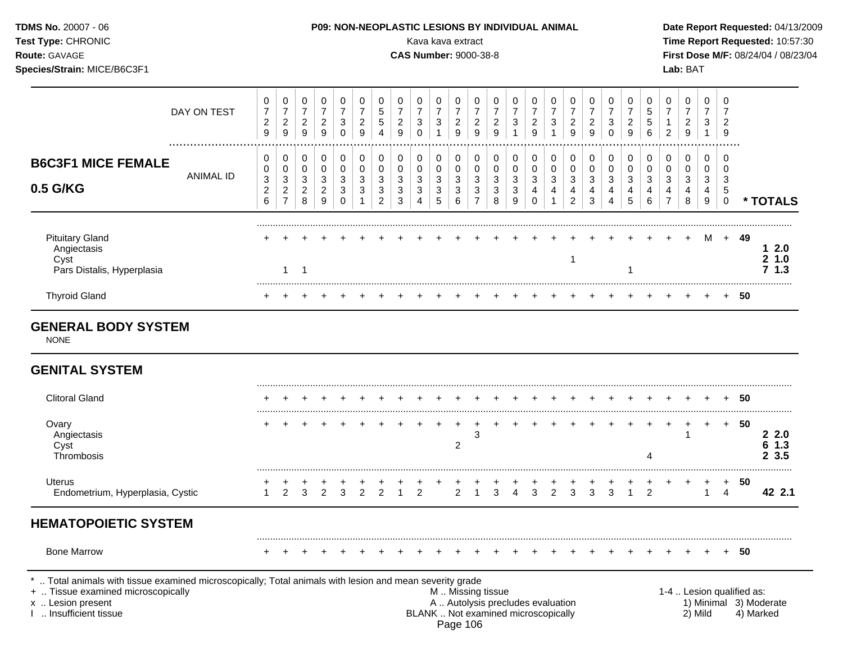|                                  |                                            |                                                 |                                                             |                                            |                                                      |                                              |                                                         |                                                  | Kava kava extract                                  | <b>FUS. NUN-NEUFLASTIC LESIUNS DT INDIVIDUAL ANIMAL</b> |                                                       |                                                         |                                                    |                                                     |                                            |                                           |                                                     |                                        |                                      |                                                       |                                     |                                                         |                                                           |                                         | Date Report Requested. 04/13/200             |      | Time Report Requested: 10:57:30                       |
|----------------------------------|--------------------------------------------|-------------------------------------------------|-------------------------------------------------------------|--------------------------------------------|------------------------------------------------------|----------------------------------------------|---------------------------------------------------------|--------------------------------------------------|----------------------------------------------------|---------------------------------------------------------|-------------------------------------------------------|---------------------------------------------------------|----------------------------------------------------|-----------------------------------------------------|--------------------------------------------|-------------------------------------------|-----------------------------------------------------|----------------------------------------|--------------------------------------|-------------------------------------------------------|-------------------------------------|---------------------------------------------------------|-----------------------------------------------------------|-----------------------------------------|----------------------------------------------|------|-------------------------------------------------------|
|                                  | 0<br>$\overline{7}$<br>$\overline{c}$<br>9 | 0<br>$\overline{7}$<br>$\overline{c}$<br>$9\,$  | 0<br>$\boldsymbol{7}$<br>$\overline{a}$<br>$\boldsymbol{9}$ | 0<br>$\boldsymbol{7}$<br>$\frac{2}{9}$     | 0<br>$\overline{7}$<br>$\sqrt{3}$<br>$\mathbf 0$     | 0<br>$\boldsymbol{7}$<br>$\overline{c}$<br>9 | 0<br>$\sqrt{5}$<br>$\sqrt{5}$<br>$\boldsymbol{\Lambda}$ | 0<br>$\boldsymbol{7}$<br>$\overline{2}$<br>$9\,$ | 0<br>$\overline{7}$<br>$\mathbf{3}$<br>$\mathbf 0$ | 0<br>$\overline{7}$<br>3<br>1                           | 0<br>$\boldsymbol{7}$<br>$\overline{\mathbf{c}}$<br>9 | 0<br>$\overline{7}$<br>$\overline{c}$<br>$\overline{9}$ | 0<br>$\boldsymbol{7}$<br>$\overline{c}$<br>$9\,$   | 0<br>$\overline{7}$<br>$\mathbf{3}$<br>$\mathbf{1}$ | 0<br>$\overline{7}$<br>$\overline{a}$<br>9 | 0<br>$\overline{7}$<br>3<br>1             | 0<br>$\overline{7}$<br>$\overline{\mathbf{c}}$<br>9 | 0<br>$\boldsymbol{7}$<br>$\frac{2}{9}$ | 0<br>$\overline{7}$<br>3<br>$\Omega$ | 0<br>$\boldsymbol{7}$<br>$\overline{\mathbf{c}}$<br>9 | 0<br>$\sqrt{5}$<br>$\,$ 5 $\,$<br>6 | 0<br>$\boldsymbol{7}$<br>$\mathbf{1}$<br>$\overline{2}$ | 0<br>$\overline{7}$<br>$\overline{c}$<br>$\boldsymbol{9}$ | 0<br>$\overline{7}$<br>3<br>$\mathbf 1$ | 0<br>7<br>$\overline{c}$<br>9                |      |                                                       |
| <b>ANIMAL ID</b>                 | 0<br>0<br>3<br>$\overline{c}$<br>6         | 0<br>0<br>3<br>$\overline{c}$<br>$\overline{7}$ | 0<br>$\mathbf 0$<br>3<br>$\overline{\mathbf{c}}$<br>8       | 0<br>$\pmb{0}$<br>3<br>$\overline{c}$<br>9 | 0<br>$\mathbf 0$<br>$\mathbf{3}$<br>3<br>$\mathbf 0$ | 0<br>$\mathbf 0$<br>3<br>3                   | 0<br>$\mathbf 0$<br>3<br>3<br>2                         | 0<br>0<br>3<br>3<br>3                            | 0<br>$\mathbf 0$<br>$\sqrt{3}$<br>3<br>4           | 0<br>0<br>3<br>3<br>5                                   | 0<br>0<br>3<br>3<br>6                                 | 0<br>$\pmb{0}$<br>3<br>3<br>$\overline{7}$              | 0<br>$\mathsf{O}\xspace$<br>3<br>$\mathbf{3}$<br>8 | 0<br>$\mathbf 0$<br>$\sqrt{3}$<br>3<br>9            | 0<br>0<br>3<br>4<br>$\Omega$               | 0<br>$\mathbf 0$<br>3<br>4<br>$\mathbf 1$ | 0<br>$\mathbf 0$<br>3<br>4<br>$\overline{2}$        | 0<br>$\pmb{0}$<br>3<br>4<br>3          | 0<br>0<br>3<br>4<br>4                | 0<br>0<br>3<br>4<br>5                                 | 0<br>$\mathbf 0$<br>3<br>4<br>6     | 0<br>$\mathbf 0$<br>$\mathbf{3}$<br>4<br>$\overline{7}$ | 0<br>0<br>3<br>4<br>8                                     | 0<br>0<br>3<br>4<br>9                   | 0<br>$\mathbf 0$<br>3<br>5<br>$\overline{0}$ |      | * TOTALS                                              |
|                                  |                                            | $\mathbf{1}$                                    | $\overline{1}$                                              |                                            |                                                      |                                              |                                                         |                                                  |                                                    |                                                         |                                                       |                                                         |                                                    |                                                     |                                            |                                           | 1                                                   |                                        |                                      | 1                                                     |                                     |                                                         |                                                           | м                                       |                                              |      | 12.0<br>21.0<br>71.3                                  |
|                                  |                                            |                                                 |                                                             |                                            |                                                      |                                              |                                                         |                                                  |                                                    |                                                         |                                                       |                                                         |                                                    |                                                     |                                            |                                           |                                                     |                                        |                                      |                                                       |                                     |                                                         |                                                           |                                         |                                              |      |                                                       |
|                                  |                                            |                                                 |                                                             |                                            |                                                      |                                              |                                                         |                                                  |                                                    |                                                         |                                                       |                                                         |                                                    |                                                     |                                            |                                           |                                                     |                                        |                                      |                                                       |                                     |                                                         |                                                           |                                         |                                              |      |                                                       |
|                                  |                                            |                                                 |                                                             |                                            |                                                      |                                              |                                                         |                                                  |                                                    |                                                         |                                                       |                                                         |                                                    |                                                     |                                            |                                           |                                                     |                                        |                                      |                                                       |                                     |                                                         |                                                           |                                         |                                              |      |                                                       |
|                                  |                                            |                                                 |                                                             |                                            |                                                      |                                              |                                                         |                                                  |                                                    |                                                         |                                                       |                                                         |                                                    |                                                     |                                            |                                           |                                                     |                                        |                                      |                                                       |                                     |                                                         |                                                           |                                         |                                              | + 50 |                                                       |
|                                  |                                            |                                                 |                                                             |                                            |                                                      |                                              |                                                         |                                                  |                                                    |                                                         | $\overline{2}$                                        | 3                                                       |                                                    |                                                     |                                            |                                           |                                                     |                                        |                                      |                                                       | 4                                   |                                                         | 1                                                         | $\ddot{}$                               | $+$                                          | 50   | 22.0<br>61.3<br>23.5                                  |
| Endometrium, Hyperplasia, Cystic | 1                                          | 2                                               | 3                                                           | 2                                          | 3                                                    | $\overline{2}$                               | $\overline{2}$                                          | $\overline{1}$                                   | 2                                                  |                                                         | $\overline{2}$                                        | $\overline{1}$                                          | 3                                                  | $\overline{\mathbf{4}}$                             | 3                                          | 2                                         | 3                                                   | 3                                      | 3                                    | $\mathbf{1}$                                          | $\overline{2}$                      |                                                         |                                                           | $\mathbf{1}$                            | $\overline{4}$                               | 50   | 42 2.1                                                |
| <b>HEMATOPOIETIC SYSTEM</b>      |                                            |                                                 |                                                             |                                            |                                                      |                                              |                                                         |                                                  |                                                    |                                                         |                                                       |                                                         |                                                    |                                                     |                                            |                                           |                                                     |                                        |                                      |                                                       |                                     |                                                         |                                                           |                                         |                                              |      |                                                       |
|                                  | DAY ON TEST<br><b>GENERAL BODY SYSTEM</b>  |                                                 |                                                             |                                            |                                                      |                                              |                                                         |                                                  |                                                    |                                                         |                                                       |                                                         |                                                    | <b>CAS Number: 9000-38-8</b>                        |                                            |                                           |                                                     |                                        |                                      |                                                       |                                     |                                                         |                                                           |                                         | Lab: BAT                                     |      | First Dose M/F: 08/24/04 / 08/23/04<br>+ 49<br>$+ 50$ |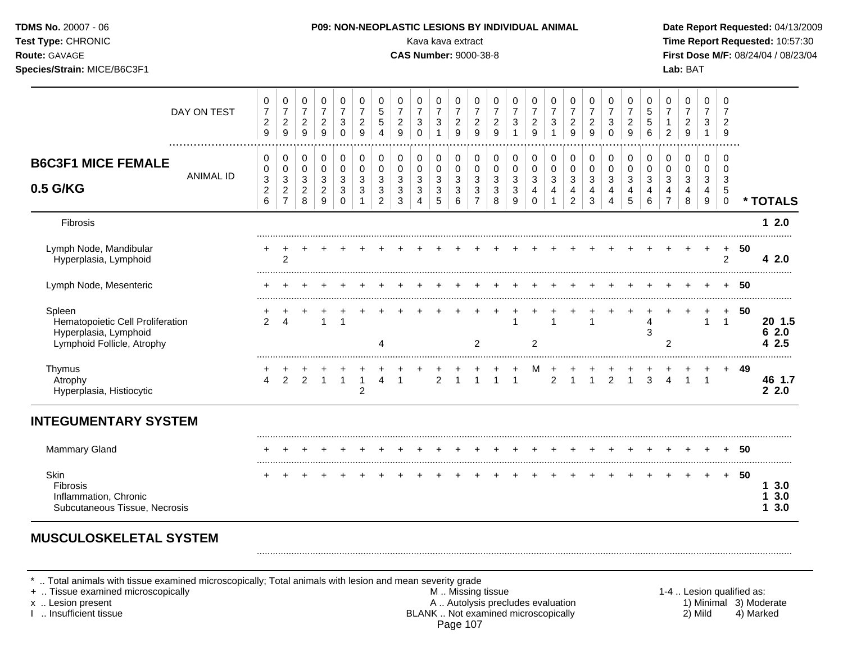| Test Type: CHRONIC<br>Route: GAVAGE<br>Species/Strain: MICE/B6C3F1                                |                  |                                                                           |                                                                                   |                                             |                                                                                             |                                                |                                                        |                                                              |                                                                    | Kava kava extract<br><b>CAS Number: 9000-38-8</b> |                                                  |                                                                             |                                                              |                                                             |                                 |                                                   |                                                            |                                              |                                                                              |                                                                                |                                                     |                                         |                                                                                     | Lab: BAT                                                           |                                                                     |                                                     |        | Time Report Requested: 10:57:30<br>First Dose M/F: 08/24/04 / 08/23/04 |
|---------------------------------------------------------------------------------------------------|------------------|---------------------------------------------------------------------------|-----------------------------------------------------------------------------------|---------------------------------------------|---------------------------------------------------------------------------------------------|------------------------------------------------|--------------------------------------------------------|--------------------------------------------------------------|--------------------------------------------------------------------|---------------------------------------------------|--------------------------------------------------|-----------------------------------------------------------------------------|--------------------------------------------------------------|-------------------------------------------------------------|---------------------------------|---------------------------------------------------|------------------------------------------------------------|----------------------------------------------|------------------------------------------------------------------------------|--------------------------------------------------------------------------------|-----------------------------------------------------|-----------------------------------------|-------------------------------------------------------------------------------------|--------------------------------------------------------------------|---------------------------------------------------------------------|-----------------------------------------------------|--------|------------------------------------------------------------------------|
|                                                                                                   | DAY ON TEST      | 0<br>$\overline{7}$<br>$\overline{\mathbf{c}}$<br>9                       | 0<br>$\overline{7}$<br>$\overline{c}$<br>9                                        | 0<br>$\overline{7}$<br>$\overline{c}$<br>9  | 0<br>$\overline{7}$<br>$\overline{\mathbf{c}}$<br>9                                         | 0<br>$\overline{7}$<br>3<br>$\Omega$           | $\mathbf 0$<br>$\overline{7}$<br>$\boldsymbol{2}$<br>9 | 0<br>$\sqrt{5}$<br>$\sqrt{5}$<br>$\overline{4}$              | 0<br>$\overline{7}$<br>$\overline{c}$<br>9                         | 0<br>$\overline{7}$<br>3<br>$\Omega$              | 0<br>$\overline{7}$<br>3<br>$\mathbf{1}$         | 0<br>$\overline{7}$<br>$\overline{c}$<br>$\mathsf g$                        | 0<br>$\overline{7}$<br>$\frac{2}{9}$                         | 0<br>$\overline{7}$<br>$\boldsymbol{2}$<br>9                | 0<br>$\overline{7}$<br>3<br>1   | 0<br>$\overline{7}$<br>$\overline{c}$<br>9        | 0<br>$\overline{7}$<br>3                                   | 0<br>$\overline{7}$<br>$\overline{c}$<br>9   | 0<br>$\overline{7}$<br>$\overline{c}$<br>9                                   | 0<br>$\overline{7}$<br>$\mathbf{3}$<br>$\Omega$                                | 0<br>$\overline{7}$<br>$\overline{\mathbf{c}}$<br>9 | 0<br>5<br>$\,$ 5 $\,$<br>$6\phantom{1}$ | 0<br>$\overline{7}$<br>$\mathbf{1}$<br>$\overline{2}$                               | 0<br>$\overline{7}$<br>$\overline{\mathbf{c}}$<br>$\boldsymbol{9}$ | $\mathbf 0$<br>7<br>3<br>$\mathbf{1}$                               | $\mathbf 0$<br>7<br>$\overline{2}$<br>9             |        |                                                                        |
| <b>B6C3F1 MICE FEMALE</b><br>0.5 G/KG                                                             | <b>ANIMAL ID</b> | 0<br>0<br>$\ensuremath{\mathsf{3}}$<br>$\boldsymbol{2}$<br>$6\phantom{1}$ | 0<br>$\mathbf 0$<br>$\ensuremath{\mathsf{3}}$<br>$\overline{c}$<br>$\overline{7}$ | 0<br>0<br>$\sqrt{3}$<br>$\overline{2}$<br>8 | $\mathbf 0$<br>$\pmb{0}$<br>$\ensuremath{\mathsf{3}}$<br>$\overline{c}$<br>$\boldsymbol{9}$ | $\pmb{0}$<br>$\mathbf 0$<br>3<br>3<br>$\Omega$ | $\mathbf 0$<br>$\mathbf 0$<br>3<br>3                   | 0<br>$\pmb{0}$<br>$\sqrt{3}$<br>$\sqrt{3}$<br>$\overline{c}$ | 0<br>$\mathbf 0$<br>3<br>$\ensuremath{\mathsf{3}}$<br>$\mathbf{3}$ | 0<br>$\mathbf 0$<br>3<br>3<br>4                   | $\pmb{0}$<br>$\mathbf 0$<br>3<br>$\sqrt{3}$<br>5 | $\pmb{0}$<br>$\mathsf 0$<br>$\sqrt{3}$<br>$\mathfrak{3}$<br>$6\phantom{1}6$ | 0<br>$\pmb{0}$<br>$\sqrt{3}$<br>$\sqrt{3}$<br>$\overline{7}$ | $\mathbf 0$<br>$\mathbf 0$<br>$\sqrt{3}$<br>$\sqrt{3}$<br>8 | 0<br>$\mathbf 0$<br>3<br>3<br>9 | 0<br>$\mathbf 0$<br>$\mathbf{3}$<br>4<br>$\Omega$ | $\mathbf 0$<br>$\pmb{0}$<br>$\mathbf{3}$<br>$\overline{4}$ | $\mathbf 0$<br>0<br>3<br>4<br>$\overline{2}$ | $\mathbf 0$<br>$\mathbf 0$<br>$\mathbf{3}$<br>$\overline{4}$<br>$\mathbf{3}$ | $\mathbf 0$<br>$\mathbf 0$<br>$\mathbf{3}$<br>$\overline{4}$<br>$\overline{4}$ | 0<br>$\mathbf 0$<br>$\mathbf{3}$<br>4<br>5          | 0<br>0<br>3<br>4<br>6                   | $\mathbf 0$<br>$\pmb{0}$<br>$\sqrt{3}$<br>$\overline{\mathbf{4}}$<br>$\overline{7}$ | $\mathbf 0$<br>$\pmb{0}$<br>3<br>4<br>$\,8\,$                      | $\mathbf 0$<br>$\mathbf 0$<br>$\mathbf{3}$<br>4<br>$\boldsymbol{9}$ | $\mathbf 0$<br>$\mathbf 0$<br>3<br>5<br>$\mathbf 0$ |        | * TOTALS                                                               |
| <b>Fibrosis</b>                                                                                   |                  |                                                                           |                                                                                   |                                             |                                                                                             |                                                |                                                        |                                                              |                                                                    |                                                   |                                                  |                                                                             |                                                              |                                                             |                                 |                                                   |                                                            |                                              |                                                                              |                                                                                |                                                     |                                         |                                                                                     |                                                                    |                                                                     |                                                     |        | 12.0                                                                   |
| Lymph Node, Mandibular<br>Hyperplasia, Lymphoid                                                   |                  |                                                                           | $\overline{2}$                                                                    |                                             |                                                                                             |                                                |                                                        |                                                              |                                                                    |                                                   |                                                  |                                                                             |                                                              |                                                             |                                 |                                                   |                                                            |                                              |                                                                              |                                                                                |                                                     |                                         |                                                                                     |                                                                    |                                                                     | $\ddot{}$<br>$\overline{2}$                         | 50     | 4 2.0                                                                  |
| Lymph Node, Mesenteric                                                                            |                  |                                                                           |                                                                                   |                                             |                                                                                             |                                                |                                                        |                                                              |                                                                    |                                                   |                                                  |                                                                             |                                                              |                                                             |                                 |                                                   |                                                            |                                              |                                                                              |                                                                                |                                                     |                                         |                                                                                     |                                                                    |                                                                     |                                                     | -50    |                                                                        |
| Spleen<br>Hematopoietic Cell Proliferation<br>Hyperplasia, Lymphoid<br>Lymphoid Follicle, Atrophy |                  | $\mathcal{P}$                                                             | $\boldsymbol{\Delta}$                                                             |                                             | $\ddot{}$<br>$\mathbf{1}$                                                                   | +<br>$\mathbf{1}$                              | $\pm$                                                  | 4                                                            |                                                                    |                                                   |                                                  |                                                                             | $\ddot{}$<br>$\overline{2}$                                  | $\overline{+}$                                              | $\ddot{}$                       | $\overline{c}$                                    | $\overline{1}$                                             |                                              | $\overline{1}$                                                               |                                                                                |                                                     | $\ddot{}$<br>$\overline{4}$<br>3        | $\overline{2}$                                                                      |                                                                    | +<br>$\mathbf{1}$                                                   | $+$<br>$\overline{1}$                               | 50     | 20 1.5<br>62.0<br>42.5                                                 |
| Thymus<br>Atrophy<br>Hyperplasia, Histiocytic                                                     |                  | $\overline{4}$                                                            | $\overline{2}$                                                                    | $\overline{2}$                              | $\mathbf{1}$                                                                                | $\mathbf{1}$                                   | $\overline{1}$<br>$\overline{c}$                       | 4                                                            | $\overline{1}$                                                     |                                                   | $\overline{2}$                                   | $\overline{1}$                                                              | $\overline{1}$                                               | $\mathbf{1}$                                                | $\mathbf{1}$                    | M                                                 | $\overline{2}$                                             | $\mathbf{1}$                                 | $\mathbf{1}$                                                                 | 2                                                                              | $\mathbf{1}$                                        | $\overline{3}$                          | $\overline{4}$                                                                      | $\mathbf{1}$                                                       | $\overline{1}$                                                      |                                                     | + 49   | 46 1.7<br>22.0                                                         |
| <b>INTEGUMENTARY SYSTEM</b>                                                                       |                  |                                                                           |                                                                                   |                                             |                                                                                             |                                                |                                                        |                                                              |                                                                    |                                                   |                                                  |                                                                             |                                                              |                                                             |                                 |                                                   |                                                            |                                              |                                                                              |                                                                                |                                                     |                                         |                                                                                     |                                                                    |                                                                     |                                                     |        |                                                                        |
| <b>Mammary Gland</b>                                                                              |                  |                                                                           |                                                                                   |                                             |                                                                                             |                                                |                                                        |                                                              |                                                                    |                                                   |                                                  |                                                                             |                                                              |                                                             | $+$                             |                                                   |                                                            |                                              |                                                                              |                                                                                |                                                     | $\div$                                  |                                                                                     | $+$                                                                | $+$                                                                 |                                                     | $+ 50$ |                                                                        |
| Skin<br>Fibrosis<br>Inflammation, Chronic<br>Subcutaneous Tissue, Necrosis                        |                  |                                                                           |                                                                                   |                                             |                                                                                             |                                                |                                                        |                                                              |                                                                    |                                                   |                                                  |                                                                             |                                                              |                                                             |                                 |                                                   |                                                            |                                              |                                                                              |                                                                                |                                                     |                                         |                                                                                     |                                                                    |                                                                     | $+$                                                 | -50    | 13.0<br>3.0<br>3.0<br>1                                                |

## **MUSCULOSKELETAL SYSTEM**

\* .. Total animals with tissue examined microscopically; Total animals with lesion and mean severity grade

+ .. Tissue examined microscopically M .. Missing tissue 1-4 .. Lesion qualified as: x .. Lesion present **A .. Autolysis precludes evaluation** A .. Autolysis precludes evaluation 1) Minimal 3) Moderate I .. Insufficient tissue BLANK .. Not examined microscopically 2) Mild 4) Marked Page 107

.........................................................................................................................................................................................................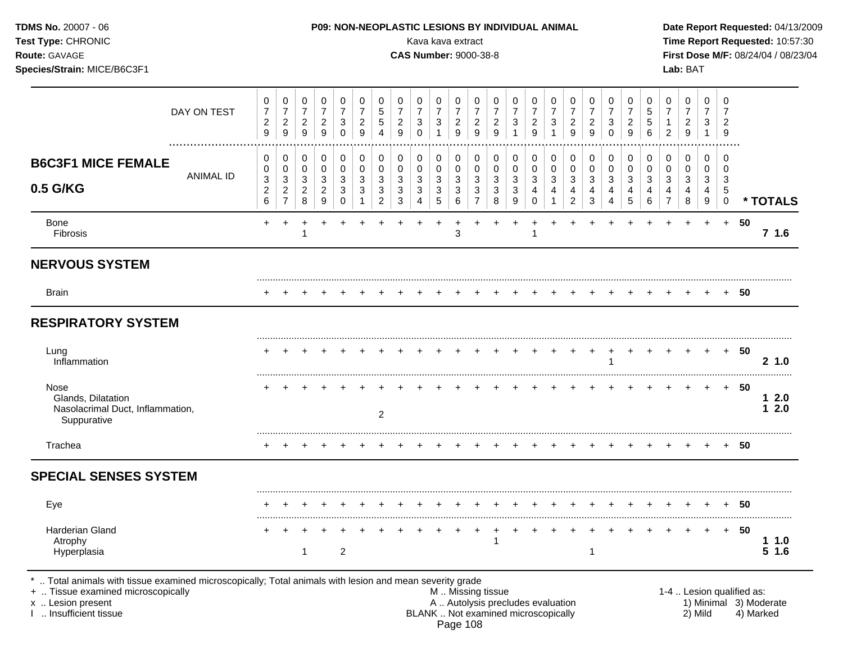| P09: NON-NEOPLASTIC LESIONS BY INDIVIDUAL ANIMAL<br>Kava kava extract<br><b>CAS Number: 9000-38-8</b> |                                              |                                                             |                                                           |                                         |                                            |                                                   |                                              |                                         |                                             |                                                      |                                            |                  |                               |                                                             |                                | Date Report Requested: 04/13/2009<br>Time Report Requested: 10:57:30<br>First Dose M/F: 08/24/04 / 08/23/04<br>Lab: BAT |                                            |                                      |                                            |                          |                            |                                            |                                            |                               |           |                 |
|-------------------------------------------------------------------------------------------------------|----------------------------------------------|-------------------------------------------------------------|-----------------------------------------------------------|-----------------------------------------|--------------------------------------------|---------------------------------------------------|----------------------------------------------|-----------------------------------------|---------------------------------------------|------------------------------------------------------|--------------------------------------------|------------------|-------------------------------|-------------------------------------------------------------|--------------------------------|-------------------------------------------------------------------------------------------------------------------------|--------------------------------------------|--------------------------------------|--------------------------------------------|--------------------------|----------------------------|--------------------------------------------|--------------------------------------------|-------------------------------|-----------|-----------------|
| 0<br>$\boldsymbol{7}$<br>$\overline{c}$<br>9                                                          | 0<br>$\boldsymbol{7}$<br>$\overline{c}$<br>9 | 0<br>$\boldsymbol{7}$<br>$\overline{a}$<br>$\boldsymbol{9}$ | 0<br>$\overline{7}$<br>$\overline{c}$<br>$\boldsymbol{9}$ | 0<br>$\overline{7}$<br>3<br>$\mathbf 0$ | 0<br>$\overline{7}$<br>$\overline{c}$<br>9 | 0<br>$\mathbf 5$<br>$\mathbf 5$<br>$\overline{4}$ | 0<br>$\boldsymbol{7}$<br>$\overline{c}$<br>9 | 0<br>$\overline{7}$<br>3<br>$\mathbf 0$ | 0<br>$\overline{7}$<br>$\sqrt{3}$           | 0<br>$\boldsymbol{7}$<br>$\frac{2}{9}$               | 0<br>$\overline{7}$<br>$\overline{c}$<br>9 | 0<br>7<br>2<br>9 | 0<br>$\overline{7}$<br>3<br>1 | 0<br>$\boldsymbol{7}$<br>$\overline{c}$<br>$\boldsymbol{9}$ | 0<br>$\overline{7}$<br>3<br>-1 | 0<br>7<br>2<br>9                                                                                                        | 0<br>$\overline{7}$<br>$\overline{c}$<br>9 | 0<br>$\overline{7}$<br>3<br>$\Omega$ | 0<br>$\overline{7}$<br>$\overline{c}$<br>9 | 0<br>5<br>5<br>6         | 0<br>$\overline{7}$<br>2   | 0<br>$\overline{7}$<br>$\overline{c}$<br>9 | 0<br>$\overline{7}$<br>3<br>$\overline{1}$ | 0<br>7<br>$\overline{2}$<br>9 |           |                 |
| 0<br>0<br>3<br>$\overline{c}$                                                                         | 0<br>$\pmb{0}$<br>3<br>$\overline{c}$        | 0<br>$\pmb{0}$<br>$\sqrt{3}$<br>$\overline{c}$              | 0<br>0<br>3<br>$\overline{\mathbf{c}}$                    | 0<br>0<br>3<br>3                        | 0<br>$\pmb{0}$<br>3<br>3                   | 0<br>$\pmb{0}$<br>3<br>3                          | 0<br>0<br>3<br>3                             | 0<br>0<br>3<br>3                        | $\pmb{0}$<br>$\mathsf 0$<br>$\sqrt{3}$<br>3 | $\pmb{0}$<br>$\pmb{0}$<br>$\mathbf{3}$<br>$\sqrt{3}$ | 0<br>$\pmb{0}$<br>$\sqrt{3}$<br>3          | 0<br>0<br>3<br>3 | 0<br>$\pmb{0}$<br>3<br>3      | 0<br>$\pmb{0}$<br>3<br>4                                    | 0<br>$\mathbf 0$<br>3<br>4     | 0<br>0<br>3                                                                                                             | 0<br>0<br>3<br>4                           | 0<br>0<br>3<br>4                     | 0<br>$\pmb{0}$<br>3<br>4                   | 0<br>$\pmb{0}$<br>3<br>4 | $\mathbf 0$<br>0<br>3<br>4 | 0<br>$\mathbf 0$<br>$\sqrt{3}$<br>4        | 0<br>0<br>3<br>4                           | 0<br>0<br>$\mathbf{3}$<br>5   |           | * TOTALS        |
| $+$                                                                                                   | $\ddot{}$                                    | $\ddot{}$                                                   | $\ddot{}$                                                 |                                         |                                            |                                                   |                                              |                                         | $\ddot{}$                                   | $\ddot{}$<br>3                                       |                                            | $\ddot{}$        | $\ddot{}$                     | $\ddot{}$                                                   |                                |                                                                                                                         |                                            |                                      |                                            |                          |                            |                                            | $+$                                        | $+$                           | 50        | 71.6            |
|                                                                                                       |                                              |                                                             |                                                           |                                         |                                            |                                                   |                                              |                                         |                                             |                                                      |                                            |                  |                               |                                                             |                                |                                                                                                                         |                                            |                                      |                                            |                          |                            |                                            |                                            |                               |           |                 |
|                                                                                                       |                                              |                                                             |                                                           |                                         |                                            |                                                   |                                              |                                         |                                             |                                                      |                                            |                  |                               |                                                             |                                |                                                                                                                         |                                            |                                      |                                            |                          |                            |                                            |                                            |                               | 50        |                 |
|                                                                                                       |                                              |                                                             |                                                           |                                         |                                            |                                                   |                                              |                                         |                                             |                                                      |                                            |                  |                               |                                                             |                                |                                                                                                                         |                                            |                                      |                                            |                          |                            |                                            |                                            |                               |           |                 |
|                                                                                                       |                                              |                                                             |                                                           |                                         |                                            |                                                   |                                              |                                         |                                             |                                                      |                                            |                  |                               |                                                             |                                |                                                                                                                         |                                            | $\cdot$                              | $\ddot{}$                                  |                          |                            |                                            | $\ddot{}$                                  |                               | 50        | 2, 1.0          |
|                                                                                                       |                                              |                                                             |                                                           |                                         |                                            | 2                                                 |                                              |                                         |                                             |                                                      |                                            |                  |                               |                                                             |                                |                                                                                                                         |                                            |                                      |                                            |                          |                            |                                            |                                            | $\pm$                         | 50        | 12.0<br>12.0    |
|                                                                                                       |                                              |                                                             |                                                           |                                         |                                            |                                                   |                                              |                                         |                                             |                                                      |                                            |                  |                               |                                                             |                                |                                                                                                                         |                                            |                                      |                                            |                          |                            |                                            |                                            |                               | 50        |                 |
|                                                                                                       |                                              |                                                             |                                                           |                                         |                                            |                                                   |                                              |                                         |                                             |                                                      |                                            |                  |                               |                                                             |                                |                                                                                                                         |                                            |                                      |                                            |                          |                            |                                            |                                            |                               |           |                 |
|                                                                                                       |                                              |                                                             |                                                           |                                         |                                            |                                                   |                                              |                                         |                                             |                                                      |                                            |                  |                               |                                                             |                                |                                                                                                                         |                                            |                                      |                                            |                          |                            |                                            |                                            |                               | 50        |                 |
|                                                                                                       |                                              | 1                                                           |                                                           | $\boldsymbol{2}$                        |                                            |                                                   |                                              |                                         |                                             |                                                      |                                            |                  |                               |                                                             |                                |                                                                                                                         | -1                                         |                                      |                                            |                          |                            |                                            |                                            | $\ddot{}$                     | 50        | 11.0<br>$5$ 1.6 |
|                                                                                                       | 6                                            | $\overline{7}$                                              | 8                                                         | 9                                       | $\Omega$                                   |                                                   | $\overline{c}$                               | 3                                       | 4                                           | 5                                                    | 6                                          | $\overline{7}$   | 8                             | 9                                                           | $\mathbf 0$                    | 1                                                                                                                       | 2                                          | 3                                    | 4                                          | $\sqrt{5}$               | 6                          | $\overline{7}$                             | 8                                          | 9                             | $\pmb{0}$ | $+$             |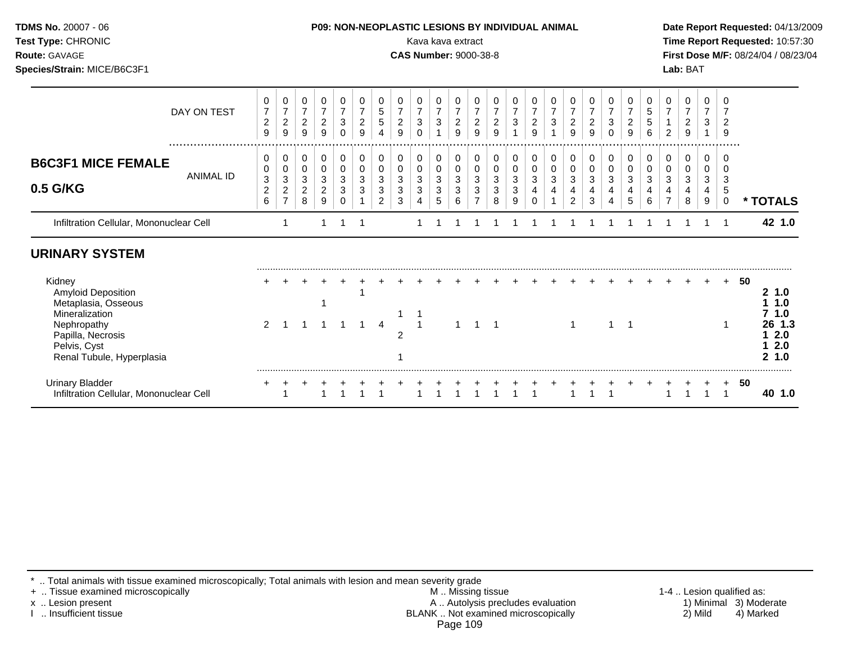| <b>TDMS No. 20007 - 06</b> |  |
|----------------------------|--|
| <b>Test Type: CHRONIC</b>  |  |
| Route: GAVAGE              |  |

#### **P09: NON-NEOPLASTIC LESIONS BY INDIVIDUAL ANIMAL Date Report Requested: 04/13/2009**

Kava kava extract **Time Report Requested:** 10:57:30 **CAS Number:** 9000-38-8 **First Dose M/F:** 08/24/04 / 08/23/04 **Species/Strain:** MICE/B6C3F1 **Lab:** BAT

|                                                                                                                                                        | DAY ON TEST | 0<br>$\overline{7}$<br>$\overline{c}$<br>9 | 0<br>7<br>$\boldsymbol{2}$<br>9                 | 0<br>$\overline{7}$<br>$\overline{c}$<br>9 | 0<br>$\boldsymbol{7}$<br>$\overline{c}$<br>9 | 0<br>$\overline{7}$<br>3<br>0 | 0<br>$\overline{c}$<br>9 | 5                       | 0<br>$\overline{7}$<br>$\overline{c}$<br>9 | 0<br>$\overline{7}$<br>3<br>$\Omega$ | 0<br>$\overline{7}$<br>$\sqrt{3}$<br>$\overline{A}$ | 0<br>$\overline{7}$<br>$\overline{2}$<br>9 | 0<br>$\overline{7}$<br>$\boldsymbol{2}$<br>9 | 0<br>$\overline{7}$<br>$\overline{c}$<br>9 | 7<br>$\sqrt{3}$       | 0<br>$\overline{7}$<br>$\overline{c}$<br>9 | 0<br>$\overline{7}$<br>$\mathbf{3}$<br>$\overline{A}$ | 0<br>$\overline{7}$<br>$\sqrt{2}$<br>9 | 0<br>$\overline{7}$<br>$\overline{c}$<br>9 | 0<br>7<br>3<br>0   | $\overline{2}$<br>9 | 0<br>$\mathbf 5$<br>5<br>6 | 0<br>7<br>$\overline{2}$ | 0<br>$\overline{7}$<br>$\overline{c}$<br>9 | 0<br>$\overline{7}$<br>3            | 0<br>2<br>9           |    |                                                                       |
|--------------------------------------------------------------------------------------------------------------------------------------------------------|-------------|--------------------------------------------|-------------------------------------------------|--------------------------------------------|----------------------------------------------|-------------------------------|--------------------------|-------------------------|--------------------------------------------|--------------------------------------|-----------------------------------------------------|--------------------------------------------|----------------------------------------------|--------------------------------------------|-----------------------|--------------------------------------------|-------------------------------------------------------|----------------------------------------|--------------------------------------------|--------------------|---------------------|----------------------------|--------------------------|--------------------------------------------|-------------------------------------|-----------------------|----|-----------------------------------------------------------------------|
| <b>B6C3F1 MICE FEMALE</b><br>0.5 G/KG                                                                                                                  | ANIMAL ID   | 0<br>0<br>3<br>$\overline{c}$<br>6         | 0<br>0<br>3<br>$\overline{c}$<br>$\overline{7}$ | 0<br>0<br>3<br>$\overline{c}$<br>8         | 0<br>0<br>3<br>$\overline{c}$<br>9           | 0<br>0<br>3<br>3<br>0         | 0<br>$\Omega$<br>3<br>3  | 0<br>$\Omega$<br>3<br>3 | 0<br>0<br>3<br>3<br>3                      | 0<br>0<br>3<br>3<br>4                | 0<br>0<br>3<br>3<br>5                               | 0<br>$\Omega$<br>3<br>$\mathbf{3}$<br>6    | 0<br>$\Omega$<br>3<br>3                      | 0<br>0<br>3<br>3<br>8                      | 0<br>0<br>3<br>3<br>9 | $\pmb{0}$<br>0<br>3<br>4<br>0              | 0<br>0<br>3<br>4                                      | 0<br>0<br>3<br>4<br>$\overline{2}$     | 0<br>$\mathbf 0$<br>3<br>4<br>3            | 0<br>$\Omega$<br>3 | 0<br>0<br>3<br>5    | 0<br>$\Omega$<br>3<br>6    | 0<br>0<br>3<br>4         | 0<br>0<br>3<br>4<br>8                      | $\Omega$<br>$\Omega$<br>3<br>4<br>9 | 0<br>0<br>3<br>5<br>0 |    | * TOTALS                                                              |
| Infiltration Cellular, Mononuclear Cell                                                                                                                |             |                                            |                                                 |                                            |                                              |                               |                          |                         |                                            |                                      |                                                     |                                            |                                              |                                            |                       |                                            |                                                       |                                        |                                            |                    |                     |                            |                          |                                            |                                     |                       |    | 42 1.0                                                                |
| <b>URINARY SYSTEM</b>                                                                                                                                  |             |                                            |                                                 |                                            |                                              |                               |                          |                         |                                            |                                      |                                                     |                                            |                                              |                                            |                       |                                            |                                                       |                                        |                                            |                    |                     |                            |                          |                                            |                                     |                       |    |                                                                       |
| Kidney<br>Amyloid Deposition<br>Metaplasia, Osseous<br>Mineralization<br>Nephropathy<br>Papilla, Necrosis<br>Pelvis, Cyst<br>Renal Tubule, Hyperplasia |             | $\overline{2}$                             |                                                 |                                            |                                              |                               |                          | 4                       | $\overline{2}$                             |                                      |                                                     |                                            |                                              | $\overline{1}$                             |                       |                                            |                                                       |                                        |                                            |                    |                     |                            |                          |                                            |                                     |                       | 50 | 2<br>1.0<br>1.0<br>1.0<br>26 1.3<br>2.0<br>2.0<br>1.0<br>$\mathbf{2}$ |
| <b>Urinary Bladder</b><br>Infiltration Cellular, Mononuclear Cell                                                                                      |             |                                            |                                                 |                                            |                                              |                               |                          |                         |                                            |                                      |                                                     |                                            |                                              |                                            |                       |                                            |                                                       |                                        |                                            |                    |                     |                            |                          |                                            |                                     |                       | 50 | 40 1.0                                                                |

\* .. Total animals with tissue examined microscopically; Total animals with lesion and mean severity grade

+ .. Tissue examined microscopically M .. Missing tissue 1-4 .. Lesion qualified as: x .. Lesion present **A .. Autolysis precludes evaluation** A .. Autolysis precludes evaluation 1) Minimal 3) Moderate I .. Insufficient tissue BLANK .. Not examined microscopically 2) Mild 4) Marked Page 109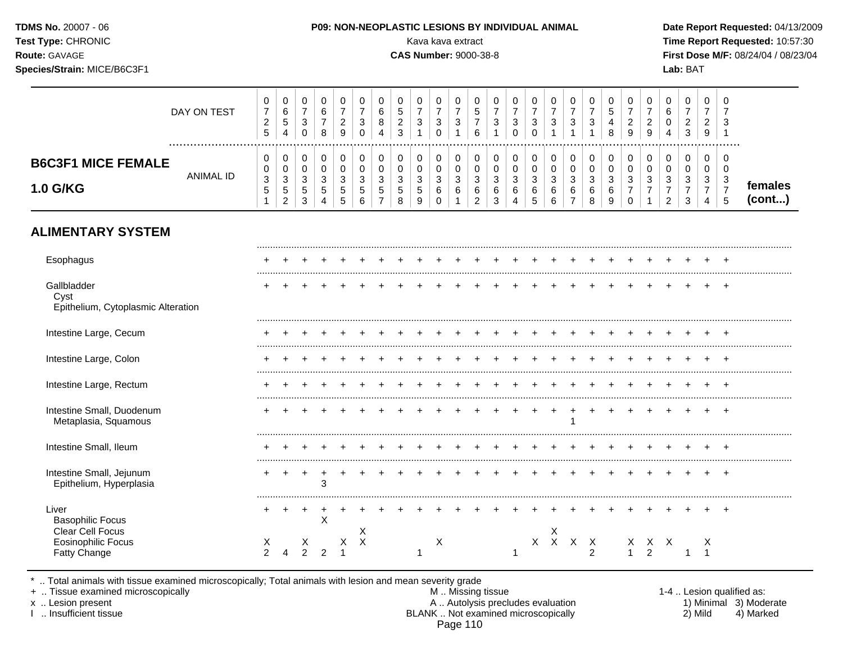| <b>TDMS No. 20007 - 06</b><br><b>Test Type: CHRONIC</b><br><b>Route: GAVAGE</b><br>Species/Strain: MICE/B6C3F1 |             |   |  |  |               |        | Kava kava extract<br><b>CAS Number: 9000-38-8</b> |             |                  |   | <b>P09: NON-NEOPLASTIC LESIONS BY INDIVIDUAL ANIMAL</b> |  |  |  | Lab: BAT |  | Date Report Requested: 04/13/2009<br>Time Report Requested: 10:57:30<br><b>First Dose M/F: 08/24/04 / 08/23/04</b> |  |
|----------------------------------------------------------------------------------------------------------------|-------------|---|--|--|---------------|--------|---------------------------------------------------|-------------|------------------|---|---------------------------------------------------------|--|--|--|----------|--|--------------------------------------------------------------------------------------------------------------------|--|
|                                                                                                                | DAY ON TEST | 6 |  |  | $\Omega$<br>6 | 0<br>5 |                                                   | $\mathbf 0$ | $\mathbf 0$<br>5 | 0 |                                                         |  |  |  |          |  |                                                                                                                    |  |

|                                                                  | <sup>o</sup><br><u>_</u><br><sub>5</sub> | . ರ<br>4          | ັ<br>0                | 8 | ◠<br><u>_</u><br>9                                      |     | o<br>4      | $\sqrt{2}$ | ັ                      | ັ           | c        | C.<br>ັ           | n      | ັ      | o | <u>_</u><br>9 | ັ      |   | ົ                                  |                   |
|------------------------------------------------------------------|------------------------------------------|-------------------|-----------------------|---|---------------------------------------------------------|-----|-------------|------------|------------------------|-------------|----------|-------------------|--------|--------|---|---------------|--------|---|------------------------------------|-------------------|
| <b>B6C3F1 MICE FEMALE</b><br><b>ANIMAL ID</b><br><b>1.0 G/KG</b> | ◡<br>v<br>ີ<br>ັ<br>∽<br>ັ               | U<br>ັບ<br>J<br>Ð | U<br>U<br>ັ<br>◡<br>ັ | ັ | ັ<br>ັ<br>⌒<br>ັ<br>$\ddot{\phantom{1}}$<br>ັ<br>∽<br>ັ | . ರ | ັ<br>∽<br>ັ | ັ          | ັ<br>ັບ<br>ັ<br>ັ<br>O | ν<br>ັ<br>O | <u>_</u> | ັ<br>6<br>⌒<br>ັບ | ◡<br>ັ | ັ<br>v |   | ັ             | J<br>ں | ັ | <br>ັບ<br>$\overline{\phantom{a}}$ | females<br>(cont) |

# **ALIMENTARY SYSTEM**

| Esophagus                                                 |                       |   |                         |   |   |   |  |   |  |  |   |              |              |               |   |                      |  |   |  |
|-----------------------------------------------------------|-----------------------|---|-------------------------|---|---|---|--|---|--|--|---|--------------|--------------|---------------|---|----------------------|--|---|--|
| Gallbladder<br>Cyst<br>Epithelium, Cytoplasmic Alteration |                       |   |                         |   |   |   |  |   |  |  |   |              |              |               |   |                      |  |   |  |
| Intestine Large, Cecum                                    |                       |   |                         |   |   |   |  |   |  |  |   |              |              |               |   |                      |  |   |  |
| Intestine Large, Colon                                    |                       |   |                         |   |   |   |  |   |  |  |   |              |              |               |   |                      |  |   |  |
| Intestine Large, Rectum                                   |                       |   |                         |   |   |   |  |   |  |  |   |              |              |               |   |                      |  |   |  |
| Intestine Small, Duodenum<br>Metaplasia, Squamous         |                       |   |                         |   |   |   |  |   |  |  |   |              |              |               |   |                      |  |   |  |
| Intestine Small, Ileum                                    |                       |   |                         |   |   |   |  |   |  |  |   |              |              |               |   |                      |  |   |  |
| Intestine Small, Jejunum<br>Epithelium, Hyperplasia       | ٠                     | + | $\,^+$                  | 3 |   |   |  |   |  |  |   |              |              |               |   |                      |  |   |  |
| Liver<br><b>Basophilic Focus</b><br>Clear Cell Focus      |                       |   |                         | X |   | X |  |   |  |  |   | X            |              |               |   |                      |  |   |  |
| <b>Eosinophilic Focus</b><br><b>Fatty Change</b>          | $\lambda$<br>$\Omega$ |   | х<br>$\mathbf{\hat{a}}$ |   | X | Χ |  | X |  |  | Χ | $\mathsf{X}$ | $\mathsf{X}$ | X<br>$\Omega$ | X | X X<br>$\mathcal{L}$ |  | X |  |

\* .. Total animals with tissue examined microscopically; Total animals with lesion and mean severity grade

+ .. Tissue examined microscopically M .. Missing tissue 1-4 .. Lesion qualified as: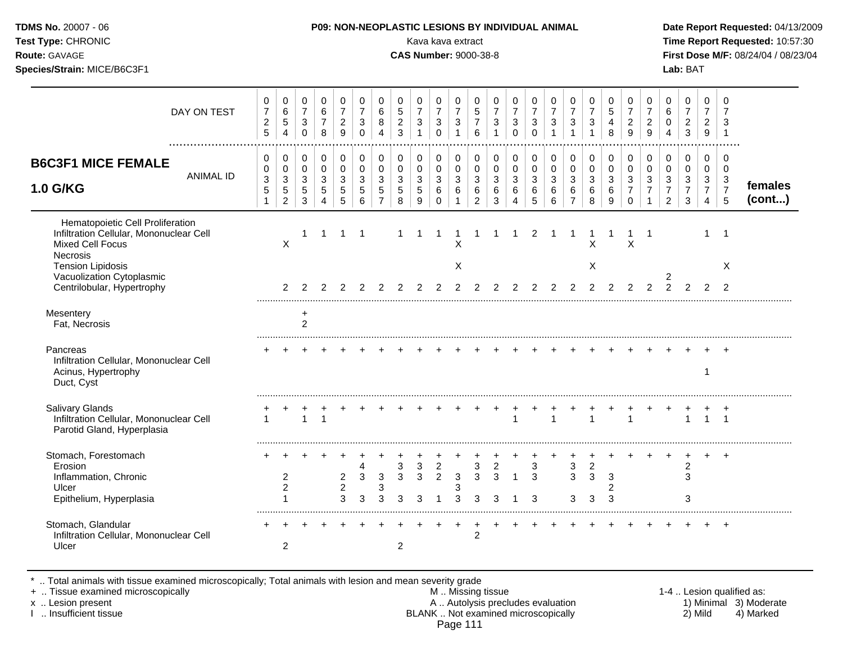| TDMS No. 20007 - 06<br>Test Type: CHRONIC<br>Route: GAVAGE<br>Species/Strain: MICE/B6C3F1                                                                                                                 |                                              |                                                                            |                                                       |                                                        |                                                                  |                                                                              |                                                                               |                                                                      | Kava kava extract<br><b>CAS Number: 9000-38-8</b>                          | P09: NON-NEOPLASTIC LESIONS BY INDIVIDUAL ANIMAL                   |                                                                              |                                                                      |                                                        |                                                                               |                                      |                                                        |                                                     |                                                                   |                                                              |                                                                                |                                                                                 |                                                                              | Lab: BAT                                                          |                                                           |                                                                             | Date Report Requested: 04/13/2009<br>Time Report Requested: 10:57:30<br>First Dose M/F: 08/24/04 / 08/23/04 |
|-----------------------------------------------------------------------------------------------------------------------------------------------------------------------------------------------------------|----------------------------------------------|----------------------------------------------------------------------------|-------------------------------------------------------|--------------------------------------------------------|------------------------------------------------------------------|------------------------------------------------------------------------------|-------------------------------------------------------------------------------|----------------------------------------------------------------------|----------------------------------------------------------------------------|--------------------------------------------------------------------|------------------------------------------------------------------------------|----------------------------------------------------------------------|--------------------------------------------------------|-------------------------------------------------------------------------------|--------------------------------------|--------------------------------------------------------|-----------------------------------------------------|-------------------------------------------------------------------|--------------------------------------------------------------|--------------------------------------------------------------------------------|---------------------------------------------------------------------------------|------------------------------------------------------------------------------|-------------------------------------------------------------------|-----------------------------------------------------------|-----------------------------------------------------------------------------|-------------------------------------------------------------------------------------------------------------|
| DAY ON TEST                                                                                                                                                                                               | 0<br>$\boldsymbol{7}$<br>$\overline{2}$<br>5 | 0<br>$\,6\,$<br>5<br>$\overline{4}$                                        | 0<br>$\overline{7}$<br>$\mathbf{3}$<br>$\mathbf 0$    | 0<br>$\,6\,$<br>$\overline{7}$<br>8                    | 0<br>$\overline{7}$<br>$\overline{2}$<br>9                       | $\mathbf 0$<br>$\overline{7}$<br>$\sqrt{3}$<br>$\mathbf 0$                   | 0<br>$\,6\,$<br>8<br>$\overline{4}$                                           | $\mathbf 0$<br>$\overline{5}$<br>$\overline{2}$<br>$\overline{3}$    | $\mathbf 0$<br>$\overline{7}$<br>$\ensuremath{\mathsf{3}}$<br>$\mathbf{1}$ | $\mathbf 0$<br>$\overline{7}$<br>$\mathbf{3}$<br>$\Omega$          | 0<br>$\overline{7}$<br>$\mathbf{3}$<br>$\mathbf{1}$                          | $\mathbf 0$<br>$\sqrt{5}$<br>$\overline{7}$<br>6                     | $\mathbf 0$<br>$\overline{7}$<br>3<br>$\mathbf{1}$     | $\mathbf 0$<br>$\overline{7}$<br>$\mathbf{3}$<br>$\mathbf 0$                  | 0<br>$\overline{7}$<br>3<br>$\Omega$ | 0<br>$\overline{7}$<br>$\mathbf{3}$<br>$\mathbf{1}$    | 0<br>$\overline{7}$<br>$\mathbf{3}$<br>$\mathbf{1}$ | 0<br>$\overline{7}$<br>$\mathbf{3}$<br>$\mathbf{1}$               | 0<br>$\sqrt{5}$<br>$\overline{4}$<br>8                       | $\mathbf 0$<br>$\boldsymbol{7}$<br>$\overline{2}$<br>9                         | $\pmb{0}$<br>$\overline{7}$<br>$\overline{c}$<br>$\overline{9}$                 | 0<br>6<br>$\pmb{0}$<br>$\overline{4}$                                        | $\mathbf 0$<br>$\overline{7}$<br>$\overline{2}$<br>$\overline{3}$ | $\mathbf 0$<br>$\overline{7}$<br>$\overline{2}$<br>9      | $\mathbf 0$<br>$\overline{7}$<br>3<br>$\overline{1}$                        |                                                                                                             |
| <b>B6C3F1 MICE FEMALE</b><br><b>ANIMAL ID</b><br><b>1.0 G/KG</b>                                                                                                                                          | 0<br>$\mathbf 0$<br>3<br>5<br>$\mathbf{1}$   | $\mathbf 0$<br>$\mathsf 0$<br>$\mathbf{3}$<br>$\sqrt{5}$<br>$\overline{2}$ | 0<br>$\mathbf 0$<br>$\mathbf{3}$<br>5<br>$\mathbf{3}$ | $\mathbf 0$<br>$\mathbf 0$<br>3<br>5<br>$\overline{4}$ | $\mathbf 0$<br>$\mathbf 0$<br>$\mathsf 3$<br>$\overline{5}$<br>5 | $\mathbf 0$<br>$\mathbf 0$<br>$\mathfrak{S}$<br>$\sqrt{5}$<br>$6\phantom{a}$ | 0<br>$\mathbf 0$<br>$\ensuremath{\mathsf{3}}$<br>$\sqrt{5}$<br>$\overline{7}$ | 0<br>$\mathbf 0$<br>$\ensuremath{\mathsf{3}}$<br>$\overline{5}$<br>8 | $\pmb{0}$<br>$\mathbf 0$<br>$\sqrt{3}$<br>$\sqrt{5}$<br>$9\,$              | $\mathbf 0$<br>$\mathbf 0$<br>$\sqrt{3}$<br>$\,6\,$<br>$\mathbf 0$ | $\mathbf 0$<br>$\mathbf 0$<br>$\mathbf 3$<br>$6\phantom{1}6$<br>$\mathbf{1}$ | 0<br>$\mathbf 0$<br>$\ensuremath{\mathsf{3}}$<br>6<br>$\overline{2}$ | 0<br>$\mathbf 0$<br>$\sqrt{3}$<br>$6\phantom{1}6$<br>3 | $\mathbf 0$<br>$\mathbf 0$<br>$\sqrt{3}$<br>$6\phantom{1}6$<br>$\overline{4}$ | 0<br>$\mathbf 0$<br>3<br>6<br>5      | 0<br>$\mathbf 0$<br>$\mathbf{3}$<br>$\,6\,$<br>$\,6\,$ | 0<br>$\Omega$<br>3<br>$\,6\,$<br>$\overline{7}$     | $\mathbf 0$<br>$\mathbf 0$<br>$\ensuremath{\mathsf{3}}$<br>6<br>8 | $\mathbf 0$<br>$\mathbf 0$<br>$\mathfrak{Z}$<br>$\,6\,$<br>9 | 0<br>$\mathbf 0$<br>$\ensuremath{\mathsf{3}}$<br>$\overline{7}$<br>$\mathbf 0$ | 0<br>$\mathbf 0$<br>$\ensuremath{\mathsf{3}}$<br>$\overline{7}$<br>$\mathbf{1}$ | $\mathbf 0$<br>$\mathbf 0$<br>$\sqrt{3}$<br>$\overline{7}$<br>$\overline{2}$ | $\mathbf 0$<br>$\mathbf 0$<br>$\mathbf{3}$<br>$\overline{7}$<br>3 | 0<br>$\mathbf 0$<br>3<br>$\overline{7}$<br>$\overline{4}$ | $\mathbf 0$<br>$\Omega$<br>$\mathbf{3}$<br>$\overline{7}$<br>$5\phantom{1}$ | females<br>(cont)                                                                                           |
| Hematopoietic Cell Proliferation<br>Infiltration Cellular, Mononuclear Cell<br>Mixed Cell Focus<br><b>Necrosis</b><br><b>Tension Lipidosis</b><br>Vacuolization Cytoplasmic<br>Centrilobular, Hypertrophy |                                              | X<br>$\overline{2}$                                                        | 2                                                     | $\overline{1}$<br>2                                    |                                                                  | $1 \quad 1$<br>$2 \quad 2$                                                   | 2                                                                             | 2                                                                    | -1<br>2                                                                    | $\overline{1}$<br>2                                                | $\mathbf{1}$<br>X<br>X<br>2                                                  | $\mathbf{1}$<br>2                                                    | $1 \quad$<br>2                                         | $\overline{1}$<br>2                                                           | $\overline{2}$<br>2                  | $\overline{1}$<br>2                                    | $\mathbf 1$<br>2                                    | $\pmb{\times}$<br>X<br>2                                          | $\overline{1}$<br>2                                          | $\sf X$<br>2                                                                   | $\overline{1}$<br>2                                                             | 2<br>$\mathcal{P}$                                                           | $\mathcal{P}$                                                     | 1<br>$\overline{2}$                                       | $\overline{1}$<br>$\times$<br>2                                             |                                                                                                             |
| Mesentery<br>Fat, Necrosis                                                                                                                                                                                |                                              |                                                                            | $\ddot{}$<br>$\overline{2}$                           |                                                        |                                                                  |                                                                              |                                                                               |                                                                      |                                                                            |                                                                    |                                                                              |                                                                      |                                                        |                                                                               |                                      |                                                        |                                                     |                                                                   |                                                              |                                                                                |                                                                                 |                                                                              |                                                                   |                                                           |                                                                             |                                                                                                             |
| Pancreas<br>Infiltration Cellular, Mononuclear Cell<br>Acinus, Hypertrophy<br>Duct, Cyst                                                                                                                  |                                              |                                                                            |                                                       |                                                        |                                                                  |                                                                              |                                                                               |                                                                      |                                                                            |                                                                    |                                                                              |                                                                      |                                                        |                                                                               |                                      |                                                        |                                                     |                                                                   |                                                              |                                                                                |                                                                                 |                                                                              |                                                                   | 1                                                         |                                                                             |                                                                                                             |
| <b>Salivary Glands</b><br>Infiltration Cellular, Mononuclear Cell<br>Parotid Gland, Hyperplasia                                                                                                           | $\mathbf{1}$                                 |                                                                            | +<br>$\mathbf{1}$                                     | $\ddot{}$<br>$\overline{1}$                            |                                                                  |                                                                              |                                                                               |                                                                      |                                                                            |                                                                    | $+$                                                                          | $+$                                                                  | $+$                                                    | $\mathbf{1}$                                                                  | $\ddot{}$                            | $\mathbf{1}$                                           |                                                     | $\mathbf{1}$                                                      |                                                              | $\mathbf{1}$                                                                   |                                                                                 |                                                                              | $\mathbf{1}$                                                      | $\mathbf{1}$                                              |                                                                             |                                                                                                             |
| Stomach, Forestomach<br>Erosion<br>Inflammation, Chronic<br>Ulcer<br>Epithelium, Hyperplasia                                                                                                              |                                              | $\overline{c}$<br>2<br>1                                                   |                                                       |                                                        | $\overline{c}$<br>$\overline{a}$<br>3                            | $\overline{4}$<br>$\ensuremath{\mathsf{3}}$<br>$\mathbf{3}$                  | $\sqrt{3}$<br>3<br>3                                                          | 3<br>3<br>3                                                          | 3<br>$\mathbf{3}$<br>3                                                     | $\overline{2}$<br>$\overline{2}$<br>$\overline{1}$                 | $\mathbf{3}$<br>3<br>3                                                       | 3<br>$\mathbf{3}$<br>$\mathbf{3}$                                    | $\boldsymbol{2}$<br>$\mathbf{3}$<br>3                  | $\overline{1}$<br>-1                                                          | 3<br>3<br>3                          |                                                        | $\sqrt{3}$<br>$\mathbf{3}$<br>3                     | $\overline{2}$<br>3<br>$\mathbf{3}$                               | $\ensuremath{\mathsf{3}}$<br>$\overline{c}$<br>3             |                                                                                |                                                                                 |                                                                              | $\overline{2}$<br>3<br>3                                          |                                                           | $\overline{+}$                                                              |                                                                                                             |
| Stomach, Glandular<br>Infiltration Cellular, Mononuclear Cell<br>Ulcer                                                                                                                                    |                                              | $\overline{2}$                                                             |                                                       |                                                        |                                                                  |                                                                              |                                                                               | 2                                                                    |                                                                            |                                                                    | $\ddot{}$                                                                    | 2                                                                    |                                                        |                                                                               |                                      |                                                        |                                                     |                                                                   |                                                              |                                                                                |                                                                                 |                                                                              |                                                                   |                                                           | $+$                                                                         |                                                                                                             |

\* .. Total animals with tissue examined microscopically; Total animals with lesion and mean severity grade

+ .. Tissue examined microscopically M .. Missing tissue 1-4 .. Lesion qualified as: x .. Lesion present **A .. Autolysis precludes evaluation** A .. Autolysis precludes evaluation 1) Minimal 3) Moderate I .. Insufficient tissue BLANK .. Not examined microscopically 2) Mild 4) Marked Page 111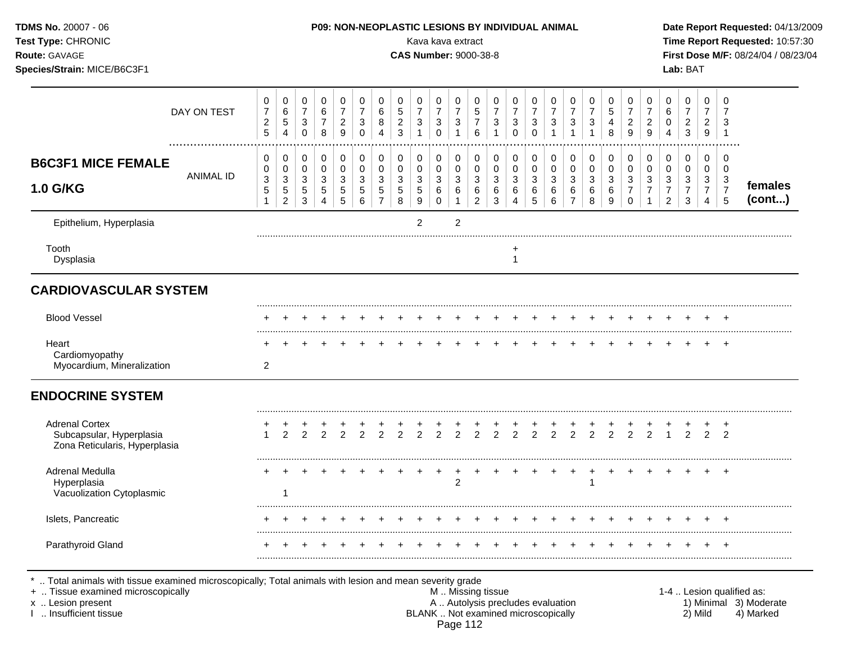| TDMS No. 20007 - 06<br>Test Type: CHRONIC<br>Route: GAVAGE<br>Species/Strain: MICE/B6C3F1 |                                                      |                                                        |                                                                             |                                                           |                                                              |                                                              |                                                                           |                                                   |                                                                  | Kava kava extract<br><b>CAS Number: 9000-38-8</b>                             |                                                                                |                                                                       |                                                              |                                                            |                                                                      | <b>P09: NON-NEOPLASTIC LESIONS BY INDIVIDUAL ANIMAL</b>                      |                                           |                                                                            |                                                    |                                                                                    |                                                                           |                                                                          | Lab: BAT                                                               |                                                        |                                                                   | Date Report Requested: 04/13/2009<br>Time Report Requested: 10:57:30<br>First Dose M/F: 08/24/04 / 08/23/04 |
|-------------------------------------------------------------------------------------------|------------------------------------------------------|--------------------------------------------------------|-----------------------------------------------------------------------------|-----------------------------------------------------------|--------------------------------------------------------------|--------------------------------------------------------------|---------------------------------------------------------------------------|---------------------------------------------------|------------------------------------------------------------------|-------------------------------------------------------------------------------|--------------------------------------------------------------------------------|-----------------------------------------------------------------------|--------------------------------------------------------------|------------------------------------------------------------|----------------------------------------------------------------------|------------------------------------------------------------------------------|-------------------------------------------|----------------------------------------------------------------------------|----------------------------------------------------|------------------------------------------------------------------------------------|---------------------------------------------------------------------------|--------------------------------------------------------------------------|------------------------------------------------------------------------|--------------------------------------------------------|-------------------------------------------------------------------|-------------------------------------------------------------------------------------------------------------|
| DAY ON TEST                                                                               | $\pmb{0}$<br>$\boldsymbol{7}$<br>$\overline{c}$<br>5 | $\mathbf 0$<br>$\,6\,$<br>$\sqrt{5}$<br>$\overline{4}$ | $\mathbf 0$<br>$\boldsymbol{7}$<br>$\ensuremath{\mathsf{3}}$<br>$\mathbf 0$ | $\mathbf 0$<br>$\,6\,$<br>$\boldsymbol{7}$<br>8           | $\mathbf 0$<br>$\boldsymbol{7}$<br>$\overline{a}$<br>9       | 0<br>$\overline{7}$<br>$\ensuremath{\mathsf{3}}$<br>$\Omega$ | 0<br>$\,6$<br>8<br>$\overline{4}$                                         | $\mathbf 0$<br>$\mathbf 5$<br>$\overline{a}$<br>3 | $\mathbf 0$<br>$\boldsymbol{7}$<br>$\mathbf{3}$<br>$\mathbf{1}$  | $\pmb{0}$<br>$\boldsymbol{7}$<br>$\ensuremath{\mathsf{3}}$<br>$\mathsf 0$     | $\pmb{0}$<br>$\boldsymbol{7}$<br>$\sqrt{3}$<br>$\overline{1}$                  | $\mathbf 0$<br>$\overline{5}$<br>$\overline{7}$<br>$6\phantom{1}$     | 0<br>$\overline{7}$<br>3<br>$\mathbf{1}$                     | $\mathbf 0$<br>$\overline{7}$<br>$\sqrt{3}$<br>$\mathbf 0$ | $\mathbf 0$<br>$\boldsymbol{7}$<br>$\sqrt{3}$<br>$\mathbf 0$         | $\mathbf 0$<br>$\overline{7}$<br>$\ensuremath{\mathsf{3}}$<br>$\overline{1}$ | 0<br>$\overline{7}$<br>3<br>$\mathbf{1}$  | $\pmb{0}$<br>$\boldsymbol{7}$<br>$\ensuremath{\mathsf{3}}$<br>$\mathbf{1}$ | 0<br>5<br>$\overline{\mathbf{4}}$<br>8             | $\pmb{0}$<br>$\boldsymbol{7}$<br>$\overline{2}$<br>9                               | $\mathbf 0$<br>$\overline{7}$<br>$\overline{c}$<br>9                      | $\mathbf 0$<br>$\,6$<br>$\pmb{0}$<br>$\overline{4}$                      | $\pmb{0}$<br>$\overline{7}$<br>$\overline{2}$<br>$\mathbf{3}$          | $\mathbf 0$<br>$\overline{7}$<br>$\overline{2}$<br>9   | $\mathbf 0$<br>$\overline{7}$<br>$\mathbf{3}$<br>$\overline{1}$   |                                                                                                             |
| <b>B6C3F1 MICE FEMALE</b><br><b>ANIMAL ID</b><br><b>1.0 G/KG</b>                          | 0<br>0<br>3<br>$\sqrt{5}$<br>$\mathbf{1}$            | 0<br>$\mathbf 0$<br>3<br>$\,$ 5 $\,$<br>$\overline{c}$ | 0<br>$\mathbf 0$<br>$\mathbf{3}$<br>$\,$ 5 $\,$<br>$\mathfrak{S}$           | $\boldsymbol{0}$<br>$\pmb{0}$<br>3<br>5<br>$\overline{4}$ | 0<br>$\pmb{0}$<br>$\sqrt{3}$<br>$\sqrt{5}$<br>$\overline{5}$ | $\pmb{0}$<br>0<br>3<br>5<br>$\,6\,$                          | $\pmb{0}$<br>$\pmb{0}$<br>$\mathbf 3$<br>$\overline{5}$<br>$\overline{7}$ | $\mathbf 0$<br>$\pmb{0}$<br>3<br>$\sqrt{5}$<br>8  | $\mathbf 0$<br>0<br>$\sqrt{3}$<br>$\sqrt{5}$<br>$\boldsymbol{9}$ | $\pmb{0}$<br>$\pmb{0}$<br>$\ensuremath{\mathsf{3}}$<br>$\,6\,$<br>$\mathsf 0$ | $\pmb{0}$<br>$\pmb{0}$<br>$\ensuremath{\mathsf{3}}$<br>$\,6\,$<br>$\mathbf{1}$ | 0<br>$\mathsf{O}\xspace$<br>$\mathbf{3}$<br>$\,6\,$<br>$\overline{2}$ | $\mathbf 0$<br>$\mathbf 0$<br>3<br>$\,6\,$<br>$\mathfrak{S}$ | $\pmb{0}$<br>$\pmb{0}$<br>3<br>$\,6\,$<br>$\overline{4}$   | 0<br>$\pmb{0}$<br>$\ensuremath{\mathsf{3}}$<br>$\,6\,$<br>$\sqrt{5}$ | 0<br>$\Omega$<br>$\sqrt{3}$<br>$6\phantom{1}6$<br>$\,6$                      | 0<br>$\Omega$<br>3<br>6<br>$\overline{7}$ | 0<br>$\pmb{0}$<br>3<br>6<br>8                                              | 0<br>$\pmb{0}$<br>3<br>$\,6\,$<br>$\boldsymbol{9}$ | $\pmb{0}$<br>$\pmb{0}$<br>$\ensuremath{\mathsf{3}}$<br>$\overline{7}$<br>$\pmb{0}$ | $\mathbf 0$<br>$\pmb{0}$<br>$\mathbf 3$<br>$\overline{7}$<br>$\mathbf{1}$ | $\pmb{0}$<br>$\pmb{0}$<br>$\sqrt{3}$<br>$\overline{7}$<br>$\overline{c}$ | $\pmb{0}$<br>$\pmb{0}$<br>$\sqrt{3}$<br>$\overline{7}$<br>$\mathbf{3}$ | $\mathbf 0$<br>$\mathbf 0$<br>3<br>$\overline{7}$<br>4 | $\mathbf 0$<br>$\mathbf 0$<br>$\mathbf{3}$<br>$\overline{7}$<br>5 | females<br>(cont)                                                                                           |
| Epithelium, Hyperplasia                                                                   |                                                      |                                                        |                                                                             |                                                           |                                                              |                                                              |                                                                           |                                                   | $\overline{2}$                                                   |                                                                               | $\overline{2}$                                                                 |                                                                       |                                                              |                                                            |                                                                      |                                                                              |                                           |                                                                            |                                                    |                                                                                    |                                                                           |                                                                          |                                                                        |                                                        |                                                                   |                                                                                                             |
| Tooth<br>Dysplasia                                                                        |                                                      |                                                        |                                                                             |                                                           |                                                              |                                                              |                                                                           |                                                   |                                                                  |                                                                               |                                                                                |                                                                       |                                                              | $\mathbf{1}$                                               |                                                                      |                                                                              |                                           |                                                                            |                                                    |                                                                                    |                                                                           |                                                                          |                                                                        |                                                        |                                                                   |                                                                                                             |
| <b>CARDIOVASCULAR SYSTEM</b>                                                              |                                                      |                                                        |                                                                             |                                                           |                                                              |                                                              |                                                                           |                                                   |                                                                  |                                                                               |                                                                                |                                                                       |                                                              |                                                            |                                                                      |                                                                              |                                           |                                                                            |                                                    |                                                                                    |                                                                           |                                                                          |                                                                        |                                                        |                                                                   |                                                                                                             |
| <b>Blood Vessel</b>                                                                       |                                                      |                                                        |                                                                             |                                                           |                                                              |                                                              |                                                                           |                                                   |                                                                  |                                                                               |                                                                                |                                                                       |                                                              |                                                            |                                                                      |                                                                              |                                           |                                                                            |                                                    |                                                                                    |                                                                           |                                                                          |                                                                        |                                                        |                                                                   |                                                                                                             |
| Heart<br>Cardiomyopathy<br>Myocardium, Mineralization                                     | $\overline{c}$                                       |                                                        |                                                                             |                                                           |                                                              |                                                              |                                                                           |                                                   |                                                                  |                                                                               |                                                                                |                                                                       |                                                              |                                                            |                                                                      |                                                                              |                                           |                                                                            |                                                    |                                                                                    |                                                                           |                                                                          |                                                                        |                                                        | $\ddot{}$                                                         |                                                                                                             |
| <b>ENDOCRINE SYSTEM</b>                                                                   |                                                      |                                                        |                                                                             |                                                           |                                                              |                                                              |                                                                           |                                                   |                                                                  |                                                                               |                                                                                |                                                                       |                                                              |                                                            |                                                                      |                                                                              |                                           |                                                                            |                                                    |                                                                                    |                                                                           |                                                                          |                                                                        |                                                        |                                                                   |                                                                                                             |
| <b>Adrenal Cortex</b><br>Subcapsular, Hyperplasia<br>Zona Reticularis, Hyperplasia        | 1                                                    | $\overline{2}$                                         | $\overline{2}$                                                              | $\overline{2}$                                            | $\overline{2}$                                               | $\overline{2}$                                               | $\overline{2}$                                                            | $\overline{2}$                                    | $\overline{2}$                                                   | $\overline{2}$                                                                | ÷<br>$\overline{2}$                                                            | $\overline{2}$                                                        | $\overline{2}$                                               | $\overline{2}$                                             | $\overline{2}$                                                       | $\overline{2}$                                                               | 2                                         | $\overline{2}$                                                             | 2                                                  | $\overline{2}$                                                                     | 2                                                                         |                                                                          | 2                                                                      | 2                                                      | 2                                                                 |                                                                                                             |
| Adrenal Medulla<br>Hyperplasia<br>Vacuolization Cytoplasmic                               |                                                      | -1                                                     |                                                                             |                                                           |                                                              |                                                              |                                                                           |                                                   |                                                                  | $+$                                                                           | $+$<br>$\overline{2}$                                                          | $+$                                                                   | $+$                                                          |                                                            |                                                                      | $+$                                                                          | $+$                                       | $^{+}$                                                                     | $+$                                                | $+$                                                                                | $+$                                                                       |                                                                          |                                                                        |                                                        |                                                                   |                                                                                                             |
| Islets, Pancreatic                                                                        |                                                      |                                                        |                                                                             |                                                           |                                                              |                                                              |                                                                           |                                                   |                                                                  |                                                                               |                                                                                |                                                                       |                                                              |                                                            |                                                                      |                                                                              |                                           |                                                                            |                                                    |                                                                                    |                                                                           |                                                                          |                                                                        |                                                        |                                                                   |                                                                                                             |
| Parathyroid Gland                                                                         |                                                      |                                                        |                                                                             |                                                           |                                                              |                                                              |                                                                           |                                                   |                                                                  |                                                                               |                                                                                |                                                                       |                                                              |                                                            |                                                                      |                                                                              |                                           |                                                                            |                                                    |                                                                                    |                                                                           |                                                                          |                                                                        |                                                        |                                                                   |                                                                                                             |

\* .. Total animals with tissue examined microscopically; Total animals with lesion and mean severity grade

+ .. Tissue examined microscopically M .. Missing tissue 1-4 .. Lesion qualified as: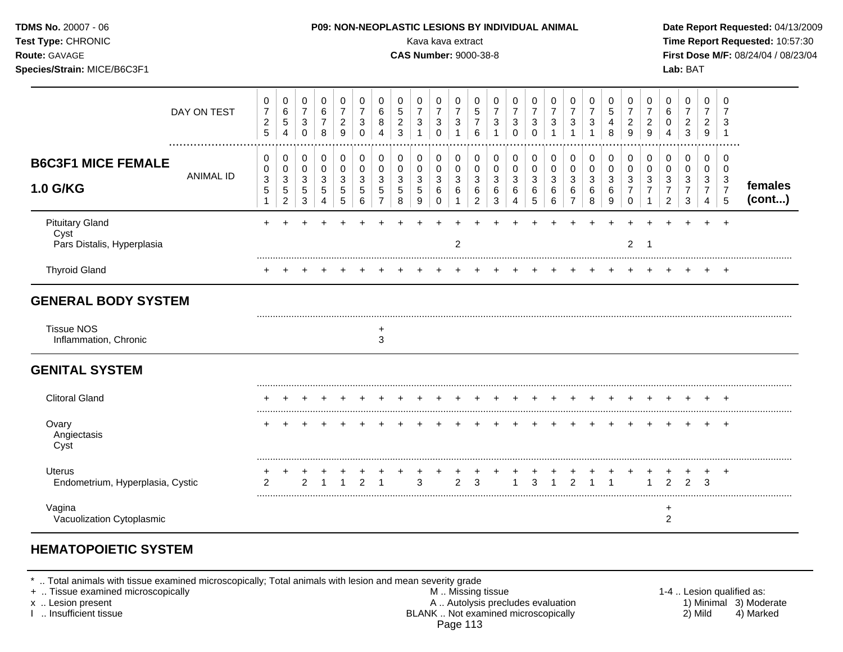| Test Type: CHRONIC<br>Route: GAVAGE<br>Species/Strain: MICE/B6C3F1       |                                                                    |                                                     |                                            |                                                    |                                                  |                                                         |                                                     |                                          |                                 | Kava kava extract<br><b>CAS Number: 9000-38-8</b>             |                                                                         |                                                |                                                               |                                                    |                                                   |                                         |                                            |                                                                 |                                                  |                                                        |                                                          |                                                                   | Lab: BAT                                                                 |                                                                     |                                                        | Time Report Requested: 10:57:30<br>First Dose M/F: 08/24/04 / 08/23/04 |
|--------------------------------------------------------------------------|--------------------------------------------------------------------|-----------------------------------------------------|--------------------------------------------|----------------------------------------------------|--------------------------------------------------|---------------------------------------------------------|-----------------------------------------------------|------------------------------------------|---------------------------------|---------------------------------------------------------------|-------------------------------------------------------------------------|------------------------------------------------|---------------------------------------------------------------|----------------------------------------------------|---------------------------------------------------|-----------------------------------------|--------------------------------------------|-----------------------------------------------------------------|--------------------------------------------------|--------------------------------------------------------|----------------------------------------------------------|-------------------------------------------------------------------|--------------------------------------------------------------------------|---------------------------------------------------------------------|--------------------------------------------------------|------------------------------------------------------------------------|
| DAY ON TEST                                                              | 0<br>$\boldsymbol{7}$<br>$\sqrt{2}$<br>$\overline{5}$              | 0<br>$\,6$<br>5<br>$\overline{4}$                   | 0<br>$\boldsymbol{7}$<br>$\mathbf{3}$<br>0 | $\pmb{0}$<br>$\,6$<br>$\overline{7}$<br>8          | $\mathbf 0$<br>$\overline{7}$<br>$\sqrt{2}$<br>9 | $\mathbf 0$<br>$\overline{7}$<br>$\sqrt{3}$<br>$\Omega$ | $\pmb{0}$<br>$\,6$<br>$\bf8$<br>$\overline{4}$      | 0<br>$\sqrt{5}$<br>$\boldsymbol{2}$<br>3 | 0<br>$\overline{7}$<br>3<br>1   | 0<br>$\overline{7}$<br>$\ensuremath{\mathsf{3}}$<br>$\pmb{0}$ | $\pmb{0}$<br>$\overline{7}$<br>$\sqrt{3}$<br>$\overline{1}$             | $\pmb{0}$<br>$\sqrt{5}$<br>$\overline{7}$<br>6 | $\mathbf 0$<br>$\overline{7}$<br>$\sqrt{3}$<br>$\overline{1}$ | 0<br>$\overline{7}$<br>$\mathbf{3}$<br>$\mathbf 0$ | 0<br>$\boldsymbol{7}$<br>$\mathbf{3}$<br>$\Omega$ | 0<br>$\overline{7}$<br>$\sqrt{3}$       | 0<br>$\boldsymbol{7}$<br>$\mathbf{3}$<br>1 | $\mathbf 0$<br>$\overline{7}$<br>$\ensuremath{\mathsf{3}}$<br>1 | $\mathbf 0$<br>$\sqrt{5}$<br>$\overline{4}$<br>8 | 0<br>$\overline{7}$<br>$\sqrt{2}$<br>9                 | 0<br>$\overline{7}$<br>$\frac{2}{9}$                     | 0<br>$\,6\,$<br>$\mathbf 0$<br>$\overline{4}$                     | $\mathbf 0$<br>$\boldsymbol{7}$<br>$\overline{\mathbf{c}}$<br>$\sqrt{3}$ | $\mathbf 0$<br>$\overline{7}$<br>$\overline{c}$<br>$\boldsymbol{9}$ | $\mathbf 0$<br>7<br>3<br>$\overline{1}$                |                                                                        |
| <b>B6C3F1 MICE FEMALE</b><br><b>ANIMAL ID</b><br>1.0 G/KG                | 0<br>0<br>$\ensuremath{\mathsf{3}}$<br>$\mathbf 5$<br>$\mathbf{1}$ | 0<br>$\pmb{0}$<br>3<br>$\sqrt{5}$<br>$\overline{2}$ | 0<br>0<br>$\mathbf{3}$<br>$\sqrt{5}$<br>3  | $\pmb{0}$<br>$\pmb{0}$<br>3<br>5<br>$\overline{4}$ | $\pmb{0}$<br>0<br>3<br>5<br>5                    | $\mathbf 0$<br>$\mathbf 0$<br>3<br>$\sqrt{5}$<br>6      | 0<br>$\pmb{0}$<br>3<br>$\sqrt{5}$<br>$\overline{7}$ | 0<br>$\pmb{0}$<br>3<br>5<br>8            | 0<br>$\mathbf 0$<br>3<br>5<br>9 | $\mathbf 0$<br>$\pmb{0}$<br>3<br>6<br>0                       | $\pmb{0}$<br>$\mathsf{O}\xspace$<br>$\sqrt{3}$<br>$\,6$<br>$\mathbf{1}$ | 0<br>$\pmb{0}$<br>3<br>6<br>$\overline{2}$     | 0<br>$\pmb{0}$<br>$\mathbf{3}$<br>$\,6$<br>$\mathbf{3}$       | 0<br>$\mathbf 0$<br>3<br>6<br>4                    | 0<br>$\mathbf 0$<br>3<br>6<br>5                   | $\mathbf 0$<br>$\pmb{0}$<br>3<br>6<br>6 | 0<br>0<br>3<br>6<br>$\overline{7}$         | $\mathbf 0$<br>$\mathbf 0$<br>3<br>$\,6\,$<br>8                 | 0<br>$\mathbf 0$<br>3<br>6<br>$\boldsymbol{9}$   | 0<br>$\mathbf 0$<br>3<br>$\overline{7}$<br>$\mathbf 0$ | 0<br>0<br>$\mathbf{3}$<br>$\overline{7}$<br>$\mathbf{1}$ | $\mathbf 0$<br>$\pmb{0}$<br>3<br>$\overline{7}$<br>$\overline{2}$ | $\pmb{0}$<br>$\mathbf 0$<br>3<br>$\overline{7}$<br>$\sqrt{3}$            | $\mathbf 0$<br>0<br>3<br>$\overline{7}$<br>$\overline{4}$           | $\mathbf 0$<br>$\mathbf 0$<br>3<br>$\overline{7}$<br>5 | females<br>(cont)                                                      |
| <b>Pituitary Gland</b><br>Cyst<br>Pars Distalis, Hyperplasia             |                                                                    |                                                     |                                            |                                                    |                                                  |                                                         |                                                     |                                          |                                 |                                                               | 2                                                                       |                                                |                                                               |                                                    |                                                   |                                         |                                            |                                                                 |                                                  | $\overline{2}$                                         | $\overline{1}$                                           |                                                                   |                                                                          |                                                                     |                                                        |                                                                        |
| <b>Thyroid Gland</b>                                                     |                                                                    |                                                     |                                            |                                                    |                                                  |                                                         |                                                     |                                          |                                 |                                                               |                                                                         |                                                |                                                               |                                                    |                                                   |                                         |                                            |                                                                 |                                                  |                                                        |                                                          |                                                                   |                                                                          |                                                                     |                                                        |                                                                        |
| <b>GENERAL BODY SYSTEM</b><br><b>Tissue NOS</b><br>Inflammation, Chronic |                                                                    |                                                     |                                            |                                                    |                                                  |                                                         | +<br>3                                              |                                          |                                 |                                                               |                                                                         |                                                |                                                               |                                                    |                                                   |                                         |                                            |                                                                 |                                                  |                                                        |                                                          |                                                                   |                                                                          |                                                                     |                                                        |                                                                        |
| <b>GENITAL SYSTEM</b>                                                    |                                                                    |                                                     |                                            |                                                    |                                                  |                                                         |                                                     |                                          |                                 |                                                               |                                                                         |                                                |                                                               |                                                    |                                                   |                                         |                                            |                                                                 |                                                  |                                                        |                                                          |                                                                   |                                                                          |                                                                     |                                                        |                                                                        |
| <b>Clitoral Gland</b>                                                    |                                                                    |                                                     |                                            |                                                    |                                                  |                                                         |                                                     |                                          |                                 |                                                               |                                                                         |                                                |                                                               |                                                    |                                                   |                                         |                                            |                                                                 |                                                  |                                                        |                                                          |                                                                   |                                                                          |                                                                     | $\div$                                                 |                                                                        |
| Ovary<br>Angiectasis<br>Cyst                                             |                                                                    |                                                     |                                            |                                                    |                                                  |                                                         |                                                     |                                          |                                 |                                                               |                                                                         |                                                |                                                               |                                                    |                                                   |                                         |                                            |                                                                 |                                                  |                                                        |                                                          |                                                                   |                                                                          |                                                                     | $^{+}$                                                 |                                                                        |
| <b>Uterus</b><br>Endometrium, Hyperplasia, Cystic                        |                                                                    |                                                     | $\overline{2}$                             |                                                    |                                                  | 2                                                       | -1                                                  |                                          | 3                               |                                                               | $\overline{2}$                                                          | 3                                              |                                                               |                                                    | 3                                                 |                                         | $\mathcal{P}$                              | 1                                                               | 1                                                |                                                        | $\mathbf{1}$                                             | $\overline{2}$                                                    | $\overline{2}$                                                           | +<br>3                                                              | $\ddot{}$                                              |                                                                        |
| Vagina<br>Vacuolization Cytoplasmic                                      |                                                                    |                                                     |                                            |                                                    |                                                  |                                                         |                                                     |                                          |                                 |                                                               |                                                                         |                                                |                                                               |                                                    |                                                   |                                         |                                            |                                                                 |                                                  |                                                        |                                                          | $\ddot{}$<br>$\overline{c}$                                       |                                                                          |                                                                     |                                                        |                                                                        |

### **HEMATOPOIETIC SYSTEM**

\* .. Total animals with tissue examined microscopically; Total animals with lesion and mean severity grade

+ .. Tissue examined microscopically M .. Missing tissue 1-4 .. Lesion qualified as: x .. Lesion present **A .. Autolysis precludes evaluation** A .. Autolysis precludes evaluation 1) Minimal 3) Moderate I .. Insufficient tissue BLANK .. Not examined microscopically 2) Mild 4) Marked Page 113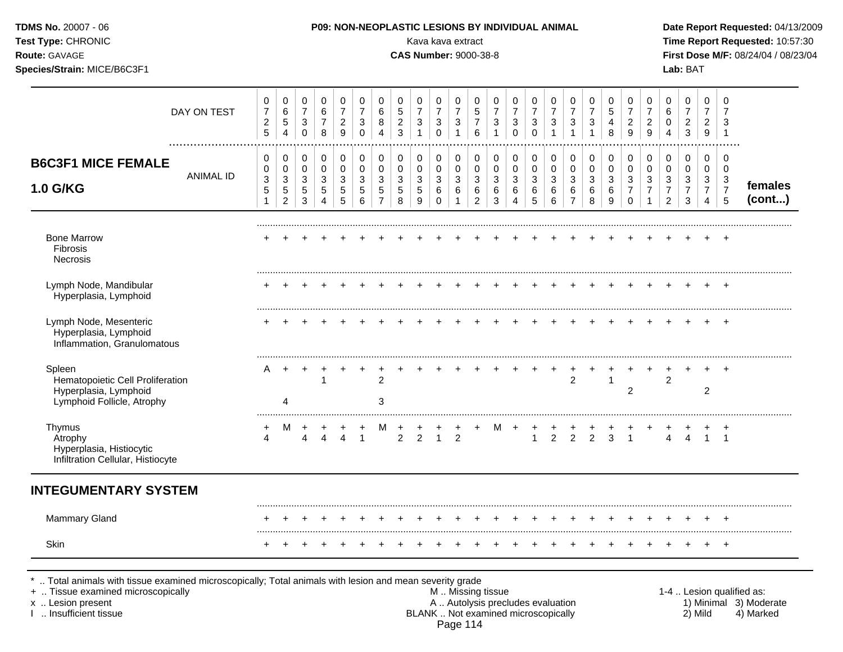| <b>TDMS No. 20007 - 06</b><br>Test Type: CHRONIC<br>Route: GAVAGE<br>Species/Strain: MICE/B6C3F1  |                  |                                                       |                                            |                                                           |                               |                                                       |                                          |                                                      |                                     | Kava kava extract<br><b>CAS Number: 9000-38-8</b> |                                                                         |                                                             |                                                       |                                            | P09: NON-NEOPLASTIC LESIONS BY INDIVIDUAL ANIMAL |                                                    |                                        |                                    |                               |                       |                                                      |                                            |                                                 | Lab: BAT                                                  |                                                           |                                                       | Date Report Requested: 04/13/2009<br>Time Report Requested: 10:57:30<br>First Dose M/F: 08/24/04 / 08/23/04 |
|---------------------------------------------------------------------------------------------------|------------------|-------------------------------------------------------|--------------------------------------------|-----------------------------------------------------------|-------------------------------|-------------------------------------------------------|------------------------------------------|------------------------------------------------------|-------------------------------------|---------------------------------------------------|-------------------------------------------------------------------------|-------------------------------------------------------------|-------------------------------------------------------|--------------------------------------------|--------------------------------------------------|----------------------------------------------------|----------------------------------------|------------------------------------|-------------------------------|-----------------------|------------------------------------------------------|--------------------------------------------|-------------------------------------------------|-----------------------------------------------------------|-----------------------------------------------------------|-------------------------------------------------------|-------------------------------------------------------------------------------------------------------------|
|                                                                                                   | DAY ON TEST      | 0<br>$\boldsymbol{7}$<br>$\overline{c}$<br>$\sqrt{5}$ | 0<br>$\,6$<br>5<br>$\overline{4}$          | 0<br>$\boldsymbol{7}$<br>$\sqrt{3}$<br>$\mathbf 0$        | 0<br>6<br>$\overline{7}$<br>8 | 0<br>$\boldsymbol{7}$<br>$\overline{\mathbf{c}}$<br>9 | 0<br>$\overline{7}$<br>3<br>$\mathbf 0$  | 0<br>$\,6$<br>8<br>$\overline{4}$                    | 0<br>$\mathbf 5$<br>$\sqrt{2}$<br>3 | 0<br>$\overline{7}$<br>3                          | $\pmb{0}$<br>$\overline{7}$<br>$\ensuremath{\mathsf{3}}$<br>$\mathbf 0$ | 0<br>$\boldsymbol{7}$<br>$\sqrt{3}$<br>$\overline{1}$       | 0<br>$\sqrt{5}$<br>$\boldsymbol{7}$<br>$\,6\,$        | 0<br>$\overline{7}$<br>3<br>$\overline{1}$ | 0<br>$\overline{7}$<br>3<br>$\mathbf 0$          | 0<br>$\boldsymbol{7}$<br>$\sqrt{3}$<br>$\mathbf 0$ | 0<br>$\overline{7}$<br>$\sqrt{3}$<br>1 | 0<br>$\overline{7}$<br>3           | 0<br>$\boldsymbol{7}$<br>3    | 0<br>5<br>4<br>8      | 0<br>$\boldsymbol{7}$<br>$\overline{c}$<br>9         | 0<br>$\overline{7}$<br>$\overline{c}$<br>9 | 0<br>$\,6$<br>0<br>$\overline{4}$               | 0<br>$\overline{7}$<br>$\boldsymbol{2}$<br>$\mathfrak{Z}$ | 0<br>$\overline{7}$<br>$\overline{2}$<br>9                | 0<br>$\overline{7}$<br>3<br>$\overline{\mathbf{1}}$   |                                                                                                             |
| <b>B6C3F1 MICE FEMALE</b><br>1.0 G/KG                                                             | <b>ANIMAL ID</b> | 0<br>0<br>3<br>$\mathbf 5$<br>$\mathbf{1}$            | 0<br>$\pmb{0}$<br>3<br>5<br>$\overline{c}$ | 0<br>$\pmb{0}$<br>$\sqrt{3}$<br>$\,$ 5 $\,$<br>$\sqrt{3}$ | 0<br>$\pmb{0}$<br>3<br>5<br>4 | 0<br>$\pmb{0}$<br>3<br>5<br>5                         | 0<br>$\mathsf 0$<br>3<br>$\sqrt{5}$<br>6 | 0<br>$\pmb{0}$<br>3<br>$\mathbf 5$<br>$\overline{7}$ | 0<br>$\pmb{0}$<br>3<br>5<br>8       | 0<br>$\pmb{0}$<br>$\mathbf{3}$<br>5<br>9          | $\pmb{0}$<br>$\mathsf{O}\xspace$<br>$\sqrt{3}$<br>$\,6$<br>$\Omega$     | $\pmb{0}$<br>$\pmb{0}$<br>$\mathbf{3}$<br>6<br>$\mathbf{1}$ | 0<br>$\pmb{0}$<br>$\mathbf{3}$<br>6<br>$\overline{2}$ | 0<br>0<br>3<br>6<br>3                      | 0<br>$\mathbf 0$<br>3<br>6<br>4                  | 0<br>$\pmb{0}$<br>3<br>$\,6$<br>5                  | 0<br>$\mathbf 0$<br>3<br>6<br>6        | 0<br>0<br>3<br>6<br>$\overline{7}$ | 0<br>$\pmb{0}$<br>3<br>6<br>8 | 0<br>0<br>3<br>6<br>9 | 0<br>$\pmb{0}$<br>3<br>$\overline{7}$<br>$\mathbf 0$ | 0<br>$\pmb{0}$<br>3<br>7                   | 0<br>0<br>3<br>$\overline{7}$<br>$\overline{2}$ | 0<br>$\mathbf 0$<br>$\sqrt{3}$<br>$\overline{7}$<br>3     | 0<br>$\mathbf 0$<br>3<br>$\overline{7}$<br>$\overline{4}$ | 0<br>$\mathbf 0$<br>$\sqrt{3}$<br>$\overline{7}$<br>5 | females<br>(cont)                                                                                           |
| <b>Bone Marrow</b><br>Fibrosis<br>Necrosis                                                        |                  |                                                       |                                            |                                                           |                               |                                                       |                                          |                                                      |                                     |                                                   |                                                                         |                                                             |                                                       |                                            |                                                  |                                                    |                                        |                                    |                               |                       |                                                      |                                            |                                                 |                                                           |                                                           |                                                       |                                                                                                             |
| Lymph Node, Mandibular<br>Hyperplasia, Lymphoid                                                   |                  |                                                       |                                            |                                                           |                               |                                                       |                                          |                                                      |                                     |                                                   |                                                                         |                                                             |                                                       |                                            |                                                  |                                                    |                                        |                                    |                               | $+$                   | $+$                                                  |                                            |                                                 |                                                           |                                                           |                                                       |                                                                                                             |
| Lymph Node, Mesenteric<br>Hyperplasia, Lymphoid<br>Inflammation, Granulomatous                    |                  |                                                       |                                            |                                                           |                               |                                                       |                                          |                                                      |                                     |                                                   |                                                                         |                                                             |                                                       |                                            |                                                  |                                                    |                                        |                                    |                               |                       |                                                      |                                            |                                                 |                                                           |                                                           |                                                       |                                                                                                             |
| Spleen<br>Hematopoietic Cell Proliferation<br>Hyperplasia, Lymphoid<br>Lymphoid Follicle, Atrophy |                  | A                                                     | $\ddot{}$<br>4                             |                                                           | $\mathbf{1}$                  |                                                       |                                          | $\overline{c}$<br>3                                  |                                     |                                                   |                                                                         |                                                             |                                                       |                                            |                                                  |                                                    |                                        | $\overline{2}$                     |                               | $\mathbf{1}$          | $\overline{2}$                                       |                                            | $\overline{2}$                                  |                                                           | $\overline{c}$                                            | $\div$                                                |                                                                                                             |
| Thymus<br>Atrophy<br>Hyperplasia, Histiocytic<br>Infiltration Cellular, Histiocyte                |                  | +<br>4                                                | M                                          | 4                                                         | $\overline{4}$                | Δ                                                     | $\ddot{}$<br>$\overline{1}$              | M                                                    | $\ddot{}$<br>2                      | 2                                                 | $\mathbf{1}$                                                            | 2                                                           |                                                       | м                                          |                                                  | $\cdot$<br>$\mathbf{1}$                            | $\overline{2}$                         | 2                                  | $\overline{2}$                | $\mathbf{3}$          | $\mathbf{1}$                                         |                                            | 4                                               | $\overline{4}$                                            | $\mathbf{1}$                                              | $^{+}$<br>$\overline{1}$                              |                                                                                                             |
| <b>INTEGUMENTARY SYSTEM</b>                                                                       |                  |                                                       |                                            |                                                           |                               |                                                       |                                          |                                                      |                                     |                                                   |                                                                         |                                                             |                                                       |                                            |                                                  |                                                    |                                        |                                    |                               |                       |                                                      |                                            |                                                 |                                                           |                                                           |                                                       |                                                                                                             |
| Mammary Gland                                                                                     |                  |                                                       |                                            |                                                           |                               |                                                       |                                          |                                                      |                                     |                                                   |                                                                         |                                                             |                                                       |                                            |                                                  |                                                    |                                        |                                    |                               |                       |                                                      |                                            |                                                 |                                                           |                                                           |                                                       |                                                                                                             |
| Skin                                                                                              |                  |                                                       |                                            |                                                           |                               |                                                       |                                          |                                                      |                                     |                                                   |                                                                         |                                                             |                                                       |                                            |                                                  |                                                    |                                        |                                    |                               |                       |                                                      |                                            |                                                 |                                                           |                                                           |                                                       |                                                                                                             |

+ .. Tissue examined microscopically M.. Missing tissue M.. Missing tissue 1-4. Lesion qualified as:<br>
This issue 1-4 .. Lesion qualified as:<br>
1. Autolysis precludes evaluation A.. Autolysis precludes evaluation 1) Minimal x .. Lesion present **A .. Autolysis precludes evaluation** A .. Autolysis precludes evaluation 1) Minimal 3) Moderate I .. Insufficient tissue BLANK .. Not examined microscopically 2) Mild 4) Marked Page 114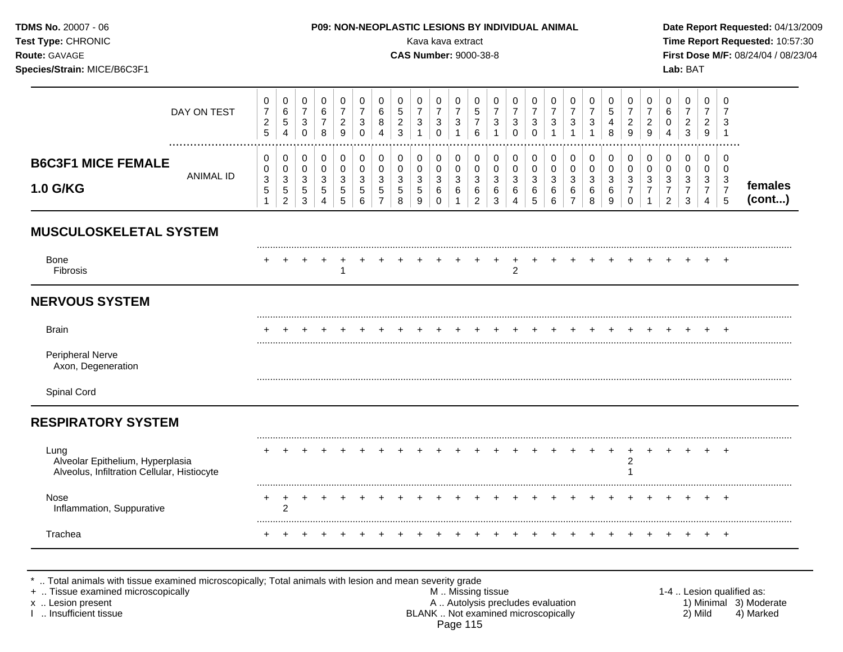| TDMS No. 20007 - 06<br>Test Type: CHRONIC<br>Route: GAVAGE<br>Species/Strain: MICE/B6C3F1 |                  |                                                                    |                                                                |                                                                 |                                         |                                                           |                                                                         |                                                                                  |                                                               | Kava kava extract<br><b>CAS Number: 9000-38-8</b>                         |                                                                          |                                                                     |                                                                   |                                                  | P09: NON-NEOPLASTIC LESIONS BY INDIVIDUAL ANIMAL                |                                                                 |                                                              |                                                       |                                                                  |                                                        |                                                                           |                                                                          |                                                                                             | Lab: BAT                                                          |                                                                      |                                                        | Date Report Requested: 04/13/2009<br>Time Report Requested: 10:57:30<br>First Dose M/F: 08/24/04 / 08/23/04 |
|-------------------------------------------------------------------------------------------|------------------|--------------------------------------------------------------------|----------------------------------------------------------------|-----------------------------------------------------------------|-----------------------------------------|-----------------------------------------------------------|-------------------------------------------------------------------------|----------------------------------------------------------------------------------|---------------------------------------------------------------|---------------------------------------------------------------------------|--------------------------------------------------------------------------|---------------------------------------------------------------------|-------------------------------------------------------------------|--------------------------------------------------|-----------------------------------------------------------------|-----------------------------------------------------------------|--------------------------------------------------------------|-------------------------------------------------------|------------------------------------------------------------------|--------------------------------------------------------|---------------------------------------------------------------------------|--------------------------------------------------------------------------|---------------------------------------------------------------------------------------------|-------------------------------------------------------------------|----------------------------------------------------------------------|--------------------------------------------------------|-------------------------------------------------------------------------------------------------------------|
|                                                                                           | DAY ON TEST      | 0<br>$\boldsymbol{7}$<br>$\overline{\mathbf{c}}$<br>$\overline{5}$ | 0<br>$\,6\,$<br>$\sqrt{5}$<br>$\overline{4}$                   | 0<br>$\overline{7}$<br>$\ensuremath{\mathsf{3}}$<br>$\mathbf 0$ | 0<br>$\,6$<br>$\boldsymbol{7}$<br>8     | 0<br>$\overline{7}$<br>$\overline{c}$<br>9                | $\pmb{0}$<br>$\overline{7}$<br>$\ensuremath{\mathsf{3}}$<br>$\mathbf 0$ | 0<br>$\,6\,$<br>$\bf 8$<br>$\overline{4}$                                        | 0<br>$\mathbf 5$<br>$\sqrt{2}$<br>$\mathbf{3}$                | 0<br>$\overline{7}$<br>$\sqrt{3}$<br>$\mathbf{1}$                         | $\mathbf 0$<br>$\overline{7}$<br>$\mathbf 3$<br>$\mathbf 0$              | 0<br>$\overline{7}$<br>$\sqrt{3}$<br>$\mathbf{1}$                   | $\mathbf 0$<br>$\,$ 5 $\,$<br>$\overline{7}$<br>$6\phantom{1}6$   | 0<br>$\overline{7}$<br>3<br>1                    | 0<br>$\overline{7}$<br>$\ensuremath{\mathsf{3}}$<br>$\mathbf 0$ | 0<br>$\overline{7}$<br>$\ensuremath{\mathsf{3}}$<br>$\mathbf 0$ | 0<br>$\overline{7}$<br>$\mathbf{3}$<br>$\overline{1}$        | 0<br>$\overline{7}$<br>$\mathbf{3}$<br>$\mathbf{1}$   | 0<br>$\overline{7}$<br>$\ensuremath{\mathsf{3}}$<br>$\mathbf{1}$ | 0<br>$\sqrt{5}$<br>$\overline{\mathbf{4}}$<br>8        | 0<br>$\overline{7}$<br>$\sqrt{2}$<br>9                                    | 0<br>$\overline{7}$<br>$\sqrt{2}$<br>$\overline{9}$                      | 0<br>$\,6\,$<br>$\pmb{0}$<br>$\overline{4}$                                                 | 0<br>$\overline{7}$<br>$\sqrt{2}$<br>$\mathbf{3}$                 | $\mathbf 0$<br>$\overline{7}$<br>$\sqrt{2}$<br>$\boldsymbol{9}$      | $\mathbf 0$<br>$\overline{7}$<br>3<br>$\overline{1}$   |                                                                                                             |
| <b>B6C3F1 MICE FEMALE</b><br>1.0 G/KG                                                     | <b>ANIMAL ID</b> | 0<br>$\mathbf 0$<br>$\ensuremath{\mathsf{3}}$<br>5<br>$\mathbf{1}$ | 0<br>$\pmb{0}$<br>$\mathbf{3}$<br>$\sqrt{5}$<br>$\overline{2}$ | 0<br>$\pmb{0}$<br>$\sqrt{3}$<br>$\sqrt{5}$<br>3                 | $\mathbf 0$<br>$\pmb{0}$<br>3<br>5<br>4 | $\pmb{0}$<br>$\mathsf 0$<br>$\sqrt{3}$<br>$\sqrt{5}$<br>5 | $\pmb{0}$<br>$\pmb{0}$<br>$\ensuremath{\mathsf{3}}$<br>$\sqrt{5}$<br>6  | $\mathbf 0$<br>$\mathsf{O}\xspace$<br>$\sqrt{3}$<br>$\sqrt{5}$<br>$\overline{7}$ | $\mathbf 0$<br>$\pmb{0}$<br>$\sqrt{3}$<br>$\overline{5}$<br>8 | $\mathbf 0$<br>$\pmb{0}$<br>$\ensuremath{\mathsf{3}}$<br>$\,$ 5 $\,$<br>9 | $\mathbf 0$<br>$\mathbf 0$<br>$\mathbf 3$<br>$6\phantom{1}6$<br>$\Omega$ | 0<br>$\mathsf{O}\xspace$<br>$\mathbf{3}$<br>$\,6\,$<br>$\mathbf{1}$ | $\mathbf 0$<br>$\pmb{0}$<br>$\sqrt{3}$<br>$\,6$<br>$\overline{2}$ | $\pmb{0}$<br>$\pmb{0}$<br>$\mathbf{3}$<br>6<br>3 | $\mathbf 0$<br>$\mathbf 0$<br>$\sqrt{3}$<br>6<br>4              | $\pmb{0}$<br>$\pmb{0}$<br>3<br>$\,6\,$<br>5                     | $\mathbf 0$<br>$\pmb{0}$<br>$\sqrt{3}$<br>$\,6\,$<br>$\,6\,$ | 0<br>$\pmb{0}$<br>$\mathbf{3}$<br>6<br>$\overline{7}$ | $\pmb{0}$<br>$\pmb{0}$<br>$\mathbf{3}$<br>6<br>8                 | $\pmb{0}$<br>$\mathbf 0$<br>$\sqrt{3}$<br>$\,6\,$<br>9 | 0<br>$\mathsf{O}\xspace$<br>$\mathbf{3}$<br>$\overline{7}$<br>$\mathbf 0$ | $\mathbf 0$<br>$\pmb{0}$<br>$\sqrt{3}$<br>$\overline{7}$<br>$\mathbf{1}$ | $\mathbf 0$<br>$\pmb{0}$<br>$\ensuremath{\mathsf{3}}$<br>$\boldsymbol{7}$<br>$\overline{2}$ | $\mathbf 0$<br>$\mathbf 0$<br>$\mathbf{3}$<br>$\overline{7}$<br>3 | 0<br>$\mathbf 0$<br>$\mathbf{3}$<br>$\overline{7}$<br>$\overline{4}$ | $\mathbf 0$<br>$\mathbf 0$<br>3<br>$\overline{7}$<br>5 | females<br>(cont)                                                                                           |
| <b>MUSCULOSKELETAL SYSTEM</b>                                                             |                  |                                                                    |                                                                |                                                                 |                                         |                                                           |                                                                         |                                                                                  |                                                               |                                                                           |                                                                          |                                                                     |                                                                   |                                                  |                                                                 |                                                                 |                                                              |                                                       |                                                                  |                                                        |                                                                           |                                                                          |                                                                                             |                                                                   |                                                                      |                                                        |                                                                                                             |
| <b>Bone</b><br>Fibrosis                                                                   |                  |                                                                    |                                                                |                                                                 |                                         | 1                                                         |                                                                         |                                                                                  |                                                               |                                                                           |                                                                          |                                                                     |                                                                   |                                                  | 2                                                               |                                                                 |                                                              |                                                       |                                                                  |                                                        |                                                                           |                                                                          |                                                                                             |                                                                   |                                                                      |                                                        |                                                                                                             |
| <b>NERVOUS SYSTEM</b>                                                                     |                  |                                                                    |                                                                |                                                                 |                                         |                                                           |                                                                         |                                                                                  |                                                               |                                                                           |                                                                          |                                                                     |                                                                   |                                                  |                                                                 |                                                                 |                                                              |                                                       |                                                                  |                                                        |                                                                           |                                                                          |                                                                                             |                                                                   |                                                                      |                                                        |                                                                                                             |
| <b>Brain</b>                                                                              |                  |                                                                    |                                                                |                                                                 |                                         |                                                           |                                                                         |                                                                                  |                                                               |                                                                           |                                                                          |                                                                     |                                                                   |                                                  |                                                                 |                                                                 |                                                              |                                                       |                                                                  |                                                        |                                                                           |                                                                          |                                                                                             |                                                                   |                                                                      |                                                        |                                                                                                             |
| Peripheral Nerve<br>Axon, Degeneration                                                    |                  |                                                                    |                                                                |                                                                 |                                         |                                                           |                                                                         |                                                                                  |                                                               |                                                                           |                                                                          |                                                                     |                                                                   |                                                  |                                                                 |                                                                 |                                                              |                                                       |                                                                  |                                                        |                                                                           |                                                                          |                                                                                             |                                                                   |                                                                      |                                                        |                                                                                                             |
| Spinal Cord                                                                               |                  |                                                                    |                                                                |                                                                 |                                         |                                                           |                                                                         |                                                                                  |                                                               |                                                                           |                                                                          |                                                                     |                                                                   |                                                  |                                                                 |                                                                 |                                                              |                                                       |                                                                  |                                                        |                                                                           |                                                                          |                                                                                             |                                                                   |                                                                      |                                                        |                                                                                                             |
| <b>RESPIRATORY SYSTEM</b>                                                                 |                  |                                                                    |                                                                |                                                                 |                                         |                                                           |                                                                         |                                                                                  |                                                               |                                                                           |                                                                          |                                                                     |                                                                   |                                                  |                                                                 |                                                                 |                                                              |                                                       |                                                                  |                                                        |                                                                           |                                                                          |                                                                                             |                                                                   |                                                                      |                                                        |                                                                                                             |
| Lung<br>Alveolar Epithelium, Hyperplasia<br>Alveolus, Infiltration Cellular, Histiocyte   |                  |                                                                    |                                                                |                                                                 |                                         |                                                           |                                                                         |                                                                                  |                                                               |                                                                           |                                                                          |                                                                     |                                                                   |                                                  |                                                                 |                                                                 |                                                              |                                                       |                                                                  | $\ddot{}$                                              | $\overline{+}$<br>$\overline{\mathbf{c}}$<br>1                            |                                                                          |                                                                                             |                                                                   |                                                                      | $\pm$                                                  |                                                                                                             |
| Nose<br>Inflammation, Suppurative                                                         |                  |                                                                    | $\overline{2}$                                                 | $\ddot{}$                                                       |                                         |                                                           |                                                                         |                                                                                  |                                                               |                                                                           |                                                                          |                                                                     |                                                                   |                                                  |                                                                 |                                                                 |                                                              | $\ddot{}$                                             |                                                                  | $\overline{ }$                                         | $\overline{+}$                                                            |                                                                          |                                                                                             |                                                                   | $\overline{+}$                                                       | $+$                                                    |                                                                                                             |
| Trachea                                                                                   |                  |                                                                    |                                                                |                                                                 |                                         |                                                           |                                                                         |                                                                                  |                                                               |                                                                           |                                                                          |                                                                     |                                                                   |                                                  |                                                                 |                                                                 |                                                              |                                                       |                                                                  |                                                        |                                                                           |                                                                          |                                                                                             |                                                                   |                                                                      | $^{+}$                                                 |                                                                                                             |

\* .. Total animals with tissue examined microscopically; Total animals with lesion and mean severity grade<br>+ .. Tissue examined microscopically

+ .. Tissue examined microscopically **All and the substitute of the set of the set of the set of the set of the set of the set of the set of the set of the set of the set of the set of the set of the set of the set of the** x .. Lesion present **A .. Autolysis precludes evaluation** A .. Autolysis precludes evaluation 1) Minimal 3) Moderate I .. Insufficient tissue BLANK .. Not examined microscopically 2) Mild 4) Marked Page 115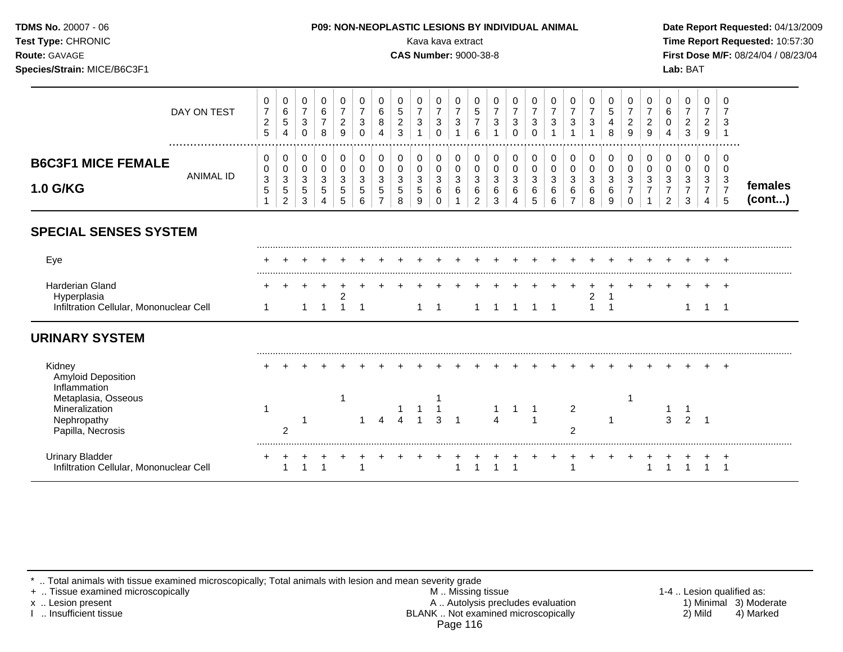| <b>TDMS No. 20007 - 06</b><br><b>Test Type: CHRONIC</b><br><b>Route: GAVAGE</b><br>Species/Strain: MICE/B6C3F1 |             | <b>P09: NON-NEOPLASTIC LESIONS BY INDIVIDUAL ANIMAL</b><br>Kava kava extract<br><b>CAS Number: 9000-38-8</b> | Date Report Requested: 04/13/2009<br>Time Report Requested: 10:57:30<br>First Dose M/F: 08/24/04 / 08/23/04<br>Lab: BAT |
|----------------------------------------------------------------------------------------------------------------|-------------|--------------------------------------------------------------------------------------------------------------|-------------------------------------------------------------------------------------------------------------------------|
|                                                                                                                | DAY ON TEST | 0<br>0<br>0<br>0<br>0<br>0<br>0<br>$\overline{0}$<br>0<br>0<br>$\mathbf 0$<br>5                              | 0<br>$\rightarrow$                                                                                                      |

|                           |                  | c<br>-<br>.5 | J<br>4      | <sup>o</sup><br>ັ<br>◡ | ີ |   | о<br>4 | $\sim$<br>J | ີ<br>ບ                | ັ<br>ັ       | O             |   | u | v      |   |   | u           | -<br>O<br>◡ | <u>_</u> | 4             | $\sim$<br><u>_</u><br>9 | ാ<br>ັບ        |                   |
|---------------------------|------------------|--------------|-------------|------------------------|---|---|--------|-------------|-----------------------|--------------|---------------|---|---|--------|---|---|-------------|-------------|----------|---------------|-------------------------|----------------|-------------------|
| <b>B6C3F1 MICE FEMALE</b> |                  |              | 0<br>υ      | ັ<br>ັ                 |   |   |        |             | ັ<br>υ                | ັ<br>ັ       |               |   |   | ╰<br>◡ |   |   | L.<br>ື     | ັ<br>ັ      |          |               | u                       | <b>U</b><br>J. |                   |
| <b>1.0 G/KG</b>           | <b>ANIMAL ID</b> | -2<br>ັ<br>◡ | u<br>J<br>- | -<br>ັ<br>ັ<br>ັ       | ◡ | ັ | ັ<br>ັ | ັ<br>J      | $\sim$<br>◡<br>G<br>9 | ັ<br>ັບ<br>ັ | ັ<br><u>.</u> | ັ | ັ | ັ<br>◡ | ັ | J | u<br>u<br>v | ັ           | ◡        | ັ<br><u>_</u> | $\sqrt{2}$<br>ັ<br>,,   | £<br>ഄ<br>ل.   | temales<br>(cont) |

## **SPECIAL SENSES SYSTEM**

| Eve                                                        | + + +                         |  |  |  |  |  |  |  |  |  |  |  |  |
|------------------------------------------------------------|-------------------------------|--|--|--|--|--|--|--|--|--|--|--|--|
| Harderian Gland<br>Infiltration Cellular, Mononuclear Cell | 1 1 1 1 1 1 1 1 1 1 1 1 1 1 1 |  |  |  |  |  |  |  |  |  |  |  |  |

## **URINARY SYSTEM**

| Kidney<br><b>Amyloid Deposition</b><br>Inflammation                              |  |  |  |          |  |  |  |  |        |  |  |  |  |
|----------------------------------------------------------------------------------|--|--|--|----------|--|--|--|--|--------|--|--|--|--|
| Metaplasia, Osseous<br>Mineralization<br><b>Nephropathy</b><br>Papilla, Necrosis |  |  |  | $\Delta$ |  |  |  |  | ົ<br>ົ |  |  |  |  |
| Urinary Bladder<br>Infiltration Cellular, Mononuclear Cell                       |  |  |  |          |  |  |  |  |        |  |  |  |  |

\* .. Total animals with tissue examined microscopically; Total animals with lesion and mean severity grade<br>+ .. Tissue examined microscopically

+ .. Tissue examined microscopically **All incomponent of the set of the set of the M** .. Missing tissue 1-4 .. Lesion qualified as:<br>A .. Autolysis precludes evaluation 1) Minimal 3) Moderate x .. Lesion present **A .. Autolysis precludes evaluation** A .. Autolysis precludes evaluation 1) Minimal 3) Moderate I .. Insufficient tissue BLANK .. Not examined microscopically 2) Mild 4) Marked Page 116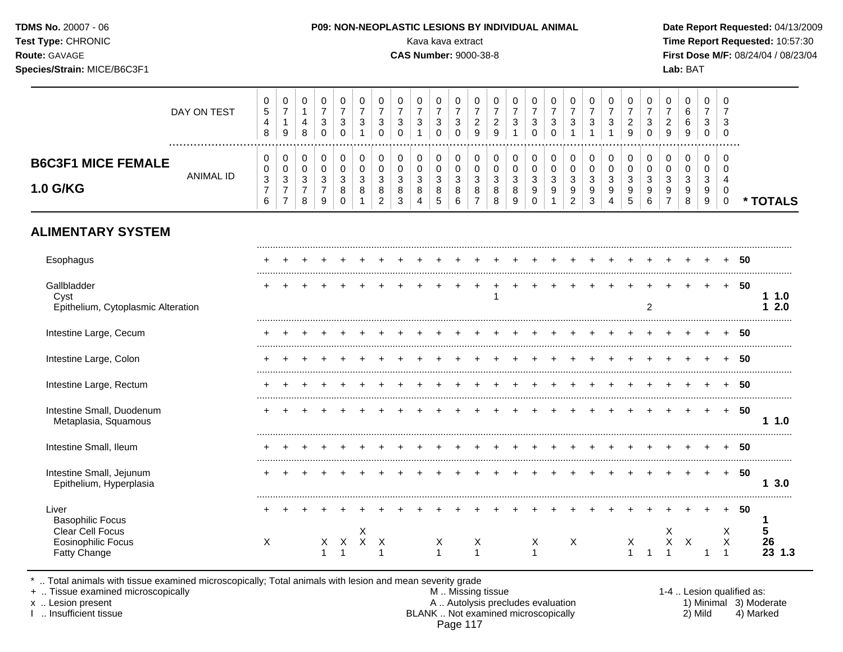| <b>TDMS No. 20007 - 06</b><br><b>Test Type: CHRONIC</b><br><b>Route: GAVAGE</b><br>Species/Strain: MICE/B6C3F1 |             | <b>P09: NON-NEOPLASTIC LESIONS BY INDIVIDUAL ANIMAL</b><br>Kava kava extract<br><b>CAS Number: 9000-38-8</b> | Date Report Requested: 04/13/2009<br>Time Report Requested: 10:57:30<br>First Dose M/F: 08/24/04 / 08/23/04<br>Lab: BAT |
|----------------------------------------------------------------------------------------------------------------|-------------|--------------------------------------------------------------------------------------------------------------|-------------------------------------------------------------------------------------------------------------------------|
|                                                                                                                | DAY ON TEST | 0<br>0<br>0<br>U<br>5                                                                                        |                                                                                                                         |

|                                       |           | 8                               | 9                                                                                                                                                                                                                                                                                                                                                                                                                                                                                                      | 8 |  |  |  | ◡ | 9 | 9 |  |  |  | 9 | 0 | 9 | 9 | ັ |  |
|---------------------------------------|-----------|---------------------------------|--------------------------------------------------------------------------------------------------------------------------------------------------------------------------------------------------------------------------------------------------------------------------------------------------------------------------------------------------------------------------------------------------------------------------------------------------------------------------------------------------------|---|--|--|--|---|---|---|--|--|--|---|---|---|---|---|--|
| <b>B6C3F1 MICE FEMALE</b><br>1.0 G/KG | ANIMAL ID | ັບ<br>◡<br>3<br>$\epsilon$<br>O | ◡<br>v<br>v<br>ັ<br>ັ<br>v<br>U<br>◡<br>ν<br>$\sim$<br>$\sim$<br>$\sim$<br>$\sim$<br>ົ<br>$\sim$<br>$\sim$<br>◠<br>c<br>$\sim$<br>c<br>c<br>r<br>ັບ<br>J<br>ບ<br>N<br>N<br>ັບ<br>ت<br>J<br>ັ<br>ت<br>ັ<br>ັ<br>u<br>ັ<br>ັ<br>u<br>◡<br>ັ<br>$\Omega$<br>R<br>9<br>o<br>9<br>8<br>9<br>o<br>g<br>У<br>$\circ$<br>o<br>್<br>Ñ<br>ັ<br>-<br>$\sim$<br>$\sim$<br>$\sim$<br>R.<br>9<br>$\sim$<br>8<br>⌒<br>G<br>$\ddot{\phantom{1}}$<br>ਖ਼<br>◡<br>U<br>◡<br>U<br>v<br>ັ<br>ັ<br>ັ<br><u>_</u><br><u>_</u> |   |  |  |  |   |   |   |  |  |  |   |   |   |   |   |  |
|                                       |           |                                 |                                                                                                                                                                                                                                                                                                                                                                                                                                                                                                        |   |  |  |  |   |   |   |  |  |  |   |   |   |   |   |  |

                                   

**\* TOTALS**

# **ALIMENTARY SYSTEM**

| Esophagus                                                 |   |  |    |   |              |   |  |   |   |  |   |   |  |   |               |    |                           |           | 50 |                        |
|-----------------------------------------------------------|---|--|----|---|--------------|---|--|---|---|--|---|---|--|---|---------------|----|---------------------------|-----------|----|------------------------|
| Gallbladder<br>Cyst<br>Epithelium, Cytoplasmic Alteration |   |  |    |   |              |   |  |   |   |  |   |   |  |   | $\mathcal{P}$ |    |                           | $\pm$     | 50 | 1.0<br>2.0             |
| Intestine Large, Cecum                                    |   |  |    |   |              |   |  |   |   |  |   |   |  |   |               |    |                           |           | 50 |                        |
| Intestine Large, Colon                                    |   |  |    |   |              |   |  |   |   |  |   |   |  |   |               |    |                           |           | 50 |                        |
| Intestine Large, Rectum                                   |   |  |    |   |              |   |  |   |   |  |   |   |  |   |               |    |                           |           | 50 |                        |
| Intestine Small, Duodenum<br>Metaplasia, Squamous         |   |  |    |   |              |   |  |   |   |  |   |   |  |   |               |    |                           |           | 50 | 1.0                    |
| Intestine Small, Ileum                                    |   |  |    |   |              |   |  |   |   |  |   |   |  |   |               |    |                           |           | 50 |                        |
| Intestine Small, Jejunum<br>Epithelium, Hyperplasia       |   |  |    |   |              |   |  |   |   |  |   |   |  |   |               |    |                           | $\ddot{}$ | 50 | 3.0                    |
| Liver<br><b>Basophilic Focus</b><br>Clear Cell Focus      |   |  |    |   | X            |   |  |   |   |  |   |   |  |   |               | X  |                           | Х         | 50 |                        |
| <b>Eosinophilic Focus</b><br><b>Fatty Change</b>          | X |  | X. | X | $\mathsf{X}$ | X |  | X | X |  | X | Χ |  | X |               | X. | $\boldsymbol{\mathsf{X}}$ | X         |    | $\frac{26}{23}$<br>1.3 |

\* .. Total animals with tissue examined microscopically; Total animals with lesion and mean severity grade

           

+ .. Tissue examined microscopically M .. Missing tissue 1-4 .. Lesion qualified as: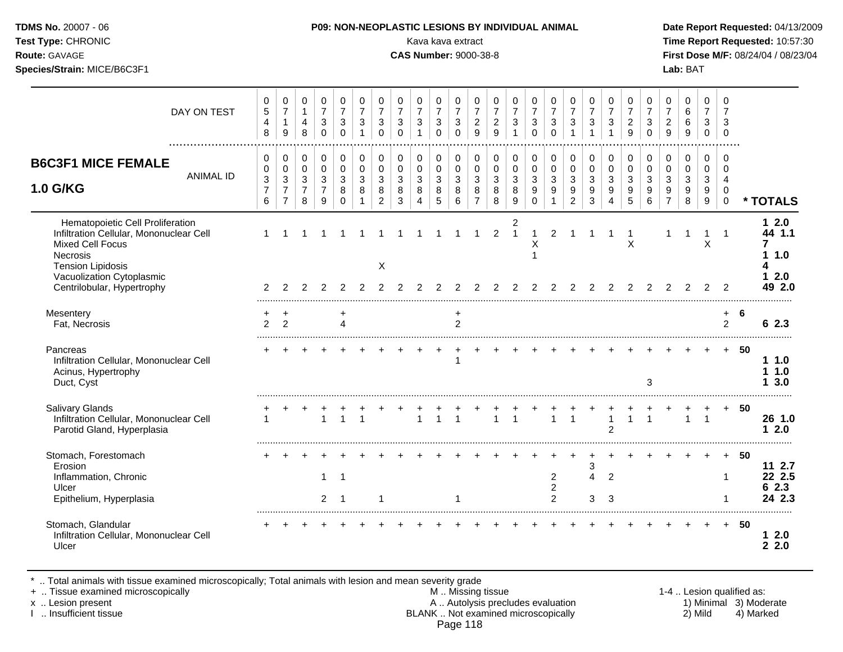|  | TDMS No. 20007 - 06 |
|--|---------------------|
|  | T. T. OLIDONIIO     |

#### **P09: NON-NEOPLASTIC LESIONS BY INDIVIDUAL ANIMAL Date Report Requested: 04/13/2009**

**Test Type:** CHRONIC **Transfer CHRONIC Report Requested:** 10:57:30 **Route:** GAVAGE **CAS Number:** 9000-38-8 **First Dose M/F:** 08/24/04 / 08/23/04 **Species/Strain:** MICE/B6C3F1 **Lab:** BAT

| DAY ON TEST                                                                                                                                                                                               | 0<br>$\sqrt{5}$<br>$\overline{4}$<br>8                              | 0<br>$\overline{7}$<br>$\mathbf{1}$<br>9                                       | 0<br>$\mathbf{1}$<br>$\overline{4}$<br>8               | 0<br>$\overline{7}$<br>3<br>$\mathbf 0$                           | 0<br>$\overline{7}$<br>3<br>$\Omega$                     | 0<br>$\overline{7}$<br>$\mathbf{3}$<br>$\mathbf{1}$             | 0<br>$\overline{7}$<br>3<br>$\mathbf 0$                              | 0<br>$\overline{7}$<br>3<br>$\Omega$     | 0<br>$\overline{7}$<br>$\mathbf{3}$<br>$\mathbf{1}$ | 0<br>$\overline{7}$<br>$\mathbf{3}$<br>$\mathbf 0$ | 0<br>$\overline{7}$<br>3<br>$\mathbf 0$                      | 0<br>$\overline{7}$<br>$\overline{2}$<br>$\overline{9}$ | 0<br>$\overline{7}$<br>$\overline{c}$<br>$\overline{9}$ | 0<br>$\overline{7}$<br>3<br>$\mathbf{1}$   | 0<br>$\overline{7}$<br>3<br>$\mathbf 0$                             | 0<br>$\overline{7}$<br>$\sqrt{3}$<br>$\Omega$       | 0<br>$\overline{7}$<br>3<br>1                                                  | 0<br>$\overline{7}$<br>3<br>$\overline{1}$         | 0<br>$\overline{7}$<br>3                               | 0<br>$\overline{7}$<br>$\overline{c}$<br>9 | 0<br>$\overline{7}$<br>3<br>$\mathbf 0$    | 0<br>$\overline{7}$<br>$\boldsymbol{2}$<br>9          | 0<br>$\,6\,$<br>6<br>9                                            | 0<br>$\overline{7}$<br>3<br>0                       | 0<br>$\overline{7}$<br>3<br>$\overline{0}$                 |      |                                             |
|-----------------------------------------------------------------------------------------------------------------------------------------------------------------------------------------------------------|---------------------------------------------------------------------|--------------------------------------------------------------------------------|--------------------------------------------------------|-------------------------------------------------------------------|----------------------------------------------------------|-----------------------------------------------------------------|----------------------------------------------------------------------|------------------------------------------|-----------------------------------------------------|----------------------------------------------------|--------------------------------------------------------------|---------------------------------------------------------|---------------------------------------------------------|--------------------------------------------|---------------------------------------------------------------------|-----------------------------------------------------|--------------------------------------------------------------------------------|----------------------------------------------------|--------------------------------------------------------|--------------------------------------------|--------------------------------------------|-------------------------------------------------------|-------------------------------------------------------------------|-----------------------------------------------------|------------------------------------------------------------|------|---------------------------------------------|
| <b>B6C3F1 MICE FEMALE</b><br><b>ANIMAL ID</b><br>1.0 G/KG                                                                                                                                                 | $\mathbf 0$<br>$\mathbf 0$<br>$\mathfrak{Z}$<br>$\overline{7}$<br>6 | $\pmb{0}$<br>$\mathbf 0$<br>$\mathfrak{Z}$<br>$\overline{7}$<br>$\overline{7}$ | $\mathbf 0$<br>$\mathbf 0$<br>3<br>$\overline{7}$<br>8 | $\mathbf 0$<br>$\mathbf 0$<br>$\mathbf{3}$<br>$\overline{7}$<br>9 | $\mathbf 0$<br>$\Omega$<br>$\mathbf{3}$<br>8<br>$\Omega$ | $\mathbf 0$<br>$\mathbf 0$<br>$\mathbf{3}$<br>8<br>$\mathbf{1}$ | 0<br>$\mathbf 0$<br>$\ensuremath{\mathsf{3}}$<br>8<br>$\overline{2}$ | 0<br>$\mathbf 0$<br>$\sqrt{3}$<br>8<br>3 | $\Omega$<br>$\Omega$<br>$\sqrt{3}$<br>8<br>4        | 0<br>$\mathbf 0$<br>$\sqrt{3}$<br>8<br>$\sqrt{5}$  | $\mathbf 0$<br>$\mathbf 0$<br>$\mathfrak{S}$<br>8<br>$\,6\,$ | 0<br>$\mathbf 0$<br>$\sqrt{3}$<br>8<br>$\overline{7}$   | $\mathbf 0$<br>$\mathbf 0$<br>$\mathbf{3}$<br>8<br>8    | 0<br>$\mathbf 0$<br>$\mathbf{3}$<br>8<br>9 | 0<br>$\mathbf 0$<br>$\mathbf{3}$<br>$\boldsymbol{9}$<br>$\mathbf 0$ | 0<br>$\mathbf 0$<br>$\sqrt{3}$<br>9<br>$\mathbf{1}$ | $\mathbf 0$<br>$\mathbf 0$<br>$\sqrt{3}$<br>$\boldsymbol{9}$<br>$\overline{2}$ | $\mathbf 0$<br>$\mathbf 0$<br>$\sqrt{3}$<br>9<br>3 | $\mathbf 0$<br>$\mathbf 0$<br>$\mathfrak{S}$<br>9<br>4 | 0<br>$\Omega$<br>$\mathbf{3}$<br>9<br>5    | 0<br>$\mathbf 0$<br>$\mathbf{3}$<br>9<br>6 | 0<br>$\mathbf 0$<br>$\sqrt{3}$<br>9<br>$\overline{7}$ | $\mathbf 0$<br>$\mathbf 0$<br>$\sqrt{3}$<br>$\boldsymbol{9}$<br>8 | $\mathbf 0$<br>$\Omega$<br>$\mathfrak{S}$<br>9<br>9 | $\Omega$<br>$\Omega$<br>$\overline{4}$<br>0<br>$\mathbf 0$ |      | * TOTALS                                    |
| Hematopoietic Cell Proliferation<br>Infiltration Cellular, Mononuclear Cell<br><b>Mixed Cell Focus</b><br>Necrosis<br><b>Tension Lipidosis</b><br>Vacuolization Cytoplasmic<br>Centrilobular, Hypertrophy | 2                                                                   |                                                                                |                                                        |                                                                   |                                                          |                                                                 | X<br>2                                                               |                                          |                                                     |                                                    |                                                              |                                                         | 2<br>2                                                  | 2<br>$\mathbf{1}$<br>2                     | $\mathbf{1}$<br>X                                                   | $\overline{2}$                                      |                                                                                |                                                    |                                                        | -1<br>X                                    | 2                                          |                                                       |                                                                   | 1<br>$\times$<br>2                                  | $\mathbf 1$<br>2                                           |      | $12.0$<br>44 1.1<br>1.0<br>$12.0$<br>49 2.0 |
| Mesentery<br>Fat, Necrosis                                                                                                                                                                                | $\overline{2}$                                                      | $\ddot{}$<br>$\overline{2}$                                                    |                                                        |                                                                   | +<br>$\Delta$                                            |                                                                 |                                                                      |                                          |                                                     |                                                    | $\ddot{}$<br>$\overline{2}$                                  |                                                         |                                                         |                                            |                                                                     |                                                     |                                                                                |                                                    |                                                        |                                            |                                            |                                                       |                                                                   |                                                     | $\ddot{}$<br>$\overline{2}$                                | 6    | 62.3                                        |
| Pancreas<br>Infiltration Cellular, Mononuclear Cell<br>Acinus, Hypertrophy<br>Duct, Cyst                                                                                                                  |                                                                     |                                                                                |                                                        |                                                                   |                                                          |                                                                 |                                                                      |                                          |                                                     |                                                    |                                                              |                                                         |                                                         |                                            |                                                                     |                                                     |                                                                                |                                                    |                                                        |                                            | 3                                          |                                                       |                                                                   |                                                     | $+$                                                        | - 50 | 11.0<br>11.0<br>3.0                         |
| <b>Salivary Glands</b><br>Infiltration Cellular, Mononuclear Cell<br>Parotid Gland, Hyperplasia                                                                                                           | 1                                                                   |                                                                                |                                                        |                                                                   |                                                          |                                                                 |                                                                      |                                          | $\overline{1}$                                      |                                                    |                                                              |                                                         | $\overline{1}$                                          | $\mathbf{1}$                               |                                                                     | $\mathbf{1}$                                        | $\mathbf{1}$                                                                   |                                                    | $\overline{2}$                                         | $\overline{1}$                             | $\mathbf{1}$                               |                                                       | $\mathbf{1}$                                                      | $\overline{1}$                                      | $+$                                                        | - 50 | 26 1.0<br>12.0                              |
| Stomach, Forestomach<br>Erosion<br>Inflammation, Chronic<br>Ulcer<br>Epithelium, Hyperplasia                                                                                                              |                                                                     |                                                                                |                                                        | $\mathbf 1$<br>$\overline{2}$                                     | $\overline{\mathbf{1}}$<br>-1                            |                                                                 |                                                                      |                                          |                                                     |                                                    |                                                              |                                                         |                                                         |                                            |                                                                     | $\overline{2}$<br>$\overline{c}$<br>$\overline{2}$  |                                                                                | 3<br>$\overline{4}$<br>3                           | $\overline{2}$<br>3                                    |                                            |                                            |                                                       |                                                                   |                                                     | 1<br>-1                                                    | 50   | 11 2.7<br>22 2.5<br>62.3<br>24 2.3          |
| Stomach, Glandular<br>Infiltration Cellular, Mononuclear Cell<br>Ulcer                                                                                                                                    |                                                                     |                                                                                |                                                        |                                                                   |                                                          |                                                                 |                                                                      |                                          |                                                     |                                                    |                                                              |                                                         |                                                         |                                            |                                                                     |                                                     |                                                                                |                                                    |                                                        |                                            |                                            |                                                       |                                                                   |                                                     | $+$                                                        | - 50 | 12.0<br>2.2.0                               |
|                                                                                                                                                                                                           |                                                                     |                                                                                |                                                        |                                                                   |                                                          |                                                                 |                                                                      |                                          |                                                     |                                                    |                                                              |                                                         |                                                         |                                            |                                                                     |                                                     |                                                                                |                                                    |                                                        |                                            |                                            |                                                       |                                                                   |                                                     |                                                            |      |                                             |

\* .. Total animals with tissue examined microscopically; Total animals with lesion and mean severity grade

+ .. Tissue examined microscopically M .. Missing tissue 1-4 .. Lesion qualified as: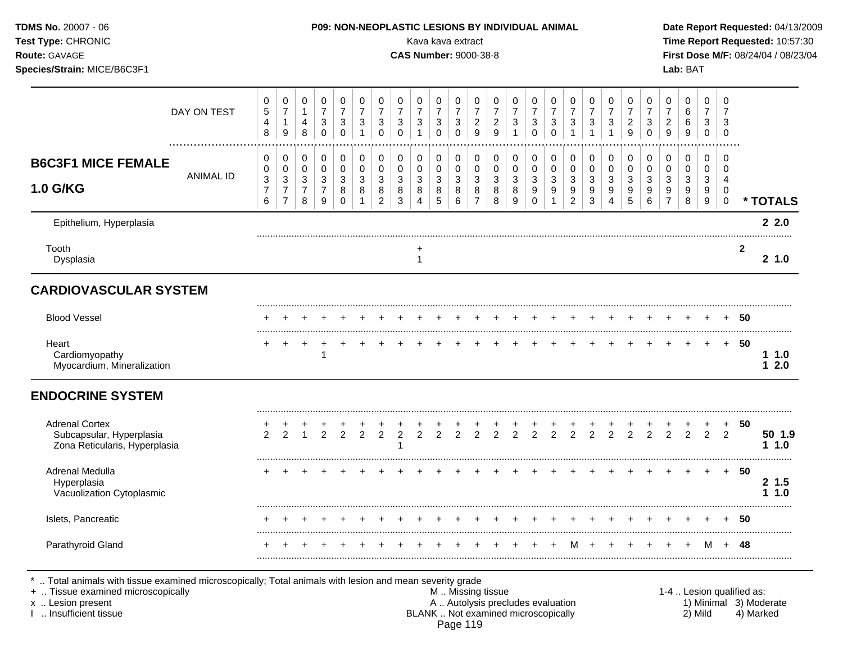| TDMS No. 20007 - 06<br>Test Type: CHRONIC<br>Route: GAVAGE<br>Species/Strain: MICE/B6C3F1 |                  |                                                              |                                                                        |                                                     |                                                                         |                                                   |                                                                   | P09: NON-NEOPLASTIC LESIONS BY INDIVIDUAL ANIMAL                |                                                                                 | Kava kava extract<br><b>CAS Number: 9000-38-8</b>                |                                                                                  |                                                                       |                                                                       |                                                        |                                                                          |                                                                         |                                                                             |                                                                        |                                                                            |                                                     |                                                      |                                                                       |                                                             | Lab: BAT                                                              |                                                   |                                                              |                | Date Report Requested: 04/13/2009<br>Time Report Requested: 10:57:30<br>First Dose M/F: 08/24/04 / 08/23/04 |
|-------------------------------------------------------------------------------------------|------------------|--------------------------------------------------------------|------------------------------------------------------------------------|-----------------------------------------------------|-------------------------------------------------------------------------|---------------------------------------------------|-------------------------------------------------------------------|-----------------------------------------------------------------|---------------------------------------------------------------------------------|------------------------------------------------------------------|----------------------------------------------------------------------------------|-----------------------------------------------------------------------|-----------------------------------------------------------------------|--------------------------------------------------------|--------------------------------------------------------------------------|-------------------------------------------------------------------------|-----------------------------------------------------------------------------|------------------------------------------------------------------------|----------------------------------------------------------------------------|-----------------------------------------------------|------------------------------------------------------|-----------------------------------------------------------------------|-------------------------------------------------------------|-----------------------------------------------------------------------|---------------------------------------------------|--------------------------------------------------------------|----------------|-------------------------------------------------------------------------------------------------------------|
|                                                                                           | DAY ON TEST      | $\pmb{0}$<br>$\sqrt{5}$<br>4<br>$\,8\,$                      | $\pmb{0}$<br>$\overline{7}$<br>$\mathbf{1}$<br>$\boldsymbol{9}$        | $\pmb{0}$<br>$\mathbf{1}$<br>$\overline{4}$<br>8    | $\pmb{0}$<br>$\boldsymbol{7}$<br>$\ensuremath{\mathsf{3}}$<br>$\pmb{0}$ | 0<br>$\boldsymbol{7}$<br>3<br>$\mathbf 0$         | 0<br>$\overline{7}$<br>$\ensuremath{\mathsf{3}}$<br>$\mathbf{1}$  | 0<br>$\overline{7}$<br>$\ensuremath{\mathsf{3}}$<br>$\mathsf 0$ | $\pmb{0}$<br>$\overline{7}$<br>$\ensuremath{\mathsf{3}}$<br>$\mathsf{O}\xspace$ | 0<br>$\overline{7}$<br>$\ensuremath{\mathsf{3}}$<br>$\mathbf{1}$ | $\pmb{0}$<br>$\overline{\mathbf{7}}$<br>$\ensuremath{\mathsf{3}}$<br>$\mathbf 0$ | $\pmb{0}$<br>$\overline{7}$<br>$\ensuremath{\mathsf{3}}$<br>$\pmb{0}$ | $\pmb{0}$<br>$\overline{7}$<br>$\sqrt{2}$<br>$\mathsf g$              | $\pmb{0}$<br>$\overline{7}$<br>$\overline{c}$<br>9     | $\pmb{0}$<br>$\overline{7}$<br>$\ensuremath{\mathsf{3}}$<br>$\mathbf{1}$ | $\pmb{0}$<br>$\overline{7}$<br>$\ensuremath{\mathsf{3}}$<br>$\mathbf 0$ | $\pmb{0}$<br>$\overline{7}$<br>$\mathbf 3$<br>$\boldsymbol{0}$              | 0<br>$\overline{7}$<br>$\ensuremath{\mathsf{3}}$<br>$\mathbf{1}$       | $\pmb{0}$<br>$\boldsymbol{7}$<br>$\ensuremath{\mathsf{3}}$<br>$\mathbf{1}$ | $\mathsf{O}$<br>$\overline{7}$<br>3<br>$\mathbf{1}$ | 0<br>$\overline{7}$<br>$\overline{2}$<br>$\mathsf g$ | $\pmb{0}$<br>$\overline{7}$<br>$\ensuremath{\mathsf{3}}$<br>$\pmb{0}$ | 0<br>$\overline{7}$<br>$\boldsymbol{2}$<br>$\boldsymbol{9}$ | $\mathbf 0$<br>$\,6\,$<br>$\,6\,$<br>$\boldsymbol{9}$                 | $\mathbf 0$<br>$\overline{7}$<br>3<br>$\mathbf 0$ | $\mathbf 0$<br>$\overline{7}$<br>$\mathbf{3}$<br>$\mathbf 0$ |                |                                                                                                             |
| <b>B6C3F1 MICE FEMALE</b><br><b>1.0 G/KG</b>                                              | <b>ANIMAL ID</b> | 0<br>0<br>$\ensuremath{\mathsf{3}}$<br>$\boldsymbol{7}$<br>6 | 0<br>$\pmb{0}$<br>$\mathfrak{Z}$<br>$\boldsymbol{7}$<br>$\overline{7}$ | 0<br>$\pmb{0}$<br>$\sqrt{3}$<br>$\overline{7}$<br>8 | 0<br>$\pmb{0}$<br>$\mathbf{3}$<br>$\overline{7}$<br>9                   | 0<br>$\pmb{0}$<br>$\mathfrak{Z}$<br>8<br>$\Omega$ | $\mathbf 0$<br>$\mathbf 0$<br>$\mathfrak{S}$<br>8<br>$\mathbf{1}$ | 0<br>$\mathsf 0$<br>$\mathbf{3}$<br>8<br>$\overline{2}$         | 0<br>$\mathsf 0$<br>$\ensuremath{\mathsf{3}}$<br>8<br>$\sqrt{3}$                | 0<br>$\pmb{0}$<br>$\mathbf{3}$<br>$\bf 8$<br>$\overline{4}$      | $\pmb{0}$<br>$\pmb{0}$<br>$\mathbf{3}$<br>$\,8\,$<br>$\sqrt{5}$                  | $\pmb{0}$<br>$\pmb{0}$<br>$\sqrt{3}$<br>$\bf8$<br>6                   | $\mathbf 0$<br>$\pmb{0}$<br>$\mathbf{3}$<br>$\bf 8$<br>$\overline{7}$ | 0<br>$\mathbf 0$<br>$\mathbf{3}$<br>$\bf 8$<br>$\,8\,$ | $\mathbf 0$<br>$\mathbf 0$<br>$\mathbf{3}$<br>$\bf8$<br>9                | 0<br>$\mathsf 0$<br>$\sqrt{3}$<br>$\boldsymbol{9}$<br>$\mathbf 0$       | $\Omega$<br>$\mathbf 0$<br>$\mathbf{3}$<br>$\boldsymbol{9}$<br>$\mathbf{1}$ | 0<br>$\mathbf 0$<br>$\mathbf{3}$<br>$\boldsymbol{9}$<br>$\overline{2}$ | 0<br>$\mathbf 0$<br>$\mathbf{3}$<br>$\boldsymbol{9}$<br>3                  | 0<br>0<br>3<br>$\boldsymbol{9}$<br>$\overline{4}$   | 0<br>$\mathsf 0$<br>$\mathbf{3}$<br>9<br>$5\,$       | 0<br>$\mathsf 0$<br>$\mathbf{3}$<br>9<br>6                            | $\mathbf 0$<br>0<br>3<br>$\boldsymbol{9}$<br>$\overline{7}$ | $\mathbf 0$<br>$\mathbf 0$<br>$\mathfrak{Z}$<br>$\boldsymbol{9}$<br>8 | $\mathbf 0$<br>$\mathbf 0$<br>3<br>9<br>9         | $\Omega$<br>$\mathbf 0$<br>4<br>$\mathbf 0$<br>$\pmb{0}$     |                | * TOTALS                                                                                                    |
| Epithelium, Hyperplasia                                                                   |                  |                                                              |                                                                        |                                                     |                                                                         |                                                   |                                                                   |                                                                 |                                                                                 |                                                                  |                                                                                  |                                                                       |                                                                       |                                                        |                                                                          |                                                                         |                                                                             |                                                                        |                                                                            |                                                     |                                                      |                                                                       |                                                             |                                                                       |                                                   |                                                              |                | 22.0                                                                                                        |
| Tooth<br>Dysplasia                                                                        |                  |                                                              |                                                                        |                                                     |                                                                         |                                                   |                                                                   |                                                                 |                                                                                 | $\ddot{}$<br>$\mathbf{1}$                                        |                                                                                  |                                                                       |                                                                       |                                                        |                                                                          |                                                                         |                                                                             |                                                                        |                                                                            |                                                     |                                                      |                                                                       |                                                             |                                                                       |                                                   |                                                              | $\overline{2}$ | 2 1.0                                                                                                       |
| <b>CARDIOVASCULAR SYSTEM</b>                                                              |                  |                                                              |                                                                        |                                                     |                                                                         |                                                   |                                                                   |                                                                 |                                                                                 |                                                                  |                                                                                  |                                                                       |                                                                       |                                                        |                                                                          |                                                                         |                                                                             |                                                                        |                                                                            |                                                     |                                                      |                                                                       |                                                             |                                                                       |                                                   |                                                              |                |                                                                                                             |
| <b>Blood Vessel</b>                                                                       |                  |                                                              |                                                                        |                                                     |                                                                         |                                                   |                                                                   |                                                                 |                                                                                 |                                                                  |                                                                                  | $\div$                                                                | $\div$                                                                |                                                        |                                                                          |                                                                         |                                                                             |                                                                        |                                                                            |                                                     | $\ddot{}$                                            |                                                                       |                                                             |                                                                       |                                                   | $\pm$                                                        | -50            |                                                                                                             |
| Heart<br>Cardiomyopathy<br>Myocardium, Mineralization                                     |                  |                                                              | $\div$                                                                 | $+$                                                 | $\overline{+}$<br>1                                                     | $+$                                               | $+$                                                               | $+$                                                             |                                                                                 |                                                                  |                                                                                  |                                                                       |                                                                       |                                                        |                                                                          |                                                                         |                                                                             |                                                                        |                                                                            |                                                     |                                                      |                                                                       |                                                             | $\ddot{}$                                                             | $+$                                               |                                                              | + 50           | 11.0<br>12.0                                                                                                |
| <b>ENDOCRINE SYSTEM</b>                                                                   |                  |                                                              |                                                                        |                                                     |                                                                         |                                                   |                                                                   |                                                                 |                                                                                 |                                                                  |                                                                                  |                                                                       |                                                                       |                                                        |                                                                          |                                                                         |                                                                             |                                                                        |                                                                            |                                                     |                                                      |                                                                       |                                                             |                                                                       |                                                   |                                                              |                |                                                                                                             |
| <b>Adrenal Cortex</b><br>Subcapsular, Hyperplasia<br>Zona Reticularis, Hyperplasia        |                  | $\overline{2}$                                               | 2                                                                      | $\overline{1}$                                      | $\overline{2}$                                                          | $\overline{2}$                                    | $\overline{2}$                                                    | $\overline{2}$                                                  | $\overline{2}$                                                                  | $\overline{2}$                                                   | $\overline{2}$                                                                   | $\overline{2}$                                                        | $\overline{2}$                                                        | $\overline{2}$                                         | 2                                                                        | $\overline{2}$                                                          | $\overline{2}$                                                              | $\overline{2}$                                                         | 2                                                                          | $\overline{2}$                                      | $\overline{2}$                                       | $\overline{2}$                                                        | $\overline{2}$                                              | 2                                                                     | 2                                                 | $+$<br>2                                                     | 50             | 50 1.9<br>1.0                                                                                               |
| Adrenal Medulla<br>Hyperplasia<br>Vacuolization Cytoplasmic                               |                  |                                                              |                                                                        |                                                     |                                                                         |                                                   |                                                                   |                                                                 |                                                                                 |                                                                  |                                                                                  |                                                                       |                                                                       |                                                        |                                                                          |                                                                         |                                                                             |                                                                        |                                                                            |                                                     |                                                      |                                                                       |                                                             |                                                                       |                                                   | $+$                                                          | 50             | 2, 1.5<br>1.10                                                                                              |
|                                                                                           |                  |                                                              |                                                                        |                                                     |                                                                         |                                                   |                                                                   |                                                                 |                                                                                 |                                                                  |                                                                                  |                                                                       |                                                                       |                                                        |                                                                          |                                                                         |                                                                             |                                                                        |                                                                            |                                                     |                                                      |                                                                       |                                                             |                                                                       |                                                   |                                                              | -50            |                                                                                                             |
| Islets, Pancreatic                                                                        |                  |                                                              |                                                                        |                                                     |                                                                         |                                                   |                                                                   |                                                                 |                                                                                 |                                                                  |                                                                                  |                                                                       |                                                                       |                                                        |                                                                          |                                                                         |                                                                             |                                                                        |                                                                            |                                                     |                                                      |                                                                       |                                                             |                                                                       |                                                   |                                                              |                |                                                                                                             |

\* .. Total animals with tissue examined microscopically; Total animals with lesion and mean severity grade<br>+ .. Tissue examined microscopically

- + .. Tissue examined microscopically M.. Missing tissue M.. Missing tissue 1-4 .. Lesion qualified as:<br>
This insufficient tissue 1-4 .. Lesion present A .. Autolysis precludes evaluation A .. Autolysis precludes evaluatio x .. Lesion present **A .. Autolysis precludes evaluation** A .. Autolysis precludes evaluation 1) Minimal 3) Moderate I .. Insufficient tissue BLANK .. Not examined microscopically 2) Mild 4) Marked Page 119
	-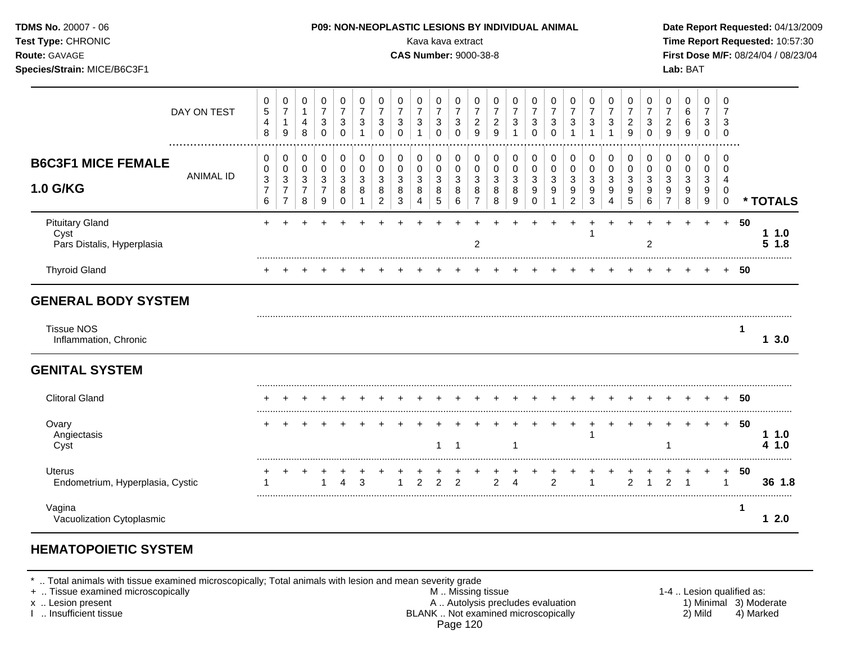| Test Type: CHRONIC<br>Route: GAVAGE<br>Species/Strain: MICE/B6C3F1 |                  |                                        |                                                                    |                                    |                                                                          |                                                 |                                                                    |                                              |                                                                                 |                               | Kava kava extract<br><b>CAS Number: 9000-38-8</b> |                                                                       |                                                                      |                                        |                                            |                                                 |                                              |                                              |                                                     |                                                   |                                                           |                                                  |                                                      | Lab: BAT                        |                                            |                                                        |      | Time Report Requested: 10:57:30<br>First Dose M/F: 08/24/04 / 08/23/04 |
|--------------------------------------------------------------------|------------------|----------------------------------------|--------------------------------------------------------------------|------------------------------------|--------------------------------------------------------------------------|-------------------------------------------------|--------------------------------------------------------------------|----------------------------------------------|---------------------------------------------------------------------------------|-------------------------------|---------------------------------------------------|-----------------------------------------------------------------------|----------------------------------------------------------------------|----------------------------------------|--------------------------------------------|-------------------------------------------------|----------------------------------------------|----------------------------------------------|-----------------------------------------------------|---------------------------------------------------|-----------------------------------------------------------|--------------------------------------------------|------------------------------------------------------|---------------------------------|--------------------------------------------|--------------------------------------------------------|------|------------------------------------------------------------------------|
| DAY ON TEST                                                        |                  | 0<br>5<br>$\overline{\mathbf{4}}$<br>8 | 0<br>$\overline{7}$<br>$\mathbf{1}$<br>$\boldsymbol{9}$            | 0<br>1<br>$\overline{4}$<br>8      | 0<br>$\overline{7}$<br>$\ensuremath{\mathsf{3}}$<br>$\pmb{0}$            | 0<br>$\overline{7}$<br>$\mathbf{3}$<br>$\Omega$ | 0<br>$\overline{7}$<br>$\ensuremath{\mathsf{3}}$<br>$\overline{1}$ | 0<br>$\boldsymbol{7}$<br>3<br>$\pmb{0}$      | 0<br>$\overline{7}$<br>$\mathbf{3}$<br>$\Omega$                                 | 0<br>$\overline{7}$<br>3<br>1 | 0<br>$\overline{7}$<br>3<br>$\pmb{0}$             | $\pmb{0}$<br>$\overline{7}$<br>$\ensuremath{\mathsf{3}}$<br>$\pmb{0}$ | 0<br>$\boldsymbol{7}$<br>$\overline{\mathbf{c}}$<br>$\boldsymbol{9}$ | 0<br>$\overline{7}$<br>$\sqrt{2}$<br>9 | 0<br>$\overline{7}$<br>3<br>$\overline{1}$ | 0<br>$\overline{7}$<br>$\mathbf{3}$<br>$\Omega$ | 0<br>$\overline{7}$<br>3<br>$\Omega$         | 0<br>$\overline{7}$<br>$\mathbf{3}$<br>1     | 0<br>$\overline{7}$<br>$\sqrt{3}$<br>1              | 0<br>$\overline{7}$<br>$\sqrt{3}$<br>$\mathbf{1}$ | 0<br>$\overline{7}$<br>$\overline{c}$<br>$\boldsymbol{9}$ | 0<br>$\overline{7}$<br>$\mathbf{3}$<br>$\pmb{0}$ | 0<br>$\overline{7}$<br>$\overline{a}$<br>$\mathsf g$ | 0<br>6<br>6<br>$\boldsymbol{9}$ | 0<br>7<br>3<br>0                           | 0<br>7<br>3<br>$\mathbf 0$                             |      |                                                                        |
| <b>B6C3F1 MICE FEMALE</b><br>1.0 G/KG                              | <b>ANIMAL ID</b> | 0<br>0<br>3<br>$\boldsymbol{7}$<br>6   | 0<br>$\pmb{0}$<br>$\mathbf{3}$<br>$\overline{7}$<br>$\overline{7}$ | 0<br>0<br>3<br>$\overline{7}$<br>8 | $\pmb{0}$<br>$\,0\,$<br>$\ensuremath{\mathsf{3}}$<br>$\overline{7}$<br>9 | $\pmb{0}$<br>0<br>3<br>8<br>$\Omega$            | 0<br>$\mathbf 0$<br>3<br>8<br>-1                                   | 0<br>$\pmb{0}$<br>3<br>8<br>$\boldsymbol{2}$ | 0<br>$\mathbf 0$<br>$\ensuremath{\mathsf{3}}$<br>8<br>$\ensuremath{\mathsf{3}}$ | 0<br>0<br>3<br>8<br>4         | 0<br>0<br>3<br>8<br>5                             | $\pmb{0}$<br>$\mathsf 0$<br>$\sqrt{3}$<br>$\bf 8$<br>$\,6\,$          | 0<br>$\mathbf 0$<br>$\sqrt{3}$<br>8<br>$\overline{7}$                | 0<br>$\mathbf 0$<br>3<br>8<br>8        | 0<br>$\mathbf 0$<br>3<br>8<br>9            | 0<br>$\pmb{0}$<br>3<br>9<br>$\Omega$            | 0<br>$\pmb{0}$<br>3<br>$\boldsymbol{9}$<br>1 | 0<br>$\mathbf 0$<br>3<br>9<br>$\overline{c}$ | 0<br>$\mathbf 0$<br>$\sqrt{3}$<br>9<br>$\mathbf{3}$ | 0<br>$\mathbf 0$<br>3<br>9<br>4                   | 0<br>$\pmb{0}$<br>3<br>9<br>5                             | 0<br>0<br>3<br>$\boldsymbol{9}$<br>6             | 0<br>$\pmb{0}$<br>3<br>9<br>$\overline{7}$           | 0<br>$\pmb{0}$<br>3<br>9<br>8   | $\mathbf 0$<br>0<br>$\mathbf{3}$<br>9<br>9 | 0<br>$\mathbf 0$<br>$\overline{4}$<br>0<br>$\mathsf 0$ |      | * TOTALS                                                               |
| <b>Pituitary Gland</b><br>Cyst<br>Pars Distalis, Hyperplasia       |                  |                                        |                                                                    |                                    |                                                                          |                                                 |                                                                    |                                              |                                                                                 |                               |                                                   |                                                                       | 2                                                                    |                                        |                                            |                                                 |                                              |                                              | -1                                                  |                                                   |                                                           | $\overline{2}$                                   |                                                      |                                 | $+$                                        | $+$                                                    | 50   | 11.0<br>51.8                                                           |
| <b>Thyroid Gland</b>                                               |                  |                                        |                                                                    |                                    |                                                                          |                                                 |                                                                    |                                              |                                                                                 |                               |                                                   |                                                                       |                                                                      |                                        |                                            |                                                 |                                              |                                              |                                                     |                                                   |                                                           |                                                  |                                                      |                                 |                                            |                                                        | + 50 |                                                                        |
| <b>GENERAL BODY SYSTEM</b>                                         |                  |                                        |                                                                    |                                    |                                                                          |                                                 |                                                                    |                                              |                                                                                 |                               |                                                   |                                                                       |                                                                      |                                        |                                            |                                                 |                                              |                                              |                                                     |                                                   |                                                           |                                                  |                                                      |                                 |                                            |                                                        |      |                                                                        |
| <b>Tissue NOS</b><br>Inflammation, Chronic                         |                  |                                        |                                                                    |                                    |                                                                          |                                                 |                                                                    |                                              |                                                                                 |                               |                                                   |                                                                       |                                                                      |                                        |                                            |                                                 |                                              |                                              |                                                     |                                                   |                                                           |                                                  |                                                      |                                 |                                            |                                                        | -1   | 13.0                                                                   |
| <b>GENITAL SYSTEM</b>                                              |                  |                                        |                                                                    |                                    |                                                                          |                                                 |                                                                    |                                              |                                                                                 |                               |                                                   |                                                                       |                                                                      |                                        |                                            |                                                 |                                              |                                              |                                                     |                                                   |                                                           |                                                  |                                                      |                                 |                                            |                                                        |      |                                                                        |
| <b>Clitoral Gland</b>                                              |                  |                                        |                                                                    |                                    |                                                                          |                                                 |                                                                    |                                              |                                                                                 |                               |                                                   |                                                                       |                                                                      |                                        |                                            |                                                 |                                              |                                              |                                                     |                                                   |                                                           |                                                  |                                                      |                                 |                                            |                                                        | 50   |                                                                        |
| Ovary<br>Angiectasis<br>Cyst                                       |                  |                                        |                                                                    |                                    |                                                                          |                                                 |                                                                    |                                              |                                                                                 |                               | 1                                                 | $\overline{1}$                                                        |                                                                      |                                        | -1                                         |                                                 |                                              | $\div$                                       | -1                                                  |                                                   |                                                           |                                                  |                                                      |                                 | $\div$                                     | $+$                                                    | 50   | 11.0<br>4 1.0                                                          |
| Uterus<br>Endometrium, Hyperplasia, Cystic                         |                  |                                        |                                                                    | $\pm$                              |                                                                          | 4                                               | 3                                                                  |                                              |                                                                                 | $\overline{2}$                | $\overline{2}$                                    | $\overline{2}$                                                        |                                                                      | $\overline{2}$                         | Δ                                          |                                                 | 2                                            |                                              |                                                     |                                                   | 2                                                         |                                                  | $\overline{2}$                                       |                                 |                                            | $\ddot{}$<br>1                                         | 50   | 36 1.8                                                                 |
| Vagina<br>Vacuolization Cytoplasmic                                |                  |                                        |                                                                    |                                    |                                                                          |                                                 |                                                                    |                                              |                                                                                 |                               |                                                   |                                                                       |                                                                      |                                        |                                            |                                                 |                                              |                                              |                                                     |                                                   |                                                           |                                                  |                                                      |                                 |                                            |                                                        | 1    | 12.0                                                                   |

## **HEMATOPOIETIC SYSTEM**

\* .. Total animals with tissue examined microscopically; Total animals with lesion and mean severity grade

- + .. Tissue examined microscopically M .. Missing tissue 1-4 .. Lesion qualified as: x .. Lesion present **A .. Autolysis precludes evaluation** A .. Autolysis precludes evaluation 1) Minimal 3) Moderate I .. Insufficient tissue BLANK .. Not examined microscopically 2) Mild 4) Marked Page 120
-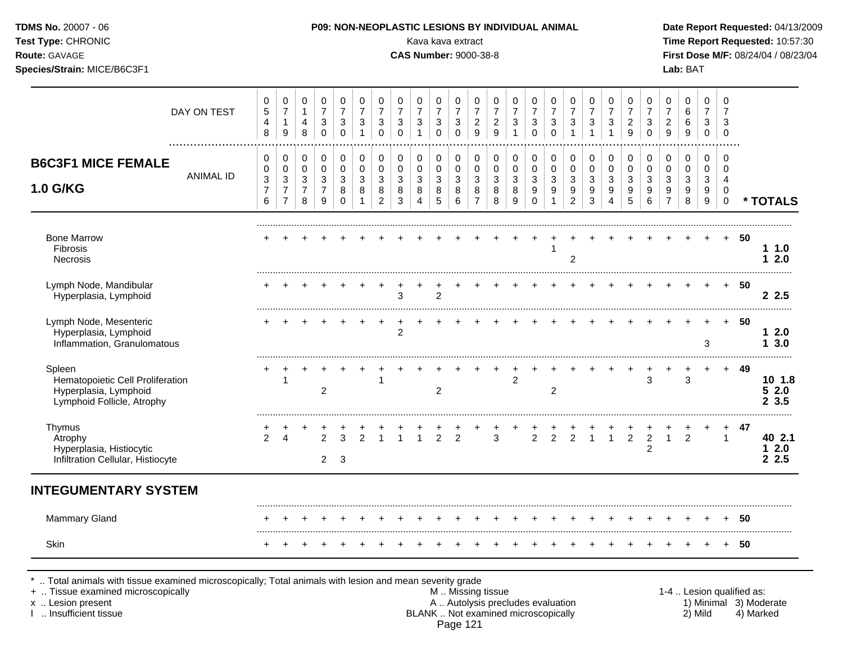| Test Type: CHRONIC<br>Route: GAVAGE<br>Species/Strain: MICE/B6C3F1                                |                  |                                                        |                                                                                             |                                                            |                                                                              |                                                            |                                                                 |                                                             |                                                                                                 |                                          | Kava kava extract<br><b>CAS Number: 9000-38-8</b> |                                                                                     |                                                               |                                                             |                                                                         |                                                     |                                                                   |                                                                          |                                                                      |                                                                       |                                                                   |                                                    |                                                                              | Lab: BAT                                                                               |                                                           |                                                                         | Time Report Requested: 10:57:30<br>First Dose M/F: 08/24/04 / 08/23/04 |  |
|---------------------------------------------------------------------------------------------------|------------------|--------------------------------------------------------|---------------------------------------------------------------------------------------------|------------------------------------------------------------|------------------------------------------------------------------------------|------------------------------------------------------------|-----------------------------------------------------------------|-------------------------------------------------------------|-------------------------------------------------------------------------------------------------|------------------------------------------|---------------------------------------------------|-------------------------------------------------------------------------------------|---------------------------------------------------------------|-------------------------------------------------------------|-------------------------------------------------------------------------|-----------------------------------------------------|-------------------------------------------------------------------|--------------------------------------------------------------------------|----------------------------------------------------------------------|-----------------------------------------------------------------------|-------------------------------------------------------------------|----------------------------------------------------|------------------------------------------------------------------------------|----------------------------------------------------------------------------------------|-----------------------------------------------------------|-------------------------------------------------------------------------|------------------------------------------------------------------------|--|
|                                                                                                   | DAY ON TEST<br>  | 0<br>$\overline{5}$<br>4<br>8                          | 0<br>$\overline{7}$<br>$\mathbf{1}$<br>9                                                    | 0<br>$\mathbf{1}$<br>4<br>8                                | $\pmb{0}$<br>$\overline{7}$<br>$\sqrt{3}$<br>$\mathbf 0$                     | $\mathbf 0$<br>$\overline{7}$<br>$\sqrt{3}$<br>$\mathbf 0$ | $\mathbf 0$<br>$\overline{7}$<br>$\mathbf{3}$<br>$\overline{1}$ | 0<br>$\overline{\mathbf{7}}$<br>$\sqrt{3}$<br>$\mathbf 0$   | 0<br>$\overline{7}$<br>$\mathbf{3}$<br>$\Omega$                                                 | 0<br>$\overline{7}$<br>3<br>$\mathbf{1}$ | 0<br>$\boldsymbol{7}$<br>3<br>$\mathbf 0$         | $\mathbf 0$<br>$\overline{7}$<br>$\sqrt{3}$<br>$\Omega$                             | 0<br>$\overline{7}$<br>$\overline{c}$<br>9                    | $\pmb{0}$<br>$\overline{7}$<br>$\sqrt{2}$<br>$\overline{9}$ | 0<br>$\overline{7}$<br>3<br>$\mathbf{1}$                                | 0<br>$\boldsymbol{7}$<br>3<br>$\Omega$              | 0<br>$\overline{7}$<br>$\ensuremath{\mathsf{3}}$<br>$\mathbf 0$   | 0<br>$\overline{7}$<br>$\mathbf{3}$<br>$\overline{1}$                    | 0<br>$\overline{7}$<br>$\ensuremath{\mathsf{3}}$<br>$\overline{1}$   | 0<br>$\overline{7}$<br>$\sqrt{3}$<br>$\mathbf{1}$                     | 0<br>$\overline{7}$<br>$\overline{c}$<br>9                        | 0<br>$\overline{7}$<br>3<br>$\mathbf 0$            | 0<br>$\boldsymbol{7}$<br>$\overline{c}$<br>9                                 | 0<br>$\,6\,$<br>$\,6$<br>9                                                             | $\mathbf 0$<br>$\overline{7}$<br>3<br>$\mathsf{O}\xspace$ | $\mathbf 0$<br>$\overline{7}$<br>3<br>$\mathbf 0$                       |                                                                        |  |
| <b>B6C3F1 MICE FEMALE</b><br><b>1.0 G/KG</b>                                                      | <b>ANIMAL ID</b> | $\pmb{0}$<br>$\pmb{0}$<br>3<br>$\overline{7}$<br>$\,6$ | $\pmb{0}$<br>$\mathsf 0$<br>$\ensuremath{\mathsf{3}}$<br>$\boldsymbol{7}$<br>$\overline{7}$ | 0<br>0<br>$\ensuremath{\mathsf{3}}$<br>$\overline{7}$<br>8 | $\pmb{0}$<br>$\pmb{0}$<br>$\ensuremath{\mathsf{3}}$<br>$\boldsymbol{7}$<br>9 | $\mathbf 0$<br>0<br>3<br>8<br>$\Omega$                     | 0<br>$\mathbf 0$<br>3<br>8<br>1                                 | 0<br>$\pmb{0}$<br>$\mathbf{3}$<br>$\bf 8$<br>$\overline{c}$ | $\mathbf 0$<br>$\mathbf 0$<br>$\ensuremath{\mathsf{3}}$<br>$\bf 8$<br>$\ensuremath{\mathsf{3}}$ | 0<br>$\mathbf 0$<br>3<br>8<br>4          | 0<br>0<br>3<br>8<br>$\sqrt{5}$                    | $\pmb{0}$<br>$\mathsf{O}\xspace$<br>$\ensuremath{\mathsf{3}}$<br>$\bf 8$<br>$\,6\,$ | $\pmb{0}$<br>$\pmb{0}$<br>$\mathbf{3}$<br>8<br>$\overline{7}$ | 0<br>$\mathsf{O}\xspace$<br>$\sqrt{3}$<br>$\bf 8$<br>8      | $\mathbf 0$<br>$\pmb{0}$<br>$\mathbf{3}$<br>$\bf 8$<br>$\boldsymbol{9}$ | 0<br>$\pmb{0}$<br>3<br>$\boldsymbol{9}$<br>$\Omega$ | $\mathbf 0$<br>$\pmb{0}$<br>$\mathbf{3}$<br>$\boldsymbol{9}$<br>1 | 0<br>$\mathbf 0$<br>$\ensuremath{\mathsf{3}}$<br>$9\,$<br>$\overline{2}$ | 0<br>$\mathbf 0$<br>$\mathbf{3}$<br>$\boldsymbol{9}$<br>$\mathbf{3}$ | $\mathbf 0$<br>$\mathbf 0$<br>3<br>$\boldsymbol{9}$<br>$\overline{4}$ | $\pmb{0}$<br>$\mathsf 0$<br>$\mathbf{3}$<br>$\boldsymbol{9}$<br>5 | 0<br>$\mathbf 0$<br>3<br>$\boldsymbol{9}$<br>$\,6$ | $\pmb{0}$<br>$\mathbf 0$<br>$\ensuremath{\mathsf{3}}$<br>9<br>$\overline{7}$ | $\mathbf 0$<br>$\mathbf 0$<br>$\ensuremath{\mathsf{3}}$<br>$\boldsymbol{9}$<br>$\,8\,$ | $\mathbf 0$<br>0<br>$\sqrt{3}$<br>9<br>$\boldsymbol{9}$   | $\mathbf 0$<br>$\Omega$<br>$\overline{4}$<br>$\mathbf 0$<br>$\mathbf 0$ | * TOTALS                                                               |  |
|                                                                                                   |                  |                                                        |                                                                                             |                                                            |                                                                              |                                                            |                                                                 |                                                             |                                                                                                 |                                          |                                                   |                                                                                     |                                                               |                                                             |                                                                         |                                                     |                                                                   |                                                                          |                                                                      |                                                                       |                                                                   |                                                    |                                                                              |                                                                                        |                                                           |                                                                         |                                                                        |  |
| <b>Bone Marrow</b><br>Fibrosis<br><b>Necrosis</b>                                                 |                  |                                                        |                                                                                             |                                                            |                                                                              |                                                            |                                                                 |                                                             |                                                                                                 |                                          |                                                   |                                                                                     |                                                               |                                                             |                                                                         |                                                     | 1                                                                 | $\overline{c}$                                                           |                                                                      |                                                                       |                                                                   |                                                    |                                                                              |                                                                                        |                                                           |                                                                         | + 50<br>11.0<br>12.0                                                   |  |
| Lymph Node, Mandibular<br>Hyperplasia, Lymphoid                                                   |                  |                                                        |                                                                                             |                                                            |                                                                              |                                                            |                                                                 |                                                             | 3                                                                                               |                                          | $\overline{2}$                                    |                                                                                     |                                                               |                                                             |                                                                         |                                                     |                                                                   |                                                                          |                                                                      |                                                                       |                                                                   |                                                    |                                                                              |                                                                                        |                                                           | $+$                                                                     | - 50<br>2.5                                                            |  |
| Lymph Node, Mesenteric<br>Hyperplasia, Lymphoid<br>Inflammation, Granulomatous                    |                  |                                                        |                                                                                             |                                                            |                                                                              |                                                            |                                                                 | $\overline{+}$                                              | $\ddot{}$<br>$\overline{2}$                                                                     | $\ddot{}$                                |                                                   |                                                                                     |                                                               |                                                             |                                                                         |                                                     |                                                                   |                                                                          |                                                                      |                                                                       |                                                                   |                                                    |                                                                              |                                                                                        | 3                                                         |                                                                         | -50<br>12.0<br>13.0                                                    |  |
| Spleen<br>Hematopoietic Cell Proliferation<br>Hyperplasia, Lymphoid<br>Lymphoid Follicle, Atrophy |                  |                                                        | 1                                                                                           |                                                            | $\overline{2}$                                                               |                                                            |                                                                 | 1                                                           |                                                                                                 |                                          | $\overline{2}$                                    |                                                                                     |                                                               |                                                             | $\overline{c}$                                                          |                                                     | $\overline{c}$                                                    |                                                                          |                                                                      |                                                                       |                                                                   | 3                                                  | $\ddot{}$                                                                    | 3                                                                                      | $+$                                                       |                                                                         | + 49<br>10 1.8<br>52.0<br>23.5                                         |  |
| Thymus<br>Atrophy<br>Hyperplasia, Histiocytic<br>Infiltration Cellular, Histiocyte                |                  | $\overline{2}$                                         | $\boldsymbol{\Lambda}$                                                                      |                                                            | $\mathcal{P}$<br>$2^{\circ}$                                                 | 3<br>3                                                     | $\mathfrak{p}$                                                  | $\overline{1}$                                              | $\overline{1}$                                                                                  | $\mathbf{1}$                             | $\overline{2}$                                    | $\overline{2}$                                                                      |                                                               | 3                                                           |                                                                         | $\overline{2}$                                      | 2                                                                 | 2                                                                        | $\overline{1}$                                                       | $\mathbf{1}$                                                          | $\overline{2}$                                                    | $\overline{2}$<br>$\overline{c}$                   | $\mathbf{1}$                                                                 | $\overline{2}$                                                                         |                                                           | $+$<br>$\mathbf{1}$                                                     | - 47<br>40 2.1<br>$12.0$<br>2.5                                        |  |
| <b>INTEGUMENTARY SYSTEM</b>                                                                       |                  |                                                        |                                                                                             |                                                            |                                                                              |                                                            |                                                                 |                                                             |                                                                                                 |                                          |                                                   |                                                                                     |                                                               |                                                             |                                                                         |                                                     |                                                                   |                                                                          |                                                                      |                                                                       |                                                                   |                                                    |                                                                              |                                                                                        |                                                           |                                                                         |                                                                        |  |
| Mammary Gland                                                                                     |                  |                                                        |                                                                                             |                                                            |                                                                              |                                                            |                                                                 |                                                             |                                                                                                 |                                          |                                                   |                                                                                     | $\div$                                                        |                                                             | $+$                                                                     |                                                     |                                                                   |                                                                          |                                                                      |                                                                       |                                                                   | $\div$                                             |                                                                              | $\div$                                                                                 |                                                           |                                                                         | + 50                                                                   |  |
| Skin                                                                                              |                  |                                                        |                                                                                             |                                                            |                                                                              |                                                            |                                                                 |                                                             |                                                                                                 |                                          |                                                   |                                                                                     |                                                               |                                                             |                                                                         |                                                     |                                                                   |                                                                          |                                                                      |                                                                       |                                                                   |                                                    |                                                                              |                                                                                        |                                                           |                                                                         | + 50                                                                   |  |

\* .. Total animals with tissue examined microscopically; Total animals with lesion and mean severity grade

- + .. Tissue examined microscopically M .. Missing tissue 1-4 .. Lesion qualified as: x .. Lesion present **A .. Autolysis precludes evaluation** A .. Autolysis precludes evaluation 1) Minimal 3) Moderate I .. Insufficient tissue BLANK .. Not examined microscopically 2) Mild 4) Marked Page 121
-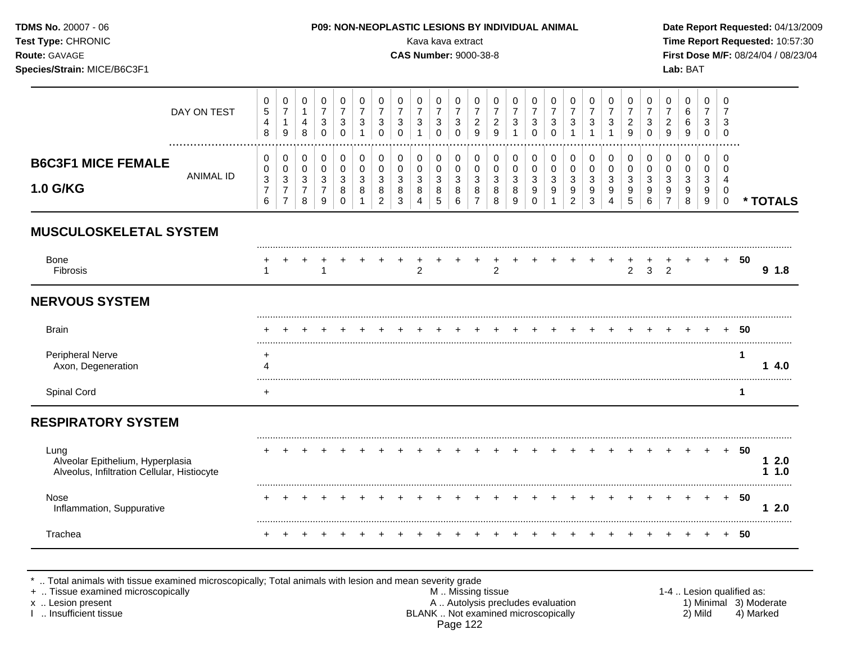| TDMS No. 20007 - 06<br>Test Type: CHRONIC<br>Route: GAVAGE<br>Species/Strain: MICE/B6C3F1 |                  |                                                            |                                                                                   |                                                           |                                                                      |                                                                           |                                                             |                                                                                  |                                                                                  |                                                                            |                                                                                | Kava kava extract<br><b>CAS Number: 9000-38-8</b>                              |                                                                     |                                                              | P09: NON-NEOPLASTIC LESIONS BY INDIVIDUAL ANIMAL                         |                                                                       |                                                            |                                                                  |                                                                           |                                                    |                                                               |                                                                         |                                                                     | Lab: BAT                                                          |                                                   |                                                                                    |    | Date Report Requested: 04/13/2009<br>Time Report Requested: 10:57:30<br>First Dose M/F: 08/24/04 / 08/23/04 |
|-------------------------------------------------------------------------------------------|------------------|------------------------------------------------------------|-----------------------------------------------------------------------------------|-----------------------------------------------------------|----------------------------------------------------------------------|---------------------------------------------------------------------------|-------------------------------------------------------------|----------------------------------------------------------------------------------|----------------------------------------------------------------------------------|----------------------------------------------------------------------------|--------------------------------------------------------------------------------|--------------------------------------------------------------------------------|---------------------------------------------------------------------|--------------------------------------------------------------|--------------------------------------------------------------------------|-----------------------------------------------------------------------|------------------------------------------------------------|------------------------------------------------------------------|---------------------------------------------------------------------------|----------------------------------------------------|---------------------------------------------------------------|-------------------------------------------------------------------------|---------------------------------------------------------------------|-------------------------------------------------------------------|---------------------------------------------------|------------------------------------------------------------------------------------|----|-------------------------------------------------------------------------------------------------------------|
|                                                                                           | DAY ON TEST      | $\pmb{0}$<br>$\,$ 5 $\,$<br>4<br>$\,8\,$                   | $\pmb{0}$<br>$\overline{7}$<br>$\mathbf{1}$<br>$\boldsymbol{9}$                   | $\pmb{0}$<br>$\mathbf{1}$<br>$\overline{\mathbf{4}}$<br>8 | $\pmb{0}$<br>$\overline{\mathbf{7}}$<br>$\sqrt{3}$<br>$\pmb{0}$      | $\mathbf 0$<br>$\overline{7}$<br>$\ensuremath{\mathsf{3}}$<br>$\mathbf 0$ | $\pmb{0}$<br>$\overline{7}$<br>$\sqrt{3}$<br>$\overline{1}$ | $\pmb{0}$<br>$\overline{\mathbf{7}}$<br>$\sqrt{3}$<br>$\mathbf 0$                | $\pmb{0}$<br>$\overline{\mathbf{7}}$<br>$\ensuremath{\mathsf{3}}$<br>$\mathbf 0$ | $\pmb{0}$<br>$\boldsymbol{7}$<br>$\ensuremath{\mathsf{3}}$<br>$\mathbf{1}$ | $\pmb{0}$<br>$\overline{\mathbf{7}}$<br>$\ensuremath{\mathsf{3}}$<br>$\pmb{0}$ | $\pmb{0}$<br>$\overline{\mathbf{7}}$<br>$\ensuremath{\mathsf{3}}$<br>$\pmb{0}$ | $\pmb{0}$<br>$\overline{7}$<br>$\sqrt{2}$<br>$\mathsf g$            | $\pmb{0}$<br>$\overline{7}$<br>$\overline{c}$<br>$\mathsf g$ | $\pmb{0}$<br>$\overline{7}$<br>$\ensuremath{\mathsf{3}}$<br>$\mathbf{1}$ | $\pmb{0}$<br>$\overline{7}$<br>$\ensuremath{\mathsf{3}}$<br>$\pmb{0}$ | $\pmb{0}$<br>$\overline{7}$<br>$\mathbf{3}$<br>$\mathbf 0$ | 0<br>$\overline{7}$<br>$\ensuremath{\mathsf{3}}$<br>$\mathbf{1}$ | 0<br>$\overline{\mathbf{7}}$<br>$\ensuremath{\mathsf{3}}$<br>$\mathbf{1}$ | $\mathbf 0$<br>$\overline{7}$<br>3<br>$\mathbf{1}$ | $\pmb{0}$<br>$\overline{\mathbf{7}}$<br>$\sqrt{2}$<br>9       | $\pmb{0}$<br>$\overline{7}$<br>$\ensuremath{\mathsf{3}}$<br>$\mathbf 0$ | $\pmb{0}$<br>$\boldsymbol{7}$<br>$\boldsymbol{2}$<br>$\overline{9}$ | $\pmb{0}$<br>$\,6\,$<br>$\,6\,$<br>$\overline{9}$                 | $\mathbf 0$<br>$\overline{7}$<br>3<br>$\mathbf 0$ | $\mathbf 0$<br>$\overline{7}$<br>3<br>$\mathbf 0$                                  |    |                                                                                                             |
| <b>B6C3F1 MICE FEMALE</b><br>1.0 G/KG                                                     | <b>ANIMAL ID</b> | 0<br>0<br>$\ensuremath{\mathsf{3}}$<br>$\overline{7}$<br>6 | 0<br>$\mathbf 0$<br>$\ensuremath{\mathsf{3}}$<br>$\overline{7}$<br>$\overline{7}$ | 0<br>$\mathbf 0$<br>$\mathbf{3}$<br>$\overline{7}$<br>8   | 0<br>$\pmb{0}$<br>$\mathbf{3}$<br>$\overline{7}$<br>$\boldsymbol{9}$ | 0<br>$\pmb{0}$<br>$\mathbf{3}$<br>8<br>$\Omega$                           | 0<br>$\pmb{0}$<br>$\mathbf{3}$<br>8<br>$\mathbf 1$          | $\pmb{0}$<br>$\pmb{0}$<br>$\ensuremath{\mathsf{3}}$<br>$\bf 8$<br>$\overline{2}$ | $\mathbf 0$<br>$\mathbf 0$<br>$\sqrt{3}$<br>$\bf 8$<br>$\mathbf{3}$              | $\mathbf 0$<br>$\pmb{0}$<br>$\sqrt{3}$<br>8<br>4                           | $\pmb{0}$<br>$\pmb{0}$<br>$\mathfrak{Z}$<br>8<br>$\sqrt{5}$                    | $\pmb{0}$<br>$\pmb{0}$<br>$\ensuremath{\mathsf{3}}$<br>$\bf8$<br>6             | $\mathbf 0$<br>$\pmb{0}$<br>$\sqrt{3}$<br>$\bf 8$<br>$\overline{7}$ | $\mathbf 0$<br>$\mathbf 0$<br>$\sqrt{3}$<br>8<br>8           | $\mathbf 0$<br>$\pmb{0}$<br>$\mathbf{3}$<br>8<br>9                       | 0<br>$\mathbf 0$<br>$\sqrt{3}$<br>$\boldsymbol{9}$<br>$\mathbf 0$     | 0<br>$\mathbf 0$<br>$\mathbf{3}$<br>9<br>1                 | 0<br>0<br>$\mathbf{3}$<br>9<br>$\overline{2}$                    | 0<br>$\pmb{0}$<br>$\mathbf{3}$<br>9<br>3                                  | 0<br>0<br>3<br>$\boldsymbol{9}$<br>4               | $\pmb{0}$<br>$\pmb{0}$<br>$\sqrt{3}$<br>$\boldsymbol{9}$<br>5 | $\mathbf 0$<br>$\mathbf 0$<br>$\mathbf{3}$<br>$\boldsymbol{9}$<br>6     | $\pmb{0}$<br>$\pmb{0}$<br>3<br>$\boldsymbol{9}$<br>$\overline{7}$   | $\mathbf 0$<br>$\pmb{0}$<br>$\mathbf{3}$<br>$\boldsymbol{9}$<br>8 | 0<br>$\mathbf 0$<br>3<br>9<br>9                   | $\mathbf 0$<br>$\mathbf 0$<br>$\overline{4}$<br>$\mathbf 0$<br>$\mathsf{O}\xspace$ |    | * TOTALS                                                                                                    |
| <b>MUSCULOSKELETAL SYSTEM</b>                                                             |                  |                                                            |                                                                                   |                                                           |                                                                      |                                                                           |                                                             |                                                                                  |                                                                                  |                                                                            |                                                                                |                                                                                |                                                                     |                                                              |                                                                          |                                                                       |                                                            |                                                                  |                                                                           |                                                    |                                                               |                                                                         |                                                                     |                                                                   |                                                   |                                                                                    |    |                                                                                                             |
| <b>Bone</b><br>Fibrosis                                                                   |                  | -1                                                         |                                                                                   |                                                           | -1                                                                   |                                                                           |                                                             |                                                                                  |                                                                                  | $\overline{2}$                                                             |                                                                                |                                                                                |                                                                     | +<br>$\overline{2}$                                          |                                                                          |                                                                       |                                                            |                                                                  |                                                                           |                                                    | +<br>$\overline{2}$                                           | ٠<br>3                                                                  | 2                                                                   |                                                                   |                                                   | $+$                                                                                | 50 | 9 1.8                                                                                                       |
| <b>NERVOUS SYSTEM</b>                                                                     |                  |                                                            |                                                                                   |                                                           |                                                                      |                                                                           |                                                             |                                                                                  |                                                                                  |                                                                            |                                                                                |                                                                                |                                                                     |                                                              |                                                                          |                                                                       |                                                            |                                                                  |                                                                           |                                                    |                                                               |                                                                         |                                                                     |                                                                   |                                                   |                                                                                    |    |                                                                                                             |
| <b>Brain</b>                                                                              |                  |                                                            |                                                                                   |                                                           |                                                                      |                                                                           |                                                             |                                                                                  |                                                                                  |                                                                            |                                                                                |                                                                                |                                                                     |                                                              |                                                                          |                                                                       |                                                            |                                                                  |                                                                           |                                                    |                                                               |                                                                         |                                                                     |                                                                   |                                                   |                                                                                    | 50 |                                                                                                             |
| Peripheral Nerve<br>Axon, Degeneration                                                    |                  | $\ddot{}$<br>4                                             |                                                                                   |                                                           |                                                                      |                                                                           |                                                             |                                                                                  |                                                                                  |                                                                            |                                                                                |                                                                                |                                                                     |                                                              |                                                                          |                                                                       |                                                            |                                                                  |                                                                           |                                                    |                                                               |                                                                         |                                                                     |                                                                   |                                                   |                                                                                    | 1  | .<br>14.0                                                                                                   |
| Spinal Cord                                                                               |                  | $\ddot{}$                                                  |                                                                                   |                                                           |                                                                      |                                                                           |                                                             |                                                                                  |                                                                                  |                                                                            |                                                                                |                                                                                |                                                                     |                                                              |                                                                          |                                                                       |                                                            |                                                                  |                                                                           |                                                    |                                                               |                                                                         |                                                                     |                                                                   |                                                   |                                                                                    | -1 |                                                                                                             |
| <b>RESPIRATORY SYSTEM</b>                                                                 |                  |                                                            |                                                                                   |                                                           |                                                                      |                                                                           |                                                             |                                                                                  |                                                                                  |                                                                            |                                                                                |                                                                                |                                                                     |                                                              |                                                                          |                                                                       |                                                            |                                                                  |                                                                           |                                                    |                                                               |                                                                         |                                                                     |                                                                   |                                                   |                                                                                    |    |                                                                                                             |
| Lung<br>Alveolar Epithelium, Hyperplasia<br>Alveolus, Infiltration Cellular, Histiocyte   |                  |                                                            |                                                                                   |                                                           |                                                                      |                                                                           |                                                             |                                                                                  |                                                                                  |                                                                            |                                                                                |                                                                                |                                                                     |                                                              |                                                                          |                                                                       |                                                            |                                                                  |                                                                           |                                                    |                                                               |                                                                         |                                                                     |                                                                   | $+$                                               | $+$                                                                                | 50 | 12.0<br>1.0                                                                                                 |
| Nose<br>Inflammation, Suppurative                                                         |                  |                                                            | $\div$                                                                            |                                                           |                                                                      |                                                                           |                                                             |                                                                                  |                                                                                  |                                                                            |                                                                                |                                                                                |                                                                     |                                                              |                                                                          |                                                                       |                                                            |                                                                  |                                                                           |                                                    |                                                               |                                                                         |                                                                     |                                                                   | $\ddot{}$                                         | $+$                                                                                | 50 | 12.0                                                                                                        |
| Trachea                                                                                   |                  |                                                            |                                                                                   |                                                           |                                                                      |                                                                           |                                                             |                                                                                  |                                                                                  |                                                                            |                                                                                |                                                                                |                                                                     |                                                              |                                                                          |                                                                       |                                                            |                                                                  |                                                                           |                                                    |                                                               |                                                                         |                                                                     |                                                                   | $\pm$                                             | $+$                                                                                | 50 |                                                                                                             |

\* .. Total animals with tissue examined microscopically; Total animals with lesion and mean severity grade

- + .. Tissue examined microscopically M .. Missing tissue 1-4 .. Lesion qualified as: x .. Lesion present **A .. Autolysis precludes evaluation** A .. Autolysis precludes evaluation 1) Minimal 3) Moderate I .. Insufficient tissue BLANK .. Not examined microscopically 2) Mild 4) Marked Page 122
-